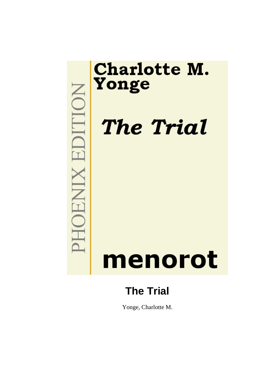

Yonge, Charlotte M.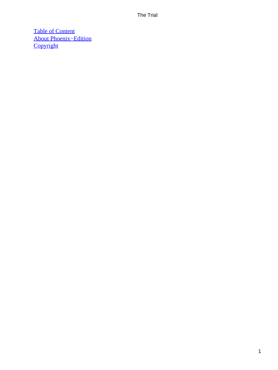[Table of Content](#page-414-0) [About Phoenix−Edition](#page-416-0) **[Copyright](#page-417-0)**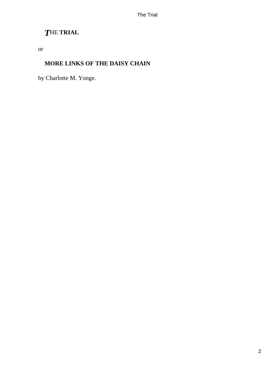# *T*HE **TRIAL**

or

## **MORE LINKS OF THE DAISY CHAIN**

by Charlotte M. Yonge.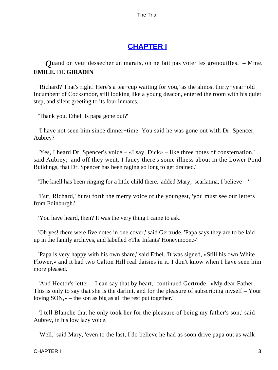# **[CHAPTER I](#page-414-0)**

*Q*uand on veut dessecher un marais, on ne fait pas voter les grenouilles. – Mme. **EMILE.** DE **GIRADIN**

 'Richard? That's right! Here's a tea−cup waiting for you,' as the almost thirty−year−old Incumbent of Cocksmoor, still looking like a young deacon, entered the room with his quiet step, and silent greeting to its four inmates.

'Thank you, Ethel. Is papa gone out?'

 'I have not seen him since dinner−time. You said he was gone out with Dr. Spencer, Aubrey?'

 'Yes, I heard Dr. Spencer's voice – «I say, Dick» – like three notes of consternation,' said Aubrey; 'and off they went. I fancy there's some illness about in the Lower Pond Buildings, that Dr. Spencer has been raging so long to get drained.'

'The knell has been ringing for a little child there,' added Mary; 'scarlatina, I believe – '

 'But, Richard,' burst forth the merry voice of the youngest, 'you must see our letters from Edinburgh.'

'You have heard, then? It was the very thing I came to ask.'

 'Oh yes! there were five notes in one cover,' said Gertrude. 'Papa says they are to be laid up in the family archives, and labelled «The Infants' Honeymoon.»'

 'Papa is very happy with his own share,' said Ethel. 'It was signed, «Still his own White Flower,» and it had two Calton Hill real daisies in it. I don't know when I have seen him more pleased.'

 'And Hector's letter – I can say that by heart,' continued Gertrude. '«My dear Father, This is only to say that she is the darlint, and for the pleasure of subscribing myself – Your loving SON,» – the son as big as all the rest put together.'

 'I tell Blanche that he only took her for the pleasure of being my father's son,' said Aubrey, in his low lazy voice.

'Well,' said Mary, 'even to the last, I do believe he had as soon drive papa out as walk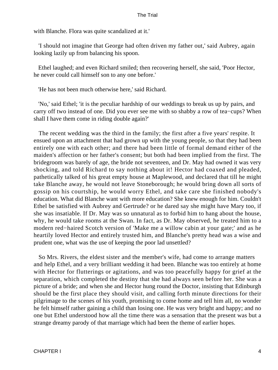with Blanche. Flora was quite scandalized at it.'

 'I should not imagine that George had often driven my father out,' said Aubrey, again looking lazily up from balancing his spoon.

 Ethel laughed; and even Richard smiled; then recovering herself, she said, 'Poor Hector, he never could call himself son to any one before.'

'He has not been much otherwise here,' said Richard.

 'No,' said Ethel; 'it is the peculiar hardship of our weddings to break us up by pairs, and carry off two instead of one. Did you ever see me with so shabby a row of tea−cups? When shall I have them come in riding double again?'

 The recent wedding was the third in the family; the first after a five years' respite. It ensued upon an attachment that had grown up with the young people, so that they had been entirely one with each other; and there had been little of formal demand either of the maiden's affection or her father's consent; but both had been implied from the first. The bridegroom was barely of age, the bride not seventeen, and Dr. May had owned it was very shocking, and told Richard to say nothing about it! Hector had coaxed and pleaded, pathetically talked of his great empty house at Maplewood, and declared that till he might take Blanche away, he would not leave Stoneborough; he would bring down all sorts of gossip on his courtship, he would worry Ethel, and take care she finished nobody's education. What did Blanche want with more education? She knew enough for him. Couldn't Ethel be satisfied with Aubrey and Gertrude? or he dared say she might have Mary too, if she was insatiable. If Dr. May was so unnatural as to forbid him to hang about the house, why, he would take rooms at the Swan. In fact, as Dr. May observed, he treated him to a modern red−haired Scotch version of 'Make me a willow cabin at your gate;' and as he heartily loved Hector and entirely trusted him, and Blanche's pretty head was a wise and prudent one, what was the use of keeping the poor lad unsettled?

 So Mrs. Rivers, the eldest sister and the member's wife, had come to arrange matters and help Ethel, and a very brilliant wedding it had been. Blanche was too entirely at home with Hector for flutterings or agitations, and was too peacefully happy for grief at the separation, which completed the destiny that she had always seen before her. She was a picture of a bride; and when she and Hector hung round the Doctor, insisting that Edinburgh should be the first place they should visit, and calling forth minute directions for their pilgrimage to the scenes of his youth, promising to come home and tell him all, no wonder he felt himself rather gaining a child than losing one. He was very bright and happy; and no one but Ethel understood how all the time there was a sensation that the present was but a strange dreamy parody of that marriage which had been the theme of earlier hopes.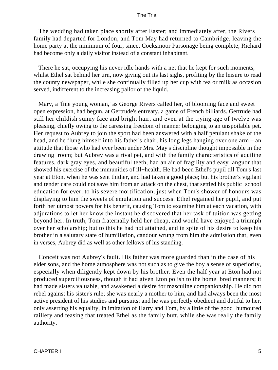The wedding had taken place shortly after Easter; and immediately after, the Rivers family had departed for London, and Tom May had returned to Cambridge, leaving the home party at the minimum of four, since, Cocksmoor Parsonage being complete, Richard had become only a daily visitor instead of a constant inhabitant.

 There he sat, occupying his never idle hands with a net that he kept for such moments, whilst Ethel sat behind her urn, now giving out its last sighs, profiting by the leisure to read the county newspaper, while she continually filled up her cup with tea or milk as occasion served, indifferent to the increasing pallor of the liquid.

 Mary, a 'fine young woman,' as George Rivers called her, of blooming face and sweet open expression, had begun, at Gertrude's entreaty, a game of French billiards. Gertrude had still her childish sunny face and bright hair, and even at the trying age of twelve was pleasing, chiefly owing to the caressing freedom of manner belonging to an unspoilable pet. Her request to Aubrey to join the sport had been answered with a half petulant shake of the head, and he flung himself into his father's chair, his long legs hanging over one arm – an attitude that those who had ever been under Mrs. May's discipline thought impossible in the drawing−room; but Aubrey was a rival pet, and with the family characteristics of aquiline features, dark gray eyes, and beautiful teeth, had an air of fragility and easy languor that showed his exercise of the immunities of ill−health. He had been Ethel's pupil till Tom's last year at Eton, when he was sent thither, and had taken a good place; but his brother's vigilant and tender care could not save him from an attack on the chest, that settled his public−school education for ever, to his severe mortification, just when Tom's shower of honours was displaying to him the sweets of emulation and success. Ethel regained her pupil, and put forth her utmost powers for his benefit, causing Tom to examine him at each vacation, with adjurations to let her know the instant he discovered that her task of tuition was getting beyond her. In truth, Tom fraternally held her cheap, and would have enjoyed a triumph over her scholarship; but to this he had not attained, and in spite of his desire to keep his brother in a salutary state of humiliation, candour wrung from him the admission that, even in verses, Aubrey did as well as other fellows of his standing.

 Conceit was not Aubrey's fault. His father was more guarded than in the case of his elder sons, and the home atmosphere was not such as to give the boy a sense of superiority, especially when diligently kept down by his brother. Even the half year at Eton had not produced superciliousness, though it had given Eton polish to the home−bred manners; it had made sisters valuable, and awakened a desire for masculine companionship. He did not rebel against his sister's rule; she was nearly a mother to him, and had always been the most active president of his studies and pursuits; and he was perfectly obedient and dutiful to her, only asserting his equality, in imitation of Harry and Tom, by a little of the good−humoured raillery and teasing that treated Ethel as the family butt, while she was really the family authority.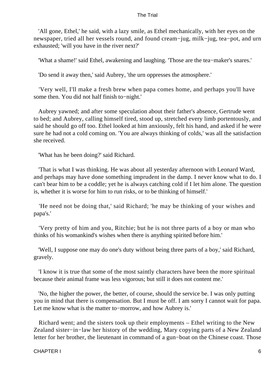'All gone, Ethel,' he said, with a lazy smile, as Ethel mechanically, with her eyes on the newspaper, tried all her vessels round, and found cream−jug, milk−jug, tea−pot, and urn exhausted; 'will you have in the river next?'

'What a shame!' said Ethel, awakening and laughing. 'Those are the tea−maker's snares.'

'Do send it away then,' said Aubrey, 'the urn oppresses the atmosphere.'

 'Very well, I'll make a fresh brew when papa comes home, and perhaps you'll have some then. You did not half finish to−night.'

 Aubrey yawned; and after some speculation about their father's absence, Gertrude went to bed; and Aubrey, calling himself tired, stood up, stretched every limb portentously, and said he should go off too. Ethel looked at him anxiously, felt his hand, and asked if he were sure he had not a cold coming on. 'You are always thinking of colds,' was all the satisfaction she received.

'What has he been doing?' said Richard.

 'That is what I was thinking. He was about all yesterday afternoon with Leonard Ward, and perhaps may have done something imprudent in the damp. I never know what to do. I can't bear him to be a coddle; yet he is always catching cold if I let him alone. The question is, whether it is worse for him to run risks, or to be thinking of himself.'

 'He need not be doing that,' said Richard; 'he may be thinking of your wishes and papa's.'

 'Very pretty of him and you, Ritchie; but he is not three parts of a boy or man who thinks of his womankind's wishes when there is anything spirited before him.'

 'Well, I suppose one may do one's duty without being three parts of a boy,' said Richard, gravely.

 'I know it is true that some of the most saintly characters have been the more spiritual because their animal frame was less vigorous; but still it does not content me.'

 'No, the higher the power, the better, of course, should the service be. I was only putting you in mind that there is compensation. But I must be off. I am sorry I cannot wait for papa. Let me know what is the matter to−morrow, and how Aubrey is.'

 Richard went; and the sisters took up their employments – Ethel writing to the New Zealand sister−in−law her history of the wedding, Mary copying parts of a New Zealand letter for her brother, the lieutenant in command of a gun−boat on the Chinese coast. Those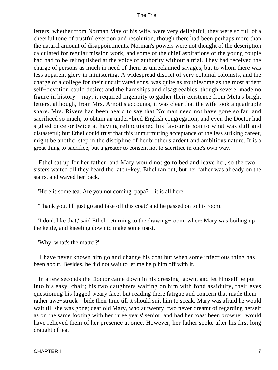letters, whether from Norman May or his wife, were very delightful, they were so full of a cheerful tone of trustful exertion and resolution, though there had been perhaps more than the natural amount of disappointments. Norman's powers were not thought of the description calculated for regular mission work, and some of the chief aspirations of the young couple had had to be relinquished at the voice of authority without a trial. They had received the charge of persons as much in need of them as unreclaimed savages, but to whom there was less apparent glory in ministering. A widespread district of very colonial colonists, and the charge of a college for their uncultivated sons, was quite as troublesome as the most ardent self−devotion could desire; and the hardships and disagreeables, though severe, made no figure in history – nay, it required ingenuity to gather their existence from Meta's bright letters, although, from Mrs. Arnott's accounts, it was clear that the wife took a quadruple share. Mrs. Rivers had been heard to say that Norman need not have gone so far, and sacrificed so much, to obtain an under−bred English congregation; and even the Doctor had sighed once or twice at having relinquished his favourite son to what was dull and distasteful; but Ethel could trust that this unmurmuring acceptance of the less striking career, might be another step in the discipline of her brother's ardent and ambitious nature. It is a great thing to sacrifice, but a greater to consent not to sacrifice in one's own way.

 Ethel sat up for her father, and Mary would not go to bed and leave her, so the two sisters waited till they heard the latch−key. Ethel ran out, but her father was already on the stairs, and waved her back.

'Here is some tea. Are you not coming, papa? – it is all here.'

'Thank you, I'll just go and take off this coat;' and he passed on to his room.

 'I don't like that,' said Ethel, returning to the drawing−room, where Mary was boiling up the kettle, and kneeling down to make some toast.

'Why, what's the matter?'

 'I have never known him go and change his coat but when some infectious thing has been about. Besides, he did not wait to let me help him off with it.'

 In a few seconds the Doctor came down in his dressing−gown, and let himself be put into his easy−chair; his two daughters waiting on him with fond assiduity, their eyes questioning his fagged weary face, but reading there fatigue and concern that made them – rather awe−struck – bide their time till it should suit him to speak. Mary was afraid he would wait till she was gone; dear old Mary, who at twenty−two never dreamt of regarding herself as on the same footing with her three years' senior, and had her toast been browner, would have relieved them of her presence at once. However, her father spoke after his first long draught of tea.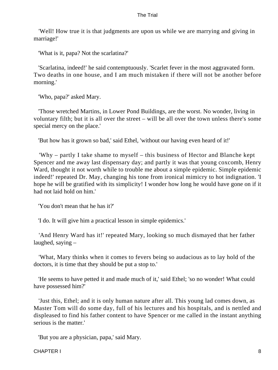'Well! How true it is that judgments are upon us while we are marrying and giving in marriage!'

'What is it, papa? Not the scarlatina?'

 'Scarlatina, indeed!' he said contemptuously. 'Scarlet fever in the most aggravated form. Two deaths in one house, and I am much mistaken if there will not be another before morning.'

'Who, papa?' asked Mary.

 'Those wretched Martins, in Lower Pond Buildings, are the worst. No wonder, living in voluntary filth; but it is all over the street – will be all over the town unless there's some special mercy on the place.'

'But how has it grown so bad,' said Ethel, 'without our having even heard of it!'

 'Why – partly I take shame to myself – this business of Hector and Blanche kept Spencer and me away last dispensary day; and partly it was that young coxcomb, Henry Ward, thought it not worth while to trouble me about a simple epidemic. Simple epidemic indeed!' repeated Dr. May, changing his tone from ironical mimicry to hot indignation. 'I hope he will be gratified with its simplicity! I wonder how long he would have gone on if it had not laid hold on him.'

'You don't mean that he has it?'

'I do. It will give him a practical lesson in simple epidemics.'

 'And Henry Ward has it!' repeated Mary, looking so much dismayed that her father laughed, saying –

 'What, Mary thinks when it comes to fevers being so audacious as to lay hold of the doctors, it is time that they should be put a stop to.'

 'He seems to have petted it and made much of it,' said Ethel; 'so no wonder! What could have possessed him?'

 'Just this, Ethel; and it is only human nature after all. This young lad comes down, as Master Tom will do some day, full of his lectures and his hospitals, and is nettled and displeased to find his father content to have Spencer or me called in the instant anything serious is the matter.'

'But you are a physician, papa,' said Mary.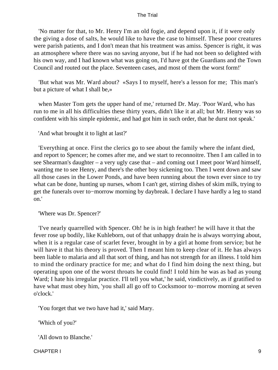'No matter for that, to Mr. Henry I'm an old fogie, and depend upon it, if it were only the giving a dose of salts, he would like to have the case to himself. These poor creatures were parish patients, and I don't mean that his treatment was amiss. Spencer is right, it was an atmosphere where there was no saving anyone, but if he had not been so delighted with his own way, and I had known what was going on, I'd have got the Guardians and the Town Council and routed out the place. Seventeen cases, and most of them the worst form!'

 'But what was Mr. Ward about? «Says I to myself, here's a lesson for me; This man's but a picture of what I shall be,»

 when Master Tom gets the upper hand of me,' returned Dr. May. 'Poor Ward, who has run to me in all his difficulties these thirty years, didn't like it at all; but Mr. Henry was so confident with his simple epidemic, and had got him in such order, that he durst not speak.'

'And what brought it to light at last?'

 'Everything at once. First the clerics go to see about the family where the infant died, and report to Spencer; he comes after me, and we start to reconnoitre. Then I am called in to see Shearman's daughter – a very ugly case that – and coming out I meet poor Ward himself, wanting me to see Henry, and there's the other boy sickening too. Then I went down and saw all those cases in the Lower Ponds, and have been running about the town ever since to try what can be done, hunting up nurses, whom I can't get, stirring dishes of skim milk, trying to get the funerals over to−morrow morning by daybreak. I declare I have hardly a leg to stand on.'

'Where was Dr. Spencer?'

 'I've nearly quarrelled with Spencer. Oh! he is in high feather! he will have it that the fever rose up bodily, like Kuhleborn, out of that unhappy drain he is always worrying about, when it is a regular case of scarlet fever, brought in by a girl at home from service; but he will have it that his theory is proved. Then I meant him to keep clear of it. He has always been liable to malaria and all that sort of thing, and has not strength for an illness. I told him to mind the ordinary practice for me; and what do I find him doing the next thing, but operating upon one of the worst throats he could find! I told him he was as bad as young Ward; I hate his irregular practice. I'll tell you what,' he said, vindictively, as if gratified to have what must obey him, 'you shall all go off to Cocksmoor to−morrow morning at seven o'clock.'

'You forget that we two have had it,' said Mary.

'Which of you?'

'All down to Blanche.'

CHAPTER I 9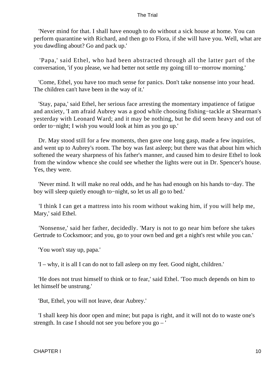'Never mind for that. I shall have enough to do without a sick house at home. You can perform quarantine with Richard, and then go to Flora, if she will have you. Well, what are you dawdling about? Go and pack up.'

 'Papa,' said Ethel, who had been abstracted through all the latter part of the conversation, 'if you please, we had better not settle my going till to−morrow morning.'

 'Come, Ethel, you have too much sense for panics. Don't take nonsense into your head. The children can't have been in the way of it.'

 'Stay, papa,' said Ethel, her serious face arresting the momentary impatience of fatigue and anxiety, 'I am afraid Aubrey was a good while choosing fishing−tackle at Shearman's yesterday with Leonard Ward; and it may be nothing, but he did seem heavy and out of order to−night; I wish you would look at him as you go up.'

 Dr. May stood still for a few moments, then gave one long gasp, made a few inquiries, and went up to Aubrey's room. The boy was fast asleep; but there was that about him which softened the weary sharpness of his father's manner, and caused him to desire Ethel to look from the window whence she could see whether the lights were out in Dr. Spencer's house. Yes, they were.

 'Never mind. It will make no real odds, and he has had enough on his hands to−day. The boy will sleep quietly enough to−night, so let us all go to bed.'

 'I think I can get a mattress into his room without waking him, if you will help me, Mary,' said Ethel.

 'Nonsense,' said her father, decidedly. 'Mary is not to go near him before she takes Gertrude to Cocksmoor; and you, go to your own bed and get a night's rest while you can.'

'You won't stay up, papa.'

'I – why, it is all I can do not to fall asleep on my feet. Good night, children.'

 'He does not trust himself to think or to fear,' said Ethel. 'Too much depends on him to let himself be unstrung.'

'But, Ethel, you will not leave, dear Aubrey.'

 'I shall keep his door open and mine; but papa is right, and it will not do to waste one's strength. In case I should not see you before you go – '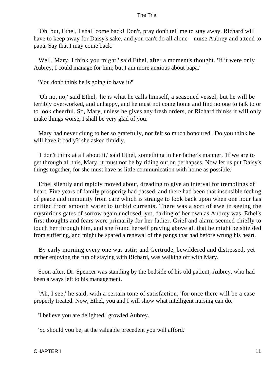'Oh, but, Ethel, I shall come back! Don't, pray don't tell me to stay away. Richard will have to keep away for Daisy's sake, and you can't do all alone – nurse Aubrey and attend to papa. Say that I may come back.'

 Well, Mary, I think you might,' said Ethel, after a moment's thought. 'If it were only Aubrey, I could manage for him; but I am more anxious about papa.'

'You don't think he is going to have it?'

 'Oh no, no,' said Ethel, 'he is what he calls himself, a seasoned vessel; but he will be terribly overworked, and unhappy, and he must not come home and find no one to talk to or to look cheerful. So, Mary, unless he gives any fresh orders, or Richard thinks it will only make things worse, I shall be very glad of you.'

 Mary had never clung to her so gratefully, nor felt so much honoured. 'Do you think he will have it badly?' she asked timidly.

 'I don't think at all about it,' said Ethel, something in her father's manner. 'If we are to get through all this, Mary, it must not be by riding out on perhapses. Now let us put Daisy's things together, for she must have as little communication with home as possible.'

 Ethel silently and rapidly moved about, dreading to give an interval for tremblings of heart. Five years of family prosperity had passed, and there had been that insensible feeling of peace and immunity from care which is strange to look back upon when one hour has drifted from smooth water to turbid currents. There was a sort of awe in seeing the mysterious gates of sorrow again unclosed; yet, darling of her own as Aubrey was, Ethel's first thoughts and fears were primarily for her father. Grief and alarm seemed chiefly to touch her through him, and she found herself praying above all that he might be shielded from suffering, and might be spared a renewal of the pangs that had before wrung his heart.

 By early morning every one was astir; and Gertrude, bewildered and distressed, yet rather enjoying the fun of staying with Richard, was walking off with Mary.

 Soon after, Dr. Spencer was standing by the bedside of his old patient, Aubrey, who had been always left to his management.

 'Ah, I see,' he said, with a certain tone of satisfaction, 'for once there will be a case properly treated. Now, Ethel, you and I will show what intelligent nursing can do.'

'I believe you are delighted,' growled Aubrey.

'So should you be, at the valuable precedent you will afford.'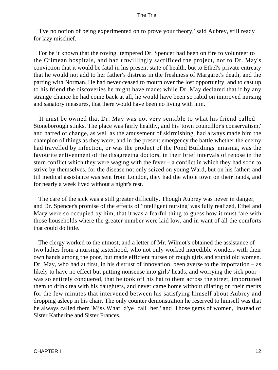'I've no notion of being experimented on to prove your theory,' said Aubrey, still ready for lazy mischief.

 For be it known that the roving−tempered Dr. Spencer had been on fire to volunteer to the Crimean hospitals, and had unwillingly sacrificed the project, not to Dr. May's conviction that it would be fatal in his present state of health, but to Ethel's private entreaty that he would not add to her father's distress in the freshness of Margaret's death, and the parting with Norman. He had never ceased to mourn over the lost opportunity, and to cast up to his friend the discoveries he might have made; while Dr. May declared that if by any strange chance he had come back at all, he would have been so rabid on improved nursing and sanatory measures, that there would have been no living with him.

 It must be owned that Dr. May was not very sensible to what his friend called Stoneborough stinks. The place was fairly healthy, and his 'town councillor's conservatism,' and hatred of change, as well as the amusement of skirmishing, had always made him the champion of things as they were; and in the present emergency the battle whether the enemy had travelled by infection, or was the product of the Pond Buildings' miasma, was the favourite enlivenment of the disagreeing doctors, in their brief intervals of repose in the stern conflict which they were waging with the fever – a conflict in which they had soon to strive by themselves, for the disease not only seized on young Ward, but on his father; and till medical assistance was sent from London, they had the whole town on their hands, and for nearly a week lived without a night's rest.

 The care of the sick was a still greater difficulty. Though Aubrey was never in danger, and Dr. Spencer's promise of the effects of 'intelligent nursing' was fully realized, Ethel and Mary were so occupied by him, that it was a fearful thing to guess how it must fare with those households where the greater number were laid low, and in want of all the comforts that could do little.

 The clergy worked to the utmost; and a letter of Mr. Wilmot's obtained the assistance of two ladies from a nursing sisterhood, who not only worked incredible wonders with their own hands among the poor, but made efficient nurses of rough girls and stupid old women. Dr. May, who had at first, in his distrust of innovation, been averse to the importation – as likely to have no effect but putting nonsense into girls' heads, and worrying the sick poor – was so entirely conquered, that he took off his hat to them across the street, importuned them to drink tea with his daughters, and never came home without dilating on their merits for the few minutes that intervened between his satisfying himself about Aubrey and dropping asleep in his chair. The only counter demonstration he reserved to himself was that he always called them 'Miss What−d'ye−call−her,' and 'Those gems of women,' instead of Sister Katherine and Sister Frances.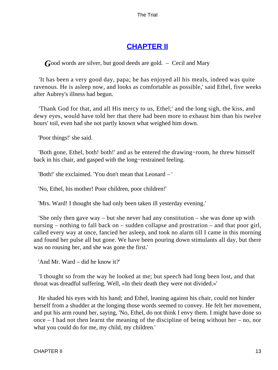# **[CHAPTER II](#page-414-0)**

*G*ood words are silver, but good deeds are gold. – Cecil and Mary

 'It has been a very good day, papa; he has enjoyed all his meals, indeed was quite ravenous. He is asleep now, and looks as comfortable as possible,' said Ethel, five weeks after Aubrey's illness had begun.

 'Thank God for that, and all His mercy to us, Ethel;' and the long sigh, the kiss, and dewy eyes, would have told her that there had been more to exhaust him than his twelve hours' toil, even had she not partly known what weighed him down.

'Poor things!' she said.

 'Both gone, Ethel, both! both!' and as he entered the drawing−room, he threw himself back in his chair, and gasped with the long−restrained feeling.

'Both!' she exclaimed. 'You don't mean that Leonard – '

'No, Ethel, his mother! Poor children, poor children!'

'Mrs. Ward! I thought she had only been taken ill yesterday evening.'

 'She only then gave way – but she never had any constitution – she was done up with nursing – nothing to fall back on – sudden collapse and prostration – and that poor girl, called every way at once, fancied her asleep, and took no alarm till I came in this morning and found her pulse all but gone. We have been pouring down stimulants all day, but there was no rousing her, and she was gone the first.'

'And Mr. Ward – did he know it?'

 'I thought so from the way he looked at me; but speech had long been lost, and that throat was dreadful suffering. Well, «In their death they were not divided.»'

 He shaded his eyes with his hand; and Ethel, leaning against his chair, could not hinder herself from a shudder at the longing those words seemed to convey. He felt her movement, and put his arm round her, saying, 'No, Ethel, do not think I envy them. I might have done so once – I had not then learnt the meaning of the discipline of being without her – no, nor what you could do for me, my child, my children.'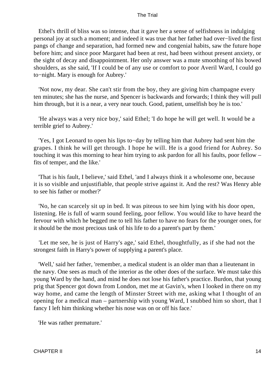Ethel's thrill of bliss was so intense, that it gave her a sense of selfishness in indulging personal joy at such a moment; and indeed it was true that her father had over−lived the first pangs of change and separation, had formed new and congenial habits, saw the future hope before him; and since poor Margaret had been at rest, had been without present anxiety, or the sight of decay and disappointment. Her only answer was a mute smoothing of his bowed shoulders, as she said, 'If I could be of any use or comfort to poor Averil Ward, I could go to−night. Mary is enough for Aubrey.'

 'Not now, my dear. She can't stir from the boy, they are giving him champagne every ten minutes; she has the nurse, and Spencer is backwards and forwards; I think they will pull him through, but it is a near, a very near touch. Good, patient, unselfish boy he is too.'

 'He always was a very nice boy,' said Ethel; 'I do hope he will get well. It would be a terrible grief to Aubrey.'

 'Yes, I got Leonard to open his lips to−day by telling him that Aubrey had sent him the grapes. I think he will get through. I hope he will. He is a good friend for Aubrey. So touching it was this morning to hear him trying to ask pardon for all his faults, poor fellow – fits of temper, and the like.'

 'That is his fault, I believe,' said Ethel, 'and I always think it a wholesome one, because it is so visible and unjustifiable, that people strive against it. And the rest? Was Henry able to see his father or mother?'

 'No, he can scarcely sit up in bed. It was piteous to see him lying with his door open, listening. He is full of warm sound feeling, poor fellow. You would like to have heard the fervour with which he begged me to tell his father to have no fears for the younger ones, for it should be the most precious task of his life to do a parent's part by them.'

 'Let me see, he is just of Harry's age,' said Ethel, thoughtfully, as if she had not the strongest faith in Harry's power of supplying a parent's place.

 'Well,' said her father, 'remember, a medical student is an older man than a lieutenant in the navy. One sees as much of the interior as the other does of the surface. We must take this young Ward by the hand, and mind he does not lose his father's practice. Burdon, that young prig that Spencer got down from London, met me at Gavin's, when I looked in there on my way home, and came the length of Minster Street with me, asking what I thought of an opening for a medical man – partnership with young Ward, I snubbed him so short, that I fancy I left him thinking whether his nose was on or off his face.'

'He was rather premature.'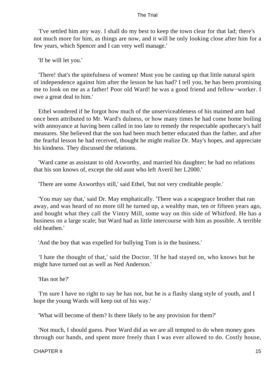'I've settled him any way. I shall do my best to keep the town clear for that lad; there's not much more for him, as things are now, and it will be only looking close after him for a few years, which Spencer and I can very well manage.'

'If he will let you.'

 'There! that's the spitefulness of women! Must you be casting up that little natural spirit of independence against him after the lesson he has had? I tell you, he has been promising me to look on me as a father! Poor old Ward! he was a good friend and fellow−worker. I owe a great deal to him.'

 Ethel wondered if he forgot how much of the unserviceableness of his maimed arm had once been attributed to Mr. Ward's dulness, or how many times he had come home boiling with annoyance at having been called in too late to remedy the respectable apothecary's half measures. She believed that the son had been much better educated than the father, and after the fearful lesson he had received, thought he might realize Dr. May's hopes, and appreciate his kindness. They discussed the relations.

 'Ward came as assistant to old Axworthy, and married his daughter; he had no relations that his son knows of, except the old aunt who left Averil her L2000.'

'There are some Axworthys still,' said Ethel, 'but not very creditable people.'

 'You may say that,' said Dr. May emphatically. 'There was a scapegrace brother that ran away, and was heard of no more till he turned up, a wealthy man, ten or fifteen years ago, and bought what they call the Vintry Mill, some way on this side of Whitford. He has a business on a large scale; but Ward had as little intercourse with him as possible. A terrible old heathen.'

'And the boy that was expelled for bullying Tom is in the business.'

 'I hate the thought of that,' said the Doctor. 'If he had stayed on, who knows but he might have turned out as well as Ned Anderson.'

'Has not he?'

 'I'm sure I have no right to say he has not, but he is a flashy slang style of youth, and I hope the young Wards will keep out of his way.'

'What will become of them? Is there likely to be any provision for them?'

 'Not much, I should guess. Poor Ward did as we are all tempted to do when money goes through our hands, and spent more freely than I was ever allowed to do. Costly house,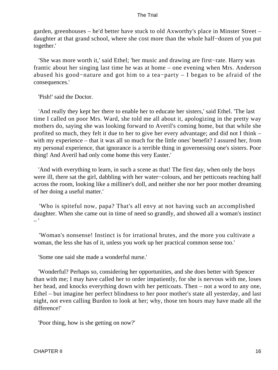garden, greenhouses – he'd better have stuck to old Axworthy's place in Minster Street – daughter at that grand school, where she cost more than the whole half−dozen of you put together.'

 'She was more worth it,' said Ethel; 'her music and drawing are first−rate. Harry was frantic about her singing last time he was at home – one evening when Mrs. Anderson abused his good−nature and got him to a tea−party – I began to be afraid of the consequences.'

'Pish!' said the Doctor.

 'And really they kept her there to enable her to educate her sisters,' said Ethel. 'The last time I called on poor Mrs. Ward, she told me all about it, apologizing in the pretty way mothers do, saying she was looking forward to Averil's coming home, but that while she profited so much, they felt it due to her to give her every advantage; and did not I think – with my experience – that it was all so much for the little ones' benefit? I assured her, from my personal experience, that ignorance is a terrible thing in governessing one's sisters. Poor thing! And Averil had only come home this very Easter.'

 'And with everything to learn, in such a scene as that! The first day, when only the boys were ill, there sat the girl, dabbling with her water−colours, and her petticoats reaching half across the room, looking like a milliner's doll, and neither she nor her poor mother dreaming of her doing a useful matter.'

 'Who is spiteful now, papa? That's all envy at not having such an accomplished daughter. When she came out in time of need so grandly, and showed all a woman's instinct  $-$ '

 'Woman's nonsense! Instinct is for irrational brutes, and the more you cultivate a woman, the less she has of it, unless you work up her practical common sense too.'

'Some one said she made a wonderful nurse.'

 'Wonderful? Perhaps so, considering her opportunities, and she does better with Spencer than with me; I may have called her to order impatiently, for she is nervous with me, loses her head, and knocks everything down with her petticoats. Then – not a word to any one, Ethel – but imagine her perfect blindness to her poor mother's state all yesterday, and last night, not even calling Burdon to look at her; why, those ten hours may have made all the difference!'

'Poor thing, how is she getting on now?'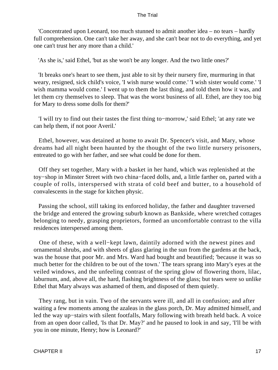'Concentrated upon Leonard, too much stunned to admit another idea – no tears – hardly full comprehension. One can't take her away, and she can't bear not to do everything, and yet one can't trust her any more than a child.'

'As she is,' said Ethel, 'but as she won't be any longer. And the two little ones?'

 'It breaks one's heart to see them, just able to sit by their nursery fire, murmuring in that weary, resigned, sick child's voice, 'I wish nurse would come.' 'I wish sister would come.' 'I wish mamma would come.' I went up to them the last thing, and told them how it was, and let them cry themselves to sleep. That was the worst business of all. Ethel, are they too big for Mary to dress some dolls for them?'

 'I will try to find out their tastes the first thing to−morrow,' said Ethel; 'at any rate we can help them, if not poor Averil.'

 Ethel, however, was detained at home to await Dr. Spencer's visit, and Mary, whose dreams had all night been haunted by the thought of the two little nursery prisoners, entreated to go with her father, and see what could be done for them.

 Off they set together, Mary with a basket in her hand, which was replenished at the toy−shop in Minster Street with two china−faced dolls, and, a little farther on, parted with a couple of rolls, interspersed with strata of cold beef and butter, to a household of convalescents in the stage for kitchen physic.

 Passing the school, still taking its enforced holiday, the father and daughter traversed the bridge and entered the growing suburb known as Bankside, where wretched cottages belonging to needy, grasping proprietors, formed an uncomfortable contrast to the villa residences interspersed among them.

 One of these, with a well−kept lawn, daintily adorned with the newest pines and ornamental shrubs, and with sheets of glass glaring in the sun from the gardens at the back, was the house that poor Mr. and Mrs. Ward had bought and beautified; 'because it was so much better for the children to be out of the town.' The tears sprang into Mary's eyes at the veiled windows, and the unfeeling contrast of the spring glow of flowering thorn, lilac, laburnum, and, above all, the hard, flashing brightness of the glass; but tears were so unlike Ethel that Mary always was ashamed of them, and disposed of them quietly.

 They rang, but in vain. Two of the servants were ill, and all in confusion; and after waiting a few moments among the azaleas in the glass porch, Dr. May admitted himself, and led the way up−stairs with silent footfalls, Mary following with breath held back. A voice from an open door called, 'Is that Dr. May?' and he paused to look in and say, 'I'll be with you in one minute, Henry; how is Leonard?'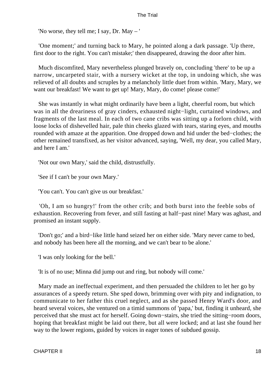'No worse, they tell me; I say, Dr. May – '

 'One moment;' and turning back to Mary, he pointed along a dark passage. 'Up there, first door to the right. You can't mistake;' then disappeared, drawing the door after him.

 Much discomfited, Mary nevertheless plunged bravely on, concluding 'there' to be up a narrow, uncarpeted stair, with a nursery wicket at the top, in undoing which, she was relieved of all doubts and scruples by a melancholy little duet from within. 'Mary, Mary, we want our breakfast! We want to get up! Mary, Mary, do come! please come!'

 She was instantly in what might ordinarily have been a light, cheerful room, but which was in all the dreariness of gray cinders, exhausted night−light, curtained windows, and fragments of the last meal. In each of two cane cribs was sitting up a forlorn child, with loose locks of dishevelled hair, pale thin cheeks glazed with tears, staring eyes, and mouths rounded with amaze at the apparition. One dropped down and hid under the bed−clothes; the other remained transfixed, as her visitor advanced, saying, 'Well, my dear, you called Mary, and here I am.'

'Not our own Mary,' said the child, distrustfully.

'See if I can't be your own Mary.'

'You can't. You can't give us our breakfast.'

 'Oh, I am so hungry!' from the other crib; and both burst into the feeble sobs of exhaustion. Recovering from fever, and still fasting at half−past nine! Mary was aghast, and promised an instant supply.

 'Don't go;' and a bird−like little hand seized her on either side. 'Mary never came to bed, and nobody has been here all the morning, and we can't bear to be alone.'

'I was only looking for the bell.'

'It is of no use; Minna did jump out and ring, but nobody will come.'

 Mary made an ineffectual experiment, and then persuaded the children to let her go by assurances of a speedy return. She sped down, brimming over with pity and indignation, to communicate to her father this cruel neglect, and as she passed Henry Ward's door, and heard several voices, she ventured on a timid summons of 'papa,' but, finding it unheard, she perceived that she must act for herself. Going down−stairs, she tried the sitting−room doors, hoping that breakfast might be laid out there, but all were locked; and at last she found her way to the lower regions, guided by voices in eager tones of subdued gossip.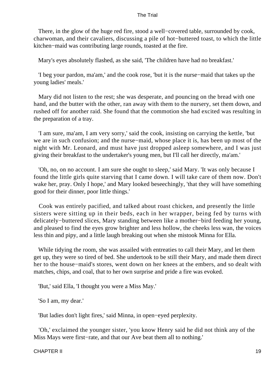There, in the glow of the huge red fire, stood a well−covered table, surrounded by cook, charwoman, and their cavaliers, discussing a pile of hot−buttered toast, to which the little kitchen−maid was contributing large rounds, toasted at the fire.

Mary's eyes absolutely flashed, as she said, 'The children have had no breakfast.'

 'I beg your pardon, ma'am,' and the cook rose, 'but it is the nurse−maid that takes up the young ladies' meals.'

 Mary did not listen to the rest; she was desperate, and pouncing on the bread with one hand, and the butter with the other, ran away with them to the nursery, set them down, and rushed off for another raid. She found that the commotion she had excited was resulting in the preparation of a tray.

 'I am sure, ma'am, I am very sorry,' said the cook, insisting on carrying the kettle, 'but we are in such confusion; and the nurse−maid, whose place it is, has been up most of the night with Mr. Leonard, and must have just dropped asleep somewhere, and I was just giving their breakfast to the undertaker's young men, but I'll call her directly, ma'am.'

 'Oh, no, on no account. I am sure she ought to sleep,' said Mary. 'It was only because I found the little girls quite starving that I came down. I will take care of them now. Don't wake her, pray. Only I hope,' and Mary looked beseechingly, 'that they will have something good for their dinner, poor little things.'

 Cook was entirely pacified, and talked about roast chicken, and presently the little sisters were sitting up in their beds, each in her wrapper, being fed by turns with delicately−buttered slices, Mary standing between like a mother−bird feeding her young, and pleased to find the eyes grow brighter and less hollow, the cheeks less wan, the voices less thin and pipy, and a little laugh breaking out when she mistook Minna for Ella.

 While tidying the room, she was assailed with entreaties to call their Mary, and let them get up, they were so tired of bed. She undertook to be still their Mary, and made them direct her to the house−maid's stores, went down on her knees at the embers, and so dealt with matches, chips, and coal, that to her own surprise and pride a fire was evoked.

'But,' said Ella, 'I thought you were a Miss May.'

'So I am, my dear.'

'But ladies don't light fires,' said Minna, in open−eyed perplexity.

 'Oh,' exclaimed the younger sister, 'you know Henry said he did not think any of the Miss Mays were first−rate, and that our Ave beat them all to nothing.'

CHAPTER II 19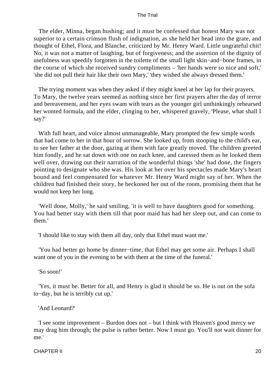The elder, Minna, began hushing; and it must be confessed that honest Mary was not superior to a certain crimson flush of indignation, as she held her head into the grate, and thought of Ethel, Flora, and Blanche, criticized by Mr. Henry Ward. Little ungrateful chit! No, it was not a matter of laughing, but of forgiveness; and the assertion of the dignity of usefulness was speedily forgotten in the toilette of the small light skin−and−bone frames, in the course of which she received sundry compliments – 'her hands were so nice and soft,' 'she did not pull their hair like their own Mary,' 'they wished she always dressed them.'

 The trying moment was when they asked if they might kneel at her lap for their prayers. To Mary, the twelve years seemed as nothing since her first prayers after the day of terror and bereavement, and her eyes swam with tears as the younger girl unthinkingly rehearsed her wonted formula, and the elder, clinging to her, whispered gravely, 'Please, what shall I say?'

 With full heart, and voice almost unmanageable, Mary prompted the few simple words that had come to her in that hour of sorrow. She looked up, from stooping to the child's ear, to see her father at the door, gazing at them with face greatly moved. The children greeted him fondly, and he sat down with one on each knee, and caressed them as he looked them well over, drawing out their narration of the wonderful things 'she' had done, the fingers pointing to designate who she was. His look at her over his spectacles made Mary's heart bound and feel compensated for whatever Mr. Henry Ward might say of her. When the children had finished their story, he beckoned her out of the room, promising them that he would not keep her long.

 'Well done, Molly,' he said smiling, 'it is well to have daughters good for something. You had better stay with them till that poor maid has had her sleep out, and can come to them.'

'I should like to stay with them all day, only that Ethel must want me.'

 'You had better go home by dinner−time, that Ethel may get some air. Perhaps I shall want one of you in the evening to be with them at the time of the funeral.'

'So soon!'

 'Yes, it must be. Better for all, and Henry is glad it should be so. He is out on the sofa to−day, but he is terribly cut up.'

'And Leonard?'

 'I see some improvement – Burdon does not – but I think with Heaven's good mercy we may drag him through; the pulse is rather better. Now I must go. You'll not wait dinner for me.'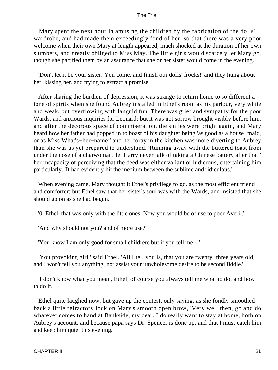Mary spent the next hour in amusing the children by the fabrication of the dolls' wardrobe, and had made them exceedingly fond of her, so that there was a very poor welcome when their own Mary at length appeared, much shocked at the duration of her own slumbers, and greatly obliged to Miss May. The little girls would scarcely let Mary go, though she pacified them by an assurance that she or her sister would come in the evening.

 'Don't let it be your sister. You come, and finish our dolls' frocks!' and they hung about her, kissing her, and trying to extract a promise.

 After sharing the burthen of depression, it was strange to return home to so different a tone of spirits when she found Aubrey installed in Ethel's room as his parlour, very white and weak, but overflowing with languid fun. There was grief and sympathy for the poor Wards, and anxious inquiries for Leonard; but it was not sorrow brought visibly before him, and after the decorous space of commiseration, the smiles were bright again, and Mary heard how her father had popped in to boast of his daughter being 'as good as a house−maid, or as Miss What's−her−name;' and her foray in the kitchen was more diverting to Aubrey than she was as yet prepared to understand. 'Running away with the buttered toast from under the nose of a charwoman! let Harry never talk of taking a Chinese battery after that!' her incapacity of perceiving that the deed was either valiant or ludicrous, entertaining him particularly. 'It had evidently hit the medium between the sublime and ridiculous.'

 When evening came, Mary thought it Ethel's privilege to go, as the most efficient friend and comforter; but Ethel saw that her sister's soul was with the Wards, and insisted that she should go on as she had begun.

'0, Ethel, that was only with the little ones. Now you would be of use to poor Averil.'

'And why should not you? and of more use?'

'You know I am only good for small children; but if you tell me – '

 'You provoking girl,' said Ethel. 'All I tell you is, that you are twenty−three years old, and I won't tell you anything, nor assist your unwholesome desire to be second fiddle.'

 'I don't know what you mean, Ethel; of course you always tell me what to do, and how to do it.'

 Ethel quite laughed now, but gave up the contest, only saying, as she fondly smoothed back a little refractory lock on Mary's smooth open brow, 'Very well then, go and do whatever comes to hand at Bankside, my dear. I do really want to stay at home, both on Aubrey's account, and because papa says Dr. Spencer is done up, and that I must catch him and keep him quiet this evening.'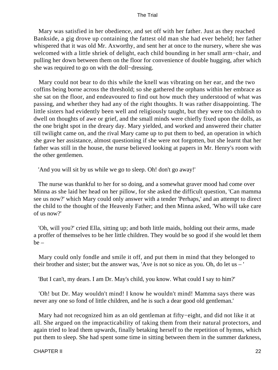Mary was satisfied in her obedience, and set off with her father. Just as they reached Bankside, a gig drove up containing the fattest old man she had ever beheld; her father whispered that it was old Mr. Axworthy, and sent her at once to the nursery, where she was welcomed with a little shriek of delight, each child bounding in her small arm−chair, and pulling her down between them on the floor for convenience of double hugging, after which she was required to go on with the doll−dressing.

 Mary could not bear to do this while the knell was vibrating on her ear, and the two coffins being borne across the threshold; so she gathered the orphans within her embrace as she sat on the floor, and endeavoured to find out how much they understood of what was passing, and whether they had any of the right thoughts. It was rather disappointing. The little sisters had evidently been well and religiously taught, but they were too childish to dwell on thoughts of awe or grief, and the small minds were chiefly fixed upon the dolls, as the one bright spot in the dreary day. Mary yielded, and worked and answered their chatter till twilight came on, and the rival Mary came up to put them to bed, an operation in which she gave her assistance, almost questioning if she were not forgotten, but she learnt that her father was still in the house, the nurse believed looking at papers in Mr. Henry's room with the other gentlemen.

'And you will sit by us while we go to sleep. Oh! don't go away!'

 The nurse was thankful to her for so doing, and a somewhat graver mood had come over Minna as she laid her head on her pillow, for she asked the difficult question, 'Can mamma see us now?' which Mary could only answer with a tender 'Perhaps,' and an attempt to direct the child to the thought of the Heavenly Father; and then Minna asked, 'Who will take care of us now?'

 'Oh, will you?' cried Ella, sitting up; and both little maids, holding out their arms, made a proffer of themselves to be her little children. They would be so good if she would let them be –

 Mary could only fondle and smile it off, and put them in mind that they belonged to their brother and sister; but the answer was, 'Ave is not so nice as you. Oh, do let us – '

'But I can't, my dears. I am Dr. May's child, you know. What could I say to him?'

 'Oh! but Dr. May wouldn't mind! I know he wouldn't mind! Mamma says there was never any one so fond of little children, and he is such a dear good old gentleman.'

 Mary had not recognized him as an old gentleman at fifty−eight, and did not like it at all. She argued on the impracticability of taking them from their natural protectors, and again tried to lead them upwards, finally betaking herself to the repetition of hymns, which put them to sleep. She had spent some time in sitting between them in the summer darkness,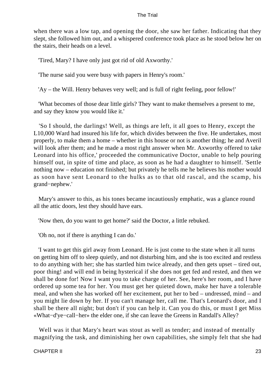when there was a low tap, and opening the door, she saw her father. Indicating that they slept, she followed him out, and a whispered conference took place as he stood below her on the stairs, their heads on a level.

'Tired, Mary? I have only just got rid of old Axworthy.'

'The nurse said you were busy with papers in Henry's room.'

'Ay – the Will. Henry behaves very well; and is full of right feeling, poor fellow!'

 'What becomes of those dear little girls? They want to make themselves a present to me, and say they know you would like it.'

 'So I should, the darlings! Well, as things are left, it all goes to Henry, except the L10,000 Ward had insured his life for, which divides between the five. He undertakes, most properly, to make them a home – whether in this house or not is another thing; he and Averil will look after them; and he made a most right answer when Mr. Axworthy offered to take Leonard into his office,' proceeded the communicative Doctor, unable to help pouring himself out, in spite of time and place, as soon as he had a daughter to himself. 'Settle nothing now – education not finished; but privately he tells me he believes his mother would as soon have sent Leonard to the hulks as to that old rascal, and the scamp, his grand−nephew.'

 Mary's answer to this, as his tones became incautiously emphatic, was a glance round all the attic doors, lest they should have ears.

'Now then, do you want to get home?' said the Doctor, a little rebuked.

'Oh no, not if there is anything I can do.'

 'I want to get this girl away from Leonard. He is just come to the state when it all turns on getting him off to sleep quietly, and not disturbing him, and she is too excited and restless to do anything with her; she has startled him twice already, and then gets upset – tired out, poor thing! and will end in being hysterical if she does not get fed and rested, and then we shall be done for! Now I want you to take charge of her. See, here's her room, and I have ordered up some tea for her. You must get her quieted down, make her have a tolerable meal, and when she has worked off her excitement, put her to bed – undressed, mind – and you might lie down by her. If you can't manage her, call me. That's Leonard's door, and I shall be there all night; but don't if you can help it. Can you do this, or must I get Miss «What−d'ye−call−her» the elder one, if she can leave the Greens in Randall's Alley?

 Well was it that Mary's heart was stout as well as tender; and instead of mentally magnifying the task, and diminishing her own capabilities, she simply felt that she had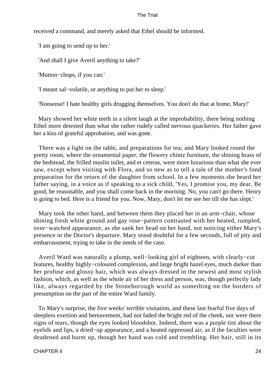received a command, and merely asked that Ethel should be informed.

'I am going to send up to her.'

'And shall I give Averil anything to take?'

'Mutton−chops, if you can.'

'I meant sal−volatile, or anything to put her to sleep.'

'Nonsense! I hate healthy girls drugging themselves. You don't do that at home, Mary!'

 Mary showed her white teeth in a silent laugh at the improbability, there being nothing Ethel more detested than what she rather rudely called nervous quackeries. Her father gave her a kiss of grateful approbation, and was gone.

 There was a light on the table, and preparations for tea; and Mary looked round the pretty room, where the ornamental paper, the flowery chintz furniture, the shining brass of the bedstead, the frilled muslin toilet, and et ceteras, were more luxurious than what she ever saw, except when visiting with Flora, and so new as to tell a tale of the mother's fond preparation for the return of the daughter from school. In a few moments she heard her father saying, in a voice as if speaking to a sick child, 'Yes, I promise you, my dear. Be good, be reasonable, and you shall come back in the morning. No, you can't go there. Henry is going to bed. Here is a friend for you. Now, Mary, don't let me see her till she has slept.'

 Mary took the other hand, and between them they placed her in an arm−chair, whose shining fresh white ground and gay rose−pattern contrasted with her heated, rumpled, over−watched appearance, as she sank her head on her hand, not noticing either Mary's presence or the Doctor's departure. Mary stood doubtful for a few seconds, full of pity and embarrassment, trying to take in the needs of the case.

 Averil Ward was naturally a plump, well−looking girl of eighteen, with clearly−cut features, healthy highly−coloured complexion, and large bright hazel eyes, much darker than her profuse and glossy hair, which was always dressed in the newest and most stylish fashion, which, as well as the whole air of her dress and person, was, though perfectly lady like, always regarded by the Stoneborough world as something on the borders of presumption on the part of the entire Ward family.

 To Mary's surprise, the five weeks' terrible visitation, and these last fearful five days of sleepless exertion and bereavement, had not faded the bright red of the cheek, nor were there signs of tears, though the eyes looked bloodshot. Indeed, there was a purple tint about the eyelids and lips, a dried−up appearance, and a heated oppressed air, as if the faculties were deadened and burnt up, though her hand was cold and trembling. Her hair, still in its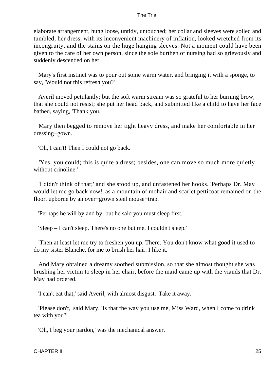elaborate arrangement, hung loose, untidy, untouched; her collar and sleeves were soiled and tumbled; her dress, with its inconvenient machinery of inflation, looked wretched from its incongruity, and the stains on the huge hanging sleeves. Not a moment could have been given to the care of her own person, since the sole burthen of nursing had so grievously and suddenly descended on her.

 Mary's first instinct was to pour out some warm water, and bringing it with a sponge, to say, 'Would not this refresh you?'

 Averil moved petulantly; but the soft warm stream was so grateful to her burning brow, that she could not resist; she put her head back, and submitted like a child to have her face bathed, saying, 'Thank you.'

 Mary then begged to remove her tight heavy dress, and make her comfortable in her dressing−gown.

'Oh, I can't! Then I could not go back.'

 'Yes, you could; this is quite a dress; besides, one can move so much more quietly without crinoline.'

 'I didn't think of that;' and she stood up, and unfastened her hooks. 'Perhaps Dr. May would let me go back now!' as a mountain of mohair and scarlet petticoat remained on the floor, upborne by an over−grown steel mouse−trap.

'Perhaps he will by and by; but he said you must sleep first.'

'Sleep – I can't sleep. There's no one but me. I couldn't sleep.'

 'Then at least let me try to freshen you up. There. You don't know what good it used to do my sister Blanche, for me to brush her hair. I like it.'

 And Mary obtained a dreamy soothed submission, so that she almost thought she was brushing her victim to sleep in her chair, before the maid came up with the viands that Dr. May had ordered.

'I can't eat that,' said Averil, with almost disgust. 'Take it away.'

 'Please don't,' said Mary. 'Is that the way you use me, Miss Ward, when I come to drink tea with you?'

'Oh, I beg your pardon,' was the mechanical answer.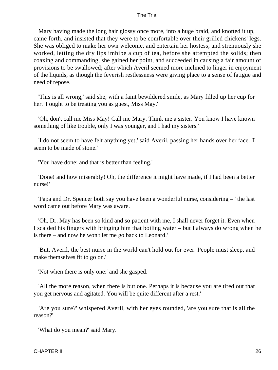Mary having made the long hair glossy once more, into a huge braid, and knotted it up, came forth, and insisted that they were to be comfortable over their grilled chickens' legs. She was obliged to make her own welcome, and entertain her hostess; and strenuously she worked, letting the dry lips imbibe a cup of tea, before she attempted the solids; then coaxing and commanding, she gained her point, and succeeded in causing a fair amount of provisions to be swallowed; after which Averil seemed more inclined to linger in enjoyment of the liquids, as though the feverish restlessness were giving place to a sense of fatigue and need of repose.

 'This is all wrong,' said she, with a faint bewildered smile, as Mary filled up her cup for her. 'I ought to be treating you as guest, Miss May.'

 'Oh, don't call me Miss May! Call me Mary. Think me a sister. You know I have known something of like trouble, only I was younger, and I had my sisters.'

 'I do not seem to have felt anything yet,' said Averil, passing her hands over her face. 'I seem to be made of stone.'

'You have done: and that is better than feeling.'

 'Done! and how miserably! Oh, the difference it might have made, if I had been a better nurse!'

 'Papa and Dr. Spencer both say you have been a wonderful nurse, considering – ' the last word came out before Mary was aware.

 'Oh, Dr. May has been so kind and so patient with me, I shall never forget it. Even when I scalded his fingers with bringing him that boiling water – but I always do wrong when he is there – and now he won't let me go back to Leonard.'

 'But, Averil, the best nurse in the world can't hold out for ever. People must sleep, and make themselves fit to go on.'

'Not when there is only one:' and she gasped.

 'All the more reason, when there is but one. Perhaps it is because you are tired out that you get nervous and agitated. You will be quite different after a rest.'

 'Are you sure?' whispered Averil, with her eyes rounded, 'are you sure that is all the reason?'

'What do you mean?' said Mary.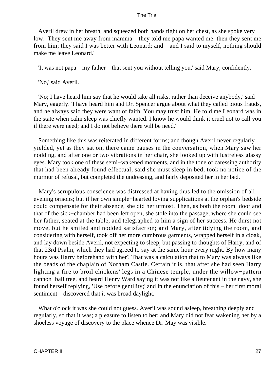Averil drew in her breath, and squeezed both hands tight on her chest, as she spoke very low: 'They sent me away from mamma – they told me papa wanted me: then they sent me from him; they said I was better with Leonard; and – and I said to myself, nothing should make me leave Leonard.'

'It was not papa – my father – that sent you without telling you,' said Mary, confidently.

'No,' said Averil.

 'No; I have heard him say that he would take all risks, rather than deceive anybody,' said Mary, eagerly. 'I have heard him and Dr. Spencer argue about what they called pious frauds, and he always said they were want of faith. You may trust him. He told me Leonard was in the state when calm sleep was chiefly wanted. I know he would think it cruel not to call you if there were need; and I do not believe there will be need.'

 Something like this was reiterated in different forms; and though Averil never regularly yielded, yet as they sat on, there came pauses in the conversation, when Mary saw her nodding, and after one or two vibrations in her chair, she looked up with lustreless glassy eyes. Mary took one of these semi−wakened moments, and in the tone of caressing authority that had been already found effectual, said she must sleep in bed; took no notice of the murmur of refusal, but completed the undressing, and fairly deposited her in her bed.

 Mary's scrupulous conscience was distressed at having thus led to the omission of all evening orisons; but if her own simple−hearted loving supplications at the orphan's bedside could compensate for their absence, she did her utmost. Then, as both the room−door and that of the sick−chamber had been left open, she stole into the passage, where she could see her father, seated at the table, and telegraphed to him a sign of her success. He durst not move, but he smiled and nodded satisfaction; and Mary, after tidying the room, and considering with herself, took off her more cumbrous garments, wrapped herself in a cloak, and lay down beside Averil, not expecting to sleep, but passing to thoughts of Harry, and of that 23rd Psalm, which they had agreed to say at the same hour every night. By how many hours was Harry beforehand with her? That was a calculation that to Mary was always like the beads of the chaplain of Norham Castle. Certain it is, that after she had seen Harry lighting a fire to broil chickens' legs in a Chinese temple, under the willow−pattern cannon−ball tree, and heard Henry Ward saying it was not like a lieutenant in the navy, she found herself replying, 'Use before gentility;' and in the enunciation of this – her first moral sentiment – discovered that it was broad daylight.

What o'clock it was she could not guess. Averil was sound asleep, breathing deeply and regularly, so that it was; a pleasure to listen to her; and Mary did not fear wakening her by a shoeless voyage of discovery to the place whence Dr. May was visible.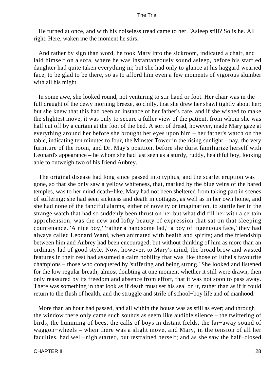He turned at once, and with his noiseless tread came to her. 'Asleep still? So is he. All right. Here, waken me the moment he stirs.'

 And rather by sign than word, he took Mary into the sickroom, indicated a chair, and laid himself on a sofa, where he was instantaneously sound asleep, before his startled daughter had quite taken everything in; but she had only to glance at his haggard wearied face, to be glad to be there, so as to afford him even a few moments of vigorous slumber with all his might.

 In some awe, she looked round, not venturing to stir hand or foot. Her chair was in the full draught of the dewy morning breeze, so chilly, that she drew her shawl tightly about her; but she knew that this had been an instance of her father's care, and if she wished to make the slightest move, it was only to secure a fuller view of the patient, from whom she was half cut off by a curtain at the foot of the bed. A sort of dread, however, made Mary gaze at everything around her before she brought her eyes upon him – her father's watch on the table, indicating ten minutes to four, the Minster Tower in the rising sunlight – nay, the very furniture of the room, and Dr. May's position, before she durst familiarize herself with Leonard's appearance – he whom she had last seen as a sturdy, ruddy, healthful boy, looking able to outweigh two of his friend Aubrey.

 The original disease had long since passed into typhus, and the scarlet eruption was gone, so that she only saw a yellow whiteness, that, marked by the blue veins of the bared temples, was to her mind death−like. Mary had not been sheltered from taking part in scenes of suffering; she had seen sickness and death in cottages, as well as in her own home, and she had none of the fanciful alarms, either of novelty or imagination, to startle her in the strange watch that had so suddenly been thrust on her but what did fill her with a certain apprehension, was the new and lofty beauty of expression that sat on that sleeping countenance. 'A nice boy,' 'rather a handsome lad,' 'a boy of ingenuous face,' they had always called Leonard Ward, when animated with health and spirits; and the friendship between him and Aubrey had been encouraged, but without thinking of him as more than an ordinary lad of good style. Now, however, to Mary's mind, the broad brow and wasted features in their rest had assumed a calm nobility that was like those of Ethel's favourite champions – those who conquered by 'suffering and being strong.' She looked and listened for the low regular breath, almost doubting at one moment whether it still were drawn, then only reassured by its freedom and absence from effort, that it was not soon to pass away. There was something in that look as if death must set his seal on it, rather than as if it could return to the flush of health, and the struggle and strife of school−boy life and of manhood.

 More than an hour had passed, and all within the house was as still as ever; and through the window there only came such sounds as seem like audible silence – the twittering of birds, the humming of bees, the calls of boys in distant fields, the far−away sound of waggon−wheels – when there was a slight move, and Mary, in the tension of all her faculties, had well−nigh started, but restrained herself; and as she saw the half−closed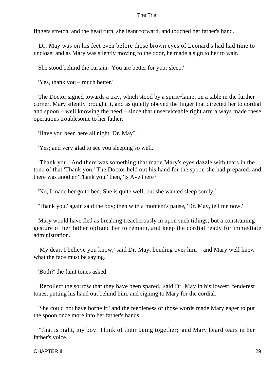fingers stretch, and the head turn, she leant forward, and touched her father's hand.

 Dr. May was on his feet even before those brown eyes of Leonard's had had time to unclose; and as Mary was silently moving to the door, he made a sign to her to wait.

She stood behind the curtain. 'You are better for your sleep.'

'Yes, thank you – much better.'

 The Doctor signed towards a tray, which stood by a spirit−lamp, on a table in the further corner. Mary silently brought it, and as quietly obeyed the finger that directed her to cordial and spoon – well knowing the need – since that unserviceable right arm always made these operations troublesome to her father.

'Have you been here all night, Dr. May?'

'Yes; and very glad to see you sleeping so well.'

 'Thank you.' And there was something that made Mary's eyes dazzle with tears in the tone of that 'Thank you.' The Doctor held out his hand for the spoon she had prepared, and there was another 'Thank you;' then, 'Is Ave there?'

'No, I made her go to bed. She is quite well; but she wanted sleep sorely.'

'Thank you,' again said the boy; then with a moment's pause, 'Dr. May, tell me now.'

 Mary would have fled as breaking treacherously in upon such tidings; but a constraining gesture of her father obliged her to remain, and keep the cordial ready for immediate administration.

 'My dear, I believe you know,' said Dr. May, bending over him – and Mary well knew what the face must be saying.

'Both?' the faint tones asked.

 'Recollect the sorrow that they have been spared,' said Dr. May in his lowest, tenderest tones, putting his hand out behind him, and signing to Mary for the cordial.

 'She could not have borne it;' and the feebleness of those words made Mary eager to put the spoon once more into her father's hands.

 'That is right, my boy. Think of their being together;' and Mary heard tears in her father's voice.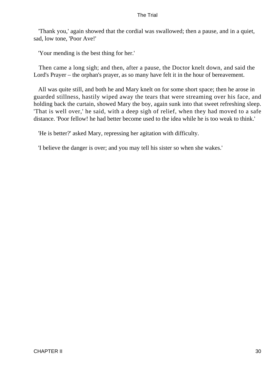'Thank you,' again showed that the cordial was swallowed; then a pause, and in a quiet, sad, low tone, 'Poor Ave!'

'Your mending is the best thing for her.'

 Then came a long sigh; and then, after a pause, the Doctor knelt down, and said the Lord's Prayer – the orphan's prayer, as so many have felt it in the hour of bereavement.

 All was quite still, and both he and Mary knelt on for some short space; then he arose in guarded stillness, hastily wiped away the tears that were streaming over his face, and holding back the curtain, showed Mary the boy, again sunk into that sweet refreshing sleep. 'That is well over,' he said, with a deep sigh of relief, when they had moved to a safe distance. 'Poor fellow! he had better become used to the idea while he is too weak to think.'

'He is better?' asked Mary, repressing her agitation with difficulty.

'I believe the danger is over; and you may tell his sister so when she wakes.'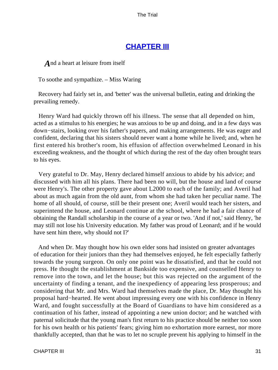## **[CHAPTER III](#page-414-0)**

*A* nd a heart at leisure from itself

To soothe and sympathize. – Miss Waring

 Recovery had fairly set in, and 'better' was the universal bulletin, eating and drinking the prevailing remedy.

 Henry Ward had quickly thrown off his illness. The sense that all depended on him, acted as a stimulus to his energies; he was anxious to be up and doing, and in a few days was down−stairs, looking over his father's papers, and making arrangements. He was eager and confident, declaring that his sisters should never want a home while he lived; and, when he first entered his brother's room, his effusion of affection overwhelmed Leonard in his exceeding weakness, and the thought of which during the rest of the day often brought tears to his eyes.

 Very grateful to Dr. May, Henry declared himself anxious to abide by his advice; and discussed with him all his plans. There had been no will, but the house and land of course were Henry's. The other property gave about L2000 to each of the family; and Averil had about as much again from the old aunt, from whom she had taken her peculiar name. The home of all should, of course, still be their present one; Averil would teach her sisters, and superintend the house, and Leonard continue at the school, where he had a fair chance of obtaining the Randall scholarship in the course of a year or two. 'And if not,' said Henry, 'he may still not lose his University education. My father was proud of Leonard; and if he would have sent him there, why should not I?'

 And when Dr. May thought how his own elder sons had insisted on greater advantages of education for their juniors than they had themselves enjoyed, he felt especially fatherly towards the young surgeon. On only one point was he dissatisfied, and that he could not press. He thought the establishment at Bankside too expensive, and counselled Henry to remove into the town, and let the house; but this was rejected on the argument of the uncertainty of finding a tenant, and the inexpediency of appearing less prosperous; and considering that Mr. and Mrs. Ward had themselves made the place, Dr. May thought his proposal hard−hearted. He went about impressing every one with his confidence in Henry Ward, and fought successfully at the Board of Guardians to have him considered as a continuation of his father, instead of appointing a new union doctor; and he watched with paternal solicitude that the young man's first return to his practice should be neither too soon for his own health or his patients' fears; giving him no exhortation more earnest, nor more thankfully accepted, than that he was to let no scruple prevent his applying to himself in the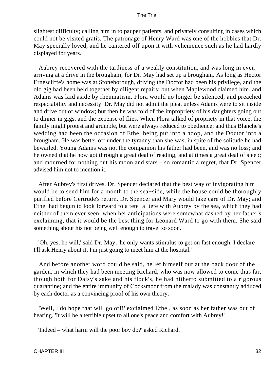slightest difficulty; calling him in to pauper patients, and privately consulting in cases which could not be visited gratis. The patronage of Henry Ward was one of the hobbies that Dr. May specially loved, and he cantered off upon it with vehemence such as he had hardly displayed for years.

 Aubrey recovered with the tardiness of a weakly constitution, and was long in even arriving at a drive in the brougham; for Dr. May had set up a brougham. As long as Hector Ernescliffe's home was at Stoneborough, driving the Doctor had been his privilege, and the old gig had been held together by diligent repairs; but when Maplewood claimed him, and Adams was laid aside by rheumatism, Flora would no longer be silenced, and preached respectability and necessity. Dr. May did not admit the plea, unless Adams were to sit inside and drive out of window; but then he was told of the impropriety of his daughters going out to dinner in gigs, and the expense of flies. When Flora talked of propriety in that voice, the family might protest and grumble, but were always reduced to obedience; and thus Blanche's wedding had been the occasion of Ethel being put into a hoop, and the Doctor into a brougham. He was better off under the tyranny than she was, in spite of the solitude he had bewailed. Young Adams was not the companion his father had been, and was no loss; and he owned that he now got through a great deal of reading, and at times a great deal of sleep; and mourned for nothing but his moon and stars – so romantic a regret, that Dr. Spencer advised him not to mention it.

 After Aubrey's first drives, Dr. Spencer declared that the best way of invigorating him would be to send him for a month to the sea−side, while the house could be thoroughly purified before Gertrude's return. Dr. Spencer and Mary would take care of Dr. May; and Ethel had begun to look forward to a tete−a−tete with Aubrey by the sea, which they had neither of them ever seen, when her anticipations were somewhat dashed by her father's exclaiming, that it would be the best thing for Leonard Ward to go with them. She said something about his not being well enough to travel so soon.

 'Oh, yes, he will,' said Dr. May; 'he only wants stimulus to get on fast enough. I declare I'll ask Henry about it; I'm just going to meet him at the hospital.'

 And before another word could be said, he let himself out at the back door of the garden, in which they had been meeting Richard, who was now allowed to come thus far, though both for Daisy's sake and his flock's, he had hitherto submitted to a rigorous quarantine; and the entire immunity of Cocksmoor from the malady was constantly adduced by each doctor as a convincing proof of his own theory.

 'Well, I do hope that will go off!' exclaimed Ethel, as soon as her father was out of hearing. 'It will be a terrible upset to all one's peace and comfort with Aubrey!'

'Indeed – what harm will the poor boy do?' asked Richard.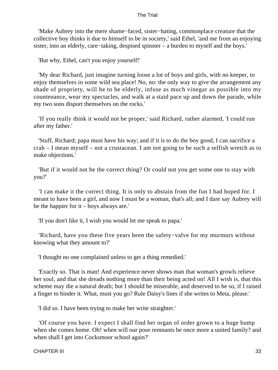'Make Aubrey into the mere shame−faced, sister−hating, commonplace creature that the collective boy thinks it due to himself to be in society,' said Ethel, 'and me from an enjoying sister, into an elderly, care−taking, despised spinster – a burden to myself and the boys.'

'But why, Ethel, can't you enjoy yourself!'

 'My dear Richard, just imagine turning loose a lot of boys and girls, with no keeper, to enjoy themselves in some wild sea place! No, no: the only way to give the arrangement any shade of propriety, will be to be elderly, infuse as much vinegar as possible into my countenance, wear my spectacles, and walk at a staid pace up and down the parade, while my two sons disport themselves on the rocks.'

 'If you really think it would not be proper,' said Richard, rather alarmed, 'I could run after my father.'

 'Stuff, Richard; papa must have his way; and if it is to do the boy good, I can sacrifice a crab – I mean myself – not a crustacean. I am not going to be such a selfish wretch as to make objections.'

 'But if it would not be the correct thing? Or could not you get some one to stay with you?'

 'I can make it the correct thing. It is only to abstain from the fun I had hoped for. I meant to have been a girl, and now I must be a woman, that's all; and I dare say Aubrey will be the happier for it – boys always are.'

'If you don't like it, I wish you would let me speak to papa.'

 'Richard, have you these five years been the safety−valve for my murmurs without knowing what they amount to?'

'I thought no one complained unless to get a thing remedied.'

 'Exactly so. That is man! And experience never shows man that woman's growls relieve her soul, and that she dreads nothing more than their being acted on! All I wish is, that this scheme may die a natural death; but I should be miserable, and deserved to be so, if I raised a finger to hinder it. What, must you go? Rule Daisy's lines if she writes to Meta, please.'

'I did so. I have been trying to make her write straighter.'

 'Of course you have. I expect I shall find her organ of order grown to a huge bump when she comes home. Oh! when will our poor remnants be once more a united family? and when shall I get into Cocksmoor school again?'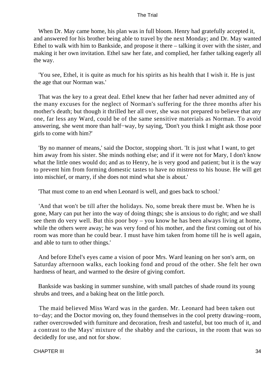When Dr. May came home, his plan was in full bloom. Henry had gratefully accepted it, and answered for his brother being able to travel by the next Monday; and Dr. May wanted Ethel to walk with him to Bankside, and propose it there – talking it over with the sister, and making it her own invitation. Ethel saw her fate, and complied, her father talking eagerly all the way.

 'You see, Ethel, it is quite as much for his spirits as his health that I wish it. He is just the age that our Norman was.'

 That was the key to a great deal. Ethel knew that her father had never admitted any of the many excuses for the neglect of Norman's suffering for the three months after his mother's death; but though it thrilled her all over, she was not prepared to believe that any one, far less any Ward, could be of the same sensitive materials as Norman. To avoid answering, she went more than half−way, by saying, 'Don't you think I might ask those poor girls to come with him?'

 'By no manner of means,' said the Doctor, stopping short. 'It is just what I want, to get him away from his sister. She minds nothing else; and if it were not for Mary, I don't know what the little ones would do; and as to Henry, he is very good and patient; but it is the way to prevent him from forming domestic tastes to have no mistress to his house. He will get into mischief, or marry, if she does not mind what she is about.'

'That must come to an end when Leonard is well, and goes back to school.'

 'And that won't be till after the holidays. No, some break there must be. When he is gone, Mary can put her into the way of doing things; she is anxious to do right; and we shall see them do very well. But this poor boy – you know he has been always living at home, while the others were away; he was very fond of his mother, and the first coming out of his room was more than he could bear. I must have him taken from home till he is well again, and able to turn to other things.'

 And before Ethel's eyes came a vision of poor Mrs. Ward leaning on her son's arm, on Saturday afternoon walks, each looking fond and proud of the other. She felt her own hardness of heart, and warmed to the desire of giving comfort.

 Bankside was basking in summer sunshine, with small patches of shade round its young shrubs and trees, and a baking heat on the little porch.

 The maid believed Miss Ward was in the garden. Mr. Leonard had been taken out to−day; and the Doctor moving on, they found themselves in the cool pretty drawing−room, rather overcrowded with furniture and decoration, fresh and tasteful, but too much of it, and a contrast to the Mays' mixture of the shabby and the curious, in the room that was so decidedly for use, and not for show.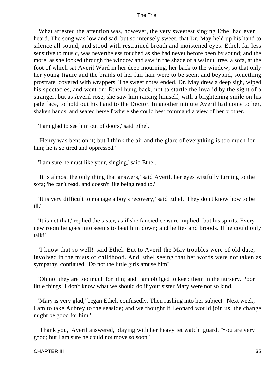What arrested the attention was, however, the very sweetest singing Ethel had ever heard. The song was low and sad, but so intensely sweet, that Dr. May held up his hand to silence all sound, and stood with restrained breath and moistened eyes. Ethel, far less sensitive to music, was nevertheless touched as she had never before been by sound; and the more, as she looked through the window and saw in the shade of a walnut−tree, a sofa, at the foot of which sat Averil Ward in her deep mourning, her back to the window, so that only her young figure and the braids of her fair hair were to be seen; and beyond, something prostrate, covered with wrappers. The sweet notes ended, Dr. May drew a deep sigh, wiped his spectacles, and went on; Ethel hung back, not to startle the invalid by the sight of a stranger; but as Averil rose, she saw him raising himself, with a brightening smile on his pale face, to hold out his hand to the Doctor. In another minute Averil had come to her, shaken hands, and seated herself where she could best command a view of her brother.

'I am glad to see him out of doors,' said Ethel.

 'Henry was bent on it; but I think the air and the glare of everything is too much for him; he is so tired and oppressed.'

'I am sure he must like your, singing,' said Ethel.

 'It is almost the only thing that answers,' said Averil, her eyes wistfully turning to the sofa; 'he can't read, and doesn't like being read to.'

 'It is very difficult to manage a boy's recovery,' said Ethel. 'They don't know how to be ill.'

 'It is not that,' replied the sister, as if she fancied censure implied, 'but his spirits. Every new room he goes into seems to beat him down; and he lies and broods. If he could only talk!'

 'I know that so well!' said Ethel. But to Averil the May troubles were of old date, involved in the mists of childhood. And Ethel seeing that her words were not taken as sympathy, continued, 'Do not the little girls amuse him?'

 'Oh no! they are too much for him; and I am obliged to keep them in the nursery. Poor little things! I don't know what we should do if your sister Mary were not so kind.'

 'Mary is very glad,' began Ethel, confusedly. Then rushing into her subject: 'Next week, I am to take Aubrey to the seaside; and we thought if Leonard would join us, the change might be good for him.'

 'Thank you,' Averil answered, playing with her heavy jet watch−guard. 'You are very good; but I am sure he could not move so soon.'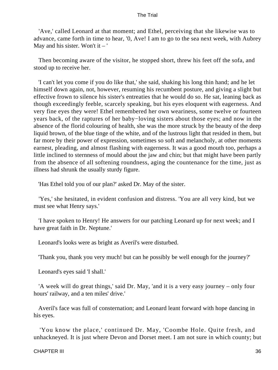'Ave,' called Leonard at that moment; and Ethel, perceiving that she likewise was to advance, came forth in time to hear, '0, Ave! I am to go to the sea next week, with Aubrey May and his sister. Won't it  $-$ '

 Then becoming aware of the visitor, he stopped short, threw his feet off the sofa, and stood up to receive her.

 'I can't let you come if you do like that,' she said, shaking his long thin hand; and he let himself down again, not, however, resuming his recumbent posture, and giving a slight but effective frown to silence his sister's entreaties that he would do so. He sat, leaning back as though exceedingly feeble, scarcely speaking, but his eyes eloquent with eagerness. And very fine eyes they were! Ethel remembered her own weariness, some twelve or fourteen years back, of the raptures of her baby−loving sisters about those eyes; and now in the absence of the florid colouring of health, she was the more struck by the beauty of the deep liquid brown, of the blue tinge of the white, and of the lustrous light that resided in them, but far more by their power of expression, sometimes so soft and melancholy, at other moments earnest, pleading, and almost flashing with eagerness. It was a good mouth too, perhaps a little inclined to sternness of mould about the jaw and chin; but that might have been partly from the absence of all softening roundness, aging the countenance for the time, just as illness had shrunk the usually sturdy figure.

'Has Ethel told you of our plan?' asked Dr. May of the sister.

 'Yes,' she hesitated, in evident confusion and distress. 'You are all very kind, but we must see what Henry says.'

 'I have spoken to Henry! He answers for our patching Leonard up for next week; and I have great faith in Dr. Neptune.'

Leonard's looks were as bright as Averil's were disturbed.

'Thank you, thank you very much! but can he possibly be well enough for the journey?'

Leonard's eyes said 'I shall.'

 'A week will do great things,' said Dr. May, 'and it is a very easy journey – only four hours' railway, and a ten miles' drive.'

 Averil's face was full of consternation; and Leonard leant forward with hope dancing in his eyes.

 'You know the place,' continued Dr. May, 'Coombe Hole. Quite fresh, and unhackneyed. It is just where Devon and Dorset meet. I am not sure in which county; but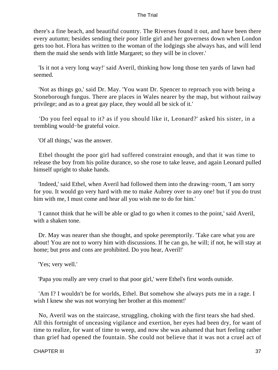there's a fine beach, and beautiful country. The Riverses found it out, and have been there every autumn; besides sending their poor little girl and her governess down when London gets too hot. Flora has written to the woman of the lodgings she always has, and will lend them the maid she sends with little Margaret; so they will be in clover.'

 'Is it not a very long way!' said Averil, thinking how long those ten yards of lawn had seemed.

 'Not as things go,' said Dr. May. 'You want Dr. Spencer to reproach you with being a Stoneborough fungus. There are places in Wales nearer by the map, but without railway privilege; and as to a great gay place, they would all be sick of it.'

 'Do you feel equal to it? as if you should like it, Leonard?' asked his sister, in a trembling would−be grateful voice.

'Of all things,' was the answer.

 Ethel thought the poor girl had suffered constraint enough, and that it was time to release the boy from his polite durance, so she rose to take leave, and again Leonard pulled himself upright to shake hands.

 'Indeed,' said Ethel, when Averil had followed them into the drawing−room, 'I am sorry for you. It would go very hard with me to make Aubrey over to any one! but if you do trust him with me, I must come and hear all you wish me to do for him.'

 'I cannot think that he will be able or glad to go when it comes to the point,' said Averil, with a shaken tone.

 Dr. May was nearer than she thought, and spoke peremptorily. 'Take care what you are about! You are not to worry him with discussions. If he can go, he will; if not, he will stay at home; but pros and cons are prohibited. Do you hear, Averil!'

'Yes; very well.'

'Papa you really are very cruel to that poor girl,' were Ethel's first words outside.

 'Am I? I wouldn't be for worlds, Ethel. But somehow she always puts me in a rage. I wish I knew she was not worrying her brother at this moment!'

 No, Averil was on the staircase, struggling, choking with the first tears she had shed. All this fortnight of unceasing vigilance and exertion, her eyes had been dry, for want of time to realize, for want of time to weep, and now she was ashamed that hurt feeling rather than grief had opened the fountain. She could not believe that it was not a cruel act of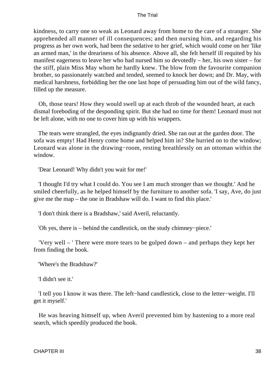kindness, to carry one so weak as Leonard away from home to the care of a stranger. She apprehended all manner of ill consequences; and then nursing him, and regarding his progress as her own work, had been the sedative to her grief, which would come on her 'like an armed man,' in the dreariness of his absence. Above all, she felt herself ill requited by his manifest eagerness to leave her who had nursed him so devotedly – her, his own sister – for the stiff, plain Miss May whom he hardly knew. The blow from the favourite companion brother, so passionately watched and tended, seemed to knock her down; and Dr. May, with medical harshness, forbidding her the one last hope of persuading him out of the wild fancy, filled up the measure.

 Oh, those tears! How they would swell up at each throb of the wounded heart, at each dismal foreboding of the desponding spirit. But she had no time for them! Leonard must not be left alone, with no one to cover him up with his wrappers.

 The tears were strangled, the eyes indignantly dried. She ran out at the garden door. The sofa was empty! Had Henry come home and helped him in? She hurried on to the window; Leonard was alone in the drawing−room, resting breathlessly on an ottoman within the window.

'Dear Leonard! Why didn't you wait for me!'

 'I thought I'd try what I could do. You see I am much stronger than we thought.' And he smiled cheerfully, as he helped himself by the furniture to another sofa. 'I say, Ave, do just give me the map – the one in Bradshaw will do. I want to find this place.'

'I don't think there is a Bradshaw,' said Averil, reluctantly.

'Oh yes, there is – behind the candlestick, on the study chimney−piece.'

 'Very well – ' There were more tears to be gulped down – and perhaps they kept her from finding the book.

'Where's the Bradshaw?'

'I didn't see it.'

 'I tell you I know it was there. The left−hand candlestick, close to the letter−weight. I'll get it myself.'

 He was heaving himself up, when Averil prevented him by hastening to a more real search, which speedily produced the book.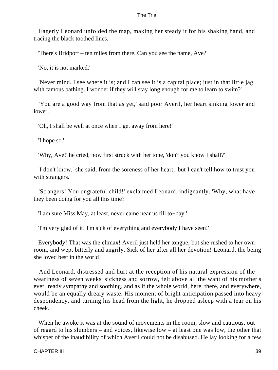Eagerly Leonard unfolded the map, making her steady it for his shaking hand, and tracing the black toothed lines.

'There's Bridport – ten miles from there. Can you see the name, Ave?'

'No, it is not marked.'

 'Never mind. I see where it is; and I can see it is a capital place; just in that little jag, with famous bathing. I wonder if they will stay long enough for me to learn to swim?'

 'You are a good way from that as yet,' said poor Averil, her heart sinking lower and lower.

'Oh, I shall be well at once when I get away from here!'

'I hope so.'

'Why, Ave!' he cried, now first struck with her tone, 'don't you know I shall?'

 'I don't know,' she said, from the soreness of her heart; 'but I can't tell how to trust you with strangers.'

 'Strangers! You ungrateful child!' exclaimed Leonard, indignantly. 'Why, what have they been doing for you all this time?'

'I am sure Miss May, at least, never came near us till to−day.'

'I'm very glad of it! I'm sick of everything and everybody I have seen!'

 Everybody! That was the climax! Averil just held her tongue; but she rushed to her own room, and wept bitterly and angrily. Sick of her after all her devotion! Leonard, the being she loved best in the world!

 And Leonard, distressed and hurt at the reception of his natural expression of the weariness of seven weeks' sickness and sorrow, felt above all the want of his mother's ever−ready sympathy and soothing, and as if the whole world, here, there, and everywhere, would be an equally dreary waste. His moment of bright anticipation passed into heavy despondency, and turning his head from the light, he dropped asleep with a tear on his cheek.

 When he awoke it was at the sound of movements in the room, slow and cautious, out of regard to his slumbers – and voices, likewise low – at least one was low, the other that whisper of the inaudibility of which Averil could not be disabused. He lay looking for a few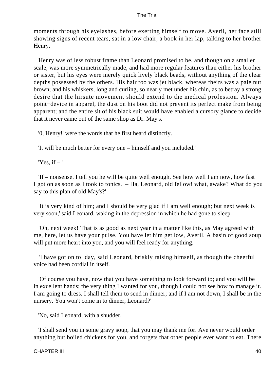moments through his eyelashes, before exerting himself to move. Averil, her face still showing signs of recent tears, sat in a low chair, a book in her lap, talking to her brother Henry.

 Henry was of less robust frame than Leonard promised to be, and though on a smaller scale, was more symmetrically made, and had more regular features than either his brother or sister, but his eyes were merely quick lively black beads, without anything of the clear depths possessed by the others. His hair too was jet black, whereas theirs was a pale nut brown; and his whiskers, long and curling, so nearly met under his chin, as to betray a strong desire that the hirsute movement should extend to the medical profession. Always point−device in apparel, the dust on his boot did not prevent its perfect make from being apparent; and the entire sit of his black suit would have enabled a cursory glance to decide that it never came out of the same shop as Dr. May's.

'0, Henry!' were the words that he first heard distinctly.

'It will be much better for every one – himself and you included.'

'Yes, if  $-$ '

 'If – nonsense. I tell you he will be quite well enough. See how well I am now, how fast I got on as soon as I took to tonics. – Ha, Leonard, old fellow! what, awake? What do you say to this plan of old May's?'

 'It is very kind of him; and I should be very glad if I am well enough; but next week is very soon,' said Leonard, waking in the depression in which he had gone to sleep.

 'Oh, next week! That is as good as next year in a matter like this, as May agreed with me, here, let us have your pulse. You have let him get low, Averil. A basin of good soup will put more heart into you, and you will feel ready for anything.'

 'I have got on to−day, said Leonard, briskly raising himself, as though the cheerful voice had been cordial in itself.

 'Of course you have, now that you have something to look forward to; and you will be in excellent hands; the very thing I wanted for you, though I could not see how to manage it. I am going to dress. I shall tell them to send in dinner; and if I am not down, I shall be in the nursery. You won't come in to dinner, Leonard?'

'No, said Leonard, with a shudder.

 'I shall send you in some gravy soup, that you may thank me for. Ave never would order anything but boiled chickens for you, and forgets that other people ever want to eat. There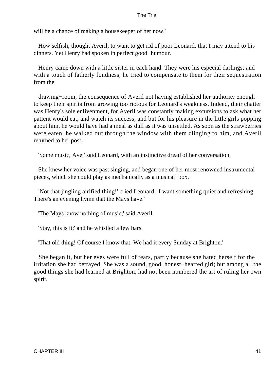will be a chance of making a housekeeper of her now.'

 How selfish, thought Averil, to want to get rid of poor Leonard, that I may attend to his dinners. Yet Henry had spoken in perfect good−humour.

 Henry came down with a little sister in each hand. They were his especial darlings; and with a touch of fatherly fondness, he tried to compensate to them for their sequestration from the

 drawing−room, the consequence of Averil not having established her authority enough to keep their spirits from growing too riotous for Leonard's weakness. Indeed, their chatter was Henry's sole enlivenment, for Averil was constantly making excursions to ask what her patient would eat, and watch its success; and but for his pleasure in the little girls popping about him, he would have had a meal as dull as it was unsettled. As soon as the strawberries were eaten, he walked out through the window with them clinging to him, and Averil returned to her post.

'Some music, Ave,' said Leonard, with an instinctive dread of her conversation.

 She knew her voice was past singing, and began one of her most renowned instrumental pieces, which she could play as mechanically as a musical−box.

 'Not that jingling airified thing!' cried Leonard, 'I want something quiet and refreshing. There's an evening hymn that the Mays have.'

'The Mays know nothing of music,' said Averil.

'Stay, this is it:' and he whistled a few bars.

'That old thing! Of course I know that. We had it every Sunday at Brighton.'

 She began it, but her eyes were full of tears, partly because she hated herself for the irritation she had betrayed. She was a sound, good, honest−hearted girl; but among all the good things she had learned at Brighton, had not been numbered the art of ruling her own spirit.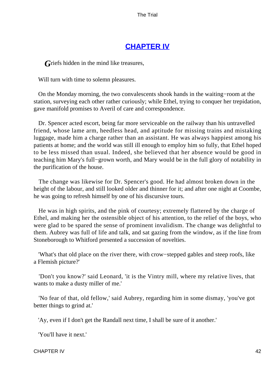# **[CHAPTER IV](#page-414-0)**

*Griefs* hidden in the mind like treasures,

Will turn with time to solemn pleasures.

 On the Monday morning, the two convalescents shook hands in the waiting−room at the station, surveying each other rather curiously; while Ethel, trying to conquer her trepidation, gave manifold promises to Averil of care and correspondence.

 Dr. Spencer acted escort, being far more serviceable on the railway than his untravelled friend, whose lame arm, heedless head, and aptitude for missing trains and mistaking luggage, made him a charge rather than an assistant. He was always happiest among his patients at home; and the world was still ill enough to employ him so fully, that Ethel hoped to be less missed than usual. Indeed, she believed that her absence would be good in teaching him Mary's full−grown worth, and Mary would be in the full glory of notability in the purification of the house.

 The change was likewise for Dr. Spencer's good. He had almost broken down in the height of the labour, and still looked older and thinner for it; and after one night at Coombe, he was going to refresh himself by one of his discursive tours.

 He was in high spirits, and the pink of courtesy; extremely flattered by the charge of Ethel, and making her the ostensible object of his attention, to the relief of the boys, who were glad to be spared the sense of prominent invalidism. The change was delightful to them. Aubrey was full of life and talk, and sat gazing from the window, as if the line from Stoneborough to Whitford presented a succession of novelties.

 'What's that old place on the river there, with crow−stepped gables and steep roofs, like a Flemish picture?'

 'Don't you know?' said Leonard, 'it is the Vintry mill, where my relative lives, that wants to make a dusty miller of me.'

 'No fear of that, old fellow,' said Aubrey, regarding him in some dismay, 'you've got better things to grind at.'

'Ay, even if I don't get the Randall next time, I shall be sure of it another.'

'You'll have it next.'

CHAPTER IV 42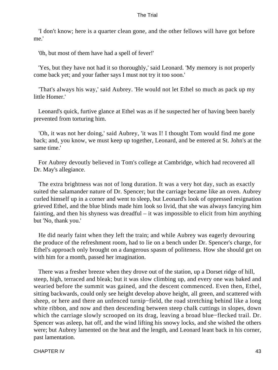'I don't know; here is a quarter clean gone, and the other fellows will have got before me.'

'0h, but most of them have had a spell of fever!'

 'Yes, but they have not had it so thoroughly,' said Leonard. 'My memory is not properly come back yet; and your father says I must not try it too soon.'

 'That's always his way,' said Aubrey. 'He would not let Ethel so much as pack up my little Homer.'

 Leonard's quick, furtive glance at Ethel was as if he suspected her of having been barely prevented from torturing him.

 'Oh, it was not her doing,' said Aubrey, 'it was I! I thought Tom would find me gone back; and, you know, we must keep up together, Leonard, and be entered at St. John's at the same time.'

 For Aubrey devoutly believed in Tom's college at Cambridge, which had recovered all Dr. May's allegiance.

 The extra brightness was not of long duration. It was a very hot day, such as exactly suited the salamander nature of Dr. Spencer; but the carriage became like an oven. Aubrey curled himself up in a corner and went to sleep, but Leonard's look of oppressed resignation grieved Ethel, and the blue blinds made him look so livid, that she was always fancying him fainting, and then his shyness was dreadful – it was impossible to elicit from him anything but 'No, thank you.'

 He did nearly faint when they left the train; and while Aubrey was eagerly devouring the produce of the refreshment room, had to lie on a bench under Dr. Spencer's charge, for Ethel's approach only brought on a dangerous spasm of politeness. How she should get on with him for a month, passed her imagination.

 There was a fresher breeze when they drove out of the station, up a Dorset ridge of hill, steep, high, terraced and bleak; but it was slow climbing up, and every one was baked and wearied before the summit was gained, and the descent commenced. Even then, Ethel, sitting backwards, could only see height develop above height, all green, and scattered with sheep, or here and there an unfenced turnip−field, the road stretching behind like a long white ribbon, and now and then descending between steep chalk cuttings in slopes, down which the carriage slowly scrooped on its drag, leaving a broad blue−flecked trail. Dr. Spencer was asleep, hat off, and the wind lifting his snowy locks, and she wished the others were; but Aubrey lamented on the heat and the length, and Leonard leant back in his corner, past lamentation.

CHAPTER IV 43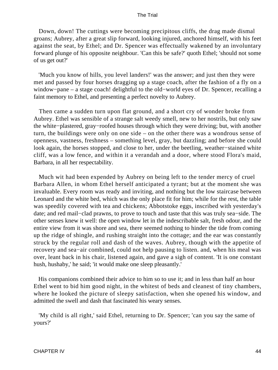Down, down! The cuttings were becoming precipitous cliffs, the drag made dismal groans; Aubrey, after a great slip forward, looking injured, anchored himself, with his feet against the seat, by Ethel; and Dr. Spencer was effectually wakened by an involuntary forward plunge of his opposite neighbour. 'Can this be safe?' quoth Ethel; 'should not some of us get out?'

 'Much you know of hills, you level landers!' was the answer; and just then they were met and passed by four horses dragging up a stage coach, after the fashion of a fly on a window−pane – a stage coach! delightful to the old−world eyes of Dr. Spencer, recalling a faint memory to Ethel, and presenting a perfect novelty to Aubrey.

 Then came a sudden turn upon flat ground, and a short cry of wonder broke from Aubrey. Ethel was sensible of a strange salt weedy smell, new to her nostrils, but only saw the white−plastered, gray−roofed houses through which they were driving; but, with another turn, the buildings were only on one side – on the other there was a wondrous sense of openness, vastness, freshness – something level, gray, but dazzling; and before she could look again, the horses stopped, and close to her, under the beetling, weather−stained white cliff, was a low fence, and within it a verandah and a door, where stood Flora's maid, Barbara, in all her respectability.

 Much wit had been expended by Aubrey on being left to the tender mercy of cruel Barbara Allen, in whom Ethel herself anticipated a tyrant; but at the moment she was invaluable. Every room was ready and inviting, and nothing but the low staircase between Leonard and the white bed, which was the only place fit for him; while for the rest, the table was speedily covered with tea and chickens; Abbotstoke eggs, inscribed with yesterday's date; and red mail−clad prawns, to prove to touch and taste that this was truly sea−side. The other senses knew it well: the open window let in the indescribable salt, fresh odour, and the entire view from it was shore and sea, there seemed nothing to hinder the tide from coming up the ridge of shingle, and rushing straight into the cottage; and the ear was constantly struck by the regular roll and dash of the waves. Aubrey, though with the appetite of recovery and sea−air combined, could not help pausing to listen. and, when his meal was over, leant back in his chair, listened again, and gave a sigh of content. 'It is one constant hush, hushaby,' he said; 'it would make one sleep pleasantly.'

 His companions combined their advice to him so to use it; and in less than half an hour Ethel went to bid him good night, in the whitest of beds and cleanest of tiny chambers, where he looked the picture of sleepy satisfaction, when she opened his window, and admitted the swell and dash that fascinated his weary senses.

 'My child is all right,' said Ethel, returning to Dr. Spencer; 'can you say the same of yours?'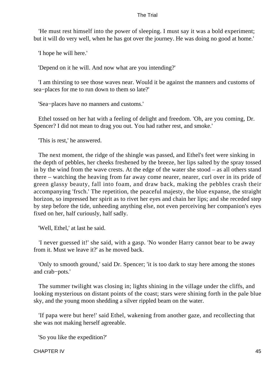'He must rest himself into the power of sleeping. I must say it was a bold experiment; but it will do very well, when he has got over the journey. He was doing no good at home.'

'I hope he will here.'

'Depend on it he will. And now what are you intending?'

 'I am thirsting to see those waves near. Would it be against the manners and customs of sea−places for me to run down to them so late?'

'Sea−places have no manners and customs.'

 Ethel tossed on her hat with a feeling of delight and freedom. 'Oh, are you coming, Dr. Spencer? I did not mean to drag you out. You had rather rest, and smoke.'

'This is rest,' he answered.

 The next moment, the ridge of the shingle was passed, and Ethel's feet were sinking in the depth of pebbles, her cheeks freshened by the breeze, her lips salted by the spray tossed in by the wind from the wave crests. At the edge of the water she stood – as all others stand there – watching the heaving from far away come nearer, nearer, curl over in its pride of green glassy beauty, fall into foam, and draw back, making the pebbles crash their accompanying 'frsch.' The repetition, the peaceful majesty, the blue expanse, the straight horizon, so impressed her spirit as to rivet her eyes and chain her lips; and she receded step by step before the tide, unheeding anything else, not even perceiving her companion's eyes fixed on her, half curiously, half sadly.

'Well, Ethel,' at last he said.

 'I never guessed it!' she said, with a gasp. 'No wonder Harry cannot bear to be away from it. Must we leave it?' as he moved back.

 'Only to smooth ground,' said Dr. Spencer; 'it is too dark to stay here among the stones and crab−pots.'

 The summer twilight was closing in; lights shining in the village under the cliffs, and looking mysterious on distant points of the coast; stars were shining forth in the pale blue sky, and the young moon shedding a silver rippled beam on the water.

 'If papa were but here!' said Ethel, wakening from another gaze, and recollecting that she was not making herself agreeable.

'So you like the expedition?'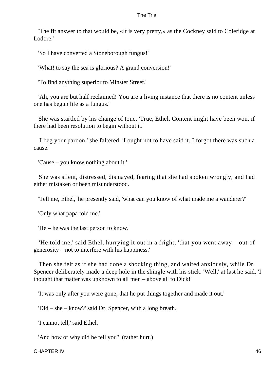'The fit answer to that would be, «It is very pretty,» as the Cockney said to Coleridge at Lodore.'

'So I have converted a Stoneborough fungus!'

'What! to say the sea is glorious? A grand conversion!'

'To find anything superior to Minster Street.'

 'Ah, you are but half reclaimed! You are a living instance that there is no content unless one has begun life as a fungus.'

 She was startled by his change of tone. 'True, Ethel. Content might have been won, if there had been resolution to begin without it.'

 'I beg your pardon,' she faltered, 'I ought not to have said it. I forgot there was such a cause.'

'Cause – you know nothing about it.'

 She was silent, distressed, dismayed, fearing that she had spoken wrongly, and had either mistaken or been misunderstood.

'Tell me, Ethel,' he presently said, 'what can you know of what made me a wanderer?'

'Only what papa told me.'

'He – he was the last person to know.'

 'He told me,' said Ethel, hurrying it out in a fright, 'that you went away – out of generosity – not to interfere with his happiness.'

 Then she felt as if she had done a shocking thing, and waited anxiously, while Dr. Spencer deliberately made a deep hole in the shingle with his stick. 'Well,' at last he said, 'I thought that matter was unknown to all men – above all to Dick!'

'It was only after you were gone, that he put things together and made it out.'

'Did – she – know?' said Dr. Spencer, with a long breath.

'I cannot tell,' said Ethel.

'And how or why did he tell you?' (rather hurt.)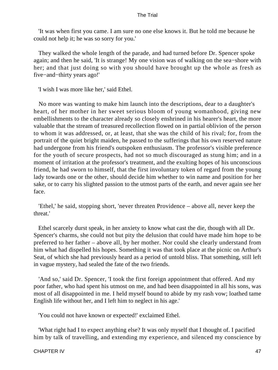'It was when first you came. I am sure no one else knows it. But he told me because he could not help it; he was so sorry for you.'

 They walked the whole length of the parade, and had turned before Dr. Spencer spoke again; and then he said, 'It is strange! My one vision was of walking on the sea−shore with her; and that just doing so with you should have brought up the whole as fresh as five−and−thirty years ago!'

'I wish I was more like her,' said Ethel.

 No more was wanting to make him launch into the descriptions, dear to a daughter's heart, of her mother in her sweet serious bloom of young womanhood, giving new embellishments to the character already so closely enshrined in his hearer's heart, the more valuable that the stream of treasured recollection flowed on in partial oblivion of the person to whom it was addressed, or, at least, that she was the child of his rival; for, from the portrait of the quiet bright maiden, he passed to the sufferings that his own reserved nature had undergone from his friend's outspoken enthusiasm. The professor's visible preference for the youth of secure prospects, had not so much discouraged as stung him; and in a moment of irritation at the professor's treatment, and the exulting hopes of his unconscious friend, he had sworn to himself, that the first involuntary token of regard from the young lady towards one or the other, should decide him whether to win name and position for her sake, or to carry his slighted passion to the utmost parts of the earth, and never again see her face.

 'Ethel,' he said, stopping short, 'never threaten Providence – above all, never keep the threat.'

 Ethel scarcely durst speak, in her anxiety to know what cast the die, though with all Dr. Spencer's charms, she could not but pity the delusion that could have made him hope to be preferred to her father – above all, by her mother. Nor could she clearly understand from him what had dispelled his hopes. Something it was that took place at the picnic on Arthur's Seat, of which she had previously heard as a period of untold bliss. That something, still left in vague mystery, had sealed the fate of the two friends.

 'And so,' said Dr. Spencer, 'I took the first foreign appointment that offered. And my poor father, who had spent his utmost on me, and had been disappointed in all his sons, was most of all disappointed in me. I held myself bound to abide by my rash vow; loathed tame English life without her, and I left him to neglect in his age.'

'You could not have known or expected!' exclaimed Ethel.

 'What right had I to expect anything else? It was only myself that I thought of. I pacified him by talk of travelling, and extending my experience, and silenced my conscience by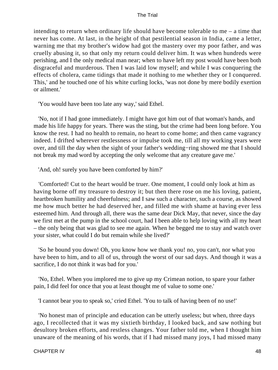intending to return when ordinary life should have become tolerable to me – a time that never has come. At last, in the height of that pestilential season in India, came a letter, warning me that my brother's widow had got the mastery over my poor father, and was cruelly abusing it, so that only my return could deliver him. It was when hundreds were perishing, and I the only medical man near; when to have left my post would have been both disgraceful and murderous. Then I was laid low myself; and while I was conquering the effects of cholera, came tidings that made it nothing to me whether they or I conquered. This,' and he touched one of his white curling locks, 'was not done by mere bodily exertion or ailment.'

'You would have been too late any way,' said Ethel.

 'No, not if I had gone immediately. I might have got him out of that woman's hands, and made his life happy for years. There was the sting, but the crime had been long before. You know the rest. I had no health to remain, no heart to come home; and then came vagrancy indeed. I drifted wherever restlessness or impulse took me, till all my working years were over, and till the day when the sight of your father's wedding−ring showed me that I should not break my mad word by accepting the only welcome that any creature gave me.'

'And, oh! surely you have been comforted by him?'

 'Comforted! Cut to the heart would be truer. One moment, I could only look at him as having borne off my treasure to destroy it; but then there rose on me his loving, patient, heartbroken humility and cheerfulness; and I saw such a character, such a course, as showed me how much better he had deserved her, and filled me with shame at having ever less esteemed him. And through all, there was the same dear Dick May, that never, since the day we first met at the pump in the school court, had I been able to help loving with all my heart – the only being that was glad to see me again. When he begged me to stay and watch over your sister, what could I do but remain while she lived?'

 'So he bound you down! Oh, you know how we thank you! no, you can't, nor what you have been to him, and to all of us, through the worst of our sad days. And though it was a sacrifice, I do not think it was bad for you.'

 'No, Ethel. When you implored me to give up my Crimean notion, to spare your father pain, I did feel for once that you at least thought me of value to some one.'

'I cannot bear you to speak so,' cried Ethel. 'You to talk of having been of no use!'

 'No honest man of principle and education can be utterly useless; but when, three days ago, I recollected that it was my sixtieth birthday, I looked back, and saw nothing but desultory broken efforts, and restless changes. Your father told me, when I thought him unaware of the meaning of his words, that if I had missed many joys, I had missed many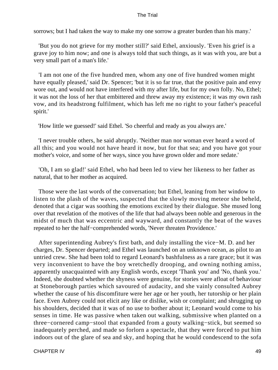sorrows; but I had taken the way to make my one sorrow a greater burden than his many.'

 'But you do not grieve for my mother still?' said Ethel, anxiously. 'Even his grief is a grave joy to him now; and one is always told that such things, as it was with you, are but a very small part of a man's life.'

 'I am not one of the five hundred men, whom any one of five hundred women might have equally pleased,' said Dr. Spencer; 'but it is so far true, that the positive pain and envy wore out, and would not have interfered with my after life, but for my own folly. No, Ethel; it was not the loss of her that embittered and threw away my existence; it was my own rash vow, and its headstrong fulfilment, which has left me no right to your father's peaceful spirit.'

'How little we guessed!' said Ethel. 'So cheerful and ready as you always are.'

 'I never trouble others, he said abruptly. 'Neither man nor woman ever heard a word of all this; and you would not have heard it now, but for that sea; and you have got your mother's voice, and some of her ways, since you have grown older and more sedate.'

'Oh, I am so glad!' said Ethel, who had been led to view her likeness to her father as natural, that to her mother as acquired.

 Those were the last words of the conversation; but Ethel, leaning from her window to listen to the plash of the waves, suspected that the slowly moving meteor she beheld, denoted that a cigar was soothing the emotions excited by their dialogue. She mused long over that revelation of the motives of the life that had always been noble and generous in the midst of much that was eccentric and wayward, and constantly the beat of the waves repeated to her the half−comprehended words, 'Never threaten Providence.'

 After superintending Aubrey's first bath, and duly installing the vice−M. D. and her charges, Dr. Spencer departed; and Ethel was launched on an unknown ocean, as pilot to an untried crew. She had been told to regard Leonard's bashfulness as a rare grace; but it was very inconvenient to have the boy wretchedly drooping, and owning nothing amiss, apparently unacquainted with any English words, except 'Thank you' and 'No, thank you.' Indeed, she doubted whether the shyness were genuine, for stories were afloat of behaviour at Stoneborough parties which savoured of audacity, and she vainly consulted Aubrey whether the cause of his discomfiture were her age or her youth, her tutorship or her plain face. Even Aubrey could not elicit any like or dislike, wish or complaint; and shrugging up his shoulders, decided that it was of no use to bother about it; Leonard would come to his senses in time. He was passive when taken out walking, submissive when planted on a three−cornered camp−stool that expanded from a gouty walking−stick, but seemed so inadequately perched, and made so forlorn a spectacle, that they were forced to put him indoors out of the glare of sea and sky, and hoping that he would condescend to the sofa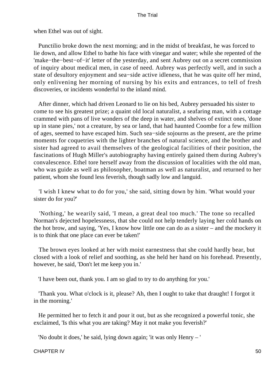when Ethel was out of sight.

 Punctilio broke down the next morning; and in the midst of breakfast, he was forced to lie down, and allow Ethel to bathe his face with vinegar and water; while she repented of the 'make−the−best−of−it' letter of the yesterday, and sent Aubrey out on a secret commission of inquiry about medical men, in case of need. Aubrey was perfectly well, and in such a state of desultory enjoyment and sea−side active idleness, that he was quite off her mind, only enlivening her morning of nursing by his exits and entrances, to tell of fresh discoveries, or incidents wonderful to the inland mind.

 After dinner, which had driven Leonard to lie on his bed, Aubrey persuaded his sister to come to see his greatest prize; a quaint old local naturalist, a seafaring man, with a cottage crammed with pans of live wonders of the deep in water, and shelves of extinct ones, 'done up in stane pies,' not a creature, by sea or land, that had haunted Coombe for a few million of ages, seemed to have escaped him. Such sea−side sojourns as the present, are the prime moments for coquetries with the lighter branches of natural science, and the brother and sister had agreed to avail themselves of the geological facilities of their position, the fascinations of Hugh Miller's autobiography having entirely gained them during Aubrey's convalescence. Ethel tore herself away from the discussion of localities with the old man, who was guide as well as philosopher, boatman as well as naturalist, and returned to her patient, whom she found less feverish, though sadly low and languid.

 'I wish I knew what to do for you,' she said, sitting down by him. 'What would your sister do for you?'

 'Nothing,' he wearily said, 'I mean, a great deal too much.' The tone so recalled Norman's dejected hopelessness, that she could not help tenderly laying her cold hands on the hot brow, and saying, 'Yes, I know how little one can do as a sister – and the mockery it is to think that one place can ever be taken!'

 The brown eyes looked at her with moist earnestness that she could hardly bear, but closed with a look of relief and soothing, as she held her hand on his forehead. Presently, however, he said, 'Don't let me keep you in.'

'I have been out, thank you. I am so glad to try to do anything for you.'

 'Thank you. What o'clock is it, please? Ah, then I ought to take that draught! I forgot it in the morning.'

 He permitted her to fetch it and pour it out, but as she recognized a powerful tonic, she exclaimed, 'Is this what you are taking? May it not make you feverish?'

'No doubt it does,' he said, lying down again; 'it was only Henry – '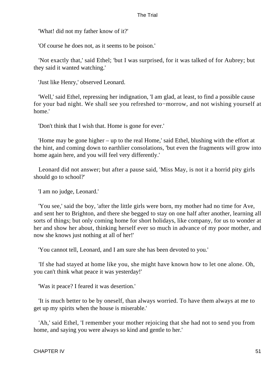'What! did not my father know of it?'

'Of course he does not, as it seems to be poison.'

 'Not exactly that,' said Ethel; 'but I was surprised, for it was talked of for Aubrey; but they said it wanted watching.'

'Just like Henry,' observed Leonard.

 'Well,' said Ethel, repressing her indignation, 'I am glad, at least, to find a possible cause for your bad night. We shall see you refreshed to−morrow, and not wishing yourself at home.'

'Don't think that I wish that. Home is gone for ever.'

 'Home may be gone higher – up to the real Home,' said Ethel, blushing with the effort at the hint, and coming down to earthlier consolations, 'but even the fragments will grow into home again here, and you will feel very differently.'

 Leonard did not answer; but after a pause said, 'Miss May, is not it a horrid pity girls should go to school?'

'I am no judge, Leonard.'

 'You see,' said the boy, 'after the little girls were born, my mother had no time for Ave, and sent her to Brighton, and there she begged to stay on one half after another, learning all sorts of things; but only coming home for short holidays, like company, for us to wonder at her and show her about, thinking herself ever so much in advance of my poor mother, and now she knows just nothing at all of her!'

'You cannot tell, Leonard, and I am sure she has been devoted to you.'

 'If she had stayed at home like you, she might have known how to let one alone. Oh, you can't think what peace it was yesterday!'

'Was it peace? I feared it was desertion.'

 'It is much better to be by oneself, than always worried. To have them always at me to get up my spirits when the house is miserable.'

 'Ah,' said Ethel, 'I remember your mother rejoicing that she had not to send you from home, and saying you were always so kind and gentle to her.'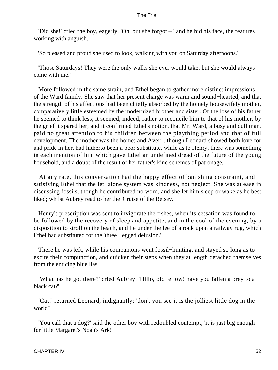'Did she!' cried the boy, eagerly. 'Oh, but she forgot – ' and he hid his face, the features working with anguish.

'So pleased and proud she used to look, walking with you on Saturday afternoons.'

 'Those Saturdays! They were the only walks she ever would take; but she would always come with me.'

 More followed in the same strain, and Ethel began to gather more distinct impressions of the Ward family. She saw that her present charge was warm and sound−hearted, and that the strength of his affections had been chiefly absorbed by the homely housewifely mother, comparatively little esteemed by the modernized brother and sister. Of the loss of his father he seemed to think less; it seemed, indeed, rather to reconcile him to that of his mother, by the grief it spared her; and it confirmed Ethel's notion, that Mr. Ward, a busy and dull man, paid no great attention to his children between the plaything period and that of full development. The mother was the home; and Averil, though Leonard showed both love for and pride in her, had hitherto been a poor substitute, while as to Henry, there was something in each mention of him which gave Ethel an undefined dread of the future of the young household, and a doubt of the result of her father's kind schemes of patronage.

 At any rate, this conversation had the happy effect of banishing constraint, and satisfying Ethel that the let−alone system was kindness, not neglect. She was at ease in discussing fossils, though he contributed no word, and she let him sleep or wake as he best liked; whilst Aubrey read to her the 'Cruise of the Betsey.'

 Henry's prescription was sent to invigorate the fishes, when its cessation was found to be followed by the recovery of sleep and appetite, and in the cool of the evening, by a disposition to stroll on the beach, and lie under the lee of a rock upon a railway rug, which Ethel had substituted for the 'three−legged delusion.'

 There he was left, while his companions went fossil−hunting, and stayed so long as to excite their compunction, and quicken their steps when they at length detached themselves from the enticing blue lias.

 'What has he got there?' cried Aubrey. 'Hillo, old fellow! have you fallen a prey to a black cat?'

 'Cat!' returned Leonard, indignantly; 'don't you see it is the jolliest little dog in the world?'

 'You call that a dog?' said the other boy with redoubled contempt; 'it is just big enough for little Margaret's Noah's Ark!'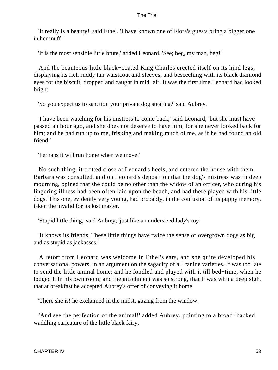'It really is a beauty!' said Ethel. 'I have known one of Flora's guests bring a bigger one in her muff '

'It is the most sensible little brute,' added Leonard. 'See; beg, my man, beg!'

 And the beauteous little black−coated King Charles erected itself on its hind legs, displaying its rich ruddy tan waistcoat and sleeves, and beseeching with its black diamond eyes for the biscuit, dropped and caught in mid−air. It was the first time Leonard had looked bright.

'So you expect us to sanction your private dog stealing?' said Aubrey.

 'I have been watching for his mistress to come back,' said Leonard; 'but she must have passed an hour ago, and she does not deserve to have him, for she never looked back for him; and he had run up to me, frisking and making much of me, as if he had found an old friend.'

'Perhaps it will run home when we move.'

 No such thing; it trotted close at Leonard's heels, and entered the house with them. Barbara was consulted, and on Leonard's deposition that the dog's mistress was in deep mourning, opined that she could be no other than the widow of an officer, who during his lingering illness had been often laid upon the beach, and had there played with his little dogs. This one, evidently very young, had probably, in the confusion of its puppy memory, taken the invalid for its lost master.

'Stupid little thing,' said Aubrey; 'just like an undersized lady's toy.'

 'It knows its friends. These little things have twice the sense of overgrown dogs as big and as stupid as jackasses.'

 A retort from Leonard was welcome in Ethel's ears, and she quite developed his conversational powers, in an argument on the sagacity of all canine varieties. It was too late to send the little animal home; and he fondled and played with it till bed−time, when he lodged it in his own room; and the attachment was so strong, that it was with a deep sigh, that at breakfast he accepted Aubrey's offer of conveying it home.

'There she is! he exclaimed in the midst, gazing from the window.

 'And see the perfection of the animal!' added Aubrey, pointing to a broad−backed waddling caricature of the little black fairy.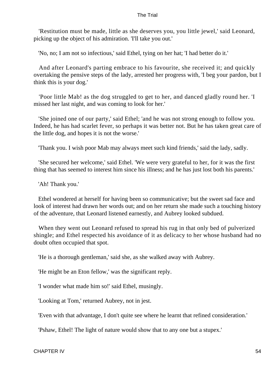'Restitution must be made, little as she deserves you, you little jewel,' said Leonard, picking up the object of his admiration. 'I'll take you out.'

'No, no; I am not so infectious,' said Ethel, tying on her hat; 'I had better do it.'

 And after Leonard's parting embrace to his favourite, she received it; and quickly overtaking the pensive steps of the lady, arrested her progress with, 'I beg your pardon, but I think this is your dog.'

 'Poor little Mab! as the dog struggled to get to her, and danced gladly round her. 'I missed her last night, and was coming to look for her.'

 'She joined one of our party,' said Ethel; 'and he was not strong enough to follow you. Indeed, he has had scarlet fever, so perhaps it was better not. But he has taken great care of the little dog, and hopes it is not the worse.'

'Thank you. I wish poor Mab may always meet such kind friends,' said the lady, sadly.

 'She secured her welcome,' said Ethel. 'We were very grateful to her, for it was the first thing that has seemed to interest him since his illness; and he has just lost both his parents.'

'Ah! Thank you.'

 Ethel wondered at herself for having been so communicative; but the sweet sad face and look of interest had drawn her words out; and on her return she made such a touching history of the adventure, that Leonard listened earnestly, and Aubrey looked subdued.

 When they went out Leonard refused to spread his rug in that only bed of pulverized shingle; and Ethel respected his avoidance of it as delicacy to her whose husband had no doubt often occupied that spot.

'He is a thorough gentleman,' said she, as she walked away with Aubrey.

'He might be an Eton fellow,' was the significant reply.

'I wonder what made him so!' said Ethel, musingly.

'Looking at Tom,' returned Aubrey, not in jest.

'Even with that advantage, I don't quite see where he learnt that refined consideration.'

'Pshaw, Ethel! The light of nature would show that to any one but a stupex.'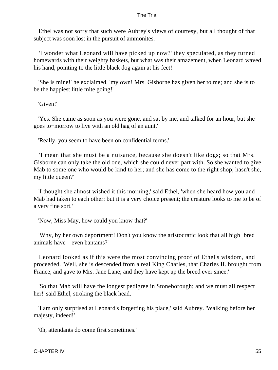Ethel was not sorry that such were Aubrey's views of courtesy, but all thought of that subject was soon lost in the pursuit of ammonites.

 'I wonder what Leonard will have picked up now?' they speculated, as they turned homewards with their weighty baskets, but what was their amazement, when Leonard waved his hand, pointing to the little black dog again at his feet!

 'She is mine!' he exclaimed, 'my own! Mrs. Gisborne has given her to me; and she is to be the happiest little mite going!'

'Given!'

 'Yes. She came as soon as you were gone, and sat by me, and talked for an hour, but she goes to−morrow to live with an old hag of an aunt.'

'Really, you seem to have been on confidential terms.'

 'I mean that she must be a nuisance, because she doesn't like dogs; so that Mrs. Gisborne can only take the old one, which she could never part with. So she wanted to give Mab to some one who would be kind to her; and she has come to the right shop; hasn't she, my little queen?'

 'I thought she almost wished it this morning,' said Ethel, 'when she heard how you and Mab had taken to each other: but it is a very choice present; the creature looks to me to be of a very fine sort.'

'Now, Miss May, how could you know that?'

 'Why, by her own deportment! Don't you know the aristocratic look that all high−bred animals have – even bantams?'

 Leonard looked as if this were the most convincing proof of Ethel's wisdom, and proceeded. 'Well, she is descended from a real King Charles, that Charles II. brought from France, and gave to Mrs. Jane Lane; and they have kept up the breed ever since.'

 'So that Mab will have the longest pedigree in Stoneborough; and we must all respect her!' said Ethel, stroking the black head.

 'I am only surprised at Leonard's forgetting his place,' said Aubrey. 'Walking before her majesty, indeed!'

'0h, attendants do come first sometimes.'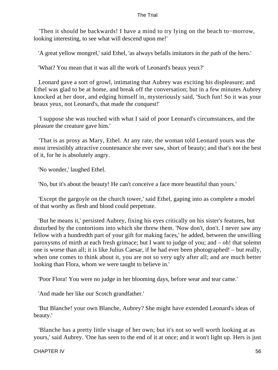'Then it should be backwards! I have a mind to try lying on the beach to−morrow, looking interesting, to see what will descend upon me!'

'A great yellow mongrel,' said Ethel, 'as always befalls imitators in the path of the hero.'

'What? You mean that it was all the work of Leonard's beaux yeux?'

 Leonard gave a sort of growl, intimating that Aubrey was exciting his displeasure; and Ethel was glad to be at home, and break off the conversation; but in a few minutes Aubrey knocked at her door, and edging himself in, mysteriously said, 'Such fun! So it was your beaux yeux, not Leonard's, that made the conquest!'

 'I suppose she was touched with what I said of poor Leonard's circumstances, and the pleasure the creature gave him.'

 'That is as prosy as Mary, Ethel. At any rate, the woman told Leonard yours was the most irresistibly attractive countenance she ever saw, short of beauty; and that's not the best of it, for he is absolutely angry.

'No wonder,' laughed Ethel.

'No, but it's about the beauty! He can't conceive a face more beautiful than yours.'

 'Except the gargoyle on the church tower,' said Ethel, gaping into as complete a model of that worthy as flesh and blood could perpetrate.

 'But he means it,' persisted Aubrey, fixing his eyes critically on his sister's features, but disturbed by the contortions into which she threw them. 'Now don't, don't. I never saw any fellow with a hundredth part of your gift for making faces,' he added, between the unwilling paroxysms of mirth at each fresh grimace; but I want to judge of you; and – oh! that solemn one is worse than all; it is like Julius Caesar, if he had ever been photographed! – but really, when one comes to think about it, you are not so very ugly after all; and are much better looking than Flora, whom we were taught to believe in.'

'Poor Flora! You were no judge in her blooming days, before wear and tear came.'

'And made her like our Scotch grandfather.'

 'But Blanche! your own Blanche, Aubrey? She might have extended Leonard's ideas of beauty.'

 'Blanche has a pretty little visage of her own; but it's not so well worth looking at as yours,' said Aubrey. 'One has seen to the end of it at once; and it won't light up. Hers is just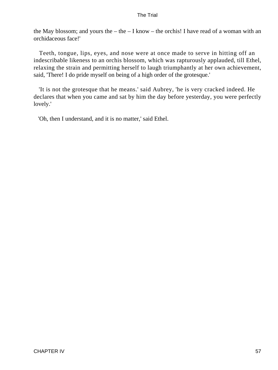the May blossom; and yours the – the – I know – the orchis! I have read of a woman with an orchidaceous face!'

 Teeth, tongue, lips, eyes, and nose were at once made to serve in hitting off an indescribable likeness to an orchis blossom, which was rapturously applauded, till Ethel, relaxing the strain and permitting herself to laugh triumphantly at her own achievement, said, 'There! I do pride myself on being of a high order of the grotesque.'

 'It is not the grotesque that he means.' said Aubrey, 'he is very cracked indeed. He declares that when you came and sat by him the day before yesterday, you were perfectly lovely.'

'Oh, then I understand, and it is no matter,' said Ethel.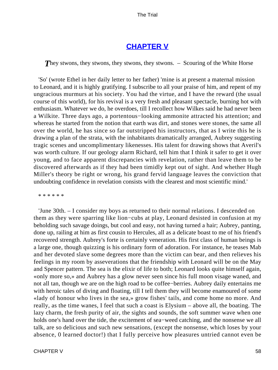# **[CHAPTER V](#page-414-0)**

**They stwons, they stwons, they stwons, they stwons.** – Scouring of the White Horse

 'So' (wrote Ethel in her daily letter to her father) 'mine is at present a maternal mission to Leonard, and it is highly gratifying. I subscribe to all your praise of him, and repent of my ungracious murmurs at his society. You had the virtue, and I have the reward (the usual course of this world), for his revival is a very fresh and pleasant spectacle, burning hot with enthusiasm. Whatever we do, he overdoes, till I recollect how Wilkes said he had never been a Wilkite. Three days ago, a portentous−looking ammonite attracted his attention; and whereas he started from the notion that earth was dirt, and stones were stones, the same all over the world, he has since so far outstripped his instructors, that as I write this he is drawing a plan of the strata, with the inhabitants dramatically arranged, Aubrey suggesting tragic scenes and uncomplimentary likenesses. His talent for drawing shows that Averil's was worth culture. If our geology alarm Richard, tell him that I think it safer to get it over young, and to face apparent discrepancies with revelation, rather than leave them to be discovered afterwards as if they had been timidly kept out of sight. And whether Hugh Miller's theory be right or wrong, his grand fervid language leaves the conviction that undoubting confidence in revelation consists with the clearest and most scientific mind.'

\* \* \* \* \* \*

 'June 30th. – I consider my boys as returned to their normal relations. I descended on them as they were sparring like lion−cubs at play, Leonard desisted in confusion at my beholding such savage doings, but cool and easy, not having turned a hair; Aubrey, panting, done up, railing at him as first cousin to Hercules, all as a delicate boast to me of his friend's recovered strength. Aubrey's forte is certainly veneration. His first class of human beings is a large one, though quizzing is his ordinary form of adoration. For instance, he teases Mab and her devoted slave some degrees more than the victim can bear, and then relieves his feelings in my room by asseverations that the friendship with Leonard will be on the May and Spencer pattern. The sea is the elixir of life to both; Leonard looks quite himself again, «only more so,» and Aubrey has a glow never seen since his full moon visage waned, and not all tan, though we are on the high road to be coffee−berries. Aubrey daily entertains me with heroic tales of diving and floating, till I tell them they will become enamoured of some «lady of honour who lives in the sea,» grow fishes' tails, and come home no more. And really, as the time wanes, I feel that such a coast is Elysium – above all, the boating. The lazy charm, the fresh purity of air, the sights and sounds, the soft summer wave when one holds one's hand over the tide, the excitement of sea−weed catching, and the nonsense we all talk, are so delicious and such new sensations, (except the nonsense, which loses by your absence, 0 learned doctor!) that I fully perceive how pleasures untried cannot even be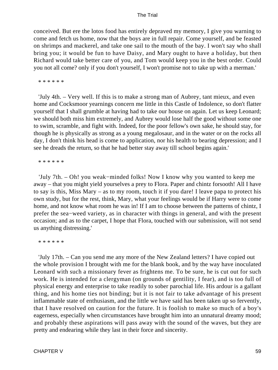conceived. But ere the lotos food has entirely depraved my memory, I give you warning to come and fetch us home, now that the boys are in full repair. Come yourself, and be feasted on shrimps and mackerel, and take one sail to the mouth of the bay. I won't say who shall bring you; it would be fun to have Daisy, and Mary ought to have a holiday, but then Richard would take better care of you, and Tom would keep you in the best order. Could you not all come? only if you don't yourself, I won't promise not to take up with a merman.'

\* \* \* \* \* \*

 'July 4th. – Very well. If this is to make a strong man of Aubrey, tant mieux, and even home and Cocksmoor yearnings concern me little in this Castle of Indolence, so don't flatter yourself that I shall grumble at having had to take our house on again. Let us keep Leonard; we should both miss him extremely, and Aubrey would lose half the good without some one to swim, scramble, and fight with. Indeed, for the poor fellow's own sake, he should stay, for though he is physically as strong as a young megalosaur, and in the water or on the rocks all day, I don't think his head is come to application, nor his health to bearing depression; and I see he dreads the return, so that he had better stay away till school begins again.'

\* \* \* \* \* \*

 'July 7th. – Oh! you weak−minded folks! Now I know why you wanted to keep me away – that you might yield yourselves a prey to Flora. Paper and chintz forsooth! All I have to say is this, Miss Mary – as to my room, touch it if you dare! I leave papa to protect his own study, but for the rest, think, Mary, what your feelings would be if Harry were to come home, and not know what room he was in! If I am to choose between the patterns of chintz, I prefer the sea−weed variety, as in character with things in general, and with the present occasion; and as to the carpet, I hope that Flora, touched with our submission, will not send us anything distressing.'

\* \* \* \* \* \*

 'July 17th. – Can you send me any more of the New Zealand letters? I have copied out the whole provision I brought with me for the blank book, and by the way have inoculated Leonard with such a missionary fever as frightens me. To be sure, he is cut out for such work. He is intended for a clergyman (on grounds of gentility, I fear), and is too full of physical energy and enterprise to take readily to sober parochial life. His ardour is a gallant thing, and his home ties not binding; but it is not fair to take advantage of his present inflammable state of enthusiasm, and the little we have said has been taken up so fervently, that I have resolved on caution for the future. It is foolish to make so much of a boy's eagerness, especially when circumstances have brought him into an unnatural dreamy mood; and probably these aspirations will pass away with the sound of the waves, but they are pretty and endearing while they last in their force and sincerity.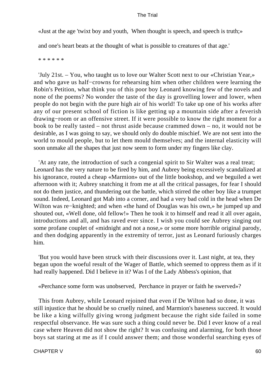«Just at the age 'twixt boy and youth, When thought is speech, and speech is truth;»

and one's heart beats at the thought of what is possible to creatures of that age.'

\* \* \* \* \* \*

 'July 21st. – You, who taught us to love our Walter Scott next to our «Christian Year,» and who gave us half−crowns for rehearsing him when other children were learning the Robin's Petition, what think you of this poor boy Leonard knowing few of the novels and none of the poems? No wonder the taste of the day is grovelling lower and lower, when people do not begin with the pure high air of his world! To take up one of his works after any of our present school of fiction is like getting up a mountain side after a feverish drawing−room or an offensive street. If it were possible to know the right moment for a book to be really tasted – not thrust aside because crammed down – no, it would not be desirable, as I was going to say, we should only do double mischief. We are not sent into the world to mould people, but to let them mould themselves; and the internal elasticity will soon unmake all the shapes that just now seem to form under my fingers like clay.

 'At any rate, the introduction of such a congenial spirit to Sir Walter was a real treat; Leonard has the very nature to be fired by him, and Aubrey being excessively scandalized at his ignorance, routed a cheap «Marmion» out of the little bookshop, and we beguiled a wet afternoon with it; Aubrey snatching it from me at all the critical passages, for fear I should not do them justice, and thundering out the battle, which stirred the other boy like a trumpet sound. Indeed, Leonard got Mab into a corner, and had a very bad cold in the head when De Wilton was re−knighted; and when «the hand of Douglas was his own,» he jumped up and shouted out, «Well done, old fellow!» Then he took it to himself and read it all over again, introductions and all, and has raved ever since. I wish you could see Aubrey singing out some profane couplet of «midnight and not a nose,» or some more horrible original parody, and then dodging apparently in the extremity of terror, just as Leonard furiously charges him.

 'But you would have been struck with their discussions over it. Last night, at tea, they began upon the woeful result of the Wager of Battle, which seemed to oppress them as if it had really happened. Did I believe in it? Was I of the Lady Abbess's opinion, that

«Perchance some form was unobserved, Perchance in prayer or faith he swerved»?

 This from Aubrey, while Leonard rejoined that even if De Wilton had so done, it was still injustice that he should be so cruelly ruined, and Marmion's baseness succeed. It would be like a king wilfully giving wrong judgment because the right side failed in some respectful observance. He was sure such a thing could never be. Did I ever know of a real case where Heaven did not show the right? It was confusing and alarming, for both those boys sat staring at me as if I could answer them; and those wonderful searching eyes of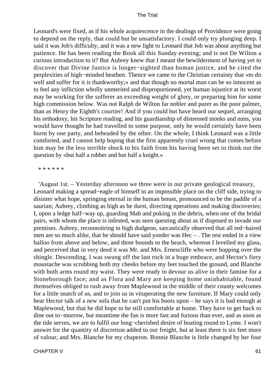Leonard's were fixed, as if his whole acquiescence in the dealings of Providence were going to depend on the reply, that could but be unsatisfactory. I could only try plunging deep. I said it was Job's difficulty, and it was a new light to Leonard that Job was about anything but patience. He has been reading the Book all this Sunday evening; and is not De Wilton a curious introduction to it? But Aubrey knew that I meant the bewilderment of having yet to discover that Divine Justice is longer−sighted than human justice, and he cited the perplexities of high−minded heathen. Thence we came to the Christian certainty that «to do well and suffer for it is thankworthy; and that though no mortal man can be so innocent as to feel any infliction wholly unmerited and disproportioned, yet human injustice at its worst may be working for the sufferer an exceeding weight of glory, or preparing him for some high commission below. Was not Ralph de Wilton far nobler and purer as the poor palmer, than as Henry the Eighth's courtier! And if you could but have heard our sequel, arranging his orthodoxy, his Scripture reading, and his guardianship of distressed monks and nuns, you would have thought he had travelled to some purpose, only he would certainly have been burnt by one party, and beheaded by the other. On the whole, I think Leonard was a little comforted, and I cannot help hoping that the first apparently cruel wrong that comes before him may be the less terrible shock to his faith from his having been set to think out the question by «but half a robber and but half a knight.»

#### \* \* \* \* \* \*

 'August 1st. – Yesterday afternoon we three were in our private geological treasury, Leonard making a spread−eagle of himself in an impossible place on the cliff side, trying to disinter what hope, springing eternal in the human breast, pronounced to be the paddle of a saurian; Aubrey, climbing as high as he durst, directing operations and making discoveries; I, upon a ledge half−way up, guarding Mab and poking in the debris, when one of the bridal pairs, with whom the place is infested, was seen questing about as if disposed to invade our premises. Aubrey, reconnoitring in high dudgeon, sarcastically observed that all red−haired men are so much alike, that he should have said yonder was Hec – . The rest ended in a view halloo from above and below, and three bounds to the beach, whereon I levelled my glass, and perceived that in very deed it was Mr. and Mrs. Ernescliffe who were hopping over the shingle. Descending, I was swung off the last rock in a huge embrace, and Hector's fiery moustache was scrubbing both my cheeks before my feet touched the ground, and Blanche with both arms round my waist. They were ready to devour us alive in their famine for a Stoneborough face; and as Flora and Mary are keeping home uninhabitable, found themselves obliged to rush away from Maplewood in the middle of their county welcomes for a little snatch of us, and to join us in vituperating the new furniture. If Mary could only hear Hector talk of a new sofa that he can't put his boots upon – he says it is bad enough at Maplewood, but that he did hope to be still comfortable at home. They have to get back to dine out to−morrow, but meantime the fun is more fast and furious than ever, and as soon as the tide serves, we are to fulfil our long−cherished desire of boating round to Lyme. I won't answer for the quantity of discretion added to our freight, but at least there is six feet more of valour, and Mrs. Blanche for my chaperon. Bonnie Blanche is little changed by her four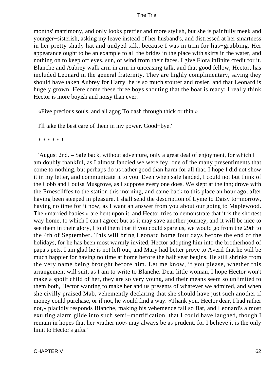months' matrimony, and only looks prettier and more stylish, but she is painfully meek and younger−sisterish, asking my leave instead of her husband's, and distressed at her smartness in her pretty shady hat and undyed silk, because I was in trim for lias−grubbing. Her appearance ought to be an example to all the brides in the place with skirts in the water, and nothing on to keep off eyes, sun, or wind from their faces. I give Flora infinite credit for it. Blanche and Aubrey walk arm in arm in unceasing talk, and that good fellow, Hector, has included Leonard in the general fraternity. They are highly complimentary, saying they should have taken Aubrey for Harry, he is so much stouter and rosier, and that Leonard is hugely grown. Here come these three boys shouting that the boat is ready; I really think Hector is more boyish and noisy than ever.

«Five precious souls, and all agog To dash through thick or thin.»

I'll take the best care of them in my power. Good−bye.'

\* \* \* \* \* \*

 'August 2nd. – Safe back, without adventure, only a great deal of enjoyment, for which I am doubly thankful, as I almost fancied we were fey, one of the many presentiments that come to nothing, but perhaps do us rather good than harm for all that. I hope I did not show it in my letter, and communicate it to you. Even when safe landed, I could not but think of the Cobb and Louisa Musgrove, as I suppose every one does. We slept at the inn; drove with the Ernescliffes to the station this morning, and came back to this place an hour ago, after having been steeped in pleasure. I shall send the description of Lyme to Daisy to−morrow, having no time for it now, as I want an answer from you about our going to Maplewood. The «married babies » are bent upon it, and Hector tries to demonstrate that it is the shortest way home, to which I can't agree; but as it may save another journey, and it will be nice to see them in their glory, I told them that if you could spare us, we would go from the 29th to the 4th of September. This will bring Leonard home four days before the end of the holidays, for he has been most warmly invited, Hector adopting him into the brotherhood of papa's pets. I am glad he is not left out; and Mary had better prove to Averil that he will be much happier for having no time at home before the half year begins. He still shrinks from the very name being brought before him. Let me know, if you please, whether this arrangement will suit, as I am to write to Blanche. Dear little woman, I hope Hector won't make a spoilt child of her, they are so very young, and their means seem so unlimited to them both, Hector wanting to make her and us presents of whatever we admired, and when she civilly praised Mab, vehemently declaring that she should have just such another if money could purchase, or if not, he would find a way. «Thank you, Hector dear, I had rather not,» placidly responds Blanche, making his vehemence fall so flat, and Leonard's almost exulting alarm glide into such semi−mortification, that I could have laughed, though I remain in hopes that her «rather not» may always be as prudent, for I believe it is the only limit to Hector's gifts.'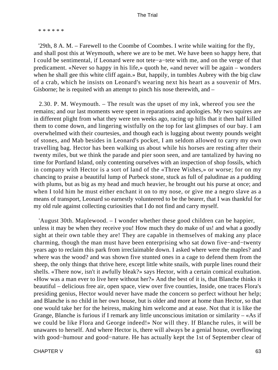\* \* \* \* \* \*

 '29th, 8 A. M. – Farewell to the Coombe of Coombes. I write while waiting for the fly, and shall post this at Weymouth, where we are to be met. We have been so happy here, that I could be sentimental, if Leonard were not tete−a−tete with me, and on the verge of that predicament. «Never so happy in his life,» quoth he, «and never will be again – wonders when he shall gee this white cliff again.» But, happily, in tumbles Aubrey with the big claw of a crab, which he insists on Leonard's wearing next his heart as a souvenir of Mrs. Gisborne; he is requited with an attempt to pinch his nose therewith, and –

 2.30. P. M. Weymouth. – The result was the upset of my ink, whereof you see the remains; and our last moments were spent in reparations and apologies. My two squires are in different plight from what they were ten weeks ago, racing up hills that it then half killed them to come down, and lingering wistfully on the top for last glimpses of our bay. I am overwhelmed with their courtesies, and though each is lugging about twenty pounds weight of stones, and Mab besides in Leonard's pocket, I am seldom allowed to carry my own travelling bag. Hector has been walking us about while his horses are resting after their twenty miles, but we think the parade and pier soon seen, and are tantalized by having no time for Portland Island, only contenting ourselves with an inspection of shop fossils, which in company with Hector is a sort of land of the «Three Wishes,» or worse; for on my chancing to praise a beautiful lump of Purbeck stone, stuck as full of paludinae as a pudding with plums, but as big as my head and much heavier, he brought out his purse at once; and when I told him he must either enchant it on to my nose, or give me a negro slave as a means of transport, Leonard so earnestly volunteered to be the bearer, that I was thankful for my old rule against collecting curiosities that I do not find and carry myself.

 'August 30th. Maplewood. – I wonder whether these good children can be happier, unless it may be when they receive you! How much they do make of us! and what a goodly sight at their own table they are! They are capable in themselves of making any place charming, though the man must have been enterprising who sat down five−and−twenty years ago to reclaim this park from irreclaimable down. I asked where were the maples? and where was the wood? and was shown five stunted ones in a cage to defend them from the sheep, the only things that thrive here, except little white snails, with purple lines round their shells. «There now, isn't it awfully bleak?» says Hector, with a certain comical exultation. «How was a man ever to live here without her?» And the best of it is, that Blanche thinks it beautiful – delicious free air, open space, view over five counties, Inside, one traces Flora's presiding genius, Hector would never have made the concern so perfect without her help; and Blanche is no child in her own house, but is older and more at home than Hector, so that one would take her for the heiress, making him welcome and at ease. Not that it is like the Grange, Blanche is furious if I remark any little unconscious imitation or similarity – «As if we could be like Flora and George indeed!» Nor will they. If Blanche rules, it will be unawares to herself. And where Hector is, there will always be a genial house, overflowing with good−humour and good−nature. He has actually kept the 1st of September clear of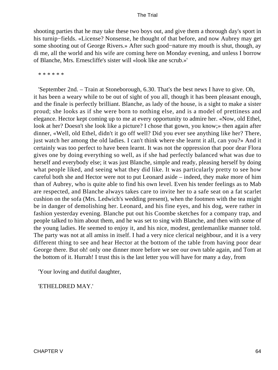shooting parties that he may take these two boys out, and give them a thorough day's sport in his turnip−fields. «License? Nonsense, he thought of that before, and now Aubrey may get some shooting out of George Rivers.» After such good−nature my mouth is shut, though, ay di me, all the world and his wife are coming here on Monday evening, and unless I borrow of Blanche, Mrs. Ernescliffe's sister will «look like ane scrub.»'

\* \* \* \* \* \*

 'September 2nd. – Train at Stoneborough, 6.30. That's the best news I have to give. Oh, it has been a weary while to be out of sight of you all, though it has been pleasant enough, and the finale is perfectly brilliant. Blanche, as lady of the house, is a sight to make a sister proud; she looks as if she were born to nothing else, and is a model of prettiness and elegance. Hector kept coming up to me at every opportunity to admire her. «Now, old Ethel, look at her? Doesn't she look like a picture? I chose that gown, you know;» then again after dinner, «Well, old Ethel, didn't it go off well? Did you ever see anything like her? There, just watch her among the old ladies. I can't think where she learnt it all, can you?» And it certainly was too perfect to have been learnt. It was not the oppression that poor dear Flora gives one by doing everything so well, as if she had perfectly balanced what was due to herself and everybody else; it was just Blanche, simple and ready, pleasing herself by doing what people liked, and seeing what they did like. It was particularly pretty to see how careful both she and Hector were not to put Leonard aside – indeed, they make more of him than of Aubrey, who is quite able to find his own level. Even his tender feelings as to Mab are respected, and Blanche always takes care to invite her to a safe seat on a fat scarlet cushion on the sofa (Mrs. Ledwich's wedding present), when the footmen with the tea might be in danger of demolishing her. Leonard, and his fine eyes, and his dog, were rather in fashion yesterday evening. Blanche put out his Coombe sketches for a company trap, and people talked to him about them, and he was set to sing with Blanche, and then with some of the young ladies. He seemed to enjoy it, and his nice, modest, gentlemanlike manner told. The party was not at all amiss in itself. I had a very nice clerical neighbour, and it is a very different thing to see and hear Hector at the bottom of the table from having poor dear George there. But oh! only one dinner more before we see our own table again, and Tom at the bottom of it. Hurrah! I trust this is the last letter you will have for many a day, from

'Your loving and dutiful daughter,

'ETHELDRED MAY.'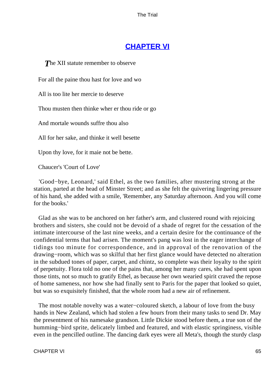# **[CHAPTER VI](#page-414-0)**

**The XII statute remember to observe** 

For all the paine thou hast for love and wo

All is too lite her mercie to deserve

Thou musten then thinke wher er thou ride or go

And mortale wounds suffre thou also

All for her sake, and thinke it well besette

Upon thy love, for it maie not be bette.

Chaucer's 'Court of Love'

 'Good−bye, Leonard,' said Ethel, as the two families, after mustering strong at the station, parted at the head of Minster Street; and as she felt the quivering lingering pressure of his hand, she added with a smile, 'Remember, any Saturday afternoon. And you will come for the books.'

 Glad as she was to be anchored on her father's arm, and clustered round with rejoicing brothers and sisters, she could not be devoid of a shade of regret for the cessation of the intimate intercourse of the last nine weeks, and a certain desire for the continuance of the confidential terms that had arisen. The moment's pang was lost in the eager interchange of tidings too minute for correspondence, and in approval of the renovation of the drawing−room, which was so skilful that her first glance would have detected no alteration in the subdued tones of paper, carpet, and chintz, so complete was their loyalty to the spirit of perpetuity. Flora told no one of the pains that, among her many cares, she had spent upon those tints, not so much to gratify Ethel, as because her own wearied spirit craved the repose of home sameness, nor how she had finally sent to Paris for the paper that looked so quiet, but was so exquisitely finished, that the whole room had a new air of refinement.

 The most notable novelty was a water−coloured sketch, a labour of love from the busy hands in New Zealand, which had stolen a few hours from their many tasks to send Dr. May the presentment of his namesake grandson. Little Dickie stood before them, a true son of the humming−bird sprite, delicately limbed and featured, and with elastic springiness, visible even in the pencilled outline. The dancing dark eyes were all Meta's, though the sturdy clasp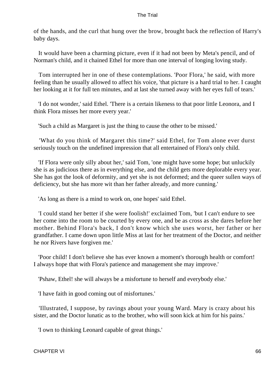of the hands, and the curl that hung over the brow, brought back the reflection of Harry's baby days.

 It would have been a charming picture, even if it had not been by Meta's pencil, and of Norman's child, and it chained Ethel for more than one interval of longing loving study.

 Tom interrupted her in one of these contemplations. 'Poor Flora,' he said, with more feeling than he usually allowed to affect his voice, 'that picture is a hard trial to her. I caught her looking at it for full ten minutes, and at last she turned away with her eyes full of tears.'

 'I do not wonder,' said Ethel. 'There is a certain likeness to that poor little Leonora, and I think Flora misses her more every year.'

'Such a child as Margaret is just the thing to cause the other to be missed.'

 'What do you think of Margaret this time?' said Ethel, for Tom alone ever durst seriously touch on the undefined impression that all entertained of Flora's only child.

 'If Flora were only silly about her,' said Tom, 'one might have some hope; but unluckily she is as judicious there as in everything else, and the child gets more deplorable every year. She has got the look of deformity, and yet she is not deformed; and the queer sullen ways of deficiency, but she has more wit than her father already, and more cunning.'

'As long as there is a mind to work on, one hopes' said Ethel.

 'I could stand her better if she were foolish!' exclaimed Tom, 'but I can't endure to see her come into the room to be courted by every one, and be as cross as she dares before her mother. Behind Flora's back, I don't know which she uses worst, her father or her grandfather. I came down upon little Miss at last for her treatment of the Doctor, and neither he nor Rivers have forgiven me.'

 'Poor child! I don't believe she has ever known a moment's thorough health or comfort! I always hope that with Flora's patience and management she may improve.'

'Pshaw, Ethel! she will always be a misfortune to herself and everybody else.'

'I have faith in good coming out of misfortunes.'

 'Illustrated, I suppose, by ravings about your young Ward. Mary is crazy about his sister, and the Doctor lunatic as to the brother, who will soon kick at him for his pains.'

'I own to thinking Leonard capable of great things.'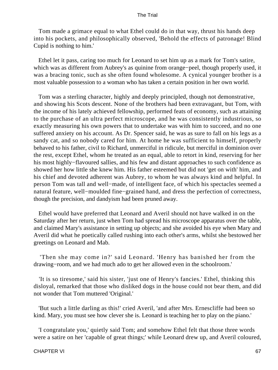Tom made a grimace equal to what Ethel could do in that way, thrust his hands deep into his pockets, and philosophically observed, 'Behold the effects of patronage! Blind Cupid is nothing to him.'

 Ethel let it pass, caring too much for Leonard to set him up as a mark for Tom's satire, which was as different from Aubrey's as quinine from orange−peel, though properly used, it was a bracing tonic, such as she often found wholesome. A cynical younger brother is a most valuable possession to a woman who has taken a certain position in her own world.

 Tom was a sterling character, highly and deeply principled, though not demonstrative, and showing his Scots descent. None of the brothers had been extravagant, but Tom, with the income of his lately achieved fellowship, performed feats of economy, such as attaining to the purchase of an ultra perfect microscope, and he was consistently industrious, so exactly measuring his own powers that to undertake was with him to succeed, and no one suffered anxiety on his account. As Dr. Spencer said, he was as sure to fall on his legs as a sandy cat, and so nobody cared for him. At home he was sufficient to himself, properly behaved to his father, civil to Richard, unmerciful in ridicule, but merciful in dominion over the rest, except Ethel, whom he treated as an equal, able to retort in kind, reserving for her his most highly−flavoured sallies, and his few and distant approaches to such confidence as showed her how little she knew him. His father esteemed but did not 'get on with' him, and his chief and devoted adherent was Aubrey, to whom he was always kind and helpful. In person Tom was tall and well−made, of intelligent face, of which his spectacles seemed a natural feature, well−moulded fine−grained hand, and dress the perfection of correctness, though the precision, and dandyism had been pruned away.

 Ethel would have preferred that Leonard and Averil should not have walked in on the Saturday after her return, just when Tom had spread his microscope apparatus over the table, and claimed Mary's assistance in setting up objects; and she avoided his eye when Mary and Averil did what he poetically called rushing into each other's arms, whilst she bestowed her greetings on Leonard and Mab.

 'Then she may come in?' said Leonard. 'Henry has banished her from the drawing−room, and we had much ado to get her allowed even in the schoolroom.'

 'It is so tiresome,' said his sister, 'just one of Henry's fancies.' Ethel, thinking this disloyal, remarked that those who disliked dogs in the house could not bear them, and did not wonder that Tom muttered 'Original.'

 'But such a little darling as this!' cried Averil, 'and after Mrs. Ernescliffe had been so kind. Mary, you must see how clever she is. Leonard is teaching her to play on the piano.'

 'I congratulate you,' quietly said Tom; and somehow Ethel felt that those three words were a satire on her 'capable of great things;' while Leonard drew up, and Averil coloured,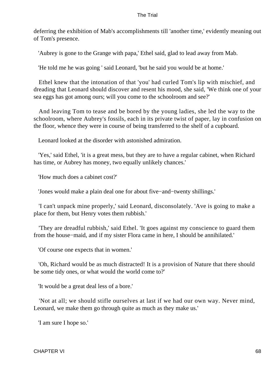deferring the exhibition of Mab's accomplishments till 'another time,' evidently meaning out of Tom's presence.

'Aubrey is gone to the Grange with papa,' Ethel said, glad to lead away from Mab.

'He told me he was going ' said Leonard, 'but he said you would be at home.'

 Ethel knew that the intonation of that 'you' had curled Tom's lip with mischief, and dreading that Leonard should discover and resent his mood, she said, 'We think one of your sea eggs has got among ours; will you come to the schoolroom and see?'

 And leaving Tom to tease and be bored by the young ladies, she led the way to the schoolroom, where Aubrey's fossils, each in its private twist of paper, lay in confusion on the floor, whence they were in course of being transferred to the shelf of a cupboard.

Leonard looked at the disorder with astonished admiration.

 'Yes,' said Ethel, 'it is a great mess, but they are to have a regular cabinet, when Richard has time, or Aubrey has money, two equally unlikely chances.'

'How much does a cabinet cost?'

'Jones would make a plain deal one for about five−and−twenty shillings.'

 'I can't unpack mine properly,' said Leonard, disconsolately. 'Ave is going to make a place for them, but Henry votes them rubbish.'

 'They are dreadful rubbish,' said Ethel. 'It goes against my conscience to guard them from the house−maid, and if my sister Flora came in here, I should be annihilated.'

'Of course one expects that in women.'

 'Oh, Richard would be as much distracted! It is a provision of Nature that there should be some tidy ones, or what would the world come to?'

'It would be a great deal less of a bore.'

 'Not at all; we should stifle ourselves at last if we had our own way. Never mind, Leonard, we make them go through quite as much as they make us.'

'I am sure I hope so.'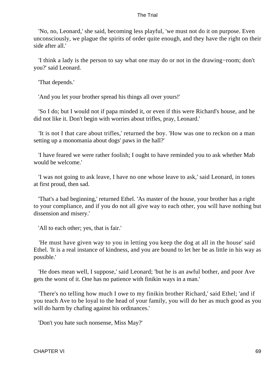'No, no, Leonard,' she said, becoming less playful, 'we must not do it on purpose. Even unconsciously, we plague the spirits of order quite enough, and they have the right on their side after all.'

 'I think a lady is the person to say what one may do or not in the drawing−room; don't you?' said Leonard.

'That depends.'

'And you let your brother spread his things all over yours!'

 'So I do; but I would not if papa minded it, or even if this were Richard's house, and he did not like it. Don't begin with worries about trifles, pray, Leonard.'

 'It is not I that care about trifles,' returned the boy. 'How was one to reckon on a man setting up a monomania about dogs' paws in the hall?'

 'I have feared we were rather foolish; I ought to have reminded you to ask whether Mab would be welcome.'

 'I was not going to ask leave, I have no one whose leave to ask,' said Leonard, in tones at first proud, then sad.

 'That's a bad beginning,' returned Ethel. 'As master of the house, your brother has a right to your compliance, and if you do not all give way to each other, you will have nothing but dissension and misery.'

'All to each other; yes, that is fair.'

 'He must have given way to you in letting you keep the dog at all in the house' said Ethel. 'It is a real instance of kindness, and you are bound to let her be as little in his way as possible.'

 'He does mean well, I suppose,' said Leonard; 'but he is an awful bother, and poor Ave gets the worst of it. One has no patience with finikin ways in a man.'

 'There's no telling how much I owe to my finikin brother Richard,' said Ethel; 'and if you teach Ave to be loyal to the head of your family, you will do her as much good as you will do harm by chafing against his ordinances.'

'Don't you hate such nonsense, Miss May?'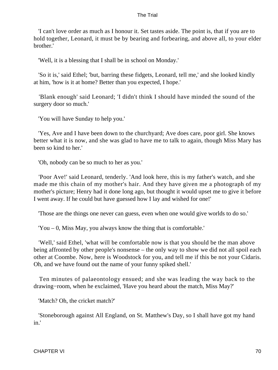'I can't love order as much as I honour it. Set tastes aside. The point is, that if you are to hold together, Leonard, it must be by bearing and forbearing, and above all, to your elder brother.'

'Well, it is a blessing that I shall be in school on Monday.'

 'So it is,' said Ethel; 'but, barring these fidgets, Leonard, tell me,' and she looked kindly at him, 'how is it at home? Better than you expected, I hope.'

 'Blank enough' said Leonard; 'I didn't think I should have minded the sound of the surgery door so much.'

'You will have Sunday to help you.'

 'Yes, Ave and I have been down to the churchyard; Ave does care, poor girl. She knows better what it is now, and she was glad to have me to talk to again, though Miss Mary has been so kind to her.'

'Oh, nobody can be so much to her as you.'

 'Poor Ave!' said Leonard, tenderly. 'And look here, this is my father's watch, and she made me this chain of my mother's hair. And they have given me a photograph of my mother's picture; Henry had it done long ago, but thought it would upset me to give it before I went away. If he could but have guessed how I lay and wished for one!'

'Those are the things one never can guess, even when one would give worlds to do so.'

'You – 0, Miss May, you always know the thing that is comfortable.'

 'Well,' said Ethel, 'what will be comfortable now is that you should be the man above being affronted by other people's nonsense – the only way to show we did not all spoil each other at Coombe. Now, here is Woodstock for you, and tell me if this be not your Cidaris. Oh, and we have found out the name of your funny spiked shell.'

 Ten minutes of palaeontology ensued; and she was leading the way back to the drawing−room, when he exclaimed, 'Have you heard about the match, Miss May?'

'Match? Oh, the cricket match?'

 'Stoneborough against All England, on St. Matthew's Day, so I shall have got my hand in.'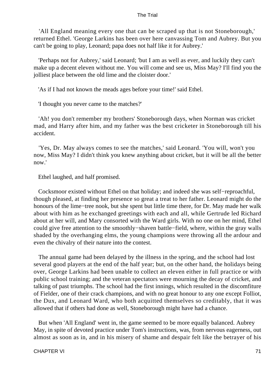'All England meaning every one that can be scraped up that is not Stoneborough,' returned Ethel. 'George Larkins has been over here canvassing Tom and Aubrey. But you can't be going to play, Leonard; papa does not half like it for Aubrey.'

 'Perhaps not for Aubrey,' said Leonard; 'but I am as well as ever, and luckily they can't make up a decent eleven without me. You will come and see us, Miss May? I'll find you the jolliest place between the old lime and the cloister door.'

'As if I had not known the meads ages before your time!' said Ethel.

'I thought you never came to the matches?'

 'Ah! you don't remember my brothers' Stoneborough days, when Norman was cricket mad, and Harry after him, and my father was the best cricketer in Stoneborough till his accident.

 'Yes, Dr. May always comes to see the matches,' said Leonard. 'You will, won't you now, Miss May? I didn't think you knew anything about cricket, but it will be all the better now.'

Ethel laughed, and half promised.

 Cocksmoor existed without Ethel on that holiday; and indeed she was self−reproachful, though pleased, at finding her presence so great a treat to her father. Leonard might do the honours of the lime−tree nook, but she spent but little time there, for Dr. May made her walk about with him as he exchanged greetings with each and all, while Gertrude led Richard about at her will, and Mary consorted with the Ward girls. With no one on her mind, Ethel could give free attention to the smoothly−shaven battle−field, where, within the gray walls shaded by the overhanging elms, the young champions were throwing all the ardour and even the chivalry of their nature into the contest.

 The annual game had been delayed by the illness in the spring, and the school had lost several good players at the end of the half year; but, on the other hand, the holidays being over, George Larkins had been unable to collect an eleven either in full practice or with public school training; and the veteran spectators were mourning the decay of cricket, and talking of past triumphs. The school had the first innings, which resulted in the discomfiture of Fielder, one of their crack champions, and with no great honour to any one except Folliot, the Dux, and Leonard Ward, who both acquitted themselves so creditably, that it was allowed that if others had done as well, Stoneborough might have had a chance.

 But when 'All England' went in, the game seemed to be more equally balanced. Aubrey May, in spite of devoted practice under Tom's instructions, was, from nervous eagerness, out almost as soon as in, and in his misery of shame and despair felt like the betrayer of his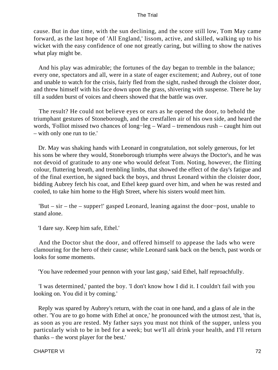cause. But in due time, with the sun declining, and the score still low, Tom May came forward, as the last hope of 'All England,' lissom, active, and skilled, walking up to his wicket with the easy confidence of one not greatly caring, but willing to show the natives what play might be.

 And his play was admirable; the fortunes of the day began to tremble in the balance; every one, spectators and all, were in a state of eager excitement; and Aubrey, out of tone and unable to watch for the crisis, fairly fled from the sight, rushed through the cloister door, and threw himself with his face down upon the grass, shivering with suspense. There he lay till a sudden burst of voices and cheers showed that the battle was over.

 The result? He could not believe eyes or ears as he opened the door, to behold the triumphant gestures of Stoneborough, and the crestfallen air of his own side, and heard the words, 'Folliot missed two chances of long−leg – Ward – tremendous rush – caught him out – with only one run to tie.'

 Dr. May was shaking hands with Leonard in congratulation, not solely generous, for let his sons be where they would, Stoneborough triumphs were always the Doctor's, and he was not devoid of gratitude to any one who would defeat Tom. Noting, however, the flitting colour, fluttering breath, and trembling limbs, that showed the effect of the day's fatigue and of the final exertion, he signed back the boys, and thrust Leonard within the cloister door, bidding Aubrey fetch his coat, and Ethel keep guard over him, and when he was rested and cooled, to take him home to the High Street, where his sisters would meet him.

 'But – sir – the – supper!' gasped Leonard, leaning against the door−post, unable to stand alone.

'I dare say. Keep him safe, Ethel.'

 And the Doctor shut the door, and offered himself to appease the lads who were clamouring for the hero of their cause; while Leonard sank back on the bench, past words or looks for some moments.

'You have redeemed your pennon with your last gasp,' said Ethel, half reproachfully.

 'I was determined,' panted the boy. 'I don't know how I did it. I couldn't fail with you looking on. You did it by coming.'

 Reply was spared by Aubrey's return, with the coat in one hand, and a glass of ale in the other. 'You are to go home with Ethel at once,' he pronounced with the utmost zest, 'that is, as soon as you are rested. My father says you must not think of the supper, unless you particularly wish to be in bed for a week; but we'll all drink your health, and I'll return thanks – the worst player for the best.'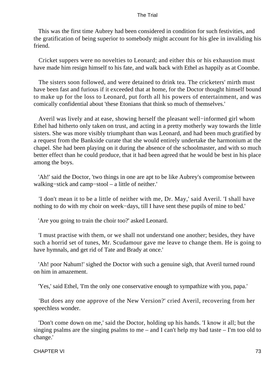This was the first time Aubrey had been considered in condition for such festivities, and the gratification of being superior to somebody might account for his glee in invaliding his friend.

 Cricket suppers were no novelties to Leonard; and either this or his exhaustion must have made him resign himself to his fate, and walk back with Ethel as happily as at Coombe.

 The sisters soon followed, and were detained to drink tea. The cricketers' mirth must have been fast and furious if it exceeded that at home, for the Doctor thought himself bound to make up for the loss to Leonard, put forth all his powers of entertainment, and was comically confidential about 'these Etonians that think so much of themselves.'

 Averil was lively and at ease, showing herself the pleasant well−informed girl whom Ethel had hitherto only taken on trust, and acting in a pretty motherly way towards the little sisters. She was more visibly triumphant than was Leonard, and had been much gratified by a request from the Bankside curate that she would entirely undertake the harmonium at the chapel. She had been playing on it during the absence of the schoolmaster, and with so much better effect than he could produce, that it had been agreed that he would be best in his place among the boys.

 'Ah!' said the Doctor, 'two things in one are apt to be like Aubrey's compromise between walking−stick and camp−stool – a little of neither.'

 'I don't mean it to be a little of neither with me, Dr. May,' said Averil. 'I shall have nothing to do with my choir on week−days, till I have sent these pupils of mine to bed.'

'Are you going to train the choir too?' asked Leonard.

 'I must practise with them, or we shall not understand one another; besides, they have such a horrid set of tunes, Mr. Scudamour gave me leave to change them. He is going to have hymnals, and get rid of Tate and Brady at once.'

 'Ah! poor Nahum!' sighed the Doctor with such a genuine sigh, that Averil turned round on him in amazement.

'Yes,' said Ethel, 'I'm the only one conservative enough to sympathize with you, papa.'

 'But does any one approve of the New Version?' cried Averil, recovering from her speechless wonder.

 'Don't come down on me,' said the Doctor, holding up his hands. 'I know it all; but the singing psalms are the singing psalms to me – and I can't help my bad taste – I'm too old to change.'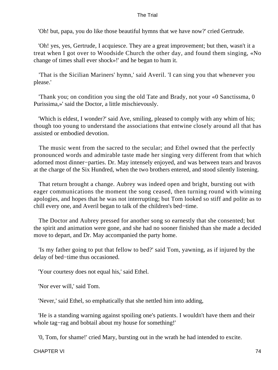'Oh! but, papa, you do like those beautiful hymns that we have now?' cried Gertrude.

 'Oh! yes, yes, Gertrude, I acquiesce. They are a great improvement; but then, wasn't it a treat when I got over to Woodside Church the other day, and found them singing, «No change of times shall ever shock»!' and he began to hum it.

 'That is the Sicilian Mariners' hymn,' said Averil. 'I can sing you that whenever you please.'

 'Thank you; on condition you sing the old Tate and Brady, not your «0 Sanctissma, 0 Purissima,»' said the Doctor, a little mischievously.

 'Which is eldest, I wonder?' said Ave, smiling, pleased to comply with any whim of his; though too young to understand the associations that entwine closely around all that has assisted or embodied devotion.

 The music went from the sacred to the secular; and Ethel owned that the perfectly pronounced words and admirable taste made her singing very different from that which adorned most dinner−parties. Dr. May intensely enjoyed, and was between tears and bravos at the charge of the Six Hundred, when the two brothers entered, and stood silently listening.

 That return brought a change. Aubrey was indeed open and bright, bursting out with eager communications the moment the song ceased, then turning round with winning apologies, and hopes that he was not interrupting; but Tom looked so stiff and polite as to chill every one, and Averil began to talk of the children's bed−time.

 The Doctor and Aubrey pressed for another song so earnestly that she consented; but the spirit and animation were gone, and she had no sooner finished than she made a decided move to depart, and Dr. May accompanied the party home.

 'Is my father going to put that fellow to bed?' said Tom, yawning, as if injured by the delay of bed−time thus occasioned.

'Your courtesy does not equal his,' said Ethel.

'Nor ever will,' said Tom.

'Never,' said Ethel, so emphatically that she nettled him into adding,

 'He is a standing warning against spoiling one's patients. I wouldn't have them and their whole tag−rag and bobtail about my house for something!'

'0, Tom, for shame!' cried Mary, bursting out in the wrath he had intended to excite.

CHAPTER VI 74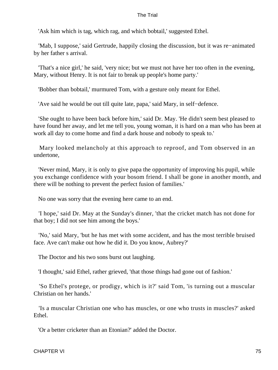'Ask him which is tag, which rag, and which bobtail,' suggested Ethel.

 'Mab, I suppose,' said Gertrude, happily closing the discussion, but it was re−animated by her father s arrival.

 'That's a nice girl,' he said, 'very nice; but we must not have her too often in the evening, Mary, without Henry. It is not fair to break up people's home party.'

'Bobber than bobtail,' murmured Tom, with a gesture only meant for Ethel.

'Ave said he would be out till quite late, papa,' said Mary, in self−defence.

 'She ought to have been back before him,' said Dr. May. 'He didn't seem best pleased to have found her away, and let me tell you, young woman, it is hard on a man who has been at work all day to come home and find a dark house and nobody to speak to.'

 Mary looked melancholy at this approach to reproof, and Tom observed in an undertone,

 'Never mind, Mary, it is only to give papa the opportunity of improving his pupil, while you exchange confidence with your bosom friend. I shall be gone in another month, and there will be nothing to prevent the perfect fusion of families.'

No one was sorry that the evening here came to an end.

 'I hope,' said Dr. May at the Sunday's dinner, 'that the cricket match has not done for that boy; I did not see him among the boys.'

 'No,' said Mary, 'but he has met with some accident, and has the most terrible bruised face. Ave can't make out how he did it. Do you know, Aubrey?'

The Doctor and his two sons burst out laughing.

'I thought,' said Ethel, rather grieved, 'that those things had gone out of fashion.'

 'So Ethel's protege, or prodigy, which is it?' said Tom, 'is turning out a muscular Christian on her hands.'

 'Is a muscular Christian one who has muscles, or one who trusts in muscles?' asked Ethel.

'Or a better cricketer than an Etonian?' added the Doctor.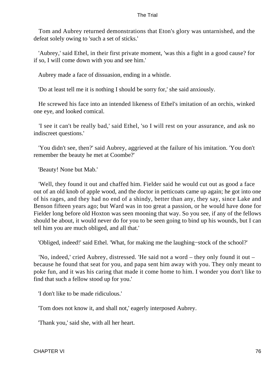Tom and Aubrey returned demonstrations that Eton's glory was untarnished, and the defeat solely owing to 'such a set of sticks.'

 'Aubrey,' said Ethel, in their first private moment, 'was this a fight in a good cause? for if so, I will come down with you and see him.'

Aubrey made a face of dissuasion, ending in a whistle.

'Do at least tell me it is nothing I should be sorry for,' she said anxiously.

 He screwed his face into an intended likeness of Ethel's imitation of an orchis, winked one eye, and looked comical.

 'I see it can't be really bad,' said Ethel, 'so I will rest on your assurance, and ask no indiscreet questions.'

 'You didn't see, then?' said Aubrey, aggrieved at the failure of his imitation. 'You don't remember the beauty he met at Coombe?'

'Beauty! None but Mab.'

 'Well, they found it out and chaffed him. Fielder said he would cut out as good a face out of an old knob of apple wood, and the doctor in petticoats came up again; he got into one of his rages, and they had no end of a shindy, better than any, they say, since Lake and Benson fifteen years ago; but Ward was in too great a passion, or he would have done for Fielder long before old Hoxton was seen mooning that way. So you see, if any of the fellows should be about, it would never do for you to be seen going to bind up his wounds, but I can tell him you are much obliged, and all that.'

'Obliged, indeed!' said Ethel. 'What, for making me the laughing−stock of the school?'

 'No, indeed,' cried Aubrey, distressed. 'He said not a word – they only found it out – because he found that seat for you, and papa sent him away with you. They only meant to poke fun, and it was his caring that made it come home to him. I wonder you don't like to find that such a fellow stood up for you.'

'I don't like to be made ridiculous.'

'Tom does not know it, and shall not,' eagerly interposed Aubrey.

'Thank you,' said she, with all her heart.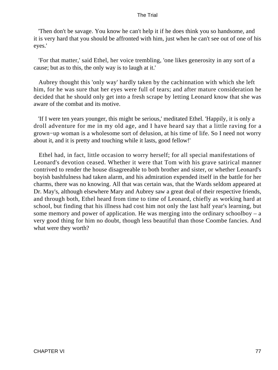'Then don't be savage. You know he can't help it if he does think you so handsome, and it is very hard that you should be affronted with him, just when he can't see out of one of his eyes.'

 'For that matter,' said Ethel, her voice trembling, 'one likes generosity in any sort of a cause; but as to this, the only way is to laugh at it.'

 Aubrey thought this 'only way' hardly taken by the cachinnation with which she left him, for he was sure that her eyes were full of tears; and after mature consideration he decided that he should only get into a fresh scrape by letting Leonard know that she was aware of the combat and its motive.

 'If I were ten years younger, this might be serious,' meditated Ethel. 'Happily, it is only a droll adventure for me in my old age, and I have heard say that a little raving for a grown−up woman is a wholesome sort of delusion, at his time of life. So I need not worry about it, and it is pretty and touching while it lasts, good fellow!'

 Ethel had, in fact, little occasion to worry herself; for all special manifestations of Leonard's devotion ceased. Whether it were that Tom with his grave satirical manner contrived to render the house disagreeable to both brother and sister, or whether Leonard's boyish bashfulness had taken alarm, and his admiration expended itself in the battle for her charms, there was no knowing. All that was certain was, that the Wards seldom appeared at Dr. May's, although elsewhere Mary and Aubrey saw a great deal of their respective friends, and through both, Ethel heard from time to time of Leonard, chiefly as working hard at school, but finding that his illness had cost him not only the last half year's learning, but some memory and power of application. He was merging into the ordinary schoolboy – a very good thing for him no doubt, though less beautiful than those Coombe fancies. And what were they worth?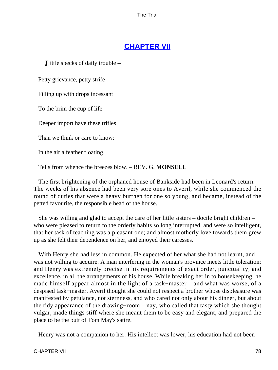# **[CHAPTER VII](#page-414-0)**

*L*ittle specks of daily trouble –

Petty grievance, petty strife –

Filling up with drops incessant

To the brim the cup of life.

Deeper import have these trifles

Than we think or care to know:

In the air a feather floating,

Tells from whence the breezes blow. – REV. G. **MONSELL**

 The first brightening of the orphaned house of Bankside had been in Leonard's return. The weeks of his absence had been very sore ones to Averil, while she commenced the round of duties that were a heavy burthen for one so young, and became, instead of the petted favourite, the responsible head of the house.

 She was willing and glad to accept the care of her little sisters – docile bright children – who were pleased to return to the orderly habits so long interrupted, and were so intelligent, that her task of teaching was a pleasant one; and almost motherly love towards them grew up as she felt their dependence on her, and enjoyed their caresses.

 With Henry she had less in common. He expected of her what she had not learnt, and was not willing to acquire. A man interfering in the woman's province meets little toleration; and Henry was extremely precise in his requirements of exact order, punctuality, and excellence, in all the arrangements of his house. While breaking her in to housekeeping, he made himself appear almost in the light of a task−master – and what was worse, of a despised task−master. Averil thought she could not respect a brother whose displeasure was manifested by petulance, not sternness, and who cared not only about his dinner, but about the tidy appearance of the drawing−room – nay, who called that tasty which she thought vulgar, made things stiff where she meant them to be easy and elegant, and prepared the place to be the butt of Tom May's satire.

Henry was not a companion to her. His intellect was lower, his education had not been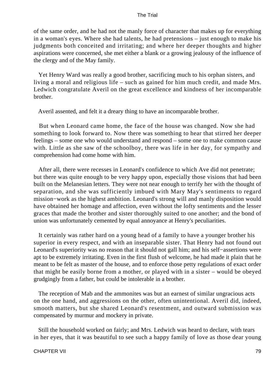of the same order, and he had not the manly force of character that makes up for everything in a woman's eyes. Where she had talents, he had pretensions – just enough to make his judgments both conceited and irritating; and where her deeper thoughts and higher aspirations were concerned, she met either a blank or a growing jealousy of the influence of the clergy and of the May family.

 Yet Henry Ward was really a good brother, sacrificing much to his orphan sisters, and living a moral and religious life – such as gained for him much credit, and made Mrs. Ledwich congratulate Averil on the great excellence and kindness of her incomparable brother.

Averil assented, and felt it a dreary thing to have an incomparable brother.

 But when Leonard came home, the face of the house was changed. Now she had something to look forward to. Now there was something to hear that stirred her deeper feelings – some one who would understand and respond – some one to make common cause with. Little as she saw of the schoolboy, there was life in her day, for sympathy and comprehension had come home with him.

 After all, there were recesses in Leonard's confidence to which Ave did not penetrate; but there was quite enough to be very happy upon, especially those visions that had been built on the Melanesian letters. They were not near enough to terrify her with the thought of separation, and she was sufficiently imbued with Mary May's sentiments to regard mission−work as the highest ambition. Leonard's strong will and manly disposition would have obtained her homage and affection, even without the lofty sentiments and the lesser graces that made the brother and sister thoroughly suited to one another; and the bond of union was unfortunately cemented by equal annoyance at Henry's peculiarities.

 It certainly was rather hard on a young head of a family to have a younger brother his superior in every respect, and with an inseparable sister. That Henry had not found out Leonard's superiority was no reason that it should not gall him; and his self−assertions were apt to be extremely irritating. Even in the first flush of welcome, he had made it plain that he meant to be felt as master of the house, and to enforce those petty regulations of exact order that might be easily borne from a mother, or played with in a sister – would be obeyed grudgingly from a father, but could be intolerable in a brother.

 The reception of Mab and the ammonites was but an earnest of similar ungracious acts on the one hand, and aggressions on the other, often unintentional. Averil did, indeed, smooth matters, but she shared Leonard's resentment, and outward submission was compensated by murmur and mockery in private.

 Still the household worked on fairly; and Mrs. Ledwich was heard to declare, with tears in her eyes, that it was beautiful to see such a happy family of love as those dear young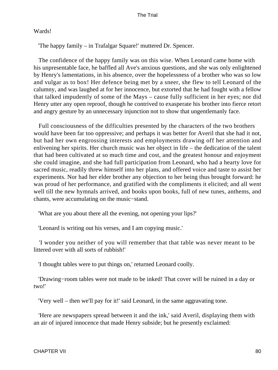### Wards!

'The happy family – in Trafalgar Square!' muttered Dr. Spencer.

 The confidence of the happy family was on this wise. When Leonard came home with his unpresentable face, he baffled all Ave's anxious questions, and she was only enlightened by Henry's lamentations, in his absence, over the hopelessness of a brother who was so low and vulgar as to box! Her defence being met by a sneer, she flew to tell Leonard of the calumny, and was laughed at for her innocence, but extorted that he had fought with a fellow that talked impudently of some of the Mays – cause fully sufficient in her eyes; nor did Henry utter any open reproof, though he contrived to exasperate his brother into fierce retort and angry gesture by an unnecessary injunction not to show that ungentlemanly face.

 Full consciousness of the difficulties presented by the characters of the two brothers would have been far too oppressive; and perhaps it was better for Averil that she had it not, but had her own engrossing interests and employments drawing off her attention and enlivening her spirits. Her church music was her object in life – the dedication of the talent that had been cultivated at so much time and cost, and the greatest honour and enjoyment she could imagine, and she had full participation from Leonard, who had a hearty love for sacred music, readily threw himself into her plans, and offered voice and taste to assist her experiments. Nor had her elder brother any objection to her being thus brought forward: he was proud of her performance, and gratified with the compliments it elicited; and all went well till the new hymnals arrived, and books upon books, full of new tunes, anthems, and chants, were accumulating on the music−stand.

'What are you about there all the evening, not opening your lips?'

'Leonard is writing out his verses, and I am copying music.'

 'I wonder you neither of you will remember that that table was never meant to be littered over with all sorts of rubbish!'

'I thought tables were to put things on,' returned Leonard coolly.

 'Drawing−room tables were not made to be inked! That cover will be ruined in a day or two!'

'Very well – then we'll pay for it!' said Leonard, in the same aggravating tone.

 'Here are newspapers spread between it and the ink,' said Averil, displaying them with an air of injured innocence that made Henry subside; but he presently exclaimed: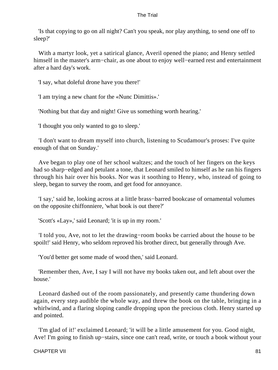'Is that copying to go on all night? Can't you speak, nor play anything, to send one off to sleep?'

 With a martyr look, yet a satirical glance, Averil opened the piano; and Henry settled himself in the master's arm−chair, as one about to enjoy well−earned rest and entertainment after a hard day's work.

'I say, what doleful drone have you there!'

'I am trying a new chant for the «Nunc Dimittis».'

'Nothing but that day and night! Give us something worth hearing.'

'I thought you only wanted to go to sleep.'

 'I don't want to dream myself into church, listening to Scudamour's proses: I've quite enough of that on Sunday.'

 Ave began to play one of her school waltzes; and the touch of her fingers on the keys had so sharp−edged and petulant a tone, that Leonard smiled to himself as he ran his fingers through his hair over his books. Nor was it soothing to Henry, who, instead of going to sleep, began to survey the room, and get food for annoyance.

 'I say,' said he, looking across at a little brass−barred bookcase of ornamental volumes on the opposite chiffonniere, 'what book is out there?'

'Scott's «Lay»,' said Leonard; 'it is up in my room.'

 'I told you, Ave, not to let the drawing−room books be carried about the house to be spoilt!' said Henry, who seldom reproved his brother direct, but generally through Ave.

'You'd better get some made of wood then,' said Leonard.

 'Remember then, Ave, I say I will not have my books taken out, and left about over the house.'

 Leonard dashed out of the room passionately, and presently came thundering down again, every step audible the whole way, and threw the book on the table, bringing in a whirlwind, and a flaring sloping candle dropping upon the precious cloth. Henry started up and pointed.

 'I'm glad of it!' exclaimed Leonard; 'it will be a little amusement for you. Good night, Ave! I'm going to finish up−stairs, since one can't read, write, or touch a book without your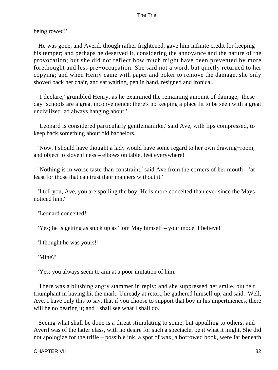being rowed!'

 He was gone, and Averil, though rather frightened, gave him infinite credit for keeping his temper; and perhaps he deserved it, considering the annoyance and the nature of the provocation; but she did not reflect how much might have been prevented by more forethought and less pre−occupation. She said not a word, but quietly returned to her copying; and when Henry came with paper and poker to remove the damage, she only shoved back her chair, and sat waiting, pen in hand, resigned and ironical.

 'I declare,' grumbled Henry, as he examined the remaining amount of damage, 'these day−schools are a great inconvenience; there's no keeping a place fit to be seen with a great uncivilized lad always hanging about!'

 'Leonard is considered particularly gentlemanlike,' said Ave, with lips compressed, to keep back something about old bachelors.

 'Now, I should have thought a lady would have some regard to her own drawing−room, and object to slovenliness – elbows on table, feet everywhere!'

 'Nothing is in worse taste than constraint,' said Ave from the corners of her mouth – 'at least for those that can trust their manners without it.'

 'I tell you, Ave, you are spoiling the boy. He is more conceited than ever since the Mays noticed him.'

'Leonard conceited!'

'Yes; he is getting as stuck up as Tom May himself – your model I believe!'

'I thought he was yours!'

'Mine?'

'Yes; you always seem to aim at a poor imitation of him.'

 There was a blushing angry stammer in reply; and she suppressed her smile, but felt triumphant in having hit the mark. Unready at retort, he gathered himself up, and said: 'Well, Ave, I have only this to say, that if you choose to support that boy in his impertinences, there will be no bearing it; and I shall see what I shall do.'

 Seeing what shall be done is a threat stimulating to some, but appalling to others; and Averil was of the latter class, with no desire for such a spectacle, be it what it might. She did not apologize for the trifle – possible ink, a spot of wax, a borrowed book, were far beneath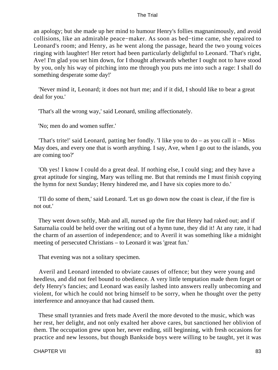an apology; but she made up her mind to humour Henry's follies magnanimously, and avoid collisions, like an admirable peace−maker. As soon as bed−time came, she repaired to Leonard's room; and Henry, as he went along the passage, heard the two young voices ringing with laughter! Her retort had been particularly delightful to Leonard. 'That's right, Ave! I'm glad you set him down, for I thought afterwards whether I ought not to have stood by you, only his way of pitching into me through you puts me into such a rage: I shall do something desperate some day!'

 'Never mind it, Leonard; it does not hurt me; and if it did, I should like to bear a great deal for you.'

'That's all the wrong way,' said Leonard, smiling affectionately.

'No; men do and women suffer.'

'That's trite!' said Leonard, patting her fondly. 'I like you to  $do - as$  you call it – Miss May does, and every one that is worth anything. I say, Ave, when I go out to the islands, you are coming too?'

 'Oh yes! I know I could do a great deal. If nothing else, I could sing; and they have a great aptitude for singing, Mary was telling me. But that reminds me I must finish copying the hymn for next Sunday; Henry hindered me, and I have six copies more to do.'

 'I'll do some of them,' said Leonard. 'Let us go down now the coast is clear, if the fire is not out.'

 They went down softly, Mab and all, nursed up the fire that Henry had raked out; and if Saturnalia could be held over the writing out of a hymn tune, they did it! At any rate, it had the charm of an assertion of independence; and to Averil it was something like a midnight meeting of persecuted Christians – to Leonard it was 'great fun.'

That evening was not a solitary specimen.

 Averil and Leonard intended to obviate causes of offence; but they were young and heedless, and did not feel bound to obedience. A very little temptation made them forget or defy Henry's fancies; and Leonard was easily lashed into answers really unbecoming and violent, for which he could not bring himself to be sorry, when he thought over the petty interference and annoyance that had caused them.

 These small tyrannies and frets made Averil the more devoted to the music, which was her rest, her delight, and not only exalted her above cares, but sanctioned her oblivion of them. The occupation grew upon her, never ending, still beginning, with fresh occasions for practice and new lessons, but though Bankside boys were willing to be taught, yet it was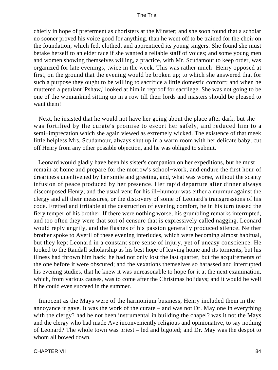chiefly in hope of preferment as choristers at the Minster; and she soon found that a scholar no sooner proved his voice good for anything. than he went off to be trained for the choir on the foundation, which fed, clothed, and apprenticed its young singers. She found she must betake herself to an elder race if she wanted a reliable staff of voices; and some young men and women showing themselves willing, a practice, with Mr. Scudamour to keep order, was organized for late evenings, twice in the week. This was rather much! Henry opposed at first, on the ground that the evening would be broken up; to which she answered that for such a purpose they ought to be willing to sacrifice a little domestic comfort; and when he muttered a petulant 'Pshaw,' looked at him in reproof for sacrilege. She was not going to be one of the womankind sitting up in a row till their lords and masters should be pleased to want them!

 Next, he insisted that he would not have her going about the place after dark, but she was fortified by the curate's promise to escort her safely, and reduced him to a semi−imprecation which she again viewed as extremely wicked. The existence of that meek little helpless Mrs. Scudamour, always shut up in a warm room with her delicate baby, cut off Henry from any other possible objection, and he was obliged to submit.

 Leonard would gladly have been his sister's companion on her expeditions, but he must remain at home and prepare for the morrow's school−work, and endure the first hour of dreariness unenlivened by her smile and greeting, and, what was worse, without the scanty infusion of peace produced by her presence. Her rapid departure after dinner always discomposed Henry; and the usual vent for his ill−humour was either a murmur against the clergy and all their measures, or the discovery of some of Leonard's transgressions of his code. Fretted and irritable at the destruction of evening comfort, he in his turn teased the fiery temper of his brother. If there were nothing worse, his grumbling remarks interrupted, and too often they were that sort of censure that is expressively called nagging. Leonard would reply angrily, and the flashes of his passion generally produced silence. Neither brother spoke to Averil of these evening interludes, which were becoming almost habitual, but they kept Leonard in a constant sore sense of injury, yet of uneasy conscience. He looked to the Randall scholarship as his best hope of leaving home and its torments, but his illness had thrown him back: he had not only lost the last quarter, but the acquirements of the one before it were obscured; and the vexations themselves so harassed and interrupted his evening studies, that he knew it was unreasonable to hope for it at the next examination, which, from various causes, was to come after the Christmas holidays; and it would be well if he could even succeed in the summer.

 Innocent as the Mays were of the harmonium business, Henry included them in the annoyance it gave. It was the work of the curate – and was not Dr. May one in everything with the clergy? had he not been instrumental in building the chapel? was it not the Mays and the clergy who had made Ave inconveniently religious and opinionative, to say nothing of Leonard? The whole town was priest – led and bigoted; and Dr. May was the despot to whom all bowed down.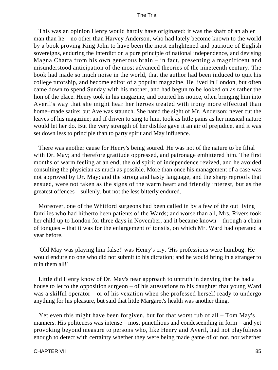This was an opinion Henry would hardly have originated: it was the shaft of an abler man than he – no other than Harvey Anderson, who had lately become known to the world by a book proving King John to have been the most enlightened and patriotic of English sovereigns, enduring the Interdict on a pure principle of national independence, and devising Magna Charta from his own generous brain – in fact, presenting a magnificent and misunderstood anticipation of the most advanced theories of the nineteenth century. The book had made so much noise in the world, that the author had been induced to quit his college tutorship, and become editor of a popular magazine. He lived in London, but often came down to spend Sunday with his mother, and had begun to be looked on as rather the lion of the place. Henry took in his magazine, and courted his notice, often bringing him into Averil's way that she might hear her heroes treated with irony more effectual than home−made satire; but Ave was staunch. She hated the sight of Mr. Anderson; never cut the leaves of his magazine; and if driven to sing to him, took as little pains as her musical nature would let her do. But the very strength of her dislike gave it an air of prejudice, and it was set down less to principle than to party spirit and May influence.

 There was another cause for Henry's being soured. He was not of the nature to be filial with Dr. May; and therefore gratitude oppressed, and patronage embittered him. The first months of warm feeling at an end, the old spirit of independence revived, and he avoided consulting the physician as much as possible. More than once his management of a case was not approved by Dr. May; and the strong and hasty language, and the sharp reproofs that ensued, were not taken as the signs of the warm heart and friendly interest, but as the greatest offences – sullenly, but not the less bitterly endured.

 Moreover, one of the Whitford surgeons had been called in by a few of the out−lying families who had hitherto been patients of the Wards; and worse than all, Mrs. Rivers took her child up to London for three days in November, and it became known – through a chain of tongues – that it was for the enlargement of tonsils, on which Mr. Ward had operated a year before.

 'Old May was playing him false!' was Henry's cry. 'His professions were humbug. He would endure no one who did not submit to his dictation; and he would bring in a stranger to ruin them all!'

 Little did Henry know of Dr. May's near approach to untruth in denying that he had a house to let to the opposition surgeon – of his attestations to his daughter that young Ward was a skilful operator – or of his vexation when she professed herself ready to undergo anything for his pleasure, but said that little Margaret's health was another thing.

 Yet even this might have been forgiven, but for that worst rub of all – Tom May's manners. His politeness was intense – most punctilious and condescending in form – and yet provoking beyond measure to persons who, like Henry and Averil, had not playfulness enough to detect with certainty whether they were being made game of or not, nor whether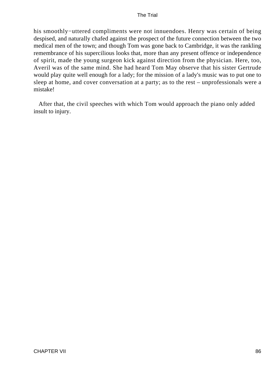his smoothly−uttered compliments were not innuendoes. Henry was certain of being despised, and naturally chafed against the prospect of the future connection between the two medical men of the town; and though Tom was gone back to Cambridge, it was the rankling remembrance of his supercilious looks that, more than any present offence or independence of spirit, made the young surgeon kick against direction from the physician. Here, too, Averil was of the same mind. She had heard Tom May observe that his sister Gertrude would play quite well enough for a lady; for the mission of a lady's music was to put one to sleep at home, and cover conversation at a party; as to the rest – unprofessionals were a mistake!

 After that, the civil speeches with which Tom would approach the piano only added insult to injury.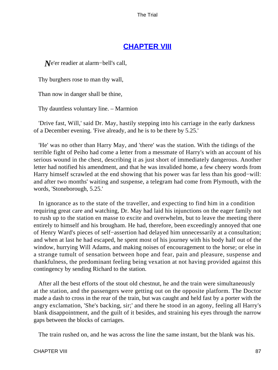### **[CHAPTER VIII](#page-414-0)**

*N*e'er readier at alarm–bell's call,

Thy burghers rose to man thy wall,

Than now in danger shall be thine,

Thy dauntless voluntary line. – Marmion

 'Drive fast, Will,' said Dr. May, hastily stepping into his carriage in the early darkness of a December evening. 'Five already, and he is to be there by 5.25.'

 'He' was no other than Harry May, and 'there' was the station. With the tidings of the terrible fight of Peiho had come a letter from a messmate of Harry's with an account of his serious wound in the chest, describing it as just short of immediately dangerous. Another letter had notified his amendment, and that he was invalided home, a few cheery words from Harry himself scrawled at the end showing that his power was far less than his good−will: and after two months' waiting and suspense, a telegram had come from Plymouth, with the words, 'Stoneborough, 5.25.'

 In ignorance as to the state of the traveller, and expecting to find him in a condition requiring great care and watching, Dr. May had laid his injunctions on the eager family not to rush up to the station en masse to excite and overwhelm, but to leave the meeting there entirely to himself and his brougham. He had, therefore, been exceedingly annoyed that one of Henry Ward's pieces of self−assertion had delayed him unnecessarily at a consultation; and when at last he had escaped, he spent most of his journey with his body half out of the window, hurrying Will Adams, and making noises of encouragement to the horse; or else in a strange tumult of sensation between hope and fear, pain and pleasure, suspense and thankfulness, the predominant feeling being vexation at not having provided against this contingency by sending Richard to the station.

 After all the best efforts of the stout old chestnut, he and the train were simultaneously at the station, and the passengers were getting out on the opposite platform. The Doctor made a dash to cross in the rear of the train, but was caught and held fast by a porter with the angry exclamation, 'She's backing, sir;' and there he stood in an agony, feeling all Harry's blank disappointment, and the guilt of it besides, and straining his eyes through the narrow gaps between the blocks of carriages.

The train rushed on, and he was across the line the same instant, but the blank was his.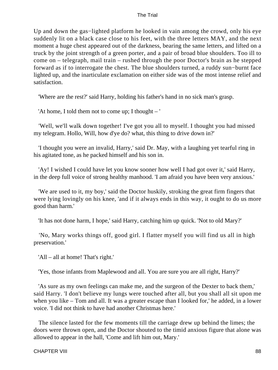Up and down the gas−lighted platform he looked in vain among the crowd, only his eye suddenly lit on a black case close to his feet, with the three letters MAY, and the next moment a huge chest appeared out of the darkness, bearing the same letters, and lifted on a truck by the joint strength of a green porter, and a pair of broad blue shoulders. Too ill to come on – telegraph, mail train – rushed through the poor Doctor's brain as he stepped forward as if to interrogate the chest. The blue shoulders turned, a ruddy sun−burnt face lighted up, and the inarticulate exclamation on either side was of the most intense relief and satisfaction.

'Where are the rest?' said Harry, holding his father's hand in no sick man's grasp.

'At home, I told them not to come up; I thought – '

 'Well, we'll walk down together! I've got you all to myself. I thought you had missed my telegram. Hollo, Will, how d'ye do? what, this thing to drive down in?'

 'I thought you were an invalid, Harry,' said Dr. May, with a laughing yet tearful ring in his agitated tone, as he packed himself and his son in.

 'Ay! I wished I could have let you know sooner how well I had got over it,' said Harry, in the deep full voice of strong healthy manhood. 'I am afraid you have been very anxious.'

 'We are used to it, my boy,' said the Doctor huskily, stroking the great firm fingers that were lying lovingly on his knee, 'and if it always ends in this way, it ought to do us more good than harm.'

'It has not done harm, I hope,' said Harry, catching him up quick. 'Not to old Mary?'

 'No, Mary works things off, good girl. I flatter myself you will find us all in high preservation.'

'All – all at home! That's right.'

'Yes, those infants from Maplewood and all. You are sure you are all right, Harry?'

 'As sure as my own feelings can make me, and the surgeon of the Dexter to back them,' said Harry. 'I don't believe my lungs were touched after all, but you shall all sit upon me when you like – Tom and all. It was a greater escape than I looked for,' he added, in a lower voice. 'I did not think to have had another Christmas here.'

 The silence lasted for the few moments till the carriage drew up behind the limes; the doors were thrown open, and the Doctor shouted to the timid anxious figure that alone was allowed to appear in the hall, 'Come and lift him out, Mary.'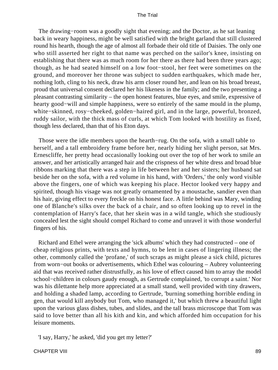The drawing–room was a goodly sight that evening; and the Doctor, as he sat leaning back in weary happiness, might be well satisfied with the bright garland that still clustered round his hearth, though the age of almost all forbade their old title of Daisies. The only one who still asserted her right to that name was perched on the sailor's knee, insisting on establishing that there was as much room for her there as there had been three years ago; though, as he had seated himself on a low foot−stool, her feet were sometimes on the ground, and moreover her throne was subject to sudden earthquakes, which made her, nothing loth, cling to his neck, draw his arm closer round her, and lean on his broad breast, proud that universal consent declared her his likeness in the family; and the two presenting a pleasant contrasting similarity – the open honest features, blue eyes, and smile, expressive of hearty good−will and simple happiness, were so entirely of the same mould in the plump, white−skinned, rosy−cheeked, golden−haired girl, and in the large, powerful, bronzed, ruddy sailor, with the thick mass of curls, at which Tom looked with hostility as fixed, though less declared, than that of his Eton days.

 Those were the idle members upon the hearth−rug. On the sofa, with a small table to herself, and a tall embroidery frame before her, nearly hiding her slight person, sat Mrs. Ernescliffe, her pretty head occasionally looking out over the top of her work to smile an answer, and her artistically arranged hair and the crispness of her white dress and broad blue ribbons marking that there was a step in life between her and her sisters; her husband sat beside her on the sofa, with a red volume in his hand, with 'Orders,' the only word visible above the fingers, one of which was keeping his place. Hector looked very happy and spirited, though his visage was not greatly ornamented by a moustache, sandier even than his hair, giving effect to every freckle on his honest face. A little behind was Mary, winding one of Blanche's silks over the back of a chair, and so often looking up to revel in the contemplation of Harry's face, that her skein was in a wild tangle, which she studiously concealed lest the sight should compel Richard to come and unravel it with those wonderful fingers of his.

 Richard and Ethel were arranging the 'sick albums' which they had constructed – one of cheap religious prints, with texts and hymns, to be lent in cases of lingering illness; the other, commonly called the 'profane,' of such scraps as might please a sick child, pictures from worn−out books or advertisements, which Ethel was colouring – Aubrey volunteering aid that was received rather distrustfully, as his love of effect caused him to array the model school−children in colours gaudy enough, as Gertrude complained, 'to corrupt a saint.' Nor was his dilettante help more appreciated at a small stand, well provided with tiny drawers, and holding a shaded lamp, according to Gertrude, 'burning something horrible ending in gen, that would kill anybody but Tom, who managed it,' but which threw a beautiful light upon the various glass dishes, tubes, and slides, and the tall brass microscope that Tom was said to love better than all his kith and kin, and which afforded him occupation for his leisure moments.

'I say, Harry,' he asked, 'did you get my letter?'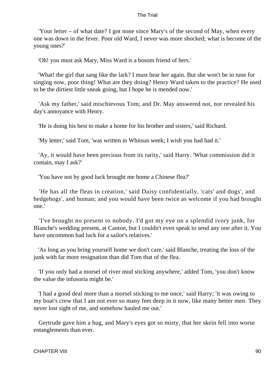'Your letter – of what date? I got none since Mary's of the second of May, when every one was down in the fever. Poor old Ward, I never was more shocked; what is become of the young ones?'

'Oh! you must ask Mary, Miss Ward is a bosom friend of hers.'

 'What! the girl that sang like the lark? I must hear her again. But she won't be in tune for singing now, poor thing! What are they doing? Henry Ward taken to the practice? He used to be the dirtiest little sneak going, but I hope he is mended now.'

 'Ask my father,' said mischievous Tom; and Dr. May answered not, nor revealed his day's annoyance with Henry.

'He is doing his best to make a home for his brother and sisters,' said Richard.

'My letter,' said Tom, 'was written in Whitsun week; I wish you had had it.'

 'Ay, it would have been precious from its rarity,' said Harry. 'What commission did it contain, may I ask?'

'You have not by good luck brought me home a Chinese flea?'

 'He has all the fleas in creation,' said Daisy confidentially, 'cats' and dogs', and hedgehogs', and human; and you would have been twice as welcome if you had brought one.'

 'I've brought no present to nobody. I'd got my eye on a splendid ivory junk, for Blanche's wedding present, at Canton, but I couldn't even speak to send any one after it. You have uncommon bad luck for a sailor's relatives.'

 'As long as you bring yourself home we don't care,' said Blanche, treating the loss of the junk with far more resignation than did Tom that of the flea.

 'If you only had a morsel of river mud sticking anywhere,' added Tom, 'you don't know the value the infusoria might be.'

 'I had a good deal more than a morsel sticking to me once,' said Harry; 'it was owing to my boat's crew that I am not ever so many feet deep in it now, like many better men. They never lost sight of me, and somehow hauled me out.'

 Gertrude gave him a hug, and Mary's eyes got so misty, that her skein fell into worse entanglements than ever.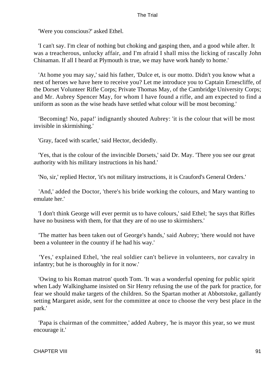'Were you conscious?' asked Ethel.

 'I can't say. I'm clear of nothing but choking and gasping then, and a good while after. It was a treacherous, unlucky affair, and I'm afraid I shall miss the licking of rascally John Chinaman. If all I heard at Plymouth is true, we may have work handy to home.'

 'At home you may say,' said his father, 'Dulce et, is our motto. Didn't you know what a nest of heroes we have here to receive you? Let me introduce you to Captain Ernescliffe, of the Dorset Volunteer Rifle Corps; Private Thomas May, of the Cambridge University Corps; and Mr. Aubrey Spencer May, for whom I have found a rifle, and am expected to find a uniform as soon as the wise heads have settled what colour will be most becoming.'

 'Becoming! No, papa!' indignantly shouted Aubrey: 'it is the colour that will be most invisible in skirmishing.'

'Gray, faced with scarlet,' said Hector, decidedly.

 'Yes, that is the colour of the invincible Dorsets,' said Dr. May. 'There you see our great authority with his military instructions in his hand.'

'No, sir,' replied Hector, 'it's not military instructions, it is Crauford's General Orders.'

 'And,' added the Doctor, 'there's his bride working the colours, and Mary wanting to emulate her.'

 'I don't think George will ever permit us to have colours,' said Ethel; 'he says that Rifles have no business with them, for that they are of no use to skirmishers.'

 'The matter has been taken out of George's hands,' said Aubrey; 'there would not have been a volunteer in the country if he had his way.'

 'Yes,' explained Ethel, 'the real soldier can't believe in volunteers, nor cavalry in infantry; but he is thoroughly in for it now.'

 'Owing to his Roman matron' quoth Tom. 'It was a wonderful opening for public spirit when Lady Walkinghame insisted on Sir Henry refusing the use of the park for practice, for fear we should make targets of the children. So the Spartan mother at Abbotstoke, gallantly setting Margaret aside, sent for the committee at once to choose the very best place in the park.'

 'Papa is chairman of the committee,' added Aubrey, 'he is mayor this year, so we must encourage it.'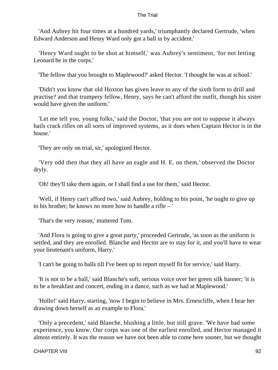'And Aubrey hit four times at a hundred yards,' triumphantly declared Gertrude, 'when Edward Anderson and Henry Ward only got a ball in by accident.'

 'Henry Ward ought to be shot at himself,' was Aubrey's sentiment, 'for not letting Leonard be in the corps.'

'The fellow that you brought to Maplewood?' asked Hector. 'I thought he was at school.'

 'Didn't you know that old Hoxton has given leave to any of the sixth form to drill and practise? and that trumpery fellow, Henry, says he can't afford the outfit, though his sister would have given the uniform.'

 'Let me tell you, young folks,' said the Doctor, 'that you are not to suppose it always hails crack rifles on all sorts of improved systems, as it does when Captain Hector is in the house.'

'They are only on trial, sir,' apologized Hector.

 'Very odd then that they all have an eagle and H. E. on them,' observed the Doctor dryly.

'Oh! they'll take them again, or I shall find a use for them,' said Hector.

 'Well, if Henry can't afford two,' said Aubrey, holding to his point, 'he ought to give up to his brother; he knows no more how to handle a rifle – '

'That's the very reason,' muttered Tom.

 'And Flora is going to give a great party,' proceeded Gertrude, 'as soon as the uniform is settled, and they are enrolled. Blanche and Hector are to stay for it, and you'll have to wear your lieutenant's uniform, Harry.'

'I can't be going to balls till I've been up to report myself fit for service,' said Harry.

 'It is not to be a ball,' said Blanche's soft, serious voice over her green silk banner; 'it is to be a breakfast and concert, ending in a dance, such as we had at Maplewood.'

 'Hollo!' said Harry, starting, 'now I begin to believe in Mrs. Ernescliffe, when I hear her drawing down herself as an example to Flora.'

 'Only a precedent,' said Blanche, blushing a little, but still grave. 'We have had some experience, you know. Our corps was one of the earliest enrolled, and Hector managed it almost entirely. It was the reason we have not been able to come here sooner, but we thought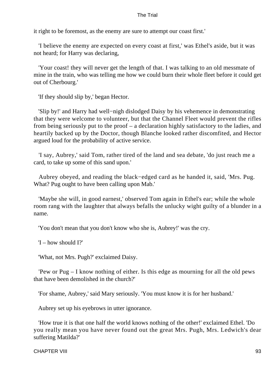it right to be foremost, as the enemy are sure to attempt our coast first.'

 'I believe the enemy are expected on every coast at first,' was Ethel's aside, but it was not heard; for Harry was declaring,

 'Your coast! they will never get the length of that. I was talking to an old messmate of mine in the train, who was telling me how we could burn their whole fleet before it could get out of Cherbourg.'

'If they should slip by,' began Hector.

 'Slip by!' and Harry had well−nigh dislodged Daisy by his vehemence in demonstrating that they were welcome to volunteer, but that the Channel Fleet would prevent the rifles from being seriously put to the proof – a declaration highly satisfactory to the ladies, and heartily backed up by the Doctor, though Blanche looked rather discomfited, and Hector argued loud for the probability of active service.

 'I say, Aubrey,' said Tom, rather tired of the land and sea debate, 'do just reach me a card, to take up some of this sand upon.'

 Aubrey obeyed, and reading the black−edged card as he handed it, said, 'Mrs. Pug. What? Pug ought to have been calling upon Mab.'

 'Maybe she will, in good earnest,' observed Tom again in Ethel's ear; while the whole room rang with the laughter that always befalls the unlucky wight guilty of a blunder in a name.

'You don't mean that you don't know who she is, Aubrey!' was the cry.

'I – how should I?'

'What, not Mrs. Pugh?' exclaimed Daisy.

 'Pew or Pug – I know nothing of either. Is this edge as mourning for all the old pews that have been demolished in the church?'

'For shame, Aubrey,' said Mary seriously. 'You must know it is for her husband.'

Aubrey set up his eyebrows in utter ignorance.

 'How true it is that one half the world knows nothing of the other!' exclaimed Ethel. 'Do you really mean you have never found out the great Mrs. Pugh, Mrs. Ledwich's dear suffering Matilda?'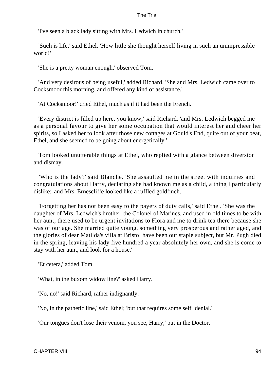'I've seen a black lady sitting with Mrs. Ledwich in church.'

 'Such is life,' said Ethel. 'How little she thought herself living in such an unimpressible world!'

'She is a pretty woman enough,' observed Tom.

 'And very desirous of being useful,' added Richard. 'She and Mrs. Ledwich came over to Cocksmoor this morning, and offered any kind of assistance.'

'At Cocksmoor!' cried Ethel, much as if it had been the French.

 'Every district is filled up here, you know,' said Richard, 'and Mrs. Ledwich begged me as a personal favour to give her some occupation that would interest her and cheer her spirits, so I asked her to look after those new cottages at Gould's End, quite out of your beat, Ethel, and she seemed to be going about energetically.'

 Tom looked unutterable things at Ethel, who replied with a glance between diversion and dismay.

 'Who is the lady?' said Blanche. 'She assaulted me in the street with inquiries and congratulations about Harry, declaring she had known me as a child, a thing I particularly dislike:' and Mrs. Ernescliffe looked like a ruffled goldfinch.

 'Forgetting her has not been easy to the payers of duty calls,' said Ethel. 'She was the daughter of Mrs. Ledwich's brother, the Colonel of Marines, and used in old times to be with her aunt; there used to be urgent invitations to Flora and me to drink tea there because she was of our age. She married quite young, something very prosperous and rather aged, and the glories of dear Matilda's villa at Bristol have been our staple subject, but Mr. Pugh died in the spring, leaving his lady five hundred a year absolutely her own, and she is come to stay with her aunt, and look for a house.'

'Et cetera,' added Tom.

'What, in the buxom widow line?' asked Harry.

'No, no!' said Richard, rather indignantly.

'No, in the pathetic line,' said Ethel; 'but that requires some self−denial.'

'Our tongues don't lose their venom, you see, Harry,' put in the Doctor.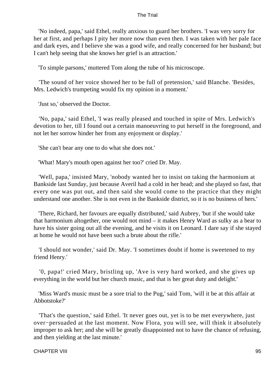'No indeed, papa,' said Ethel, really anxious to guard her brothers. 'I was very sorry for her at first, and perhaps I pity her more now than even then. I was taken with her pale face and dark eyes, and I believe she was a good wife, and really concerned for her husband; but I can't help seeing that she knows her grief is an attraction.'

'To simple parsons,' muttered Tom along the tube of his microscope.

 'The sound of her voice showed her to be full of pretension,' said Blanche. 'Besides, Mrs. Ledwich's trumpeting would fix my opinion in a moment.'

'Just so,' observed the Doctor.

 'No, papa,' said Ethel, 'I was really pleased and touched in spite of Mrs. Ledwich's devotion to her, till I found out a certain manoeuvring to put herself in the foreground, and not let her sorrow hinder her from any enjoyment or display.'

'She can't bear any one to do what she does not.'

'What! Mary's mouth open against her too?' cried Dr. May.

 'Well, papa,' insisted Mary, 'nobody wanted her to insist on taking the harmonium at Bankside last Sunday, just because Averil had a cold in her head; and she played so fast, that every one was put out, and then said she would come to the practice that they might understand one another. She is not even in the Bankside district, so it is no business of hers.'

 'There, Richard, her favours are equally distributed,' said Aubrey, 'but if she would take that harmonium altogether, one would not mind – it makes Henry Ward as sulky as a bear to have his sister going out all the evening, and he visits it on Leonard. I dare say if she stayed at home he would not have been such a brute about the rifle.'

 'I should not wonder,' said Dr. May. 'I sometimes doubt if home is sweetened to my friend Henry.'

 '0, papa!' cried Mary, bristling up, 'Ave is very hard worked, and she gives up everything in the world but her church music, and that is her great duty and delight.'

 'Miss Ward's music must be a sore trial to the Pug,' said Tom, 'will it be at this affair at Abbotstoke?'

 'That's the question,' said Ethel. 'It never goes out, yet is to be met everywhere, just over−persuaded at the last moment. Now Flora, you will see, will think it absolutely improper to ask her; and she will be greatly disappointed not to have the chance of refusing, and then yielding at the last minute.'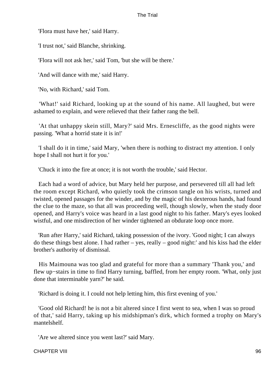'Flora must have her,' said Harry.

'I trust not,' said Blanche, shrinking.

'Flora will not ask her,' said Tom, 'but she will be there.'

'And will dance with me,' said Harry.

'No, with Richard,' said Tom.

 'What!' said Richard, looking up at the sound of his name. All laughed, but were ashamed to explain, and were relieved that their father rang the bell.

 'At that unhappy skein still, Mary?' said Mrs. Ernescliffe, as the good nights were passing. 'What a horrid state it is in!'

 'I shall do it in time,' said Mary, 'when there is nothing to distract my attention. I only hope I shall not hurt it for you.'

'Chuck it into the fire at once; it is not worth the trouble,' said Hector.

 Each had a word of advice, but Mary held her purpose, and persevered till all had left the room except Richard, who quietly took the crimson tangle on his wrists, turned and twisted, opened passages for the winder, and by the magic of his dexterous hands, had found the clue to the maze, so that all was proceeding well, though slowly, when the study door opened, and Harry's voice was heard in a last good night to his father. Mary's eyes looked wistful, and one misdirection of her winder tightened an obdurate loop once more.

 'Run after Harry,' said Richard, taking possession of the ivory. 'Good night; I can always do these things best alone. I had rather – yes, really – good night:' and his kiss had the elder brother's authority of dismissal.

 His Maimouna was too glad and grateful for more than a summary 'Thank you,' and flew up−stairs in time to find Harry turning, baffled, from her empty room. 'What, only just done that interminable yarn?' he said.

'Richard is doing it. I could not help letting him, this first evening of you.'

 'Good old Richard! he is not a bit altered since I first went to sea, when I was so proud of that,' said Harry, taking up his midshipman's dirk, which formed a trophy on Mary's mantelshelf.

'Are we altered since you went last?' said Mary.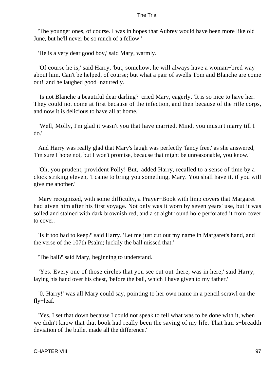'The younger ones, of course. I was in hopes that Aubrey would have been more like old June, but he'll never be so much of a fellow.'

'He is a very dear good boy,' said Mary, warmly.

 'Of course he is,' said Harry, 'but, somehow, he will always have a woman−bred way about him. Can't be helped, of course; but what a pair of swells Tom and Blanche are come out!' and he laughed good−naturedly.

 'Is not Blanche a beautiful dear darling?' cried Mary, eagerly. 'It is so nice to have her. They could not come at first because of the infection, and then because of the rifle corps, and now it is delicious to have all at home.'

 'Well, Molly, I'm glad it wasn't you that have married. Mind, you mustn't marry till I do.'

 And Harry was really glad that Mary's laugh was perfectly 'fancy free,' as she answered, 'I'm sure I hope not, but I won't promise, because that might be unreasonable, you know.'

 'Oh, you prudent, provident Polly! But,' added Harry, recalled to a sense of time by a clock striking eleven, 'I came to bring you something, Mary. You shall have it, if you will give me another.'

 Mary recognized, with some difficulty, a Prayer−Book with limp covers that Margaret had given him after his first voyage. Not only was it worn by seven years' use, but it was soiled and stained with dark brownish red, and a straight round hole perforated it from cover to cover.

 'Is it too bad to keep?' said Harry. 'Let me just cut out my name in Margaret's hand, and the verse of the 107th Psalm; luckily the ball missed that.'

'The ball?' said Mary, beginning to understand.

 'Yes. Every one of those circles that you see cut out there, was in here,' said Harry, laying his hand over his chest, 'before the ball, which I have given to my father.'

 '0, Harry!' was all Mary could say, pointing to her own name in a pencil scrawl on the fly−leaf.

 'Yes, I set that down because I could not speak to tell what was to be done with it, when we didn't know that that book had really been the saving of my life. That hair's−breadth deviation of the bullet made all the difference.'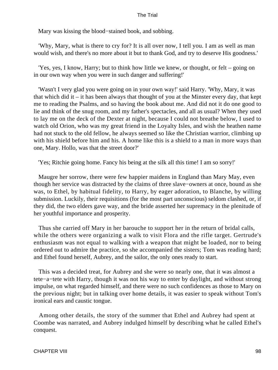Mary was kissing the blood−stained book, and sobbing.

 'Why, Mary, what is there to cry for? It is all over now, I tell you. I am as well as man would wish, and there's no more about it but to thank God, and try to deserve His goodness.'

 'Yes, yes, I know, Harry; but to think how little we knew, or thought, or felt – going on in our own way when you were in such danger and suffering!'

 'Wasn't I very glad you were going on in your own way!' said Harry. 'Why, Mary, it was that which did it – it has been always that thought of you at the Minster every day, that kept me to reading the Psalms, and so having the book about me. And did not it do one good to lie and think of the snug room, and my father's spectacles, and all as usual? When they used to lay me on the deck of the Dexter at night, because I could not breathe below, I used to watch old Orion, who was my great friend in the Loyalty Isles, and wish the heathen name had not stuck to the old fellow, he always seemed so like the Christian warrior, climbing up with his shield before him and his. A home like this is a shield to a man in more ways than one, Mary. Hollo, was that the street door?'

'Yes; Ritchie going home. Fancy his being at the silk all this time! I am so sorry!'

 Maugre her sorrow, there were few happier maidens in England than Mary May, even though her service was distracted by the claims of three slave−owners at once, bound as she was, to Ethel, by habitual fidelity, to Harry, by eager adoration, to Blanche, by willing submission. Luckily, their requisitions (for the most part unconscious) seldom clashed, or, if they did, the two elders gave way, and the bride asserted her supremacy in the plenitude of her youthful importance and prosperity.

 Thus she carried off Mary in her barouche to support her in the return of bridal calls, while the others were organizing a walk to visit Flora and the rifle target. Gertrude's enthusiasm was not equal to walking with a weapon that might be loaded, nor to being ordered out to admire the practice, so she accompanied the sisters; Tom was reading hard; and Ethel found herself, Aubrey, and the sailor, the only ones ready to start.

 This was a decided treat, for Aubrey and she were so nearly one, that it was almost a tete−a−tete with Harry, though it was not his way to enter by daylight, and without strong impulse, on what regarded himself, and there were no such confidences as those to Mary on the previous night; but in talking over home details, it was easier to speak without Tom's ironical ears and caustic tongue.

 Among other details, the story of the summer that Ethel and Aubrey had spent at Coombe was narrated, and Aubrey indulged himself by describing what he called Ethel's conquest.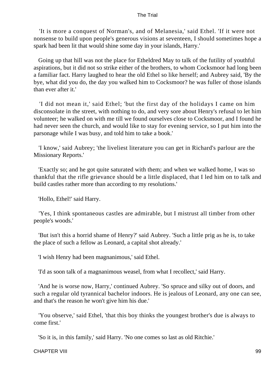'It is more a conquest of Norman's, and of Melanesia,' said Ethel. 'If it were not nonsense to build upon people's generous visions at seventeen, I should sometimes hope a spark had been lit that would shine some day in your islands, Harry.'

 Going up that hill was not the place for Etheldred May to talk of the futility of youthful aspirations, but it did not so strike either of the brothers, to whom Cocksmoor had long been a familiar fact. Harry laughed to hear the old Ethel so like herself; and Aubrey said, 'By the bye, what did you do, the day you walked him to Cocksmoor? he was fuller of those islands than ever after it.'

 'I did not mean it,' said Ethel; 'but the first day of the holidays I came on him disconsolate in the street, with nothing to do, and very sore about Henry's refusal to let him volunteer; he walked on with me till we found ourselves close to Cocksmoor, and I found he had never seen the church, and would like to stay for evening service, so I put him into the parsonage while I was busy, and told him to take a book.'

 'I know,' said Aubrey; 'the liveliest literature you can get in Richard's parlour are the Missionary Reports.'

 'Exactly so; and he got quite saturated with them; and when we walked home, I was so thankful that the rifle grievance should be a little displaced, that I led him on to talk and build castles rather more than according to my resolutions.'

'Hollo, Ethel!' said Harry.

 'Yes, I think spontaneous castles are admirable, but I mistrust all timber from other people's woods.'

 'But isn't this a horrid shame of Henry?' said Aubrey. 'Such a little prig as he is, to take the place of such a fellow as Leonard, a capital shot already.'

'I wish Henry had been magnanimous,' said Ethel.

'I'd as soon talk of a magnanimous weasel, from what I recollect,' said Harry.

 'And he is worse now, Harry,' continued Aubrey. 'So spruce and silky out of doors, and such a regular old tyrannical bachelor indoors. He is jealous of Leonard, any one can see, and that's the reason he won't give him his due.'

 'You observe,' said Ethel, 'that this boy thinks the youngest brother's due is always to come first.'

'So it is, in this family,' said Harry. 'No one comes so last as old Ritchie.'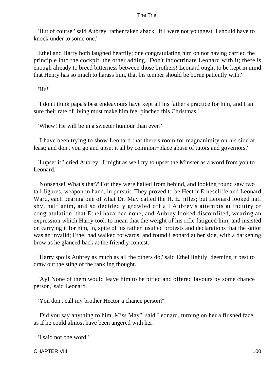'But of course,' said Aubrey, rather taken aback, 'if I were not youngest, I should have to knock under to some one.'

 Ethel and Harry both laughed heartily; one congratulating him on not having carried the principle into the cockpit, the other adding, 'Don't indoctrinate Leonard with it; there is enough already to breed bitterness between those brothers! Leonard ought to be kept in mind that Henry has so much to harass him, that his temper should be borne patiently with.'

'He!'

 'I don't think papa's best endeavours have kept all his father's practice for him, and I am sure their rate of living must make him feel pinched this Christmas.'

'Whew! He will be in a sweeter humour than ever!'

 'I have been trying to show Leonard that there's room for magnanimity on his side at least; and don't you go and upset it all by common−place abuse of tutors and governors.'

 'I upset it!' cried Aubrey: 'I might as well try to upset the Minster as a word from you to Leonard.'

 'Nonsense! What's that?' For they were hailed from behind, and looking round saw two tall figures, weapon in hand, in pursuit. They proved to be Hector Ernescliffe and Leonard Ward, each bearing one of what Dr. May called the H. E. rifles; but Leonard looked half shy, half grim, and so decidedly growled off all Aubrey's attempts at inquiry or congratulation, that Ethel hazarded none, and Aubrey looked discomfited, wearing an expression which Harry took to mean that the weight of his rifle fatigued him, and insisted on carrying it for him, in, spite of his rather insulted protests and declarations that the sailor was an invalid; Ethel had walked forwards, and found Leonard at her side, with a darkening brow as he glanced back at the friendly contest.

 'Harry spoils Aubrey as much as all the others do,' said Ethel lightly, deeming it best to draw out the sting of the rankling thought.

 'Ay! None of them would leave him to be pitied and offered favours by some chance person,' said Leonard.

'You don't call my brother Hector a chance person?'

 'Did you say anything to him, Miss May?' said Leonard, turning on her a flushed face, as if he could almost have been angered with her.

'I said not one word.'

CHAPTER VIII 100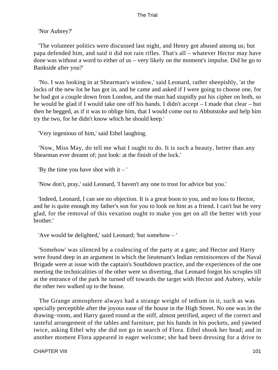'Nor Aubrey?'

 'The volunteer politics were discussed last night, and Henry got abused among us; but papa defended him, and said it did not rain rifles. That's all – whatever Hector may have done was without a word to either of us – very likely on the moment's impulse. Did he go to Bankside after you?'

 'No. I was looking in at Shearman's window,' said Leonard, rather sheepishly, 'at the locks of the new lot he has got in, and he came and asked if I were going to choose one, for he had got a couple down from London, and the man had stupidly put his cipher on both, so he would be glad if I would take one off his hands. I didn't accept – I made that clear – but then he begged, as if it was to oblige him, that I would come out to Abbotstoke and help him try the two, for he didn't know which he should keep.'

'Very ingenious of him,' said Ethel laughing.

 'Now, Miss May, do tell me what I ought to do. It is such a beauty, better than any Shearman ever dreamt of; just look: at the finish of the lock.'

'By the time you have shot with it  $-$ '

'Now don't, pray,' said Leonard, 'I haven't any one to trust for advice but you.'

 'Indeed, Leonard, I can see no objection. It is a great boon to you, and no loss to Hector, and he is quite enough my father's son for you to look on him as a friend. I can't but be very glad, for the removal of this vexation ought to make you get on all the better with your brother.'

'Ave would be delighted,' said Leonard; 'but somehow – '

 'Somehow' was silenced by a coalescing of the party at a gate; and Hector and Harry were found deep in an argument in which the lieutenant's Indian reminiscences of the Naval Brigade were at issue with the captain's Southdown practice, and the experiences of the one meeting the technicalities of the other were so diverting, that Leonard forgot his scruples till at the entrance of the park he turned off towards the target with Hector and Aubrey, while the other two walked up to the house.

 The Grange atmosphere always had a strange weight of tedium in it, such as was specially perceptible after the joyous ease of the house in the High Street. No one was in the drawing−room, and Harry gazed round at the stiff, almost petrified, aspect of the correct and tasteful arrangement of the tables and furniture, put his hands in his pockets, and yawned twice, asking Ethel why she did not go in search of Flora. Ethel shook her head; and in another moment Flora appeared in eager welcome; she had been dressing for a drive to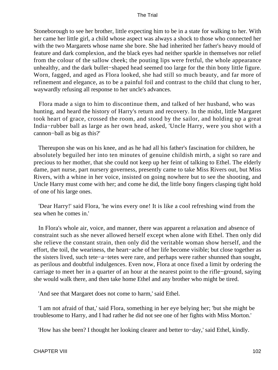Stoneborough to see her brother, little expecting him to be in a state for walking to her. With her came her little girl, a child whose aspect was always a shock to those who connected her with the two Margarets whose name she bore. She had inherited her father's heavy mould of feature and dark complexion, and the black eyes had neither sparkle in themselves nor relief from the colour of the sallow cheek; the pouting lips were fretful, the whole appearance unhealthy, and the dark bullet−shaped head seemed too large for the thin bony little figure. Worn, fagged, and aged as Flora looked, she had still so much beauty, and far more of refinement and elegance, as to be a painful foil and contrast to the child that clung to her, waywardly refusing all response to her uncle's advances.

 Flora made a sign to him to discontinue them, and talked of her husband, who was hunting, and heard the history of Harry's return and recovery. In the midst, little Margaret took heart of grace, crossed the room, and stood by the sailor, and holding up a great India−rubber ball as large as her own head, asked, 'Uncle Harry, were you shot with a cannon−ball as big as this?'

 Thereupon she was on his knee, and as he had all his father's fascination for children, he absolutely beguiled her into ten minutes of genuine childish mirth, a sight so rare and precious to her mother, that she could not keep up her feint of talking to Ethel. The elderly dame, part nurse, part nursery governess, presently came to take Miss Rivers out, but Miss Rivers, with a whine in her voice, insisted on going nowhere but to see the shooting, and Uncle Harry must come with her; and come he did, the little bony fingers clasping tight hold of one of his large ones.

 'Dear Harry!' said Flora, 'he wins every one! It is like a cool refreshing wind from the sea when he comes in.'

 In Flora's whole air, voice, and manner, there was apparent a relaxation and absence of constraint such as she never allowed herself except when alone with Ethel. Then only did she relieve the constant strain, then only did the veritable woman show herself, and the effort, the toil, the weariness, the heart−ache of her life become visible; but close together as the sisters lived, such tete−a−tetes were rare, and perhaps were rather shunned than sought, as perilous and doubtful indulgences. Even now, Flora at once fixed a limit by ordering the carriage to meet her in a quarter of an hour at the nearest point to the rifle−ground, saying she would walk there, and then take home Ethel and any brother who might be tired.

'And see that Margaret does not come to harm,' said Ethel.

 'I am not afraid of that,' said Flora, something in her eye belying her; 'but she might be troublesome to Harry, and I had rather he did not see one of her fights with Miss Morton.'

'How has she been? I thought her looking clearer and better to−day,' said Ethel, kindly.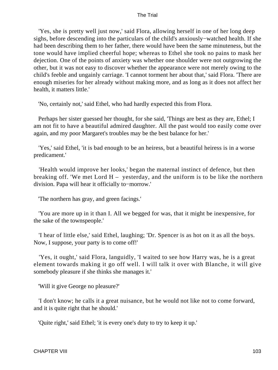'Yes, she is pretty well just now,' said Flora, allowing herself in one of her long deep sighs, before descending into the particulars of the child's anxiously−watched health. If she had been describing them to her father, there would have been the same minuteness, but the tone would have implied cheerful hope; whereas to Ethel she took no pains to mask her dejection. One of the points of anxiety was whether one shoulder were not outgrowing the other, but it was not easy to discover whether the appearance were not merely owing to the child's feeble and ungainly carriage. 'I cannot torment her about that,' said Flora. 'There are enough miseries for her already without making more, and as long as it does not affect her health, it matters little.'

'No, certainly not,' said Ethel, who had hardly expected this from Flora.

 Perhaps her sister guessed her thought, for she said, 'Things are best as they are, Ethel; I am not fit to have a beautiful admired daughter. All the past would too easily come over again, and my poor Margaret's troubles may be the best balance for her.'

 'Yes,' said Ethel, 'it is bad enough to be an heiress, but a beautiful heiress is in a worse predicament.'

 'Health would improve her looks,' began the maternal instinct of defence, but then breaking off. 'We met Lord H – yesterday, and the uniform is to be like the northern division. Papa will hear it officially to−morrow.'

'The northern has gray, and green facings.'

 'You are more up in it than I. All we begged for was, that it might be inexpensive, for the sake of the townspeople.'

 'I hear of little else,' said Ethel, laughing; 'Dr. Spencer is as hot on it as all the boys. Now, I suppose, your party is to come off!'

 'Yes, it ought,' said Flora, languidly, 'I waited to see how Harry was, he is a great element towards making it go off well. I will talk it over with Blanche, it will give somebody pleasure if she thinks she manages it.'

'Will it give George no pleasure?'

 'I don't know; he calls it a great nuisance, but he would not like not to come forward, and it is quite right that he should.'

'Quite right,' said Ethel; 'it is every one's duty to try to keep it up.'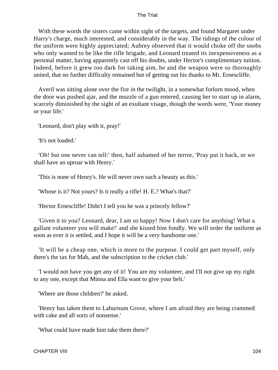With these words the sisters came within sight of the targets, and found Margaret under Harry's charge, much interested, and considerably in the way. The tidings of the colour of the uniform were highly appreciated; Aubrey observed that it would choke off the snobs who only wanted to be like the rifle brigade, and Leonard treated its inexpensiveness as a personal matter, having apparently cast off his doubts, under Hector's complimentary tuition. Indeed, before it grew too dark for taking aim, he and the weapon were so thoroughly united, that no further difficulty remained but of getting out his thanks to Mr. Ernescliffe.

 Averil was sitting alone over the fire in the twilight, in a somewhat forlorn mood, when the door was pushed ajar, and the muzzle of a gun entered, causing her to start up in alarm, scarcely diminished by the sight of an exultant visage, though the words were, 'Your money or your life.'

'Leonard, don't play with it, pray!'

'It's not loaded.'

 'Oh! but one never can tell:' then, half ashamed of her terror, 'Pray put it back, or we shall have an uproar with Henry.'

'This is none of Henry's. He will never own such a beauty as this.'

'Whose is it? Not yours? Is it really a rifle! H. E.? What's that?'

'Hector Ernescliffe! Didn't I tell you he was a princely fellow?'

 'Given it to you? Leonard, dear, I am so happy! Now I don't care for anything! What a gallant volunteer you will make!' and she kissed him fondly. We will order the uniform as soon as ever it is settled, and I hope it will be a very handsome one.'

 'It will be a cheap one, which is more to the purpose. I could get part myself, only there's the tax for Mab, and the subscription to the cricket club.'

 'I would not have you get any of it! You are my volunteer, and I'll not give up my right to any one, except that Minna and Ella want to give your belt.'

'Where are those children?' he asked.

 'Henry has taken them to Laburnum Grove, where I am afraid they are being crammed with cake and all sorts of nonsense.'

'What could have made him take them there?'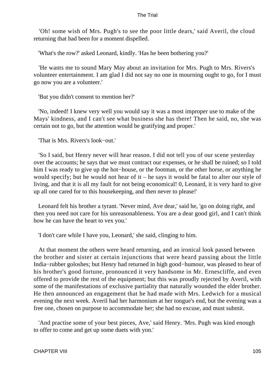'Oh! some wish of Mrs. Pugh's to see the poor little dears,' said Averil, the cloud returning that had been for a moment dispelled.

'What's the row?' asked Leonard, kindly. 'Has he been bothering you?'

 'He wants me to sound Mary May about an invitation for Mrs. Pugh to Mrs. Rivers's volunteer entertainment. I am glad I did not say no one in mourning ought to go, for I must go now you are a volunteer.'

'But you didn't consent to mention her?'

 'No, indeed! I knew very well you would say it was a most improper use to make of the Mays' kindness, and I can't see what business she has there! Then he said, no, she was certain not to go, but the attention would be gratifying and proper.'

'That is Mrs. Rivers's look−out.'

 'So I said, but Henry never will hear reason. I did not tell you of our scene yesterday over the accounts; he says that we must contract our expenses, or he shall be ruined; so I told him I was ready to give up the hot−house, or the footman, or the other horse, or anything he would specify; but he would not hear of it – he says it would be fatal to alter our style of living, and that it is all my fault for not being economical! 0, Leonard, it is very hard to give up all one cared for to this housekeeping, and then never to please!'

 Leonard felt his brother a tyrant. 'Never mind, Ave dear,' said he, 'go on doing right, and then you need not care for his unreasonableness. You are a dear good girl, and I can't think how he can have the heart to vex you.'

'I don't care while I have you, Leonard,' she said, clinging to him.

 At that moment the others were heard returning, and an ironical look passed between the brother and sister at certain injunctions that were heard passing about the little India−rubber goloshes; but Henry had returned in high good−humour, was pleased to hear of his brother's good fortune, pronounced it very handsome in Mr. Ernescliffe, and even offered to provide the rest of the equipment; but this was proudly rejected by Averil, with some of the manifestations of exclusive partiality that naturally wounded the elder brother. He then announced an engagement that he had made with Mrs. Ledwich for a musical evening the next week. Averil had her harmonium at her tongue's end, but the evening was a free one, chosen on purpose to accommodate her; she had no excuse, and must submit.

 'And practise some of your best pieces, Ave,' said Henry. 'Mrs. Pugh was kind enough to offer to come and get up some duets with yon.'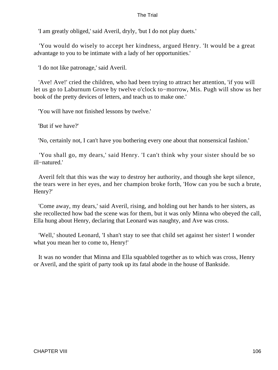'I am greatly obliged,' said Averil, dryly, 'but I do not play duets.'

 'You would do wisely to accept her kindness, argued Henry. 'It would be a great advantage to you to be intimate with a lady of her opportunities.'

'I do not like patronage,' said Averil.

 'Ave! Ave!' cried the children, who had been trying to attract her attention, 'if you will let us go to Laburnum Grove by twelve o'clock to−morrow, Mis. Pugh will show us her book of the pretty devices of letters, and teach us to make one.'

'You will have not finished lessons by twelve.'

'But if we have?'

'No, certainly not, I can't have you bothering every one about that nonsensical fashion.'

 'You shall go, my dears,' said Henry. 'I can't think why your sister should be so ill−natured.'

 Averil felt that this was the way to destroy her authority, and though she kept silence, the tears were in her eyes, and her champion broke forth, 'How can you be such a brute, Henry?'

 'Come away, my dears,' said Averil, rising, and holding out her hands to her sisters, as she recollected how bad the scene was for them, but it was only Minna who obeyed the call, Ella hung about Henry, declaring that Leonard was naughty, and Ave was cross.

 'Well,' shouted Leonard, 'I shan't stay to see that child set against her sister! I wonder what you mean her to come to, Henry!'

 It was no wonder that Minna and Ella squabbled together as to which was cross, Henry or Averil, and the spirit of party took up its fatal abode in the house of Bankside.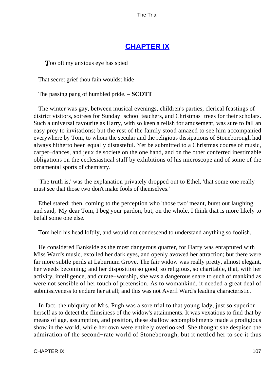# **[CHAPTER IX](#page-414-0)**

**T**oo oft my anxious eye has spied

That secret grief thou fain wouldst hide –

The passing pang of humbled pride. – **SCOTT**

 The winter was gay, between musical evenings, children's parties, clerical feastings of district visitors, soirees for Sunday−school teachers, and Christmas−trees for their scholars. Such a universal favourite as Harry, with so keen a relish for amusement, was sure to fall an easy prey to invitations; but the rest of the family stood amazed to see him accompanied everywhere by Tom, to whom the secular and the religious dissipations of Stoneborough had always hitherto been equally distasteful. Yet be submitted to a Christmas course of music, carpet−dances, and jeux de societe on the one hand, and on the other conferred inestimable obligations on the ecclesiastical staff by exhibitions of his microscope and of some of the ornamental sports of chemistry.

 'The truth is,' was the explanation privately dropped out to Ethel, 'that some one really must see that those two don't make fools of themselves.'

 Ethel stared; then, coming to the perception who 'those two' meant, burst out laughing, and said, 'My dear Tom, I beg your pardon, but, on the whole, I think that is more likely to befall some one else.'

Tom held his head loftily, and would not condescend to understand anything so foolish.

 He considered Bankside as the most dangerous quarter, for Harry was enraptured with Miss Ward's music, extolled her dark eyes, and openly avowed her attraction; but there were far more subtle perils at Laburnum Grove. The fair widow was really pretty, almost elegant, her weeds becoming; and her disposition so good, so religious, so charitable, that, with her activity, intelligence, and curate−worship, she was a dangerous snare to such of mankind as were not sensible of her touch of pretension. As to womankind, it needed a great deal of submissiveness to endure her at all; and this was not Averil Ward's leading characteristic.

 In fact, the ubiquity of Mrs. Pugh was a sore trial to that young lady, just so superior herself as to detect the flimsiness of the widow's attainments. It was vexatious to find that by means of age, assumption, and position, these shallow accomplishments made a prodigious show in the world, while her own were entirely overlooked. She thought she despised the admiration of the second−rate world of Stoneborough, but it nettled her to see it thus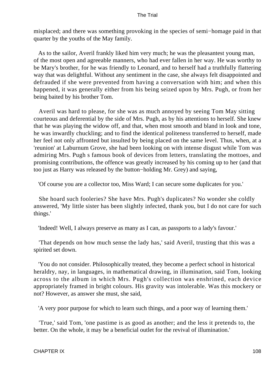misplaced; and there was something provoking in the species of semi−homage paid in that quarter by the youths of the May family.

 As to the sailor, Averil frankly liked him very much; he was the pleasantest young man, of the most open and agreeable manners, who had ever fallen in her way. He was worthy to be Mary's brother, for he was friendly to Leonard, and to herself had a truthfully flattering way that was delightful. Without any sentiment in the case, she always felt disappointed and defrauded if she were prevented from having a conversation with him; and when this happened, it was generally either from his being seized upon by Mrs. Pugh, or from her being baited by his brother Tom.

 Averil was hard to please, for she was as much annoyed by seeing Tom May sitting courteous and deferential by the side of Mrs. Pugh, as by his attentions to herself. She knew that he was playing the widow off, and that, when most smooth and bland in look and tone, he was inwardly chuckling; and to find the identical politeness transferred to herself, made her feel not only affronted but insulted by being placed on the same level. Thus, when, at a 'reunion' at Laburnum Grove, she had been looking on with intense disgust while Tom was admiring Mrs. Pugh s famous book of devices from letters, translating the mottoes, and promising contributions, the offence was greatly increased by his coming up to her (and that too just as Harry was released by the button−holding Mr. Grey) and saying,

'Of course you are a collector too, Miss Ward; I can secure some duplicates for you.'

 She hoard such fooleries? She have Mrs. Pugh's duplicates? No wonder she coldly answered, 'My little sister has been slightly infected, thank you, but I do not care for such things.'

'Indeed! Well, I always preserve as many as I can, as passports to a lady's favour.'

 'That depends on how much sense the lady has,' said Averil, trusting that this was a spirited set down.

 'You do not consider. Philosophically treated, they become a perfect school in historical heraldry, nay, in languages, in mathematical drawing, in illumination, said Tom, looking across to the album in which Mrs. Pugh's collection was enshrined, each device appropriately framed in bright colours. His gravity was intolerable. Was this mockery or not? However, as answer she must, she said,

'A very poor purpose for which to learn such things, and a poor way of learning them.'

 'True,' said Tom, 'one pastime is as good as another; and the less it pretends to, the better. On the whole, it may be a beneficial outlet for the revival of illumination.'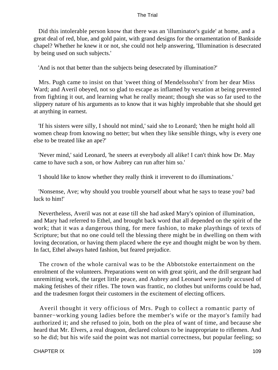Did this intolerable person know that there was an 'illuminator's guide' at home, and a great deal of red, blue, and gold paint, with grand designs for the ornamentation of Bankside chapel? Whether he knew it or not, she could not help answering, 'Illumination is desecrated by being used on such subjects.'

'And is not that better than the subjects being desecrated by illumination?'

 Mrs. Pugh came to insist on that 'sweet thing of Mendelssohn's' from her dear Miss Ward; and Averil obeyed, not so glad to escape as inflamed by vexation at being prevented from fighting it out, and learning what he really meant; though she was so far used to the slippery nature of his arguments as to know that it was highly improbable that she should get at anything in earnest.

 'If his sisters were silly, I should not mind,' said she to Leonard; 'then he might hold all women cheap from knowing no better; but when they like sensible things, why is every one else to be treated like an ape?'

 'Never mind,' said Leonard, 'he sneers at everybody all alike! I can't think how Dr. May came to have such a son, or how Aubrey can run after him so.'

'I should like to know whether they really think it irreverent to do illuminations.'

 'Nonsense, Ave; why should you trouble yourself about what he says to tease you? bad luck to him!'

 Nevertheless, Averil was not at ease till she had asked Mary's opinion of illumination, and Mary had referred to Ethel, and brought back word that all depended on the spirit of the work; that it was a dangerous thing, for mere fashion, to make playthings of texts of Scripture; but that no one could tell the blessing there might be in dwelling on them with loving decoration, or having them placed where the eye and thought might be won by them. In fact, Ethel always hated fashion, but feared prejudice.

 The crown of the whole carnival was to be the Abbotstoke entertainment on the enrolment of the volunteers. Preparations went on with great spirit, and the drill sergeant had unremitting work, the target little peace, and Aubrey and Leonard were justly accused of making fetishes of their rifles. The town was frantic, no clothes but uniforms could be had, and the tradesmen forgot their customers in the excitement of electing officers.

 Averil thought it very officious of Mrs. Pugh to collect a romantic party of banner−working young ladies before the member's wife or the mayor's family had authorized it; and she refused to join, both on the plea of want of time, and because she heard that Mr. Elvers, a real dragoon, declared colours to be inappropriate to riflemen. And so he did; but his wife said the point was not martial correctness, but popular feeling; so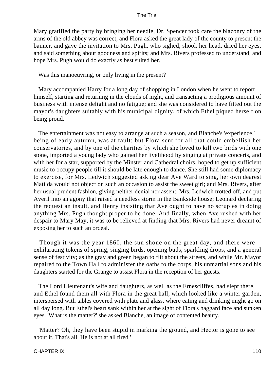Mary gratified the party by bringing her needle, Dr. Spencer took care the blazonry of the arms of the old abbey was correct, and Flora asked the great lady of the county to present the banner, and gave the invitation to Mrs. Pugh, who sighed, shook her head, dried her eyes, and said something about goodness and spirits; and Mrs. Rivers professed to understand, and hope Mrs. Pugh would do exactly as best suited her.

Was this manoeuvring, or only living in the present?

 Mary accompanied Harry for a long day of shopping in London when he went to report himself, starting and returning in the clouds of night, and transacting a prodigious amount of business with intense delight and no fatigue; and she was considered to have fitted out the mayor's daughters suitably with his municipal dignity, of which Ethel piqued herself on being proud.

 The entertainment was not easy to arrange at such a season, and Blanche's 'experience,' being of early autumn, was at fault; but Flora sent for all that could embellish her conservatories, and by one of the charities by which she loved to kill two birds with one stone, imported a young lady who gained her livelihood by singing at private concerts, and with her for a star, supported by the Minster and Cathedral choirs, hoped to get up sufficient music to occupy people till it should be late enough to dance. She still had some diplomacy to exercise, for Mrs. Ledwich suggested asking dear Ave Ward to sing, her own dearest Matilda would not object on such an occasion to assist the sweet girl; and Mrs. Rivers, after her usual prudent fashion, giving neither denial nor assent, Mrs. Ledwich trotted off, and put Averil into an agony that raised a needless storm in the Bankside house; Leonard declaring the request an insult, and Henry insisting that Ave ought to have no scruples in doing anything Mrs. Pugh thought proper to be done. And finally, when Ave rushed with her despair to Mary May, it was to be relieved at finding that Mrs. Rivers had never dreamt of exposing her to such an ordeal.

 Though it was the year 1860, the sun shone on the great day, and there were exhilarating tokens of spring, singing birds, opening buds, sparkling drops, and a general sense of festivity; as the gray and green began to flit about the streets, and while Mr. Mayor repaired to the Town Hall to administer the oaths to the corps, his unmartial sons and his daughters started for the Grange to assist Flora in the reception of her guests.

 The Lord Lieutenant's wife and daughters, as well as the Ernescliffes, had slept there, and Ethel found them all with Flora in the great hall, which looked like a winter garden, interspersed with tables covered with plate and glass, where eating and drinking might go on all day long. But Ethel's heart sank within her at the sight of Flora's haggard face and sunken eyes. 'What is the matter?' she asked Blanche, an image of contented beauty.

 'Matter? Oh, they have been stupid in marking the ground, and Hector is gone to see about it. That's all. He is not at all tired.'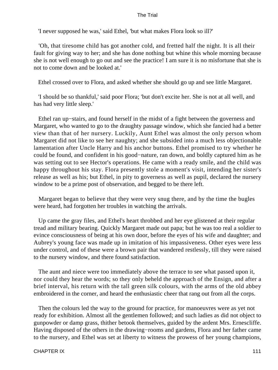'I never supposed he was,' said Ethel, 'but what makes Flora look so ill?'

 'Oh, that tiresome child has got another cold, and fretted half the night. It is all their fault for giving way to her; and she has done nothing but whine this whole morning because she is not well enough to go out and see the practice! I am sure it is no misfortune that she is not to come down and be looked at.'

Ethel crossed over to Flora, and asked whether she should go up and see little Margaret.

 'I should be so thankful,' said poor Flora; 'but don't excite her. She is not at all well, and has had very little sleep.'

 Ethel ran up−stairs, and found herself in the midst of a fight between the governess and Margaret, who wanted to go to the draughty passage window, which she fancied had a better view than that of her nursery. Luckily, Aunt Ethel was almost the only person whom Margaret did not like to see her naughty; and she subsided into a much less objectionable lamentation after Uncle Harry and his anchor buttons. Ethel promised to try whether he could be found, and confident in his good−nature, ran down, and boldly captured him as he was setting out to see Hector's operations. He came with a ready smile, and the child was happy throughout his stay. Flora presently stole a moment's visit, intending her sister's release as well as his; but Ethel, in pity to governess as well as pupil, declared the nursery window to be a prime post of observation, and begged to be there left.

 Margaret began to believe that they were very snug there, and by the time the bugles were heard, had forgotten her troubles in watching the arrivals.

 Up came the gray files, and Ethel's heart throbbed and her eye glistened at their regular tread and military bearing. Quickly Margaret made out papa; but he was too real a soldier to evince consciousness of being at his own door, before the eyes of his wife and daughter; and Aubrey's young face was made up in imitation of his impassiveness. Other eyes were less under control, and of these were a brown pair that wandered restlessly, till they were raised to the nursery window, and there found satisfaction.

 The aunt and niece were too immediately above the terrace to see what passed upon it, nor could they hear the words; so they only beheld the approach of the Ensign, and after a brief interval, his return with the tall green silk colours, with the arms of the old abbey embroidered in the corner, and heard the enthusiastic cheer that rang out from all the corps.

 Then the colours led the way to the ground for practice, for manoeuvres were as yet not ready for exhibition. Almost all the gentlemen followed; and such ladies as did not object to gunpowder or damp grass, thither betook themselves, guided by the ardent Mrs. Ernescliffe. Having disposed of the others in the drawing−rooms and gardens, Flora and her father came to the nursery, and Ethel was set at liberty to witness the prowess of her young champions,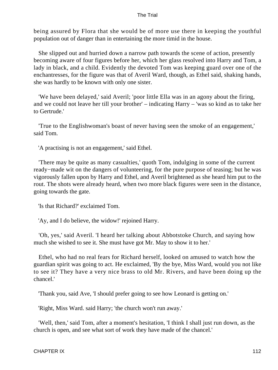being assured by Flora that she would be of more use there in keeping the youthful population out of danger than in entertaining the more timid in the house.

 She slipped out and hurried down a narrow path towards the scene of action, presently becoming aware of four figures before her, which her glass resolved into Harry and Tom, a lady in black, and a child. Evidently the devoted Tom was keeping guard over one of the enchantresses, for the figure was that of Averil Ward, though, as Ethel said, shaking hands, she was hardly to be known with only one sister.

 'We have been delayed,' said Averil; 'poor little Ella was in an agony about the firing, and we could not leave her till your brother' – indicating Harry – 'was so kind as to take her to Gertrude.'

 'True to the Englishwoman's boast of never having seen the smoke of an engagement,' said Tom.

'A practising is not an engagement,' said Ethel.

 'There may be quite as many casualties,' quoth Tom, indulging in some of the current ready−made wit on the dangers of volunteering, for the pure purpose of teasing; but he was vigorously fallen upon by Harry and Ethel, and Averil brightened as she heard him put to the rout. The shots were already heard, when two more black figures were seen in the distance, going towards the gate.

'Is that Richard?' exclaimed Tom.

'Ay, and I do believe, the widow!' rejoined Harry.

 'Oh, yes,' said Averil. 'I heard her talking about Abbotstoke Church, and saying how much she wished to see it. She must have got Mr. May to show it to her.'

 Ethel, who had no real fears for Richard herself, looked on amused to watch how the guardian spirit was going to act. He exclaimed, 'By the bye, Miss Ward, would you not like to see it? They have a very nice brass to old Mr. Rivers, and have been doing up the chancel.'

'Thank you, said Ave, 'I should prefer going to see how Leonard is getting on.'

'Right, Miss Ward. said Harry; 'the church won't run away.'

 'Well, then,' said Tom, after a moment's hesitation, 'I think I shall just run down, as the church is open, and see what sort of work they have made of the chancel.'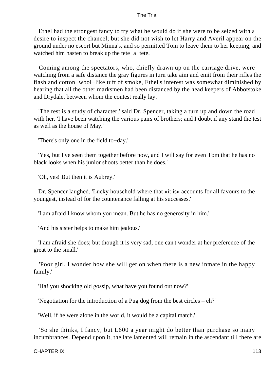Ethel had the strongest fancy to try what he would do if she were to be seized with a desire to inspect the chancel; but she did not wish to let Harry and Averil appear on the ground under no escort but Minna's, and so permitted Tom to leave them to her keeping, and watched him hasten to break up the tete−a−tete.

 Coming among the spectators, who, chiefly drawn up on the carriage drive, were watching from a safe distance the gray figures in turn take aim and emit from their rifles the flash and cotton−wool−like tuft of smoke, Ethel's interest was somewhat diminished by hearing that all the other marksmen had been distanced by the head keepers of Abbotstoke and Drydale, between whom the contest really lay.

 'The rest is a study of character,' said Dr. Spencer, taking a turn up and down the road with her. 'I have been watching the various pairs of brothers; and I doubt if any stand the test as well as the house of May.'

'There's only one in the field to−day.'

 'Yes, but I've seen them together before now, and I will say for even Tom that he has no black looks when his junior shoots better than he does.'

'Oh, yes! But then it is Aubrey.'

 Dr. Spencer laughed. 'Lucky household where that «it is» accounts for all favours to the youngest, instead of for the countenance falling at his successes.'

'I am afraid I know whom you mean. But he has no generosity in him.'

'And his sister helps to make him jealous.'

 'I am afraid she does; but though it is very sad, one can't wonder at her preference of the great to the small.'

 'Poor girl, I wonder how she will get on when there is a new inmate in the happy family.'

'Ha! you shocking old gossip, what have you found out now?'

'Negotiation for the introduction of a Pug dog from the best circles – eh?'

'Well, if he were alone in the world, it would be a capital match.'

 'So she thinks, I fancy; but L600 a year might do better than purchase so many incumbrances. Depend upon it, the late lamented will remain in the ascendant till there are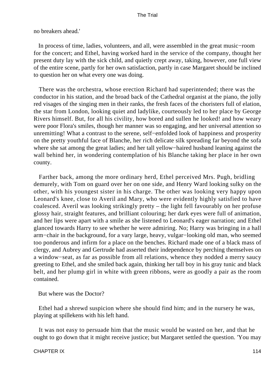no breakers ahead.'

 In process of time, ladies, volunteers, and all, were assembled in the great music−room for the concert; and Ethel, having worked hard in the service of the company, thought her present duty lay with the sick child, and quietly crept away, taking, however, one full view of the entire scene, partly for her own satisfaction, partly in case Margaret should be inclined to question her on what every one was doing.

 There was the orchestra, whose erection Richard had superintended; there was the conductor in his station, and the broad back of the Cathedral organist at the piano, the jolly red visages of the singing men in their ranks, the fresh faces of the choristers full of elation, the star from London, looking quiet and ladylike, courteously led to her place by George Rivers himself. But, for all his civility, how bored and sullen he looked! and how weary were poor Flora's smiles, though her manner was so engaging, and her universal attention so unremitting! What a contrast to the serene, self−enfolded look of happiness and prosperity on the pretty youthful face of Blanche, her rich delicate silk spreading far beyond the sofa where she sat among the great ladies; and her tall yellow−haired husband leaning against the wall behind her, in wondering contemplation of his Blanche taking her place in her own county.

 Farther back, among the more ordinary herd, Ethel perceived Mrs. Pugh, bridling demurely, with Tom on guard over her on one side, and Henry Ward looking sulky on the other, with his youngest sister in his charge. The other was looking very happy upon Leonard's knee, close to Averil and Mary, who were evidently highly satisfied to have coalesced. Averil was looking strikingly pretty – the light fell favourably on her profuse glossy hair, straight features, and brilliant colouring; her dark eyes were full of animation, and her lips were apart with a smile as she listened to Leonard's eager narration; and Ethel glanced towards Harry to see whether he were admiring. No; Harry was bringing in a hall arm−chair in the background, for a vary large, heavy, vulgar−looking old man, who seemed too ponderous and infirm for a place on the benches. Richard made one of a black mass of clergy, and Aubrey and Gertrude had asserted their independence by perching themselves on a window−seat, as far as possible from all relations, whence they nodded a merry saucy greeting to Ethel, and she smiled back again, thinking her tall boy in his gray tunic and black belt, and her plump girl in white with green ribbons, were as goodly a pair as the room contained.

But where was the Doctor?

 Ethel had a shrewd suspicion where she should find him; and in the nursery he was, playing at spillekens with his left hand.

 It was not easy to persuade him that the music would be wasted on her, and that he ought to go down that it might receive justice; but Margaret settled the question. 'You may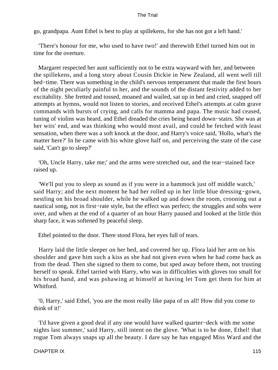go, grandpapa. Aunt Ethel is best to play at spillekens, for she has not got a left hand.'

 'There's honour for me, who used to have two!' and therewith Ethel turned him out in time for the overture.

 Margaret respected her aunt sufficiently not to be extra wayward with her, and between the spillekens, and a long story about Cousin Dickie in New Zealand, all went well till bed−time. There was something in the child's nervous temperament that made the first hours of the night peculiarly painful to her, and the sounds of the distant festivity added to her excitability. She fretted and tossed, moaned and wailed, sat up in bed and cried, snapped off attempts at hymns, would not listen to stories, and received Ethel's attempts at calm grave commands with bursts of crying, and calls for mamma and papa. The music had ceased, tuning of violins was heard, and Ethel dreaded the cries being heard down−stairs. She was at her wits' end, and was thinking who would most avail, and could be fetched with least sensation, when there was a soft knock at the door, and Harry's voice said, 'Hollo, what's the matter here?' In he came with his white glove half on, and perceiving the state of the case said, 'Can't go to sleep?'

 'Oh, Uncle Harry, take me;' and the arms were stretched out, and the tear−stained face raised up.

 'We'll put you to sleep as sound as if you were in a hammock just off middle watch,' said Harry; and the next moment he had her rolled up in her little blue dressing−gown, nestling on his broad shoulder, while he walked up and down the room, crooning out a nautical song, not in first−rate style, but the effect was perfect; the struggles and sobs were over, and when at the end of a quarter of an hour Harry paused and looked at the little thin sharp face, it was softened by peaceful sleep.

Ethel pointed to the door. There stood Flora, her eyes full of tears.

 Harry laid the little sleeper on her bed, and covered her up. Flora laid her arm on his shoulder and gave him such a kiss as she had not given even when he had come back as from the dead. Then she signed to them to come, but sped away before them, not trusting herself to speak. Ethel tarried with Harry, who was in difficulties with gloves too small for his broad hand, and was pshawing at himself at having let Tom get them for him at Whitford.

 '0, Harry,' said Ethel, 'you are the most really like papa of us all! How did you come to think of it!'

 'I'd have given a good deal if any one would have walked quarter−deck with me some nights last summer,' said Harry, still intent on the glove. 'What is to be done, Ethel! that rogue Tom always snaps up all the beauty. I dare say he has engaged Miss Ward and the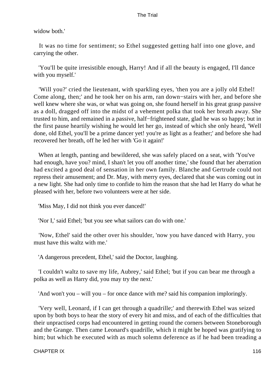widow both.'

 It was no time for sentiment; so Ethel suggested getting half into one glove, and carrying the other.

 'You'll be quite irresistible enough, Harry! And if all the beauty is engaged, I'll dance with you myself.'

 'Will you?' cried the lieutenant, with sparkling eyes, 'then you are a jolly old Ethel! Come along, then;' and he took her on his arm, ran down−stairs with her, and before she well knew where she was, or what was going on, she found herself in his great grasp passive as a doll, dragged off into the midst of a vehement polka that took her breath away. She trusted to him, and remained in a passive, half−frightened state, glad he was so happy; but in the first pause heartily wishing he would let her go, instead of which she only heard, 'Well done, old Ethel, you'll be a prime dancer yet! you're as light as a feather;' and before she had recovered her breath, off he led her with 'Go it again!'

 When at length, panting and bewildered, she was safely placed on a seat, with 'You've had enough, have you? mind, I shan't let you off another time,' she found that her aberration had excited a good deal of sensation in her own family. Blanche and Gertrude could not repress their amusement; and Dr. May, with merry eyes, declared that she was coming out in a new light. She had only time to confide to him the reason that she had let Harry do what he pleased with her, before two volunteers were at her side.

'Miss May, I did not think you ever danced!'

'Nor I,' said Ethel; 'but you see what sailors can do with one.'

 'Now, Ethel' said the other over his shoulder, 'now you have danced with Harry, you must have this waltz with me.'

'A dangerous precedent, Ethel,' said the Doctor, laughing.

 'I couldn't waltz to save my life, Aubrey,' said Ethel; 'but if you can bear me through a polka as well as Harry did, you may try the next.'

'And won't you – will you – for once dance with me? said his companion imploringly.

 'Very well, Leonard, if I can get through a quadrille;' and therewith Ethel was seized upon by both boys to hear the story of every hit and miss, and of each of the difficulties that their unpractised corps had encountered in getting round the corners between Stoneborough and the Grange. Then came Leonard's quadrille, which it might be hoped was gratifying to him; but which he executed with as much solemn deference as if he had been treading a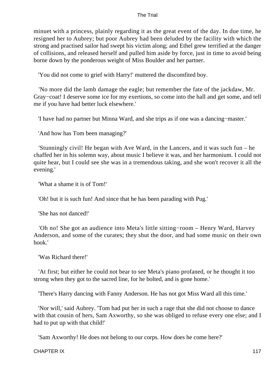minuet with a princess, plainly regarding it as the great event of the day. In due time, he resigned her to Aubrey; but poor Aubrey had been deluded by the facility with which the strong and practised sailor had swept his victim along; and Ethel grew terrified at the danger of collisions, and released herself and pulled him aside by force, just in time to avoid being borne down by the ponderous weight of Miss Boulder and her partner.

'You did not come to grief with Harry!' muttered the discomfited boy.

 'No more did the lamb damage the eagle; but remember the fate of the jackdaw, Mr. Gray−coat! I deserve some ice for my exertions, so come into the hall and get some, and tell me if you have had better luck elsewhere.'

'I have had no partner but Minna Ward, and she trips as if one was a dancing−master.'

'And how has Tom been managing?'

 'Stunningly civil! He began with Ave Ward, in the Lancers, and it was such fun – he chaffed her in his solemn way, about music I believe it was, and her harmonium. I could not quite hear, but I could see she was in a tremendous taking, and she won't recover it all the evening.'

'What a shame it is of Tom!'

'Oh! but it is such fun! And since that he has been parading with Pug.'

'She has not danced!'

 'Oh no! She got an audience into Meta's little sitting−room – Henry Ward, Harvey Anderson, and some of the curates; they shut the door, and had some music on their own hook.'

'Was Richard there!'

 'At first; but either he could not bear to see Meta's piano profaned, or he thought it too strong when they got to the sacred line, for he bolted, and is gone home.'

'There's Harry dancing with Fanny Anderson. He has not got Miss Ward all this time.'

 'Nor will,' said Aubrey. 'Tom had put her in such a rage that she did not choose to dance with that cousin of hers, Sam Axworthy, so she was obliged to refuse every one else; and I had to put up with that child!'

'Sam Axworthy! He does not belong to our corps. How does he come here?'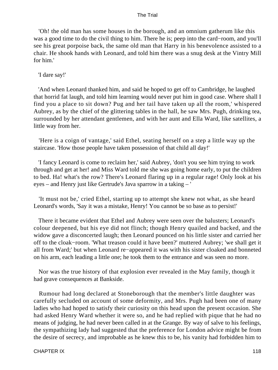'Oh! the old man has some houses in the borough, and an omnium gatherum like this was a good time to do the civil thing to him. There he is; peep into the card−room, and you'll see his great porpoise back, the same old man that Harry in his benevolence assisted to a chair. He shook hands with Leonard, and told him there was a snug desk at the Vintry Mill for him.'

# 'I dare say!'

 'And when Leonard thanked him, and said he hoped to get off to Cambridge, he laughed that horrid fat laugh, and told him learning would never put him in good case. Where shall I find you a place to sit down? Pug and her tail have taken up all the room,' whispered Aubrey, as by the chief of the glittering tables in the hall, he saw Mrs. Pugh, drinking tea, surrounded by her attendant gentlemen, and with her aunt and Ella Ward, like satellites, a little way from her.

 'Here is a coign of vantage,' said Ethel, seating herself on a step a little way up the staircase. 'How those people have taken possession of that child all day!'

 'I fancy Leonard is come to reclaim her,' said Aubrey, 'don't you see him trying to work through and get at her! and Miss Ward told me she was going home early, to put the children to bed. Ha! what's the row? There's Leonard flaring up in a regular rage! Only look at his eyes – and Henry just like Gertrude's Java sparrow in a taking – '

 'It must not be,' cried Ethel, starting up to attempt she knew not what, as she heard Leonard's words, 'Say it was a mistake, Henry! You cannot be so base as to persist!'

 There it became evident that Ethel and Aubrey were seen over the balusters; Leonard's colour deepened, but his eye did not flinch; though Henry quailed and backed, and the widow gave a disconcerted laugh; then Leonard pounced on his little sister and carried her off to the cloak−room. 'What treason could it have been?' muttered Aubrey; 'we shall get it all from Ward;' but when Leonard re−appeared it was with his sister cloaked and bonneted on his arm, each leading a little one; he took them to the entrance and was seen no more.

 Nor was the true history of that explosion ever revealed in the May family, though it had grave consequences at Bankside.

 Rumour had long declared at Stoneborough that the member's little daughter was carefully secluded on account of some deformity, and Mrs. Pugh had been one of many ladies who had hoped to satisfy their curiosity on this head upon the present occasion. She had asked Henry Ward whether it were so, and he had replied with pique that he had no means of judging, he had never been called in at the Grange. By way of salve to his feelings, the sympathizing lady had suggested that the preference for London advice might be from the desire of secrecy, and improbable as he knew this to be, his vanity had forbidden him to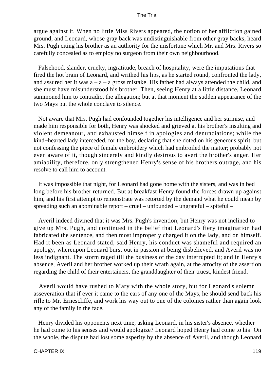argue against it. When no little Miss Rivers appeared, the notion of her affliction gained ground, and Leonard, whose gray back was undistinguishable from other gray backs, heard Mrs. Pugh citing his brother as an authority for the misfortune which Mr. and Mrs. Rivers so carefully concealed as to employ no surgeon from their own neighbourhood.

 Falsehood, slander, cruelty, ingratitude, breach of hospitality, were the imputations that fired the hot brain of Leonard, and writhed his lips, as he started round, confronted the lady, and assured her it was  $a - a - a$  gross mistake. His father had always attended the child, and she must have misunderstood his brother. Then, seeing Henry at a little distance, Leonard summoned him to contradict the allegation; but at that moment the sudden appearance of the two Mays put the whole conclave to silence.

 Not aware that Mrs. Pugh had confounded together his intelligence and her surmise, and made him responsible for both, Henry was shocked and grieved at his brother's insulting and violent demeanour, and exhausted himself in apologies and denunciations; while the kind−hearted lady interceded, for the boy, declaring that she doted on his generous spirit, but not confessing the piece of female embroidery which had embroiled the matter; probably not even aware of it, though sincerely and kindly desirous to avert the brother's anger. Her amiability, therefore, only strengthened Henry's sense of his brothers outrage, and his resolve to call him to account.

 It was impossible that night, for Leonard had gone home with the sisters, and was in bed long before his brother returned. But at breakfast Henry found the forces drawn up against him, and his first attempt to remonstrate was retorted by the demand what he could mean by spreading such an abominable report – cruel – unfounded – ungrateful – spiteful –

 Averil indeed divined that it was Mrs. Pugh's invention; but Henry was not inclined to give up Mrs. Pugh, and continued in the belief that Leonard's fiery imagination had fabricated the sentence, and then most improperly charged it on the lady, and on himself. Had it been as Leonard stated, said Henry, his conduct was shameful and required an apology, whereupon Leonard burst out in passion at being disbelieved, and Averil was no less indignant. The storm raged till the business of the day interrupted it; and in Henry's absence, Averil and her brother worked up their wrath again, at the atrocity of the assertion regarding the child of their entertainers, the granddaughter of their truest, kindest friend.

 Averil would have rushed to Mary with the whole story, but for Leonard's solemn asseveration that if ever it came to the ears of any one of the Mays, he should send back his rifle to Mr. Ernescliffe, and work his way out to one of the colonies rather than again look any of the family in the face.

 Henry divided his opponents next time, asking Leonard, in his sister's absence, whether he had come to his senses and would apologize? Leonard hoped Henry had come to his! On the whole, the dispute had lost some asperity by the absence of Averil, and though Leonard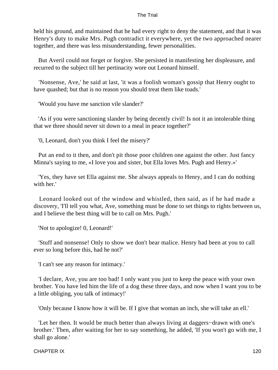held his ground, and maintained that he had every right to deny the statement, and that it was Henry's duty to make Mrs. Pugh contradict it everywhere, yet the two approached nearer together, and there was less misunderstanding, fewer personalities.

 But Averil could not forget or forgive. She persisted in manifesting her displeasure, and recurred to the subject till her pertinacity wore out Leonard himself.

 'Nonsense, Ave,' he said at last, 'it was a foolish woman's gossip that Henry ought to have quashed; but that is no reason you should treat them like toads.'

'Would you have me sanction vile slander?'

 'As if you were sanctioning slander by being decently civil! Is not it an intolerable thing that we three should never sit down to a meal in peace together?'

'0, Leonard, don't you think I feel the misery?'

 Put an end to it then, and don't pit those poor children one against the other. Just fancy Minna's saying to me, «I love you and sister, but Ella loves Mrs. Pugh and Henry.»'

 'Yes, they have set Ella against me. She always appeals to Henry, and I can do nothing with her'

 Leonard looked out of the window and whistled, then said, as if he had made a discovery, 'I'll tell you what, Ave, something must be done to set things to rights between us, and I believe the best thing will be to call on Mrs. Pugh.'

'Not to apologize! 0, Leonard!'

 'Stuff and nonsense! Only to show we don't bear malice. Henry had been at you to call ever so long before this, had he not?'

'I can't see any reason for intimacy.'

 'I declare, Ave, you are too bad! I only want you just to keep the peace with your own brother. You have led him the life of a dog these three days, and now when I want you to be a little obliging, you talk of intimacy!'

'Only because I know how it will be. If I give that woman an inch, she will take an ell.'

 'Let her then. It would be much better than always living at daggers−drawn with one's brother.' Then, after waiting for her to say something, he added, 'If you won't go with me, I shall go alone.'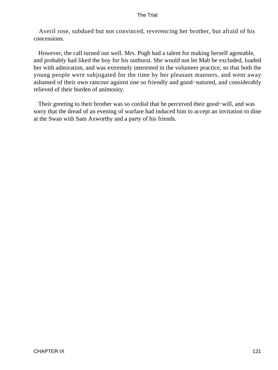Averil rose, subdued but not convinced, reverencing her brother, but afraid of his concessions.

 However, the call turned out well. Mrs. Pugh had a talent for making herself agreeable, and probably had liked the boy for his outburst. She would not let Mab be excluded, loaded her with admiration, and was extremely interested in the volunteer practice, so that both the young people were subjugated for the time by her pleasant manners, and went away ashamed of their own rancour against one so friendly and good−natured, and considerably relieved of their burden of animosity.

 Their greeting to their brother was so cordial that he perceived their good−will, and was sorry that the dread of an evening of warfare had induced him to accept an invitation to dine at the Swan with Sam Axworthy and a party of his friends.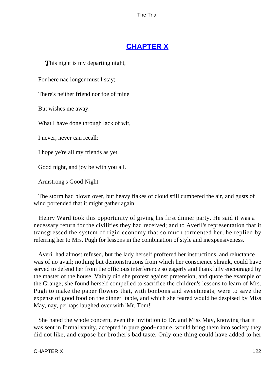# **[CHAPTER X](#page-414-0)**

**This night is my departing night,** 

For here nae longer must I stay;

There's neither friend nor foe of mine

But wishes me away.

What I have done through lack of wit,

I never, never can recall:

I hope ye're all my friends as yet.

Good night, and joy be with you all.

Armstrong's Good Night

 The storm had blown over, but heavy flakes of cloud still cumbered the air, and gusts of wind portended that it might gather again.

 Henry Ward took this opportunity of giving his first dinner party. He said it was a necessary return for the civilities they had received; and to Averil's representation that it transgressed the system of rigid economy that so much tormented her, he replied by referring her to Mrs. Pugh for lessons in the combination of style and inexpensiveness.

 Averil had almost refused, but the lady herself proffered her instructions, and reluctance was of no avail; nothing but demonstrations from which her conscience shrank, could have served to defend her from the officious interference so eagerly and thankfully encouraged by the master of the house. Vainly did she protest against pretension, and quote the example of the Grange; she found herself compelled to sacrifice the children's lessons to learn of Mrs. Pugh to make the paper flowers that, with bonbons and sweetmeats, were to save the expense of good food on the dinner−table, and which she feared would be despised by Miss May, nay, perhaps laughed over with 'Mr. Tom!'

 She hated the whole concern, even the invitation to Dr. and Miss May, knowing that it was sent in formal vanity, accepted in pure good−nature, would bring them into society they did not like, and expose her brother's bad taste. Only one thing could have added to her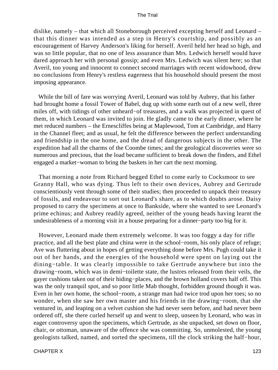dislike, namely – that which all Stoneborough perceived excepting herself and Leonard – that this dinner was intended as a step in Henry's courtship, and possibly as an encouragement of Harvey Anderson's liking for herself. Averil held her head so high, and was so little popular, that no one of less assurance than Mrs. Ledwich herself would have dared approach her with personal gossip; and even Mrs. Ledwich was silent here; so that Averil, too young and innocent to connect second marriages with recent widowhood, drew no conclusions from Henry's restless eagerness that his household should present the most imposing appearance.

 While the bill of fare was worrying Averil, Leonard was told by Aubrey, that his father had brought home a fossil Tower of Babel, dug up with some earth out of a new well, three miles off, with tidings of other unheard−of treasures, and a walk was projected in quest of them, in which Leonard was invited to join. He gladly came to the early dinner, where he met reduced numbers – the Ernescliffes being at Maplewood, Tom at Cambridge, and Harry in the Channel fleet; and as usual, he felt the difference between the perfect understanding and friendship in the one home, and the dread of dangerous subjects in the other. The expedition had all the charms of the Coombe times; and the geological discoveries were so numerous and precious, that the load became sufficient to break down the finders, and Ethel engaged a market−woman to bring the baskets in her cart the next morning.

 That morning a note from Richard begged Ethel to come early to Cocksmoor to see Granny Hall, who was dying. Thus left to their own devices, Aubrey and Gertrude conscientiously vent through some of their studies; then proceeded to unpack their treasury of fossils, and endeavour to sort out Leonard's share, as to which doubts arose. Daisy proposed to carry the specimens at once to Bankside, where she wanted to see Leonard's prime echinus; and Aubrey readily agreed, neither of the young heads having learnt the undesirableness of a morning visit in a house preparing for a dinner−party too big for it.

 However, Leonard made them extremely welcome. It was too foggy a day for rifle practice, and all the best plate and china were in the school−room, his only place of refuge; Ave was fluttering about in hopes of getting everything done before Mrs. Pugh could take it out of her hands, and the energies of the household were spent on laying out the dining−table. It was clearly impossible to take Gertrude anywhere but into the drawing−room, which was in demi−toilette state, the lustres released from their veils, the gayer cushions taken out of their hiding−places, and the brown holland covers half off. This was the only tranquil spot, and so poor little Mab thought, forbidden ground though it was. Even in her own home, the school−room, a strange man had twice trod upon her toes; so no wonder, when she saw her own master and his friends in the drawing−room, that she ventured in, and leaping on a velvet cushion she had never seen before, and had never been ordered off, she there curled herself up and went to sleep, unseen by Leonard, who was in eager controversy upon the specimens, which Gertrude, as she unpacked, set down on floor, chair, or ottoman, unaware of the offence she was committing. So, unmolested, the young geologists talked, named, and sorted the specimens, till the clock striking the half−hour,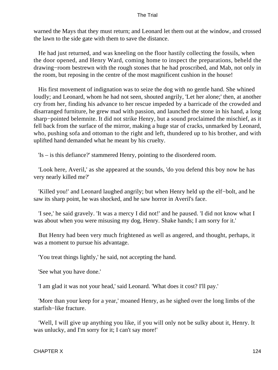warned the Mays that they must return; and Leonard let them out at the window, and crossed the lawn to the side gate with them to save the distance.

 He had just returned, and was kneeling on the floor hastily collecting the fossils, when the door opened, and Henry Ward, coming home to inspect the preparations, beheld the drawing−room bestrewn with the rough stones that he had proscribed, and Mab, not only in the room, but reposing in the centre of the most magnificent cushion in the house!

 His first movement of indignation was to seize the dog with no gentle hand. She whined loudly; and Leonard, whom he had not seen, shouted angrily, 'Let her alone;' then, at another cry from her, finding his advance to her rescue impeded by a barricade of the crowded and disarranged furniture, he grew mad with passion, and launched the stone in his hand, a long sharp−pointed belemnite. It did not strike Henry, but a sound proclaimed the mischief, as it fell back from the surface of the mirror, making a huge star of cracks, unmarked by Leonard, who, pushing sofa and ottoman to the right and left, thundered up to his brother, and with uplifted hand demanded what he meant by his cruelty.

'Is – is this defiance?' stammered Henry, pointing to the disordered room.

 'Look here, Averil,' as she appeared at the sounds, 'do you defend this boy now he has very nearly killed me?'

 'Killed you!' and Leonard laughed angrily; but when Henry held up the elf−bolt, and he saw its sharp point, he was shocked, and he saw horror in Averil's face.

 'I see,' he said gravely. 'It was a mercy I did not!' and he paused. 'I did not know what I was about when you were misusing my dog, Henry. Shake hands; I am sorry for it.'

 But Henry had been very much frightened as well as angered, and thought, perhaps, it was a moment to pursue his advantage.

'You treat things lightly,' he said, not accepting the hand.

'See what you have done.'

'I am glad it was not your head,' said Leonard. 'What does it cost? I'll pay.'

 'More than your keep for a year,' moaned Henry, as he sighed over the long limbs of the starfish−like fracture.

 'Well, I will give up anything you like, if you will only not be sulky about it, Henry. It was unlucky, and I'm sorry for it; I can't say more!'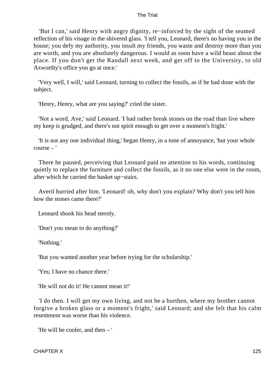'But I can,' said Henry with angry dignity, re−inforced by the sight of the seamed reflection of his visage in the shivered glass. 'I tell you, Leonard, there's no having you in the house; you defy my authority, you insult my friends, you waste and destroy more than you are worth, and you are absolutely dangerous. I would as soon have a wild beast about the place. If you don't get the Randall next week, and get off to the University, to old Axworthy's office you go at once.'

 'Very well, I will,' said Leonard, turning to collect the fossils, as if he had done with the subject.

'Henry, Henry, what are you saying?' cried the sister.

 'Not a word, Ave,' said Leonard. 'I had rather break stones on the road than live where my keep is grudged, and there's not spirit enough to get over a moment's fright.'

 'It is not any one individual thing,' began Henry, in a tone of annoyance, 'but your whole course – '

 There he paused, perceiving that Leonard paid no attention to his words, continuing quietly to replace the furniture and collect the fossils, as it no one else were in the room, after which he carried the basket up−stairs.

 Averil hurried after him. 'Leonard! oh, why don't you explain? Why don't you tell him how the stones came there?'

Leonard shook his head sternly.

'Don't you mean to do anything?'

'Nothing.'

'But you wanted another year before trying for the scholarship.'

'Yes; I have no chance there.'

'He will not do it! He cannot mean it!'

 'I do then. I will get my own living, and not be a burthen, where my brother cannot forgive a broken glass or a moment's fright,' said Leonard; and she felt that his calm resentment was worse than his violence.

'He will be cooler, and then – '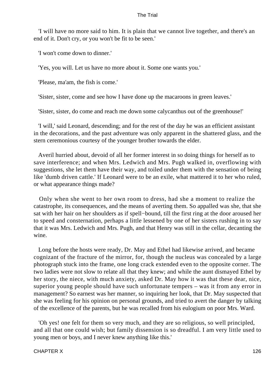'I will have no more said to him. It is plain that we cannot live together, and there's an end of it. Don't cry, or you won't be fit to be seen.'

'I won't come down to dinner.'

'Yes, you will. Let us have no more about it. Some one wants you.'

'Please, ma'am, the fish is come.'

'Sister, sister, come and see how I have done up the macaroons in green leaves.'

'Sister, sister, do come and reach me down some calycanthus out of the greenhouse!'

 'I will,' said Leonard, descending; and for the rest of the day he was an efficient assistant in the decorations, and the past adventure was only apparent in the shattered glass, and the stern ceremonious courtesy of the younger brother towards the elder.

 Averil hurried about, devoid of all her former interest in so doing things for herself as to save interference; and when Mrs. Ledwich and Mrs. Pugh walked in, overflowing with suggestions, she let them have their way, and toiled under them with the sensation of being like 'dumb driven cattle.' If Leonard were to be an exile, what mattered it to her who ruled, or what appearance things made?

 Only when she went to her own room to dress, had she a moment to realize the catastrophe, its consequences, and the means of averting them. So appalled was she, that she sat with her hair on her shoulders as if spell−bound, till the first ring at the door aroused her to speed and consternation, perhaps a little lessened by one of her sisters rushing in to say that it was Mrs. Ledwich and Mrs. Pugh, and that Henry was still in the cellar, decanting the wine.

 Long before the hosts were ready, Dr. May and Ethel had likewise arrived, and became cognizant of the fracture of the mirror, for, though the nucleus was concealed by a large photograph stuck into the frame, one long crack extended even to the opposite corner. The two ladies were not slow to relate all that they knew; and while the aunt dismayed Ethel by her story, the niece, with much anxiety, asked Dr. May how it was that these dear, nice, superior young people should have such unfortunate tempers – was it from any error in management? So earnest was her manner, so inquiring her look, that Dr. May suspected that she was feeling for his opinion on personal grounds, and tried to avert the danger by talking of the excellence of the parents, but he was recalled from his eulogium on poor Mrs. Ward.

 'Oh yes! one felt for them so very much, and they are so religious, so well principled, and all that one could wish; but family dissension is so dreadful. I am very little used to young men or boys, and I never knew anything like this.'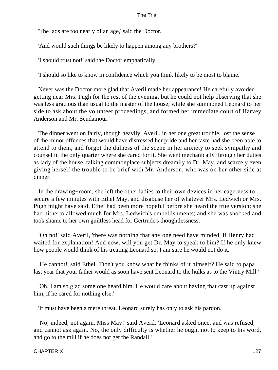'The lads are too nearly of an age,' said the Doctor.

'And would such things be likely to happen among any brothers?'

'I should trust not!' said the Doctor emphatically.

'I should so like to know in confidence which you think likely to be most to blame.'

 Never was the Doctor more glad that Averil made her appearance! He carefully avoided getting near Mrs. Pugh for the rest of the evening, but he could not help observing that she was less gracious than usual to the master of the house; while she summoned Leonard to her side to ask about the volunteer proceedings, and formed her immediate court of Harvey Anderson and Mr. Scudamour.

 The dinner went on fairly, though heavily. Averil, in her one great trouble, lost the sense of the minor offences that would have distressed her pride and her taste had she been able to attend to them, and forgot the dulness of the scene in her anxiety to seek sympathy and counsel in the only quarter where she cared for it. She went mechanically through her duties as lady of the house, talking commonplace subjects dreamily to Dr. May, and scarcely even giving herself the trouble to be brief with Mr. Anderson, who was on her other side at dinner.

 In the drawing−room, she left the other ladies to their own devices in her eagerness to secure a few minutes with Ethel May, and disabuse her of whatever Mrs. Ledwich or Mrs. Pugh might have said. Ethel had been more hopeful before she heard the true version; she had hitherto allowed much for Mrs. Ledwich's embellishments; and she was shocked and took shame to her own guiltless head for Gertrude's thoughtlessness.

 'Oh no!' said Averil, 'there was nothing that any one need have minded, if Henry had waited for explanation! And now, will you get Dr. May to speak to him? If he only knew how people would think of his treating Leonard so, I am sure he would not do it.'

 'He cannot!' said Ethel. 'Don't you know what he thinks of it himself? He said to papa last year that your father would as soon have sent Leonard to the hulks as to the Vintry Mill.'

 'Oh, I am so glad some one heard him. He would care about having that cast up against him, if he cared for nothing else.'

'It must have been a mere threat. Leonard surely has only to ask his pardon.'

 'No, indeed, not again, Miss May!' said Averil. 'Leonard asked once, and was refused, and cannot ask again. No, the only difficulty is whether he ought not to keep to his word, and go to the mill if he does not get the Randall.'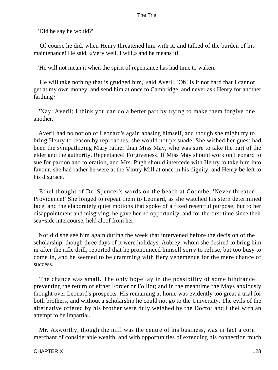'Did he say he would?'

 'Of course he did, when Henry threatened him with it, and talked of the burden of his maintenance! He said, «Very well, I will,» and he means it!'

'He will not mean it when the spirit of repentance has had time to waken.'

 'He will take nothing that is grudged him,' said Averil. 'Oh! is it not hard that I cannot get at my own money, and send him at once to Cambridge, and never ask Henry for another farthing?'

 'Nay, Averil; I think you can do a better part by trying to make them forgive one another.'

 Averil had no notion of Leonard's again abasing himself, and though she might try to bring Henry to reason by reproaches, she would not persuade. She wished her guest had been the sympathizing Mary rather than Miss May, who was sure to take the part of the elder and the authority. Repentance! Forgiveness! If Miss May should work on Leonard to sue for pardon and toleration, and Mrs. Pugh should intercede with Henry to take him into favour, she had rather he were at the Vintry Mill at once in his dignity, and Henry be left to his disgrace.

 Ethel thought of Dr. Spencer's words on the beach at Coombe, 'Never threaten Providence!' She longed to repeat them to Leonard, as she watched his stern determined face, and the elaborately quiet motions that spoke of a fixed resentful purpose; but to her disappointment and misgiving, he gave her no opportunity, and for the first time since their sea−side intercourse, held aloof from her.

 Nor did she see him again during the week that intervened before the decision of the scholarship, though three days of it were holidays. Aubrey, whom she desired to bring him in after the rifle drill, reported that he pronounced himself sorry to refuse, but too busy to come in, and he seemed to be cramming with fiery vehemence for the mere chance of success.

 The chance was small. The only hope lay in the possibility of some hindrance preventing the return of either Forder or Folliot; and in the meantime the Mays anxiously thought over Leonard's prospects. His remaining at home was evidently too great a trial for both brothers, and without a scholarship he could not go to the University. The evils of the alternative offered by his brother were duly weighed by the Doctor and Ethel with an attempt to be impartial.

 Mr. Axworthy, though the mill was the centre of his business, was in fact a corn merchant of considerable wealth, and with opportunities of extending his connection much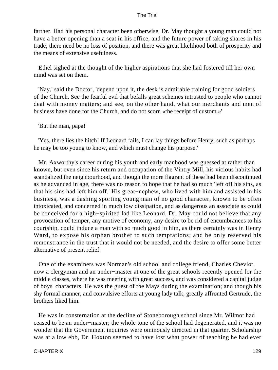farther. Had his personal character been otherwise, Dr. May thought a young man could not have a better opening than a seat in his office, and the future power of taking shares in his trade; there need be no loss of position, and there was great likelihood both of prosperity and the means of extensive usefulness.

 Ethel sighed at the thought of the higher aspirations that she had fostered till her own mind was set on them.

 'Nay,' said the Doctor, 'depend upon it, the desk is admirable training for good soldiers of the Church. See the fearful evil that befalls great schemes intrusted to people who cannot deal with money matters; and see, on the other hand, what our merchants and men of business have done for the Church, and do not scorn «the receipt of custom.»'

'But the man, papa!'

 'Yes, there lies the hitch! If Leonard fails, I can lay things before Henry, such as perhaps he may be too young to know, and which must change his purpose.'

 Mr. Axworthy's career during his youth and early manhood was guessed at rather than known, but even since his return and occupation of the Vintry Mill, his vicious habits had scandalized the neighbourhood, and though the more flagrant of these had been discontinued as he advanced in age, there was no reason to hope that he had so much 'left off his sins, as that his sins had left him off.' His great−nephew, who lived with him and assisted in his business, was a dashing sporting young man of no good character, known to be often intoxicated, and concerned in much low dissipation, and as dangerous an associate as could be conceived for a high−spirited lad like Leonard. Dr. May could not believe that any provocation of temper, any motive of economy, any desire to be rid of encumbrances to his courtship, could induce a man with so much good in him, as there certainly was in Henry Ward, to expose his orphan brother to such temptations; and he only reserved his remonstrance in the trust that it would not be needed, and the desire to offer some better alternative of present relief.

 One of the examiners was Norman's old school and college friend, Charles Cheviot, now a clergyman and an under−master at one of the great schools recently opened for the middle classes, where he was meeting with great success, and was considered a capital judge of boys' characters. He was the guest of the Mays during the examination; and though his shy formal manner, and convulsive efforts at young lady talk, greatly affronted Gertrude, the brothers liked him.

 He was in consternation at the decline of Stoneborough school since Mr. Wilmot had ceased to be an under−master; the whole tone of the school had degenerated, and it was no wonder that the Government inquiries were ominously directed in that quarter. Scholarship was at a low ebb, Dr. Hoxton seemed to have lost what power of teaching he had ever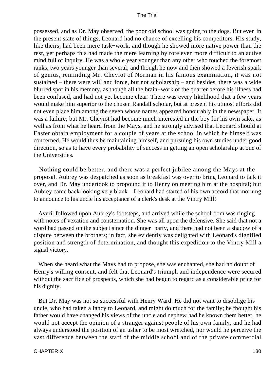possessed, and as Dr. May observed, the poor old school was going to the dogs. But even in the present state of things, Leonard had no chance of excelling his competitors. His study, like theirs, had been mere task−work, and though he showed more native power than the rest, yet perhaps this had made the mere learning by rote even more difficult to an active mind full of inquiry. He was a whole year younger than any other who touched the foremost ranks, two years younger than several; and though he now and then showed a feverish spark of genius, reminding Mr. Cheviot of Norman in his famous examination, it was not sustained – there were will and force, but not scholarship – and besides, there was a wide blurred spot in his memory, as though all the brain−work of the quarter before his illness had been confused, and had not yet become clear. There was every likelihood that a few years would make him superior to the chosen Randall scholar, but at present his utmost efforts did not even place him among the seven whose names appeared honourably in the newspaper. It was a failure; but Mr. Cheviot had become much interested in the boy for his own sake, as well as from what he heard from the Mays, and he strongly advised that Leonard should at Easter obtain employment for a couple of years at the school in which he himself was concerned. He would thus be maintaining himself, and pursuing his own studies under good direction, so as to have every probability of success in getting an open scholarship at one of the Universities.

 Nothing could be better, and there was a perfect jubilee among the Mays at the proposal. Aubrey was despatched as soon as breakfast was over to bring Leonard to talk it over, and Dr. May undertook to propound it to Henry on meeting him at the hospital; but Aubrey came back looking very blank – Leonard had started of his own accord that morning to announce to his uncle his acceptance of a clerk's desk at the Vintry Mill!

 Averil followed upon Aubrey's footsteps, and arrived while the schoolroom was ringing with notes of vexation and consternation. She was all upon the defensive. She said that not a word had passed on the subject since the dinner−party, and there had not been a shadow of a dispute between the brothers; in fact, she evidently was delighted with Leonard's dignified position and strength of determination, and thought this expedition to the Vintry Mill a signal victory.

 When she heard what the Mays had to propose, she was enchanted, she had no doubt of Henry's willing consent, and felt that Leonard's triumph and independence were secured without the sacrifice of prospects, which she had begun to regard as a considerable price for his dignity.

 But Dr. May was not so successful with Henry Ward. He did not want to disoblige his uncle, who had taken a fancy to Leonard, and might do much for the family; he thought his father would have changed his views of the uncle and nephew had he known them better, he would not accept the opinion of a stranger against people of his own family, and he had always understood the position of an usher to be most wretched, nor would he perceive the vast difference between the staff of the middle school and of the private commercial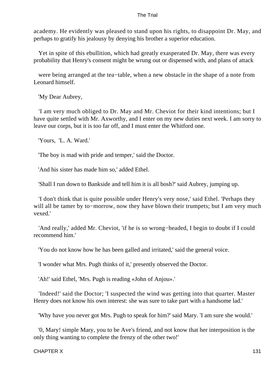academy. He evidently was pleased to stand upon his rights, to disappoint Dr. May, and perhaps to gratify his jealousy by denying his brother a superior education.

 Yet in spite of this ebullition, which had greatly exasperated Dr. May, there was every probability that Henry's consent might be wrung out or dispensed with, and plans of attack

 were being arranged at the tea−table, when a new obstacle in the shape of a note from Leonard himself.

'My Dear Aubrey,

 'I am very much obliged to Dr. May and Mr. Cheviot for their kind intentions; but I have quite settled with Mr. Axworthy, and I enter on my new duties next week. I am sorry to leave our corps, but it is too far off, and I must enter the Whitford one.

'Yours, 'L. A. Ward.'

'The boy is mad with pride and temper,' said the Doctor.

'And his sister has made him so,' added Ethel.

'Shall I run down to Bankside and tell him it is all bosh?' said Aubrey, jumping up.

 'I don't think that is quite possible under Henry's very nose,' said Ethel. 'Perhaps they will all be tamer by to−morrow, now they have blown their trumpets; but I am very much vexed.'

 'And really,' added Mr. Cheviot, 'if he is so wrong−headed, I begin to doubt if I could recommend him.'

'You do not know how he has been galled and irritated,' said the general voice.

'I wonder what Mrs. Pugh thinks of it,' presently observed the Doctor.

'Ah!' said Ethel, 'Mrs. Pugh is reading «John of Anjou».'

 'Indeed!' said the Doctor; 'I suspected the wind was getting into that quarter. Master Henry does not know his own interest: she was sure to take part with a handsome lad.'

'Why have you never got Mrs. Pugh to speak for him?' said Mary. 'I am sure she would.'

 '0, Mary! simple Mary, you to be Ave's friend, and not know that her interposition is the only thing wanting to complete the frenzy of the other two!'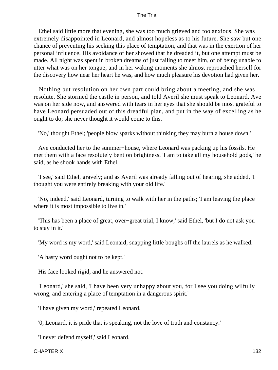Ethel said little more that evening, she was too much grieved and too anxious. She was extremely disappointed in Leonard, and almost hopeless as to his future. She saw but one chance of preventing his seeking this place of temptation, and that was in the exertion of her personal influence. His avoidance of her showed that he dreaded it, but one attempt must be made. All night was spent in broken dreams of just failing to meet him, or of being unable to utter what was on her tongue; and in her waking moments she almost reproached herself for the discovery how near her heart he was, and how much pleasure his devotion had given her.

 Nothing but resolution on her own part could bring about a meeting, and she was resolute. She stormed the castle in person, and told Averil she must speak to Leonard. Ave was on her side now, and answered with tears in her eyes that she should be most grateful to have Leonard persuaded out of this dreadful plan, and put in the way of excelling as he ought to do; she never thought it would come to this.

'No,' thought Ethel; 'people blow sparks without thinking they may burn a house down.'

 Ave conducted her to the summer−house, where Leonard was packing up his fossils. He met them with a face resolutely bent on brightness. 'I am to take all my household gods,' he said, as he shook hands with Ethel.

 'I see,' said Ethel, gravely; and as Averil was already falling out of hearing, she added, 'I thought you were entirely breaking with your old life.'

 'No, indeed,' said Leonard, turning to walk with her in the paths; 'I am leaving the place where it is most impossible to live in.'

 'This has been a place of great, over−great trial, I know,' said Ethel, 'but I do not ask you to stay in it.'

'My word is my word,' said Leonard, snapping little boughs off the laurels as he walked.

'A hasty word ought not to be kept.'

His face looked rigid, and he answered not.

 'Leonard,' she said, 'I have been very unhappy about you, for I see you doing wilfully wrong, and entering a place of temptation in a dangerous spirit.'

'I have given my word,' repeated Leonard.

'0, Leonard, it is pride that is speaking, not the love of truth and constancy.'

'I never defend myself,' said Leonard.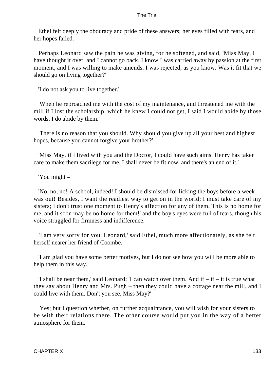Ethel felt deeply the obduracy and pride of these answers; her eyes filled with tears, and her hopes failed.

 Perhaps Leonard saw the pain he was giving, for he softened, and said, 'Miss May, I have thought it over, and I cannot go back. I know I was carried away by passion at the first moment, and I was willing to make amends. I was rejected, as you know. Was it fit that we should go on living together?'

'I do not ask you to live together.'

 'When he reproached me with the cost of my maintenance, and threatened me with the mill if I lost the scholarship, which he knew I could not get, I said I would abide by those words. I do abide by them.'

 'There is no reason that you should. Why should you give up all your best and highest hopes, because you cannot forgive your brother?'

 'Miss May, if I lived with you and the Doctor, I could have such aims. Henry has taken care to make them sacrilege for me. I shall never be fit now, and there's an end of it.'

'You might – '

 'No, no, no! A school, indeed! I should be dismissed for licking the boys before a week was out! Besides, I want the readiest way to get on in the world; I must take care of my sisters; I don't trust one moment to Henry's affection for any of them. This is no home for me, and it soon may be no home for them!' and the boy's eyes were full of tears, though his voice struggled for firmness and indifference.

 'I am very sorry for you, Leonard,' said Ethel, much more affectionately, as she felt herself nearer her friend of Coombe.

 'I am glad you have some better motives, but I do not see how you will be more able to help them in this way.'

'I shall be near them,' said Leonard; 'I can watch over them. And if  $-$  if  $-$  it is true what they say about Henry and Mrs. Pugh – then they could have a cottage near the mill, and I could live with them. Don't you see, Miss May?'

 'Yes; but I question whether, on further acquaintance, you will wish for your sisters to be with their relations there. The other course would put you in the way of a better atmosphere for them.'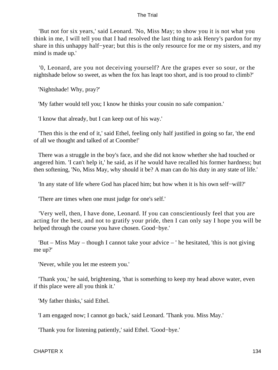'But not for six years,' said Leonard. 'No, Miss May; to show you it is not what you think in me, I will tell you that I had resolved the last thing to ask Henry's pardon for my share in this unhappy half−year; but this is the only resource for me or my sisters, and my mind is made up.'

 '0, Leonard, are you not deceiving yourself? Are the grapes ever so sour, or the nightshade below so sweet, as when the fox has leapt too short, and is too proud to climb?'

'Nightshade! Why, pray?'

'My father would tell you; I know he thinks your cousin no safe companion.'

'I know that already, but I can keep out of his way.'

 'Then this is the end of it,' said Ethel, feeling only half justified in going so far, 'the end of all we thought and talked of at Coombe!'

 There was a struggle in the boy's face, and she did not know whether she had touched or angered him. 'I can't help it,' he said, as if he would have recalled his former hardness; but then softening, 'No, Miss May, why should it be? A man can do his duty in any state of life.'

'In any state of life where God has placed him; but how when it is his own self−will?'

'There are times when one must judge for one's self.'

 'Very well, then, I have done, Leonard. If you can conscientiously feel that you are acting for the best, and not to gratify your pride, then I can only say I hope you will be helped through the course you have chosen. Good−bye.'

 'But – Miss May – though I cannot take your advice – ' he hesitated, 'this is not giving me up?'

'Never, while you let me esteem you.'

 'Thank you,' he said, brightening, 'that is something to keep my head above water, even if this place were all you think it.'

'My father thinks,' said Ethel.

'I am engaged now; I cannot go back,' said Leonard. 'Thank you. Miss May.'

'Thank you for listening patiently,' said Ethel. 'Good−bye.'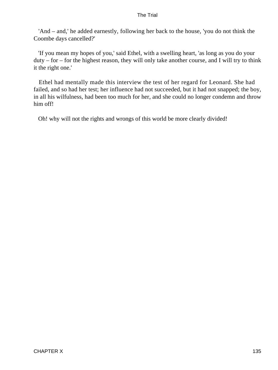'And – and,' he added earnestly, following her back to the house, 'you do not think the Coombe days cancelled?'

 'If you mean my hopes of you,' said Ethel, with a swelling heart, 'as long as you do your  $duty - for - for the highest reason, they will only take another course, and I will try to think$ it the right one.'

 Ethel had mentally made this interview the test of her regard for Leonard. She had failed, and so had her test; her influence had not succeeded, but it had not snapped; the boy, in all his wilfulness, had been too much for her, and she could no longer condemn and throw him off!

Oh! why will not the rights and wrongs of this world be more clearly divided!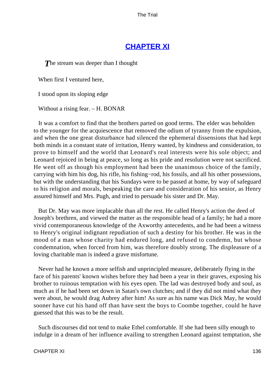# **[CHAPTER XI](#page-414-0)**

**The stream was deeper than I thought** 

When first I ventured here,

I stood upon its sloping edge

Without a rising fear. – H. BONAR

 It was a comfort to find that the brothers parted on good terms. The elder was beholden to the younger for the acquiescence that removed the odium of tyranny from the expulsion, and when the one great disturbance had silenced the ephemeral dissensions that had kept both minds in a constant state of irritation, Henry wanted, by kindness and consideration, to prove to himself and the world that Leonard's real interests were his sole object; and Leonard rejoiced in being at peace, so long as his pride and resolution were not sacrificed. He went off as though his employment had been the unanimous choice of the family, carrying with him his dog, his rifle, his fishing−rod, his fossils, and all his other possessions, but with the understanding that his Sundays were to be passed at home, by way of safeguard to his religion and morals, bespeaking the care and consideration of his senior, as Henry assured himself and Mrs. Pugh, and tried to persuade his sister and Dr. May.

 But Dr. May was more implacable than all the rest. He called Henry's action the deed of Joseph's brethren, and viewed the matter as the responsible head of a family; he had a more vivid contemporaneous knowledge of the Axworthy antecedents, and he had been a witness to Henry's original indignant repudiation of such a destiny for his brother. He was in the mood of a man whose charity had endured long, and refused to condemn, but whose condemnation, when forced from him, was therefore doubly strong. The displeasure of a loving charitable man is indeed a grave misfortune.

 Never had he known a more selfish and unprincipled measure, deliberately flying in the face of his parents' known wishes before they had been a year in their graves, exposing his brother to ruinous temptation with his eyes open. The lad was destroyed body and soul, as much as if he had been set down in Satan's own clutches; and if they did not mind what they were about, he would drag Aubrey after him! As sure as his name was Dick May, he would sooner have cut his hand off than have sent the boys to Coombe together, could he have guessed that this was to be the result.

 Such discourses did not tend to make Ethel comfortable. If she had been silly enough to indulge in a dream of her influence availing to strengthen Leonard against temptation, she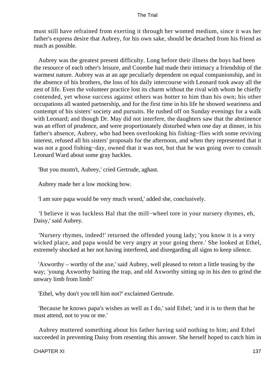must still have refrained from exerting it through her wonted medium, since it was her father's express desire that Aubrey, for his own sake, should be detached from his friend as much as possible.

 Aubrey was the greatest present difficulty. Long before their illness the boys had been the resource of each other's leisure, and Coombe had made their intimacy a friendship of the warmest nature. Aubrey was at an age peculiarly dependent on equal companionship, and in the absence of his brothers, the loss of his daily intercourse with Leonard took away all the zest of life. Even the volunteer practice lost its charm without the rival with whom he chiefly contended, yet whose success against others was hotter to him than his own; his other occupations all wanted partnership, and for the first time in his life he showed weariness and contempt of his sisters' society and pursuits. He rushed off on Sunday evenings for a walk with Leonard; and though Dr. May did not interfere, the daughters saw that the abstinence was an effort of prudence, and were proportionately disturbed when one day at dinner, in his father's absence, Aubrey, who had been overlooking his fishing−flies with some reviving interest, refused all his sisters' proposals for the afternoon, and when they represented that it was not a good fishing−day, owned that it was not, but that he was going over to consult Leonard Ward about some gray hackles.

'But you mustn't, Aubrey,' cried Gertrude, aghast.

Aubrey made her a low mocking bow.

'I am sure papa would be very much vexed,' added she, conclusively.

 'I believe it was luckless Hal that the mill−wheel tore in your nursery rhymes, eh, Daisy,' said Aubrey.

 'Nursery rhymes, indeed!' returned the offended young lady; 'you know it is a very wicked place, and papa would be very angry at your going there.' She looked at Ethel, extremely shocked at her not having interfered, and disregarding all signs to keep silence.

 'Axworthy – worthy of the axe,' said Aubrey, well pleased to retort a little teasing by the way; 'young Axworthy baiting the trap, and old Axworthy sitting up in his den to grind the unwary limb from limb!'

'Ethel, why don't you tell him not?' exclaimed Gertrude.

 'Because he knows papa's wishes as well as I do,' said Ethel; 'and it is to them that he must attend, not to you or me.'

 Aubrey muttered something about his father having said nothing to him; and Ethel succeeded in preventing Daisy from resenting this answer. She herself hoped to catch him in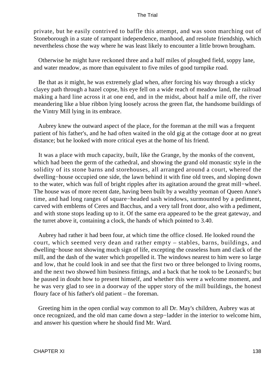private, but he easily contrived to baffle this attempt, and was soon marching out of Stoneborough in a state of rampant independence, manhood, and resolute friendship, which nevertheless chose the way where he was least likely to encounter a little brown brougham.

 Otherwise he might have reckoned three and a half miles of ploughed field, soppy lane, and water meadow, as more than equivalent to five miles of good turnpike road.

 Be that as it might, he was extremely glad when, after forcing his way through a sticky clayey path through a hazel copse, his eye fell on a wide reach of meadow land, the railroad making a hard line across it at one end, and in the midst, about half a mile off, the river meandering like a blue ribbon lying loosely across the green flat, the handsome buildings of the Vintry Mill lying in its embrace.

 Aubrey knew the outward aspect of the place, for the foreman at the mill was a frequent patient of his father's, and he had often waited in the old gig at the cottage door at no great distance; but he looked with more critical eyes at the home of his friend.

 It was a place with much capacity, built, like the Grange, by the monks of the convent, which had been the germ of the cathedral, and showing the grand old monastic style in the solidity of its stone barns and storehouses, all arranged around a court, whereof the dwelling−house occupied one side, the lawn behind it with fine old trees, and sloping down to the water, which was full of bright ripples after its agitation around the great mill−wheel. The house was of more recent date, having been built by a wealthy yeoman of Queen Anne's time, and had long ranges of square−headed sash windows, surmounted by a pediment, carved with emblems of Ceres and Bacchus, and a very tall front door, also with a pediment, and with stone stops leading up to it. Of the same era appeared to be the great gateway, and the turret above it, containing a clock, the hands of which pointed to 3.40.

 Aubrey had rather it had been four, at which time the office closed. He looked round the court, which seemed very dean and rather empty – stables, barns, buildings, and dwelling−house not showing much sign of life, excepting the ceaseless hum and clack of the mill, and the dash of the water which propelled it. The windows nearest to him were so large and low, that he could look in and see that the first two or three belonged to living rooms, and the next two showed him business fittings, and a back that he took to be Leonard's; but he paused in doubt how to present himself, and whether this were a welcome moment, and he was very glad to see in a doorway of the upper story of the mill buildings, the honest floury face of his father's old patient – the foreman.

 Greeting him in the open cordial way common to all Dr. May's children, Aubrey was at once recognized, and the old man came down a step−ladder in the interior to welcome him, and answer his question where he should find Mr. Ward.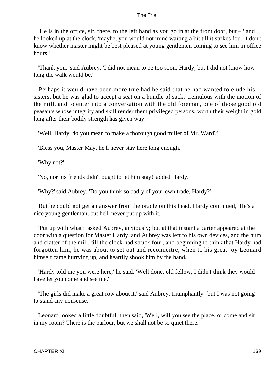'He is in the office, sir, there, to the left hand as you go in at the front door, but  $-$ ' and he looked up at the clock, 'maybe, you would not mind waiting a bit till it strikes four. I don't know whether master might be best pleased at young gentlemen coming to see him in office hours.'

 'Thank you,' said Aubrey. 'I did not mean to be too soon, Hardy, but I did not know how long the walk would be.'

 Perhaps it would have been more true had he said that he had wanted to elude his sisters, but he was glad to accept a seat on a bundle of sacks tremulous with the motion of the mill, and to enter into a conversation with the old foreman, one of those good old peasants whose integrity and skill render them privileged persons, worth their weight in gold long after their bodily strength has given way.

'Well, Hardy, do you mean to make a thorough good miller of Mr. Ward?'

'Bless you, Master May, he'll never stay here long enough.'

'Why not?'

'No, nor his friends didn't ought to let him stay!' added Hardy.

'Why?' said Aubrey. 'Do you think so badly of your own trade, Hardy?'

 But he could not get an answer from the oracle on this head. Hardy continued, 'He's a nice young gentleman, but he'll never put up with it.'

 'Put up with what?' asked Aubrey, anxiously; but at that instant a carter appeared at the door with a question for Master Hardy, and Aubrey was left to his own devices, and the hum and clatter of the mill, till the clock had struck four; and beginning to think that Hardy had forgotten him, he was about to set out and reconnoitre, when to his great joy Leonard himself came hurrying up, and heartily shook him by the hand.

 'Hardy told me you were here,' he said. 'Well done, old fellow, I didn't think they would have let you come and see me.'

 'The girls did make a great row about it,' said Aubrey, triumphantly, 'but I was not going to stand any nonsense.'

 Leonard looked a little doubtful; then said, 'Well, will you see the place, or come and sit in my room? There is the parlour, but we shall not be so quiet there.'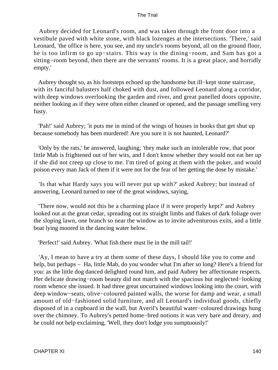Aubrey decided for Leonard's room, and was taken through the front door into a vestibule paved with white stone, with black lozenges at the intersections. 'There,' said Leonard, 'the office is here, you see, and my uncle's rooms beyond, all on the ground floor, he is too infirm to go up−stairs. This way is the dining−room, and Sam has got a sitting−room beyond, then there are the servants' rooms. It is a great place, and horridly empty.'

 Aubrey thought so, as his footsteps echoed up the handsome but ill−kept stone staircase, with its fanciful balusters half choked with dust, and followed Leonard along a corridor, with deep windows overlooking the garden and river, and great panelled doors opposite, neither looking as if they were often either cleaned or opened, and the passage smelling very fusty.

 'Pah!' said Aubrey; 'it puts me in mind of the wings of houses in books that get shut up because somebody has been murdered! Are you sure it is not haunted, Leonard?'

 'Only by the rats,' he answered, laughing; 'they make such an intolerable row, that poor little Mab is frightened out of her wits, and I don't know whether they would not eat her up if she did not creep up close to me. I'm tired of going at them with the poker, and would poison every man Jack of them if it were not for the fear of her getting the dose by mistake.'

 'Is that what Hardy says you will never put up with?' asked Aubrey; but instead of answering, Leonard turned to one of the great windows, saying,

 'There now, would not this be a charming place if it were properly kept?' and Aubrey looked out at the great cedar, spreading out its straight limbs and flakes of dark foliage over the sloping lawn, one branch so near the window as to invite adventurous exits, and a little boat lying moored in the dancing water below.

'Perfect!' said Aubrey. 'What fish there must lie in the mill tail!'

 'Ay, I mean to have a try at them some of these days, I should like you to come and help, but perhaps – Ha, little Mab, do you wonder what I'm after so long? Here's a friend for you: as the little dog danced delighted round him, and paid Aubrey her affectionate respects. Her delicate drawing−room beauty did not match with the spacious but neglected−looking room whence she issued. It had three great uncurtained windows looking into the court, with deep window−seats, olive−coloured painted walls, the worse for damp and wear, a small amount of old−fashioned solid furniture, and all Leonard's individual goods, chiefly disposed of in a cupboard in the wall, but Averil's beautiful water−coloured drawings hung over the chimney. To Aubrey's petted home−bred notions it was very bare and dreary, and he could not help exclaiming, 'Well, they don't lodge you sumptuously!'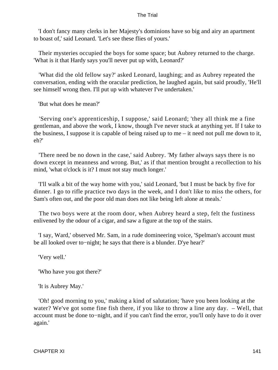'I don't fancy many clerks in her Majesty's dominions have so big and airy an apartment to boast of,' said Leonard. 'Let's see these flies of yours.'

 Their mysteries occupied the boys for some space; but Aubrey returned to the charge. 'What is it that Hardy says you'll never put up with, Leonard?'

 'What did the old fellow say?' asked Leonard, laughing; and as Aubrey repeated the conversation, ending with the oracular prediction, he laughed again, but said proudly, 'He'll see himself wrong then. I'll put up with whatever I've undertaken.'

'But what does he mean?'

 'Serving one's apprenticeship, I suppose,' said Leonard; 'they all think me a fine gentleman, and above the work, I know, though I've never stuck at anything yet. If I take to the business, I suppose it is capable of being raised up to me – it need not pull me down to it, eh?'

 'There need be no down in the case,' said Aubrey. 'My father always says there is no down except in meanness and wrong. But,' as if that mention brought a recollection to his mind, 'what o'clock is it? I must not stay much longer.'

 'I'll walk a bit of the way home with you,' said Leonard, 'but I must be back by five for dinner. I go to rifle practice two days in the week, and I don't like to miss the others, for Sam's often out, and the poor old man does not like being left alone at meals.'

 The two boys were at the room door, when Aubrey heard a step, felt the fustiness enlivened by the odour of a cigar, and saw a figure at the top of the stairs.

 'I say, Ward,' observed Mr. Sam, in a rude domineering voice, 'Spelman's account must be all looked over to−night; he says that there is a blunder. D'ye hear?'

'Very well.'

'Who have you got there?'

'It is Aubrey May.'

 'Oh! good morning to you,' making a kind of salutation; 'have you been looking at the water? We've got some fine fish there, if you like to throw a line any day. – Well, that account must be done to−night, and if you can't find the error, you'll only have to do it over again.'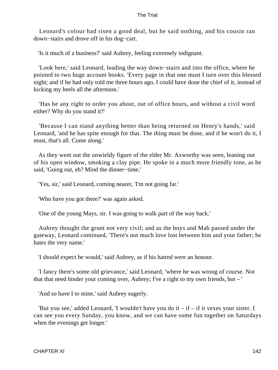Leonard's colour had risen a good deal, but he said nothing, and his cousin ran down−stairs and drove off in his dog−cart.

'Is it much of a business?' said Aubrey, feeling extremely indignant.

 'Look here,' said Leonard, leading the way down−stairs and into the office, where he pointed to two huge account books. 'Every page in that one must I turn over this blessed night; and if he had only told me three hours ago, I could have done the chief of it, instead of kicking my heels all the afternoon.'

 'Has he any right to order you about, out of office hours, and without a civil word either? Why do you stand it?'

 'Because I can stand anything better than being returned on Henry's hands,' said Leonard, 'and he has spite enough for that. The thing must be done, and if he won't do it, I must, that's all. Come along.'

 As they went out the unwieldy figure of the elder Mr. Axworthy was seen, leaning out of his open window, smoking a clay pipe. He spoke in a much more friendly tone, as he said, 'Going out, eh? Mind the dinner−time.'

'Yes, sir,' said Leonard, coming nearer, 'I'm not going far.'

'Who have you got there?' was again asked.

'One of the young Mays, sir. I was going to walk part of the way back.'

 Aubrey thought the grunt not very civil; and as the boys and Mab passed under the gateway, Leonard continued, 'There's not much love lost between him and your father; he hates the very name.'

'I should expect he would,' said Aubrey, as if his hatred were an honour.

 'I fancy there's some old grievance,' said Leonard, 'where he was wrong of course. Not that that need hinder your coming over, Aubrey; I've a right to my own friends, but – '

'And so have I to mine,' said Aubrey eagerly.

'But you see,' added Leonard, 'I wouldn't have you do it  $-$  if  $-$  if it vexes your sister. I can see you every Sunday, you know, and we can have some fun together on Saturdays when the evenings get longer.'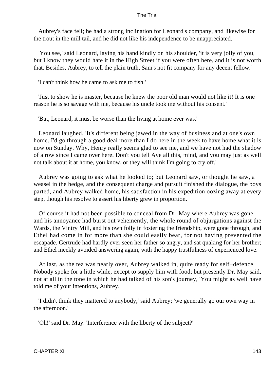Aubrey's face fell; he had a strong inclination for Leonard's company, and likewise for the trout in the mill tail, and he did not like his independence to be unappreciated.

 'You see,' said Leonard, laying his hand kindly on his shoulder, 'it is very jolly of you, but I know they would hate it in the High Street if you were often here, and it is not worth that. Besides, Aubrey, to tell the plain truth, Sam's not fit company for any decent fellow.'

'I can't think how he came to ask me to fish.'

 'Just to show he is master, because he knew the poor old man would not like it! It is one reason he is so savage with me, because his uncle took me without his consent.'

'But, Leonard, it must be worse than the living at home ever was.'

 Leonard laughed. 'It's different being jawed in the way of business and at one's own home. I'd go through a good deal more than I do here in the week to have home what it is now on Sunday. Why, Henry really seems glad to see me, and we have not had the shadow of a row since I came over here. Don't you tell Ave all this, mind, and you may just as well not talk about it at home, you know, or they will think I'm going to cry off.'

 Aubrey was going to ask what he looked to; but Leonard saw, or thought he saw, a weasel in the hedge, and the consequent charge and pursuit finished the dialogue, the boys parted, and Aubrey walked home, his satisfaction in his expedition oozing away at every step, though his resolve to assert his liberty grew in proportion.

 Of course it had not been possible to conceal from Dr. May where Aubrey was gone, and his annoyance had burst out vehemently, the whole round of objurgations against the Wards, the Vintry Mill, and his own folly in fostering the friendship, were gone through, and Ethel had come in for more than she could easily bear, for not having prevented the escapade. Gertrude had hardly ever seen her father so angry, and sat quaking for her brother; and Ethel meekly avoided answering again, with the happy trustfulness of experienced love.

 At last, as the tea was nearly over, Aubrey walked in, quite ready for self−defence. Nobody spoke for a little while, except to supply him with food; but presently Dr. May said, not at all in the tone in which he had talked of his son's journey, 'You might as well have told me of your intentions, Aubrey.'

 'I didn't think they mattered to anybody,' said Aubrey; 'we generally go our own way in the afternoon.'

'Oh!' said Dr. May. 'Interference with the liberty of the subject?'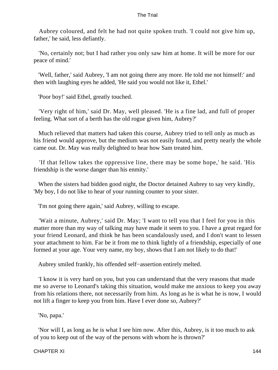Aubrey coloured, and felt he had not quite spoken truth. 'I could not give him up, father,' he said, less defiantly.

 'No, certainly not; but I had rather you only saw him at home. It will be more for our peace of mind.'

 'Well, father,' said Aubrey, 'I am not going there any more. He told me not himself:' and then with laughing eyes he added, 'He said you would not like it, Ethel.'

'Poor boy!' said Ethel, greatly touched.

 'Very right of him,' said Dr. May, well pleased. 'He is a fine lad, and full of proper feeling. What sort of a berth has the old rogue given him, Aubrey?'

 Much relieved that matters had taken this course, Aubrey tried to tell only as much as his friend would approve, but the medium was not easily found, and pretty nearly the whole came out. Dr. May was really delighted to hear how Sam treated him.

 'If that fellow takes the oppressive line, there may be some hope,' he said. 'His friendship is the worse danger than his enmity.'

 When the sisters had bidden good night, the Doctor detained Aubrey to say very kindly, 'My boy, I do not like to hear of your running counter to your sister.

'I'm not going there again,' said Aubrey, willing to escape.

 'Wait a minute, Aubrey,' said Dr. May; 'I want to tell you that I feel for you in this matter more than my way of talking may have made it seem to you. I have a great regard for your friend Leonard, and think he has been scandalously used, and I don't want to lessen your attachment to him. Far be it from me to think lightly of a friendship, especially of one formed at your age. Your very name, my boy, shows that I am not likely to do that!'

Aubrey smiled frankly, his offended self−assertion entirely melted.

 'I know it is very hard on you, but you can understand that the very reasons that made me so averse to Leonard's taking this situation, would make me anxious to keep you away from his relations there, not necessarily from him. As long as he is what he is now, I would not lift a finger to keep you from him. Have I ever done so, Aubrey?'

'No, papa.'

 'Nor will I, as long as he is what I see him now. After this, Aubrey, is it too much to ask of you to keep out of the way of the persons with whom he is thrown?'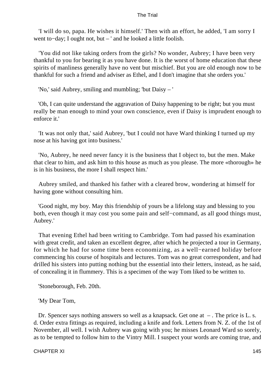'I will do so, papa. He wishes it himself.' Then with an effort, he added, 'I am sorry I went to−day; I ought not, but – ' and he looked a little foolish.

 'You did not like taking orders from the girls? No wonder, Aubrey; I have been very thankful to you for bearing it as you have done. It is the worst of home education that these spirits of manliness generally have no vent but mischief. But you are old enough now to be thankful for such a friend and adviser as Ethel, and I don't imagine that she orders you.'

'No,' said Aubrey, smiling and mumbling; 'but Daisy – '

 'Oh, I can quite understand the aggravation of Daisy happening to be right; but you must really be man enough to mind your own conscience, even if Daisy is imprudent enough to enforce it.'

 'It was not only that,' said Aubrey, 'but I could not have Ward thinking I turned up my nose at his having got into business.'

 'No, Aubrey, he need never fancy it is the business that I object to, but the men. Make that clear to him, and ask him to this house as much as you please. The more «thorough» he is in his business, the more I shall respect him.'

 Aubrey smiled, and thanked his father with a cleared brow, wondering at himself for having gone without consulting him.

 'Good night, my boy. May this friendship of yours be a lifelong stay and blessing to you both, even though it may cost you some pain and self−command, as all good things must, Aubrey.'

 That evening Ethel had been writing to Cambridge. Tom had passed his examination with great credit, and taken an excellent degree, after which he projected a tour in Germany, for which he had for some time been economizing, as a well−earned holiday before commencing his course of hospitals and lectures. Tom was no great correspondent, and had drilled his sisters into putting nothing but the essential into their letters, instead, as he said, of concealing it in flummery. This is a specimen of the way Tom liked to be written to.

'Stoneborough, Feb. 20th.

'My Dear Tom,

 Dr. Spencer says nothing answers so well as a knapsack. Get one at – . The price is L. s. d. Order extra fittings as required, including a knife and fork. Letters from N. Z. of the 1st of November, all well. I wish Aubrey was going with you; he misses Leonard Ward so sorely, as to be tempted to follow him to the Vintry Mill. I suspect your words are coming true, and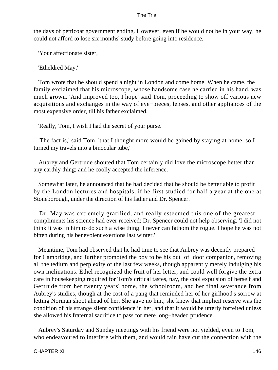the days of petticoat government ending. However, even if he would not be in your way, he could not afford to lose six months' study before going into residence.

'Your affectionate sister,

'Etheldred May.'

 Tom wrote that he should spend a night in London and come home. When he came, the family exclaimed that his microscope, whose handsome case he carried in his hand, was much grown. 'And improved too, I hope' said Tom, proceeding to show off various new acquisitions and exchanges in the way of eye−pieces, lenses, and other appliances of the most expensive order, till his father exclaimed,

'Really, Tom, I wish I had the secret of your purse.'

 'The fact is,' said Tom, 'that I thought more would be gained by staying at home, so I turned my travels into a binocular tube,'

 Aubrey and Gertrude shouted that Tom certainly did love the microscope better than any earthly thing; and he coolly accepted the inference.

 Somewhat later, he announced that he had decided that he should be better able to profit by the London lectures and hospitals, if he first studied for half a year at the one at Stoneborough, under the direction of his father and Dr. Spencer.

 Dr. May was extremely gratified, and really esteemed this one of the greatest compliments his science had ever received; Dr. Spencer could not help observing, 'I did not think it was in him to do such a wise thing. I never can fathom the rogue. I hope he was not bitten during his benevolent exertions last winter.'

 Meantime, Tom had observed that he had time to see that Aubrey was decently prepared for Cambridge, and further promoted the boy to be his out−of−door companion, removing all the tedium and perplexity of the last few weeks, though apparently merely indulging his own inclinations. Ethel recognized the fruit of her letter, and could well forgive the extra care in housekeeping required for Tom's critical tastes, nay, the cool expulsion of herself and Gertrude from her twenty years' home, the schoolroom, and her final severance from Aubrey's studies, though at the cost of a pang that reminded her of her girlhood's sorrow at letting Norman shoot ahead of her. She gave no hint; she knew that implicit reserve was the condition of his strange silent confidence in her, and that it would be utterly forfeited unless she allowed his fraternal sacrifice to pass for mere long−headed prudence.

 Aubrey's Saturday and Sunday meetings with his friend were not yielded, even to Tom, who endeavoured to interfere with them, and would fain have cut the connection with the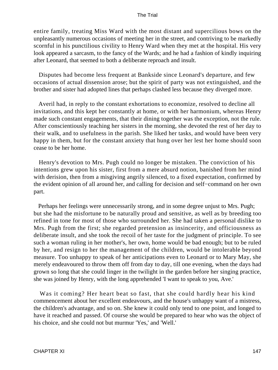entire family, treating Miss Ward with the most distant and supercilious bows on the unpleasantly numerous occasions of meeting her in the street, and contriving to be markedly scornful in his punctilious civility to Henry Ward when they met at the hospital. His very look appeared a sarcasm, to the fancy of the Wards; and he had a fashion of kindly inquiring after Leonard, that seemed to both a deliberate reproach and insult.

 Disputes had become less frequent at Bankside since Leonard's departure, and few occasions of actual dissension arose; but the spirit of party was not extinguished, and the brother and sister had adopted lines that perhaps clashed less because they diverged more.

 Averil had, in reply to the constant exhortations to economize, resolved to decline all invitations, and this kept her constantly at home, or with her harmonium, whereas Henry made such constant engagements, that their dining together was the exception, not the rule. After conscientiously teaching her sisters in the morning, she devoted the rest of her day to their walk, and to usefulness in the parish. She liked her tasks, and would have been very happy in them, but for the constant anxiety that hung over her lest her home should soon cease to be her home.

 Henry's devotion to Mrs. Pugh could no longer be mistaken. The conviction of his intentions grew upon his sister, first from a mere absurd notion, banished from her mind with derision, then from a misgiving angrily silenced, to a fixed expectation, confirmed by the evident opinion of all around her, and calling for decision and self−command on her own part.

 Perhaps her feelings were unnecessarily strong, and in some degree unjust to Mrs. Pugh; but she had the misfortune to be naturally proud and sensitive, as well as by breeding too refined in tone for most of those who surrounded her. She had taken a personal dislike to Mrs. Pugh from the first; she regarded pretension as insincerity, and officiousness as deliberate insult, and she took the recoil of her taste for the judgment of principle. To see such a woman ruling in her mother's, her own, home would be bad enough; but to be ruled by her, and resign to her the management of the children, would be intolerable beyond measure. Too unhappy to speak of her anticipations even to Leonard or to Mary May, she merely endeavoured to throw them off from day to day, till one evening, when the days had grown so long that she could linger in the twilight in the garden before her singing practice, she was joined by Henry, with the long apprehended 'I want to speak to you, Ave.'

 Was it coming? Her heart beat so fast, that she could hardly hear his kind commencement about her excellent endeavours, and the house's unhappy want of a mistress, the children's advantage, and so on. She knew it could only tend to one point, and longed to have it reached and passed. Of course she would be prepared to hear who was the object of his choice, and she could not but murmur 'Yes,' and 'Well.'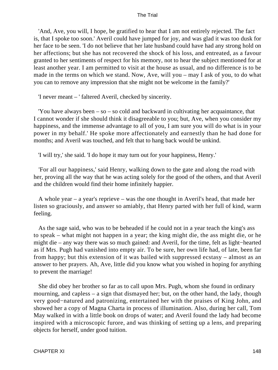'And, Ave, you will, I hope, be gratified to hear that I am not entirely rejected. The fact is, that I spoke too soon.' Averil could have jumped for joy, and was glad it was too dusk for her face to be seen. 'I do not believe that her late husband could have had any strong hold on her affections; but she has not recovered the shock of his loss, and entreated, as a favour granted to her sentiments of respect for his memory, not to hear the subject mentioned for at least another year. I am permitted to visit at the house as usual, and no difference is to be made in the terms on which we stand. Now, Ave, will you – may I ask of you, to do what you can to remove any impression that she might not be welcome in the family?'

'I never meant – ' faltered Averil, checked by sincerity.

 'You have always been – so – so cold and backward in cultivating her acquaintance, that I cannot wonder if she should think it disagreeable to you; but, Ave, when you consider my happiness, and the immense advantage to all of you, I am sure you will do what is in your power in my behalf.' He spoke more affectionately and earnestly than he had done for months; and Averil was touched, and felt that to hang back would be unkind.

'I will try,' she said. 'I do hope it may turn out for your happiness, Henry.'

 'For all our happiness,' said Henry, walking down to the gate and along the road with her, proving all the way that he was acting solely for the good of the others, and that Averil and the children would find their home infinitely happier.

 A whole year – a year's reprieve – was the one thought in Averil's head, that made her listen so graciously, and answer so amiably, that Henry parted with her full of kind, warm feeling.

 As the sage said, who was to be beheaded if he could not in a year teach the king's ass to speak – what might not happen in a year; the king might die, the ass might die, or he might die – any way there was so much gained: and Averil, for the time, felt as light−hearted as if Mrs. Pugh had vanished into empty air. To be sure, her own life had, of late, been far from happy; but this extension of it was bailed with suppressed ecstasy – almost as an answer to her prayers. Ah, Ave, little did you know what you wished in hoping for anything to prevent the marriage!

 She did obey her brother so far as to call upon Mrs. Pugh, whom she found in ordinary mourning, and capless – a sign that dismayed her; but, on the other hand, the lady, though very good−natured and patronizing, entertained her with the praises of King John, and showed her a copy of Magna Charta in process of illumination. Also, during her call, Tom May walked in with a little book on drops of water; and Averil found the lady had become inspired with a microscopic furore, and was thinking of setting up a lens, and preparing objects for herself, under good tuition.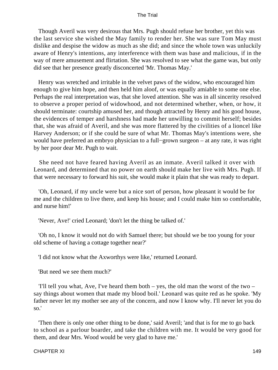Though Averil was very desirous that Mrs. Pugh should refuse her brother, yet this was the last service she wished the May family to render her. She was sure Tom May must dislike and despise the widow as much as she did; and since the whole town was unluckily aware of Henry's intentions, any interference with them was base and malicious, if in the way of mere amusement and flirtation. She was resolved to see what the game was, but only did see that her presence greatly disconcerted 'Mr. Thomas May.'

 Henry was wretched and irritable in the velvet paws of the widow, who encouraged him enough to give him hope, and then held him aloof, or was equally amiable to some one else. Perhaps the real interpretation was, that she loved attention. She was in all sincerity resolved to observe a proper period of widowhood, and not determined whether, when, or how, it should terminate: courtship amused her, and though attracted by Henry and his good house, the evidences of temper and harshness had made her unwilling to commit herself; besides that, she was afraid of Averil, and she was more flattered by the civilities of a lioncel like Harvey Anderson; or if she could be sure of what Mr. Thomas May's intentions were, she would have preferred an embryo physician to a full−grown surgeon – at any rate, it was right by her poor dear Mr. Pugh to wait.

 She need not have feared having Averil as an inmate. Averil talked it over with Leonard, and determined that no power on earth should make her live with Mrs. Pugh. If that were necessary to forward his suit, she would make it plain that she was ready to depart.

 'Oh, Leonard, if my uncle were but a nice sort of person, how pleasant it would be for me and the children to live there, and keep his house; and I could make him so comfortable, and nurse him!'

'Never, Ave!' cried Leonard; 'don't let the thing be talked of.'

 'Oh no, I know it would not do with Samuel there; but should we be too young for your old scheme of having a cottage together near?'

'I did not know what the Axworthys were like,' returned Leonard.

'But need we see them much?'

 'I'll tell you what, Ave, I've heard them both – yes, the old man the worst of the two – say things about women that made my blood boil.' Leonard was quite red as he spoke. 'My father never let my mother see any of the concern, and now I know why. I'll never let you do so.'

 'Then there is only one other thing to be done,' said Averil; 'and that is for me to go back to school as a parlour boarder, and take the children with me. It would be very good for them, and dear Mrs. Wood would be very glad to have me.'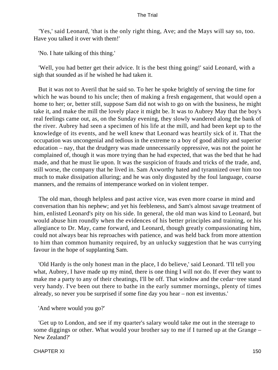'Yes,' said Leonard, 'that is the only right thing, Ave; and the Mays will say so, too. Have you talked it over with them!'

'No. I hate talking of this thing.'

 'Well, you had better get their advice. It is the best thing going!' said Leonard, with a sigh that sounded as if he wished he had taken it.

 But it was not to Averil that he said so. To her he spoke brightly of serving the time for which he was bound to his uncle; then of making a fresh engagement, that would open a home to her; or, better still, suppose Sam did not wish to go on with the business, he might take it, and make the mill the lovely place it might be. It was to Aubrey May that the boy's real feelings came out, as, on the Sunday evening, they slowly wandered along the bank of the river. Aubrey had seen a specimen of his life at the mill, and had been kept up to the knowledge of its events, and he well knew that Leonard was heartily sick of it. That the occupation was uncongenial and tedious in the extreme to a boy of good ability and superior education – nay, that the drudgery was made unnecessarily oppressive, was not the point he complained of, though it was more trying than he had expected, that was the bed that he had made, and that he must lie upon. It was the suspicion of frauds and tricks of the trade, and, still worse, the company that he lived in. Sam Axworthy hated and tyrannized over him too much to make dissipation alluring; and he was only disgusted by the foul language, coarse manners, and the remains of intemperance worked on in violent temper.

 The old man, though helpless and past active vice, was even more coarse in mind and conversation than his nephew; and yet his feebleness, and Sam's almost savage treatment of him, enlisted Leonard's pity on his side. In general, the old man was kind to Leonard, but would abuse him roundly when the evidences of his better principles and training, or his allegiance to Dr. May, came forward, and Leonard, though greatly compassionating him, could not always bear his reproaches with patience, and was held back from more attention to him than common humanity required, by an unlucky suggestion that he was currying favour in the hope of supplanting Sam.

 'Old Hardy is the only honest man in the place, I do believe,' said Leonard. 'I'll tell you what, Aubrey, I have made up my mind, there is one thing I will not do. If ever they want to make me a party to any of their cheatings, I'll be off. That window and the cedar−tree stand very handy. I've been out there to bathe in the early summer mornings, plenty of times already, so never you be surprised if some fine day you hear – non est inventus.'

'And where would you go?'

 'Get up to London, and see if my quarter's salary would take me out in the steerage to some diggings or other. What would your brother say to me if I turned up at the Grange – New Zealand?'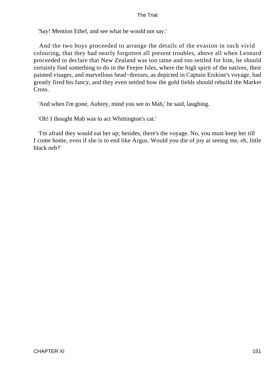'Say! Mention Ethel, and see what he would not say.'

 And the two boys proceeded to arrange the details of the evasion in such vivid colouring, that they had nearly forgotten all present troubles, above all when Leonard proceeded to declare that New Zealand was too tame and too settled for him, he should certainly find something to do in the Feejee Isles, where the high spirit of the natives, their painted visages, and marvellous head−dresses, as depicted in Captain Erskine's voyage, had greatly fired his fancy, and they even settled how the gold fields should rebuild the Market Cross.

'And when I'm gone, Aubrey, mind you see to Mab,' he said, laughing.

'Oh! I thought Mab was to act Whittington's cat.'

 'I'm afraid they would eat her up; besides, there's the voyage. No, you must keep her till I come home, even if she is to end like Argus. Would you die of joy at seeing me, eh, little black neb?'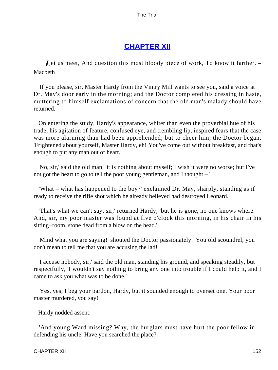# **[CHAPTER XII](#page-414-0)**

Let us meet, And question this most bloody piece of work, To know it farther. – Macbeth

 'If you please, sir, Master Hardy from the Vintry Mill wants to see you, said a voice at Dr. May's door early in the morning; and the Doctor completed his dressing in haste, muttering to himself exclamations of concern that the old man's malady should have returned.

 On entering the study, Hardy's appearance, whiter than even the proverbial hue of his trade, his agitation of feature, confused eye, and trembling lip, inspired fears that the case was more alarming than had been apprehended; but to cheer him, the Doctor began, 'Frightened about yourself, Master Hardy, eh! You've come out without breakfast, and that's enough to put any man out of heart.'

 'No, sir,' said the old man, 'it is nothing about myself; I wish it were no worse; but I've not got the heart to go to tell the poor young gentleman, and I thought – '

 'What – what has happened to the boy?' exclaimed Dr. May, sharply, standing as if ready to receive the rifle shot which he already believed had destroyed Leonard.

 'That's what we can't say, sir,' returned Hardy; 'but he is gone, no one knows where. And, sir, my poor master was found at five o'clock this morning, in his chair in his sitting−room, stone dead from a blow on the head.'

 'Mind what you are saying!' shouted the Doctor passionately. 'You old scoundrel, you don't mean to tell me that you are accusing the lad!'

 'I accuse nobody, sir,' said the old man, standing his ground, and speaking steadily, but respectfully, 'I wouldn't say nothing to bring any one into trouble if I could help it, and I came to ask you what was to be done.'

 'Yes, yes; I beg your pardon, Hardy, but it sounded enough to overset one. Your poor master murdered, you say!'

Hardy nodded assent.

 'And young Ward missing? Why, the burglars must have hurt the poor fellow in defending his uncle. Have you searched the place?'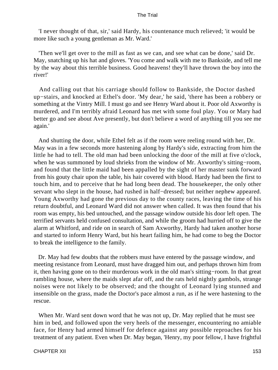'I never thought of that, sir,' said Hardy, his countenance much relieved; 'it would be more like such a young gentleman as Mr. Ward.'

 'Then we'll get over to the mill as fast as we can, and see what can be done,' said Dr. May, snatching up his hat and gloves. 'You come and walk with me to Bankside, and tell me by the way about this terrible business. Good heavens! they'll have thrown the boy into the river!'

 And calling out that his carriage should follow to Bankside, the Doctor dashed up−stairs, and knocked at Ethel's door. 'My dear,' he said, 'there has been a robbery or something at the Vintry Mill. I must go and see Henry Ward about it. Poor old Axworthy is murdered, and I'm terribly afraid Leonard has met with some foul play. You or Mary had better go and see about Ave presently, but don't believe a word of anything till you see me again.'

 And shutting the door, while Ethel felt as if the room were reeling round with her, Dr. May was in a few seconds more hastening along by Hardy's side, extracting from him the little he had to tell. The old man had been unlocking the door of the mill at five o'clock, when he was summoned by loud shrieks from the window of Mr. Axworthy's sitting−room, and found that the little maid had been appalled by the sight of her master sunk forward from his gouty chair upon the table, his hair covered with blood. Hardy had been the first to touch him, and to perceive that he had long been dead. The housekeeper, the only other servant who slept in the house, had rushed in half−dressed; but neither nephew appeared. Young Axworthy had gone the previous day to the county races, leaving the time of his return doubtful, and Leonard Ward did not answer when called. It was then found that his room was empty, his bed untouched, and the passage window outside his door left open. The terrified servants held confused consultation, and while the groom had hurried off to give the alarm at Whitford, and ride on in search of Sam Axworthy, Hardy had taken another horse and started to inform Henry Ward, but his heart failing him, he had come to beg the Doctor to break the intelligence to the family.

 Dr. May had few doubts that the robbers must have entered by the passage window, and meeting resistance from Leonard, must have dragged him out, and perhaps thrown him from it, then having gone on to their murderous work in the old man's sitting−room. In that great rambling house, where the maids slept afar off, and the rats held nightly gambols, strange noises were not likely to be observed; and the thought of Leonard lying stunned and insensible on the grass, made the Doctor's pace almost a run, as if he were hastening to the rescue.

 When Mr. Ward sent down word that he was not up, Dr. May replied that he must see him in bed, and followed upon the very heels of the messenger, encountering no amiable face, for Henry had armed himself for defence against any possible reproaches for his treatment of any patient. Even when Dr. May began, 'Henry, my poor fellow, I have frightful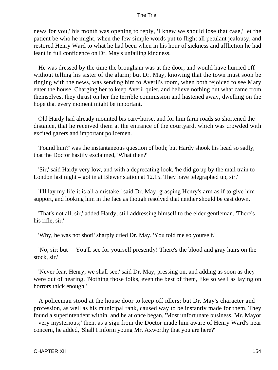news for you,' his month was opening to reply, 'I knew we should lose that case,' let the patient be who he might, when the few simple words put to flight all petulant jealousy, and restored Henry Ward to what he had been when in his hour of sickness and affliction he had leant in full confidence on Dr. May's unfailing kindness.

 He was dressed by the time the brougham was at the door, and would have hurried off without telling his sister of the alarm; but Dr. May, knowing that the town must soon be ringing with the news, was sending him to Averil's room, when both rejoiced to see Mary enter the house. Charging her to keep Averil quiet, and believe nothing but what came from themselves, they thrust on her the terrible commission and hastened away, dwelling on the hope that every moment might be important.

 Old Hardy had already mounted bis cart−horse, and for him farm roads so shortened the distance, that he received them at the entrance of the courtyard, which was crowded with excited gazers and important policemen.

 'Found him?' was the instantaneous question of both; but Hardy shook his head so sadly, that the Doctor hastily exclaimed, 'What then?'

 'Sir,' said Hardy very low, and with a deprecating look, 'he did go up by the mail train to London last night – got in at Blewer station at 12.15. They have telegraphed up, sir.'

 'I'll lay my life it is all a mistake,' said Dr. May, grasping Henry's arm as if to give him support, and looking him in the face as though resolved that neither should be cast down.

 'That's not all, sir,' added Hardy, still addressing himself to the elder gentleman. 'There's his rifle, sir.'

'Why, he was not shot!' sharply cried Dr. May. 'You told me so yourself.'

 'No, sir; but – You'll see for yourself presently! There's the blood and gray hairs on the stock, sir.'

 'Never fear, Henry; we shall see,' said Dr. May, pressing on, and adding as soon as they were out of hearing, 'Nothing those folks, even the best of them, like so well as laying on horrors thick enough.'

 A policeman stood at the house door to keep off idlers; but Dr. May's character and profession, as well as his municipal rank, caused way to be instantly made for them. They found a superintendent within, and he at once began, 'Most unfortunate business, Mr. Mayor – very mysterious;' then, as a sign from the Doctor made him aware of Henry Ward's near concern, he added, 'Shall I inform young Mr. Axworthy that you are here?'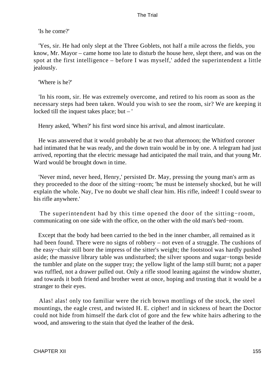'Is he come?'

 'Yes, sir. He had only slept at the Three Goblets, not half a mile across the fields, you know, Mr. Mayor – came home too late to disturb the house here, slept there, and was on the spot at the first intelligence – before I was myself,' added the superintendent a little jealously.

'Where is he?'

 'In his room, sir. He was extremely overcome, and retired to his room as soon as the necessary steps had been taken. Would you wish to see the room, sir? We are keeping it locked till the inquest takes place; but – '

Henry asked, 'When?' his first word since his arrival, and almost inarticulate.

 He was answered that it would probably be at two that afternoon; the Whitford coroner had intimated that he was ready, and the down train would be in by one. A telegram had just arrived, reporting that the electric message had anticipated the mail train, and that young Mr. Ward would be brought down in time.

 'Never mind, never heed, Henry,' persisted Dr. May, pressing the young man's arm as they proceeded to the door of the sitting−room; 'he must be intensely shocked, but he will explain the whole. Nay, I've no doubt we shall clear him. His rifle, indeed! I could swear to his rifle anywhere.'

 The superintendent had by this time opened the door of the sitting−room, communicating on one side with the office, on the other with the old man's bed−room.

 Except that the body had been carried to the bed in the inner chamber, all remained as it had been found. There were no signs of robbery – not even of a struggle. The cushions of the easy−chair still bore the impress of the sitter's weight; the footstool was hardly pushed aside; the massive library table was undisturbed; the silver spoons and sugar−tongs beside the tumbler and plate on the supper tray; the yellow light of the lamp still burnt; not a paper was ruffled, not a drawer pulled out. Only a rifle stood leaning against the window shutter, and towards it both friend and brother went at once, hoping and trusting that it would be a stranger to their eyes.

 Alas! alas! only too familiar were the rich brown mottlings of the stock, the steel mountings, the eagle crest, and twisted H. E. cipher! and in sickness of heart the Doctor could not hide from himself the dark clot of gore and the few white hairs adhering to the wood, and answering to the stain that dyed the leather of the desk.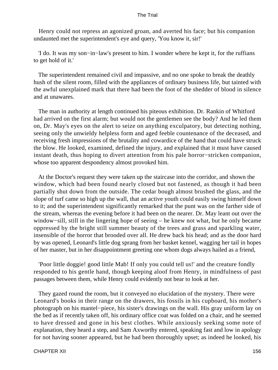Henry could not repress an agonized groan, and averted his face; but his companion undaunted met the superintendent's eye and query, 'You know it, sir!'

 'I do. It was my son−in−law's present to him. I wonder where he kept it, for the ruffians to get hold of it.'

 The superintendent remained civil and impassive, and no one spoke to break the deathly hush of the silent room, filled with the appliances of ordinary business life, but tainted with the awful unexplained mark that there had been the foot of the shedder of blood in silence and at unawares.

 The man in authority at length continued his piteous exhibition. Dr. Rankin of Whitford had arrived on the first alarm; but would not the gentlemen see the body? And he led them on, Dr. May's eyes on the alert to seize on anything exculpatory, but detecting nothing, seeing only the unwieldy helpless form and aged feeble countenance of the deceased, and receiving fresh impressions of the brutality and cowardice of the hand that could have struck the blow. He looked, examined, defined the injury, and explained that it must have caused instant death, thus hoping to divert attention from his pale horror−stricken companion, whose too apparent despondency almost provoked him.

 At the Doctor's request they were taken up the staircase into the corridor, and shown the window, which had been found nearly closed but not fastened, as though it had been partially shut down from the outside. The cedar bough almost brushed the glass, and the slope of turf came so high up the wall, that an active youth could easily swing himself down to it; and the superintendent significantly remarked that the punt was on the farther side of the stream, whereas the evening before it had been on the nearer. Dr. May leant out over the window−sill, still in the lingering hope of seeing – he knew not what, but he only became oppressed by the bright still summer beauty of the trees and grass and sparkling water, insensible of the horror that brooded over all. He drew back his head; and as the door hard by was opened, Leonard's little dog sprang from her basket kennel, wagging her tail in hopes of her master, but in her disappointment greeting one whom dogs always hailed as a friend,

 'Poor little doggie! good little Mab! If only you could tell us!' and the creature fondly responded to his gentle hand, though keeping aloof from Henry, in mindfulness of past passages between them, while Henry could evidently not bear to look at her.

 They gazed round the room, but it conveyed no elucidation of the mystery. There were Leonard's books in their range on the drawers, his fossils in his cupboard, his mother's photograph on his mantel−piece, his sister's drawings on the wall. His gray uniform lay on the bed as if recently taken off, his ordinary office coat was folded on a chair, and he seemed to have dressed and gone in his best clothes. While anxiously seeking some note of explanation, they heard a step, and Sam Axworthy entered, speaking fast and low in apology for not having sooner appeared, but he had been thoroughly upset; as indeed he looked, his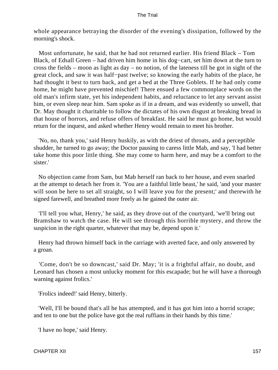whole appearance betraying the disorder of the evening's dissipation, followed by the morning's shock.

 Most unfortunate, he said, that he had not returned earlier. His friend Black – Tom Black, of Edsall Green – had driven him home in his dog−cart, set him down at the turn to cross the fields – moon as light as day – no notion, of the lateness till he got in sight of the great clock, and saw it was half−past twelve; so knowing the early habits of the place, he had thought it best to turn back, and get a bed at the Three Goblets. If he had only come home, he might have prevented mischief! There ensued a few commonplace words on the old man's infirm state, yet his independent habits, and reluctance to let any servant assist him, or even sleep near him. Sam spoke as if in a dream, and was evidently so unwell, that Dr. May thought it charitable to follow the dictates of his own disgust at breaking bread in that house of horrors, and refuse offers of breakfast. He said he must go home, but would return for the inquest, and asked whether Henry would remain to meet his brother.

 'No, no, thank you,' said Henry huskily, as with the driest of throats, and a perceptible shudder, he turned to go away; the Doctor pausing to caress little Mab, and say, 'I had better take home this poor little thing. She may come to harm here, and may be a comfort to the sister.'

 No objection came from Sam, but Mab herself ran back to her house, and even snarled at the attempt to detach her from it. 'You are a faithful little beast,' he said, 'and your master will soon be here to set all straight, so I will leave you for the present;' and therewith he signed farewell, and breathed more freely as he gained the outer air.

 'I'll tell you what, Henry,' he said, as they drove out of the courtyard, 'we'll bring out Bramshaw to watch the case. He will see through this horrible mystery, and throw the suspicion in the right quarter, whatever that may be, depend upon it.'

 Henry had thrown himself back in the carriage with averted face, and only answered by a groan.

 'Come, don't be so downcast,' said Dr. May; 'it is a frightful affair, no doubt, and Leonard has chosen a most unlucky moment for this escapade; but he will have a thorough warning against frolics.'

'Frolics indeed!' said Henry, bitterly.

 'Well, I'll be bound that's all he has attempted, and it has got him into a horrid scrape; and ten to one but the police have got the real ruffians in their hands by this time.'

'I have no hope,' said Henry.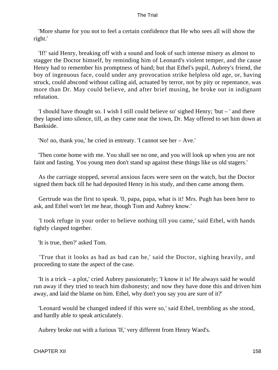'More shame for you not to feel a certain confidence that He who sees all will show the right.'

 'If!' said Henry, breaking off with a sound and look of such intense misery as almost to stagger the Doctor himself, by reminding him of Leonard's violent temper, and the cause Henry had to remember his promptness of hand; but that Ethel's pupil, Aubrey's friend, the boy of ingenuous face, could under any provocation strike helpless old age, or, having struck, could abscond without calling aid, actuated by terror, not by pity or repentance, was more than Dr. May could believe, and after brief musing, he broke out in indignant refutation.

 'I should have thought so. I wish I still could believe so' sighed Henry; 'but – ' and there they lapsed into silence, till, as they came near the town, Dr. May offered to set him down at Bankside.

'No! no, thank you,' he cried in entreaty. 'I cannot see her – Ave.'

 'Then come home with me. You shall see no one, and you will look up when you are not faint and fasting. You young men don't stand up against these things like us old stagers.'

 As the carriage stopped, several anxious faces were seen on the watch, but the Doctor signed them back till he had deposited Henry in his study, and then came among them.

 Gertrude was the first to speak. '0, papa, papa, what is it! Mrs. Pugh has been here to ask, and Ethel won't let me hear, though Tom and Aubrey know.'

 'I took refuge in your order to believe nothing till you came,' said Ethel, with hands tightly clasped together.

'It is true, then?' asked Tom.

 'True that it looks as bad as bad can be,' said the Doctor, sighing heavily, and proceeding to state the aspect of the case.

 'It is a trick – a plot,' cried Aubrey passionately; 'I know it is! He always said he would run away if they tried to teach him dishonesty; and now they have done this and driven him away, and laid the blame on him. Ethel, why don't you say you are sure of it?'

 'Leonard would be changed indeed if this were so,' said Ethel, trembling as she stood, and hardly able to speak articulately.

Aubrey broke out with a furious 'If,' very different from Henry Ward's.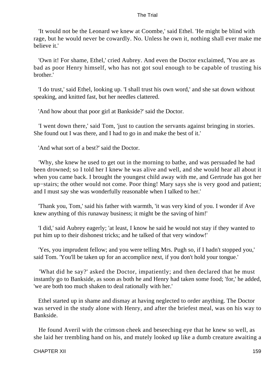'It would not be the Leonard we knew at Coombe,' said Ethel. 'He might be blind with rage, but he would never be cowardly. No. Unless he own it, nothing shall ever make me believe it.'

 'Own it! For shame, Ethel,' cried Aubrey. And even the Doctor exclaimed, 'You are as bad as poor Henry himself, who has not got soul enough to be capable of trusting his brother.'

 'I do trust,' said Ethel, looking up. 'I shall trust his own word,' and she sat down without speaking, and knitted fast, but her needles clattered.

'And how about that poor girl at Bankside?' said the Doctor.

 'I went down there,' said Tom, 'just to caution the servants against bringing in stories. She found out I was there, and I had to go in and make the best of it.'

'And what sort of a best?' said the Doctor.

 'Why, she knew he used to get out in the morning to bathe, and was persuaded he had been drowned; so I told her I knew he was alive and well, and she would hear all about it when you came back. I brought the youngest child away with me, and Gertrude has got her up−stairs; the other would not come. Poor thing! Mary says she is very good and patient; and I must say she was wonderfully reasonable when I talked to her.'

 'Thank you, Tom,' said his father with warmth, 'it was very kind of you. I wonder if Ave knew anything of this runaway business; it might be the saving of him!'

 'I did,' said Aubrey eagerly; 'at least, I know he said he would not stay if they wanted to put him up to their dishonest tricks; and he talked of that very window!'

 'Yes, you imprudent fellow; and you were telling Mrs. Pugh so, if I hadn't stopped you,' said Tom. 'You'll be taken up for an accomplice next, if you don't hold your tongue.'

 'What did he say?' asked the Doctor, impatiently; and then declared that he must instantly go to Bankside, as soon as both he and Henry had taken some food; 'for,' he added, 'we are both too much shaken to deal rationally with her.'

 Ethel started up in shame and dismay at having neglected to order anything. The Doctor was served in the study alone with Henry, and after the briefest meal, was on his way to Bankside.

 He found Averil with the crimson cheek and beseeching eye that he knew so well, as she laid her trembling hand on his, and mutely looked up like a dumb creature awaiting a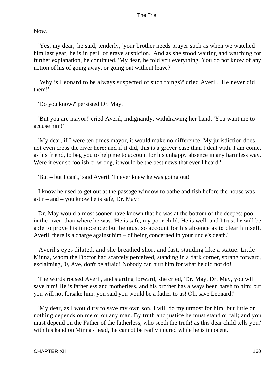blow.

 'Yes, my dear,' he said, tenderly, 'your brother needs prayer such as when we watched him last year, he is in peril of grave suspicion.' And as she stood waiting and watching for further explanation, he continued, 'My dear, he told you everything. You do not know of any notion of his of going away, or going out without leave?'

 'Why is Leonard to be always suspected of such things?' cried Averil. 'He never did them!'

'Do you know?' persisted Dr. May.

 'But you are mayor!' cried Averil, indignantly, withdrawing her hand. 'You want me to accuse him!'

 'My dear, if I were ten times mayor, it would make no difference. My jurisdiction does not even cross the river here; and if it did, this is a graver case than I deal with. I am come, as his friend, to beg you to help me to account for his unhappy absence in any harmless way. Were it ever so foolish or wrong, it would be the best news that ever I heard.'

'But – but I can't,' said Averil. 'I never knew he was going out!

 I know he used to get out at the passage window to bathe and fish before the house was astir – and – you know he is safe, Dr. May?'

 Dr. May would almost sooner have known that he was at the bottom of the deepest pool in the river, than where he was. 'He is safe, my poor child. He is well, and I trust he will be able to prove his innocence; but he must so account for his absence as to clear himself. Averil, there is a charge against him – of being concerned in your uncle's death.'

 Averil's eyes dilated, and she breathed short and fast, standing like a statue. Little Minna, whom the Doctor had scarcely perceived, standing in a dark corner, sprang forward, exclaiming, '0, Ave, don't be afraid! Nobody can hurt him for what he did not do!'

 The words roused Averil, and starting forward, she cried, 'Dr. May, Dr. May, you will save him! He is fatherless and motherless, and his brother has always been harsh to him; but you will not forsake him; you said you would be a father to us! Oh, save Leonard!'

 'My dear, as I would try to save my own son, I will do my utmost for him; but little or nothing depends on me or on any man. By truth and justice he must stand or fall; and you must depend on the Father of the fatherless, who seeth the truth! as this dear child tells you,' with his hand on Minna's head, 'he cannot be really injured while he is innocent.'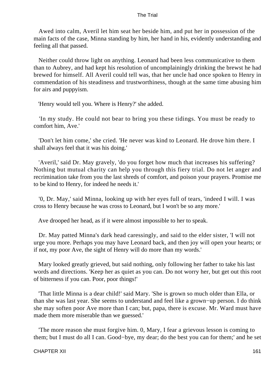Awed into calm, Averil let him seat her beside him, and put her in possession of the main facts of the case, Minna standing by him, her hand in his, evidently understanding and feeling all that passed.

 Neither could throw light on anything. Leonard had been less communicative to them than to Aubrey, and had kept his resolution of uncomplainingly drinking the brewst he had brewed for himself. All Averil could tell was, that her uncle had once spoken to Henry in commendation of his steadiness and trustworthiness, though at the same time abusing him for airs and puppyism.

'Henry would tell you. Where is Henry?' she added.

 'In my study. He could not bear to bring you these tidings. You must be ready to comfort him, Ave.'

 'Don't let him come,' she cried. 'He never was kind to Leonard. He drove him there. I shall always feel that it was his doing.'

 'Averil,' said Dr. May gravely, 'do you forget how much that increases his suffering? Nothing but mutual charity can help you through this fiery trial. Do not let anger and recrimination take from you the last shreds of comfort, and poison your prayers. Promise me to be kind to Henry, for indeed he needs it.'

 '0, Dr. May,' said Minna, looking up with her eyes full of tears, 'indeed I will. I was cross to Henry because he was cross to Leonard, but I won't be so any more.'

Ave drooped her head, as if it were almost impossible to her to speak.

 Dr. May patted Minna's dark head caressingly, and said to the elder sister, 'I will not urge you more. Perhaps you may have Leonard back, and then joy will open your hearts; or if not, my poor Ave, the sight of Henry will do more than my words.'

 Mary looked greatly grieved, but said nothing, only following her father to take his last words and directions. 'Keep her as quiet as you can. Do not worry her, but get out this root of bitterness if you can. Poor, poor things!'

 'That little Minna is a dear child!' said Mary. 'She is grown so much older than Ella, or than she was last year. She seems to understand and feel like a grown−up person. I do think she may soften poor Ave more than I can; but, papa, there is excuse. Mr. Ward must have made them more miserable than we guessed.'

 'The more reason she must forgive him. 0, Mary, I fear a grievous lesson is coming to them; but I must do all I can. Good−bye, my dear; do the best you can for them;' and he set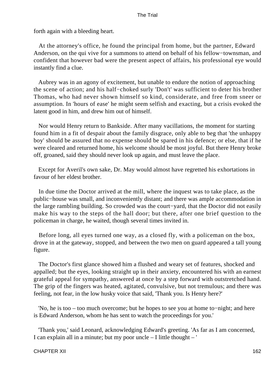forth again with a bleeding heart.

 At the attorney's office, he found the principal from home, but the partner, Edward Anderson, on the qui vive for a summons to attend on behalf of his fellow−townsman, and confident that however bad were the present aspect of affairs, his professional eye would instantly find a clue.

 Aubrey was in an agony of excitement, but unable to endure the notion of approaching the scene of action; and his half−choked surly 'Don't' was sufficient to deter his brother Thomas, who had never shown himself so kind, considerate, and free from sneer or assumption. In 'hours of ease' he might seem selfish and exacting, but a crisis evoked the latent good in him, and drew him out of himself.

 Nor would Henry return to Bankside. After many vacillations, the moment for starting found him in a fit of despair about the family disgrace, only able to beg that 'the unhappy boy' should be assured that no expense should be spared in his defence; or else, that if he were cleared and returned home, his welcome should be most joyful. But there Henry broke off, groaned, said they should never look up again, and must leave the place.

 Except for Averil's own sake, Dr. May would almost have regretted his exhortations in favour of her eldest brother.

 In due time the Doctor arrived at the mill, where the inquest was to take place, as the public−house was small, and inconveniently distant; and there was ample accommodation in the large rambling building. So crowded was the court−yard, that the Doctor did not easily make his way to the steps of the hall door; but there, after one brief question to the policeman in charge, he waited, though several times invited in.

 Before long, all eyes turned one way, as a closed fly, with a policeman on the box, drove in at the gateway, stopped, and between the two men on guard appeared a tall young figure.

 The Doctor's first glance showed him a flushed and weary set of features, shocked and appalled; but the eyes, looking straight up in their anxiety, encountered his with an earnest grateful appeal for sympathy, answered at once by a step forward with outstretched hand. The grip of the fingers was heated, agitated, convulsive, but not tremulous; and there was feeling, not fear, in the low husky voice that said, 'Thank you. Is Henry here?'

 'No, he is too – too much overcome; but he hopes to see you at home to−night; and here is Edward Anderson, whom he has sent to watch the proceedings for you.'

 'Thank you,' said Leonard, acknowledging Edward's greeting. 'As far as I am concerned, I can explain all in a minute; but my poor uncle – I little thought – '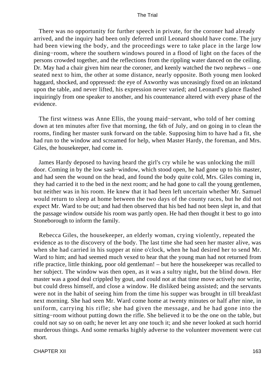There was no opportunity for further speech in private, for the coroner had already arrived, and the inquiry had been only deferred until Leonard should have come. The jury had been viewing the body, and the proceedings were to take place in the large low dining−room, where the southern windows poured in a flood of light on the faces of the persons crowded together, and the reflections from the rippling water danced on the ceiling. Dr. May had a chair given him near the coroner, and keenly watched the two nephews – one seated next to him, the other at some distance, nearly opposite. Both young men looked haggard, shocked, and oppressed: the eye of Axworthy was unceasingly fixed on an inkstand upon the table, and never lifted, his expression never varied; and Leonard's glance flashed inquiringly from one speaker to another, and his countenance altered with every phase of the evidence.

 The first witness was Anne Ellis, the young maid−servant, who told of her coming down at ten minutes after five that morning, the 6th of July, and on going in to clean the rooms, finding her master sunk forward on the table. Supposing him to have had a fit, she had run to the window and screamed for help, when Master Hardy, the foreman, and Mrs. Giles, the housekeeper, had come in.

 James Hardy deposed to having heard the girl's cry while he was unlocking the mill door. Coming in by the low sash−window, which stood open, he had gone up to his master, and had seen the wound on the head, and found the body quite cold, Mrs. Giles coming in, they had carried it to the bed in the next room; and he had gone to call the young gentlemen, but neither was in his room. He knew that it had been left uncertain whether Mr. Samuel would return to sleep at home between the two days of the county races, but he did not expect Mr. Ward to be out; and had then observed that his bed had not been slept in, and that the passage window outside his room was partly open. He had then thought it best to go into Stoneborough to inform the family.

 Rebecca Giles, the housekeeper, an elderly woman, crying violently, repeated the evidence as to the discovery of the body. The last time she had seen her master alive, was when she had carried in his supper at nine o'clock, when he had desired her to send Mr. Ward to him; and had seemed much vexed to hear that the young man had not returned from rifle practice, little thinking, poor old gentleman! – but here the housekeeper was recalled to her subject. The window was then open, as it was a sultry night, but the blind down. Her master was a good deal crippled by gout, and could not at that time move actively nor write, but could dress himself, and close a window. He disliked being assisted; and the servants were not in the habit of seeing him from the time his supper was brought in till breakfast next morning. She had seen Mr. Ward come home at twenty minutes or half after nine, in uniform, carrying his rifle; she had given the message, and he had gone into the sitting−room without putting down the rifle. She believed it to be the one on the table, but could not say so on oath; he never let any one touch it; and she never looked at such horrid murderous things. And some remarks highly adverse to the volunteer movement were cut short.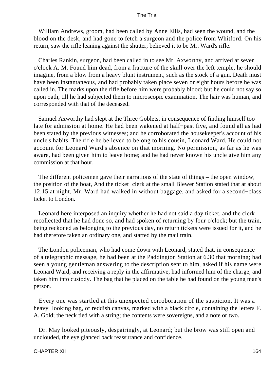William Andrews, groom, had been called by Anne Ellis, had seen the wound, and the blood on the desk, and had gone to fetch a surgeon and the police from Whitford. On his return, saw the rifle leaning against the shutter; believed it to be Mr. Ward's rifle.

 Charles Rankin, surgeon, had been called in to see Mr. Axworthy, and arrived at seven o'clock A. M. Found him dead, from a fracture of the skull over the left temple, he should imagine, from a blow from a heavy blunt instrument, such as the stock of a gun. Death must have been instantaneous, and had probably taken place seven or eight hours before he was called in. The marks upon the rifle before him were probably blood; but he could not say so upon oath, till he had subjected them to microscopic examination. The hair was human, and corresponded with that of the deceased.

 Samuel Axworthy had slept at the Three Goblets, in consequence of finding himself too late for admission at home. He had been wakened at half−past five, and found all as had been stated by the previous witnesses; and he corroborated the housekeeper's account of his uncle's habits. The rifle he believed to belong to his cousin, Leonard Ward. He could not account for Leonard Ward's absence on that morning. No permission, as far as he was aware, had been given him to leave home; and he had never known his uncle give him any commission at that hour.

 The different policemen gave their narrations of the state of things – the open window, the position of the boat, And the ticket−clerk at the small Blewer Station stated that at about 12.15 at night, Mr. Ward had walked in without baggage, and asked for a second−class ticket to London.

 Leonard here interposed an inquiry whether he had not said a day ticket, and the clerk recollected that he had done so, and had spoken of returning by four o'clock; but the train, being reckoned as belonging to the previous day, no return tickets were issued for it, and he had therefore taken an ordinary one, and started by the mail train.

 The London policeman, who had come down with Leonard, stated that, in consequence of a telegraphic message, he had been at the Paddington Station at 6.30 that morning; had seen a young gentleman answering to the description sent to him, asked if his name were Leonard Ward, and receiving a reply in the affirmative, had informed him of the charge, and taken him into custody. The bag that he placed on the table he had found on the young man's person.

 Every one was startled at this unexpected corroboration of the suspicion. It was a heavy−looking bag, of reddish canvas, marked with a black circle, containing the letters F. A. Gold; the neck tied with a string; the contents were sovereigns, and a note or two.

 Dr. May looked piteously, despairingly, at Leonard; but the brow was still open and unclouded, the eye glanced back reassurance and confidence.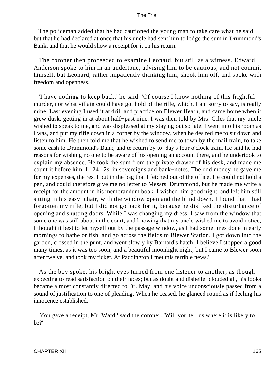The policeman added that he had cautioned the young man to take care what he said, but that he had declared at once that his uncle had sent him to lodge the sum in Drummond's Bank, and that he would show a receipt for it on his return.

 The coroner then proceeded to examine Leonard, but still as a witness. Edward Anderson spoke to him in an undertone, advising him to be cautious, and not commit himself, but Leonard, rather impatiently thanking him, shook him off, and spoke with freedom and openness.

 'I have nothing to keep back,' he said. 'Of course I know nothing of this frightful murder, nor what villain could have got hold of the rifle, which, I am sorry to say, is really mine. Last evening I used it at drill and practice on Blewer Heath, and came home when it grew dusk, getting in at about half−past nine. I was then told by Mrs. Giles that my uncle wished to speak to me, and was displeased at my staying out so late. I went into his room as I was, and put my rifle down in a corner by the window, when he desired me to sit down and listen to him. He then told me that he wished to send me to town by the mail train, to take some cash to Drummond's Bank, and to return by to−day's four o'clock train. He said he had reasons for wishing no one to be aware of his opening an account there, and he undertook to explain my absence. He took the sum from the private drawer of his desk, and made me count it before him, L124 12s. in sovereigns and bank−notes. The odd money he gave me for my expenses, the rest I put in the bag that I fetched out of the office. He could not hold a pen, and could therefore give me no letter to Messrs. Drummond, but he made me write a receipt for the amount in his memorandum book. I wished him good night, and left him still sitting in his easy−chair, with the window open and the blind down. I found that I had forgotten my rifle, but I did not go back for it, because he disliked the disturbance of opening and shutting doors. While I was changing my dress, I saw from the window that some one was still about in the court, and knowing that my uncle wished me to avoid notice, I thought it best to let myself out by the passage window, as I had sometimes done in early mornings to bathe or fish, and go across the fields to Blewer Station. I got down into the garden, crossed in the punt, and went slowly by Barnard's hatch; I believe I stopped a good many times, as it was too soon, and a beautiful moonlight night, but I came to Blewer soon after twelve, and took my ticket. At Paddington I met this terrible news.'

 As the boy spoke, his bright eyes turned from one listener to another, as though expecting to read satisfaction on their faces; but as doubt and disbelief clouded all, his looks became almost constantly directed to Dr. May, and his voice unconsciously passed from a sound of justification to one of pleading. When he ceased, he glanced round as if feeling his innocence established.

 'You gave a receipt, Mr. Ward,' said the coroner. 'Will you tell us where it is likely to be?'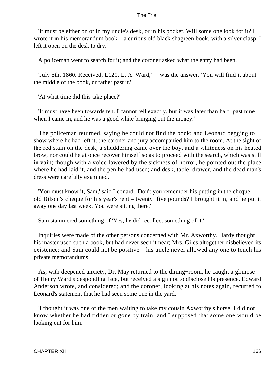'It must be either on or in my uncle's desk, or in his pocket. Will some one look for it? I wrote it in his memorandum book – a curious old black shagreen book, with a silver clasp. I left it open on the desk to dry.'

A policeman went to search for it; and the coroner asked what the entry had been.

 'July 5th, 1860. Received, L120. L. A. Ward,' – was the answer. 'You will find it about the middle of the book, or rather past it.'

'At what time did this take place?'

 'It must have been towards ten. I cannot tell exactly, but it was later than half−past nine when I came in, and he was a good while bringing out the money.'

 The policeman returned, saying he could not find the book; and Leonard begging to show where he had left it, the coroner and jury accompanied him to the room. At the sight of the red stain on the desk, a shuddering came over the boy, and a whiteness on his heated brow, nor could he at once recover himself so as to proceed with the search, which was still in vain; though with a voice lowered by the sickness of horror, he pointed out the place where he had laid it, and the pen he had used; and desk, table, drawer, and the dead man's dress were carefully examined.

 'You must know it, Sam,' said Leonard. 'Don't you remember his putting in the cheque – old Bilson's cheque for his year's rent – twenty−five pounds? I brought it in, and he put it away one day last week. You were sitting there.'

Sam stammered something of 'Yes, he did recollect something of it.'

 Inquiries were made of the other persons concerned with Mr. Axworthy. Hardy thought his master used such a book, but had never seen it near; Mrs. Giles altogether disbelieved its existence; and Sam could not be positive – his uncle never allowed any one to touch his private memorandums.

 As, with deepened anxiety, Dr. May returned to the dining−room, he caught a glimpse of Henry Ward's desponding face, but received a sign not to disclose his presence. Edward Anderson wrote, and considered; and the coroner, looking at his notes again, recurred to Leonard's statement that he had seen some one in the yard.

 'I thought it was one of the men waiting to take my cousin Axworthy's horse. I did not know whether he had ridden or gone by train; and I supposed that some one would be looking out for him.'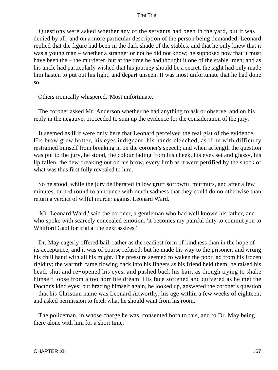Questions were asked whether any of the servants had been in the yard, but it was denied by all; and on a more particular description of the person being demanded, Leonard replied that the figure had been in the dark shade of the stables, and that he only knew that it was a young man – whether a stranger or not he did not know; he supposed now that it must have been the – the murderer, but at the time he had thought it one of the stable−men; and as his uncle had particularly wished that his journey should be a secret, the sight had only made him hasten to put out his light, and depart unseen. It was most unfortunate that he had done so.

Others ironically whispered, 'Most unfortunate.'

 The coroner asked Mr. Anderson whether he had anything to ask or observe, and on his reply in the negative, proceeded to sum up the evidence for the consideration of the jury.

 It seemed as if it were only here that Leonard perceived the real gist of the evidence. His brow grew hotter, his eyes indignant, his hands clenched, as if he with difficulty restrained himself from breaking in on the coroner's speech; and when at length the question was put to the jury, he stood, the colour fading from his cheek, his eyes set and glassy, his lip fallen, the dew breaking out on his brow, every limb as it were petrified by the shock of what was thus first fully revealed to him.

 So he stood, while the jury deliberated in low gruff sorrowful murmurs, and after a few minutes, turned round to announce with much sadness that they could do no otherwise than return a verdict of wilful murder against Leonard Ward.

 'Mr. Leonard Ward,' said the coroner, a gentleman who had well known his father, and who spoke with scarcely concealed emotion, 'it becomes my painful duty to commit you to Whitford Gaol for trial at the next assizes.'

 Dr. May eagerly offered bail, rather as the readiest form of kindness than in the hope of its acceptance, and it was of course refused; but he made his way to the prisoner, and wrung his chill hand with all his might. The pressure seemed to waken the poor lad from his frozen rigidity; the warmth came flowing back into his fingers as his friend held them; he raised his head, shut and re−opened his eyes, and pushed back his hair, as though trying to shake himself loose from a too horrible dream. His face softened and quivered as he met the Doctor's kind eyes; but bracing himself again, he looked up, answered the coroner's question – that his Christian name was Leonard Axworthy, his age within a few weeks of eighteen; and asked permission to fetch what he should want from his room.

 The policeman, in whose charge he was, consented both to this, and to Dr. May being there alone with him for a short time.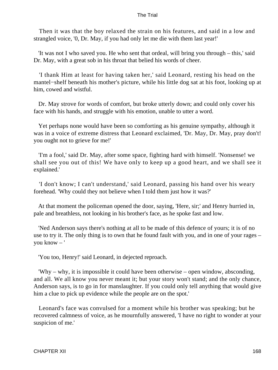Then it was that the boy relaxed the strain on his features, and said in a low and strangled voice, '0, Dr. May, if you had only let me die with them last year!'

 'It was not I who saved you. He who sent that ordeal, will bring you through – this,' said Dr. May, with a great sob in his throat that belied his words of cheer.

 'I thank Him at least for having taken her,' said Leonard, resting his head on the mantel−shelf beneath his mother's picture, while his little dog sat at his foot, looking up at him, cowed and wistful.

 Dr. May strove for words of comfort, but broke utterly down; and could only cover his face with his hands, and struggle with his emotion, unable to utter a word.

 Yet perhaps none would have been so comforting as his genuine sympathy, although it was in a voice of extreme distress that Leonard exclaimed, 'Dr. May, Dr. May, pray don't! you ought not to grieve for me!'

 'I'm a fool,' said Dr. May, after some space, fighting hard with himself. 'Nonsense! we shall see you out of this! We have only to keep up a good heart, and we shall see it explained.'

 'I don't know; I can't understand,' said Leonard, passing his hand over his weary forehead. 'Why could they not believe when I told them just how it was?'

 At that moment the policeman opened the door, saying, 'Here, sir;' and Henry hurried in, pale and breathless, not looking in his brother's face, as he spoke fast and low.

 'Ned Anderson says there's nothing at all to be made of this defence of yours; it is of no use to try it. The only thing is to own that he found fault with you, and in one of your rages – you know – '

'You too, Henry!' said Leonard, in dejected reproach.

 'Why – why, it is impossible it could have been otherwise – open window, absconding, and all. We all know you never meant it; but your story won't stand; and the only chance, Anderson says, is to go in for manslaughter. If you could only tell anything that would give him a clue to pick up evidence while the people are on the spot.'

 Leonard's face was convulsed for a moment while his brother was speaking; but he recovered calmness of voice, as he mournfully answered, 'I have no right to wonder at your suspicion of me.'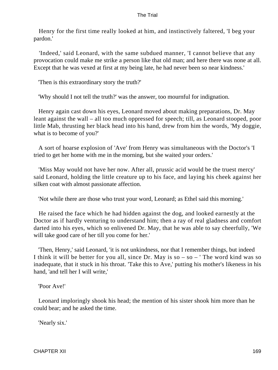Henry for the first time really looked at him, and instinctively faltered, 'I beg your pardon.'

 'Indeed,' said Leonard, with the same subdued manner, 'I cannot believe that any provocation could make me strike a person like that old man; and here there was none at all. Except that he was vexed at first at my being late, he had never been so near kindness.'

'Then is this extraordinary story the truth?'

'Why should I not tell the truth?' was the answer, too mournful for indignation.

 Henry again cast down his eyes, Leonard moved about making preparations, Dr. May leant against the wall – all too much oppressed for speech; till, as Leonard stooped, poor little Mab, thrusting her black head into his hand, drew from him the words, 'My doggie, what is to become of you?'

 A sort of hoarse explosion of 'Ave' from Henry was simultaneous with the Doctor's 'I tried to get her home with me in the morning, but she waited your orders.'

 'Miss May would not have her now. After all, prussic acid would be the truest mercy' said Leonard, holding the little creature up to his face, and laying his cheek against her silken coat with almost passionate affection.

'Not while there are those who trust your word, Leonard; as Ethel said this morning.'

 He raised the face which he had hidden against the dog, and looked earnestly at the Doctor as if hardly venturing to understand him; then a ray of real gladness and comfort darted into his eyes, which so enlivened Dr. May, that he was able to say cheerfully, 'We will take good care of her till you come for her.'

 'Then, Henry,' said Leonard, 'it is not unkindness, nor that I remember things, but indeed I think it will be better for you all, since Dr. May is so  $-$  so  $-$  ' The word kind was so inadequate, that it stuck in his throat. 'Take this to Ave,' putting his mother's likeness in his hand, 'and tell her I will write,'

'Poor Ave!'

 Leonard imploringly shook his head; the mention of his sister shook him more than he could bear; and he asked the time.

'Nearly six.'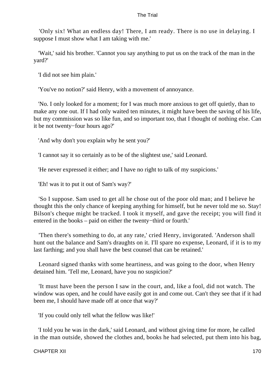'Only six! What an endless day! There, I am ready. There is no use in delaying. I suppose I must show what I am taking with me.'

 'Wait,' said his brother. 'Cannot you say anything to put us on the track of the man in the yard?'

'I did not see him plain.'

'You've no notion?' said Henry, with a movement of annoyance.

 'No. I only looked for a moment; for I was much more anxious to get off quietly, than to make any one out. If I had only waited ten minutes, it might have been the saving of his life, but my commission was so like fun, and so important too, that I thought of nothing else. Can it be not twenty−four hours ago?'

'And why don't you explain why he sent you?'

'I cannot say it so certainly as to be of the slightest use,' said Leonard.

'He never expressed it either; and I have no right to talk of my suspicions.'

'Eh! was it to put it out of Sam's way?'

 'So I suppose. Sam used to get all he chose out of the poor old man; and I believe he thought this the only chance of keeping anything for himself, but he never told me so. Stay! Bilson's cheque might be tracked. I took it myself, and gave the receipt; you will find it entered in the books – paid on either the twenty−third or fourth.'

 'Then there's something to do, at any rate,' cried Henry, invigorated. 'Anderson shall hunt out the balance and Sam's draughts on it. I'll spare no expense, Leonard, if it is to my last farthing; and you shall have the best counsel that can be retained.'

 Leonard signed thanks with some heartiness, and was going to the door, when Henry detained him. 'Tell me, Leonard, have you no suspicion?'

 'It must have been the person I saw in the court, and, like a fool, did not watch. The window was open, and he could have easily got in and come out. Can't they see that if it had been me, I should have made off at once that way?'

'If you could only tell what the fellow was like!'

 'I told you he was in the dark,' said Leonard, and without giving time for more, he called in the man outside, showed the clothes and, books he had selected, put them into his bag,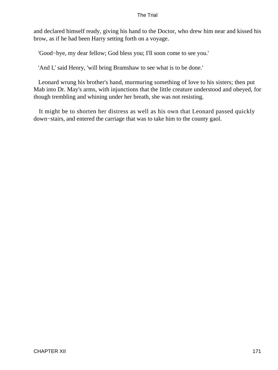and declared himself ready, giving his hand to the Doctor, who drew him near and kissed his brow, as if he had been Harry setting forth on a voyage.

'Good−bye, my dear fellow; God bless you; I'll soon come to see you.'

'And I,' said Henry, 'will bring Bramshaw to see what is to be done.'

 Leonard wrung his brother's hand, murmuring something of love to his sisters; then put Mab into Dr. May's arms, with injunctions that the little creature understood and obeyed, for though trembling and whining under her breath, she was not resisting.

 It might be to shorten her distress as well as his own that Leonard passed quickly down−stairs, and entered the carriage that was to take him to the county gaol.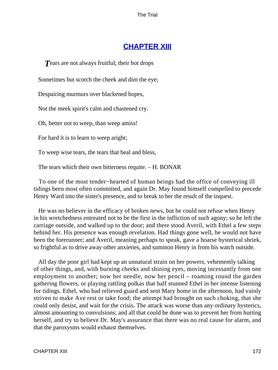## **[CHAPTER XIII](#page-414-0)**

**T** Pears are not always fruitful; their hot drops

Sometimes but scorch the cheek and dim the eye;

Despairing murmurs over blackened hopes,

Not the meek spirit's calm and chastened cry.

Oh, better not to weep, than weep amiss!

For hard it is to learn to weep aright;

To weep wise tears, the tears that heal and bless,

The tears which their own bitterness requite. – H. BONAR

 To one of the most tender−hearted of human beings had the office of conveying ill tidings been most often committed, and again Dr. May found himself compelled to precede Henry Ward into the sister's presence, and to break to her the result of the inquest.

 He was no believer in the efficacy of broken news, but he could not refuse when Henry in his wretchedness entreated not to be the first in the infliction of such agony; so he left the carriage outside, and walked up to the door; and there stood Averil, with Ethel a few steps behind her. His presence was enough revelation. Had things gone well, he would not have been the forerunner; and Averil, meaning perhaps to speak, gave a hoarse hysterical shriek, so frightful as to drive away other anxieties, and summon Henry in from his watch outside.

 All day the poor girl had kept up an unnatural strain on her powers, vehemently talking of other things, and, with burning cheeks and shining eyes, moving incessantly from one employment to another; now her needle, now her pencil – roaming round the garden gathering flowers, or playing rattling polkas that half stunned Ethel in her intense listening for tidings. Ethel, who had relieved guard and sent Mary home in the afternoon, had vainly striven to make Ave rest or take food; the attempt had brought on such choking, that she could only desist, and wait for the crisis. The attack was worse than any ordinary hysterics, almost amounting to convulsions; and all that could be done was to prevent her from hurting herself, and try to believe Dr. May's assurance that there was no real cause for alarm, and that the paroxysms would exhaust themselves.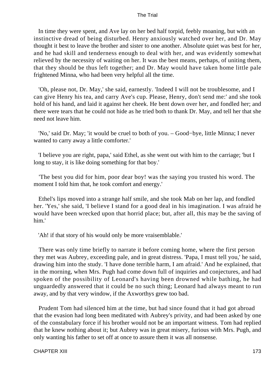In time they were spent, and Ave lay on her bed half torpid, feebly moaning, but with an instinctive dread of being disturbed. Henry anxiously watched over her, and Dr. May thought it best to leave the brother and sister to one another. Absolute quiet was best for her, and he had skill and tenderness enough to deal with her, and was evidently somewhat relieved by the necessity of waiting on her. It was the best means, perhaps, of uniting them, that they should be thus left together; and Dr. May would have taken home little pale frightened Minna, who had been very helpful all the time.

 'Oh, please not, Dr. May,' she said, earnestly. 'Indeed I will not be troublesome, and I can give Henry his tea, and carry Ave's cup. Please, Henry, don't send me:' and she took hold of his hand, and laid it against her cheek. He bent down over her, and fondled her; and there were tears that he could not hide as he tried both to thank Dr. May, and tell her that she need not leave him.

 'No,' said Dr. May; 'it would be cruel to both of you. – Good−bye, little Minna; I never wanted to carry away a little comforter.'

 'I believe you are right, papa,' said Ethel, as she went out with him to the carriage; 'but I long to stay, it is like doing something for that boy.'

 'The best you did for him, poor dear boy! was the saying you trusted his word. The moment I told him that, he took comfort and energy.'

 Ethel's lips moved into a strange half smile, and she took Mab on her lap, and fondled her. 'Yes,' she said, 'I believe I stand for a good deal in his imagination. I was afraid he would have been wrecked upon that horrid place; but, after all, this may be the saving of him.'

'Ah! if that story of his would only be more vraisemblable.'

 There was only time briefly to narrate it before coming home, where the first person they met was Aubrey, exceeding pale, and in great distress. 'Papa, I must tell you,' he said, drawing him into the study. 'I have done terrible harm, I am afraid.' And he explained, that in the morning, when Mrs. Pugh had come down full of inquiries and conjectures, and had spoken of the possibility of Leonard's having been drowned while bathing, he had unguardedly answered that it could be no such thing; Leonard had always meant to run away, and by that very window, if the Axworthys grew too bad.

 Prudent Tom had silenced him at the time, but had since found that it had got abroad that the evasion had long been meditated with Aubrey's privity, and had been asked by one of the constabulary force if his brother would not be an important witness. Tom had replied that he knew nothing about it; but Aubrey was in great misery, furious with Mrs. Pugh, and only wanting his father to set off at once to assure them it was all nonsense.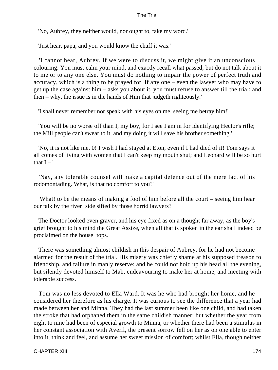'No, Aubrey, they neither would, nor ought to, take my word.'

'Just hear, papa, and you would know the chaff it was.'

 'I cannot hear, Aubrey. If we were to discuss it, we might give it an unconscious colouring. You must calm your mind, and exactly recall what passed; but do not talk about it to me or to any one else. You must do nothing to impair the power of perfect truth and accuracy, which is a thing to be prayed for. If any one – even the lawyer who may have to get up the case against him – asks you about it, you must refuse to answer till the trial; and then – why, the issue is in the hands of Him that judgeth righteously.'

'I shall never remember nor speak with his eyes on me, seeing me betray him!'

 'You will be no worse off than I, my boy, for I see I am in for identifying Hector's rifle; the Mill people can't swear to it, and my doing it will save his brother something.'

 'No, it is not like me. 0! I wish I had stayed at Eton, even if I had died of it! Tom says it all comes of living with women that I can't keep my mouth shut; and Leonard will be so hurt that  $I - '$ 

 'Nay, any tolerable counsel will make a capital defence out of the mere fact of his rodomontading. What, is that no comfort to you?'

 'What! to be the means of making a fool of him before all the court – seeing him hear our talk by the river−side sifted by those horrid lawyers?'

 The Doctor looked even graver, and his eye fixed as on a thought far away, as the boy's grief brought to his mind the Great Assize, when all that is spoken in the ear shall indeed be proclaimed on the house−tops.

 There was something almost childish in this despair of Aubrey, for he had not become alarmed for the result of the trial. His misery was chiefly shame at his supposed treason to friendship, and failure in manly reserve; and he could not hold up his head all the evening, but silently devoted himself to Mab, endeavouring to make her at home, and meeting with tolerable success.

 Tom was no less devoted to Ella Ward. It was he who had brought her home, and he considered her therefore as his charge. It was curious to see the difference that a year had made between her and Minna. They had the last summer been like one child, and had taken the stroke that had orphaned them in the same childish manner; but whether the year from eight to nine had been of especial growth to Minna, or whether there had been a stimulus in her constant association with Averil, the present sorrow fell on her as on one able to enter into it, think and feel, and assume her sweet mission of comfort; whilst Ella, though neither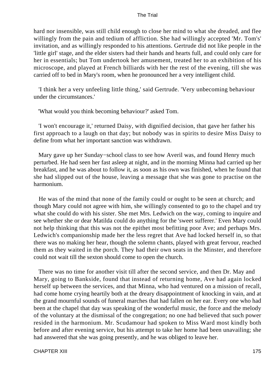hard nor insensible, was still child enough to close her mind to what she dreaded, and flee willingly from the pain and tedium of affliction. She had willingly accepted 'Mr. Tom's' invitation, and as willingly responded to his attentions. Gertrude did not like people in the 'little girl' stage, and the elder sisters had their hands and hearts full, and could only care for her in essentials; but Tom undertook her amusement, treated her to an exhibition of his microscope, and played at French billiards with her the rest of the evening, till she was carried off to bed in Mary's room, when he pronounced her a very intelligent child.

 'I think her a very unfeeling little thing,' said Gertrude. 'Very unbecoming behaviour under the circumstances.'

'What would you think becoming behaviour?' asked Tom.

 'I won't encourage it,' returned Daisy, with dignified decision, that gave her father his first approach to a laugh on that day; but nobody was in spirits to desire Miss Daisy to define from what her important sanction was withdrawn.

 Mary gave up her Sunday−school class to see how Averil was, and found Henry much perturbed. He had seen her fast asleep at night, and in the morning Minna had carried up her breakfast, and he was about to follow it, as soon as his own was finished, when he found that she had slipped out of the house, leaving a message that she was gone to practise on the harmonium.

 He was of the mind that none of the family could or ought to be seen at church; and though Mary could not agree with him, she willingly consented to go to the chapel and try what she could do with his sister. She met Mrs. Ledwich on the way, coming to inquire and see whether she or dear Matilda could do anything for the 'sweet sufferer.' Even Mary could not help thinking that this was not the epithet most befitting poor Ave; and perhaps Mrs. Ledwich's companionship made her the less regret that Ave had locked herself in, so that there was no making her hear, though the solemn chants, played with great fervour, reached them as they waited in the porch. They had their own seats in the Minster, and therefore could not wait till the sexton should come to open the church.

 There was no time for another visit till after the second service, and then Dr. May and Mary, going to Bankside, found that instead of returning home, Ave had again locked herself up between the services, and that Minna, who had ventured on a mission of recall, had come home crying heartily both at the dreary disappointment of knocking in vain, and at the grand mournful sounds of funeral marches that had fallen on her ear. Every one who had been at the chapel that day was speaking of the wonderful music, the force and the melody of the voluntary at the dismissal of the congregation; no one had believed that such power resided in the harmonium. Mr. Scudamour had spoken to Miss Ward most kindly both before and after evening service, but his attempt to take her home had been unavailing; she had answered that she was going presently, and he was obliged to leave her.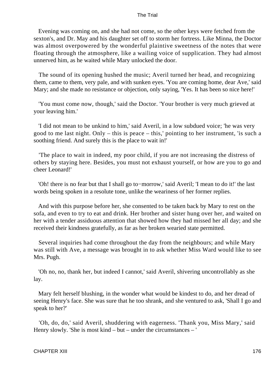Evening was coming on, and she had not come, so the other keys were fetched from the sexton's, and Dr. May and his daughter set off to storm her fortress. Like Minna, the Doctor was almost overpowered by the wonderful plaintive sweetness of the notes that were floating through the atmosphere, like a wailing voice of supplication. They had almost unnerved him, as he waited while Mary unlocked the door.

 The sound of its opening hushed the music; Averil turned her head, and recognizing them, came to them, very pale, and with sunken eyes. 'You are coming home, dear Ave,' said Mary; and she made no resistance or objection, only saying, 'Yes. It has been so nice here!'

 'You must come now, though,' said the Doctor. 'Your brother is very much grieved at your leaving him.'

 'I did not mean to be unkind to him,' said Averil, in a low subdued voice; 'he was very good to me last night. Only – this is peace – this,' pointing to her instrument, 'is such a soothing friend. And surely this is the place to wait in!'

 'The place to wait in indeed, my poor child, if you are not increasing the distress of others by staying here. Besides, you must not exhaust yourself, or how are you to go and cheer Leonard!'

 'Oh! there is no fear but that I shall go to−morrow,' said Averil; 'I mean to do it!' the last words being spoken in a resolute tone, unlike the weariness of her former replies.

 And with this purpose before her, she consented to be taken back by Mary to rest on the sofa, and even to try to eat and drink. Her brother and sister hung over her, and waited on her with a tender assiduous attention that showed how they had missed her all day; and she received their kindness gratefully, as far as her broken wearied state permitted.

 Several inquiries had come throughout the day from the neighbours; and while Mary was still with Ave, a message was brought in to ask whether Miss Ward would like to see Mrs. Pugh.

 'Oh no, no, thank her, but indeed I cannot,' said Averil, shivering uncontrollably as she lay.

 Mary felt herself blushing, in the wonder what would be kindest to do, and her dread of seeing Henry's face. She was sure that he too shrank, and she ventured to ask, 'Shall I go and speak to her?'

 'Oh, do, do,' said Averil, shuddering with eagerness. 'Thank you, Miss Mary,' said Henry slowly. 'She is most kind – but – under the circumstances – '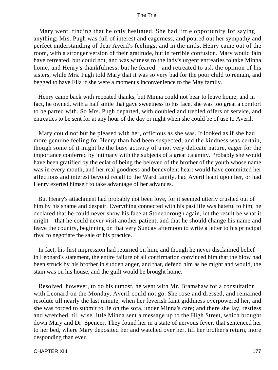Mary went, finding that he only hesitated. She had little opportunity for saying anything; Mrs. Pugh was full of interest and eagerness, and poured out her sympathy and perfect understanding of dear Averil's feelings; and in the midst Henry came out of the room, with a stronger version of their gratitude, but in terrible confusion. Mary would fain have retreated, but could not, and was witness to the lady's urgent entreaties to take Minna home, and Henry's thankfulness; but he feared – and retreated to ask the opinion of his sisters, while Mrs. Pugh told Mary that it was so very bad for the poor child to remain, and begged to have Ella if she were a moment's inconvenience to the May family.

 Henry came back with repeated thanks, but Minna could not bear to leave home; and in fact, he owned, with a half smile that gave sweetness to his face, she was too great a comfort to be parted with. So Mrs. Pugh departed, with doubled and trebled offers of service, and entreaties to be sent for at any hour of the day or night when she could be of use to Averil.

 Mary could not but be pleased with her, officious as she was. It looked as if she had more genuine feeling for Henry than had been suspected, and the kindness was certain, though some of it might be the busy activity of a not very delicate nature, eager for the importance conferred by intimacy with the subjects of a great calamity. Probably she would have been gratified by the eclat of being the beloved of the brother of the youth whose name was in every mouth, and her real goodness and benevolent heart would have committed her affections and interest beyond recall to the Ward family, had Averil leant upon her, or had Henry exerted himself to take advantage of her advances.

 But Henry's attachment had probably not been love, for it seemed utterly crushed out of him by his shame and despair. Everything connected with his past life was hateful to him; he declared that he could never show his face at Stoneborough again, let the result be what it might – that he could never visit another patient, and that he should change his name and leave the country, beginning on that very Sunday afternoon to write a letter to his principal rival to negotiate the sale of his practice.

 In fact, his first impression had returned on him, and though he never disclaimed belief in Leonard's statement, the entire failure of all confirmation convinced him that the blow had been struck by his brother in sudden anger, and that, defend him as he might and would, the stain was on his house, and the guilt would be brought home.

 Resolved, however, to do his utmost, he went with Mr. Bramshaw for a consultation with Leonard on the Monday. Averil could not go. She rose and dressed, and remained resolute till nearly the last minute, when her feverish faint giddiness overpowered her, and she was forced to submit to lie on the sofa, under Minna's care; and there she lay, restless and wretched, till wise little Minna sent a message up to the High Street, which brought down Mary and Dr. Spencer. They found her in a state of nervous fever, that sentenced her to her bed, where Mary deposited her and watched over her, till her brother's return, more desponding than ever.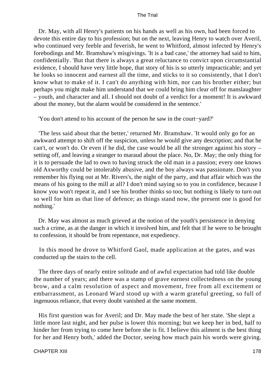Dr. May, with all Henry's patients on his hands as well as his own, had been forced to devote this entire day to his profession; but on the next, leaving Henry to watch over Averil, who continued very feeble and feverish, he went to Whitford, almost infected by Henry's forebodings and Mr. Bramshaw's misgivings. 'It is a bad case,' the attorney had said to him, confidentially. 'But that there is always a great reluctance to convict upon circumstantial evidence, I should have very little hope, that story of his is so utterly impracticable; and yet he looks so innocent and earnest all the time, and sticks to it so consistently, that I don't know what to make of it. I can't do anything with him, nor can his brother either; but perhaps you might make him understand that we could bring him clear off for manslaughter – youth, and character and all. I should not doubt of a verdict for a moment! It is awkward about the money, but the alarm would be considered in the sentence.'

'You don't attend to his account of the person he saw in the court−yard?'

 'The less said about that the better,' returned Mr. Bramshaw. 'It would only go for an awkward attempt to shift off the suspicion, unless he would give any description; and that he can't, or won't do. Or even if he did, the case would be all the stronger against his story – setting off, and leaving a stranger to maraud about the place. No, Dr. May; the only thing for it is to persuade the lad to own to having struck the old man in a passion; every one knows old Axworthy could be intolerably abusive, and the boy always was passionate. Don't you remember his flying out at Mr. Rivers's, the night of the party, and that affair which was the means of his going to the mill at all? I don't mind saying so to you in confidence, because I know you won't repeat it, and I see his brother thinks so too; but nothing is likely to turn out so well for him as that line of defence; as things stand now, the present one is good for nothing.'

 Dr. May was almost as much grieved at the notion of the youth's persistence in denying such a crime, as at the danger in which it involved him, and felt that if he were to be brought to confession, it should be from repentance, not expediency.

 In this mood he drove to Whitford Gaol, made application at the gates, and was conducted up the stairs to the cell.

 The three days of nearly entire solitude and of awful expectation had told like double the number of years; and there was a stamp of grave earnest collectedness on the young brow, and a calm resolution of aspect and movement, free from all excitement or embarrassment, as Leonard Ward stood up with a warm grateful greeting, so full of ingenuous reliance, that every doubt vanished at the same moment.

 His first question was for Averil; and Dr. May made the best of her state. 'She slept a little more last night, and her pulse is lower this morning; but we keep her in bed, half to hinder her from trying to come here before she is fit. I believe this ailment is the best thing for her and Henry both,' added the Doctor, seeing how much pain his words were giving.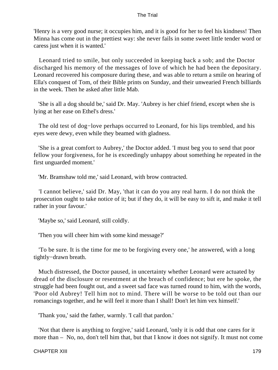'Henry is a very good nurse; it occupies him, and it is good for her to feel his kindness! Then Minna has come out in the prettiest way: she never fails in some sweet little tender word or caress just when it is wanted.'

 Leonard tried to smile, but only succeeded in keeping back a sob; and the Doctor discharged his memory of the messages of love of which he had been the depositary. Leonard recovered his composure during these, and was able to return a smile on hearing of Ella's conquest of Tom, of their Bible prints on Sunday, and their unwearied French billiards in the week. Then he asked after little Mab.

 'She is all a dog should be,' said Dr. May. 'Aubrey is her chief friend, except when she is lying at her ease on Ethel's dress.'

 The old test of dog−love perhaps occurred to Leonard, for his lips trembled, and his eyes were dewy, even while they beamed with gladness.

 'She is a great comfort to Aubrey,' the Doctor added. 'I must beg you to send that poor fellow your forgiveness, for he is exceedingly unhappy about something he repeated in the first unguarded moment.'

'Mr. Bramshaw told me,' said Leonard, with brow contracted.

 'I cannot believe,' said Dr. May, 'that it can do you any real harm. I do not think the prosecution ought to take notice of it; but if they do, it will be easy to sift it, and make it tell rather in your favour.'

'Maybe so,' said Leonard, still coldly.

'Then you will cheer him with some kind message?'

 'To be sure. It is the time for me to be forgiving every one,' he answered, with a long tightly−drawn breath.

 Much distressed, the Doctor paused, in uncertainty whether Leonard were actuated by dread of the disclosure or resentment at the breach of confidence; but ere he spoke, the struggle had been fought out, and a sweet sad face was turned round to him, with the words, 'Poor old Aubrey! Tell him not to mind. There will be worse to be told out than our romancings together, and he will feel it more than I shall! Don't let him vex himself.'

'Thank you,' said the father, warmly. 'I call that pardon.'

 'Not that there is anything to forgive,' said Leonard, 'only it is odd that one cares for it more than – No, no, don't tell him that, but that I know it does not signify. It must not come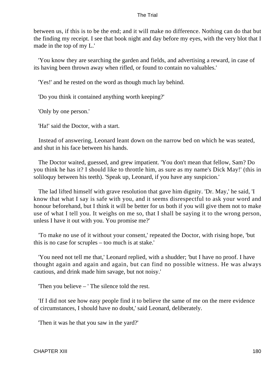between us, if this is to be the end; and it will make no difference. Nothing can do that but the finding my receipt. I see that book night and day before my eyes, with the very blot that I made in the top of my L.'

 'You know they are searching the garden and fields, and advertising a reward, in case of its having been thrown away when rifled, or found to contain no valuables.'

'Yes!' and he rested on the word as though much lay behind.

'Do you think it contained anything worth keeping?'

'Only by one person.'

'Ha!' said the Doctor, with a start.

 Instead of answering, Leonard leant down on the narrow bed on which he was seated, and shut in his face between his hands.

 The Doctor waited, guessed, and grew impatient. 'You don't mean that fellow, Sam? Do you think he has it? I should like to throttle him, as sure as my name's Dick May!' (this in soliloquy between his teeth). 'Speak up, Leonard, if you have any suspicion.'

 The lad lifted himself with grave resolution that gave him dignity. 'Dr. May,' he said, 'I know that what I say is safe with you, and it seems disrespectful to ask your word and honour beforehand, but I think it will be better for us both if you will give them not to make use of what I tell you. It weighs on me so, that I shall be saying it to the wrong person, unless I have it out with you. You promise me?'

 'To make no use of it without your consent,' repeated the Doctor, with rising hope, 'but this is no case for scruples – too much is at stake.'

 'You need not tell me that,' Leonard replied, with a shudder; 'but I have no proof. I have thought again and again and again, but can find no possible witness. He was always cautious, and drink made him savage, but not noisy.'

'Then you believe – ' The silence told the rest.

 'If I did not see how easy people find it to believe the same of me on the mere evidence of circumstances, I should have no doubt,' said Leonard, deliberately.

'Then it was he that you saw in the yard?'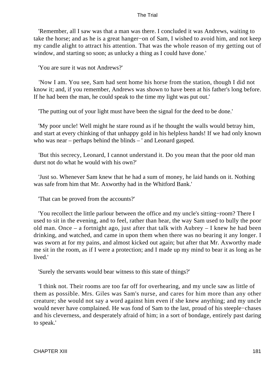'Remember, all I saw was that a man was there. I concluded it was Andrews, waiting to take the horse; and as he is a great hanger−on of Sam, I wished to avoid him, and not keep my candle alight to attract his attention. That was the whole reason of my getting out of window, and starting so soon; as unlucky a thing as I could have done.'

'You are sure it was not Andrews?'

 'Now I am. You see, Sam had sent home his horse from the station, though I did not know it; and, if you remember, Andrews was shown to have been at his father's long before. If he had been the man, he could speak to the time my light was put out.'

'The putting out of your light must have been the signal for the deed to be done.'

 'My poor uncle! Well might he stare round as if he thought the walls would betray him, and start at every chinking of that unhappy gold in his helpless hands! If we had only known who was near – perhaps behind the blinds – ' and Leonard gasped.

 'But this secrecy, Leonard, I cannot understand it. Do you mean that the poor old man durst not do what he would with his own?'

 'Just so. Whenever Sam knew that he had a sum of money, he laid hands on it. Nothing was safe from him that Mr. Axworthy had in the Whitford Bank.'

'That can be proved from the accounts?'

 'You recollect the little parlour between the office and my uncle's sitting−room? There I used to sit in the evening, and to feel, rather than hear, the way Sam used to bully the poor old man. Once – a fortnight ago, just after that talk with Aubrey – I knew he had been drinking, and watched, and came in upon them when there was no bearing it any longer. I was sworn at for my pains, and almost kicked out again; but after that Mr. Axworthy made me sit in the room, as if I were a protection; and I made up my mind to bear it as long as he lived.'

'Surely the servants would bear witness to this state of things?'

 'I think not. Their rooms are too far off for overhearing, and my uncle saw as little of them as possible. Mrs. Giles was Sam's nurse, and cares for him more than any other creature; she would not say a word against him even if she knew anything; and my uncle would never have complained. He was fond of Sam to the last, proud of his steeple−chases and his cleverness, and desperately afraid of him; in a sort of bondage, entirely past daring to speak.'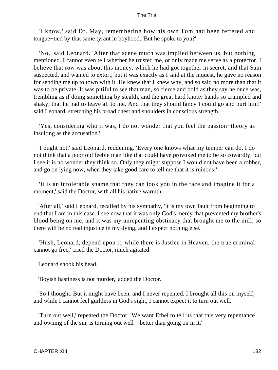'I know,' said Dr. May, remembering how his own Tom had been fettered and tongue−tied by that same tyrant in boyhood. 'But he spoke to you?'

 'No,' said Leonard. 'After that scene much was implied between us, but nothing mentioned. I cannot even tell whether he trusted me, or only made me serve as a protector. I believe that row was about this money, which he had got together in secret, and that Sam suspected, and wanted to extort; but it was exactly as I said at the inquest, he gave no reason for sending me up to town with it. He knew that I knew why, and so said no more than that it was to be private. It was pitiful to see that man, so fierce and bold as they say he once was, trembling as if doing something by stealth, and the great hard knotty hands so crumpled and shaky, that he had to leave all to me. And that they should fancy I could go and hurt him!' said Leonard, stretching his broad chest and shoulders in conscious strength.

 'Yes, considering who it was, I do not wonder that you feel the passion−theory as insulting as the accusation.'

 'I ought not,' said Leonard, reddening. 'Every one knows what my temper can do. I do not think that a poor old feeble man like that could have provoked me to be so cowardly, but I see it is no wonder they think so. Only they might suppose I would not have been a robber, and go on lying now, when they take good care to tell me that it is ruinous!'

 'It is an intolerable shame that they can look you in the face and imagine it for a moment,' said the Doctor, with all his native warmth.

 'After all,' said Leonard, recalled by his sympathy, 'it is my own fault from beginning to end that I am in this case. I see now that it was only God's mercy that prevented my brother's blood being on me, and it was my unrepenting obstinacy that brought me to the mill; so there will be no real injustice in my dying, and I expect nothing else.'

 'Hush, Leonard, depend upon it, while there is Justice in Heaven, the true criminal cannot go free,' cried the Doctor, much agitated.

Leonard shook his head.

'Boyish hastiness is not murder,' added the Doctor.

 'So I thought. But it might have been, and I never repented. I brought all this on myself; and while I cannot feel guiltless in God's sight, I cannot expect it to turn out well.'

 'Turn out well,' repeated the Doctor. 'We want Ethel to tell us that this very repentance and owning of the sin, is turning out well – better than going on in it.'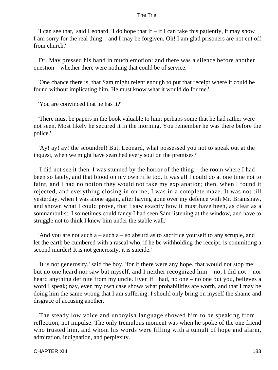'I can see that,' said Leonard. 'I do hope that if  $-$  if I can take this patiently, it may show I am sorry for the real thing – and I may be forgiven. Oh! I am glad prisoners are not cut off from church.'

 Dr. May pressed his hand in much emotion: and there was a silence before another question – whether there were nothing that could be of service.

 'One chance there is, that Sam might relent enough to put that receipt where it could be found without implicating him. He must know what it would do for me.'

'You are convinced that he has it?'

 'There must be papers in the book valuable to him; perhaps some that he had rather were not seen. Most likely he secured it in the morning. You remember he was there before the police.'

 'Ay! ay! ay! the scoundrel! But, Leonard, what possessed you not to speak out at the inquest, when we might have searched every soul on the premises?'

 'I did not see it then. I was stunned by the horror of the thing – the room where I had been so lately, and that blood on my own rifle too. It was all I could do at one time not to faint, and I had no notion they would not take my explanation; then, when I found it rejected, and everything closing in on me, I was in a complete maze. It was not till yesterday, when I was alone again, after having gone over my defence with Mr. Bramshaw, and shown what I could prove, that I saw exactly how it must have been, as clear as a somnambulist. I sometimes could fancy I had seen Sam listening at the window, and have to struggle not to think I knew him under the stable wall.'

'And you are not such  $a$  – such  $a$  – so absurd as to sacrifice yourself to any scruple, and let the earth be cumbered with a rascal who, if he be withholding the receipt, is committing a second murder! It is not generosity, it is suicide.'

 'It is not generosity,' said the boy, 'for if there were any hope, that would not stop me; but no one heard nor saw but myself, and I neither recognized him – no, I did not – nor heard anything definite from my uncle. Even if I had, no one – no one but you, believes a word I speak; nay, even my own case shows what probabilities are worth, and that I may be doing him the same wrong that I am suffering. I should only bring on myself the shame and disgrace of accusing another.'

 The steady low voice and unboyish language showed him to be speaking from reflection, not impulse. The only tremulous moment was when he spoke of the one friend who trusted him, and whom his words were filling with a tumult of hope and alarm, admiration, indignation, and perplexity.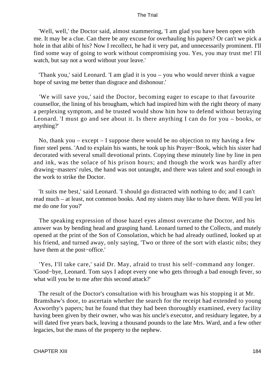'Well, well,' the Doctor said, almost stammering, 'I am glad you have been open with me. It may be a clue. Can there be any excuse for overhauling his papers? Or can't we pick a hole in that alibi of his? Now I recollect, he had it very pat, and unnecessarily prominent. I'll find some way of going to work without compromising you. Yes, you may trust me! I'll watch, but say not a word without your leave.'

 'Thank you,' said Leonard. 'I am glad it is you – you who would never think a vague hope of saving me better than disgrace and dishonour.'

 'We will save you,' said the Doctor, becoming eager to escape to that favourite counsellor, the lining of his brougham, which had inspired him with the right theory of many a perplexing symptom, and he trusted would show him how to defend without betraying Leonard. 'I must go and see about it. Is there anything I can do for you – books, or anything?'

No, thank you – except – I suppose there would be no objection to my having a few finer steel pens. 'And to explain his wants, he took up his Prayer−Book, which his sister had decorated with several small devotional prints. Copying these minutely line by line in pen and ink, was the solace of his prison hours; and though the work was hardly after drawing−masters' rules, the hand was not untaught, and there was talent and soul enough in the work to strike the Doctor.

 'It suits me best,' said Leonard. 'I should go distracted with nothing to do; and I can't read much – at least, not common books. And my sisters may like to have them. Will you let me do one for you?'

 The speaking expression of those hazel eyes almost overcame the Doctor, and his answer was by bending head and grasping hand. Leonard turned to the Collects, and mutely opened at the print of the Son of Consolation, which he had already outlined, looked up at his friend, and turned away, only saying, 'Two or three of the sort with elastic nibs; they have them at the post−office.'

 'Yes, I'll take care,' said Dr. May, afraid to trust his self−command any longer. 'Good−bye, Leonard. Tom says I adopt every one who gets through a bad enough fever, so what will you be to me after this second attack?'

 The result of the Doctor's consultation with his brougham was his stopping it at Mr. Bramshaw's door, to ascertain whether the search for the receipt had extended to young Axworthy's papers; but he found that they had been thoroughly examined, every facility having been given by their owner, who was his uncle's executor, and residuary legatee, by a will dated five years back, leaving a thousand pounds to the late Mrs. Ward, and a few other legacies, but the mass of the property to the nephew.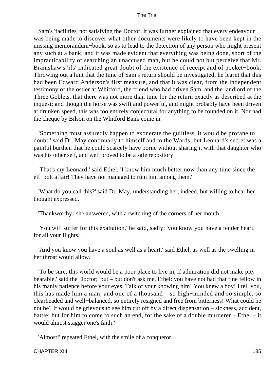Sam's 'facilities' not satisfying the Doctor, it was further explained that every endeavour was being made to discover what other documents were likely to have been kept in the missing memorandum−book, so as to lead to the detection of any person who might present any such at a bank; and it was made evident that everything was being done, short of the impracticability of searching an unaccused man, but he could not but perceive that Mr. Bramshaw's 'ifs' indicated great doubt of the existence of receipt and of pocket−book. Throwing out a hint that the time of Sam's return should be investigated, he learnt that this had been Edward Anderson's first measure, and that it was clear, from the independent testimony of the ostler at Whitford, the friend who had driven Sam, and the landlord of the Three Goblets, that there was not more than time for the return exactly as described at the inquest; and though the horse was swift and powerful, and might probably have been driven at drunken speed, this was too entirely conjectural for anything to be founded on it. Nor had the cheque by Bilson on the Whitford Bank come in.

 'Something must assuredly happen to exonerate the guiltless, it would be profane to doubt,' said Dr. May continually to himself and to the Wards; but Leonard's secret was a painful burthen that he could scarcely have borne without sharing it with that daughter who was his other self, and well proved to be a safe repository.

 'That's my Leonard,' said Ethel. 'I know him much better now than any time since the elf−bolt affair! They have not managed to ruin him among them.'

 'What do you call this?' said Dr. May, understanding her, indeed, but willing to hear her thought expressed.

'Thankworthy,' she answered, with a twitching of the corners of her mouth.

 'You will suffer for this exaltation,' he said, sadly; 'you know you have a tender heart, for all your flights.'

 'And you know you have a soul as well as a heart,' said Ethel, as well as the swelling in her throat would allow.

 'To be sure, this world would be a poor place to live in, if admiration did not make pity bearable,' said the Doctor; 'but – but don't ask me, Ethel: you have not had that fine fellow in his manly patience before your eyes. Talk of your knowing him! You knew a boy! I tell you, this has made him a man, and one of a thousand – so high−minded and so simple, so clearheaded and well−balanced, so entirely resigned and free from bitterness! What could he not be? It would be grievous to see him cut off by a direct dispensation – sickness, accident, battle; but for him to come to such an end, for the sake of a double murderer – Ethel – it would almost stagger one's faith!'

'Almost!' repeated Ethel, with the smile of a conqueror.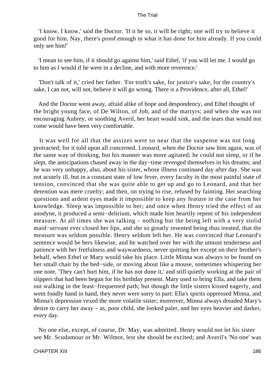'I know, I know,' said the Doctor. 'If it be so, it will be right; one will try to believe it good for him. Nay, there's proof enough in what it has done for him already. If you could only see him!'

 'I mean to see him, if it should go against him,' said Ethel, 'if you will let me. I would go to him as I would if he were in a decline, and with more reverence.'

 'Don't talk of it,' cried her father. 'For truth's sake, for justice's sake, for the country's sake, I can not, will not, believe it will go wrong. There is a Providence, after all, Ethel!'

 And the Doctor went away, afraid alike of hope and despondency, and Ethel thought of the bright young face, of De Wilton, of Job, and of the martyrs; and when she was not encouraging Aubrey, or soothing Averil, her heart would sink, and the tears that would not come would have been very comfortable.

 It was well for all that the assizes were so near that the suspense was not long protracted; for it told upon all concerned. Leonard, when the Doctor saw him again, was of the same way of thinking, but his manner was more agitated; he could not sleep, or if he slept, the anticipations chased away in the day−time revenged themselves in his dreams; and he was very unhappy, also, about his sister, whose illness continued day after day. She was not acutely ill, but in a constant state of low fever, every faculty in the most painful state of tension, convinced that she was quite able to get up and go to Leonard, and that her detention was mere cruelty; and then, on trying to rise, refused by fainting. Her searching questions and ardent eyes made it impossible to keep any feature in the case from her knowledge. Sleep was impossible to her; and once when Henry tried the effect of an anodyne, it produced a semi−delirium, which made him heartily repent of his independent measure. At all times she was talking – nothing but the being left with a very stolid maid−servant ever closed her lips, and she so greatly resented being thus treated, that the measure was seldom possible. Henry seldom left her. He was convinced that Leonard's sentence would be hers likewise, and he watched over her with the utmost tenderness and patience with her fretfulness and waywardness, never quitting her except on their brother's behalf, when Ethel or Mary would take his place. Little Minna was always to be found on her small chair by the bed−side, or moving about like a mouse, sometimes whispering her one note, 'They can't hurt him, if he has not done it,' and still quietly working at the pair of slippers that had been begun for his birthday present. Mary used to bring Ella, and take them out walking in the least−frequented path; but though the little sisters kissed eagerly, and went fondly hand in hand, they never were sorry to part: Ella's spirits oppressed Minna, and Minna's depression vexed the more volatile sister; moreover, Minna always dreaded Mary's desire to carry her away – as, poor child, she looked paler, and her eyes heavier and darker, every day.

 No one else, except, of course, Dr. May, was admitted. Henry would not let his sister see Mr. Scudamour or Mr. Wilmot, lest she should be excited; and Averil's 'No one' was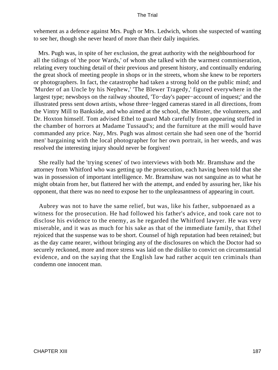vehement as a defence against Mrs. Pugh or Mrs. Ledwich, whom she suspected of wanting to see her, though she never heard of more than their daily inquiries.

 Mrs. Pugh was, in spite of her exclusion, the great authority with the neighbourhood for all the tidings of 'the poor Wards,' of whom she talked with the warmest commiseration, relating every touching detail of their previous and present history, and continually enduring the great shock of meeting people in shops or in the streets, whom she knew to be reporters or photographers. In fact, the catastrophe had taken a strong hold on the public mind; and 'Murder of an Uncle by his Nephew,' 'The Blewer Tragedy,' figured everywhere in the largest type; newsboys on the railway shouted, 'To−day's paper−account of inquest;' and the illustrated press sent down artists, whose three−legged cameras stared in all directions, from the Vintry Mill to Bankside, and who aimed at the school, the Minster, the volunteers, and Dr. Hoxton himself. Tom advised Ethel to guard Mab carefully from appearing stuffed in the chamber of horrors at Madame Tussaud's; and the furniture at the mill would have commanded any price. Nay, Mrs. Pugh was almost certain she had seen one of the 'horrid men' bargaining with the local photographer for her own portrait, in her weeds, and was resolved the interesting injury should never be forgiven!

 She really had the 'trying scenes' of two interviews with both Mr. Bramshaw and the attorney from Whitford who was getting up the prosecution, each having been told that she was in possession of important intelligence. Mr. Bramshaw was not sanguine as to what he might obtain from her, but flattered her with the attempt, and ended by assuring her, like his opponent, that there was no need to expose her to the unpleasantness of appearing in court.

 Aubrey was not to have the same relief, but was, like his father, subpoenaed as a witness for the prosecution. He had followed his father's advice, and took care not to disclose his evidence to the enemy, as he regarded the Whitford lawyer. He was very miserable, and it was as much for his sake as that of the immediate family, that Ethel rejoiced that the suspense was to be short. Counsel of high reputation had been retained; but as the day came nearer, without bringing any of the disclosures on which the Doctor had so securely reckoned, more and more stress was laid on the dislike to convict on circumstantial evidence, and on the saying that the English law had rather acquit ten criminals than condemn one innocent man.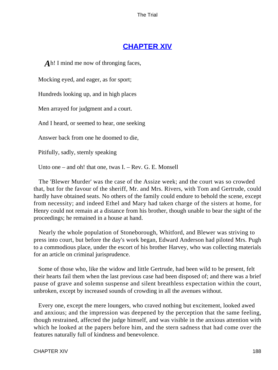# **[CHAPTER XIV](#page-414-0)**

*A*h! I mind me now of thronging faces,

Mocking eyed, and eager, as for sport;

Hundreds looking up, and in high places

Men arrayed for judgment and a court.

And I heard, or seemed to hear, one seeking

Answer back from one he doomed to die,

Pitifully, sadly, sternly speaking

Unto one – and oh! that one, twas I. – Rev. G. E. Monsell

 The 'Blewer Murder' was the case of the Assize week; and the court was so crowded that, but for the favour of the sheriff, Mr. and Mrs. Rivers, with Tom and Gertrude, could hardly have obtained seats. No others of the family could endure to behold the scene, except from necessity; and indeed Ethel and Mary had taken charge of the sisters at home, for Henry could not remain at a distance from his brother, though unable to bear the sight of the proceedings; he remained in a house at hand.

 Nearly the whole population of Stoneborough, Whitford, and Blewer was striving to press into court, but before the day's work began, Edward Anderson had piloted Mrs. Pugh to a commodious place, under the escort of his brother Harvey, who was collecting materials for an article on criminal jurisprudence.

 Some of those who, like the widow and little Gertrude, had been wild to be present, felt their hearts fail them when the last previous case had been disposed of; and there was a brief pause of grave and solemn suspense and silent breathless expectation within the court, unbroken, except by increased sounds of crowding in all the avenues without.

 Every one, except the mere loungers, who craved nothing but excitement, looked awed and anxious; and the impression was deepened by the perception that the same feeling, though restrained, affected the judge himself, and was visible in the anxious attention with which he looked at the papers before him, and the stern sadness that had come over the features naturally full of kindness and benevolence.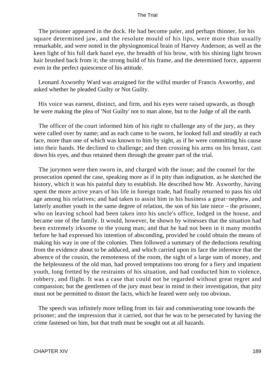The prisoner appeared in the dock. He had become paler, and perhaps thinner, for his square determined jaw, and the resolute mould of his lips, were more than usually remarkable, and were noted in the physiognomical brain of Harvey Anderson; as well as the keen light of his full dark hazel eye, the breadth of his brow, with his shining light brown hair brushed back from it; the strong build of his frame, and the determined force, apparent even in the perfect quiescence of his attitude.

 Leonard Axworthy Ward was arraigned for the wilful murder of Francis Axworthy, and asked whether he pleaded Guilty or Not Guilty.

 His voice was earnest, distinct, and firm, and his eyes were raised upwards, as though he were making the plea of 'Not Guilty' not to man alone, but to the Judge of all the earth.

 The officer of the court informed him of his right to challenge any of the jury, as they were called over by name; and as each came to be sworn, he looked full and steadily at each face, more than one of which was known to him by sight, as if he were committing his cause into their hands. He declined to challenge; and then crossing his arms on his breast, cast down his eyes, and thus retained them through the greater part of the trial.

 The jurymen were then sworn in, and charged with the issue; and the counsel for the prosecution opened the case, speaking more as if in pity than indignation, as he sketched the history, which it was his painful duty to establish. He described how Mr. Axworthy, having spent the more active years of his life in foreign trade, had finally returned to pass his old age among his relatives; and had taken to assist him in his business a great−nephew, and latterly another youth in the same degree of relation, the son of his late niece – the prisoner, who on leaving school had been taken into his uncle's office, lodged in the house, and became one of the family. It would, however, be shown by witnesses that the situation had been extremely irksome to the young man; and that he had not been in it many months before he had expressed his intention of absconding, provided he could obtain the means of making his way in one of the colonies. Then followed a summary of the deductions resulting from the evidence about to be adduced, and which carried upon its face the inference that the absence of the cousin, the remoteness of the room, the sight of a large sum of money, and the helplessness of the old man, had proved temptations too strong for a fiery and impatient youth, long fretted by the restraints of his situation, and had conducted him to violence, robbery, and flight. It was a case that could not be regarded without great regret and compassion; but the gentlemen of the jury must bear in mind in their investigation, that pity must not be permitted to distort the facts, which he feared were only too obvious.

 The speech was infinitely more telling from its fair and commiserating tone towards the prisoner; and the impression that it carried, not that he was to be persecuted by having the crime fastened on him, but that truth must be sought out at all hazards.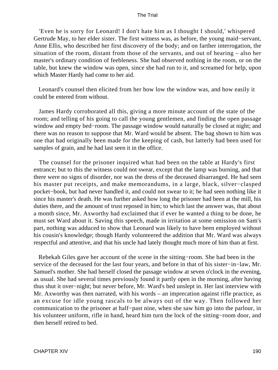'Even he is sorry for Leonard! I don't hate him as I thought I should,' whispered Gertrude May, to her elder sister. The first witness was, as before, the young maid−servant, Anne Ellis, who described her first discovery of the body; and on farther interrogation, the situation of the room, distant from those of the servants, and out of hearing – also her master's ordinary condition of feebleness. She had observed nothing in the room, or on the table, but knew the window was open, since she had run to it, and screamed for help, upon which Master Hardy had come to her aid.

 Leonard's counsel then elicited from her how low the window was, and how easily it could be entered from without.

 James Hardy corroborated all this, giving a more minute account of the state of the room; and telling of his going to call the young gentlemen, and finding the open passage window and empty bed−room. The passage window would naturally be closed at night; and there was no reason to suppose that Mr. Ward would be absent. The bag shown to him was one that had originally been made for the keeping of cash, but latterly had been used for samples of grain, and he had last seen it in the office.

 The counsel for the prisoner inquired what had been on the table at Hardy's first entrance; but to this the witness could not swear, except that the lamp was burning, and that there were no signs of disorder, nor was the dress of the deceased disarranged. He had seen his master put receipts, and make memorandums, in a large, black, silver−clasped pocket−book, but had never handled it, and could not swear to it; he had seen nothing like it since his master's death. He was further asked how long the prisoner had been at the mill, his duties there, and the amount of trust reposed in him; to which last the answer was, that about a month since, Mr. Axworthy had exclaimed that if ever he wanted a thing to be done, he must set Ward about it. Saving this speech, made in irritation at some omission on Sam's part, nothing was adduced to show that Leonard was likely to have been employed without his cousin's knowledge; though Hardy volunteered the addition that Mr. Ward was always respectful and attentive, and that his uncle had lately thought much more of him than at first.

 Rebekah Giles gave her account of the scene in the sitting−room. She had been in the service of the deceased for the last four years, and before in that of his sister−in−law, Mr. Samuel's mother. She had herself closed the passage window at seven o'clock in the evening, as usual. She had several times previously found it partly open in the morning, after having thus shut it over−night; but never before, Mr. Ward's bed unslept in. Her last interview with Mr. Axworthy was then narrated, with his words – an imprecation against rifle practice, as an excuse for idle young rascals to be always out of the way. Then followed her communication to the prisoner at half−past nine, when she saw him go into the parlour, in his volunteer uniform, rifle in hand, heard him turn the lock of the sitting−room door, and then herself retired to bed.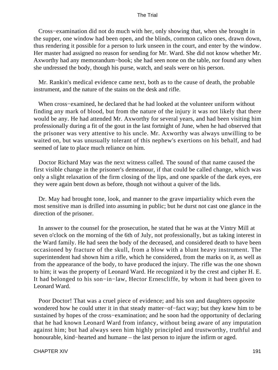Cross−examination did not do much with her, only showing that, when she brought in the supper, one window had been open, and the blinds, common calico ones, drawn down, thus rendering it possible for a person to lurk unseen in the court, and enter by the window. Her master had assigned no reason for sending for Mr. Ward. She did not know whether Mr. Axworthy had any memorandum−book; she had seen none on the table, nor found any when she undressed the body, though his purse, watch, and seals were on his person.

 Mr. Rankin's medical evidence came next, both as to the cause of death, the probable instrument, and the nature of the stains on the desk and rifle.

 When cross−examined, he declared that he had looked at the volunteer uniform without finding any mark of blood, but from the nature of the injury it was not likely that there would be any. He had attended Mr. Axworthy for several years, and had been visiting him professionally during a fit of the gout in the last fortnight of June, when he had observed that the prisoner was very attentive to his uncle. Mr. Axworthy was always unwilling to be waited on, but was unusually tolerant of this nephew's exertions on his behalf, and had seemed of late to place much reliance on him.

 Doctor Richard May was the next witness called. The sound of that name caused the first visible change in the prisoner's demeanour, if that could be called change, which was only a slight relaxation of the firm closing of the lips, and one sparkle of the dark eyes, ere they were again bent down as before, though not without a quiver of the lids.

 Dr. May had brought tone, look, and manner to the grave impartiality which even the most sensitive man is drilled into assuming in public; but he durst not cast one glance in the direction of the prisoner.

 In answer to the counsel for the prosecution, he stated that he was at the Vintry Mill at seven o'clock on the morning of the 6th of July, not professionally, but as taking interest in the Ward family. He had seen the body of the deceased, and considered death to have been occasioned by fracture of the skull, from a blow with a blunt heavy instrument. The superintendent had shown him a rifle, which he considered, from the marks on it, as well as from the appearance of the body, to have produced the injury. The rifle was the one shown to him; it was the property of Leonard Ward. He recognized it by the crest and cipher H. E. It had belonged to his son−in−law, Hector Ernescliffe, by whom it had been given to Leonard Ward.

 Poor Doctor! That was a cruel piece of evidence; and his son and daughters opposite wondered how he could utter it in that steady matter−of−fact way; but they knew him to be sustained by hopes of the cross−examination; and he soon had the opportunity of declaring that he had known Leonard Ward from infancy, without being aware of any imputation against him; but had always seen him highly principled and trustworthy, truthful and honourable, kind−hearted and humane – the last person to injure the infirm or aged.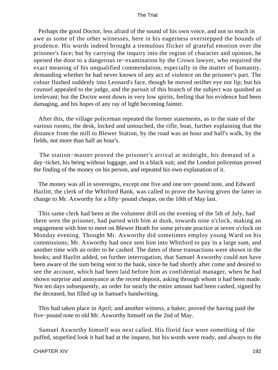Perhaps the good Doctor, less afraid of the sound of his own voice, and not so much in awe as some of the other witnesses, here in his eagerness overstepped the bounds of prudence. His words indeed brought a tremulous flicker of grateful emotion over the prisoner's face; but by carrying the inquiry into the region of character and opinion, he opened the door to a dangerous re−examination by the Crown lawyer, who required the exact meaning of his unqualified commendation, especially in the matter of humanity, demanding whether he had never known of any act of violence on the prisoner's part. The colour flushed suddenly into Leonard's face, though he moved neither eye nor lip; but his counsel appealed to the judge, and the pursuit of this branch of the subject was quashed as irrelevant; but the Doctor went down in very low spirits, feeling that his evidence had been damaging, and his hopes of any ray of light becoming fainter.

 After this, the village policeman repeated the former statements, as to the state of the various rooms, the desk, locked and untouched, the rifle, boat, further explaining that the distance from the mill to Blewer Station, by the road was an hour and half's walk, by the fields, not more than half an hour's.

 The station−master proved the prisoner's arrival at midnight, his demand of a day−ticket, his being without luggage, and in a black suit; and the London policeman proved the finding of the money on his person, and repeated his own explanation of it.

 The money was all in sovereigns, except one five and one ten−pound note, and Edward Hazlitt, the clerk of the Whitford Bank, was called to prove the having given the latter in change to Mr. Axworthy for a fifty−pound cheque, on the 10th of May last.

 This same clerk had been at the volunteer drill on the evening of the 5th of July, had there seen the prisoner, had parted with him at dusk, towards nine o'clock, making an engagement with him to meet on Blewer Heath for some private practice at seven o'clock on Monday evening. Thought Mr. Axworthy did sometimes employ young Ward on his commissions; Mr. Axworthy had once sent him into Whitford to pay in a large sum, and another time with an order to be cashed. The dates of these transactions were shown in the books; and Hazlitt added, on further interrogation, that Samuel Axworthy could not have been aware of the sum being sent to the bank, since he had shortly after come and desired to see the account, which had been laid before him as confidential manager, when he had shown surprise and annoyance at the recent deposit, asking through whom it had been made. Not ten days subsequently, an order for nearly the entire amount had been cashed, signed by the deceased, but filled up in Samuel's handwriting.

 This had taken place in April; and another witness, a baker, proved the having paid the five−pound note to old Mr. Axworthy himself on the 2nd of May.

 Samuel Axworthy himself was next called. His florid face wore something of the puffed, stupefied look it had had at the inquest, but his words were ready, and always to the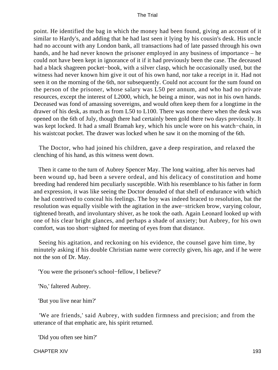point. He identified the bag in which the money had been found, giving an account of it similar to Hardy's, and adding that he had last seen it lying by his cousin's desk. His uncle had no account with any London bank, all transactions had of late passed through his own hands, and he had never known the prisoner employed in any business of importance – he could not have been kept in ignorance of it if it had previously been the case. The deceased had a black shagreen pocket−book, with a silver clasp, which he occasionally used, but the witness had never known him give it out of his own hand, nor take a receipt in it. Had not seen it on the morning of the 6th, nor subsequently. Could not account for the sum found on the person of the prisoner, whose salary was L50 per annum, and who had no private resources, except the interest of L2000, which, he being a minor, was not in his own hands. Deceased was fond of amassing sovereigns, and would often keep them for a longtime in the drawer of his desk, as much as from L50 to L100. There was none there when the desk was opened on the 6th of July, though there had certainly been gold there two days previously. It was kept locked. It had a small Bramah key, which his uncle wore on his watch−chain, in his waistcoat pocket. The drawer was locked when he saw it on the morning of the 6th.

 The Doctor, who had joined his children, gave a deep respiration, and relaxed the clenching of his hand, as this witness went down.

 Then it came to the turn of Aubrey Spencer May. The long waiting, after his nerves had been wound up, had been a severe ordeal, and his delicacy of constitution and home breeding had rendered him peculiarly susceptible. With his resemblance to his father in form and expression, it was like seeing the Doctor denuded of that shell of endurance with which he had contrived to conceal his feelings. The boy was indeed braced to resolution, bat the resolution was equally visible with the agitation in the awe−stricken brow, varying colour, tightened breath, and involuntary shiver, as he took the oath. Again Leonard looked up with one of his clear bright glances, and perhaps a shade of anxiety; but Aubrey, for his own comfort, was too short−sighted for meeting of eyes from that distance.

 Seeing his agitation, and reckoning on his evidence, the counsel gave him time, by minutely asking if his double Christian name were correctly given, his age, and if he were not the son of Dr. May.

'You were the prisoner's school−fellow, I believe?'

'No,' faltered Aubrey.

'But you live near him?'

 'We are friends,' said Aubrey, with sudden firmness and precision; and from the utterance of that emphatic are, his spirit returned.

'Did you often see him?'

CHAPTER XIV 193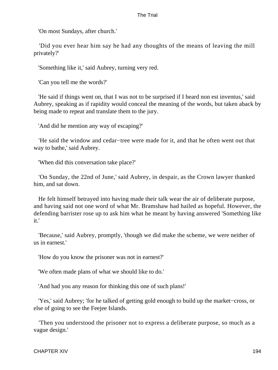'On most Sundays, after church.'

 'Did you ever hear him say he had any thoughts of the means of leaving the mill privately?'

'Something like it,' said Aubrey, turning very red.

'Can you tell me the words?'

 'He said if things went on, that I was not to be surprised if I heard non est inventus,' said Aubrey, speaking as if rapidity would conceal the meaning of the words, but taken aback by being made to repeat and translate them to the jury.

'And did he mention any way of escaping?'

 'He said the window and cedar−tree were made for it, and that he often went out that way to bathe,' said Aubrey.

'When did this conversation take place?'

 'On Sunday, the 22nd of June,' said Aubrey, in despair, as the Crown lawyer thanked him, and sat down.

 He felt himself betrayed into having made their talk wear the air of deliberate purpose, and having said not one word of what Mr. Bramshaw had hailed as hopeful. However, the defending barrister rose up to ask him what he meant by having answered 'Something like it.'

 'Because,' said Aubrey, promptly, 'though we did make the scheme, we were neither of us in earnest.'

'How do you know the prisoner was not in earnest?'

'We often made plans of what we should like to do.'

'And had you any reason for thinking this one of such plans!'

 'Yes,' said Aubrey; 'for he talked of getting gold enough to build up the market−cross, or else of going to see the Feejee Islands.

 'Then you understood the prisoner not to express a deliberate purpose, so much as a vague design.'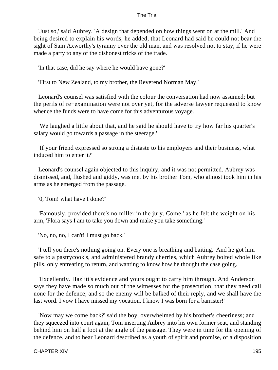'Just so,' said Aubrey. 'A design that depended on how things went on at the mill.' And being desired to explain his words, he added, that Leonard had said he could not bear the sight of Sam Axworthy's tyranny over the old man, and was resolved not to stay, if he were made a party to any of the dishonest tricks of the trade.

'In that case, did he say where he would have gone?'

'First to New Zealand, to my brother, the Reverend Norman May.'

 Leonard's counsel was satisfied with the colour the conversation had now assumed; but the perils of re−examination were not over yet, for the adverse lawyer requested to know whence the funds were to have come for this adventurous voyage.

 'We laughed a little about that, and he said he should have to try how far his quarter's salary would go towards a passage in the steerage.'

 'If your friend expressed so strong a distaste to his employers and their business, what induced him to enter it?'

 Leonard's counsel again objected to this inquiry, and it was not permitted. Aubrey was dismissed, and, flushed and giddy, was met by his brother Tom, who almost took him in his arms as he emerged from the passage.

'0, Tom! what have I done?'

 'Famously, provided there's no miller in the jury. Come,' as he felt the weight on his arm, 'Flora says I am to take you down and make you take something.'

'No, no, no, I can't! I must go back.'

 'I tell you there's nothing going on. Every one is breathing and baiting.' And he got him safe to a pastrycook's, and administered brandy cherries, which Aubrey bolted whole like pills, only entreating to return, and wanting to know how he thought the case going.

 'Excellently. Hazlitt's evidence and yours ought to carry him through. And Anderson says they have made so much out of the witnesses for the prosecution, that they need call none for the defence; and so the enemy will be balked of their reply, and we shall have the last word. I vow I have missed my vocation. I know I was born for a barrister!'

 'Now may we come back?' said the boy, overwhelmed by his brother's cheeriness; and they squeezed into court again, Tom inserting Aubrey into his own former seat, and standing behind him on half a foot at the angle of the passage. They were in time for the opening of the defence, and to hear Leonard described as a youth of spirit and promise, of a disposition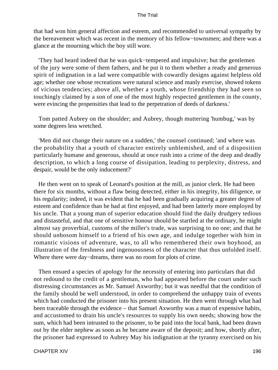that had won him general affection and esteem, and recommended to universal sympathy by the bereavement which was recent in the memory of his fellow−townsmen; and there was a glance at the mourning which the boy still wore.

 'They had heard indeed that he was quick−tempered and impulsive; but the gentlemen of the jury were some of them fathers, and he put it to them whether a ready and generous spirit of indignation in a lad were compatible with cowardly designs against helpless old age; whether one whose recreations were natural science and manly exercise, showed tokens of vicious tendencies; above all, whether a youth, whose friendship they had seen so touchingly claimed by a son of one of the most highly respected gentlemen in the county, were evincing the propensities that lead to the perpetration of deeds of darkness.'

 Tom patted Aubrey on the shoulder; and Aubrey, though muttering 'humbug,' was by some degrees less wretched.

 'Men did not change their nature on a sudden,' the counsel continued; 'and where was the probability that a youth of character entirely unblemished, and of a disposition particularly humane and generous, should at once rush into a crime of the deep and deadly description, to which a long course of dissipation, leading to perplexity, distress, and despair, would be the only inducement?'

 He then went on to speak of Leonard's position at the mill, as junior clerk. He had been there for six months, without a flaw being detected, either in his integrity, his diligence, or his regularity; indeed, it was evident that he had been gradually acquiring a greater degree of esteem and confidence than he had at first enjoyed, and had been latterly more employed by his uncle. That a young man of superior education should find the daily drudgery tedious and distasteful, and that one of sensitive honour should be startled at the ordinary, he might almost say proverbial, customs of the miller's trade, was surprising to no one; and that he should unbosom himself to a friend of his own age, and indulge together with him in romantic visions of adventure, was, to all who remembered their own boyhood, an illustration of the freshness and ingenuousness of the character that thus unfolded itself. Where there were day−dreams, there was no room for plots of crime.

 Then ensued a species of apology for the necessity of entering into particulars that did not redound to the credit of a gentleman, who had appeared before the court under such distressing circumstances as Mr. Samuel Axworthy; but it was needful that the condition of the family should be well understood, in order to comprehend the unhappy train of events which had conducted the prisoner into his present situation. He then went through what had been traceable through the evidence – that Samuel Axworthy was a man of expensive habits, and accustomed to drain his uncle's resources to supply his own needs; showing how the sum, which had been intrusted to the prisoner, to be paid into the local bank, had been drawn out by the elder nephew as soon as he became aware of the deposit; and how, shortly after, the prisoner had expressed to Aubrey May his indignation at the tyranny exercised on his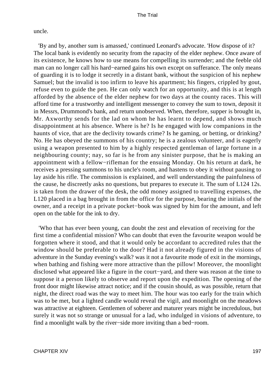uncle.

 'By and by, another sum is amassed,' continued Leonard's advocate. 'How dispose of it? The local bank is evidently no security from the rapacity of the elder nephew. Once aware of its existence, he knows how to use means for compelling its surrender; and the feeble old man can no longer call his hard−earned gains his own except on sufferance. The only means of guarding it is to lodge it secretly in a distant bank, without the suspicion of his nephew Samuel; but the invalid is too infirm to leave his apartment; his fingers, crippled by gout, refuse even to guide the pen. He can only watch for an opportunity, and this is at length afforded by the absence of the elder nephew for two days at the county races. This will afford time for a trustworthy and intelligent messenger to convey the sum to town, deposit it in Messrs, Drummond's bank, and return unobserved. When, therefore, supper is brought in, Mr. Axworthy sends for the lad on whom he has learnt to depend, and shows much disappointment at his absence. Where is he? Is he engaged with low companions in the haunts of vice, that are the declivity towards crime? Is he gaming, or betting, or drinking? No. He has obeyed the summons of his country; he is a zealous volunteer, and is eagerly using a weapon presented to him by a highly respected gentleman of large fortune in a neighbouring county; nay, so far is he from any sinister purpose, that he is making an appointment with a fellow−rifleman for the ensuing Monday. On his return at dark, he receives a pressing summons to his uncle's room, and hastens to obey it without pausing to lay aside his rifle. The commission is explained, and well understanding the painfulness of the cause, he discreetly asks no questions, but prepares to execute it. The sum of L124 12s. is taken from the drawer of the desk, the odd money assigned to travelling expenses, the L120 placed in a bag brought in from the office for the purpose, bearing the initials of the owner, and a receipt in a private pocket−book was signed by him for the amount, and left open on the table for the ink to dry.

 'Who that has ever been young, can doubt the zest and elevation of receiving for the first time a confidential mission? Who can doubt that even the favourite weapon would be forgotten where it stood, and that it would only be accordant to accredited rules that the window should be preferable to the door? Had it not already figured in the visions of adventure in the Sunday evening's walk? was it not a favourite mode of exit in the mornings, when bathing and fishing were more attractive than the pillow! Moreover, the moonlight disclosed what appeared like a figure in the court−yard, and there was reason at the time to suppose it a person likely to observe and report upon the expedition. The opening of the front door might likewise attract notice; and if the cousin should, as was possible, return that night, the direct road was the way to meet him. The hour was too early for the train which was to be met, but a lighted candle would reveal the vigil, and moonlight on the meadows was attractive at eighteen. Gentlemen of soberer and maturer years might be incredulous, but surely it was not so strange or unusual for a lad, who indulged in visions of adventure, to find a moonlight walk by the river−side more inviting than a bed−room.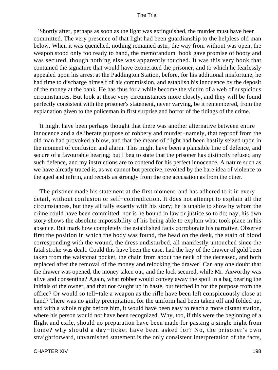'Shortly after, perhaps as soon as the light was extinguished, the murder must have been committed. The very presence of that light had been guardianship to the helpless old man below. When it was quenched, nothing remained astir, the way from without was open, the weapon stood only too ready to hand, the memorandum−book gave promise of booty and was secured, though nothing else was apparently touched. It was this very book that contained the signature that would have exonerated the prisoner, and to which he fearlessly appealed upon his arrest at the Paddington Station, before, for his additional misfortune, he had time to discharge himself of his commission, and establish his innocence by the deposit of the money at the bank. He has thus for a while become the victim of a web of suspicious circumstances. But look at these very circumstances more closely, and they will be found perfectly consistent with the prisoner's statement, never varying, be it remembered, from the explanation given to the policeman in first surprise and horror of the tidings of the crime.

 'It might have been perhaps thought that there was another alternative between entire innocence and a deliberate purpose of robbery and murder−namely, that reproof from the old man had provoked a blow, and that the means of flight had been hastily seized upon in the moment of confusion and alarm. This might have been a plausible line of defence, and secure of a favourable hearing; but I beg to state that the prisoner has distinctly refused any such defence, and my instructions are to contend for his perfect innocence. A nature such as we have already traced is, as we cannot but perceive, revolted by the bare idea of violence to the aged and infirm, and recoils as strongly from the one accusation as from the other.

 'The prisoner made his statement at the first moment, and has adhered to it in every detail, without confusion or self−contradiction. It does not attempt to explain all the circumstances, but they all tally exactly with his story; he is unable to show by whom the crime could have been committed, nor is he bound in law or justice so to do; nay, his own story shows the absolute impossibility of his being able to explain what took place in his absence. But mark how completely the established facts corroborate his narrative. Observe first the position in which the body was found, the head on the desk, the stain of blood corresponding with the wound, the dress undisturbed, all manifestly untouched since the fatal stroke was dealt. Could this have been the case, had the key of the drawer of gold been taken from the waistcoat pocket, the chain from about the neck of the deceased, and both replaced after the removal of the money and relocking the drawer! Can any one doubt that the drawer was opened, the money taken out, and the lock secured, while Mr. Axworthy was alive and consenting? Again, what robber would convey away the spoil in a bag bearing the initials of the owner, and that not caught up in haste, but fetched in for the purpose from the office? Or would so tell−tale a weapon as the rifle have been left conspicuously close at hand? There was no guilty precipitation, for the uniform had been taken off and folded up, and with a whole night before him, it would have been easy to reach a more distant station, where his person would not have been recognized. Why, too, if this were the beginning of a flight and exile, should no preparation have been made for passing a single night from home? why should a day−ticket have been asked for? No, the prisoner's own straightforward, unvarnished statement is the only consistent interpretation of the facts,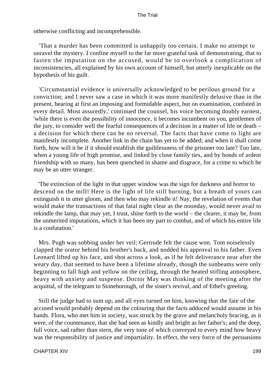otherwise conflicting and incomprehensible.

 'That a murder has been committed is unhappily too certain. I make no attempt to unravel the mystery. I confine myself to the far more grateful task of demonstrating, that to fasten the imputation on the accused, would be to overlook a complication of inconsistencies, all explained by his own account of himself, but utterly inexplicable on the hypothesis of his guilt.

 'Circumstantial evidence is universally acknowledged to be perilous ground for a conviction; and I never saw a case in which it was more manifestly delusive than in the present, bearing at first an imposing and formidable aspect, but on examination, confuted in every detail. Most assuredly,' continued the counsel, his voice becoming doubly earnest, 'while there is even the possibility of innocence, it becomes incumbent on you, gentlemen of the jury, to consider well the fearful consequences of a decision in a matter of life or death – a decision for which there can be no reversal. The facts that have come to light are manifestly incomplete. Another link in the chain has yet to be added; and when it shall come forth, how will it be if it should establish the guiltlessness of the prisoner too late? Too late, when a young life of high promise, and linked by close family ties, and by bonds of ardent friendship with so many, has been quenched in shame and disgrace, for a crime to which he may be an utter stranger.

 'The extinction of the light in that upper window was the sign for darkness and horror to descend on the mill! Here is the light of life still burning, but a breath of yours can extinguish it in utter gloom, and then who may rekindle it! Nay, the revelation of events that would make the transactions of that fatal night clear as the noonday, would never avail to rekindle the lamp, that may yet, I trust, shine forth to the world – the clearer, it may be, from the unmerited imputations, which it has been my part to combat, and of which his entire life is a confutation.'

 Mrs. Pugh was sobbing under her veil; Gertrude felt the cause won. Tom noiselessly clapped the orator behind his brother's back, and nodded his approval to his father. Even Leonard lifted up his face, and shot across a look, as if he felt deliverance near after the weary day, that seemed to have been a lifetime already, though the sunbeams were only beginning to fall high and yellow on the ceiling, through the heated stifling atmosphere, heavy with anxiety and suspense. Doctor May was thinking of the meeting after the acquittal, of the telegram to Stoneborough, of the sister's revival, and of Ethel's greeting.

 Still the judge had to sum up; and all eyes turned on him, knowing that the fate of the accused would probably depend on the colouring that the facts adduced would assume in his hands. Flora, who met him in society, was struck by the grave and melancholy bracing, as it were, of the countenance, that she had seen as kindly and bright as her father's; and the deep, full voice, sad rather than stern, the very tone of which conveyed to every mind how heavy was the responsibility of justice and impartiality. In effect, the very force of the persuasions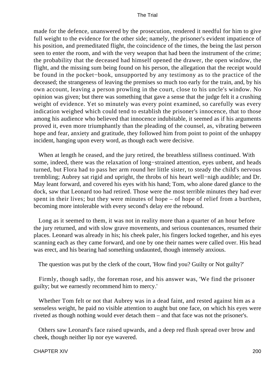made for the defence, unanswered by the prosecution, rendered it needful for him to give full weight to the evidence for the other side; namely, the prisoner's evident impatience of his position, and premeditated flight, the coincidence of the times, the being the last person seen to enter the room, and with the very weapon that had been the instrument of the crime; the probability that the deceased had himself opened the drawer, the open window, the flight, and the missing sum being found on his person, the allegation that the receipt would be found in the pocket−book, unsupported by any testimony as to the practice of the deceased; the strangeness of leaving the premises so much too early for the train, and, by his own account, leaving a person prowling in the court, close to his uncle's window. No opinion was given; but there was something that gave a sense that the judge felt it a crushing weight of evidence. Yet so minutely was every point examined, so carefully was every indication weighed which could tend to establish the prisoner's innocence, that to those among his audience who believed that innocence indubitable, it seemed as if his arguments proved it, even more triumphantly than the pleading of the counsel, as, vibrating between hope and fear, anxiety and gratitude, they followed him from point to point of the unhappy incident, hanging upon every word, as though each were decisive.

 When at length he ceased, and the jury retired, the breathless stillness continued. With some, indeed, there was the relaxation of long−strained attention, eyes unbent, and heads turned, but Flora had to pass her arm round her little sister, to steady the child's nervous trembling; Aubrey sat rigid and upright, the throbs of his heart well−nigh audible; and Dr. May leant forward, and covered his eyes with his hand; Tom, who alone dared glance to the dock, saw that Leonard too had retired. Those were the most terrible minutes they had ever spent in their lives; but they were minutes of hope – of hope of relief from a burthen, becoming more intolerable with every second's delay ere the rebound.

 Long as it seemed to them, it was not in reality more than a quarter of an hour before the jury returned, and with slow grave movements, and serious countenances, resumed their places. Leonard was already in his; his cheek paler, his fingers locked together, and his eyes scanning each as they came forward, and one by one their names were called over. His head was erect, and his bearing had something undaunted, though intensely anxious.

The question was put by the clerk of the court, 'How find you? Guilty or Not guilty?'

 Firmly, though sadly, the foreman rose, and his answer was, 'We find the prisoner guilty; but we earnestly recommend him to mercy.'

 Whether Tom felt or not that Aubrey was in a dead faint, and rested against him as a senseless weight, he paid no visible attention to aught but one face, on which his eyes were riveted as though nothing would ever detach them – and that face was not the prisoner's.

 Others saw Leonard's face raised upwards, and a deep red flush spread over brow and cheek, though neither lip nor eye wavered.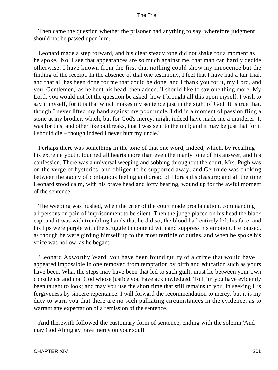Then came the question whether the prisoner had anything to say, wherefore judgment should not be passed upon him.

 Leonard made a step forward, and his clear steady tone did not shake for a moment as he spoke. 'No. I see that appearances are so much against me, that man can hardly decide otherwise. I have known from the first that nothing could show my innocence but the finding of the receipt. In the absence of that one testimony, I feel that I have had a fair trial, and that all has been done for me that could be done; and I thank you for it, my Lord, and you, Gentlemen,' as he bent his head; then added, 'I should like to say one thing more. My Lord, you would not let the question be asked, how I brought all this upon myself. I wish to say it myself, for it is that which makes my sentence just in the sight of God. It is true that, though I never lifted my hand against my poor uncle, I did in a moment of passion fling a stone at my brother, which, but for God's mercy, might indeed have made me a murderer. It was for this, and other like outbreaks, that I was sent to the mill; and it may be just that for it I should die – though indeed I never hurt my uncle.'

 Perhaps there was something in the tone of that one word, indeed, which, by recalling his extreme youth, touched all hearts more than even the manly tone of his answer, and his confession. There was a universal weeping and sobbing throughout the court; Mrs. Pugh was on the verge of hysterics, and obliged to be supported away; and Gertrude was choking between the agony of contagious feeling and dread of Flora's displeasure; and all the time Leonard stood calm, with his brave head and lofty bearing, wound up for the awful moment of the sentence.

 The weeping was hushed, when the crier of the court made proclamation, commanding all persons on pain of imprisonment to be silent. Then the judge placed on his head the black cap, and it was with trembling hands that he did so; the blood had entirely left his face, and his lips were purple with the struggle to contend with and suppress his emotion. He paused, as though he were girding himself up to the most terrible of duties, and when he spoke his voice was hollow, as he began:

 'Leonard Axworthy Ward, you have been found guilty of a crime that would have appeared impossible in one removed from temptation by birth and education such as yours have been. What the steps may have been that led to such guilt, must lie between your own conscience and that God whose justice you have acknowledged. To Him you have evidently been taught to look; and may you use the short time that still remains to you, in seeking His forgiveness by sincere repentance. I will forward the recommendation to mercy, but it is my duty to warn you that there are no such palliating circumstances in the evidence, as to warrant any expectation of a remission of the sentence.

 And therewith followed the customary form of sentence, ending with the solemn 'And may God Almighty have mercy on your soul!'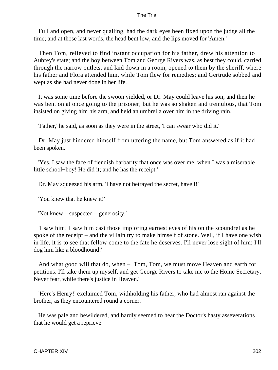Full and open, and never quailing, had the dark eyes been fixed upon the judge all the time; and at those last words, the head bent low, and the lips moved for 'Amen.'

 Then Tom, relieved to find instant occupation for his father, drew his attention to Aubrey's state; and the boy between Tom and George Rivers was, as best they could, carried through the narrow outlets, and laid down in a room, opened to them by the sheriff, where his father and Flora attended him, while Tom flew for remedies; and Gertrude sobbed and wept as she had never done in her life.

 It was some time before the swoon yielded, or Dr. May could leave his son, and then he was bent on at once going to the prisoner; but he was so shaken and tremulous, that Tom insisted on giving him his arm, and held an umbrella over him in the driving rain.

'Father,' he said, as soon as they were in the street, 'I can swear who did it.'

 Dr. May just hindered himself from uttering the name, but Tom answered as if it had been spoken.

 'Yes. I saw the face of fiendish barbarity that once was over me, when I was a miserable little school−boy! He did it; and he has the receipt.'

Dr. May squeezed his arm. 'I have not betrayed the secret, have I!'

'You knew that he knew it!'

'Not knew – suspected – generosity.'

 'I saw him! I saw him cast those imploring earnest eyes of his on the scoundrel as he spoke of the receipt – and the villain try to make himself of stone. Well, if I have one wish in life, it is to see that fellow come to the fate he deserves. I'll never lose sight of him; I'll dog him like a bloodhound!'

 And what good will that do, when – Tom, Tom, we must move Heaven and earth for petitions. I'll take them up myself, and get George Rivers to take me to the Home Secretary. Never fear, while there's justice in Heaven.'

 'Here's Henry!' exclaimed Tom, withholding his father, who had almost ran against the brother, as they encountered round a corner.

 He was pale and bewildered, and hardly seemed to hear the Doctor's hasty asseverations that he would get a reprieve.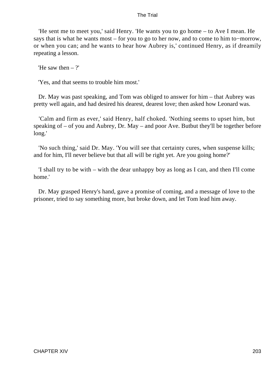'He sent me to meet you,' said Henry. 'He wants you to go home – to Ave I mean. He says that is what he wants most – for you to go to her now, and to come to him to−morrow, or when you can; and he wants to hear how Aubrey is,' continued Henry, as if dreamily repeating a lesson.

'He saw then  $-$  ?'

'Yes, and that seems to trouble him most.'

 Dr. May was past speaking, and Tom was obliged to answer for him – that Aubrey was pretty well again, and had desired his dearest, dearest love; then asked how Leonard was.

 'Calm and firm as ever,' said Henry, half choked. 'Nothing seems to upset him, but speaking of – of you and Aubrey, Dr. May – and poor Ave. Butbut they'll be together before long.'

 'No such thing,' said Dr. May. 'You will see that certainty cures, when suspense kills; and for him, I'll never believe but that all will be right yet. Are you going home?'

 'I shall try to be with – with the dear unhappy boy as long as I can, and then I'll come home.'

 Dr. May grasped Henry's hand, gave a promise of coming, and a message of love to the prisoner, tried to say something more, but broke down, and let Tom lead him away.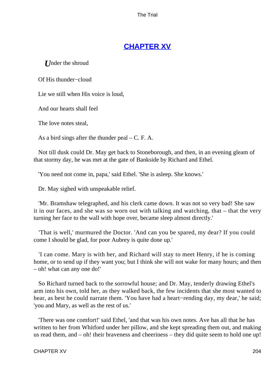# **[CHAPTER XV](#page-414-0)**

*U*nder the shroud

Of His thunder−cloud

Lie we still when His voice is loud,

And our hearts shall feel

The love notes steal,

As a bird sings after the thunder peal  $- C$ . F. A.

 Not till dusk could Dr. May get back to Stoneborough, and then, in an evening gleam of that stormy day, he was met at the gate of Bankside by Richard and Ethel.

'You need not come in, papa,' said Ethel. 'She is asleep. She knows.'

Dr. May sighed with unspeakable relief.

 'Mr. Bramshaw telegraphed, and his clerk came down. It was not so very bad! She saw it in our faces, and she was so worn out with talking and watching, that – that the very turning her face to the wall with hope over, became sleep almost directly.'

 'That is well,' murmured the Doctor. 'And can you be spared, my dear? If you could come I should be glad, for poor Aubrey is quite done up.'

 'I can come. Mary is with her, and Richard will stay to meet Henry, if he is coming home, or to send up if they want you; but I think she will not wake for many hours; and then – oh! what can any one do!'

 So Richard turned back to the sorrowful house; and Dr. May, tenderly drawing Ethel's arm into his own, told her, as they walked back, the few incidents that she most wanted to hear, as best he could narrate them. 'You have had a heart−rending day, my dear,' he said; 'you and Mary, as well as the rest of us.'

 'There was one comfort!' said Ethel, 'and that was his own notes. Ave has all that he has written to her from Whitford under her pillow, and she kept spreading them out, and making us read them, and – oh! their braveness and cheeriness – they did quite seem to hold one up!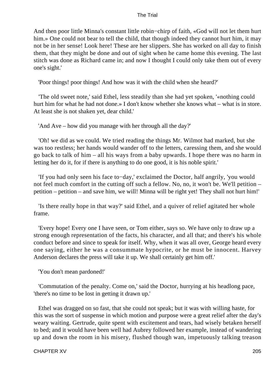And then poor little Minna's constant little robin−chirp of faith, «God will not let them hurt him.» One could not bear to tell the child, that though indeed they cannot hurt him, it may not be in her sense! Look here! These are her slippers. She has worked on all day to finish them, that they might be done and out of sight when he came home this evening. The last stitch was done as Richard came in; and now I thought I could only take them out of every one's sight.'

'Poor things! poor things! And how was it with the child when she heard?'

 'The old sweet note,' said Ethel, less steadily than she had yet spoken, '«nothing could hurt him for what he had not done.» I don't know whether she knows what – what is in store. At least she is not shaken yet, dear child.'

'And Ave – how did you manage with her through all the day?'

 'Oh! we did as we could. We tried reading the things Mr. Wilmot had marked, but she was too restless; her hands would wander off to the letters, caressing them, and she would go back to talk of him – all his ways from a baby upwards. I hope there was no harm in letting her do it, for if there is anything to do one good, it is his noble spirit.'

 'If you had only seen his face to−day,' exclaimed the Doctor, half angrily, 'you would not feel much comfort in the cutting off such a fellow. No, no, it won't be. We'll petition – petition – petition – and save him, we will! Minna will be right yet! They shall not hurt him!'

 'Is there really hope in that way?' said Ethel, and a quiver of relief agitated her whole frame.

 'Every hope! Every one I have seen, or Tom either, says so. We have only to draw up a strong enough representation of the facts, his character, and all that; and there's his whole conduct before and since to speak for itself. Why, when it was all over, George heard every one saying, either he was a consummate hypocrite, or he must be innocent. Harvey Anderson declares the press will take it up. We shall certainly get him off.'

'You don't mean pardoned!'

 'Commutation of the penalty. Come on,' said the Doctor, hurrying at his headlong pace, 'there's no time to be lost in getting it drawn up.'

 Ethel was dragged on so fast, that she could not speak; but it was with willing haste, for this was the sort of suspense in which motion and purpose were a great relief after the day's weary waiting. Gertrude, quite spent with excitement and tears, had wisely betaken herself to bed; and it would have been well had Aubrey followed her example, instead of wandering up and down the room in his misery, flushed though wan, impetuously talking treason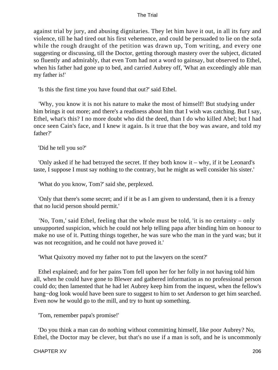against trial by jury, and abusing dignitaries. They let him have it out, in all its fury and violence, till he had tired out his first vehemence, and could be persuaded to lie on the sofa while the rough draught of the petition was drawn up, Tom writing, and every one suggesting or discussing, till the Doctor, getting thorough mastery over the subject, dictated so fluently and admirably, that even Tom had not a word to gainsay, but observed to Ethel, when his father had gone up to bed, and carried Aubrey off, 'What an exceedingly able man my father is!'

'Is this the first time you have found that out?' said Ethel.

 'Why, you know it is not his nature to make the most of himself! But studying under him brings it out more; and there's a readiness about him that I wish was catching. But I say, Ethel, what's this? I no more doubt who did the deed, than I do who killed Abel; but I had once seen Cain's face, and I knew it again. Is it true that the boy was aware, and told my father?'

'Did he tell you so?'

 'Only asked if he had betrayed the secret. If they both know it – why, if it be Leonard's taste, I suppose I must say nothing to the contrary, but he might as well consider his sister.'

'What do you know, Tom?' said she, perplexed.

 'Only that there's some secret; and if it be as I am given to understand, then it is a frenzy that no lucid person should permit.'

 'No, Tom,' said Ethel, feeling that the whole must be told, 'it is no certainty – only unsupported suspicion, which he could not help telling papa after binding him on honour to make no use of it. Putting things together, he was sure who the man in the yard was; but it was not recognition, and he could not have proved it.'

'What Quixotry moved my father not to put the lawyers on the scent?'

 Ethel explained; and for her pains Tom fell upon her for her folly in not having told him all, when he could have gone to Blewer and gathered information as no professional person could do; then lamented that he had let Aubrey keep him from the inquest, when the fellow's hang−dog look would have been sure to suggest to him to set Anderson to get him searched. Even now he would go to the mill, and try to hunt up something.

'Tom, remember papa's promise!'

 'Do you think a man can do nothing without committing himself, like poor Aubrey? No, Ethel, the Doctor may be clever, but that's no use if a man is soft, and he is uncommonly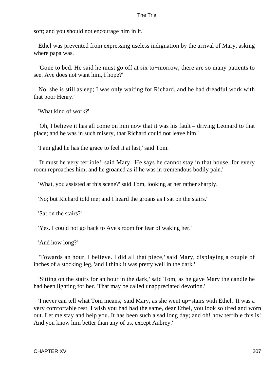soft; and you should not encourage him in it.'

 Ethel was prevented from expressing useless indignation by the arrival of Mary, asking where papa was.

 'Gone to bed. He said he must go off at six to−morrow, there are so many patients to see. Ave does not want him, I hope?'

 No, she is still asleep; I was only waiting for Richard, and he had dreadful work with that poor Henry.'

'What kind of work?'

 'Oh, I believe it has all come on him now that it was his fault – driving Leonard to that place; and he was in such misery, that Richard could not leave him.'

'I am glad he has the grace to feel it at last,' said Tom.

 'It must be very terrible!' said Mary. 'He says he cannot stay in that house, for every room reproaches him; and he groaned as if he was in tremendous bodily pain.'

'What, you assisted at this scene?' said Tom, looking at her rather sharply.

'No; but Richard told me; and I heard the groans as I sat on the stairs.'

'Sat on the stairs?'

'Yes. I could not go back to Ave's room for fear of waking her.'

'And how long?'

 'Towards an hour, I believe. I did all that piece,' said Mary, displaying a couple of inches of a stocking leg, 'and I think it was pretty well in the dark.'

 'Sitting on the stairs for an hour in the dark,' said Tom, as he gave Mary the candle he had been lighting for her. 'That may be called unappreciated devotion.'

 'I never can tell what Tom means,' said Mary, as she went up−stairs with Ethel. 'It was a very comfortable rest. I wish you had had the same, dear Ethel, you look so tired and worn out. Let me stay and help you. It has been such a sad long day; and oh! how terrible this is! And you know him better than any of us, except Aubrey.'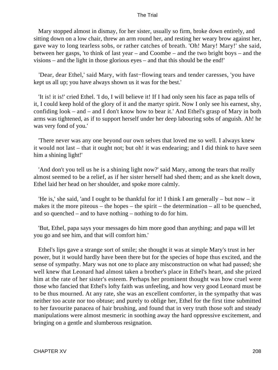Mary stopped almost in dismay, for her sister, usually so firm, broke down entirely, and sitting down on a low chair, threw an arm round her, and resting her weary brow against her, gave way to long tearless sobs, or rather catches of breath. 'Oh! Mary! Mary!' she said, between her gasps, 'to think of last year – and Coombe – and the two bright boys – and the visions – and the light in those glorious eyes – and that this should be the end!'

 'Dear, dear Ethel,' said Mary, with fast−flowing tears and tender caresses, 'you have kept us all up; you have always shown us it was for the best.'

 'It is! it is!' cried Ethel. 'I do, I will believe it! If I had only seen his face as papa tells of it, I could keep hold of the glory of it and the martyr spirit. Now I only see his earnest, shy, confiding look – and – and I don't know how to bear it.' And Ethel's grasp of Mary in both arms was tightened, as if to support herself under her deep labouring sobs of anguish. Ah! he was very fond of you.'

 'There never was any one beyond our own selves that loved me so well. I always knew it would not last – that it ought not; but oh! it was endearing; and I did think to have seen him a shining light!'

 'And don't you tell us he is a shining light now?' said Mary, among the tears that really almost seemed to be a relief, as if her sister herself had shed them; and as she knelt down, Ethel laid her head on her shoulder, and spoke more calmly.

 'He is,' she said, 'and I ought to be thankful for it! I think I am generally – but now – it makes it the more piteous – the hopes – the spirit – the determination – all to be quenched, and so quenched – and to have nothing – nothing to do for him.

 'But, Ethel, papa says your messages do him more good than anything; and papa will let you go and see him, and that will comfort him.'

 Ethel's lips gave a strange sort of smile; she thought it was at simple Mary's trust in her power, but it would hardly have been there but for the species of hope thus excited, and the sense of sympathy. Mary was not one to place any misconstruction on what had passed; she well knew that Leonard had almost taken a brother's place in Ethel's heart, and she prized him at the rate of her sister's esteem. Perhaps her prominent thought was how cruel were those who fancied that Ethel's lofty faith was unfeeling, and how very good Leonard must be to be thus mourned. At any rate, she was an excellent comforter, in the sympathy that was neither too acute nor too obtuse; and purely to oblige her, Ethel for the first time submitted to her favourite panacea of hair brushing, and found that in very truth those soft and steady manipulations were almost mesmeric in soothing away the hard oppressive excitement, and bringing on a gentle and slumberous resignation.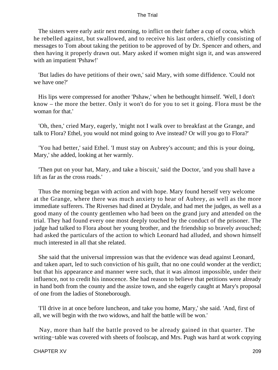The sisters were early astir next morning, to inflict on their father a cup of cocoa, which he rebelled against, but swallowed, and to receive his last orders, chiefly consisting of messages to Tom about taking the petition to be approved of by Dr. Spencer and others, and then having it properly drawn out. Mary asked if women might sign it, and was answered with an impatient 'Pshaw!'

 'But ladies do have petitions of their own,' said Mary, with some diffidence. 'Could not we have one?'

 His lips were compressed for another 'Pshaw,' when he bethought himself. 'Well, I don't know – the more the better. Only it won't do for you to set it going. Flora must be the woman for that.'

 'Oh, then,' cried Mary, eagerly, 'might not I walk over to breakfast at the Grange, and talk to Flora? Ethel, you would not mind going to Ave instead? Or will you go to Flora?'

 'You had better,' said Ethel. 'I must stay on Aubrey's account; and this is your doing, Mary,' she added, looking at her warmly.

 'Then put on your hat, Mary, and take a biscuit,' said the Doctor, 'and you shall have a lift as far as the cross roads.'

 Thus the morning began with action and with hope. Mary found herself very welcome at the Grange, where there was much anxiety to hear of Aubrey, as well as the more immediate sufferers. The Riverses had dined at Drydale, and had met the judges, as well as a good many of the county gentlemen who had been on the grand jury and attended on the trial. They had found every one most deeply touched by the conduct of the prisoner. The judge had talked to Flora about her young brother, and the friendship so bravely avouched; had asked the particulars of the action to which Leonard had alluded, and shown himself much interested in all that she related.

 She said that the universal impression was that the evidence was dead against Leonard, and taken apart, led to such conviction of his guilt, that no one could wonder at the verdict; but that his appearance and manner were such, that it was almost impossible, under their influence, not to credit his innocence. She had reason to believe that petitions were already in hand both from the county and the assize town, and she eagerly caught at Mary's proposal of one from the ladies of Stoneborough.

 'I'll drive in at once before luncheon, and take you home, Mary,' she said. 'And, first of all, we will begin with the two widows, and half the battle will be won.'

 Nay, more than half the battle proved to be already gained in that quarter. The writing−table was covered with sheets of foolscap, and Mrs. Pugh was hard at work copying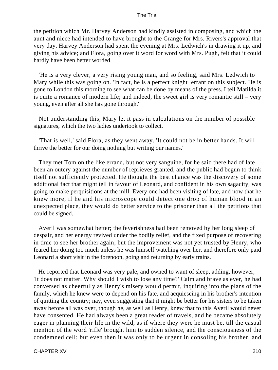the petition which Mr. Harvey Anderson had kindly assisted in composing, and which the aunt and niece had intended to have brought to the Grange for Mrs. Rivers's approval that very day. Harvey Anderson had spent the evening at Mrs. Ledwich's in drawing it up, and giving his advice; and Flora, going over it word for word with Mrs. Pugh, felt that it could hardly have been better worded.

 'He is a very clever, a very rising young man, and so feeling, said Mrs. Ledwich to Mary while this was going on. 'In fact, he is a perfect knight−errant on this subject. He is gone to London this morning to see what can be done by means of the press. I tell Matilda it is quite a romance of modern life; and indeed, the sweet girl is very romantic still – very young, even after all she has gone through.'

 Not understanding this, Mary let it pass in calculations on the number of possible signatures, which the two ladies undertook to collect.

 'That is well,' said Flora, as they went away. 'It could not be in better hands. It will thrive the better for our doing nothing but writing our names.'

 They met Tom on the like errand, but not very sanguine, for he said there had of late been an outcry against the number of reprieves granted, and the public had begun to think itself not sufficiently protected. He thought the best chance was the discovery of some additional fact that might tell in favour of Leonard, and confident in his own sagacity, was going to make perquisitions at the mill. Every one had been visiting of late, and now that he knew more, if he and his microscope could detect one drop of human blood in an unexpected place, they would do better service to the prisoner than all the petitions that could be signed.

 Averil was somewhat better; the feverishness had been removed by her long sleep of despair, and her energy revived under the bodily relief, and the fixed purpose of recovering in time to see her brother again; but the improvement was not yet trusted by Henry, who feared her doing too much unless he was himself watching over her, and therefore only paid Leonard a short visit in the forenoon, going and returning by early trains.

 He reported that Leonard was very pale, and owned to want of sleep, adding, however, 'It does not matter. Why should I wish to lose any time?' Calm and brave as ever, he had conversed as cheerfully as Henry's misery would permit, inquiring into the plans of the family, which he knew were to depend on his fate, and acquiescing in his brother's intention of quitting the country; nay, even suggesting that it might be better for his sisters to be taken away before all was over, though he, as well as Henry, knew that to this Averil would never have consented. He had always been a great reader of travels, and he became absolutely eager in planning their life in the wild, as if where they were he must be, till the casual mention of the word 'rifle' brought him to sudden silence, and the consciousness of the condemned cell; but even then it was only to be urgent in consoling his brother, and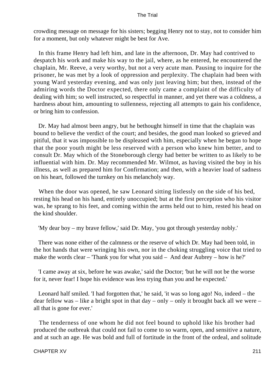crowding message on message for his sisters; begging Henry not to stay, not to consider him for a moment, but only whatever might be best for Ave.

 In this frame Henry had left him, and late in the afternoon, Dr. May had contrived to despatch his work and make his way to the jail, where, as he entered, he encountered the chaplain, Mr. Reeve, a very worthy, but not a very acute man. Pausing to inquire for the prisoner, he was met by a look of oppression and perplexity. The chaplain had been with young Ward yesterday evening, and was only just leaving him; but then, instead of the admiring words the Doctor expected, there only came a complaint of the difficulty of dealing with him; so well instructed, so respectful in manner, and yet there was a coldness, a hardness about him, amounting to sullenness, rejecting all attempts to gain his confidence, or bring him to confession.

 Dr. May had almost been angry, but he bethought himself in time that the chaplain was bound to believe the verdict of the court; and besides, the good man looked so grieved and pitiful, that it was impossible to be displeased with him, especially when he began to hope that the poor youth might be less reserved with a person who knew him better, and to consult Dr. May which of the Stoneborough clergy had better be written to as likely to be influential with him. Dr. May recommended Mr. Wilmot, as having visited the boy in his illness, as well as prepared him for Confirmation; and then, with a heavier load of sadness on his heart, followed the turnkey on his melancholy way.

 When the door was opened, he saw Leonard sitting listlessly on the side of his bed, resting his head on his hand, entirely unoccupied; but at the first perception who his visitor was, he sprang to his feet, and coming within the arms held out to him, rested his head on the kind shoulder.

'My dear boy – my brave fellow,' said Dr. May, 'you got through yesterday nobly.'

 There was none either of the calmness or the reserve of which Dr. May had been told, in the hot hands that were wringing his own, nor in the choking struggling voice that tried to make the words clear – 'Thank you for what you said – And dear Aubrey – how is he?'

 'I came away at six, before he was awake,' said the Doctor; 'but he will not be the worse for it, never fear! I hope his evidence was less trying than you and he expected.'

 Leonard half smiled. 'I had forgotten that,' he said, 'it was so long ago! No, indeed – the dear fellow was – like a bright spot in that day – only – only it brought back all we were – all that is gone for ever.'

 The tenderness of one whom he did not feel bound to uphold like his brother had produced the outbreak that could not fail to come to so warm, open, and sensitive a nature, and at such an age. He was bold and full of fortitude in the front of the ordeal, and solitude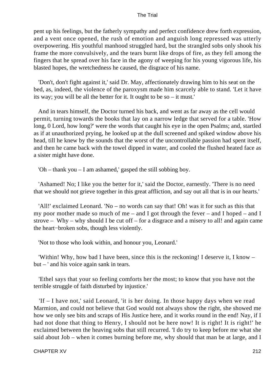pent up his feelings, but the fatherly sympathy and perfect confidence drew forth expression, and a vent once opened, the rush of emotion and anguish long repressed was utterly overpowering. His youthful manhood struggled hard, but the strangled sobs only shook his frame the more convulsively, and the tears burnt like drops of fire, as they fell among the fingers that he spread over his face in the agony of weeping for his young vigorous life, his blasted hopes, the wretchedness he caused, the disgrace of his name.

 'Don't, don't fight against it,' said Dr. May, affectionately drawing him to his seat on the bed, as, indeed, the violence of the paroxysm made him scarcely able to stand. 'Let it have its way; you will be all the better for it. It ought to be so – it must.'

 And in tears himself, the Doctor turned his back, and went as far away as the cell would permit, turning towards the books that lay on a narrow ledge that served for a table. 'How long, 0 Lord, how long?' were the words that caught his eye in the open Psalms; and, startled as if at unauthorized prying, he looked up at the dull screened and spiked window above his head, till he knew by the sounds that the worst of the uncontrollable passion had spent itself, and then he came back with the towel dipped in water, and cooled the flushed heated face as a sister might have done.

'Oh – thank you – I am ashamed,' gasped the still sobbing boy.

 'Ashamed! No; I like you the better for it,' said the Doctor, earnestly. 'There is no need that we should not grieve together in this great affliction, and say out all that is in our hearts.'

 'All!' exclaimed Leonard. 'No – no words can say that! Oh! was it for such as this that my poor mother made so much of me – and I got through the fever – and I hoped – and I strove – Why – why should I be cut off – for a disgrace and a misery to all! and again came the heart−broken sobs, though less violently.

'Not to those who look within, and honour you, Leonard.'

 'Within! Why, how bad I have been, since this is the reckoning! I deserve it, I know – but – ' and his voice again sank in tears.

 'Ethel says that your so feeling comforts her the most; to know that you have not the terrible struggle of faith disturbed by injustice.'

 'If – I have not,' said Leonard, 'it is her doing. In those happy days when we read Marmion, and could not believe that God would not always show the right, she showed me how we only see bits and scraps of His Justice here, and it works round in the end! Nay, if I had not done that thing to Henry, I should not be here now! It is right! It is right!' he exclaimed between the heaving sobs that still recurred. 'I do try to keep before me what she said about Job – when it comes burning before me, why should that man be at large, and I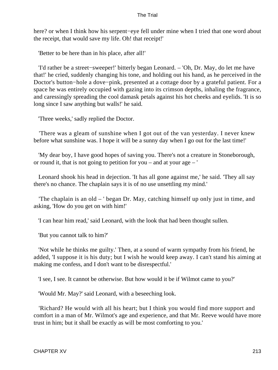here? or when I think how his serpent−eye fell under mine when I tried that one word about the receipt, that would save my life. Oh! that receipt!'

'Better to be here than in his place, after all!'

 'I'd rather be a street−sweeper!' bitterly began Leonard. – 'Oh, Dr. May, do let me have that!' he cried, suddenly changing his tone, and holding out his hand, as he perceived in the Doctor's button−hole a dove−pink, presented at a cottage door by a grateful patient. For a space he was entirely occupied with gazing into its crimson depths, inhaling the fragrance, and caressingly spreading the cool damask petals against his hot cheeks and eyelids. 'It is so long since I saw anything but walls!' he said.

'Three weeks,' sadly replied the Doctor.

 'There was a gleam of sunshine when I got out of the van yesterday. I never knew before what sunshine was. I hope it will be a sunny day when I go out for the last time!'

 'My dear boy, I have good hopes of saving you. There's not a creature in Stoneborough, or round it, that is not going to petition for you – and at your age – '

 Leonard shook his head in dejection. 'It has all gone against me,' he said. 'They all say there's no chance. The chaplain says it is of no use unsettling my mind.'

 'The chaplain is an old – ' began Dr. May, catching himself up only just in time, and asking, 'How do you get on with him!'

'I can hear him read,' said Leonard, with the look that had been thought sullen.

'But you cannot talk to him?'

 'Not while he thinks me guilty.' Then, at a sound of warm sympathy from his friend, he added, 'I suppose it is his duty; but I wish he would keep away. I can't stand his aiming at making me confess, and I don't want to be disrespectful.'

'I see, I see. It cannot be otherwise. But how would it be if Wilmot came to you?'

'Would Mr. May?' said Leonard, with a beseeching look.

 'Richard? He would with all his heart; but I think you would find more support and comfort in a man of Mr. Wilmot's age and experience, and that Mr. Reeve would have more trust in him; but it shall be exactly as will be most comforting to you.'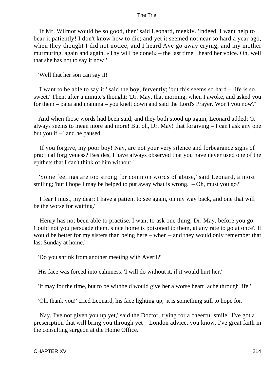'If Mr. Wilmot would be so good, then' said Leonard, meekly. 'Indeed, I want help to bear it patiently! I don't know how to die; and yet it seemed not near so hard a year ago, when they thought I did not notice, and I heard Ave go away crying, and my mother murmuring, again and again, «Thy will be done!» – the last time I heard her voice. Oh, well that she has not to say it now!'

'Well that her son can say it!'

 'I want to be able to say it,' said the boy, fervently; 'but this seems so hard – life is so sweet.' Then, after a minute's thought: 'Dr. May, that morning, when I awoke, and asked you for them – papa and mamma – you knelt down and said the Lord's Prayer. Won't you now?'

 And when those words had been said, and they both stood up again, Leonard added: 'It always seems to mean more and more! But oh, Dr. May! that forgiving – I can't ask any one but you if  $-$  ' and he paused.

 'If you forgive, my poor boy! Nay, are not your very silence and forbearance signs of practical forgiveness? Besides, I have always observed that you have never used one of the epithets that I can't think of him without.'

 'Some feelings are too strong for common words of abuse,' said Leonard, almost smiling; 'but I hope I may be helped to put away what is wrong. – Oh, must you go?'

 'I fear I must, my dear; I have a patient to see again, on my way back, and one that will be the worse for waiting.'

 'Henry has not been able to practise. I want to ask one thing, Dr. May, before you go. Could not you persuade them, since home is poisoned to them, at any rate to go at once? It would be better for my sisters than being here – when – and they would only remember that last Sunday at home.'

'Do you shrink from another meeting with Averil?'

His face was forced into calmness. 'I will do without it, if it would hurt her.'

'It may for the time, but to be withheld would give her a worse heart−ache through life.'

'Oh, thank you!' cried Leonard, his face lighting up; 'it is something still to hope for.'

 'Nay, I've not given you up yet,' said the Doctor, trying for a cheerful smile. 'I've got a prescription that will bring you through yet – London advice, you know. I've great faith in the consulting surgeon at the Home Office.'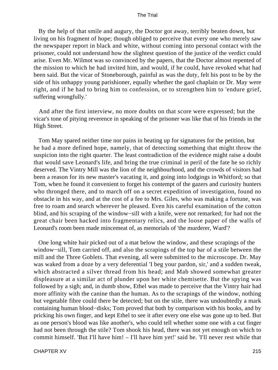By the help of that smile and augury, the Doctor got away, terribly beaten down, but living on his fragment of hope; though obliged to perceive that every one who merely saw the newspaper report in black and white, without coming into personal contact with the prisoner, could not understand how the slightest question of the justice of the verdict could arise. Even Mr. Wilmot was so convinced by the papers, that the Doctor almost repented of the mission to which he had invited him, and would, if he could, have revoked what had been said. But the vicar of Stoneborough, painful as was the duty, felt his post to be by the side of his unhappy young parishioner, equally whether the gaol chaplain or Dr. May were right, and if he had to bring him to confession, or to strengthen him to 'endure grief, suffering wrongfully.'

 And after the first interview, no more doubts on that score were expressed; but the vicar's tone of pitying reverence in speaking of the prisoner was like that of his friends in the High Street.

 Tom May spared neither time nor pains in beating up for signatures for the petition, but he had a more defined hope, namely, that of detecting something that might throw the suspicion into the right quarter. The least contradiction of the evidence might raise a doubt that would save Leonard's life, and bring the true criminal in peril of the fate he so richly deserved. The Vintry Mill was the lion of the neighbourhood, and the crowds of visitors had been a reason for its new master's vacating it, and going into lodgings in Whitford; so that Tom, when he found it convenient to forget his contempt of the gazers and curiosity hunters who thronged there, and to march off on a secret expedition of investigation, found no obstacle in his way, and at the cost of a fee to Mrs. Giles, who was making a fortune, was free to roam and search wherever he pleased. Even his careful examination of the cotton blind, and his scraping of the window−sill with a knife, were not remarked; for had not the great chair been hacked into fragmentary relics, and the loose paper of the walls of Leonard's room been made mincemeat of, as memorials of 'the murderer, Ward'?

 One long white hair picked out of a mat below the window, and these scrapings of the window−sill, Tom carried off, and also the scrapings of the top bar of a stile between the mill and the Three Goblets. That evening, all were submitted to the microscope. Dr. May was waked from a doze by a very deferential 'I beg your pardon, sir,' and a sudden tweak, which abstracted a silver thread from his head; and Mab showed somewhat greater displeasure at a similar act of plunder upon her white chemisette. But the spying was followed by a sigh; and, in dumb show, Ethel was made to perceive that the Vintry hair had more affinity with the canine than the human. As to the scrapings of the window, nothing but vegetable fibre could there be detected; but on the stile, there was undoubtedly a mark containing human blood−disks; Tom proved that both by comparison with his books, and by pricking his own finger, and kept Ethel to see it after every one else was gone up to bed. But as one person's blood was like another's, who could tell whether some one with a cut finger had not been through the stile? Tom shook his head, there was not yet enough on which to commit himself. 'But I'll have him! – I'll have him yet!' said he. 'I'll never rest while that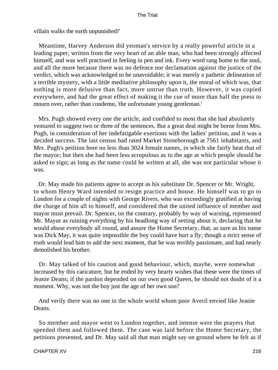villain walks the earth unpunished!'

 Meantime, Harvey Anderson did yeoman's service by a really powerful article in a leading paper, written from the very heart of an able man, who had been strongly affected himself, and was well practised in feeling in pen and ink. Every word rang home to the soul, and all the more because there was no defence nor declamation against the justice of the verdict, which was acknowledged to be unavoidable; it was merely a pathetic delineation of a terrible mystery, with a little meditative philosophy upon it, the moral of which was, that nothing is more delusive than fact, more untrue than truth. However, it was copied everywhere, and had the great effect of making it the cue of more than half the press to mourn over, rather than condemn, 'the unfortunate young gentleman.'

 Mrs. Pugh showed every one the article, and confided to most that she had absolutely ventured to suggest two or three of the sentences. But a great deal might be borne from Mrs. Pugh, in consideration of her indefatigable exertions with the ladies' petition, and it was a decided success. The last census had rated Market Stoneborough at 7561 inhabitants, and Mrs. Pugh's petition bore no less than 3024 female names, in which she fairly beat that of the mayor; but then she had been less scrupulous as to the age at which people should be asked to sign; as long as the name could be written at all, she was not particular whose it was.

 Dr. May made his patients agree to accept as his substitute Dr. Spencer or Mr. Wright, to whom Henry Ward intended to resign practice and house. He himself was to go to London for a couple of nights with George Rivers, who was exceedingly gratified at having the charge of him all to himself, and considered that the united influence of member and mayor must prevail. Dr. Spencer, on the contrary, probably by way of warning, represented Mr. Mayor as ruining everything by his headlong way of setting about it, declaring that he would abuse everybody all round, and assure the Home Secretary, that, as sure as his name was Dick May, it was quite impossible the boy could have hurt a fly; though a strict sense of truth would lead him to add the next moment, that he was terribly passionate, and had nearly demolished his brother.

 Dr. May talked of his caution and good behaviour, which, maybe, were somewhat increased by this caricature, but he ended by very hearty wishes that these were the times of Jeanie Deans; if the pardon depended on our own good Queen, he should not doubt of it a moment. Why, was not the boy just the age of her own son?

 And verily there was no one in the whole world whom poor Averil envied like Jeanie Deans.

 So member and mayor went to London together, and intense were the prayers that speeded them and followed them. The case was laid before the Home Secretary, the petitions presented, and Dr. May said all that man might say on ground where he felt as if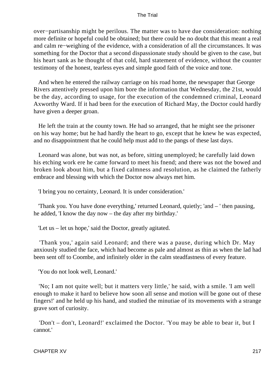over−partisanship might be perilous. The matter was to have due consideration: nothing more definite or hopeful could be obtained; but there could be no doubt that this meant a real and calm re−weighing of the evidence, with a consideration of all the circumstances. It was something for the Doctor that a second dispassionate study should be given to the case, but his heart sank as he thought of that cold, hard statement of evidence, without the counter testimony of the honest, tearless eyes and simple good faith of the voice and tone.

 And when he entered the railway carriage on his road home, the newspaper that George Rivers attentively pressed upon him bore the information that Wednesday, the 21st, would be the day, according to usage, for the execution of the condemned criminal, Leonard Axworthy Ward. If it had been for the execution of Richard May, the Doctor could hardly have given a deeper groan.

 He left the train at the county town. He had so arranged, that he might see the prisoner on his way home; but he had hardly the heart to go, except that he knew he was expected, and no disappointment that he could help must add to the pangs of these last days.

 Leonard was alone, but was not, as before, sitting unemployed; he carefully laid down his etching work ere he came forward to meet his fnend; and there was not the bowed and broken look about him, but a fixed calmness and resolution, as he claimed the fatherly embrace and blessing with which the Doctor now always met him.

'I bring you no certainty, Leonard. It is under consideration.'

 'Thank you. You have done everything,' returned Leonard, quietly; 'and – ' then pausing, he added, 'I know the day now – the day after my birthday.'

'Let us – let us hope,' said the Doctor, greatly agitated.

 'Thank you,' again said Leonard; and there was a pause, during which Dr. May anxiously studied the face, which had become as pale and almost as thin as when the lad had been sent off to Coombe, and infinitely older in the calm steadfastness of every feature.

'You do not look well, Leonard.'

 'No; I am not quite well; but it matters very little,' he said, with a smile. 'I am well enough to make it hard to believe how soon all sense and motion will be gone out of these fingers!' and he held up his hand, and studied the minutiae of its movements with a strange grave sort of curiosity.

 'Don't – don't, Leonard!' exclaimed the Doctor. 'You may be able to bear it, but I cannot.'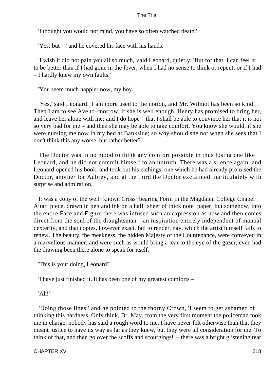'I thought you would not mind, you have so often watched death.'

'Yes; but – ' and he covered his face with his hands.

 'I wish it did not pain you all so much,' said Leonard, quietly. 'But for that, I can feel it to be better than if I had gone in the fever, when I had no sense to think or repent; or if I had – I hardly knew my own faults.'

'You seem much happier now, my boy.'

 'Yes,' said Leonard. 'I am more used to the notion, and Mr. Wilmot has been so kind. Then I am to see Ave to−morrow, if she is well enough. Henry has promised to bring her, and leave her alone with me; and I do hope – that I shall be able to convince her that it is not so very bad for me – and then she may be able to take comfort. You know she would, if she were nursing me now in my bed at Bankside; so why should she not when she sees that I don't think this any worse, but rather better?'

 The Doctor was in no mood to think any comfort possible in thus losing one like Leonard, and he did not commit himself to an untruth. There was a silence again, and Leonard opened his book, and took out his etchings, one which he had already promised the Doctor, another for Aubrey, and at the third the Doctor exclaimed inarticulately with surprise and admiration.

 It was a copy of the well−known Cross−bearing Form in the Magdalen College Chapel Altar−piece, drawn in pen and ink on a half−sheet of thick note−paper; but somehow, into the entire Face and Figure there was infused such an expression as now and then comes direct from the soul of the draughtsman – an inspiration entirely independent of manual dexterity, and that copies, however exact, fail to render, nay, which the artist himself fails to renew. The beauty, the meekness, the hidden Majesty of the Countenance, were conveyed in a marvellous manner, and were such as would bring a tear to the eye of the gazer, even had the drawing been there alone to speak for itself.

'This is your doing, Leonard?'

'I have just finished it. It has been one of my greatest comforts – '

'Ah!'

 'Doing those lines;' and he pointed to the thorny Crown, 'I seem to get ashamed of thinking this hardness. Only think, Dr. May, from the very first moment the policeman took me in charge, nobody has said a rough word to me. I have never felt otherwise than that they meant justice to have its way as far as they knew, but they were all consideration for me. To think of that, and then go over the scoffs and scourgings!' – there was a bright glistening tear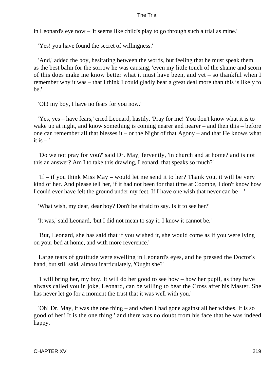in Leonard's eye now – 'it seems like child's play to go through such a trial as mine.'

'Yes! you have found the secret of willingness.'

 'And,' added the boy, hesitating between the words, but feeling that he must speak them, as the best balm for the sorrow he was causing, 'even my little touch of the shame and scorn of this does make me know better what it must have been, and yet – so thankful when I remember why it was – that I think I could gladly bear a great deal more than this is likely to be.'

'Oh! my boy, I have no fears for you now.'

 'Yes, yes – have fears,' cried Leonard, hastily. 'Pray for me! You don't know what it is to wake up at night, and know something is coming nearer and nearer – and then this – before one can remember all that blesses it – or the Night of that Agony – and that He knows what it is  $-$ '

 'Do we not pray for you?' said Dr. May, fervently, 'in church and at home? and is not this an answer? Am I to take this drawing, Leonard, that speaks so much?'

 'If – if you think Miss May – would let me send it to her? Thank you, it will be very kind of her. And please tell her, if it had not been for that time at Coombe, I don't know how I could ever have felt the ground under my feet. If I have one wish that never can be – '

'What wish, my dear, dear boy? Don't be afraid to say. Is it to see her?'

'It was,' said Leonard, 'but I did not mean to say it. I know it cannot be.'

 'But, Leonard, she has said that if you wished it, she would come as if you were lying on your bed at home, and with more reverence.'

 Large tears of gratitude were swelling in Leonard's eyes, and he pressed the Doctor's hand, but still said, almost inarticulately, 'Ought she?'

 'I will bring her, my boy. It will do her good to see how – how her pupil, as they have always called you in joke, Leonard, can be willing to bear the Cross after his Master. She has never let go for a moment the trust that it was well with you.'

 'Oh! Dr. May, it was the one thing – and when I had gone against all her wishes. It is so good of her! It is the one thing ' and there was no doubt from his face that he was indeed happy.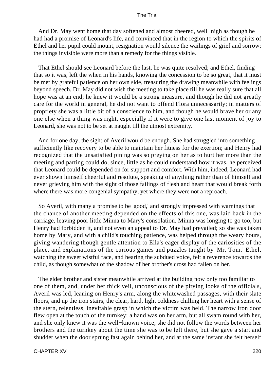And Dr. May went home that day softened and almost cheered, well−nigh as though he had had a promise of Leonard's life, and convinced that in the region to which the spirits of Ethel and her pupil could mount, resignation would silence the wailings of grief and sorrow; the things invisible were more than a remedy for the things visible.

 That Ethel should see Leonard before the last, he was quite resolved; and Ethel, finding that so it was, left the when in his hands, knowing the concession to be so great, that it must be met by grateful patience on her own side, treasuring the drawing meanwhile with feelings beyond speech. Dr. May did not wish the meeting to take place till he was really sure that all hope was at an end; he knew it would be a strong measure, and though he did not greatly care for the world in general, he did not want to offend Flora unnecessarily; in matters of propriety she was a little bit of a conscience to him, and though he would brave her or any one else when a thing was right, especially if it were to give one last moment of joy to Leonard, she was not to be set at naught till the utmost extremity.

 And for one day, the sight of Averil would be enough. She had struggled into something sufficiently like recovery to be able to maintain her fitness for the exertion; and Henry had recognized that the unsatisfied pining was so preying on her as to hurt her more than the meeting and parting could do, since, little as he could understand how it was, he perceived that Leonard could be depended on for support and comfort. With him, indeed, Leonard had ever shown himself cheerful and resolute, speaking of anything rather than of himself and never grieving him with the sight of those failings of flesh and heart that would break forth where there was more congenial sympathy, yet where they were not a reproach.

 So Averil, with many a promise to be 'good,' and strongly impressed with warnings that the chance of another meeting depended on the effects of this one, was laid back in the carriage, leaving poor little Minna to Mary's consolation. Minna was longing to go too, but Henry had forbidden it, and not even an appeal to Dr. May had prevailed; so she was taken home by Mary, and with a child's touching patience, was helped through the weary hours, giving wandering though gentle attention to Ella's eager display of the cariosities of the place, and explanations of the curious games and puzzles taught by 'Mr. Tom.' Ethel, watching the sweet wistful face, and hearing the subdued voice, felt a reverence towards the child, as though somewhat of the shadow of her brother's cross had fallen on her.

 The elder brother and sister meanwhile arrived at the building now only too familiar to one of them, and, under her thick veil, unconscious of the pitying looks of the officials, Averil was led, leaning on Henry's arm, along the whitewashed passages, with their slate floors, and up the iron stairs, the clear, hard, light coldness chilling her heart with a sense of the stern, relentless, inevitable grasp in which the victim was held. The narrow iron door flew open at the touch of the turnkey; a hand was on her arm, but all swam round with her, and she only knew it was the well−known voice; she did not follow the words between her brothers and the turnkey about the time she was to be left there, but she gave a start and shudder when the door sprung fast again behind her, and at the same instant she felt herself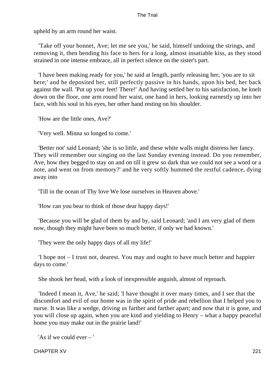upheld by an arm round her waist.

 'Take off your bonnet, Ave; let me see you,' he said, himself undoing the strings, and removing it, then bending his face to hers for a long, almost insatiable kiss, as they stood strained in one intense embrace, all in perfect silence on the sister's part.

 'I have been making ready for you,' he said at length, partly releasing her; 'you are to sit here;' and he deposited her, still perfectly passive in his hands, upon his bed, her back against the wall. 'Put up your feet! There!' And having settled her to his satisfaction, he knelt down on the floor, one arm round her waist, one hand in hers, looking earnestly up into her face, with his soul in his eyes, her other hand resting on his shoulder.

'How are the little ones, Ave?'

'Very well. Minna so longed to come.'

 'Better not' said Leonard; 'she is so little, and these white walls might distress her fancy. They will remember our singing on the last Sunday evening instead. Do you remember, Ave, how they begged to stay on and on till it grew so dark that we could not see a word or a note, and went on from memory?' and he very softly hummed the restful cadence, dying away into

'Till in the ocean of Thy love We lose ourselves in Heaven above.'

'How can you bear to think of those dear happy days!'

 'Because you will be glad of them by and by, said Leonard; 'and I am very glad of them now, though they might have been so much better, if only we had known.'

'They were the only happy days of all my life!'

 'I hope not – I trust not, dearest. You may and ought to have much better and happier days to come.'

She shook her head, with a look of inexpressible anguish, almost of reproach.

 'Indeed I mean it, Ave,' he said; 'I have thought it over many times, and I see that the discomfort and evil of our home was in the spirit of pride and rebellion that I helped you to nurse. It was like a wedge, driving us farther and farther apart; and now that it is gone, and you will close up again, when you are kind and yielding to Henry – what a happy peaceful home you may make out in the prairie land!'

'As if we could ever – '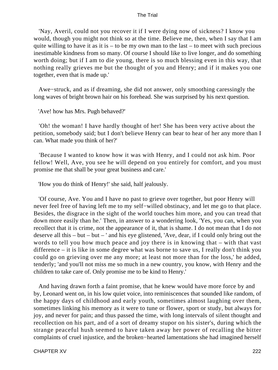'Nay, Averil, could not you recover it if I were dying now of sickness? I know you would, though you might not think so at the time. Believe me, then, when I say that I am quite willing to have it as it is – to be my own man to the last – to meet with such precious inestimable kindness from so many. Of course I should like to live longer, and do something worth doing; but if I am to die young, there is so much blessing even in this way, that nothing really grieves me but the thought of you and Henry; and if it makes you one together, even that is made up.'

 Awe−struck, and as if dreaming, she did not answer, only smoothing caressingly the long waves of bright brown hair on his forehead. She was surprised by his next question.

'Ave! how has Mrs. Pugh behaved?'

 'Oh! the woman! I have hardly thought of her! She has been very active about the petition, somebody said; but I don't believe Henry can bear to hear of her any more than I can. What made you think of her?'

 'Because I wanted to know how it was with Henry, and I could not ask him. Poor fellow! Well, Ave, you see he will depend on you entirely for comfort, and you must promise me that shall be your great business and care.'

'How you do think of Henry!' she said, half jealously.

 'Of course, Ave. You and I have no past to grieve over together, but poor Henry will never feel free of having left me to my self−willed obstinacy, and let me go to that place. Besides, the disgrace in the sight of the world touches him more, and you can tread that down more easily than he.' Then, in answer to a wondering look, 'Yes, you can, when you recollect that it is crime, not the appearance of it, that is shame. I do not mean that I do not deserve all this – but – but – ' and his eye glistened, 'Ave, dear, if I could only bring out the words to tell you how much peace and joy there is in knowing that – with that vast difference – it is like in some degree what was borne to save us, I really don't think you could go on grieving over me any more; at least not more than for the loss,' he added, tenderly; 'and you'll not miss me so much in a new country, you know, with Henry and the children to take care of. Only promise me to be kind to Henry.'

 And having drawn forth a faint promise, that he knew would have more force by and by, Leonard went on, in his low quiet voice, into reminiscences that sounded like random, of the happy days of childhood and early youth, sometimes almost laughing over them, sometimes linking his memory as it were to tune or flower, sport or study, but always for joy, and never for pain; and thus passed the time, with long intervals of silent thought and recollection on his part, and of a sort of dreamy stupor on his sister's, during which the strange peaceful hush seemed to have taken away her power of recalling the bitter complaints of cruel injustice, and the broken−hearted lamentations she had imagined herself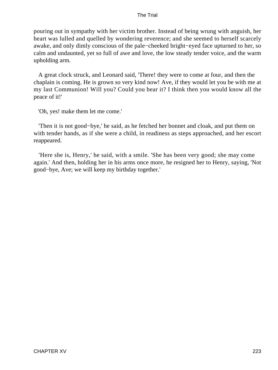pouring out in sympathy with her victim brother. Instead of being wrung with anguish, her heart was lulled and quelled by wondering reverence; and she seemed to herself scarcely awake, and only dimly conscious of the pale−cheeked bright−eyed face upturned to her, so calm and undaunted, yet so full of awe and love, the low steady tender voice, and the warm upholding arm.

 A great clock struck, and Leonard said, 'There! they were to come at four, and then the chaplain is coming. He is grown so very kind now! Ave, if they would let you be with me at my last Communion! Will you? Could you bear it? I think then you would know all the peace of it!'

'Oh, yes! make them let me come.'

 'Then it is not good−bye,' he said, as he fetched her bonnet and cloak, and put them on with tender hands, as if she were a child, in readiness as steps approached, and her escort reappeared.

 'Here she is, Henry,' he said, with a smile. 'She has been very good; she may come again.' And then, holding her in his arms once more, he resigned her to Henry, saying, 'Not good−bye, Ave; we will keep my birthday together.'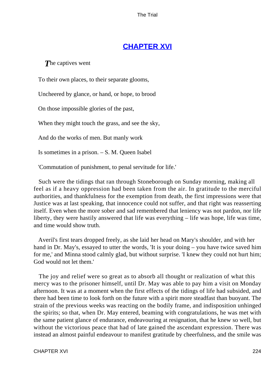## **[CHAPTER XVI](#page-414-0)**

*T*he captives went

To their own places, to their separate glooms,

Uncheered by glance, or hand, or hope, to brood

On those impossible glories of the past,

When they might touch the grass, and see the sky,

And do the works of men. But manly work

Is sometimes in a prison. – S. M. Queen Isabel

'Commutation of punishment, to penal servitude for life.'

 Such were the tidings that ran through Stoneborough on Sunday morning, making all feel as if a heavy oppression had been taken from the air. In gratitude to the merciful authorities, and thankfulness for the exemption from death, the first impressions were that Justice was at last speaking, that innocence could not suffer, and that right was reasserting itself. Even when the more sober and sad remembered that leniency was not pardon, nor life liberty, they were hastily answered that life was everything – life was hope, life was time, and time would show truth.

 Averil's first tears dropped freely, as she laid her head on Mary's shoulder, and with her hand in Dr. May's, essayed to utter the words, 'It is your doing – you have twice saved him for me,' and Minna stood calmly glad, but without surprise. 'I knew they could not hurt him; God would not let them.'

 The joy and relief were so great as to absorb all thought or realization of what this mercy was to the prisoner himself, until Dr. May was able to pay him a visit on Monday afternoon. It was at a moment when the first effects of the tidings of life had subsided, and there had been time to look forth on the future with a spirit more steadfast than buoyant. The strain of the previous weeks was reacting on the bodily frame, and indisposition unhinged the spirits; so that, when Dr. May entered, beaming with congratulations, he was met with the same patient glance of endurance, endeavouring at resignation, that he knew so well, but without the victorious peace that had of late gained the ascendant expression. There was instead an almost painful endeavour to manifest gratitude by cheerfulness, and the smile was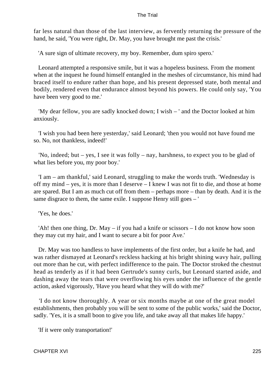far less natural than those of the last interview, as fervently returning the pressure of the hand, he said, 'You were right, Dr. May, you have brought me past the crisis.'

'A sure sign of ultimate recovery, my boy. Remember, dum spiro spero.'

 Leonard attempted a responsive smile, but it was a hopeless business. From the moment when at the inquest he found himself entangled in the meshes of circumstance, his mind had braced itself to endure rather than hope, and his present depressed state, both mental and bodily, rendered even that endurance almost beyond his powers. He could only say, 'You have been very good to me.'

 'My dear fellow, you are sadly knocked down; I wish – ' and the Doctor looked at him anxiously.

 'I wish you had been here yesterday,' said Leonard; 'then you would not have found me so. No, not thankless, indeed!'

 'No, indeed; but – yes, I see it was folly – nay, harshness, to expect you to be glad of what lies before you, my poor boy.'

 'I am – am thankful,' said Leonard, struggling to make the words truth. 'Wednesday is off my mind – yes, it is more than I deserve – I knew I was not fit to die, and those at home are spared. But I am as much cut off from them – perhaps more – than by death. And it is the same disgrace to them, the same exile. I suppose Henry still goes – '

'Yes, he does.'

 'Ah! then one thing, Dr. May – if you had a knife or scissors – I do not know how soon they may cut my hair, and I want to secure a bit for poor Ave.'

 Dr. May was too handless to have implements of the first order, but a knife he had, and was rather dismayed at Leonard's reckless hacking at his bright shining wavy hair, pulling out more than he cut, with perfect indifference to the pain. The Doctor stroked the chestnut head as tenderly as if it had been Gertrude's sunny curls, but Leonard started aside, and dashing away the tears that were overflowing his eyes under the influence of the gentle action, asked vigorously, 'Have you heard what they will do with me?'

 'I do not know thoroughly. A year or six months maybe at one of the great model establishments, then probably you will be sent to some of the public works,' said the Doctor, sadly. 'Yes, it is a small boon to give you life, and take away all that makes life happy.'

'If it were only transportation!'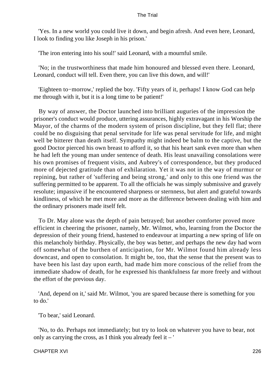'Yes. In a new world you could live it down, and begin afresh. And even here, Leonard, I look to finding you like Joseph in his prison.'

'The iron entering into his soul!' said Leonard, with a mournful smile.

 'No; in the trustworthiness that made him honoured and blessed even there. Leonard, Leonard, conduct will tell. Even there, you can live this down, and will!'

 'Eighteen to−morrow,' replied the boy. 'Fifty years of it, perhaps! I know God can help me through with it, but it is a long time to be patient!'

 By way of answer, the Doctor launched into brilliant auguries of the impression the prisoner's conduct would produce, uttering assurances, highly extravagant in his Worship the Mayor, of the charms of the modern system of prison discipline, but they fell flat; there could be no disguising that penal servitude for life was penal servitude for life, and might well be bitterer than death itself. Sympathy might indeed be balm to the captive, but the good Doctor pierced his own breast to afford it, so that his heart sank even more than when he had left the young man under sentence of death. His least unavailing consolations were his own promises of frequent visits, and Aubrey's of correspondence, but they produced more of dejected gratitude than of exhilaration. Yet it was not in the way of murmur or repining, but rather of 'suffering and being strong,' and only to this one friend was the suffering permitted to be apparent. To all the officials he was simply submissive and gravely resolute; impassive if he encountered sharpness or sternness, but alert and grateful towards kindliness, of which he met more and more as the difference between dealing with him and the ordinary prisoners made itself felt.

 To Dr. May alone was the depth of pain betrayed; but another comforter proved more efficient in cheering the prisoner, namely, Mr. Wilmot, who, learning from the Doctor the depression of their young friend, hastened to endeavour at imparting a new spring of life on this melancholy birthday. Physically, the boy was better, and perhaps the new day had worn off somewhat of the burthen of anticipation, for Mr. Wilmot found him already less downcast, and open to consolation. It might be, too, that the sense that the present was to have been his last day upon earth, had made him more conscious of the relief from the immediate shadow of death, for he expressed his thankfulness far more freely and without the effort of the previous day.

 'And, depend on it,' said Mr. Wilmot, 'you are spared because there is something for you to do.'

'To bear,' said Leonard.

 'No, to do. Perhaps not immediately; but try to look on whatever you have to bear, not only as carrying the cross, as I think you already feel it  $-$ '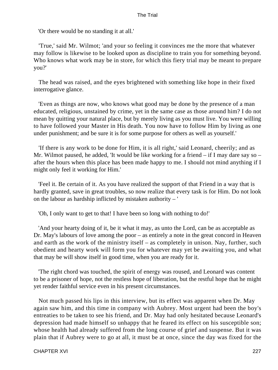'Or there would be no standing it at all.'

 'True,' said Mr. Wilmot; 'and your so feeling it convinces me the more that whatever may follow is likewise to be looked upon as discipline to train you for something beyond. Who knows what work may be in store, for which this fiery trial may be meant to prepare you?'

 The head was raised, and the eyes brightened with something like hope in their fixed interrogative glance.

 'Even as things are now, who knows what good may be done by the presence of a man educated, religious, unstained by crime, yet in the same case as those around him? I do not mean by quitting your natural place, but by merely living as you must live. You were willing to have followed your Master in His death. You now have to follow Him by living as one under punishment; and be sure it is for some purpose for others as well as yourself.'

 'If there is any work to be done for Him, it is all right,' said Leonard, cheerily; and as Mr. Wilmot paused, he added, 'It would be like working for a friend  $-$  if I may dare say so  $$ after the hours when this place has been made happy to me. I should not mind anything if I might only feel it working for Him.'

 'Feel it. Be certain of it. As you have realized the support of that Friend in a way that is hardly granted, save in great troubles, so now realize that every task is for Him. Do not look on the labour as hardship inflicted by mistaken authority – '

'Oh, I only want to get to that! I have been so long with nothing to do!'

 'And your hearty doing of it, be it what it may, as unto the Lord, can be as acceptable as Dr. May's labours of love among the poor – as entirely a note in the great concord in Heaven and earth as the work of the ministry itself – as completely in unison. Nay, further, such obedient and hearty work will form you for whatever may yet be awaiting you, and what that may be will show itself in good time, when you are ready for it.

 'The right chord was touched, the spirit of energy was roused, and Leonard was content to be a prisoner of hope, not the restless hope of liberation, but the restful hope that he might yet render faithful service even in his present circumstances.

 Not much passed his lips in this interview, but its effect was apparent when Dr. May again saw him, and this time in company with Aubrey. Most urgent had been the boy's entreaties to be taken to see his friend, and Dr. May had only hesitated because Leonard's depression had made himself so unhappy that he feared its effect on his susceptible son; whose health had already suffered from the long course of grief and suspense. But it was plain that if Aubrey were to go at all, it must be at once, since the day was fixed for the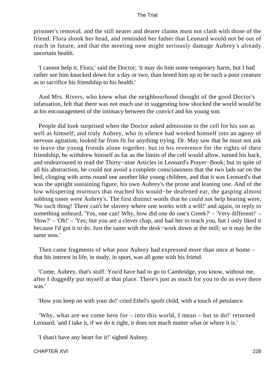prisoner's removal, and the still nearer and dearer claims must not clash with those of the friend. Flora shook her head, and reminded her father that Leonard would not be out of reach in future, and that the meeting now might seriously damage Aubrey's already uncertain health.

 'I cannot help it, Flora,' said the Doctor; 'it may do him some temporary harm, but I had rather see him knocked down for a day or two, than breed him up to be such a poor creature as to sacrifice his friendship to his health.'

 And Mrs. Rivers, who knew what the neighbourhood thought of the good Doctor's infatuation, felt that there was not much use in suggesting how shocked the world would be at his encouragement of the intimacy between the convict and his young son.

 People did look surprised when the Doctor asked admission to the cell for his son as well as himself; and truly Aubrey, who in silence had worked himself into an agony of nervous agitation, looked far from fit for anything trying. Dr. May saw that he must not ask to leave the young friends alone together, but in his reverence for the rights of their friendship, he withdrew himself as far as the limits of the cell would allow, turned his back, and endeavoured to read the Thirty−nine Articles in Leonard's Prayer−Book; but in spite of all his abstraction, he could not avoid a complete consciousness that the two lads sat on the bed, clinging with arms round one another like young children, and that it was Leonard's that was the upright sustaining figure, his own Aubrey's the prone and leaning one. And of the low whispering murmurs that reached his would−be deafened ear, the gasping almost sobbing tones were Aubrey's. The first distinct words that he could not help hearing were, 'No such thing! There can't be slavery where one works with a will!' and again, in reply to something unheard, 'Yes, one can! Why, how did one do one's Greek?' – 'Very different!' – 'How?' – 'Oh!' – 'Yes; but you are a clever chap, and had her to teach you, but I only liked it because I'd got it to do. Just the same with the desk−work down at the mill; so it may be the same now.'

 Then came fragments of what poor Aubrey had expressed more than once at home – that his interest in life, in study, in sport, was all gone with his friend.

 'Come, Aubrey, that's stuff. You'd have had to go to Cambridge, you know, without me, after I doggedly put myself at that place. There's just as much for you to do as ever there was.'

'How you keep on with your do!' cried Ethel's spoilt child, with a touch of petulance.

'Why, what are we come here for – into this world, I mean – but to do!' returned Leonard; 'and I take it, if we do it right, it does not much matter what or where it is.'

'I shan't have any heart for it!' sighed Aubrey.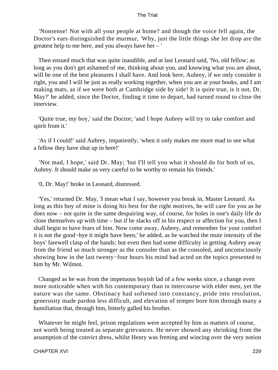'Nonsense! Not with all your people at home? and though the voice fell again, the Doctor's ears distinguished the murmur, 'Why, just the little things she let drop are the greatest help to me here, and you always have her – '

 Then ensued much that was quite inaudible, and at last Leonard said, 'No, old fellow; as long as you don't get ashamed of me, thinking about you, and knowing what you are about, will be one of the best pleasures I shall have. And look here, Aubrey, if we only consider it right, you and I will be just as really working together, when you are at your books, and I am making mats, as if we were both at Cambridge side by side! It is quite true, is it not, Dr. May?' he added, since the Doctor, finding it time to depart, had turned round to close the interview.

 'Quite true, my boy,' said the Doctor; 'and I hope Aubrey will try to take comfort and spirit from it.'

 'As if I could!' said Aubrey, impatiently, 'when it only makes me more mad to see what a fellow they have shut up in here!'

 'Not mad, I hope,' said Dr. May; 'but I'll tell you what it should do for both of us, Aubrey. It should make us very careful to be worthy to remain his friends.'

'0, Dr. May!' broke in Leonard, distressed.

 'Yes,' returned Dr. May, 'I mean what I say, however you break in, Master Leonard. As long as this boy of mine is doing his best for the right motives, he will care for you as he does now – not quite in the same despairing way, of course, for holes in one's daily life do close themselves up with time – but if he slacks off in his respect or affection for you, then I shall begin to have fears of him. Now come away, Aubrey, and remember for your comfort it is not the good−bye it might have been,' he added, as he watched the mute intensity of the boys' farewell clasp of the hands; but even then had some difficulty in getting Aubrey away from the friend so much stronger as the consoler than as the consoled, and unconsciously showing how in the last twenty−four hours his mind had acted on the topics presented to him by Mr. Wilmot.

 Changed as he was from the impetuous boyish lad of a few weeks since, a change even more noticeable when with his contemporary than in intercourse with elder men, yet the nature was the same. Obstinacy had softened into constancy, pride into resolution, generosity made pardon less difficult, and elevation of temper bore him through many a humiliation that, through him, bitterly galled his brother.

 Whatever he might feel, prison regulations were accepted by him as matters of course, not worth being treated as separate grievances. He never showed any shrinking from the assumption of the convict dress, whilst Henry was fretting and wincing over the very notion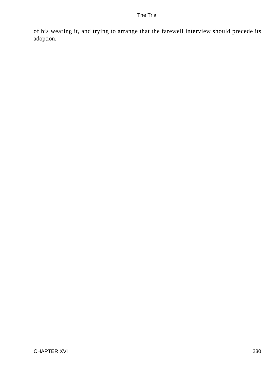of his wearing it, and trying to arrange that the farewell interview should precede its adoption.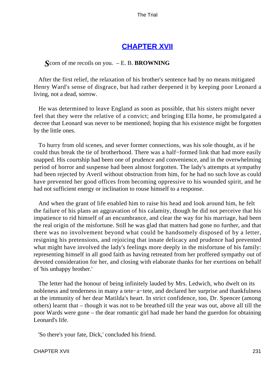### **[CHAPTER XVII](#page-414-0)**

### *S*corn of me recoils on you. – E. B. **BROWNING**

 After the first relief, the relaxation of his brother's sentence had by no means mitigated Henry Ward's sense of disgrace, but had rather deepened it by keeping poor Leonard a living, not a dead, sorrow.

 He was determined to leave England as soon as possible, that his sisters might never feel that they were the relative of a convict; and bringing Ella home, he promulgated a decree that Leonard was never to be mentioned; hoping that his existence might be forgotten by the little ones.

 To hurry from old scenes, and sever former connections, was his sole thought, as if he could thus break the tie of brotherhood. There was a half−formed link that had more easily snapped. His courtship had been one of prudence and convenience, and in the overwhelming period of horror and suspense had been almost forgotten. The lady's attempts at sympathy had been rejected by Averil without obstruction from him, for he had no such love as could have prevented her good offices from becoming oppressive to his wounded spirit, and he had not sufficient energy or inclination to rouse himself to a response.

 And when the grant of life enabled him to raise his head and look around him, he felt the failure of his plans an aggravation of his calamity, though he did not perceive that his impatience to rid himself of an encumbrance, and clear the way for his marriage, had been the real origin of the misfortune. Still he was glad that matters had gone no further, and that there was no involvement beyond what could be handsomely disposed of by a letter, resigning his pretensions, and rejoicing that innate delicacy and prudence had prevented what might have involved the lady's feelings more deeply in the misfortune of his family: representing himself in all good faith as having retreated from her proffered sympathy out of devoted consideration for her, and closing with elaborate thanks for her exertions on behalf of 'his unhappy brother.'

 The letter had the honour of being infinitely lauded by Mrs. Ledwich, who dwelt on its nobleness and tenderness in many a tete−a−tete, and declared her surprise and thankfulness at the immunity of her dear Matilda's heart. In strict confidence, too, Dr. Spencer (among others) learnt that – though it was not to be breathed till the year was out, above all till the poor Wards were gone – the dear romantic girl had made her hand the guerdon for obtaining Leonard's life.

'So there's your fate, Dick,' concluded his friend.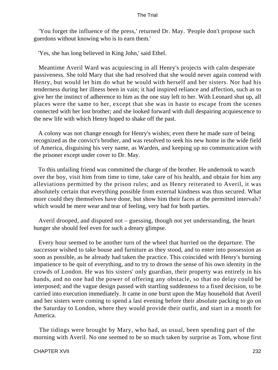'You forget the influence of the press,' returned Dr. May. 'People don't propose such guerdons without knowing who is to earn them.'

'Yes, she has long believed in King John,' said Ethel.

 Meantime Averil Ward was acquiescing in all Henry's projects with calm desperate passiveness. She told Mary that she had resolved that she would never again contend with Henry, but would let him do what he would with herself and her sisters. Nor had his tenderness during her illness been in vain; it had inspired reliance and affection, such as to give her the instinct of adherence to him as the one stay left to her. With Leonard shut up, all places were the same to her, except that she was in haste to escape from the scenes connected with her lost brother; and she looked forward with dull despairing acquiescence to the new life with which Henry hoped to shake off the past.

 A colony was not change enough for Henry's wishes; even there he made sure of being recognized as the convict's brother, and was resolved to seek his new home in the wide field of America, disguising his very name, as Warden, and keeping up no communication with the prisoner except under cover to Dr. May.

 To this unfailing friend was committed the charge of the brother. He undertook to watch over the boy, visit him from time to time, take care of his health, and obtain for him any alleviations permitted by the prison rules; and as Henry reiterated to Averil, it was absolutely certain that everything possible from external kindness was thus secured. What more could they themselves have done, but show him their faces at the permitted intervals? which would be mere wear and tear of feeling, very bad for both parties.

 Averil drooped, and disputed not – guessing, though not yet understanding, the heart hunger she should feel even for such a dreary glimpse.

 Every hour seemed to be another turn of the wheel that hurried on the departure. The successor wished to take house and furniture as they stood, and to enter into possession as soon as possible, as he already had taken the practice. This coincided with Henry's burning impatience to be quit of everything, and to try to drown the sense of his own identity in the crowds of London. He was his sisters' only guardian, their property was entirely in his hands, and no one had the power of offering any obstacle, so that no delay could be interposed; and the vague design passed with startling suddenness to a fixed decision, to be carried into execution immediately. It came in one burst upon the May household that Averil and her sisters were coming to spend a last evening before their absolute packing to go on the Saturday to London, where they would provide their outfit, and start in a month for America.

 The tidings were brought by Mary, who had, as usual, been spending part of the morning with Averil. No one seemed to be so much taken by surprise as Tom, whose first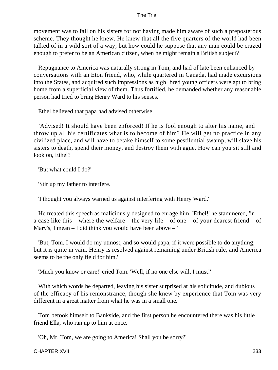movement was to fall on his sisters for not having made him aware of such a preposterous scheme. They thought he knew. He knew that all the five quarters of the world had been talked of in a wild sort of a way; but how could he suppose that any man could be crazed enough to prefer to be an American citizen, when he might remain a British subject?

 Repugnance to America was naturally strong in Tom, and had of late been enhanced by conversations with an Eton friend, who, while quartered in Canada, had made excursions into the States, and acquired such impressions as high−bred young officers were apt to bring home from a superficial view of them. Thus fortified, he demanded whether any reasonable person had tried to bring Henry Ward to his senses.

Ethel believed that papa had advised otherwise.

 'Advised! It should have been enforced! If he is fool enough to alter his name, and throw up all his certificates what is to become of him? He will get no practice in any civilized place, and will have to betake himself to some pestilential swamp, will slave his sisters to death, spend their money, and destroy them with ague. How can you sit still and look on, Ethel?'

'But what could I do?'

'Stir up my father to interfere.'

'I thought you always warned us against interfering with Henry Ward.'

 He treated this speech as maliciously designed to enrage him. 'Ethel!' he stammered, 'in a case like this – where the welfare – the very life – of one – of your dearest friend – of Mary's, I mean – I did think you would have been above – '

 'But, Tom, I would do my utmost, and so would papa, if it were possible to do anything; but it is quite in vain. Henry is resolved against remaining under British rule, and America seems to be the only field for him.'

'Much you know or care!' cried Tom. 'Well, if no one else will, I must!'

 With which words he departed, leaving his sister surprised at his solicitude, and dubious of the efficacy of his remonstrance, though she knew by experience that Tom was very different in a great matter from what he was in a small one.

 Tom betook himself to Bankside, and the first person he encountered there was his little friend Ella, who ran up to him at once.

'Oh, Mr. Tom, we are going to America! Shall you be sorry?'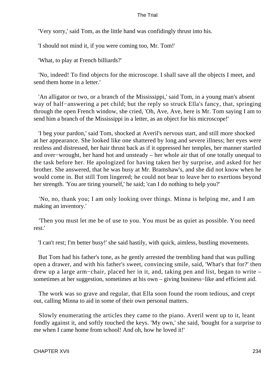'Very sorry,' said Tom, as the little hand was confidingly thrust into his.

'I should not mind it, if you were coming too, Mr. Tom!'

'What, to play at French billiards?'

 'No, indeed! To find objects for the microscope. I shall save all the objects I meet, and send them home in a letter.'

 'An alligator or two, or a branch of the Mississippi,' said Tom, in a young man's absent way of half−answering a pet child; but the reply so struck Ella's fancy, that, springing through the open French window, she cried, 'Oh, Ave, Ave, here is Mr. Tom saying I am to send him a branch of the Mississippi in a letter, as an object for his microscope!'

 'I beg your pardon,' said Tom, shocked at Averil's nervous start, and still more shocked at her appearance. She looked like one shattered by long and severe illness; her eyes were restless and distressed, her hair thrust back as if it oppressed her temples, her manner startled and over−wrought, her hand hot and unsteady – her whole air that of one totally unequal to the task before her. He apologized for having taken her by surprise, and asked for her brother. She answered, that he was busy at Mr. Bramshaw's, and she did not know when he would come in. But still Tom lingered; he could not bear to leave her to exertions beyond her strength. 'You are tiring yourself,' he said; 'can I do nothing to help you?'

 'No, no, thank you; I am only looking over things. Minna is helping me, and I am making an inventory.'

 'Then you must let me be of use to you. You must be as quiet as possible. You need rest.'

'I can't rest; I'm better busy!' she said hastily, with quick, aimless, bustling movements.

 But Tom had his father's tone, as he gently arrested the trembling hand that was pulling open a drawer, and with his father's sweet, convincing smile, said, 'What's that for?' then drew up a large arm−chair, placed her in it, and, taking pen and list, began to write – sometimes at her suggestion, sometimes at his own – giving business−like and efficient aid.

 The work was so grave and regular, that Ella soon found the room tedious, and crept out, calling Minna to aid in some of their own personal matters.

 Slowly enumerating the articles they came to the piano. Averil went up to it, leant fondly against it, and softly touched the keys. 'My own,' she said, 'bought for a surprise to me when I came home from school! And oh, how he loved it!'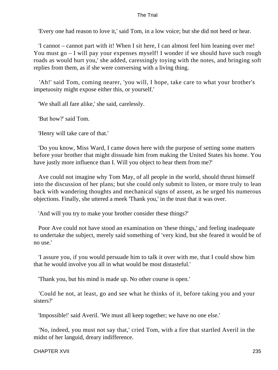'Every one had reason to love it,' said Tom, in a low voice; but she did not heed or hear.

 'I cannot – cannot part with it! When I sit here, I can almost feel him leaning over me! You must go – I will pay your expenses myself! I wonder if we should have such rough roads as would hurt you,' she added, caressingly toying with the notes, and bringing soft replies from them, as if she were conversing with a living thing.

 'Ah!' said Tom, coming nearer, 'you will, I hope, take care to what your brother's impetuosity might expose either this, or yourself.'

'We shall all fare alike,' she said, carelessly.

'But how?' said Tom.

'Henry will take care of that.'

 'Do you know, Miss Ward, I came down here with the purpose of setting some matters before your brother that might dissuade him from making the United States his home. You have justly more influence than I. Will you object to hear them from me?'

 Ave could not imagine why Tom May, of all people in the world, should thrust himself into the discussion of her plans; but she could only submit to listen, or more truly to lean back with wandering thoughts and mechanical signs of assent, as he urged his numerous objections. Finally, she uttered a meek 'Thank you,' in the trust that it was over.

'And will you try to make your brother consider these things?'

 Poor Ave could not have stood an examination on 'these things,' and feeling inadequate to undertake the subject, merely said something of 'very kind, but she feared it would be of no use.'

 'I assure you, if you would persuade him to talk it over with me, that I could show him that he would involve you all in what would be most distasteful.'

'Thank you, but his mind is made up. No other course is open.'

 'Could he not, at least, go and see what he thinks of it, before taking you and your sisters?'

'Impossible!' said Averil. 'We must all keep together; we have no one else.'

 'No, indeed, you must not say that,' cried Tom, with a fire that startled Averil in the midst of her languid, dreary indifference.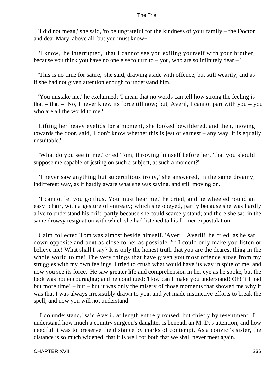'I did not mean,' she said, 'to be ungrateful for the kindness of your family – the Doctor and dear Mary, above all; but you must know−'

 'I know,' he interrupted, 'that I cannot see you exiling yourself with your brother, because you think you have no one else to turn to  $-$  you, who are so infinitely dear  $-$ '

 'This is no time for satire,' she said, drawing aside with offence, but still wearily, and as if she had not given attention enough to understand him.

 'You mistake me,' he exclaimed; 'I mean that no words can tell how strong the feeling is that – that – No, I never knew its force till now; but, Averil, I cannot part with you – you who are all the world to me.'

 Lifting her heavy eyelids for a moment, she looked bewildered, and then, moving towards the door, said, 'I don't know whether this is jest or earnest – any way, it is equally unsuitable.'

 'What do you see in me,' cried Tom, throwing himself before her, 'that you should suppose me capable of jesting on such a subject, at such a moment?'

 'I never saw anything but supercilious irony,' she answered, in the same dreamy, indifferent way, as if hardly aware what she was saying, and still moving on.

 'I cannot let you go thus. You must hear me,' he cried, and he wheeled round an easy−chair, with a gesture of entreaty; which she obeyed, partly because she was hardly alive to understand his drift, partly because she could scarcely stand; and there she sat, in the same drowsy resignation with which she had listened to his former expostulation.

 Calm collected Tom was almost beside himself. 'Averil! Averil!' he cried, as he sat down opposite and bent as close to her as possible, 'if I could only make you listen or believe me! What shall I say? It is only the honest truth that you are the dearest thing in the whole world to me! The very things that have given you most offence arose from my struggles with my own feelings. I tried to crush what would have its way in spite of me, and now you see its force.' He saw greater life and comprehension in her eye as he spoke, but the look was not encouraging; and he continued: 'How can I make you understand! Oh! if I had but more time! – but – but it was only the misery of those moments that showed me why it was that I was always irresistibly drawn to you, and yet made instinctive efforts to break the spell; and now you will not understand.'

 'I do understand,' said Averil, at length entirely roused, but chiefly by resentment. 'I understand how much a country surgeon's daughter is beneath an M. D.'s attention, and how needful it was to preserve the distance by marks of contempt. As a convict's sister, the distance is so much widened, that it is well for both that we shall never meet again.'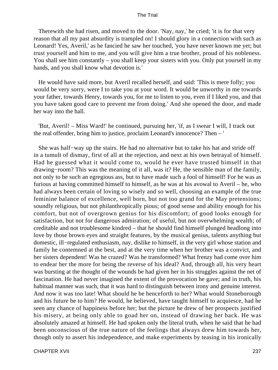Therewith she had risen, and moved to the door. 'Nay, nay,' he cried; 'it is for that very reason that all my past absurdity is trampled on! I should glory in a connection with such as Leonard! Yes, Averil,' as he fancied he saw her touched, 'you have never known me yet; but trust yourself and him to me, and you will give him a true brother, proud of his nobleness. You shall see him constantly – you shall keep your sisters with you. Only put yourself in my hands, and you shall know what devotion is.'

 He would have said more, but Averil recalled herself, and said: 'This is mere folly; you would be very sorry, were I to take you at your word. It would be unworthy in me towards your father, towards Henry, towards you, for me to listen to you, even if I liked you, and that you have taken good care to prevent me from doing.' And she opened the door, and made her way into the hall.

 'But, Averil! – Miss Ward!' he continued, pursuing her, 'if, as I swear I will, I track out the real offender, bring him to justice, proclaim Leonard's innocence? Then – '

 She was half−way up the stairs. He had no alternative but to take his hat and stride off in a tumult of dismay, first of all at the rejection, and next at his own betrayal of himself. Had he guessed what it would come to, would he ever have trusted himself in that drawing−room? This was the meaning of it all, was it? He, the sensible man of the family, not only to be such an egregious ass, but to have made such a fool of himself! For he was as furious at having committed himself to himself, as he was at his avowal to Averil – he, who had always been certain of loving so wisely and so well, choosing an example of the true feminine balance of excellence, well born, but not too grand for the May pretensions; soundly religious, but not philanthropically pious; of good sense and ability enough for his comfort, but not of overgrown genius for his discomfort; of good looks enough for satisfaction, but not for dangerous admiration; of useful, but not overwhelming wealth; of creditable and not troublesome kindred – that he should find himself plunged headlong into love by those brown eyes and straight features, by the musical genius, talents anything but domestic, ill−regulated enthusiasm, nay, dislike to himself, in the very girl whose station and family he contemned at the best, and at the very time when her brother was a convict, and her sisters dependent! Was he crazed? Was he transformed? What frenzy had come over him to endear her the more for being the reverse of his ideal? And, through all, his very heart was bursting at the thought of the wounds be had given her in his struggles against the net of fascination. He had never imagined the extent of the provocation he gave; and in truth, his habitual manner was such, that it was hard to distinguish between irony and genuine interest. And now it was too late! What should he be henceforth to her? What would Stoneborough and his future be to him? He would, he believed, have taught himself to acquiesce, had he seen any chance of happiness before her; but the picture he drew of her prospects justified his misery, at being only able to goad her on, instead of drawing her back. He was absolutely amazed at himself. He had spoken only the literal truth, when he said that he had been unconscious of the true nature of the feelings that always drew him towards her, though only to assert his independence, and make experiments by teasing in his ironically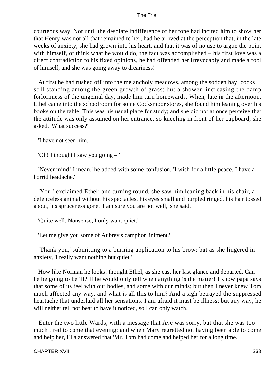courteous way. Not until the desolate indifference of her tone had incited him to show her that Henry was not all that remained to her, had he arrived at the perception that, in the late weeks of anxiety, she had grown into his heart, and that it was of no use to argue the point with himself, or think what he would do, the fact was accomplished – his first love was a direct contradiction to his fixed opinions, he had offended her irrevocably and made a fool of himself, and she was going away to dreariness!

 At first he had rushed off into the melancholy meadows, among the sodden hay−cocks still standing among the green growth of grass; but a shower, increasing the damp forlornness of the ungenial day, made him turn homewards. When, late in the afternoon, Ethel came into the schoolroom for some Cocksmoor stores, she found him leaning over his books on the table. This was his usual place for study; and she did not at once perceive that the attitude was only assumed on her entrance, so kneeling in front of her cupboard, she asked, 'What success?'

'I have not seen him.'

'Oh! I thought I saw you going – '

 'Never mind! I mean,' he added with some confusion, 'I wish for a little peace. I have a horrid headache.'

 'You!' exclaimed Ethel; and turning round, she saw him leaning back in his chair, a defenceless animal without his spectacles, his eyes small and purpled ringed, his hair tossed about, his spruceness gone. 'I am sure you are not well,' she said.

'Quite well. Nonsense, I only want quiet.'

'Let me give you some of Aubrey's camphor liniment.'

 'Thank you,' submitting to a burning application to his brow; but as she lingered in anxiety, 'I really want nothing but quiet.'

 How like Norman he looks! thought Ethel, as she cast her last glance and departed. Can he be going to be ill? If he would only tell when anything is the matter! I know papa says that some of us feel with our bodies, and some with our minds; but then I never knew Tom much affected any way, and what is all this to him? And a sigh betrayed the suppressed heartache that underlaid all her sensations. I am afraid it must be illness; but any way, he will neither tell nor bear to have it noticed, so I can only watch.

 Enter the two little Wards, with a message that Ave was sorry, but that she was too much tired to come that evening; and when Mary regretted not having been able to come and help her, Ella answered that 'Mr. Tom had come and helped her for a long time.'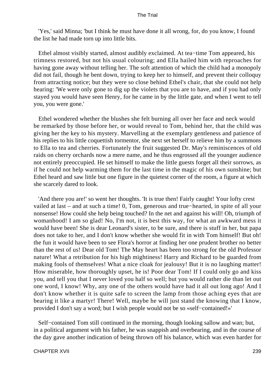'Yes,' said Minna; 'but I think he must have done it all wrong, for, do you know, I found the list he had made torn up into little bits.

 Ethel almost visibly started, almost audibly exclaimed. At tea−time Tom appeared, his trimness restored, but not his usual colouring; and Ella hailed him with reproaches for having gone away without telling her. The soft attention of which the child had a monopoly did not fail, though he bent down, trying to keep her to himself, and prevent their colloquy from attracting notice; but they were so close behind Ethel's chair, that she could not help hearing: 'We were only gone to dig up the violets that you are to have, and if you had only stayed you would have seen Henry, for he came in by the little gate, and when I went to tell you, you were gone.'

 Ethel wondered whether the blushes she felt burning all over her face and neck would be remarked by those before her, or would reveal to Tom, behind her, that the child was giving her the key to his mystery. Marvelling at the exemplary gentleness and patience of his replies to his little coquettish tormentor, she next set herself to relieve him by a summons to Ella to tea and cherries. Fortunately the fruit suggested Dr. May's reminiscences of old raids on cherry orchards now a mere name, and he thus engrossed all the younger audience not entirely preoccupied. He set himself to make the little guests forget all their sorrows, as if he could not help warming them for the last time in the magic of his own sunshine; but Ethel heard and saw little but one figure in the quietest corner of the room, a figure at which she scarcely dared to look.

 'And there you are!' so went her thoughts. 'It is true then! Fairly caught! Your lofty crest vailed at last – and at such a time! 0, Tom, generous and true−hearted, in spite of all your nonsense! How could she help being touched? In the net and against his will! Oh, triumph of womanhood! I am so glad! No, I'm not, it is best this way, for what an awkward mess it would have been! She is dear Leonard's sister, to be sure, and there is stuff in her, but papa does not take to her, and I don't know whether she would fit in with Tom himself! But oh! the fun it would have been to see Flora's horror at finding her one prudent brother no better than the rest of us! Dear old Tom! The May heart has been too strong for the old Professor nature! What a retribution for his high mightiness! Harry and Richard to be guarded from making fools of themselves! What a nice cloak for jealousy! But it is no laughing matter! How miserable, how thoroughly upset, he is! Poor dear Tom! If I could only go and kiss you, and tell you that I never loved you half so well; but you would rather die than let out one word, I know! Why, any one of the others would have had it all out long ago! And I don't know whether it is quite safe to screen the lamp from those aching eyes that are bearing it like a martyr! There! Well, maybe he will just stand the knowing that I know, provided I don't say a word; but I wish people would not be so «self−contained!»'

 Self−contained Tom still continued in the morning, though looking sallow and wan; but, in a political argument with his father, he was snappish and overbearing, and in the course of the day gave another indication of being thrown off his balance, which was even harder for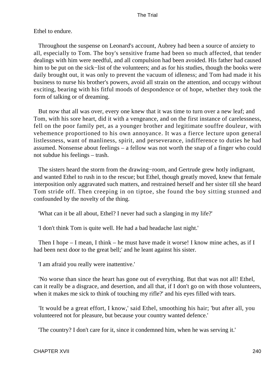Ethel to endure.

 Throughout the suspense on Leonard's account, Aubrey had been a source of anxiety to all, especially to Tom. The boy's sensitive frame had been so much affected, that tender dealings with him were needful, and all compulsion had been avoided. His father had caused him to be put on the sick−list of the volunteers; and as for his studies, though the books were daily brought out, it was only to prevent the vacuum of idleness; and Tom had made it his business to nurse his brother's powers, avoid all strain on the attention, and occupy without exciting, bearing with his fitful moods of despondence or of hope, whether they took the form of talking or of dreaming.

 But now that all was over, every one knew that it was time to turn over a new leaf; and Tom, with his sore heart, did it with a vengeance, and on the first instance of carelessness, fell on the poor family pet, as a younger brother and legitimate souffre douleur, with vehemence proportioned to his own annoyance. It was a fierce lecture upon general listlessness, want of manliness, spirit, and perseverance, indifference to duties he had assumed. Nonsense about feelings – a fellow was not worth the snap of a finger who could not subdue his feelings – trash.

 The sisters heard the storm from the drawing−room, and Gertrude grew hotly indignant, and wanted Ethel to rush in to the rescue; but Ethel, though greatly moved, knew that female interposition only aggravated such matters, and restrained herself and her sister till she heard Tom stride off. Then creeping in on tiptoe, she found the boy sitting stunned and confounded by the novelty of the thing.

'What can it be all about, Ethel? I never had such a slanging in my life?'

'I don't think Tom is quite well. He had a bad headache last night.'

 Then I hope – I mean, I think – he must have made it worse! I know mine aches, as if I had been next door to the great bell;' and he leant against his sister.

'I am afraid you really were inattentive.'

 'No worse than since the heart has gone out of everything. But that was not all! Ethel, can it really be a disgrace, and desertion, and all that, if I don't go on with those volunteers, when it makes me sick to think of touching my rifle?' and his eyes filled with tears.

 'It would be a great effort, I know,' said Ethel, smoothing his hair; 'but after all, you volunteered not for pleasure, but because your country wanted defence.'

'The country? I don't care for it, since it condemned him, when he was serving it.'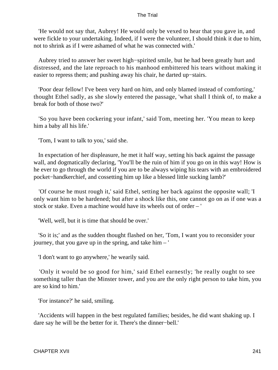'He would not say that, Aubrey! He would only be vexed to hear that you gave in, and were fickle to your undertaking. Indeed, if I were the volunteer, I should think it due to him, not to shrink as if I were ashamed of what he was connected with.'

 Aubrey tried to answer her sweet high−spirited smile, but he had been greatly hurt and distressed, and the late reproach to his manhood embittered his tears without making it easier to repress them; and pushing away his chair, he darted up−stairs.

 'Poor dear fellow! I've been very hard on him, and only blamed instead of comforting,' thought Ethel sadly, as she slowly entered the passage, 'what shall I think of, to make a break for both of those two?'

 'So you have been cockering your infant,' said Tom, meeting her. 'You mean to keep him a baby all his life.'

'Tom, I want to talk to you,' said she.

 In expectation of her displeasure, he met it half way, setting his back against the passage wall, and dogmatically declaring, 'You'll be the ruin of him if you go on in this way! How is he ever to go through the world if you are to be always wiping his tears with an embroidered pocket−handkerchief, and cossetting him up like a blessed little sucking lamb?'

 'Of course he must rough it,' said Ethel, setting her back against the opposite wall; 'I only want him to be hardened; but after a shock like this, one cannot go on as if one was a stock or stake. Even a machine would have its wheels out of order – '

'Well, well, but it is time that should be over.'

 'So it is;' and as the sudden thought flashed on her, 'Tom, I want you to reconsider your journey, that you gave up in the spring, and take him – '

'I don't want to go anywhere,' he wearily said.

 'Only it would be so good for him,' said Ethel earnestly; 'he really ought to see something taller than the Minster tower, and you are the only right person to take him, you are so kind to him.'

'For instance?' he said, smiling.

 'Accidents will happen in the best regulated families; besides, he did want shaking up. I dare say he will be the better for it. There's the dinner−bell.'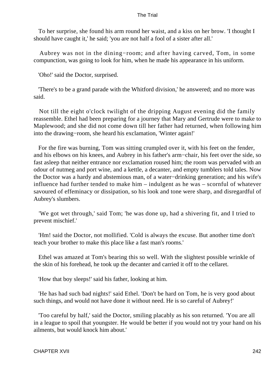To her surprise, she found his arm round her waist, and a kiss on her brow. 'I thought I should have caught it,' he said; 'you are not half a fool of a sister after all.'

 Aubrey was not in the dining−room; and after having carved, Tom, in some compunction, was going to look for him, when he made his appearance in his uniform.

'Oho!' said the Doctor, surprised.

 'There's to be a grand parade with the Whitford division,' he answered; and no more was said.

 Not till the eight o'clock twilight of the dripping August evening did the family reassemble. Ethel had been preparing for a journey that Mary and Gertrude were to make to Maplewood; and she did not come down till her father had returned, when following him into the drawing−room, she heard his exclamation, 'Winter again!'

 For the fire was burning, Tom was sitting crumpled over it, with his feet on the fender, and his elbows on his knees, and Aubrey in his father's arm−chair, his feet over the side, so fast asleep that neither entrance nor exclamation roused him; the room was pervaded with an odour of nutmeg and port wine, and a kettle, a decanter, and empty tumblers told tales. Now the Doctor was a hardy and abstemious man, of a water−drinking generation; and his wife's influence had further tended to make him – indulgent as he was – scornful of whatever savoured of effeminacy or dissipation, so his look and tone were sharp, and disregardful of Aubrey's slumbers.

 'We got wet through,' said Tom; 'he was done up, had a shivering fit, and I tried to prevent mischief.'

 'Hm! said the Doctor, not mollified. 'Cold is always the excuse. But another time don't teach your brother to make this place like a fast man's rooms.'

 Ethel was amazed at Tom's bearing this so well. With the slightest possible wrinkle of the skin of his forehead, he took up the decanter and carried it off to the cellaret.

'How that boy sleeps!' said his father, looking at him.

 'He has had such bad nights!' said Ethel. 'Don't be hard on Tom, he is very good about such things, and would not have done it without need. He is so careful of Aubrey!'

 'Too careful by half,' said the Doctor, smiling placably as his son returned. 'You are all in a league to spoil that youngster. He would be better if you would not try your hand on his ailments, but would knock him about.'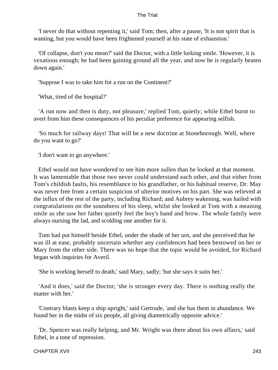'I never do that without repenting it,' said Tom; then, after a pause, 'It is not spirit that is wanting, but you would have been frightened yourself at his state of exhaustion.'

 'Of collapse, don't you mean?' said the Doctor, with a little lurking smile. 'However, it is vexatious enough; he had been gaining ground all the year, and now he is regularly beaten down again.'

'Suppose I was to take him for a run on the Continent?'

'What, tired of the hospital?'

 'A run now and then is duty, not pleasure,' replied Tom, quietly; while Ethel burnt to avert from him these consequences of his peculiar preference for appearing selfish.

 'So much for railway days! That will be a new doctrine at Stoneborough. Well, where do you want to go?'

'I don't want to go anywhere.'

 Ethel would not have wondered to see him more sullen than he looked at that moment. It was lamentable that those two never could understand each other, and that either from Tom's childish faults, his resemblance to his grandfather, or his habitual reserve, Dr. May was never free from a certain suspicion of ulterior motives on his part. She was relieved at the influx of the rest of the party, including Richard; and Aubrey wakening, was hailed with congratulations on the soundness of his sleep, whilst she looked at Tom with a meaning smile as she saw her father quietly feel the boy's hand and brow. The whole family were always nursing the lad, and scolding one another for it.

 Tom had put himself beside Ethel, under the shade of her urn, and she perceived that he was ill at ease, probably uncertain whether any confidences had been bestowed on her or Mary from the other side. There was no hope that the topic would be avoided, for Richard began with inquiries for Averil.

'She is working herself to death,' said Mary, sadly; 'but she says it suits her.'

 'And it does,' said the Doctor; 'she is stronger every day. There is nothing really the matter with her.'

 'Contrary blasts keep a ship upright,' said Gertrude, 'and she has them in abundance. We found her in the midst of six people, all giving diametrically opposite advice.'

 'Dr. Spencer was really helping, and Mr. Wright was there about his own affairs,' said Ethel, in a tone of repression.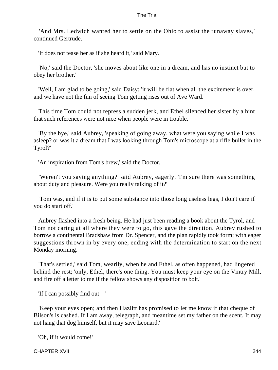'And Mrs. Ledwich wanted her to settle on the Ohio to assist the runaway slaves,' continued Gertrude.

'It does not tease her as if she heard it,' said Mary.

 'No,' said the Doctor, 'she moves about like one in a dream, and has no instinct but to obey her brother.'

 'Well, I am glad to be going,' said Daisy; 'it will be flat when all the excitement is over, and we have not the fun of seeing Tom getting rises out of Ave Ward.'

 This time Tom could not repress a sudden jerk, and Ethel silenced her sister by a hint that such references were not nice when people were in trouble.

 'By the bye,' said Aubrey, 'speaking of going away, what were you saying while I was asleep? or was it a dream that I was looking through Tom's microscope at a rifle bullet in the Tyrol?'

'An inspiration from Tom's brew,' said the Doctor.

 'Weren't you saying anything?' said Aubrey, eagerly. 'I'm sure there was something about duty and pleasure. Were you really talking of it?'

 'Tom was, and if it is to put some substance into those long useless legs, I don't care if you do start off.'

 Aubrey flashed into a fresh being. He had just been reading a book about the Tyrol, and Tom not caring at all where they were to go, this gave the direction. Aubrey rushed to borrow a continental Bradshaw from Dr. Spencer, and the plan rapidly took form; with eager suggestions thrown in by every one, ending with the determination to start on the next Monday morning.

 'That's settled,' said Tom, wearily, when he and Ethel, as often happened, had lingered behind the rest; 'only, Ethel, there's one thing. You must keep your eye on the Vintry Mill, and fire off a letter to me if the fellow shows any disposition to bolt.'

'If I can possibly find out – '

 'Keep your eyes open; and then Hazlitt has promised to let me know if that cheque of Bilson's is cashed. If I am away, telegraph, and meantime set my father on the scent. It may not hang that dog himself, but it may save Leonard.'

'Oh, if it would come!'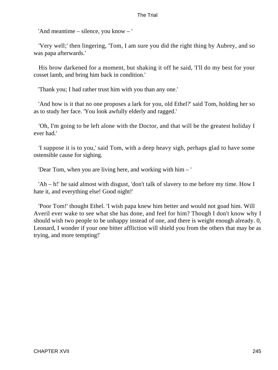'And meantime – silence, you know – '

 'Very well;' then lingering, 'Tom, I am sure you did the right thing by Aubrey, and so was papa afterwards.'

 His brow darkened for a moment, but shaking it off he said, 'I'll do my best for your cosset lamb, and bring him back in condition.'

'Thank you; I had rather trust him with you than any one.'

 'And how is it that no one proposes a lark for you, old Ethel?' said Tom, holding her so as to study her face. 'You look awfully elderly and ragged.'

 'Oh, I'm going to be left alone with the Doctor, and that will be the greatest holiday I ever had.'

 'I suppose it is to you,' said Tom, with a deep heavy sigh, perhaps glad to have some ostensible cause for sighing.

'Dear Tom, when you are living here, and working with him – '

 'Ah – h!' he said almost with disgust, 'don't talk of slavery to me before my time. How I hate it, and everything else! Good night!'

 'Poor Tom!' thought Ethel. 'I wish papa knew him better and would not goad him. Will Averil ever wake to see what she has done, and feel for him? Though I don't know why I should wish two people to be unhappy instead of one, and there is weight enough already. 0, Leonard, I wonder if your one bitter affliction will shield you from the others that may be as trying, and more tempting!'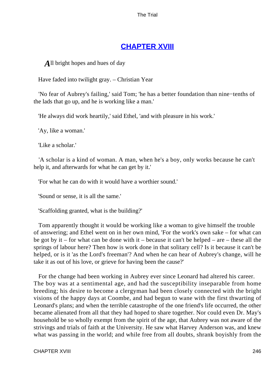# **[CHAPTER XVIII](#page-414-0)**

*A*ll bright hopes and hues of day

Have faded into twilight gray. – Christian Year

 'No fear of Aubrey's failing,' said Tom; 'he has a better foundation than nine−tenths of the lads that go up, and he is working like a man.'

'He always did work heartily,' said Ethel, 'and with pleasure in his work.'

'Ay, like a woman.'

'Like a scholar.'

 'A scholar is a kind of woman. A man, when he's a boy, only works because he can't help it, and afterwards for what he can get by it.'

'For what he can do with it would have a worthier sound.'

'Sound or sense, it is all the same.'

'Scaffolding granted, what is the building?'

 Tom apparently thought it would be working like a woman to give himself the trouble of answering; and Ethel went on in her own mind, 'For the work's own sake – for what can be got by it – for what can be done with it – because it can't be helped – are – these all the springs of labour here? Then how is work done in that solitary cell? Is it because it can't be helped, or is it 'as the Lord's freeman'? And when he can hear of Aubrey's change, will he take it as out of his love, or grieve for having been the cause?'

 For the change had been working in Aubrey ever since Leonard had altered his career. The boy was at a sentimental age, and had the susceptibility inseparable from home breeding; his desire to become a clergyman had been closely connected with the bright visions of the happy days at Coombe, and had begun to wane with the first thwarting of Leonard's plans; and when the terrible catastrophe of the one friend's life occurred, the other became alienated from all that they had hoped to share together. Nor could even Dr. May's household be so wholly exempt from the spirit of the age, that Aubrey was not aware of the strivings and trials of faith at the University. He saw what Harvey Anderson was, and knew what was passing in the world; and while free from all doubts, shrank boyishly from the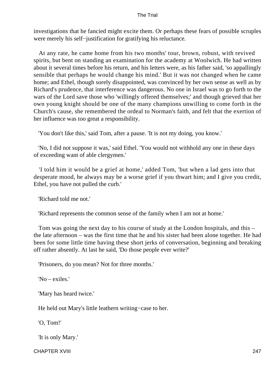investigations that he fancied might excite them. Or perhaps these fears of possible scruples were merely his self−justification for gratifying his reluctance.

 At any rate, he came home from his two months' tour, brown, robust, with revived spirits, but bent on standing an examination for the academy at Woolwich. He had written about it several times before his return, and his letters were, as his father said, 'so appallingly sensible that perhaps he would change his mind.' But it was not changed when he came home; and Ethel, though sorely disappointed, was convinced by her own sense as well as by Richard's prudence, that interference was dangerous. No one in Israel was to go forth to the wars of the Lord save those who 'willingly offered themselves;' and though grieved that her own young knight should be one of the many champions unwilling to come forth in the Church's cause, she remembered the ordeal to Norman's faith, and felt that the exertion of her influence was too great a responsibility.

'You don't like this,' said Tom, after a pause. 'It is not my doing, you know.'

 'No, I did not suppose it was,' said Ethel. 'You would not withhold any one in these days of exceeding want of able clergymen.'

 'I told him it would be a grief at home,' added Tom, 'but when a lad gets into that desperate mood, he always may be a worse grief if you thwart him; and I give you credit, Ethel, you have not pulled the curb.'

'Richard told me not.'

'Richard represents the common sense of the family when I am not at home.'

 Tom was going the next day to his course of study at the London hospitals, and this – the late afternoon – was the first time that he and his sister had been alone together. He had been for some little time having these short jerks of conversation, beginning and breaking off rather absently. At last he said, 'Do those people ever write?'

'Prisoners, do you mean? Not for three months.'

'No – exiles.'

'Mary has heard twice.'

He held out Mary's little leathern writing−case to her.

'O, Tom!'

'It is only Mary.'

CHAPTER XVIII 247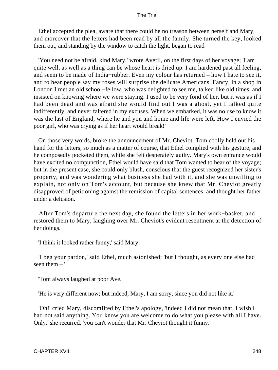Ethel accepted the plea, aware that there could be no treason between herself and Mary, and moreover that the letters had been read by all the family. She turned the key, looked them out, and standing by the window to catch the light, began to read –

 'You need not be afraid, kind Mary,' wrote Averil, on the first days of her voyage; 'I am quite well, as well as a thing can be whose heart is dried up. I am hardened past all feeling, and seem to be made of India−rubber. Even my colour has returned – how I hate to see it, and to hear people say my roses will surprise the delicate Americans. Fancy, in a shop in London I met an old school−fellow, who was delighted to see me, talked like old times, and insisted on knowing where we were staying. I used to be very fond of her, but it was as if I had been dead and was afraid she would find out I was a ghost, yet I talked quite indifferently, and never faltered in my excuses. When we embarked, it was no use to know it was the last of England, where he and you and home and life were left. How I envied the poor girl, who was crying as if her heart would break!'

 On those very words, broke the announcement of Mr. Cheviot. Tom coolly held out his hand for the letters, so much as a matter of course, that Ethel complied with his gesture, and he composedly pocketed them, while she felt desperately guilty. Mary's own entrance would have excited no compunction, Ethel would have said that Tom wanted to hear of the voyage; but in the present case, she could only blush, conscious that the guest recognized her sister's property, and was wondering what business she had with it, and she was unwilling to explain, not only on Tom's account, but because she knew that Mr. Cheviot greatly disapproved of petitioning against the remission of capital sentences, and thought her father under a delusion.

 After Tom's departure the next day, she found the letters in her work−basket, and restored them to Mary, laughing over Mr. Cheviot's evident resentment at the detection of her doings.

'I think it looked rather funny,' said Mary.

 'I beg your pardon,' said Ethel, much astonished; 'but I thought, as every one else had seen them  $-$ '

'Tom always laughed at poor Ave.'

'He is very different now; but indeed, Mary, I am sorry, since you did not like it.'

 'Oh!' cried Mary, discomfited by Ethel's apology, 'indeed I did not mean that, I wish I had not said anything. You know you are welcome to do what you please with all I have. Only,' she recurred, 'you can't wonder that Mr. Cheviot thought it funny.'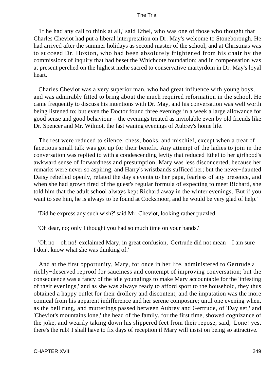'If he had any call to think at all,' said Ethel, who was one of those who thought that Charles Cheviot had put a liberal interpretation on Dr. May's welcome to Stoneborough. He had arrived after the summer holidays as second master of the school, and at Christmas was to succeed Dr. Hoxton, who had been absolutely frightened from his chair by the commissions of inquiry that had beset the Whichcote foundation; and in compensation was at present perched on the highest niche sacred to conservative martyrdom in Dr. May's loyal heart.

 Charles Cheviot was a very superior man, who had great influence with young boys, and was admirably fitted to bring about the much required reformation in the school. He came frequently to discuss his intentions with Dr. May, and his conversation was well worth being listened to; but even the Doctor found three evenings in a week a large allowance for good sense and good behaviour – the evenings treated as inviolable even by old friends like Dr. Spencer and Mr. Wilmot, the fast waning evenings of Aubrey's home life.

 The rest were reduced to silence, chess, books, and mischief, except when a treat of facetious small talk was got up for their benefit. Any attempt of the ladies to join in the conversation was replied to with a condescending levity that reduced Ethel to her girlhood's awkward sense of forwardness and presumption; Mary was less disconcerted, because her remarks were never so aspiring, and Harry's wristbands sufficed her; but the never−daunted Daisy rebelled openly, related the day's events to her papa, fearless of any presence, and when she had grown tired of the guest's regular formula of expecting to meet Richard, she told him that the adult school always kept Richard away in the winter evenings; 'But if you want to see him, he is always to be found at Cocksmoor, and he would be very glad of help.'

'Did he express any such wish?' said Mr. Cheviot, looking rather puzzled.

'Oh dear, no; only I thought you had so much time on your hands.'

 'Oh no – oh no!' exclaimed Mary, in great confusion, 'Gertrude did not mean – I am sure I don't know what she was thinking of.'

 And at the first opportunity, Mary, for once in her life, administered to Gertrude a richly−deserved reproof for sauciness and contempt of improving conversation; but the consequence was a fancy of the idle younglings to make Mary accountable for the 'infesting of their evenings,' and as she was always ready to afford sport to the household, they thus obtained a happy outlet for their drollery and discontent, and the imputation was the more comical from his apparent indifference and her serene composure; until one evening when, as the bell rung, and mutterings passed between Aubrey and Gertrude, of 'Day set,' and 'Cheviot's mountains lone,' the head of the family, for the first time, showed cognizance of the joke, and wearily taking down his slippered feet from their repose, said, 'Lone! yes, there's the rub! I shall have to fix days of reception if Mary will insist on being so attractive.'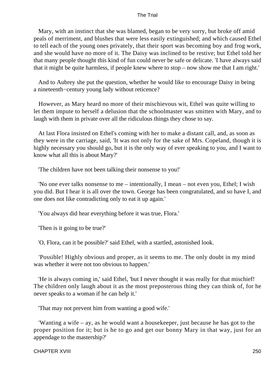Mary, with an instinct that she was blamed, began to be very sorry, but broke off amid peals of merriment, and blushes that were less easily extinguished; and which caused Ethel to tell each of the young ones privately, that their sport was becoming boy and frog work, and she would have no more of it. The Daisy was inclined to be restive; but Ethel told her that many people thought this kind of fun could never be safe or delicate. 'I have always said that it might be quite harmless, if people knew where to stop – now show me that I am right.'

 And to Aubrey she put the question, whether he would like to encourage Daisy in being a nineteenth−century young lady without reticence?

 However, as Mary heard no more of their mischievous wit, Ethel was quite willing to let them impute to herself a delusion that the schoolmaster was smitten with Mary, and to laugh with them in private over all the ridiculous things they chose to say.

 At last Flora insisted on Ethel's coming with her to make a distant call, and, as soon as they were in the carriage, said, 'It was not only for the sake of Mrs. Copeland, though it is highly necessary you should go, but it is the only way of ever speaking to you, and I want to know what all this is about Mary?'

'The children have not been talking their nonsense to you!'

 'No one ever talks nonsense to me – intentionally, I mean – not even you, Ethel; I wish you did. But I hear it is all over the town. George has been congratulated, and so have I, and one does not like contradicting only to eat it up again.'

'You always did hear everything before it was true, Flora.'

'Then is it going to be true?'

'O, Flora, can it be possible?' said Ethel, with a startled, astonished look.

 'Possible! Highly obvious and proper, as it seems to me. The only doubt in my mind was whether it were not too obvious to happen.'

 'He is always coming in,' said Ethel, 'but I never thought it was really for that mischief! The children only laugh about it as the most preposterous thing they can think of, for he never speaks to a woman if he can help it.'

'That may not prevent him from wanting a good wife.'

 'Wanting a wife – ay, as he would want a housekeeper, just because he has got to the proper position for it; but is he to go and get our bonny Mary in that way, just for an appendage to the mastership?'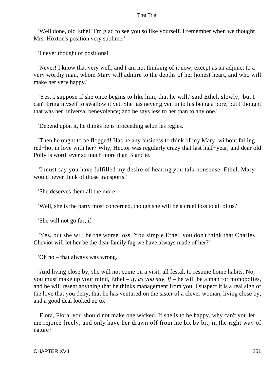'Well done, old Ethel! I'm glad to see you so like yourself. I remember when we thought Mrs. Hoxton's position very sublime.'

'I never thought of positions!'

 'Never! I know that very well; and I am not thinking of it now, except as an adjunct to a very worthy man, whom Mary will admire to the depths of her honest heart, and who will make her very happy.'

 'Yes, I suppose if she once begins to like him, that he will,' said Ethel, slowly; 'but I can't bring myself to swallow it yet. She has never given in to his being a bore, but I thought that was her universal benevolence; and he says less to her than to any one.'

'Depend upon it, he thinks he is proceeding selon les regles.'

 'Then he ought to be flogged! Has he any business to think of my Mary, without falling red−hot in love with her? Why, Hector was regularly crazy that last half−year; and dear old Polly is worth ever so much more than Blanche.'

 'I must say you have fulfilled my desire of hearing you talk nonsense, Ethel. Mary would never think of those transports.'

'She deserves them all the more.'

'Well, she is the party most concerned, though she will be a cruel loss to all of us.'

'She will not go far, if  $-$ '

 'Yes, but she will be the worse loss. You simple Ethel, you don't think that Charles Cheviot will let her be the dear family fag we have always made of her?'

'Oh no – that always was wrong.'

 'And living close by, she will not come on a visit, all festal, to resume home habits. No, you must make up your mind, Ethel – *if, as you say, if* – he will be a man for monopolies, and he will resent anything that he thinks management from you. I suspect it is a real sign of the love that you deny, that he has ventured on the sister of a clever woman, living close by, and a good deal looked up to.'

 'Flora, Flora, you should not make one wicked. If she is to be happy, why can't you let me rejoice freely, and only have her drawn off from me bit by bit, in the right way of nature?'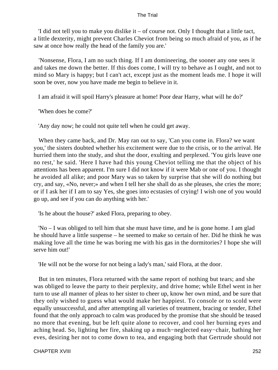'I did not tell you to make you dislike it – of course not. Only I thought that a little tact, a little dexterity, might prevent Charles Cheviot from being so much afraid of you, as if he saw at once how really the head of the family you are.'

 'Nonsense, Flora, I am no such thing. If I am domineering, the sooner any one sees it and takes me down the better. If this does come, I will try to behave as I ought, and not to mind so Mary is happy; but I can't act, except just as the moment leads me. I hope it will soon be over, now you have made me begin to believe in it.

I am afraid it will spoil Harry's pleasure at home! Poor dear Harry, what will he do?'

'When does he come?'

'Any day now; he could not quite tell when he could get away.

 When they came back, and Dr. May ran out to say, 'Can you come in. Flora? we want you,' the sisters doubted whether his excitement were due to the crisis, or to the arrival. He hurried them into the study, and shut the door, exulting and perplexed. 'You girls leave one no rest,' he said. 'Here I have had this young Cheviot telling me that the object of his attentions has been apparent. I'm sure I did not know if it were Mab or one of you. I thought he avoided all alike; and poor Mary was so taken by surprise that she will do nothing but cry, and say, «No, never;» and when I tell her she shall do as she pleases, she cries the more; or if I ask her if I am to say Yes, she goes into ecstasies of crying! I wish one of you would go up, and see if you can do anything with her.'

'Is he about the house?' asked Flora, preparing to obey.

 'No – I was obliged to tell him that she must have time, and he is gone home. I am glad he should have a little suspense – he seemed to make so certain of her. Did he think he was making love all the time he was boring me with his gas in the dormitories? I hope she will serve him out!'

'He will not be the worse for not being a lady's man,' said Flora, at the door.

 But in ten minutes, Flora returned with the same report of nothing but tears; and she was obliged to leave the party to their perplexity, and drive home; while Ethel went in her turn to use all manner of pleas to her sister to cheer up, know her own mind, and be sure that they only wished to guess what would make her happiest. To console or to scold were equally unsuccessful, and after attempting all varieties of treatment, bracing or tender, Ethel found that the only approach to calm was produced by the promise that she should be teased no more that evening, but be left quite alone to recover, and cool her burning eyes and aching head. So, lighting her fire, shaking up a much−neglected easy−chair, bathing her eves, desiring her not to come down to tea, and engaging both that Gertrude should not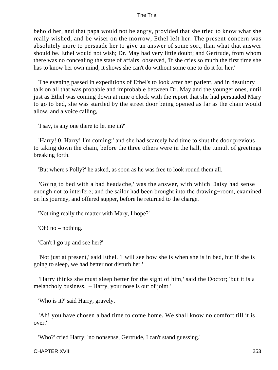behold her, and that papa would not be angry, provided that she tried to know what she really wished, and be wiser on the morrow, Ethel left her. The present concern was absolutely more to persuade her to give an answer of some sort, than what that answer should be. Ethel would not wish; Dr. May had very little doubt; and Gertrude, from whom there was no concealing the state of affairs, observed, 'If she cries so much the first time she has to know her own mind, it shows she can't do without some one to do it for her.'

 The evening passed in expeditions of Ethel's to look after her patient, and in desultory talk on all that was probable and improbable between Dr. May and the younger ones, until just as Ethel was coming down at nine o'clock with the report that she had persuaded Mary to go to bed, she was startled by the street door being opened as far as the chain would allow, and a voice calling,

'I say, is any one there to let me in?'

 'Harry! 0, Harry! I'm coming;' and she had scarcely had time to shut the door previous to taking down the chain, before the three others were in the hall, the tumult of greetings breaking forth.

'But where's Polly?' he asked, as soon as he was free to look round them all.

 'Going to bed with a bad headache,' was the answer, with which Daisy had sense enough not to interfere; and the sailor had been brought into the drawing−room, examined on his journey, and offered supper, before he returned to the charge.

'Nothing really the matter with Mary, I hope?'

'Oh! no – nothing.'

'Can't I go up and see her?'

 'Not just at present,' said Ethel. 'I will see how she is when she is in bed, but if she is going to sleep, we had better not disturb her.'

 'Harry thinks she must sleep better for the sight of him,' said the Doctor; 'but it is a melancholy business. – Harry, your nose is out of joint.'

'Who is it?' said Harry, gravely.

 'Ah! you have chosen a bad time to come home. We shall know no comfort till it is over.'

'Who?' cried Harry; 'no nonsense, Gertrude, I can't stand guessing.'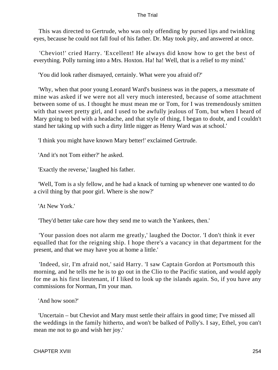This was directed to Gertrude, who was only offending by pursed lips and twinkling eyes, because he could not fall foul of his father. Dr. May took pity, and answered at once.

 'Cheviot!' cried Harry. 'Excellent! He always did know how to get the best of everything. Polly turning into a Mrs. Hoxton. Ha! ha! Well, that is a relief to my mind.'

'You did look rather dismayed, certainly. What were you afraid of?'

 'Why, when that poor young Leonard Ward's business was in the papers, a messmate of mine was asked if we were not all very much interested, because of some attachment between some of us. I thought he must mean me or Tom, for I was tremendously smitten with that sweet pretty girl, and I used to be awfully jealous of Tom, but when I heard of Mary going to bed with a headache, and that style of thing, I began to doubt, and I couldn't stand her taking up with such a dirty little nigger as Henry Ward was at school.'

'I think you might have known Mary better!' exclaimed Gertrude.

'And it's not Tom either?' he asked.

'Exactly the reverse,' laughed his father.

 'Well, Tom is a sly fellow, and he had a knack of turning up whenever one wanted to do a civil thing by that poor girl. Where is she now?'

'At New York.'

'They'd better take care how they send me to watch the Yankees, then.'

 'Your passion does not alarm me greatly,' laughed the Doctor. 'I don't think it ever equalled that for the reigning ship. I hope there's a vacancy in that department for the present, and that we may have you at home a little.'

 'Indeed, sir, I'm afraid not,' said Harry. 'I saw Captain Gordon at Portsmouth this morning, and he tells me he is to go out in the Clio to the Pacific station, and would apply for me as his first lieutenant, if I liked to look up the islands again. So, if you have any commissions for Norman, I'm your man.

'And how soon?'

 'Uncertain – but Cheviot and Mary must settle their affairs in good time; I've missed all the weddings in the family hitherto, and won't be balked of Polly's. I say, Ethel, you can't mean me not to go and wish her joy.'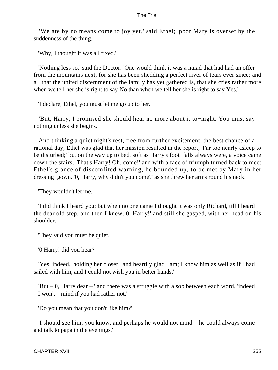'We are by no means come to joy yet,' said Ethel; 'poor Mary is overset by the suddenness of the thing.'

'Why, I thought it was all fixed.'

 'Nothing less so,' said the Doctor. 'One would think it was a naiad that had had an offer from the mountains next, for she has been shedding a perfect river of tears ever since; and all that the united discernment of the family has yet gathered is, that she cries rather more when we tell her she is right to say No than when we tell her she is right to say Yes.'

'I declare, Ethel, you must let me go up to her.'

 'But, Harry, I promised she should hear no more about it to−night. You must say nothing unless she begins.'

 And thinking a quiet night's rest, free from further excitement, the best chance of a rational day, Ethel was glad that her mission resulted in the report, 'Far too nearly asleep to be disturbed;' but on the way up to bed, soft as Harry's foot−falls always were, a voice came down the stairs, 'That's Harry! Oh, come!' and with a face of triumph turned back to meet Ethel's glance of discomfited warning, he bounded up, to be met by Mary in her dressing−gown. '0, Harry, why didn't you come?' as she threw her arms round his neck.

'They wouldn't let me.'

 'I did think I heard you; but when no one came I thought it was only Richard, till I heard the dear old step, and then I knew. 0, Harry!' and still she gasped, with her head on his shoulder.

'They said you must be quiet.'

'0 Harry! did you hear?'

 'Yes, indeed,' holding her closer, 'and heartily glad I am; I know him as well as if I had sailed with him, and I could not wish you in better hands.'

 'But – 0, Harry dear – ' and there was a struggle with a sob between each word, 'indeed – I won't – mind if you had rather not.'

'Do you mean that you don't like him?'

 'I should see him, you know, and perhaps he would not mind – he could always come and talk to papa in the evenings.'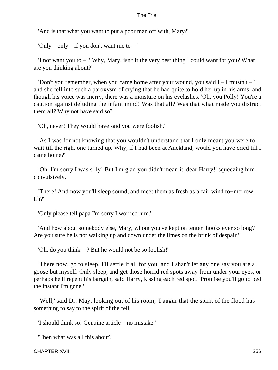'And is that what you want to put a poor man off with, Mary?'

'Only – only – if you don't want me to – '

'I not want you to  $-$  ? Why, Mary, isn't it the very best thing I could want for you? What are you thinking about?'

 'Don't you remember, when you came home after your wound, you said I – I mustn't – ' and she fell into such a paroxysm of crying that he had quite to hold her up in his arms, and though his voice was merry, there was a moisture on his eyelashes. 'Oh, you Polly! You're a caution against deluding the infant mind! Was that all? Was that what made you distract them all? Why not have said so?'

'Oh, never! They would have said you were foolish.'

 'As I was for not knowing that you wouldn't understand that I only meant you were to wait till the right one turned up. Why, if I had been at Auckland, would you have cried till I came home?'

 'Oh, I'm sorry I was silly! But I'm glad you didn't mean it, dear Harry!' squeezing him convulsively.

 'There! And now you'll sleep sound, and meet them as fresh as a fair wind to−morrow. Eh?'

'Only please tell papa I'm sorry I worried him.'

 'And how about somebody else, Mary, whom you've kept on tenter−hooks ever so long? Are you sure he is not walking up and down under the limes on the brink of despair?'

'Oh, do you think – ? But he would not be so foolish!'

 'There now, go to sleep. I'll settle it all for you, and I shan't let any one say you are a goose but myself. Only sleep, and get those horrid red spots away from under your eyes, or perhaps he'll repent his bargain, said Harry, kissing each red spot. 'Promise you'll go to bed the instant I'm gone.'

 'Well,' said Dr. May, looking out of his room, 'I augur that the spirit of the flood has something to say to the spirit of the fell.'

'I should think so! Genuine article – no mistake.'

'Then what was all this about?'

CHAPTER XVIII 256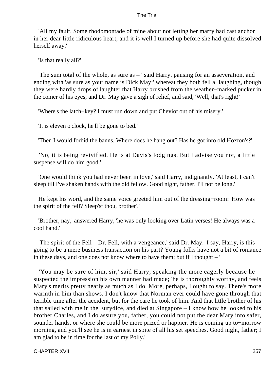'All my fault. Some rhodomontade of mine about not letting her marry had cast anchor in her dear little ridiculous heart, and it is well I turned up before she had quite dissolved herself away.'

'Is that really all?'

 'The sum total of the whole, as sure as – ' said Harry, pausing for an asseveration, and ending with 'as sure as your name is Dick May;' whereat they both fell a−laughing, though they were hardly drops of laughter that Harry brushed from the weather−marked pucker in the comer of his eyes; and Dr. May gave a sigh of relief, and said, 'Well, that's right!'

'Where's the latch−key? I must run down and put Cheviot out of his misery.'

'It is eleven o'clock, he'll be gone to bed.'

'Then I would forbid the banns. Where does he hang out? Has he got into old Hoxton's?'

 'No, it is being revivified. He is at Davis's lodgings. But I advise you not, a little suspense will do him good.'

 'One would think you had never been in love,' said Harry, indignantly. 'At least, I can't sleep till I've shaken hands with the old fellow. Good night, father. I'll not be long.'

 He kept his word, and the same voice greeted him out of the dressing−room: 'How was the spirit of the fell? Sleep'st thou, brother?'

 'Brother, nay,' answered Harry, 'he was only looking over Latin verses! He always was a cool hand.'

 'The spirit of the Fell – Dr. Fell, with a vengeance,' said Dr. May. 'I say, Harry, is this going to be a mere business transaction on his part? Young folks have not a bit of romance in these days, and one does not know where to have them; but if I thought – '

 'You may be sure of him, sir,' said Harry, speaking the more eagerly because he suspected the impression his own manner had made; 'he is thoroughly worthy, and feels Mary's merits pretty nearly as much as I do. More, perhaps, I ought to say. There's more warmth in him than shows. I don't know that Norman ever could have gone through that terrible time after the accident, but for the care he took of him. And that little brother of his that sailed with me in the Eurydice, and died at Singapore – I know how he looked to his brother Charles, and I do assure you, father, you could not put the dear Mary into safer, sounder hands, or where she could be more prized or happier. He is coming up to−morrow morning, and you'll see he is in earnest in spite of all his set speeches. Good night, father; I am glad to be in time for the last of my Polly.'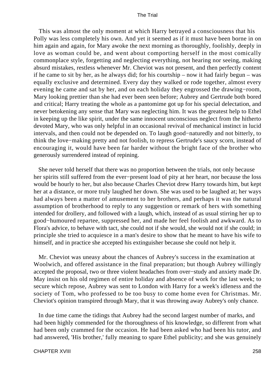This was almost the only moment at which Harry betrayed a consciousness that his Polly was less completely his own. And yet it seemed as if it must have been borne in on him again and again, for Mary awoke the next morning as thoroughly, foolishly, deeply in love as woman could be, and went about comporting herself in the most comically commonplace style, forgetting and neglecting everything, not hearing nor seeing, making absurd mistakes, restless whenever Mr. Cheviot was not present, and then perfectly content if he came to sit by her, as he always did; for his courtship – now it had fairly begun – was equally exclusive and determined. Every day they walked or rode together, almost every evening he came and sat by her, and on each holiday they engrossed the drawing−room, Mary looking prettier than she had ever been seen before; Aubrey and Gertrude both bored and critical; Harry treating the whole as a pantomime got up for his special delectation, and never betokening any sense that Mary was neglecting him. It was the greatest help to Ethel in keeping up the like spirit, under the same innocent unconscious neglect from the hitherto devoted Mary, who was only helpful in an occasional revival of mechanical instinct in lucid intervals, and then could not be depended on. To laugh good−naturedly and not bitterly, to think the love−making pretty and not foolish, to repress Gertrude's saucy scorn, instead of encouraging it, would have been far harder without the bright face of the brother who generously surrendered instead of repining.

 She never told herself that there was no proportion between the trials, not only because her spirits still suffered from the ever−present load of pity at her heart, nor because the loss would be hourly to her, but also because Charles Cheviot drew Harry towards him, but kept her at a distance, or more truly laughed her down. She was used to be laughed at; her ways had always been a matter of amusement to her brothers, and perhaps it was the natural assumption of brotherhood to reply to any suggestion or remark of hers with something intended for drollery, and followed with a laugh, which, instead of as usual stirring her up to good−humoured repartee, suppressed her, and made her feel foolish and awkward. As to Flora's advice, to behave with tact, she could not if she would, she would not if she could; in principle she tried to acquiesce in a man's desire to show that he meant to have his wife to himself, and in practice she accepted his extinguisher because she could not help it.

 Mr. Cheviot was uneasy about the chances of Aubrey's success in the examination at Woolwich, and offered assistance in the final preparation; but though Aubrey willingly accepted the proposal, two or three violent headaches from over−study and anxiety made Dr. May insist on his old regimen of entire holiday and absence of work for the last week; to secure which repose, Aubrey was sent to London with Harry for a week's idleness and the society of Tom, who professed to be too busy to come home even for Christmas. Mr. Cheviot's opinion transpired through Mary, that it was throwing away Aubrey's only chance.

 In due time came the tidings that Aubrey had the second largest number of marks, and had been highly commended for the thoroughness of his knowledge, so different from what had been only crammed for the occasion. He had been asked who had been his tutor, and had answered, 'His brother,' fully meaning to spare Ethel publicity; and she was genuinely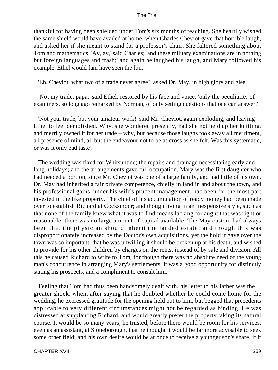thankful for having been shielded under Tom's six months of teaching. She heartily wished the same shield would have availed at home, when Charles Cheviot gave that horrible laugh, and asked her if she meant to stand for a professor's chair. She faltered something about Tom and mathematics. 'Ay, ay,' said Charles; 'and these military examinations are in nothing but foreign languages and trash;' and again he laughed his laugh, and Mary followed his example. Ethel would fain have seen the fun.

'Eh, Cheviot, what two of a trade never agree?' asked Dr. May, in high glory and glee.

 'Not my trade, papa,' said Ethel, restored by his face and voice, 'only the peculiarity of examiners, so long ago remarked by Norman, of only setting questions that one can answer.'

 'Not your trade, but your amateur work!' said Mr. Cheviot, again exploding, and leaving Ethel to feel demolished. Why, she wondered presently, had she not held up her knitting, and merrily owned it for her trade – why, but because those laughs took away all merriment, all presence of mind, all but the endeavour not to be as cross as she felt. Was this systematic, or was it only bad taste?

 The wedding was fixed for Whitsuntide; the repairs and drainage necessitating early and long holidays; and the arrangements gave full occupation. Mary was the first daughter who had needed a portion, since Mr. Cheviot was one of a large family, and had little of his own. Dr. May had inherited a fair private competence, chiefly in land in and about the town, and his professional gains, under his wife's prudent management, had been for the most part invested in the like property. The chief of his accumulation of ready money had been made over to establish Richard at Cocksmoor; and though living in an inexpensive style, such as that none of the family knew what it was to find means lacking for aught that was right or reasonable, there was no large amount of capital available. The May custom had always been that the physician should inherit the landed estate; and though this was disproportionately increased by the Doctor's own acquisitions, yet the hold it gave over the town was so important, that he was unwilling it should be broken up at his death, and wished to provide for his other children by charges on the rents, instead of by sale and division. All this he caused Richard to write to Tom, for though there was no absolute need of the young man's concurrence in arranging Mary's settlements, it was a good opportunity for distinctly stating his prospects, and a compliment to consult him.

 Feeling that Tom had thus been handsomely dealt with, his letter to his father was the greater shock, when, after saying that he doubted whether he could come home for the wedding, he expressed gratitude for the opening held out to him, but begged that precedents applicable to very different circumstances might not be regarded as binding. He was distressed at supplanting Richard, and would greatly prefer the property taking its natural course. It would be so many years, he trusted, before there would be room for his services, even as an assistant, at Stoneborough, that he thought it would be far more advisable to seek some other field; and his own desire would be at once to receive a younger son's share, if it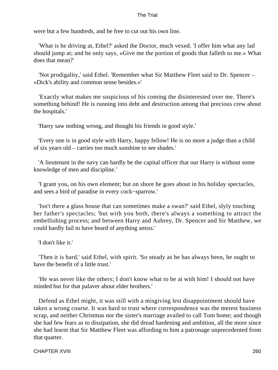were but a few hundreds, and be free to cut out his own line.

 'What is he driving at, Ethel?' asked the Doctor, much vexed. 'I offer him what any lad should jump at; and he only says, «Give me the portion of goods that falleth to me.» What does that mean?'

 'Not prodigality,' said Ethel. 'Remember what Sir Matthew Fleet said to Dr. Spencer – «Dick's ability and common sense besides.»'

 'Exactly what makes me suspicious of his coming the disinterested over me. There's something behind! He is running into debt and destruction among that precious crew about the hospitals.'

'Harry saw nothing wrong, and thought his friends in good style.'

 'Every one is in good style with Harry, happy fellow! He is no more a judge than a child of six years old – carries too much sunshine to see shades.'

 'A lieutenant in the navy can hardly be the capital officer that our Harry is without some knowledge of men and discipline.'

 'I grant you, on his own element; but on shore he goes about in his holiday spectacles, and sees a bird of paradise in every cock−sparrow.'

 'Isn't there a glass house that can sometimes make a swan?' said Ethel, slyly touching her father's spectacles; 'but with you both, there's always a something to attract the embellishing process; and between Harry and Aubrey, Dr. Spencer and Sir Matthew, we could hardly fail to have heard of anything amiss.'

'I don't like it.'

 'Then it is hard,' said Ethel, with spirit. 'So steady as he has always been, he ought to have the benefit of a little trust.'

 'He was never like the others; I don't know what to be at with him! I should not have minded but for that palaver about elder brothers.'

 Defend as Ethel might, it was still with a misgiving lest disappointment should have taken a wrong course. It was hard to trust where correspondence was the merest business scrap, and neither Christmas nor the sister's marriage availed to call Tom home; and though she had few fears as to dissipation, she did dread hardening and ambition, all the more since she had learnt that Sir Matthew Fleet was affording to him a patronage unprecedented from that quarter.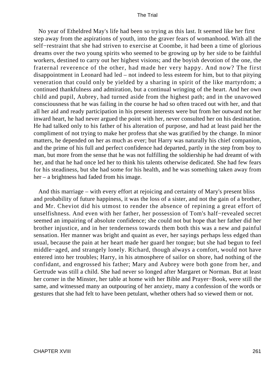No year of Etheldred May's life had been so trying as this last. It seemed like her first step away from the aspirations of youth, into the graver fears of womanhood. With all the self−restraint that she had striven to exercise at Coombe, it had been a time of glorious dreams over the two young spirits who seemed to be growing up by her side to be faithful workers, destined to carry out her highest visions; and the boyish devotion of the one, the fraternal reverence of the other, had made her very happy. And now? The first disappointment in Leonard had led – not indeed to less esteem for him, but to that pitying veneration that could only be yielded by a sharing in spirit of the like martyrdom; a continued thankfulness and admiration, but a continual wringing of the heart. And her own child and pupil, Aubrey, had turned aside from the highest path; and in the unavowed consciousness that he was failing in the course he had so often traced out with her, and that all her aid and ready participation in his present interests were but from her outward not her inward heart, he had never argued the point with her, never consulted her on his destination. He had talked only to his father of his alteration of purpose, and had at least paid her the compliment of not trying to make her profess that she was gratified by the change. In minor matters, he depended on her as much as ever; but Harry was naturally his chief companion, and the prime of his full and perfect confidence had departed, partly in the step from boy to man, but more from the sense that he was not fulfilling the soldiership he had dreamt of with her, and that he had once led her to think his talents otherwise dedicated. She had few fears for his steadiness, but she had some for his health, and he was something taken away from her – a brightness had faded from his image.

 And this marriage – with every effort at rejoicing and certainty of Mary's present bliss and probability of future happiness, it was the loss of a sister, and not the gain of a brother, and Mr. Cheviot did his utmost to render the absence of repining a great effort of unselfishness. And even with her father, her possession of Tom's half−revealed secret seemed an impairing of absolute confidence; she could not but hope that her father did her brother injustice, and in her tenderness towards them both this was a new and painful sensation. Her manner was bright and quaint as ever, her sayings perhaps less edged than usual, because the pain at her heart made her guard her tongue; but she had begun to feel middle−aged, and strangely lonely. Richard, though always a comfort, would not have entered into her troubles; Harry, in his atmosphere of sailor on shore, had nothing of the confidant, and engrossed his father; Mary and Aubrey were both gone from her, and Gertrude was still a child. She had never so longed after Margaret or Norman. But at least her corner in the Minster, her table at home with her Bible and Prayer−Book, were still the same, and witnessed many an outpouring of her anxiety, many a confession of the words or gestures that she had felt to have been petulant, whether others had so viewed them or not.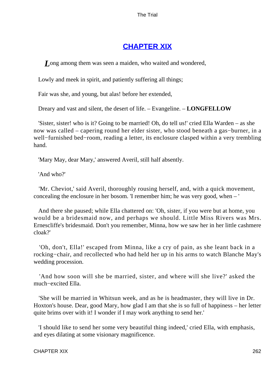# **[CHAPTER XIX](#page-414-0)**

*L*ong among them was seen a maiden, who waited and wondered,

Lowly and meek in spirit, and patiently suffering all things;

Fair was she, and young, but alas! before her extended,

Dreary and vast and silent, the desert of life. – Evangeline. – **LONGFELLOW**

 'Sister, sister! who is it? Going to be married! Oh, do tell us!' cried Ella Warden – as she now was called – capering round her elder sister, who stood beneath a gas−burner, in a well−furnished bed−room, reading a letter, its enclosure clasped within a very trembling hand.

'Mary May, dear Mary,' answered Averil, still half absently.

'And who?'

 'Mr. Cheviot,' said Averil, thoroughly rousing herself, and, with a quick movement, concealing the enclosure in her bosom. 'I remember him; he was very good, when – '

 And there she paused; while Ella chattered on: 'Oh, sister, if you were but at home, you would be a bridesmaid now, and perhaps we should. Little Miss Rivers was Mrs. Ernescliffe's bridesmaid. Don't you remember, Minna, how we saw her in her little cashmere cloak?'

 'Oh, don't, Ella!' escaped from Minna, like a cry of pain, as she leant back in a rocking−chair, and recollected who had held her up in his arms to watch Blanche May's wedding procession.

 'And how soon will she be married, sister, and where will she live?' asked the much−excited Ella.

 'She will be married in Whitsun week, and as he is headmaster, they will live in Dr. Hoxton's house. Dear, good Mary, how glad I am that she is so full of happiness – her letter quite brims over with it! I wonder if I may work anything to send her.'

 'I should like to send her some very beautiful thing indeed,' cried Ella, with emphasis, and eyes dilating at some visionary magnificence.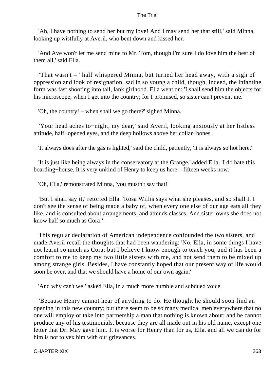'Ah, I have nothing to send her but my love! And I may send her that still,' said Minna, looking up wistfully at Averil, who bent down and kissed her.

 'And Ave won't let me send mine to Mr. Tom, though I'm sure I do love him the best of them all,' said Ella.

 'That wasn't – ' half whispered Minna, but turned her head away, with a sigh of oppression and look of resignation, sad in so young a child, though, indeed, the infantine form was fast shooting into tall, lank girlhood. Ella went on: 'I shall send him the objects for his microscope, when I get into the country; for I promised, so sister can't prevent me.'

'Oh, the country! – when shall we go there?' sighed Minna.

 'Your head aches to−night, my dear,' said Averil, looking anxiously at her listless attitude, half−opened eyes, and the deep hollows above her collar−bones.

'It always does after the gas is lighted,' said the child, patiently, 'it is always so hot here.'

 'It is just like being always in the conservatory at the Grange,' added Ella. 'I do hate this boarding−house. It is very unkind of Henry to keep us here – fifteen weeks now.'

'Oh, Ella,' remonstrated Minna, 'you mustn't say that!'

 'But I shall say it,' retorted Ella. 'Rosa Willis says what she pleases, and so shall I. I don't see the sense of being made a baby of, when every one else of our age eats all they like, and is consulted about arrangements, and attends classes. And sister owns she does not know half so much as Cora!'

 This regular declaration of American independence confounded the two sisters, and made Averil recall the thoughts that had been wandering: 'No, Ella, in some things I have not learnt so much as Cora; but I believe I know enough to teach you, and it has been a comfort to me to keep my two little sisters with me, and not send them to be mixed up among strange girls. Besides, I have constantly hoped that our present way of life would soon be over, and that we should have a home of our own again.'

'And why can't we!' asked Ella, in a much more humble and subdued voice.

 'Because Henry cannot hear of anything to do. He thought he should soon find an opening in this new country; but there seem to be so many medical men everywhere that no one will employ or take into partnership a man that nothing is known about; and he cannot produce any of his testimonials, because they are all made out in his old name, except one letter that Dr. May gave him. It is worse for Henry than for us, Ella. and all we can do for him is not to vex him with our grievances.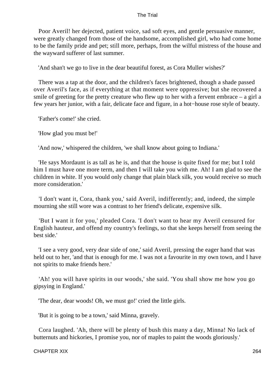Poor Averil! her dejected, patient voice, sad soft eyes, and gentle persuasive manner, were greatly changed from those of the handsome, accomplished girl, who had come home to be the family pride and pet; still more, perhaps, from the wilful mistress of the house and the wayward sufferer of last summer.

'And shan't we go to live in the dear beautiful forest, as Cora Muller wishes?'

 There was a tap at the door, and the children's faces brightened, though a shade passed over Averil's face, as if everything at that moment were oppressive; but she recovered a smile of greeting for the pretty creature who flew up to her with a fervent embrace  $-$  a girl a few years her junior, with a fair, delicate face and figure, in a hot−house rose style of beauty.

'Father's come!' she cried.

'How glad you must be!'

'And now,' whispered the children, 'we shall know about going to Indiana.'

 'He says Mordaunt is as tall as he is, and that the house is quite fixed for me; but I told him I must have one more term, and then I will take you with me. Ah! I am glad to see the children in white. If you would only change that plain black silk, you would receive so much more consideration.'

 'I don't want it, Cora, thank you,' said Averil, indifferently; and, indeed, the simple mourning she still wore was a contrast to her friend's delicate, expensive silk.

 'But I want it for you,' pleaded Cora. 'I don't want to hear my Averil censured for English hauteur, and offend my country's feelings, so that she keeps herself from seeing the best side.'

 'I see a very good, very dear side of one,' said Averil, pressing the eager hand that was held out to her, 'and that is enough for me. I was not a favourite in my own town, and I have not spirits to make friends here.'

 'Ah! you will have spirits in our woods,' she said. 'You shall show me how you go gipsying in England.'

'The dear, dear woods! Oh, we must go!' cried the little girls.

'But it is going to be a town,' said Minna, gravely.

 Cora laughed. 'Ah, there will be plenty of bush this many a day, Minna! No lack of butternuts and hickories, I promise you, nor of maples to paint the woods gloriously.'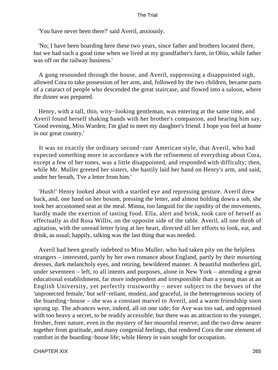'You have never been there?' said Averil, anxiously.

 'No; I have been boarding here these two years, since father and brothers located there, but we had such a good time when we lived at my grandfather's farm, in Ohio, while father was off on the railway business.'

 A gong resounded through the house, and Averil, suppressing a disappointed sigh, allowed Cora to take possession of her arm, and, followed by the two children, became parts of a cataract of people who descended the great staircase, and flowed into a saloon, where the dinner was prepared.

 Henry, with a tall, thin, wiry−looking gentleman, was entering at the same time, and Averil found herself shaking hands with her brother's companion, and hearing him say, 'Good evening, Miss Warden; I'm glad to meet my daughter's friend. I hope you feel at home in our great country.'

 It was so exactly the ordinary second−rate American style, that Averil, who had expected something more in accordance with the refinement of everything about Cora, except a few of her tones, was a little disappointed, and responded with difficulty; then, while Mr. Muller greeted her sisters, she hastily laid her hand on Henry's arm, and said, under her breath, 'I've a letter from him.'

 'Hush!' Henry looked about with a startled eye and repressing gesture. Averil drew back, and, one hand on her bosom, pressing the letter, and almost holding down a sob, she took her accustomed seat at the meal. Minna, too languid for the rapidity of the movements, hardly made the exertion of tasting food. Ella, alert and brisk, took care of herself as effectually as did Rosa Willis, on the opposite side of the table. Averil, all one throb of agitation, with the unread letter lying at her heart, directed all her efforts to look, eat, and drink, as usual; happily, talking was the last thing that was needed.

 Averil had been greatly indebted to Miss Muller, who had taken pity on the helpless strangers – interested, partly by her own romance about England, partly by their mourning dresses, dark melancholy eyes, and retiring, bewildered manner. A beautiful motherless girl, under seventeen – left, to all intents and purposes, alone in New York – attending a great educational establishment, far more independent and irresponsible than a young man at an English University, yet perfectly trustworthy – never subject to the bevues of the 'unprotected female,' but self−reliant, modest, and graceful, in the heterogeneous society of the boarding−house – she was a constant marvel to Averil, and a warm friendship soon sprang up. The advances were, indeed, all on one side; for Ave was too sad, and oppressed with too heavy a secret, to be readily accessible; but there was an attraction to the younger, fresher, freer nature, even in the mystery of her mournful reserve; and the two drew nearer together from gratitude, and many congenial feelings, that rendered Cora the one element of comfort in the boarding−house life; while Henry in vain sought for occupation.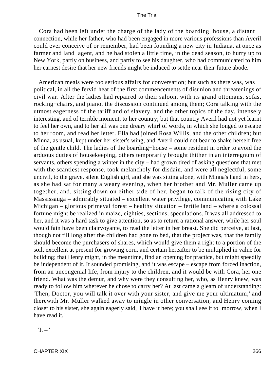Cora had been left under the charge of the lady of the boarding−house, a distant connection, while her father, who had been engaged in more various professions than Averil could ever conceive of or remember, had been founding a new city in Indiana, at once as farmer and land−agent, and he had stolen a little time, in the dead season, to hurry up to New York, partly on business, and partly to see his daughter, who had communicated to him her earnest desire that her new friends might be induced to settle near their future abode.

 American meals were too serious affairs for conversation; but such as there was, was political, in all the fervid heat of the first commencements of disunion and threatenings of civil war. After the ladies had repaired to their saloon, with its grand ottomans, sofas, rocking−chairs, and piano, the discussion continued among them; Cora talking with the utmost eagerness of the tariff and of slavery, and the other topics of the day, intensely interesting, and of terrible moment, to her country; but that country Averil had not yet learnt to feel her own, and to her all was one dreary whirl of words, in which she longed to escape to her room, and read her letter. Ella had joined Rosa Willis, and the other children; but Minna, as usual, kept under her sister's wing, and Averil could not bear to shake herself free of the gentle child. The ladies of the boarding−house – some resident in order to avoid the arduous duties of housekeeping, others temporarily brought thither in an interregnum of servants, others spending a winter in the city – had grown tired of asking questions that met with the scantiest response, took melancholy for disdain, and were all neglectful, some uncivil, to the grave, silent English girl, and she was sitting alone, with Minna's hand in hers, as she had sat for many a weary evening, when her brother and Mr. Muller came up together, and, sitting down on either side of her, began to talk of the rising city of Massissauga – admirably situated – excellent water privilege, communicating with Lake Michigan – glorious primeval forest – healthy situation – fertile land – where a colossal fortune might be realized in maize, eighties, sections, speculations. It was all addressed to her, and it was a hard task to give attention, so as to return a rational answer, while her soul would fain have been clairvoyante, to read the letter in her breast. She did perceive, at last, though not till long after the children had gone to bed, that the project was, that the family should become the purchasers of shares, which would give them a right to a portion of the soil, excellent at present for growing corn, and certain hereafter to be multiplied in value for building; that Henry might, in the meantime, find an opening for practice, but might speedily be independent of it. It sounded promising, and it was escape – escape from forced inaction, from an uncongenial life, from injury to the children, and it would be with Cora, her one friend. What was the demur, and why were they consulting her, who, as Henry knew, was ready to follow him wherever he chose to carry her? At last came a gleam of understanding: 'Then, Doctor, you will talk it over with your sister, and give me your ultimatum;' and therewith Mr. Muller walked away to mingle in other conversation, and Henry coming closer to his sister, she again eagerly said, 'I have it here; you shall see it to−morrow, when I have read it.'

 $It - '$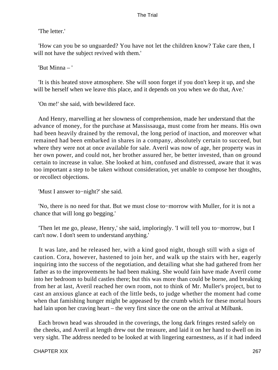'The letter.'

 'How can you be so unguarded? You have not let the children know? Take care then, I will not have the subject revived with them.'

'But Minna – '

 'It is this heated stove atmosphere. She will soon forget if you don't keep it up, and she will be herself when we leave this place, and it depends on you when we do that, Ave.'

'On me!' she said, with bewildered face.

 And Henry, marvelling at her slowness of comprehension, made her understand that the advance of money, for the purchase at Massissauga, must come from her means. His own had been heavily drained by the removal, the long period of inaction, and moreover what remained had been embarked in shares in a company, absolutely certain to succeed, but where they were not at once available for sale. Averil was now of age, her property was in her own power, and could not, her brother assured her, be better invested, than on ground certain to increase in value. She looked at him, confused and distressed, aware that it was too important a step to be taken without consideration, yet unable to compose her thoughts, or recollect objections.

'Must I answer to−night?' she said.

 'No, there is no need for that. But we must close to−morrow with Muller, for it is not a chance that will long go begging.'

 'Then let me go, please, Henry,' she said, imploringly. 'I will tell you to−morrow, but I can't now. I don't seem to understand anything.'

 It was late, and he released her, with a kind good night, though still with a sign of caution. Cora, however, hastened to join her, and walk up the stairs with her, eagerly inquiring into the success of the negotiation, and detailing what she had gathered from her father as to the improvements he had been making. She would fain have made Averil come into her bedroom to build castles there; but this was more than could be borne, and breaking from her at last, Averil reached her own room, not to think of Mr. Muller's project, but to cast an anxious glance at each of the little beds, to judge whether the moment had come when that famishing hunger might be appeased by the crumb which for these mortal hours had lain upon her craving heart – the very first since the one on the arrival at Milbank.

 Each brown head was shrouded in the coverings, the long dark fringes rested safely on the cheeks, and Averil at length drew out the treasure, and laid it on her hand to dwell on its very sight. The address needed to be looked at with lingering earnestness, as if it had indeed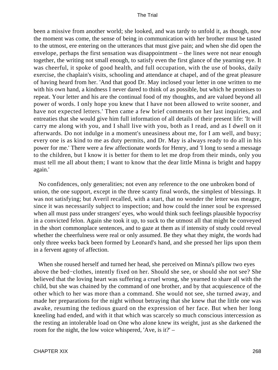been a missive from another world; she looked, and was tardy to unfold it, as though, now the moment was come, the sense of being in communication with her brother must be tasted to the utmost, ere entering on the utterances that must give pain; and when she did open the envelope, perhaps the first sensation was disappointment – the lines were not near enough together, the writing not small enough, to satisfy even the first glance of the yearning eye. It was cheerful, it spoke of good health, and full occupation, with the use of books, daily exercise, the chaplain's visits, schooling and attendance at chapel, and of the great pleasure of having heard from her. 'And that good Dr. May inclosed your letter in one written to me with his own hand, a kindness I never dared to think of as possible, but which he promises to repeat. Your letter and his are the continual food of my thoughts, and are valued beyond all power of words. I only hope you knew that I have not been allowed to write sooner, and have not expected letters.' Then came a few brief comments on her last inquiries, and entreaties that she would give him full information of all details of their present life: 'It will carry me along with you, and I shall live with you, both as I read, and as I dwell on it afterwards. Do not indulge in a moment's uneasiness about me, for I am well, and busy; every one is as kind to me as duty permits, and Dr. May is always ready to do all in his power for me.' There were a few affectionate words for Henry, and 'I long to send a message to the children, but I know it is better for them to let me drop from their minds, only you must tell me all about them; I want to know that the dear little Minna is bright and happy again.'

 No confidences, only generalities; not even any reference to the one unbroken bond of union, the one support, except in the three scanty final words, the simplest of blessings. It was not satisfying; but Averil recalled, with a start, that no wonder the letter was meagre, since it was necessarily subject to inspection; and how could the inner soul be expressed when all must pass under strangers' eyes, who would think such feelings plausible hypocrisy in a convicted felon. Again she took it up, to suck to the utmost all that might be conveyed in the short commonplace sentences, and to gaze at them as if intensity of study could reveal whether the cheerfulness were real or only assumed. Be they what they might, the words had only three weeks back been formed by Leonard's hand, and she pressed her lips upon them in a fervent agony of affection.

 When she roused herself and turned her head, she perceived on Minna's pillow two eyes above the bed−clothes, intently fixed on her. Should she see, or should she not see? She believed that the loving heart was suffering a cruel wrong, she yearned to share all with the child, but she was chained by the command of one brother, and by that acquiescence of the other which to her was more than a command. She would not see, she turned away, and made her preparations for the night without betraying that she knew that the little one was awake, resuming the tedious guard on the expression of her face. But when her long kneeling had ended, and with it that which was scarcely so much conscious intercession as the resting an intolerable load on One who alone knew its weight, just as she darkened the room for the night, the low voice whispered, 'Ave, is it?' –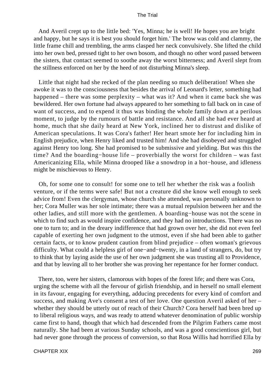And Averil crept up to the little bed: 'Yes, Minna; he is well! He hopes you are bright and happy, but he says it is best you should forget him.' The brow was cold and clammy, the little frame chill and trembling, the arms clasped her neck convulsively. She lifted the child into her own bed, pressed tight to her own bosom, and though no other word passed between the sisters, that contact seemed to soothe away the worst bitterness; and Averil slept from the stillness enforced on her by the heed of not disturbing Minna's sleep.

 Little that night had she recked of the plan needing so much deliberation! When she awoke it was to the consciousness that besides the arrival of Leonard's letter, something had happened – there was some perplexity – what was it? And when it came back she was bewildered. Her own fortune had always appeared to her something to fall back on in case of want of success, and to expend it thus was binding the whole family down at a perilous moment, to judge by the rumours of battle and resistance. And all she had ever heard at home, much that she daily heard at New York, inclined her to distrust and dislike of American speculations. It was Cora's father! Her heart smote her for including him in English prejudice, when Henry liked and trusted him! And she had disobeyed and struggled against Henry too long. She had promised to be submissive and yielding. But was this the time? And the boarding−house life – proverbially the worst for children – was fast Americanizing Ella, while Minna drooped like a snowdrop in a hot−house, and idleness might be mischievous to Henry.

 Oh, for some one to consult! for some one to tell her whether the risk was a foolish venture, or if the terms were safe! But not a creature did she know well enough to seek advice from! Even the clergyman, whose church she attended, was personally unknown to her; Cora Muller was her sole intimate; there was a mutual repulsion between her and the other ladies, and still more with the gentlemen. A boarding−house was not the scene in which to find such as would inspire confidence, and they had no introductions. There was no one to turn to; and in the dreary indifference that had grown over her, she did not even feel capable of exerting her own judgment to the utmost, even if she had been able to gather certain facts, or to know prudent caution from blind prejudice – often woman's grievous difficulty. What could a helpless girl of one−and−twenty, in a land of strangers, do, but try to think that by laying aside the use of her own judgment she was trusting all to Providence, and that by leaving all to her brother she was proving her repentance for her former conduct.

 There, too, were her sisters, clamorous with hopes of the forest life; and there was Cora, urging the scheme with all the fervour of girlish friendship, and in herself no small element in its favour, engaging for everything, adducing precedents for every kind of comfort and success, and making Ave's consent a test of her love. One question Averil asked of her – whether they should be utterly out of reach of their Church? Cora herself had been bred up to liberal religious ways, and was ready to attend whatever denomination of public worship came first to hand, though that which had descended from the Pilgrim Fathers came most naturally. She had been at various Sunday schools, and was a good conscientious girl, but had never gone through the process of conversion, so that Rosa Willis had horrified Ella by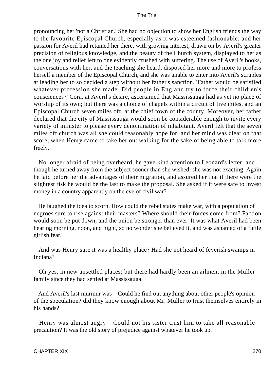pronouncing her 'not a Christian.' She had no objection to show her English friends the way to the favourite Episcopal Church, especially as it was esteemed fashionable; and her passion for Averil had retained her there, with growing interest, drawn on by Averil's greater precision of religious knowledge, and the beauty of the Church system, displayed to her as the one joy and relief left to one evidently crushed with suffering. The use of Averil's books, conversations with her, and the teaching she heard, disposed her more and more to profess herself a member of the Episcopal Church, and she was unable to enter into Averil's scruples at leading her to so decided a step without her father's sanction. 'Father would be satisfied whatever profession she made. Did people in England try to force their children's consciences?' Cora, at Averil's desire, ascertained that Massissauga had as yet no place of worship of its own; but there was a choice of chapels within a circuit of five miles, and an Episcopal Church seven miles off, at the chief town of the county. Moreover, her father declared that the city of Massissauga would soon be considerable enough to invite every variety of minister to please every denomination of inhabitant. Averil felt that the seven miles off church was all she could reasonably hope for, and her mind was clear on that score, when Henry came to take her out walking for the sake of being able to talk more freely.

 No longer afraid of being overheard, he gave kind attention to Leonard's letter; and though he turned away from the subject sooner than she wished, she was not exacting. Again he laid before her the advantages of their migration, and assured her that if there were the slightest risk he would be the last to make the proposal. She asked if it were safe to invest money in a country apparently on the eve of civil war?

 He laughed the idea to scorn. How could the rebel states make war, with a population of negroes sure to rise against their masters? Where should their forces come from? Faction would soon be put down, and the union be stronger than ever. It was what Averil had been hearing morning, noon, and night, so no wonder she believed it, and was ashamed of a futile girlish fear.

 And was Henry sure it was a healthy place? Had she not heard of feverish swamps in Indiana?

 Oh yes, in new unsettled places; but there had hardly been an ailment in the Muller family since they had settled at Massissauga.

 And Averil's last murmur was – Could he find out anything about other people's opinion of the speculation? did they know enough about Mr. Muller to trust themselves entirely in his hands?

 Henry was almost angry – Could not his sister trust him to take all reasonable precaution? It was the old story of prejudice against whatever he took up.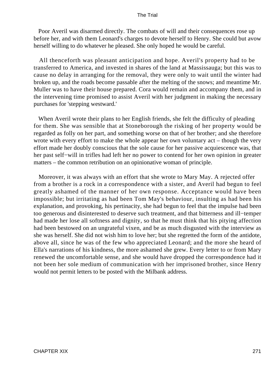Poor Averil was disarmed directly. The combats of will and their consequences rose up before her, and with them Leonard's charges to devote herself to Henry. She could but avow herself willing to do whatever he pleased. She only hoped he would be careful.

 All thenceforth was pleasant anticipation and hope. Averil's property had to be transferred to America, and invested in shares of the land at Massissauga; but this was to cause no delay in arranging for the removal, they were only to wait until the winter had broken up, and the roads become passable after the melting of the snows; and meantime Mr. Muller was to have their house prepared. Cora would remain and accompany them, and in the intervening time promised to assist Averil with her judgment in making the necessary purchases for 'stepping westward.'

 When Averil wrote their plans to her English friends, she felt the difficulty of pleading for them. She was sensible that at Stoneborough the risking of her property would be regarded as folly on her part, and something worse on that of her brother; and she therefore wrote with every effort to make the whole appear her own voluntary act – though the very effort made her doubly conscious that the sole cause for her passive acquiescence was, that her past self−will in trifles had left her no power to contend for her own opinion in greater matters – the common retribution on an opinionative woman of principle.

 Moreover, it was always with an effort that she wrote to Mary May. A rejected offer from a brother is a rock in a correspondence with a sister, and Averil had begun to feel greatly ashamed of the manner of her own response. Acceptance would have been impossible; but irritating as had been Tom May's behaviour, insulting as had been his explanation, and provoking, his pertinacity, she had begun to feel that the impulse had been too generous and disinterested to deserve such treatment, and that bitterness and ill−temper had made her lose all softness and dignity, so that he must think that his pitying affection had been bestowed on an ungrateful vixen, and be as much disgusted with the interview as she was herself. She did not wish him to love her; but she regretted the form of the antidote, above all, since he was of the few who appreciated Leonard; and the more she heard of Ella's narrations of his kindness, the more ashamed she grew. Every letter to or from Mary renewed the uncomfortable sense, and she would have dropped the correspondence had it not been her sole medium of communication with her imprisoned brother, since Henry would not permit letters to be posted with the Milbank address.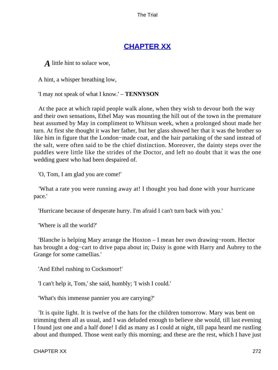# **[CHAPTER XX](#page-414-0)**

*A* little hint to solace woe,

A hint, a whisper breathing low,

'I may not speak of what I know.' – **TENNYSON**

 At the pace at which rapid people walk alone, when they wish to devour both the way and their own sensations, Ethel May was mounting the hill out of the town in the premature heat assumed by May in compliment to Whitsun week, when a prolonged shout made her turn. At first she thought it was her father, but her glass showed her that it was the brother so like him in figure that the London−made coat, and the hair partaking of the sand instead of the salt, were often said to be the chief distinction. Moreover, the dainty steps over the puddles were little like the strides of the Doctor, and left no doubt that it was the one wedding guest who had been despaired of.

'O, Tom, I am glad you are come!'

 'What a rate you were running away at! I thought you had done with your hurricane pace.'

'Hurricane because of desperate hurry. I'm afraid I can't turn back with you.'

'Where is all the world?'

 'Blanche is helping Mary arrange the Hoxton – I mean her own drawing−room. Hector has brought a dog−cart to drive papa about in; Daisy is gone with Harry and Aubrey to the Grange for some camellias.'

'And Ethel rushing to Cocksmoor!'

'I can't help it, Tom,' she said, humbly; 'I wish I could.'

'What's this immense pannier you are carrying?'

 'It is quite light. It is twelve of the hats for the children tomorrow. Mary was bent on trimming them all as usual, and I was deluded enough to believe she would, till last evening I found just one and a half done! I did as many as I could at night, till papa heard me rustling about and thumped. Those went early this morning; and these are the rest, which I have just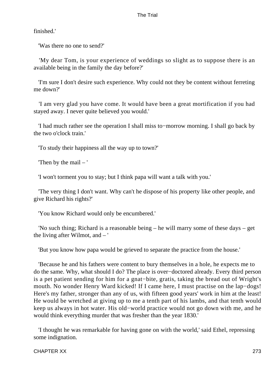finished.'

'Was there no one to send?'

 'My dear Tom, is your experience of weddings so slight as to suppose there is an available being in the family the day before?'

 'I'm sure I don't desire such experience. Why could not they be content without ferreting me down?'

 'I am very glad you have come. It would have been a great mortification if you had stayed away. I never quite believed you would.'

 'I had much rather see the operation I shall miss to−morrow morning. I shall go back by the two o'clock train.'

'To study their happiness all the way up to town?'

'Then by the mail – '

'I won't torment you to stay; but I think papa will want a talk with you.'

 'The very thing I don't want. Why can't he dispose of his property like other people, and give Richard his rights?'

'You know Richard would only be encumbered.'

 'No such thing; Richard is a reasonable being – he will marry some of these days – get the living after Wilmot, and – '

'But you know how papa would be grieved to separate the practice from the house.'

 'Because he and his fathers were content to bury themselves in a hole, he expects me to do the same. Why, what should I do? The place is over−doctored already. Every third person is a pet patient sending for him for a gnat−bite, gratis, taking the bread out of Wright's mouth. No wonder Henry Ward kicked! If I came here, I must practise on the lap−dogs! Here's my father, stronger than any of us, with fifteen good years' work in him at the least! He would be wretched at giving up to me a tenth part of his lambs, and that tenth would keep us always in hot water. His old−world practice would not go down with me, and he would think everything murder that was fresher than the year 1830.'

 'I thought he was remarkable for having gone on with the world,' said Ethel, repressing some indignation.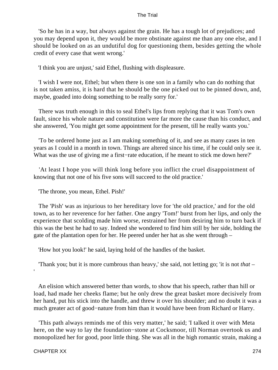'So he has in a way, but always against the grain. He has a tough lot of prejudices; and you may depend upon it, they would be more obstinate against me than any one else, and I should be looked on as an undutiful dog for questioning them, besides getting the whole credit of every case that went wrong.'

'I think you are unjust,' said Ethel, flushing with displeasure.

 'I wish I were not, Ethel; but when there is one son in a family who can do nothing that is not taken amiss, it is hard that he should be the one picked out to be pinned down, and, maybe, goaded into doing something to be really sorry for.'

 There was truth enough in this to seal Ethel's lips from replying that it was Tom's own fault, since his whole nature and constitution were far more the cause than his conduct, and she answered, 'You might get some appointment for the present, till he really wants you.'

 'To be ordered home just as I am making something of it, and see as many cases in ten years as I could in a month in town. Things are altered since his time, if he could only see it. What was the use of giving me a first−rate education, if he meant to stick me down here?'

 'At least I hope you will think long before you inflict the cruel disappointment of knowing that not one of his five sons will succeed to the old practice.'

'The throne, you mean, Ethel. Pish!'

 The 'Pish' was as injurious to her hereditary love for 'the old practice,' and for the old town, as to her reverence for her father. One angry 'Tom!' burst from her lips, and only the experience that scolding made him worse, restrained her from desiring him to turn back if this was the best he had to say. Indeed she wondered to find him still by her side, holding the gate of the plantation open for her. He peered under her hat as she went through –

'How hot you look!' he said, laying hold of the handles of the basket.

'Thank you; but it is more cumbrous than heavy,' she said, not letting go; 'it is not *that* –

 An elision which answered better than words, to show that his speech, rather than hill or load, had made her cheeks flame; but he only drew the great basket more decisively from her hand, put his stick into the handle, and threw it over his shoulder; and no doubt it was a much greater act of good−nature from him than it would have been from Richard or Harry.

 'This path always reminds me of this very matter,' he said; 'I talked it over with Meta here, on the way to lay the foundation−stone at Cocksmoor, till Norman overtook us and monopolized her for good, poor little thing. She was all in the high romantic strain, making a

'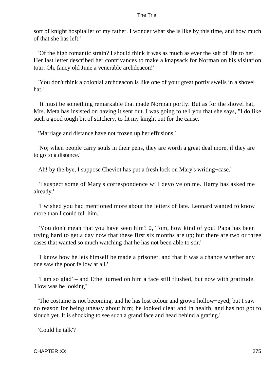sort of knight hospitaller of my father. I wonder what she is like by this time, and how much of that she has left.'

 'Of the high romantic strain? I should think it was as much as ever the salt of life to her. Her last letter described her contrivances to make a knapsack for Norman on his visitation tour. Oh, fancy old June a venerable archdeacon!'

 'You don't think a colonial archdeacon is like one of your great portly swells in a shovel hat.'

 'It must be something remarkable that made Norman portly. But as for the shovel hat, Mrs. Meta has insisted on having it sent out. I was going to tell you that she says, "I do like such a good tough bit of stitchery, to fit my knight out for the cause.

'Marriage and distance have not frozen up her effusions.'

 'No; when people carry souls in their pens, they are worth a great deal more, if they are to go to a distance.'

Ah! by the bye, I suppose Cheviot has put a fresh lock on Mary's writing−case.'

 'I suspect some of Mary's correspondence will devolve on me. Harry has asked me already.'

 'I wished you had mentioned more about the letters of late. Leonard wanted to know more than I could tell him.'

 'You don't mean that you have seen him? 0, Tom, how kind of you! Papa has been trying hard to get a day now that these first six months are up; but there are two or three cases that wanted so much watching that he has not been able to stir.'

 'I know how he lets himself be made a prisoner, and that it was a chance whether any one saw the poor fellow at all.'

 'I am so glad' – and Ethel turned on him a face still flushed, but now with gratitude. 'How was he looking?'

 'The costume is not becoming, and he has lost colour and grown hollow−eyed; but I saw no reason for being uneasy about him; he looked clear and in health, and has not got to slouch yet. It is shocking to see such a grand face and head behind a grating.'

'Could he talk'?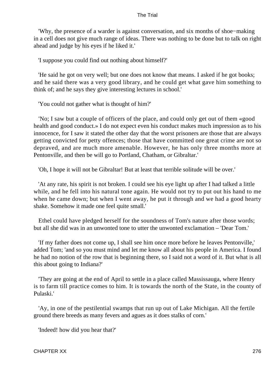'Why, the presence of a warder is against conversation, and six months of shoe−making in a cell does not give much range of ideas. There was nothing to be done but to talk on right ahead and judge by his eyes if he liked it.'

'I suppose you could find out nothing about himself?'

 'He said he got on very well; but one does not know that means. I asked if he got books; and he said there was a very good library, and he could get what gave him something to think of; and he says they give interesting lectures in school.'

'You could not gather what is thought of him?'

 'No; I saw but a couple of officers of the place, and could only get out of them «good health and good conduct.» I do not expect even his conduct makes much impression as to his innocence, for I saw it stated the other day that the worst prisoners are those that are always getting convicted for petty offences; those that have committed one great crime are not so depraved, and are much more amenable. However, he has only three months more at Pentonville, and then be will go to Portland, Chatham, or Gibraltar.'

'Oh, I hope it will not be Gibraltar! But at least that terrible solitude will be over.'

 'At any rate, his spirit is not broken. I could see his eye light up after I had talked a little while, and he fell into his natural tone again. He would not try to put out his hand to me when he came down; but when I went away, he put it through and we had a good hearty shake. Somehow it made one feel quite small.'

 Ethel could have pledged herself for the soundness of Tom's nature after those words; but all she did was in an unwonted tone to utter the unwonted exclamation – 'Dear Tom.'

 'If my father does not come up, I shall see him once more before he leaves Pentonville,' added Tom; 'and so you must mind and let me know all about his people in America. I found he had no notion of the row that is beginning there, so I said not a word of it. But what is all this about going to Indiana?'

 'They are going at the end of April to settle in a place called Massissauga, where Henry is to farm till practice comes to him. It is towards the north of the State, in the county of Pulaski.'

 'Ay, in one of the pestilential swamps that run up out of Lake Michigan. All the fertile ground there breeds as many fevers and agues as it does stalks of corn.'

'Indeed! how did you hear that?'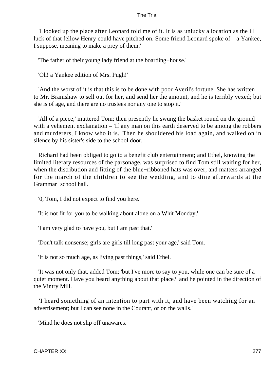'I looked up the place after Leonard told me of it. It is as unlucky a location as the ill luck of that fellow Henry could have pitched on. Some friend Leonard spoke of – a Yankee, I suppose, meaning to make a prey of them.'

'The father of their young lady friend at the boarding−house.'

'Oh! a Yankee edition of Mrs. Pugh!'

 'And the worst of it is that this is to be done with poor Averil's fortune. She has written to Mr. Bramshaw to sell out for her, and send her the amount, and he is terribly vexed; but she is of age, and there are no trustees nor any one to stop it.'

 'All of a piece,' muttered Tom; then presently he swung the basket round on the ground with a vehement exclamation – 'If any man on this earth deserved to be among the robbers and murderers, I know who it is.' Then he shouldered his load again, and walked on in silence by his sister's side to the school door.

 Richard had been obliged to go to a benefit club entertainment; and Ethel, knowing the limited literary resources of the parsonage, was surprised to find Tom still waiting for her, when the distribution and fitting of the blue−ribboned hats was over, and matters arranged for the march of the children to see the wedding, and to dine afterwards at the Grammar−school hall.

'0, Tom, I did not expect to find you here.'

'It is not fit for you to be walking about alone on a Whit Monday.'

'I am very glad to have you, but I am past that.'

'Don't talk nonsense; girls are girls till long past your age,' said Tom.

'It is not so much age, as living past things,' said Ethel.

 'It was not only that, added Tom; 'but I've more to say to you, while one can be sure of a quiet moment. Have you heard anything about that place?' and he pointed in the direction of the Vintry Mill.

 'I heard something of an intention to part with it, and have been watching for an advertisement; but I can see none in the Courant, or on the walls.'

'Mind he does not slip off unawares.'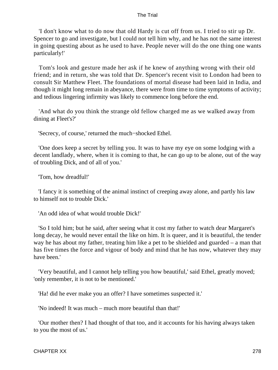'I don't know what to do now that old Hardy is cut off from us. I tried to stir up Dr. Spencer to go and investigate, but I could not tell him why, and he has not the same interest in going questing about as he used to have. People never will do the one thing one wants particularly!'

 Tom's look and gesture made her ask if he knew of anything wrong with their old friend; and in return, she was told that Dr. Spencer's recent visit to London had been to consult Sir Matthew Fleet. The foundations of mortal disease had been laid in India, and though it might long remain in abeyance, there were from time to time symptoms of activity; and tedious lingering infirmity was likely to commence long before the end.

 'And what do you think the strange old fellow charged me as we walked away from dining at Fleet's?'

'Secrecy, of course,' returned the much−shocked Ethel.

 'One does keep a secret by telling you. It was to have my eye on some lodging with a decent landlady, where, when it is coming to that, he can go up to be alone, out of the way of troubling Dick, and of all of you.'

'Tom, how dreadful!'

 'I fancy it is something of the animal instinct of creeping away alone, and partly his law to himself not to trouble Dick.'

'An odd idea of what would trouble Dick!'

 'So I told him; but he said, after seeing what it cost my father to watch dear Margaret's long decay, he would never entail the like on him. It is queer, and it is beautiful, the tender way he has about my father, treating him like a pet to be shielded and guarded – a man that has five times the force and vigour of body and mind that he has now, whatever they may have been.'

 'Very beautiful, and I cannot help telling you how beautiful,' said Ethel, greatly moved; 'only remember, it is not to be mentioned.'

'Ha! did he ever make you an offer? I have sometimes suspected it.'

'No indeed! It was much – much more beautiful than that!'

 'Our mother then? I had thought of that too, and it accounts for his having always taken to you the most of us.'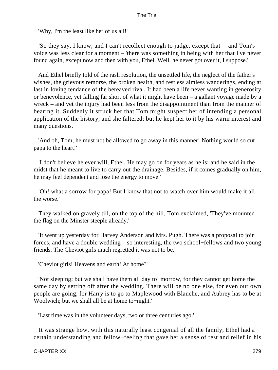'Why, I'm the least like her of us all!'

 'So they say, I know, and I can't recollect enough to judge, except that' – and Tom's voice was less clear for a moment – 'there was something in being with her that I've never found again, except now and then with you, Ethel. Well, he never got over it, I suppose.'

 And Ethel briefly told of the rash resolution, the unsettled life, the neglect of the father's wishes, the grievous remorse, the broken health, and restless aimless wanderings, ending at last in loving tendance of the bereaved rival. It had been a life never wanting in generosity or benevolence, yet falling far short of what it might have been – a gallant voyage made by a wreck – and yet the injury had been less from the disappointment than from the manner of bearing it. Suddenly it struck her that Tom might suspect her of intending a personal application of the history, and she faltered; but he kept her to it by his warm interest and many questions.

 'And oh, Tom, he must not be allowed to go away in this manner! Nothing would so cut papa to the heart!'

 'I don't believe he ever will, Ethel. He may go on for years as he is; and he said in the midst that he meant to live to carry out the drainage. Besides, if it comes gradually on him, he may feel dependent and lose the energy to move.'

 'Oh! what a sorrow for papa! But I know that not to watch over him would make it all the worse.'

 They walked on gravely till, on the top of the hill, Tom exclaimed, 'They've mounted the flag on the Minster steeple already.'

 'It went up yesterday for Harvey Anderson and Mrs. Pugh. There was a proposal to join forces, and have a double wedding – so interesting, the two school−fellows and two young friends. The Cheviot girls much regretted it was not to be.'

'Cheviot girls! Heavens and earth! At home?'

 'Not sleeping; but we shall have them all day to−morrow, for they cannot get home the same day by setting off after the wedding. There will be no one else, for even our own people are going, for Harry is to go to Maplewood with Blanche, and Aubrey has to be at Woolwich; but we shall all be at home to−night.'

'Last time was in the volunteer days, two or three centuries ago.'

 It was strange how, with this naturally least congenial of all the family, Ethel had a certain understanding and fellow−feeling that gave her a sense of rest and relief in his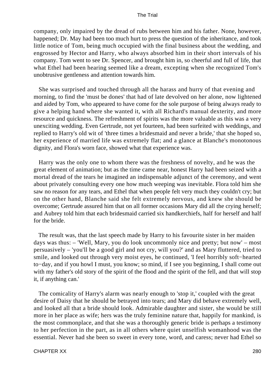company, only impaired by the dread of rubs between him and his father. None, however, happened; Dr. May had been too much hurt to press the question of the inheritance, and took little notice of Tom, being much occupied with the final business about the wedding, and engrossed by Hector and Harry, who always absorbed him in their short intervals of his company. Tom went to see Dr. Spencer, and brought him in, so cheerful and full of life, that what Ethel had been hearing seemed like a dream, excepting when she recognized Tom's unobtrusive gentleness and attention towards him.

 She was surprised and touched through all the harass and hurry of that evening and morning, to find the 'must be dones' that had of late devolved on her alone, now lightened and aided by Tom, who appeared to have come for the sole purpose of being always ready to give a helping hand where she wanted it, with all Richard's manual dexterity, and more resource and quickness. The refreshment of spirits was the more valuable as this was a very unexciting wedding. Even Gertrude, not yet fourteen, had been surfeited with weddings, and replied to Harry's old wit of 'three times a bridesmaid and never a bride,' that she hoped so, her experience of married life was extremely flat; and a glance at Blanche's monotonous dignity, and Flora's worn face, showed what that experience was.

 Harry was the only one to whom there was the freshness of novelty, and he was the great element of animation; but as the time came near, honest Harry had been seized with a mortal dread of the tears he imagined an indispensable adjunct of the ceremony, and went about privately consulting every one how much weeping was inevitable. Flora told him she saw no reason for any tears, and Ethel that when people felt very much they couldn't cry; but on the other hand, Blanche said she felt extremely nervous, and knew she should be overcome; Gertrude assured him that on all former occasions Mary did all the crying herself; and Aubrey told him that each bridesmaid carried six handkerchiefs, half for herself and half for the bride.

 The result was, that the last speech made by Harry to his favourite sister in her maiden days was thus: – 'Well, Mary, you do look uncommonly nice and pretty; but now' – most persuasively – 'you'll be a good girl and not cry, will you?' and as Mary fluttered, tried to smile, and looked out through very moist eyes, he continued, 'I feel horribly soft−hearted to−day, and if you howl I must, you know; so mind, if I see you beginning, I shall come out with my father's old story of the spirit of the flood and the spirit of the fell, and that will stop it, if anything can.'

 The comicality of Harry's alarm was nearly enough to 'stop it,' coupled with the great desire of Daisy that he should be betrayed into tears; and Mary did behave extremely well, and looked all that a bride should look. Admirable daughter and sister, she would be still more in her place as wife; hers was the truly feminine nature that, happily for mankind, is the most commonplace, and that she was a thoroughly generic bride is perhaps a testimony to her perfection in the part, as in all others where quiet unselfish womanhood was the essential. Never had she been so sweet in every tone, word, and caress; never had Ethel so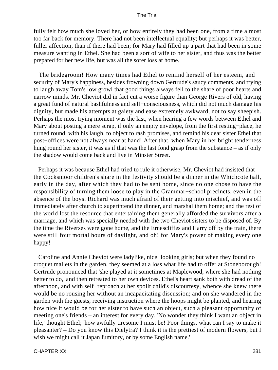fully felt how much she loved her, or how entirely they had been one, from a time almost too far back for memory. There had not been intellectual equality; but perhaps it was better, fuller affection, than if there had been; for Mary had filled up a part that had been in some measure wanting in Ethel. She had been a sort of wife to her sister, and thus was the better prepared for her new life, but was all the sorer loss at home.

 The bridegroom! How many times had Ethel to remind herself of her esteem, and security of Mary's happiness, besides frowning down Gertrude's saucy comments, and trying to laugh away Tom's low growl that good things always fell to the share of poor hearts and narrow minds. Mr. Cheviot did in fact cut a worse figure than George Rivers of old, having a great fund of natural bashfulness and self−consciousness, which did not much damage his dignity, but made his attempts at gaiety and ease extremely awkward, not to say sheepish. Perhaps the most trying moment was the last, when hearing a few words between Ethel and Mary about posting a mere scrap, if only an empty envelope, from the first resting−place, he turned round, with his laugh, to object to rash promises, and remind his dear sister Ethel that post−offices were not always near at hand! After that, when Mary in her bright tenderness hung round her sister, it was as if that was the last fond grasp from the substance – as if only the shadow would come back and live in Minster Street.

 Perhaps it was because Ethel had tried to rule it otherwise, Mr. Cheviot had insisted that the Cocksmoor children's share in the festivity should be a dinner in the Whichcote hall, early in the day, after which they had to be sent home, since no one chose to have the responsibility of turning them loose to play in the Grammar−school precincts, even in the absence of the boys. Richard was much afraid of their getting into mischief, and was off immediately after church to superintend the dinner, and marshal them home; and the rest of the world lost the resource that entertaining them generally afforded the survivors after a marriage, and which was specially needed with the two Cheviot sisters to be disposed of. By the time the Riverses were gone home, and the Ernescliffes and Harry off by the train, there were still four mortal hours of daylight, and oh! for Mary's power of making every one happy!

 Caroline and Annie Cheviot were ladylike, nice−looking girls; but when they found no croquet mallets in the garden, they seemed at a loss what life had to offer at Stoneborough! Gertrude pronounced that 'she played at it sometimes at Maplewood, where she had nothing better to do,' and then retreated to her own devices. Ethel's heart sank both with dread of the afternoon, and with self−reproach at her spoilt child's discourtesy, whence she knew there would be no rousing her without an incapacitating discussion; and on she wandered in the garden with the guests, receiving instruction where the hoops might be planted, and hearing how nice it would be for her sister to have such an object, such a pleasant opportunity of meeting one's friends – an interest for every day. 'No wonder they think I want an object in life,' thought Ethel; 'how awfully tiresome I must be! Poor things, what can I say to make it pleasanter? – Do you know this Dielytra? I think it is the prettiest of modern flowers, but I wish we might call it Japan fumitory, or by some English name.'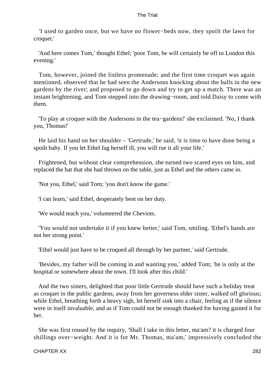'I used to garden once, but we have no flower−beds now, they spoilt the lawn for croquet.'

 'And here comes Tom,' thought Ethel; 'poor Tom, he will certainly be off to London this evening.'

 Tom, however, joined the listless promenade; and the first time croquet was again mentioned, observed that he had seen the Andersons knocking about the balls in the new gardens by the river; and proposed to go down and try to get up a match. There was an instant brightening, and Tom stepped into the drawing−room, and told Daisy to come with them.

 'To play at croquet with the Andersons in the tea−gardens!' she exclaimed. 'No, I thank you, Thomas!'

 He laid his hand on her shoulder – 'Gertrude,' he said, 'it is time to have done being a spoilt baby. If you let Ethel fag herself ill, you will rue it all your life.'

 Frightened, but without clear comprehension, she turned two scared eyes on him, and replaced the hat that she had thrown on the table, just as Ethel and the others came in.

'Not you, Ethel,' said Tom; 'you don't know the game.'

'I can learn,' said Ethel, desperately bent on her duty.

'We would teach you,' volunteered the Cheviots.

 'You would not undertake it if you knew better,' said Tom, smiling. 'Ethel's hands are not her strong point.'

'Ethel would just have to be croqued all through by her partner,' said Gertrude.

 'Besides, my father will be coming in and wanting you,' added Tom; 'he is only at the hospital or somewhere about the town. I'll look after this child.'

 And the two sisters, delighted that poor little Gertrude should have such a holiday treat as croquet in the public gardens, away from her governess elder sister, walked off glorious; while Ethel, breathing forth a heavy sigh, let herself sink into a chair, feeling as if the silence were in itself invaluable, and as if Tom could not be enough thanked for having gained it for her.

 She was first roused by the inquiry, 'Shall I take in this letter, ma'am? it is charged four shillings over−weight. And it is for Mr. Thomas, ma'am,' impressively concluded the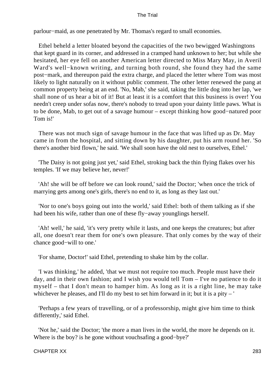parlour−maid, as one penetrated by Mr. Thomas's regard to small economies.

 Ethel beheld a letter bloated beyond the capacities of the two bewigged Washingtons that kept guard in its corner, and addressed in a cramped hand unknown to her; but while she hesitated, her eye fell on another American letter directed to Miss Mary May, in Averil Ward's well−known writing, and turning both round, she found they had the same post−mark, and thereupon paid the extra charge, and placed the letter where Tom was most likely to light naturally on it without public comment. The other letter renewed the pang at common property being at an end. 'No, Mab,' she said, taking the little dog into her lap, 'we shall none of us hear a bit of it! But at least it is a comfort that this business is over! You needn't creep under sofas now, there's nobody to tread upon your dainty little paws. What is to be done, Mab, to get out of a savage humour – except thinking how good−natured poor Tom is!'

 There was not much sign of savage humour in the face that was lifted up as Dr. May came in from the hospital, and sitting down by his daughter, put his arm round her. 'So there's another bird flown,' he said. 'We shall soon have the old nest to ourselves, Ethel.'

 'The Daisy is not going just yet,' said Ethel, stroking back the thin flying flakes over his temples. 'If we may believe her, never!'

 'Ah! she will be off before we can look round,' said the Doctor; 'when once the trick of marrying gets among one's girls, there's no end to it, as long as they last out.'

 'Nor to one's boys going out into the world,' said Ethel: both of them talking as if she had been his wife, rather than one of these fly−away younglings herself.

 'Ah! well,' he said, 'it's very pretty while it lasts, and one keeps the creatures; but after all, one doesn't rear them for one's own pleasure. That only comes by the way of their chance good−will to one.'

'For shame, Doctor!' said Ethel, pretending to shake him by the collar.

 'I was thinking,' he added, 'that we must not require too much. People must have their day, and in their own fashion; and I wish you would tell Tom – I've no patience to do it myself – that I don't mean to hamper him. As long as it is a right line, he may take whichever he pleases, and I'll do my best to set him forward in it; but it is a pity  $-$ '

 'Perhaps a few years of travelling, or of a professorship, might give him time to think differently,' said Ethel.

 'Not he,' said the Doctor; 'the more a man lives in the world, the more he depends on it. Where is the boy? is he gone without vouchsafing a good−bye?'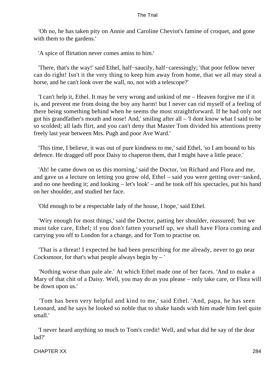'Oh no, he has taken pity on Annie and Caroline Cheviot's famine of croquet, and gone with them to the gardens.'

'A spice of flirtation never comes amiss to him.'

 'There, that's the way!' said Ethel, half−saucily, half−caressingly; 'that poor fellow never can do right! Isn't it the very thing to keep him away from home, that we all may steal a horse, and he can't look over the wall, no, not with a telescope?'

 'I can't help it, Ethel. It may be very wrong and unkind of me – Heaven forgive me if it is, and prevent me from doing the boy any harm! but I never can rid myself of a feeling of there being something behind when he seems the most straightforward. If he had only not got his grandfather's mouth and nose! And,' smiling after all – 'I dont know what I said to be so scolded; all lads flirt, and you can't deny that Master Tom divided his attentions pretty freely last year between Mrs. Pugh and poor Ave Ward.'

 'This time, I believe, it was out of pure kindness to me,' said Ethel, 'so I am bound to his defence. He dragged off poor Daisy to chaperon them, that I might have a little peace.'

 'Ah! he came down on us this morning,' said the Doctor, 'on Richard and Flora and me, and gave us a lecture on letting you grow old, Ethel – said you were getting over−tasked, and no one heeding it; and looking – let's look' – and he took off his spectacles, put his hand on her shoulder, and studied her face.

'Old enough to be a respectable lady of the house, I hope,' said Ethel.

 'Wiry enough for most things,' said the Doctor, patting her shoulder, reassured; 'but we must take care, Ethel; if you don't fatten yourself up, we shall have Flora coming and carrying you off to London for a change, and for Tom to practise on.

 'That is a threat! I expected he had been prescribing for me already, never to go near Cocksmoor, for that's what people always begin by  $-$ '

 'Nothing worse than pale ale.' At which Ethel made one of her faces. 'And to make a Mary of that chit of a Daisy. Well, you may do as you please – only take care, or Flora will be down upon us.'

 'Tom has been very helpful and kind to me,' said Ethel. 'And, papa, he has seen Leonard, and he says he looked so noble that to shake hands with him made him feel quite small.'

 'I never heard anything so much to Tom's credit! Well, and what did he say of the dear lad?'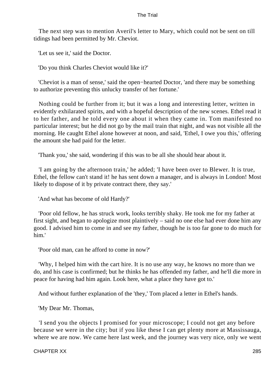The next step was to mention Averil's letter to Mary, which could not be sent on till tidings had been permitted by Mr. Cheviot.

'Let us see it,' said the Doctor.

'Do you think Charles Cheviot would like it?'

 'Cheviot is a man of sense,' said the open−hearted Doctor, 'and there may be something to authorize preventing this unlucky transfer of her fortune.'

 Nothing could be further from it; but it was a long and interesting letter, written in evidently exhilarated spirits, and with a hopeful description of the new scenes. Ethel read it to her father, and he told every one about it when they came in. Tom manifested no particular interest; but he did not go by the mail train that night, and was not visible all the morning. He caught Ethel alone however at noon, and said, 'Ethel, I owe you this,' offering the amount she had paid for the letter.

'Thank you,' she said, wondering if this was to be all she should hear about it.

 'I am going by the afternoon train,' he added; 'I have been over to Blewer. It is true, Ethel, the fellow can't stand it! he has sent down a manager, and is always in London! Most likely to dispose of it by private contract there, they say.'

'And what has become of old Hardy?'

 'Poor old fellow, he has struck work, looks terribly shaky. He took me for my father at first sight, and began to apologize most plaintively – said no one else had ever done him any good. I advised him to come in and see my father, though he is too far gone to do much for him.'

'Poor old man, can he afford to come in now?'

 'Why, I helped him with the cart hire. It is no use any way, he knows no more than we do, and his case is confirmed; but he thinks he has offended my father, and he'll die more in peace for having had him again. Look here, what a place they have got to.'

And without further explanation of the 'they,' Tom placed a letter in Ethel's hands.

'My Dear Mr. Thomas,

 'I send you the objects I promised for your microscope; I could not get any before because we were in the city; but if you like these I can get plenty more at Massissauga, where we are now. We came here last week, and the journey was very nice, only we went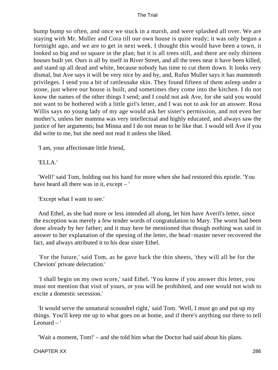bump bump so often, and once we stuck in a marsh, and were splashed all over. We are staying with Mr. Muller and Cora till our own house is quite ready; it was only begun a fortnight ago, and we are to get in next week. I thought this would have been a town, it looked so big and so square in the plan; but it is all trees still, and there are only thirteen houses built yet. Ours is all by itself in River Street, and all the trees near it have been killed, and stand up all dead and white, because nobody has time to cut them down. It looks very dismal, but Ave says it will be very nice by and by, and, Rufus Muller says it has mammoth privileges. I send you a bit of rattlesnake skin. They found fifteen of them asleep under a stone, just where our house is built, and sometimes they come into the kitchen. I do not know the names of the other things I send; and I could not ask Ave, for she said you would not want to be bothered with a little girl's letter, and I was not to ask for an answer. Rosa Willis says no young lady of my age would ask her sister's permission, and not even her mother's, unless her mamma was very intellectual and highly educated, and always saw the justice of her arguments; but Minna and I do not mean to be like that. I would tell Ave if you did write to me, but she need not read it unless she liked.

'I am, your affectionate little friend,

'ELLA.'

 'Well!' said Tom, holding out his hand for more when she had restored this epistle. 'You have heard all there was in it, except – '

'Except what I want to see.'

 And Ethel, as she had more or less intended all along, let him have Averil's letter, since the exception was merely a few tender words of congratulation to Mary. The worst had been done already by her father; and it may here be mentioned that though nothing was said in answer to her explanation of the opening of the letter, the head−master never recovered the fact, and always attributed it to his dear sister Ethel.

 'For the future,' said Tom, as he gave back the thin sheets, 'they will all be for the Cheviots' private delectation.'

 'I shall begin on my own score,' said Ethel. 'You know if you answer this letter, you must not mention that visit of yours, or you will be prohibited, and one would not wish to excite a domestic secession.'

 'It would serve the unnatural scoundrel right,' said Tom. 'Well, I must go and put up my things. You'll keep me up to what goes on at home, and if there's anything out there to tell Leonard – '

'Wait a moment, Tom!' – and she told him what the Doctor had said about his plans.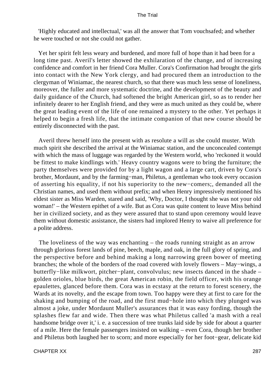'Highly educated and intellectual,' was all the answer that Tom vouchsafed; and whether he were touched or not she could not gather.

 Yet her spirit felt less weary and burdened, and more full of hope than it had been for a long time past. Averil's letter showed the exhilaration of the change, and of increasing confidence and comfort in her friend Cora Muller. Cora's Confirmation had brought the girls into contact with the New York clergy, and had procured them an introduction to the clergyman of Winiamac, the nearest church, so that there was much less sense of loneliness, moreover, the fuller and more systematic doctrine, and the development of the beauty and daily guidance of the Church, had softened the bright American girl, so as to render her infinitely dearer to her English friend, and they were as much united as they could be, where the great leading event of the life of one remained a mystery to the other. Yet perhaps it helped to begin a fresh life, that the intimate companion of that new course should be entirely disconnected with the past.

 Averil threw herself into the present with as resolute a will as she could muster. With much spirit she described the arrival at the Winiamac station, and the unconcealed contempt with which the mass of luggage was regarded by the Western world, who 'reckoned it would be fittest to make kindlings with.' Heavy country wagons were to bring the furniture; the party themselves were provided for by a light wagon and a large cart, driven by Cora's brother, Mordaunt, and by the farming−man, Philetus, a gentleman who took every occasion of asserting his equality, if not his superiority to the new−comers;, demanded all the Christian names, and used them without prefix; and when Henry impressively mentioned his eldest sister as Miss Warden, stared and said, 'Why, Doctor, I thought she was not your old woman!' – the Western epithet of a wife. But as Cora was quite content to leave Miss behind her in civilized society, and as they were assured that to stand upon ceremony would leave them without domestic assistance, the sisters had implored Henry to waive all preference for a polite address.

 The loveliness of the way was enchanting – the roads running straight as an arrow through glorious forest lands of pine, beech, maple, and oak, in the full glory of spring, and the perspective before and behind making a long narrowing green bower of meeting branches; the whole of the borders of the road covered with lovely flowers – May−wings, a butterfly−like milkwort, pitcher−plant, convolvulus; new insects danced in the shade – golden orioles, blue birds, the great American robin, the field officer, with his orange epaulettes, glanced before them. Cora was in ecstasy at the return to forest scenery, the Wards at its novelty, and the escape from town. Too happy were they at first to care for the shaking and bumping of the road, and the first mud−hole into which they plunged was almost a joke, under Mordaunt Muller's assurances that it was easy fording, though the splashes flew far and wide. Then there was what Philetus called 'a mash with a real handsome bridge over it,' i. e. a succession of tree trunks laid side by side for about a quarter of a mile. Here the female passengers insisted on walking – even Cora, though her brother and Philetus both laughed her to scorn; and more especially for her foot−gear, delicate kid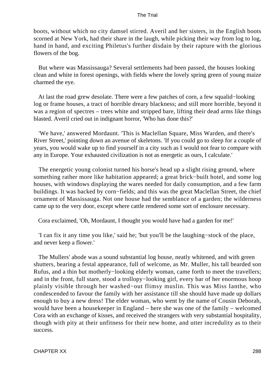boots, without which no city damsel stirred. Averil and her sisters, in the English boots scorned at New York, had their share in the laugh, while picking their way from log to log, hand in hand, and exciting Philetus's further disdain by their rapture with the glorious flowers of the bog.

 But where was Massissauga? Several settlements had been passed, the houses looking clean and white in forest openings, with fields where the lovely spring green of young maize charmed the eye.

 At last the road grew desolate. There were a few patches of corn, a few squalid−looking log or frame houses, a tract of horrible dreary blackness; and still more horrible, beyond it was a region of spectres – trees white and stripped bare, lifting their dead arms like things blasted. Averil cried out in indignant horror, 'Who has done this?'

 'We have,' answered Mordaunt. 'This is Maclellan Square, Miss Warden, and there's River Street,' pointing down an avenue of skeletons. 'If you could go to sleep for a couple of years, you would wake up to find yourself in a city such as I would not fear to compare with any in Europe. Your exhausted civilization is not as energetic as ours, I calculate.'

 The energetic young colonist turned his horse's head up a slight rising ground, where something rather more like habitation appeared; a great brick−built hotel, and some log houses, with windows displaying the wares needed for daily consumption, and a few farm buildings. It was backed by corn−fields; and this was the great Maclellan Street, the chief ornament of Massissauga. Not one house had the semblance of a garden; the wilderness came up to the very door, except where cattle rendered some sort of enclosure necessary.

Cora exclaimed, 'Oh, Mordaunt, I thought you would have had a garden for me!'

 'I can fix it any time you like,' said he; 'but you'll be the laughing−stock of the place, and never keep a flower.'

 The Mullers' abode was a sound substantial log house, neatly whitened, and with green shutters, bearing a festal appearance, full of welcome, as Mr. Muller, his tall bearded son Rufus, and a thin but motherly−looking elderly woman, came forth to meet the travellers; and in the front, full stare, stood a trollopy−looking girl, every bar of her enormous hoop plainly visible through her washed−out flimsy muslin. This was Miss Ianthe, who condescended to favour the family with her assistance till she should have made up dollars enough to buy a new dress! The elder woman, who went by the name of Cousin Deborah, would have been a housekeeper in England – here she was one of the family – welcomed Cora with an exchange of kisses, and received the strangers with very substantial hospitality, though with pity at their unfitness for their new home, and utter incredulity as to their success.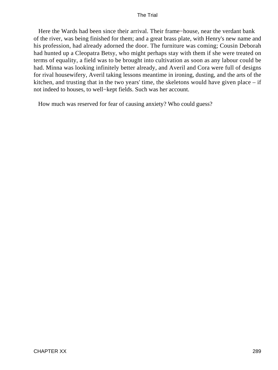Here the Wards had been since their arrival. Their frame−house, near the verdant bank of the river, was being finished for them; and a great brass plate, with Henry's new name and his profession, had already adorned the door. The furniture was coming; Cousin Deborah had hunted up a Cleopatra Betsy, who might perhaps stay with them if she were treated on terms of equality, a field was to be brought into cultivation as soon as any labour could be had. Minna was looking infinitely better already, and Averil and Cora were full of designs for rival housewifery, Averil taking lessons meantime in ironing, dusting, and the arts of the kitchen, and trusting that in the two years' time, the skeletons would have given place  $-$  if not indeed to houses, to well−kept fields. Such was her account.

How much was reserved for fear of causing anxiety? Who could guess?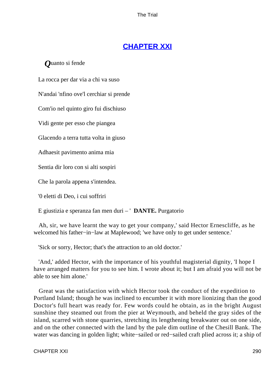# **[CHAPTER XXI](#page-415-0)**

### *Q*uanto si fende

La rocca per dar via a chi va suso

N'andai 'nfino ove'l cerchiar si prende

Com'io nel quinto giro fui dischiuso

Vidi gente per esso che piangea

Glacendo a terra tutta volta in giuso

Adhaesit pavimento anima mia

Sentia dir loro con si alti sospiri

Che la parola appena s'intendea.

'0 eletti di Deo, i cui soffriri

E giustizia e speranza fan men duri – ' **DANTE.** Purgatorio

 Ah, sir, we have learnt the way to get your company,' said Hector Ernescliffe, as he welcomed his father−in−law at Maplewood; 'we have only to get under sentence.'

'Sick or sorry, Hector; that's the attraction to an old doctor.'

 'And,' added Hector, with the importance of his youthful magisterial dignity, 'I hope I have arranged matters for you to see him. I wrote about it; but I am afraid you will not be able to see him alone.'

 Great was the satisfaction with which Hector took the conduct of the expedition to Portland Island; though he was inclined to encumber it with more lionizing than the good Doctor's full heart was ready for. Few words could he obtain, as in the bright August sunshine they steamed out from the pier at Weymouth, and beheld the gray sides of the island, scarred with stone quarries, stretching its lengthening breakwater out on one side, and on the other connected with the land by the pale dim outline of the Chesill Bank. The water was dancing in golden light; white−sailed or red−sailed craft plied across it; a ship of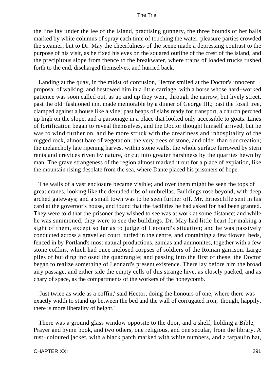the line lay under the lee of the island, practising gunnery, the three bounds of her balls marked by white columns of spray each time of touching the water, pleasure parties crowded the steamer; but to Dr. May the cheerfulness of the scene made a depressing contrast to the purpose of his visit, as he fixed his eyes on the squared outline of the crest of the island, and the precipitous slope from thence to the breakwater, where trains of loaded trucks rushed forth to the end, discharged themselves, and hurried back.

 Landing at the quay, in the midst of confusion, Hector smiled at the Doctor's innocent proposal of walking, and bestowed him in a little carriage, with a horse whose hard−worked patience was soon called out, as up and up they went, through the narrow, but lively street, past the old−fashioned inn, made memorable by a dinner of George III.; past the fossil tree, clamped against a house like a vine; past heaps of slabs ready for transport, a church perched up high on the slope, and a parsonage in a place that looked only accessible to goats. Lines of fortification began to reveal themselves, and the Doctor thought himself arrived, but he was to wind further on, and be more struck with the dreariness and inhospitality of the rugged rock, almost bare of vegetation, the very trees of stone, and older than our creation; the melancholy late ripening harvest within stone walls, the whole surface furrowed by stern rents and crevices riven by nature, or cut into greater harshness by the quarries hewn by man. The grave strangeness of the region almost marked it out for a place of expiation, like the mountain rising desolate from the sea, where Dante placed his prisoners of hope.

 The walls of a vast enclosure became visible; and over them might be seen the tops of great cranes, looking like the denuded ribs of umbrellas. Buildings rose beyond, with deep arched gateways; and a small town was to be seen further off. Mr. Ernescliffe sent in his card at the governor's house, and found that the facilities he had asked for had been granted. They were told that the prisoner they wished to see was at work at some distance; and while he was summoned, they were to see the buildings. Dr. May had little heart for making a sight of them, except so far as to judge of Leonard's situation; and he was passively conducted across a gravelled court, turfed in the centre, and containing a few flower−beds, fenced in by Portland's most natural productions, zamias and ammonites, together with a few stone coffins, which had once inclosed corpses of soldiers of the Roman garrison. Large piles of building inclosed the quadrangle; and passing into the first of these, the Doctor began to realize something of Leonard's present existence. There lay before him the broad airy passage, and either side the empty cells of this strange hive, as closely packed, and as chary of space, as the compartments of the workers of the honeycomb.

 'Just twice as wide as a coffin,' said Hector, doing the honours of one, where there was exactly width to stand up between the bed and the wall of corrugated iron; 'though, happily, there is more liberality of height.'

 There was a ground glass window opposite to the door, and a shelf, holding a Bible, Prayer and hymn book, and two others, one religious, and one secular, from the library. A rust−coloured jacket, with a black patch marked with white numbers, and a tarpaulin hat,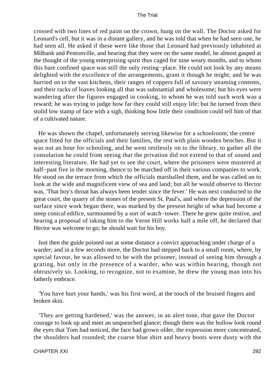crossed with two lines of red paint on the crown, hung on the wall. The Doctor asked for Leonard's cell, but it was in a distant gallery, and he was told that when he had seen one, he had seen all. He asked if these were like those that Leonard had previously inhabited at Milbank and Pentonville, and hearing that they were on the same model, he almost gasped at the thought of the young enterprising spirit thus caged for nine weary months, and to whom this bare confined space was still the only resting−place. He could not look by any means delighted with the excellence of the arrangements, grant it though he might; and he was hurried on to the vast kitchens, their ranges of coppers full of savoury steaming contents, and their racks of loaves looking all that was substantial and wholesome; but his eyes were wandering after the figures engaged in cooking, to whom he was told such work was a reward; he was trying to judge how far they could still enjoy life; but he turned from their stolid low stamp of face with a sigh, thinking how little their condition could tell him of that of a cultivated nature.

 He was shown the chapel, unfortunately serving likewise for a schoolroom; the centre space fitted for the officials and their families, the rest with plain wooden benches. But it was not an hour for schooling, and he went restlessly on to the library, to gather all the consolation he could from seeing that the privation did not extend to that of sound and interesting literature. He had yet to see the court, where the prisoners were mustered at half–past five in the morning, thence to be marched off in their various companies to work. He stood on the terrace from which the officials marshalled them, and he was called on to look at the wide and magnificent view of sea and land; but all he would observe to Hector was, 'That boy's throat has always been tender since the fever.' He was next conducted to the great court, the quarry of the stones of the present St. Paul's, and where the depression of the surface since work began there, was marked by the present height of what had become a steep conical edifice, surmounted by a sort of watch−tower. There he grew quite restive, and hearing a proposal of taking him to the Verne Hill works half a mile off, he declared that Hector was welcome to go; he should wait for his boy.

 Just then the guide pointed out at some distance a convict approaching under charge of a warder; and in a few seconds more, the Doctor had stepped back to a small room, where, by special favour, he was allowed to be with the prisoner, instead of seeing him through a grating, but only in the presence of a warder, who was within hearing, though not obtrusively so. Looking, to recognize, not to examine, he drew the young man into his fatherly embrace.

 'You have hurt your hands,' was his first word, at the touch of the bruised fingers and broken skin.

 'They are getting hardened,' was the answer, in an alert tone, that gave the Doctor courage to look up and meet an unquenched glance; though there was the hollow look round the eyes that Tom had noticed, the face had grown older, the expression more concentrated, the shoulders had rounded; the coarse blue shirt and heavy boots were dusty with the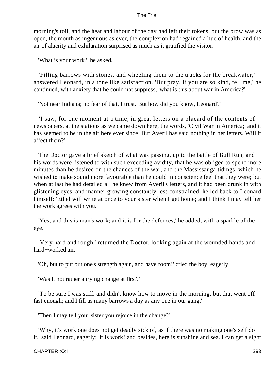morning's toil, and the heat and labour of the day had left their tokens, but the brow was as open, the mouth as ingenuous as ever, the complexion had regained a hue of health, and the air of alacrity and exhilaration surprised as much as it gratified the visitor.

'What is your work?' he asked.

 'Filling barrows with stones, and wheeling them to the trucks for the breakwater,' answered Leonard, in a tone like satisfaction. 'But pray, if you are so kind, tell me,' he continued, with anxiety that he could not suppress, 'what is this about war in America?'

'Not near Indiana; no fear of that, I trust. But how did you know, Leonard?'

 'I saw, for one moment at a time, in great letters on a placard of the contents of newspapers, at the stations as we came down here, the words, 'Civil War in America;' and it has seemed to be in the air here ever since. But Averil has said nothing in her letters. Will it affect them?'

 The Doctor gave a brief sketch of what was passing, up to the battle of Bull Run; and his words were listened to with such exceeding avidity, that he was obliged to spend more minutes than he desired on the chances of the war, and the Massissauga tidings, which he wished to make sound more favourable than he could in conscience feel that they were; but when at last he had detailed all he knew from Averil's letters, and it had been drunk in with glistening eyes, and manner growing constantly less constrained, he led back to Leonard himself: 'Ethel will write at once to your sister when I get home; and I think I may tell her the work agrees with you.'

 'Yes; and this is man's work; and it is for the defences,' he added, with a sparkle of the eye.

 'Very hard and rough,' returned the Doctor, looking again at the wounded hands and hard−worked air.

'Oh, but to put out one's strength again, and have room!' cried the boy, eagerly.

'Was it not rather a trying change at first?'

 'To be sure I was stiff, and didn't know how to move in the morning, but that went off fast enough; and I fill as many barrows a day as any one in our gang.'

'Then I may tell your sister you rejoice in the change?'

 'Why, it's work one does not get deadly sick of, as if there was no making one's self do it,' said Leonard, eagerly; 'it is work! and besides, here is sunshine and sea. I can get a sight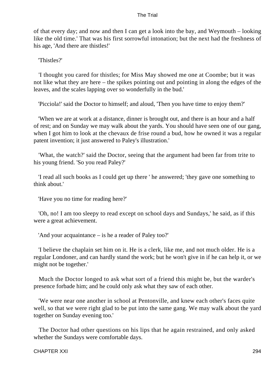of that every day; and now and then I can get a look into the bay, and Weymouth – looking like the old time.' That was his first sorrowful intonation; but the next had the freshness of his age, 'And there are thistles!'

'Thistles?'

 'I thought you cared for thistles; for Miss May showed me one at Coombe; but it was not like what they are here – the spikes pointing out and pointing in along the edges of the leaves, and the scales lapping over so wonderfully in the bud.'

'Picciola!' said the Doctor to himself; and aloud, 'Then you have time to enjoy them?'

 'When we are at work at a distance, dinner is brought out, and there is an hour and a half of rest; and on Sunday we may walk about the yards. You should have seen one of our gang, when I got him to look at the chevaux de frise round a bud, how he owned it was a regular patent invention; it just answered to Paley's illustration.'

 'What, the watch?' said the Doctor, seeing that the argument had been far from trite to his young friend. 'So you read Paley?'

 'I read all such books as I could get up there ' he answered; 'they gave one something to think about.'

'Have you no time for reading here?'

 'Oh, no! I am too sleepy to read except on school days and Sundays,' he said, as if this were a great achievement.

'And your acquaintance – is he a reader of Paley too?'

 'I believe the chaplain set him on it. He is a clerk, like me, and not much older. He is a regular Londoner, and can hardly stand the work; but he won't give in if he can help it, or we might not be together.'

 Much the Doctor longed to ask what sort of a friend this might be, but the warder's presence forbade him; and he could only ask what they saw of each other.

 'We were near one another in school at Pentonville, and knew each other's faces quite well, so that we were right glad to be put into the same gang. We may walk about the yard together on Sunday evening too.'

 The Doctor had other questions on his lips that he again restrained, and only asked whether the Sundays were comfortable days.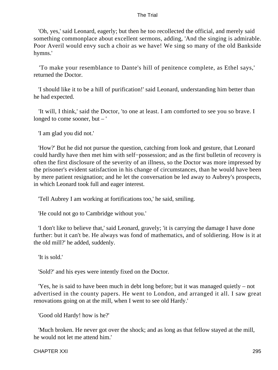'Oh, yes,' said Leonard, eagerly; but then he too recollected the official, and merely said something commonplace about excellent sermons, adding, 'And the singing is admirable. Poor Averil would envy such a choir as we have! We sing so many of the old Bankside hymns.'

 'To make your resemblance to Dante's hill of penitence complete, as Ethel says,' returned the Doctor.

 'I should like it to be a hill of purification!' said Leonard, understanding him better than he had expected.

 'It will, I think,' said the Doctor, 'to one at least. I am comforted to see you so brave. I longed to come sooner, but – '

'I am glad you did not.'

 'How?' But he did not pursue the question, catching from look and gesture, that Leonard could hardly have then met him with self−possession; and as the first bulletin of recovery is often the first disclosure of the severity of an illness, so the Doctor was more impressed by the prisoner's evident satisfaction in his change of circumstances, than he would have been by mere patient resignation; and he let the conversation be led away to Aubrey's prospects, in which Leonard took full and eager interest.

'Tell Aubrey I am working at fortifications too,' he said, smiling.

'He could not go to Cambridge without you.'

 'I don't like to believe that,' said Leonard, gravely; 'it is carrying the damage I have done further: but it can't be. He always was fond of mathematics, and of soldiering. How is it at the old mill?' he added, suddenly.

'It is sold.'

'Sold?' and his eyes were intently fixed on the Doctor.

 'Yes, he is said to have been much in debt long before; but it was managed quietly – not advertised in the county papers. He went to London, and arranged it all. I saw great renovations going on at the mill, when I went to see old Hardy.'

'Good old Hardy! how is he?'

 'Much broken. He never got over the shock; and as long as that fellow stayed at the mill, he would not let me attend him.'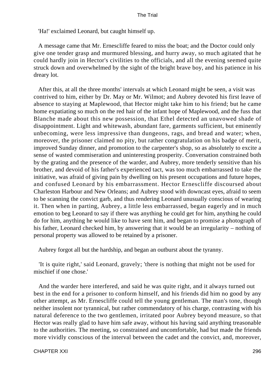'Ha!' exclaimed Leonard, but caught himself up.

 A message came that Mr. Ernescliffe feared to miss the boat; and the Doctor could only give one tender grasp and murmured blessing, and hurry away, so much agitated that he could hardly join in Hector's civilities to the officials, and all the evening seemed quite struck down and overwhelmed by the sight of the bright brave boy, and his patience in his dreary lot.

 After this, at all the three months' intervals at which Leonard might be seen, a visit was contrived to him, either by Dr. May or Mr. Wilmot; and Aubrey devoted his first leave of absence to staying at Maplewood, that Hector might take him to his friend; but he came home expatiating so much on the red hair of the infant hope of Maplewood, and the fuss that Blanche made about this new possession, that Ethel detected an unavowed shade of disappointment. Light and whitewash, abundant fare, garments sufficient, but eminently unbecoming, were less impressive than dungeons, rags, and bread and water; when, moreover, the prisoner claimed no pity, but rather congratulation on his badge of merit, improved Sunday dinner, and promotion to the carpenter's shop, so as absolutely to excite a sense of wasted commiseration and uninteresting prosperity. Conversation constrained both by the grating and the presence of the warder, and Aubrey, more tenderly sensitive than his brother, and devoid of his father's experienced tact, was too much embarrassed to take the initiative, was afraid of giving pain by dwelling on his present occupations and future hopes, and confused Leonard by his embarrassment. Hector Ernescliffe discoursed about Charleston Harbour and New Orleans; and Aubrey stood with downcast eyes, afraid to seem to be scanning the convict garb, and thus rendering Leonard unusually conscious of wearing it. Then when in parting, Aubrey, a little less embarrassed, began eagerly and in much emotion to beg Leonard to say if there was anything he could get for him, anything he could do for him, anything he would like to have sent him, and began to promise a photograph of his father, Leonard checked him, by answering that it would be an irregularity – nothing of personal property was allowed to be retained by a prisoner.

Aubrey forgot all but the hardship, and began an outburst about the tyranny.

 'It is quite right,' said Leonard, gravely; 'there is nothing that might not be used for mischief if one chose.'

 And the warder here interfered, and said he was quite right, and it always turned out best in the end for a prisoner to conform himself, and his friends did him no good by any other attempt, as Mr. Ernescliffe could tell the young gentleman. The man's tone, though neither insolent nor tyrannical, but rather commendatory of his charge, contrasting with his natural deference to the two gentlemen, irritated poor Aubrey beyond measure, so that Hector was really glad to have him safe away, without his having said anything treasonable to the authorities. The meeting, so constrained and uncomfortable, had but made the friends more vividly conscious of the interval between the cadet and the convict, and, moreover,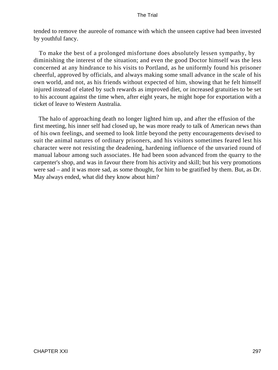tended to remove the aureole of romance with which the unseen captive had been invested by youthful fancy.

 To make the best of a prolonged misfortune does absolutely lessen sympathy, by diminishing the interest of the situation; and even the good Doctor himself was the less concerned at any hindrance to his visits to Portland, as he uniformly found his prisoner cheerful, approved by officials, and always making some small advance in the scale of his own world, and not, as his friends without expected of him, showing that he felt himself injured instead of elated by such rewards as improved diet, or increased gratuities to be set to his account against the time when, after eight years, he might hope for exportation with a ticket of leave to Western Australia.

 The halo of approaching death no longer lighted him up, and after the effusion of the first meeting, his inner self had closed up, he was more ready to talk of American news than of his own feelings, and seemed to look little beyond the petty encouragements devised to suit the animal natures of ordinary prisoners, and his visitors sometimes feared lest his character were not resisting the deadening, hardening influence of the unvaried round of manual labour among such associates. He had been soon advanced from the quarry to the carpenter's shop, and was in favour there from his activity and skill; but his very promotions were sad – and it was more sad, as some thought, for him to be gratified by them. But, as Dr. May always ended, what did they know about him?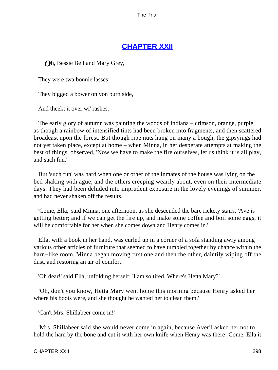# **[CHAPTER XXII](#page-415-0)**

*O*h, Bessie Bell and Mary Grey,

They were twa bonnie lasses;

They bigged a bower on yon burn side,

And theekt it over wi' rashes.

 The early glory of autumn was painting the woods of Indiana – crimson, orange, purple, as though a rainbow of intensified tints had been broken into fragments, and then scattered broadcast upon the forest. But though ripe nuts hung on many a bough, the gipsyings had not yet taken place, except at home – when Minna, in her desperate attempts at making the best of things, observed, 'Now we have to make the fire ourselves, let us think it is all play, and such fun.'

 But 'such fun' was hard when one or other of the inmates of the house was lying on the bed shaking with ague, and the others creeping wearily about, even on their intermediate days. They had been deluded into imprudent exposure in the lovely evenings of summer, and had never shaken off the results.

 'Come, Ella,' said Minna, one afternoon, as she descended the bare rickety stairs, 'Ave is getting better; and if we can get the fire up, and make some coffee and boil some eggs, it will be comfortable for her when she comes down and Henry comes in.'

 Ella, with a book in her hand, was curled up in a corner of a sofa standing awry among various other articles of furniture that seemed to have tumbled together by chance within the barn−like room. Minna began moving first one and then the other, daintily wiping off the dust, and restoring an air of comfort.

'Oh dear!' said Ella, unfolding herself; 'I am so tired. Where's Hetta Mary?'

 'Oh, don't you know, Hetta Mary went home this morning because Henry asked her where his boots were, and she thought he wanted her to clean them.'

'Can't Mrs. Shillabeer come in!'

 'Mrs. Shillabeer said she would never come in again, because Averil asked her not to hold the ham by the bone and cut it with her own knife when Henry was there! Come, Ella it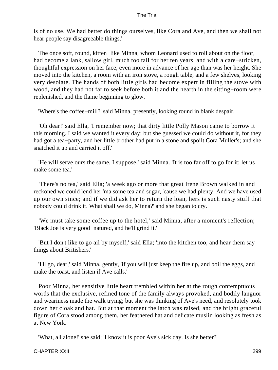is of no use. We had better do things ourselves, like Cora and Ave, and then we shall not hear people say disagreeable things.'

The once soft, round, kitten–like Minna, whom Leonard used to roll about on the floor, had become a lank, sallow girl, much too tall for her ten years, and with a care−stricken, thoughtful expression on her face, even more in advance of her age than was her height. She moved into the kitchen, a room with an iron stove, a rough table, and a few shelves, looking very desolate. The hands of both little girls had become expert in filling the stove with wood, and they had not far to seek before both it and the hearth in the sitting−room were replenished, and the flame beginning to glow.

'Where's the coffee−mill?' said Minna, presently, looking round in blank despair.

 'Oh dear!' said Ella, 'I remember now; that dirty little Polly Mason came to borrow it this morning. I said we wanted it every day: but she guessed we could do without it, for they had got a tea−party, and her little brother had put in a stone and spoilt Cora Muller's; and she snatched it up and carried it off.'

 'He will serve ours the same, I suppose,' said Minna. 'It is too far off to go for it; let us make some tea.'

 'There's no tea,' said Ella; 'a week ago or more that great Irene Brown walked in and reckoned we could lend her 'ma some tea and sugar, 'cause we had plenty. And we have used up our own since; and if we did ask her to return the loan, hers is such nasty stuff that nobody could drink it. What shall we do, Minna?' and she began to cry.

 'We must take some coffee up to the hotel,' said Minna, after a moment's reflection; 'Black Joe is very good−natured, and he'll grind it.'

 'But I don't like to go ail by myself,' said Ella; 'into the kitchen too, and hear them say things about Britishers.'

 'I'll go, dear,' said Minna, gently, 'if you will just keep the fire up, and boil the eggs, and make the toast, and listen if Ave calls.'

 Poor Minna, her sensitive little heart trembled within her at the rough contemptuous words that the exclusive, refined tone of the family always provoked, and bodily languor and weariness made the walk trying; but she was thinking of Ave's need, and resolutely took down her cloak and hat. But at that moment the latch was raised, and the bright graceful figure of Cora stood among them, her feathered hat and delicate muslin looking as fresh as at New York.

'What, all alone!' she said; 'I know it is poor Ave's sick day. Is she better?'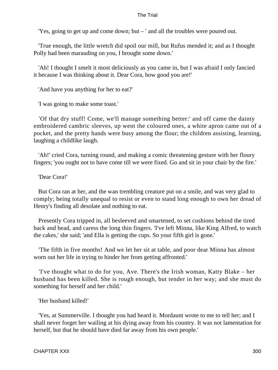'Yes, going to get up and come down; but – ' and all the troubles were poured out.

 'True enough, the little wretch did spoil our mill, but Rufus mended it; and as I thought Polly had been marauding on you, I brought some down.'

 'Ah! I thought I smelt it most deliciously as you came in, but I was afraid I only fancied it because I was thinking about it. Dear Cora, how good you are!'

'And have you anything for her to eat?'

'I was going to make some toast.'

 'Of that dry stuff! Come, we'll manage something better:' and off came the dainty embroidered cambric sleeves, up went the coloured ones, a white apron came out of a pocket, and the pretty hands were busy among the flour; the children assisting, learning, laughing a childlike laugh.

 'Ah!' cried Cora, turning round, and making a comic threatening gesture with her floury fingers; 'you ought not to have come till we were fixed. Go and sit in your chair by the fire.'

'Dear Cora!'

 But Cora ran at her, and the wan trembling creature put on a smile, and was very glad to comply; being totally unequal to resist or even to stand long enough to own her dread of Henry's finding all desolate and nothing to eat.

 Presently Cora tripped in, all besleeved and smartened, to set cushions behind the tired back and head, and caress the long thin fingers. 'I've left Minna, like King Alfred, to watch the cakes,' she said; 'and Ella is getting the cups. So your fifth girl is gone.'

 'The fifth in five months! And we let her sit at table, and poor dear Minna has almost worn out her life in trying to hinder her from getting affronted.'

 'I've thought what to do for you, Ave. There's the Irish woman, Katty Blake – her husband has been killed. She is rough enough, but tender in her way; and she must do something for herself and her child.'

'Her husband killed!'

 'Yes, at Summerville. I thought you had heard it. Mordaunt wrote to me to tell her; and I shall never forget her wailing at his dying away from his country. It was not lamentation for herself, but that he should have died far away from his own people.'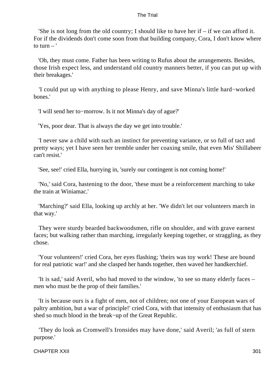'She is not long from the old country; I should like to have her if – if we can afford it. For if the dividends don't come soon from that building company, Cora, I don't know where to turn  $-$ '

 'Oh, they must come. Father has been writing to Rufus about the arrangements. Besides, those Irish expect less, and understand old country manners better, if you can put up with their breakages.'

 'I could put up with anything to please Henry, and save Minna's little hard−worked bones.'

'I will send her to−morrow. Is it not Minna's day of ague?'

'Yes, poor dear. That is always the day we get into trouble.'

 'I never saw a child with such an instinct for preventing variance, or so full of tact and pretty ways; yet I have seen her tremble under her coaxing smile, that even Mis' Shillabeer can't resist.'

'See, see!' cried Ella, hurrying in, 'surely our contingent is not coming home!'

 'No,' said Cora, hastening to the door, 'these must be a reinforcement marching to take the train at Winiamac.'

 'Marching?' said Ella, looking up archly at her. 'We didn't let our volunteers march in that way.'

 They were sturdy bearded backwoodsmen, rifle on shoulder, and with grave earnest faces; but walking rather than marching, irregularly keeping together, or straggling, as they chose.

 'Your volunteers!' cried Cora, her eyes flashing; 'theirs was toy work! These are bound for real patriotic war!' and she clasped her hands together, then waved her handkerchief.

 'It is sad,' said Averil, who had moved to the window, 'to see so many elderly faces – men who must be the prop of their families.'

 'It is because ours is a fight of men, not of children; not one of your European wars of paltry ambition, but a war of principle!' cried Cora, with that intensity of enthusiasm that has shed so much blood in the break−up of the Great Republic.

 'They do look as Cromwell's Ironsides may have done,' said Averil; 'as full of stern purpose.'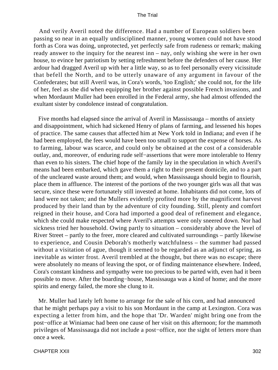And verily Averil noted the difference. Had a number of European soldiers been passing so near in an equally undisciplined manner, young women could not have stood forth as Cora was doing, unprotected, yet perfectly safe from rudeness or remark; making ready answer to the inquiry for the nearest inn – nay, only wishing she were in her own house, to evince her patriotism by setting refreshment before the defenders of her cause. Her ardour had dragged Averil up with her a little way, so as to feel personally every vicissitude that befell the North, and to be utterly unaware of any argument in favour of the Confederates; but still Averil was, in Cora's words, 'too English;' she could not, for the life of her, feel as she did when equipping her brother against possible French invasions, and when Mordaunt Muller had been enrolled in the Federal army, she had almost offended the exultant sister by condolence instead of congratulation.

 Five months had elapsed since the arrival of Averil in Massissauga – months of anxiety and disappointment, which had sickened Henry of plans of farming, and lessened his hopes of practice. The same causes that affected him at New York told in Indiana; and even if he had been employed, the fees would have been too small to support the expense of horses. As to farming, labour was scarce, and could only be obtained at the cost of a considerable outlay, and, moreover, of enduring rude self−assertions that were more intolerable to Henry than even to his sisters. The chief hope of the family lay in the speculation in which Averil's means had been embarked, which gave them a right to their present domicile, and to a part of the uncleared waste around them; and would, when Massissauga should begin to flourish, place them in affluence. The interest of the portions of the two younger girls was all that was secure, since these were fortunately still invested at home. Inhabitants did not come, lots of land were not taken; and the Mullers evidently profited more by the magnificent harvest produced by their land than by the adventure of city founding. Still, plenty and comfort reigned in their house, and Cora had imported a good deal of refinement and elegance, which she could make respected where Averil's attempts were only sneered down. Nor had sickness tried her household. Owing partly to situation – considerably above the level of River Street – partly to the freer, more cleared and cultivated surroundings – partly likewise to experience, and Cousin Deborah's motherly watchfulness – the summer had passed without a visitation of ague, though it seemed to be regarded as an adjunct of spring, as inevitable as winter frost. Averil trembled at the thought, but there was no escape; there were absolutely no means of leaving the spot, or of finding maintenance elsewhere. Indeed, Cora's constant kindness and sympathy were too precious to be parted with, even had it been possible to move. After the boarding−house, Massissauga was a kind of home; and the more spirits and energy failed, the more she clung to it.

 Mr. Muller had lately left home to arrange for the sale of his corn, and had announced that he might perhaps pay a visit to his son Mordaunt in the camp at Lexington. Cora was expecting a letter from him, and the hope that 'Dr. Warden' might bring one from the post−office at Winiamac had been one cause of her visit on this afternoon; for the mammoth privileges of Massissauga did not include a post−office, nor the sight of letters more than once a week.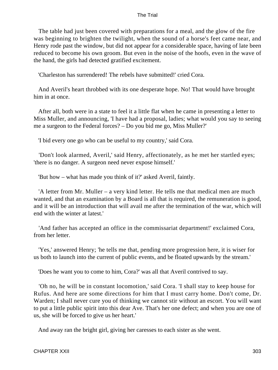The table had just been covered with preparations for a meal, and the glow of the fire was beginning to brighten the twilight, when the sound of a horse's feet came near, and Henry rode past the window, but did not appear for a considerable space, having of late been reduced to become his own groom. But even in the noise of the hoofs, even in the wave of the hand, the girls had detected gratified excitement.

'Charleston has surrendered! The rebels have submitted!' cried Cora.

 And Averil's heart throbbed with its one desperate hope. No! That would have brought him in at once.

 After all, both were in a state to feel it a little flat when he came in presenting a letter to Miss Muller, and announcing, 'I have had a proposal, ladies; what would you say to seeing me a surgeon to the Federal forces? – Do you bid me go, Miss Muller?'

'I bid every one go who can be useful to my country,' said Cora.

 'Don't look alarmed, Averil,' said Henry, affectionately, as he met her startled eyes; 'there is no danger. A surgeon need never expose himself.'

'But how – what has made you think of it?' asked Averil, faintly.

 'A letter from Mr. Muller – a very kind letter. He tells me that medical men are much wanted, and that an examination by a Board is all that is required, the remuneration is good, and it will be an introduction that will avail me after the termination of the war, which will end with the winter at latest.'

 'And father has accepted an office in the commissariat department!' exclaimed Cora, from her letter.

 'Yes,' answered Henry; 'he tells me that, pending more progression here, it is wiser for us both to launch into the current of public events, and be floated upwards by the stream.'

'Does he want you to come to him, Cora?' was all that Averil contrived to say.

 'Oh no, he will be in constant locomotion,' said Cora. 'I shall stay to keep house for Rufus. And here are some directions for him that I must carry home. Don't come, Dr. Warden; I shall never cure you of thinking we cannot stir without an escort. You will want to put a little public spirit into this dear Ave. That's her one defect; and when you are one of us, she will be forced to give us her heart.'

And away ran the bright girl, giving her caresses to each sister as she went.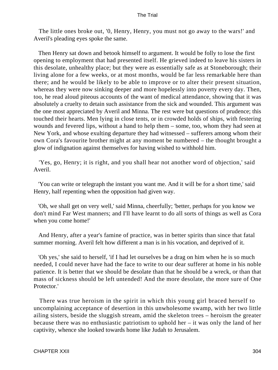The little ones broke out, '0, Henry, Henry, you must not go away to the wars!' and Averil's pleading eyes spoke the same.

 Then Henry sat down and betook himself to argument. It would be folly to lose the first opening to employment that had presented itself. He grieved indeed to leave his sisters in this desolate, unhealthy place; but they were as essentially safe as at Stoneborough; their living alone for a few weeks, or at most months, would be far less remarkable here than there; and he would be likely to be able to improve or to alter their present situation, whereas they were now sinking deeper and more hopelessly into poverty every day. Then, too, he read aloud piteous accounts of the want of medical attendance, showing that it was absolutely a cruelty to detain such assistance from the sick and wounded. This argument was the one most appreciated by Averil and Minna. The rest were but questions of prudence; this touched their hearts. Men lying in close tents, or in crowded holds of ships, with festering wounds and fevered lips, without a hand to help them – some, too, whom they had seen at New York, and whose exulting departure they had witnessed – sufferers among whom their own Cora's favourite brother might at any moment be numbered – the thought brought a glow of indignation against themselves for having wished to withhold him.

 'Yes, go, Henry; it is right, and you shall hear not another word of objection,' said Averil.

 'You can write or telegraph the instant you want me. And it will be for a short time,' said Henry, half repenting when the opposition had given way.

 'Oh, we shall get on very well,' said Minna, cheerfully; 'better, perhaps for you know we don't mind Far West manners; and I'll have learnt to do all sorts of things as well as Cora when you come home!'

 And Henry, after a year's famine of practice, was in better spirits than since that fatal summer morning. Averil felt how different a man is in his vocation, and deprived of it.

 'Oh yes,' she said to herself, 'if I had let ourselves be a drag on him when he is so much needed, I could never have had the face to write to our dear sufferer at home in his noble patience. It is better that we should be desolate than that he should be a wreck, or than that mass of sickness should be left untended! And the more desolate, the more sure of One Protector.'

 There was true heroism in the spirit in which this young girl braced herself to uncomplaining acceptance of desertion in this unwholesome swamp, with her two little ailing sisters, beside the sluggish stream, amid the skeleton trees – heroism the greater because there was no enthusiastic patriotism to uphold her – it was only the land of her captivity, whence she looked towards home like Judah to Jerusalem.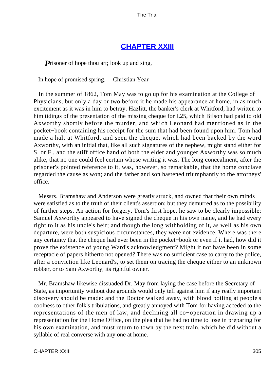### **[CHAPTER XXIII](#page-415-0)**

**P**risoner of hope thou art; look up and sing,

In hope of promised spring. – Christian Year

 In the summer of 1862, Tom May was to go up for his examination at the College of Physicians, but only a day or two before it he made his appearance at home, in as much excitement as it was in him to betray. Hazlitt, the banker's clerk at Whitford, had written to him tidings of the presentation of the missing cheque for L25, which Bilson had paid to old Axworthy shortly before the murder, and which Leonard had mentioned as in the pocket−book containing his receipt for the sum that had been found upon him. Tom had made a halt at Whitford, and seen the cheque, which had been backed by the word Axworthy, with an initial that, like all such signatures of the nephew, might stand either for S. or F., and the stiff office hand of both the elder and younger Axworthy was so much alike, that no one could feel certain whose writing it was. The long concealment, after the prisoner's pointed reference to it, was, however, so remarkable, that the home conclave regarded the cause as won; and the father and son hastened triumphantly to the attorneys' office.

 Messrs. Bramshaw and Anderson were greatly struck, and owned that their own minds were satisfied as to the truth of their client's assertion; but they demurred as to the possibility of further steps. An action for forgery, Tom's first hope, he saw to be clearly impossible; Samuel Axworthy appeared to have signed the cheque in his own name, and he had every right to it as his uncle's heir; and though the long withholding of it, as well as his own departure, were both suspicious circumstances, they were not evidence. Where was there any certainty that the cheque had ever been in the pocket−book or even if it had, how did it prove the existence of young Ward's acknowledgment? Might it not have been in some receptacle of papers hitherto not opened? There was no sufficient case to carry to the police, after a conviction like Leonard's, to set them on tracing the cheque either to an unknown robber, or to Sam Axworthy, its rightful owner.

 Mr. Bramshaw likewise dissuaded Dr. May from laying the case before the Secretary of State, as importunity without due grounds would only tell against him if any really important discovery should be made: and the Doctor walked away, with blood boiling at people's coolness to other folk's tribulations, and greatly annoyed with Tom for having acceded to the representations of the men of law, and declining all co−operation in drawing up a representation for the Home Office, on the plea that he had no time to lose in preparing for his own examination, and must return to town by the next train, which he did without a syllable of real converse with any one at home.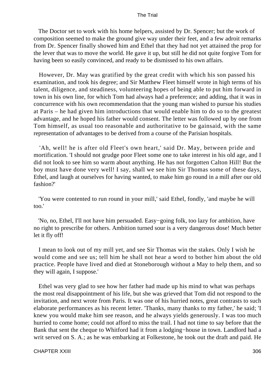The Doctor set to work with his home helpers, assisted by Dr. Spencer; but the work of composition seemed to make the ground give way under their feet, and a few adroit remarks from Dr. Spencer finally showed him and Ethel that they had not yet attained the prop for the lever that was to move the world. He gave it up, but still he did not quite forgive Tom for having been so easily convinced, and ready to be dismissed to his own affairs.

 However, Dr. May was gratified by the great credit with which his son passed his examination, and took his degree; and Sir Matthew Fleet himself wrote in high terms of his talent, diligence, and steadiness, volunteering hopes of being able to put him forward in town in his own line, for which Tom had always had a preference; and adding, that it was in concurrence with his own recommendation that the young man wished to pursue his studies at Paris – he had given him introductions that would enable him to do so to the greatest advantage, and he hoped his father would consent. The letter was followed up by one from Tom himself, as usual too reasonable and authoritative to be gainsaid, with the same representation of advantages to be derived from a course of the Parisian hospitals.

 'Ah, well! he is after old Fleet's own heart,' said Dr. May, between pride and mortification. 'I should not grudge poor Fleet some one to take interest in his old age, and I did not look to see him so warm about anything. He has not forgotten Calton Hill! But the boy must have done very well! I say, shall we see him Sir Thomas some of these days, Ethel, and laugh at ourselves for having wanted, to make him go round in a mill after our old fashion?'

 'You were contented to run round in your mill,' said Ethel, fondly, 'and maybe he will too.'

 'No, no, Ethel, I'll not have him persuaded. Easy−going folk, too lazy for ambition, have no right to prescribe for others. Ambition turned sour is a very dangerous dose! Much better let it fly off!

 I mean to look out of my mill yet, and see Sir Thomas win the stakes. Only I wish he would come and see us; tell him he shall not hear a word to bother him about the old practice. People have lived and died at Stoneborough without a May to help them, and so they will again, I suppose.'

 Ethel was very glad to see how her father had made up his mind to what was perhaps the most real disappointment of his life, but she was grieved that Tom did not respond to the invitation, and next wrote from Paris. It was one of his hurried notes, great contrasts to such elaborate performances as his recent letter. 'Thanks, many thanks to my father,' he said; 'I knew you would make him see reason, and he always yields generously. I was too much hurried to come home; could not afford to miss the trail. I had not time to say before that the Bank that sent the cheque to Whitford had it from a lodging−house in town. Landlord had a writ served on S. A.; as he was embarking at Folkestone, he took out the draft and paid. He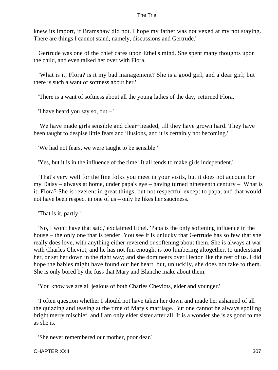knew its import, if Bramshaw did not. I hope my father was not vexed at my not staying. There are things I cannot stand, namely, discussions and Gertrude.'

 Gertrude was one of the chief cares upon Ethel's mind. She spent many thoughts upon the child, and even talked her over with Flora.

 'What is it, Flora? is it my bad management? She is a good girl, and a dear girl; but there is such a want of softness about her.'

'There is a want of softness about all the young ladies of the day,' returned Flora.

'I have heard you say so, but – '

 'We have made girls sensible and clear−headed, till they have grown hard. They have been taught to despise little fears and illusions, and it is certainly not becoming.'

'We had not fears, we were taught to be sensible.'

'Yes, but it is in the influence of the time! It all tends to make girls independent.'

 'That's very well for the fine folks you meet in your visits, but it does not account for my Daisy – always at home, under papa's eye – having turned nineteenth century – What is it, Flora? She is reverent in great things, but not respectful except to papa, and that would not have been respect in one of us – only he likes her sauciness.'

'That is it, partly.'

 'No, I won't have that said,' exclaimed Ethel. 'Papa is the only softening influence in the house – the only one that is tender. You see it is unlucky that Gertrude has so few that she really does love, with anything either reverend or softening about them. She is always at war with Charles Cheviot, and he has not fun enough, is too lumbering altogether, to understand her, or set her down in the right way; and she domineers over Hector like the rest of us. I did hope the babies might have found out her heart, but, unluckily, she does not take to them. She is only bored by the fuss that Mary and Blanche make about them.

'You know we are all jealous of both Charles Cheviots, elder and younger.'

 'I often question whether I should not have taken her down and made her ashamed of all the quizzing and teasing at the time of Mary's marriage. But one cannot be always spoiling bright merry mischief, and I am only elder sister after all. It is a wonder she is as good to me as she is.'

'She never remembered our mother, poor dear.'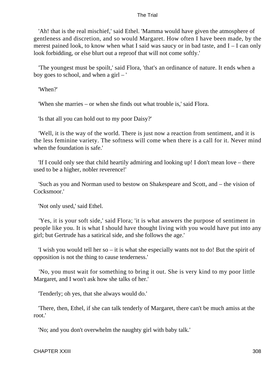'Ah! that is the real mischief,' said Ethel. 'Mamma would have given the atmosphere of gentleness and discretion, and so would Margaret. How often I have been made, by the merest pained look, to know when what I said was saucy or in bad taste, and I – I can only look forbidding, or else blurt out a reproof that will not come softly.'

 'The youngest must be spoilt,' said Flora, 'that's an ordinance of nature. It ends when a boy goes to school, and when a girl – '

'When?'

'When she marries – or when she finds out what trouble is,' said Flora.

'Is that all you can hold out to my poor Daisy?'

 'Well, it is the way of the world. There is just now a reaction from sentiment, and it is the less feminine variety. The softness will come when there is a call for it. Never mind when the foundation is safe.'

 'If I could only see that child heartily admiring and looking up! I don't mean love – there used to be a higher, nobler reverence!'

 'Such as you and Norman used to bestow on Shakespeare and Scott, and – the vision of Cocksmoor<sup>'</sup>

'Not only used,' said Ethel.

 'Yes, it is your soft side,' said Flora; 'it is what answers the purpose of sentiment in people like you. It is what I should have thought living with you would have put into any girl; but Gertrude has a satirical side, and she follows the age.'

 'I wish you would tell her so – it is what she especially wants not to do! But the spirit of opposition is not the thing to cause tenderness.'

 'No, you must wait for something to bring it out. She is very kind to my poor little Margaret, and I won't ask how she talks of her.'

'Tenderly; oh yes, that she always would do.'

 'There, then, Ethel, if she can talk tenderly of Margaret, there can't be much amiss at the root.'

'No; and you don't overwhelm the naughty girl with baby talk.'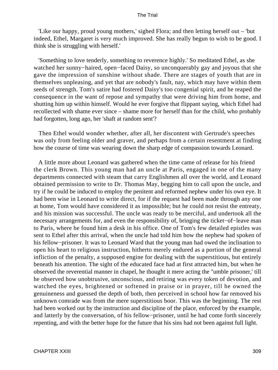'Like our happy, proud young mothers,' sighed Flora; and then letting herself out – 'but indeed, Ethel, Margaret is very much improved. She has really begun to wish to be good. I think she is struggling with herself.'

 'Something to love tenderly, something to reverence highly.' So meditated Ethel, as she watched her sunny−haired, open−faced Daisy, so unconquerably gay and joyous that she gave the impression of sunshine without shade. There are stages of youth that are in themselves unpleasing, and yet that are nobody's fault, nay, which may have within them seeds of strength. Tom's satire had fostered Daisy's too congenial spirit, and he reaped the consequence in the want of repose and sympathy that were driving him from home, and shutting him up within himself. Would he ever forgive that flippant saying, which Ethel had recollected with shame ever since – shame more for herself than for the child, who probably had forgotten, long ago, her 'shaft at random sent'?

 Then Ethel would wonder whether, after all, her discontent with Gertrude's speeches was only from feeling older and graver, and perhaps from a certain resentment at finding how the course of time was wearing down the sharp edge of compassion towards Leonard.

 A little more about Leonard was gathered when the time came of release for his friend the clerk Brown. This young man had an uncle at Paris, engaged in one of the many departments connected with steam that carry Englishmen all over the world, and Leonard obtained permission to write to Dr. Thomas May, begging him to call upon the uncle, and try if he could be induced to employ the penitent and reformed nephew under his own eye. It had been wise in Leonard to write direct, for if the request had been made through any one at home, Tom would have considered it as impossible; but he could not resist the entreaty, and his mission was successful. The uncle was ready to be merciful, and undertook all the necessary arrangements for, and even the responsibility of, bringing the ticket−of−leave man to Paris, where he found him a desk in his office. One of Tom's few detailed epistles was sent to Ethel after this arrival, when the uncle had told him how the nephew had spoken of his fellow−prisoner. It was to Leonard Ward that the young man had owed the inclination to open his heart to religious instruction, hitherto merely endured as a portion of the general infliction of the penalty, a supposed engine for dealing with the superstitious, but entirely beneath his attention. The sight of the educated face had at first attracted him, but when he observed the reverential manner in chapel, he thought it mere acting the ''umble prisoner,' till he observed how unobtrusive, unconscious, and retiring was every token of devotion, and watched the eyes, brightened or softened in praise or in prayer, till he owned the genuineness and guessed the depth of both, then perceived in school how far removed his unknown comrade was from the mere superstitious boor. This was the beginning. The rest had been worked out by the instruction and discipline of the place, enforced by the example, and latterly by the conversation, of his fellow−prisoner, until he had come forth sincerely repenting, and with the better hope for the future that his sins had not been against full light.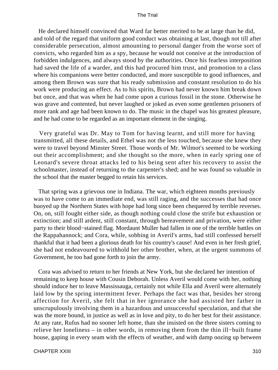He declared himself convinced that Ward far better merited to be at large than he did, and told of the regard that uniform good conduct was obtaining at last, though not till after considerable persecution, almost amounting to personal danger from the worse sort of convicts, who regarded him as a spy, because he would not connive at the introduction of forbidden indulgences, and always stood by the authorities. Once his fearless interposition had saved the life of a warder, and this had procured him trust, and promotion to a class where his companions were better conducted, and more susceptible to good influences, and among them Brown was sure that his ready submission and constant resolution to do his work were producing an effect. As to his spirits, Brown had never known him break down but once, and that was when he had come upon a curious fossil in the stone. Otherwise he was grave and contented, but never laughed or joked as even some gentlemen prisoners of more rank and age had been known to do. The music in the chapel was his greatest pleasure, and he had come to be regarded as an important element in the singing.

 Very grateful was Dr. May to Tom for having learnt, and still more for having transmitted, all these details, and Ethel was not the less touched, because she knew they were to travel beyond Minster Street. Those words of Mr. Wilmot's seemed to be working out their accomplishment; and she thought so the more, when in early spring one of Leonard's severe throat attacks led to his being sent after his recovery to assist the schoolmaster, instead of returning to the carpenter's shed; and he was found so valuable in the school that the master begged to retain his services.

 That spring was a grievous one in Indiana. The war, which eighteen months previously was to have come to an immediate end, was still raging, and the successes that had once buoyed up the Northern States with hope had long since been chequered by terrible reverses. On, on, still fought either side, as though nothing could close the strife but exhaustion or extinction; and still ardent, still constant, through bereavement and privation, were either party to their blood−stained flag. Mordaunt Muller had fallen in one of the terrible battles on the Rappahannock; and Cora, while, sobbing in Averil's arms, had still confessed herself thankful that it had been a glorious death for his country's cause! And even in her fresh grief, she had not endeavoured to withhold her other brother, when, at the urgent summons of Government, he too had gone forth to join the army.

 Cora was advised to return to her friends at New York, but she declared her intention of remaining to keep house with Cousin Deborah. Unless Averil would come with her, nothing should induce her to leave Massissauga, certainly not while Ella and Averil were alternately laid low by the spring intermittent fever. Perhaps the fact was that, besides her strong affection for Averil, she felt that in her ignorance she had assisted her father in unscrupulously involving them in a hazardous and unsuccessful speculation, and that she was the more bound, in justice as well as in love and pity, to do her best for their assistance. At any rate, Rufus had no sooner left home, than she insisted on the three sisters coming to relieve her loneliness – in other words, in removing them from the thin ill−built frame house, gaping in every seam with the effects of weather, and with damp oozing up between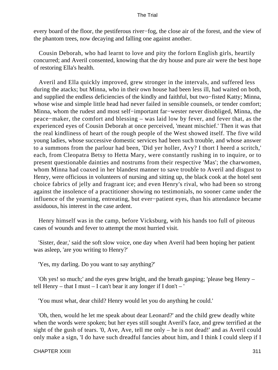every board of the floor, the pestiferous river−fog, the close air of the forest, and the view of the phantom trees, now decaying and falling one against another.

 Cousin Deborah, who had learnt to love and pity the forlorn English girls, heartily concurred; and Averil consented, knowing that the dry house and pure air were the best hope of restoring Ella's health.

 Averil and Ella quickly improved, grew stronger in the intervals, and suffered less during the atacks; but Minna, who in their own house had been less ill, had waited on both, and supplied the endless deficiencies of the kindly and faithful, but two−fisted Katty; Minna, whose wise and simple little head had never failed in sensible counsels, or tender comfort; Minna, whom the rudest and most self−important far−wester never disobliged, Minna, the peace−maker, the comfort and blessing – was laid low by fever, and fever that, as the experienced eyes of Cousin Deborah at once perceived, 'meant mischief.' Then it was that the real kindliness of heart of the rough people of the West showed itself. The five wild young ladies, whose successive domestic services had been such trouble, and whose answer to a summons from the parlour had been, 'Did yer holler, Avy? I thort I heerd a scritch,' each, from Cleopatra Betsy to Hetta Mary, were constantly rushing in to inquire, or to present questionable dainties and nostrums from their respective 'Mas'; the charwomen, whom Minna had coaxed in her blandest manner to save trouble to Averil and disgust to Henry, were officious in volunteers of nursing and sitting up, the black cook at the hotel sent choice fabrics of jelly and fragrant ice; and even Henry's rival, who had been so strong against the insolence of a practitioner showing no testimonials, no sooner came under the influence of the yearning, entreating, but ever−patient eyes, than his attendance became assiduous, his interest in the case ardent.

 Henry himself was in the camp, before Vicksburg, with his hands too full of piteous cases of wounds and fever to attempt the most hurried visit.

 'Sister, dear,' said the soft slow voice, one day when Averil had been hoping her patient was asleep, 'are you writing to Henry?'

'Yes, my darling. Do you want to say anything?'

 'Oh yes! so much;' and the eyes grew bright, and the breath gasping; 'please beg Henry – tell Henry – that I must – I can't bear it any longer if I don't – '

'You must what, dear child? Henry would let you do anything he could.'

 'Oh, then, would he let me speak about dear Leonard?' and the child grew deadly white when the words were spoken; but her eyes still sought Averil's face, and grew terrified at the sight of the gush of tears. '0, Ave, Ave, tell me only – he is not dead!' and as Averil could only make a sign, 'I do have such dreadful fancies about him, and I think I could sleep if I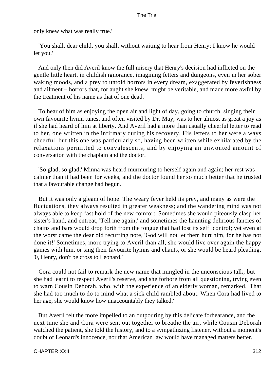only knew what was really true.'

 'You shall, dear child, you shall, without waiting to hear from Henry; I know he would let you.'

 And only then did Averil know the full misery that Henry's decision had inflicted on the gentle little heart, in childish ignorance, imagining fetters and dungeons, even in her sober waking moods, and a prey to untold horrors in every dream, exaggerated by feverishness and ailment – horrors that, for aught she knew, might be veritable, and made more awful by the treatment of his name as that of one dead.

 To hear of him as enjoying the open air and light of day, going to church, singing their own favourite hymn tunes, and often visited by Dr. May, was to her almost as great a joy as if she had heard of him at liberty. And Averil had a more than usually cheerful letter to read to her, one written in the infirmary during his recovery. His letters to her were always cheerful, but this one was particularly so, having been written while exhilarated by the relaxations permitted to convalescents, and by enjoying an unwonted amount of conversation with the chaplain and the doctor.

 'So glad, so glad,' Minna was heard murmuring to herself again and again; her rest was calmer than it had been for weeks, and the doctor found her so much better that he trusted that a favourable change had begun.

 But it was only a gleam of hope. The weary fever held its prey, and many as were the fluctuations, they always resulted in greater weakness; and the wandering mind was not always able to keep fast hold of the new comfort. Sometimes she would piteously clasp her sister's hand, and entreat, 'Tell me again;' and sometimes the haunting delirious fancies of chains and bars would drop forth from the tongue that had lost its self−control; yet even at the worst came the dear old recurring note, 'God will not let them hurt him, for he has not done it!' Sometimes, more trying to Averil than all, she would live over again the happy games with him, or sing their favourite hymns and chants, or she would be heard pleading, '0, Henry, don't be cross to Leonard.'

 Cora could not fail to remark the new name that mingled in the unconscious talk; but she had learnt to respect Averil's reserve, and she forbore from all questioning, trying even to warn Cousin Deborah, who, with the experience of an elderly woman, remarked, 'That she had too much to do to mind what a sick child rambled about. When Cora had lived to her age, she would know how unaccountably they talked.'

 But Averil felt the more impelled to an outpouring by this delicate forbearance, and the next time she and Cora were sent out together to breathe the air, while Cousin Deborah watched the patient, she told the history, and to a sympathizing listener, without a moment's doubt of Leonard's innocence, nor that American law would have managed matters better.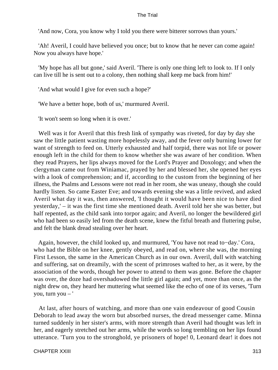'And now, Cora, you know why I told you there were bitterer sorrows than yours.'

 'Ah! Averil, I could have believed you once; but to know that he never can come again! Now you always have hope.'

 'My hope has all but gone,' said Averil. 'There is only one thing left to look to. If I only can live till he is sent out to a colony, then nothing shall keep me back from him!'

'And what would I give for even such a hope?'

'We have a better hope, both of us,' murmured Averil.

'It won't seem so long when it is over.'

 Well was it for Averil that this fresh link of sympathy was riveted, for day by day she saw the little patient wasting more hopelessly away, and the fever only burning lower for want of strength to feed on. Utterly exhausted and half torpid, there was not life or power enough left in the child for them to know whether she was aware of her condition. When they read Prayers, her lips always moved for the Lord's Prayer and Doxology; and when the clergyman came out from Winiamac, prayed by her and blessed her, she opened her eyes with a look of comprehension; and if, according to the custom from the beginning of her illness, the Psalms and Lessons were not read in her room, she was uneasy, though she could hardly listen. So came Easter Eve; and towards evening she was a little revived, and asked Averil what day it was, then answered, 'I thought it would have been nice to have died yesterday,' – it was the first time she mentioned death. Averil told her she was better, but half repented, as the child sank into torpor again; and Averil, no longer the bewildered girl who had been so easily led from the death scene, knew the fitful breath and fluttering pulse, and felt the blank dread stealing over her heart.

 Again, however, the child looked up, and murmured, 'You have not read to−day.' Cora, who had the Bible on her knee, gently obeyed, and read on, where she was, the morning First Lesson, the same in the American Church as in our own. Averil, dull with watching and suffering, sat on dreamily, with the scent of primroses wafted to her, as it were, by the association of the words, though her power to attend to them was gone. Before the chapter was over, the doze had overshadowed the little girl again; and yet, more than once, as the night drew on, they heard her muttering what seemed like the echo of one of its verses, 'Turn you, turn you – '

 At last, after hours of watching, and more than one vain endeavour of good Cousin Deborah to lead away the worn but absorbed nurses, the dread messenger came. Minna turned suddenly in her sister's arms, with more strength than Averil had thought was left in her, and eagerly stretched out her arms, while the words so long trembling on her lips found utterance. 'Turn you to the stronghold, ye prisoners of hope! 0, Leonard dear! it does not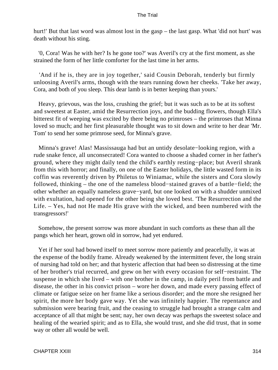hurt!' But that last word was almost lost in the gasp – the last gasp. What 'did not hurt' was death without his sting.

 '0, Cora! Was he with her? Is he gone too?' was Averil's cry at the first moment, as she strained the form of her little comforter for the last time in her arms.

 'And if he is, they are in joy together,' said Cousin Deborah, tenderly but firmly unloosing Averil's arms, though with the tears running down her cheeks. 'Take her away, Cora, and both of you sleep. This dear lamb is in better keeping than yours.'

 Heavy, grievous, was the loss, crushing the grief; but it was such as to be at its softest and sweetest at Easter, amid the Resurrection joys, and the budding flowers, though Ella's bitterest fit of weeping was excited by there being no primroses – the primroses that Minna loved so much; and her first pleasurable thought was to sit down and write to her dear 'Mr. Tom' to send her some primrose seed, for Minna's grave.

 Minna's grave! Alas! Massissauga had but an untidy desolate−looking region, with a rude snake fence, all unconsecrated! Cora wanted to choose a shaded corner in her father's ground, where they might daily tend the child's earthly resting−place; but Averil shrank from this with horror; and finally, on one of the Easter holidays, the little wasted form in its coffin was reverently driven by Philetus to Winiamac, while the sisters and Cora slowly followed, thinking – the one of the nameless blood−stained graves of a battle−field; the other whether an equally nameless grave−yard, but one looked on with a shudder unmixed with exultation, had opened for the other being she loved best. 'The Resurrection and the Life. – Yes, had not He made His grave with the wicked, and been numbered with the transgressors!'

 Somehow, the present sorrow was more abundant in such comforts as these than all the pangs which her heart, grown old in sorrow, had yet endured.

 Yet if her soul had bowed itself to meet sorrow more patiently and peacefully, it was at the expense of the bodily frame. Already weakened by the intermittent fever, the long strain of nursing had told on her; and that hysteric affection that had been so distressing at the time of her brother's trial recurred, and grew on her with every occasion for self−restraint. The suspense in which she lived – with one brother in the camp, in daily peril from battle and disease, the other in his convict prison – wore her down, and made every passing effect of climate or fatigue seize on her frame like a serious disorder; and the more she resigned her spirit, the more her body gave way. Yet she was infinitely happier. The repentance and submission were bearing fruit, and the ceasing to struggle had brought a strange calm and acceptance of all that might be sent; nay, her own decay was perhaps the sweetest solace and healing of the wearied spirit; and as to Ella, she would trust, and she did trust, that in some way or other all would be well.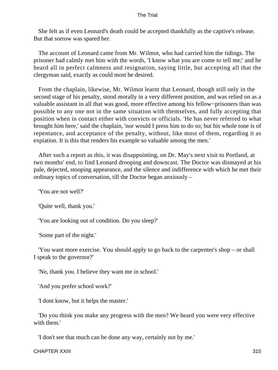She felt as if even Leonard's death could be accepted thankfully as the captive's release. But that sorrow was spared her.

 The account of Leonard came from Mr. Wilmot, who had carried him the tidings. The prisoner had calmly met him with the words, 'I know what you are come to tell me;' and he heard all in perfect calmness and resignation, saying little, but accepting all that the clergyman said, exactly as could most be desired.

 From the chaplain, likewise, Mr. Wilmot learnt that Leonard, though still only in the second stage of his penalty, stood morally in a very different position, and was relied on as a valuable assistant in all that was good, more effective among his fellow−prisoners than was possible to any one not in the same situation with themselves, and fully accepting that position when in contact either with convicts or officials. 'He has never referred to what brought him here,' said the chaplain, 'nor would I press him to do so; but his whole tone is of repentance, and acceptance of the penalty, without, like most of them, regarding it as expiation. It is this that renders his example so valuable among the men.'

 After such a report as this, it was disappointing, on Dr. May's next visit to Portland, at two months' end, to find Leonard drooping and downcast. The Doctor was dismayed at his pale, dejected, stooping appearance, and the silence and indifference with which he met their ordinary topics of conversation, till the Doctor began anxiously –

'You are not well?'

'Quite well, thank you.'

'You are looking out of condition. Do you sleep?'

'Some part of the night.'

 'You want more exercise. You should apply to go back to the carpenter's shop – or shall I speak to the governor?'

'No, thank you. I believe they want me in school.'

'And you prefer school work?'

'I dont know, but it helps the master.'

 'Do you think you make any progress with the men? We heard you were very effective with them.'

'I don't see that much can be done any way, certainly not by me.'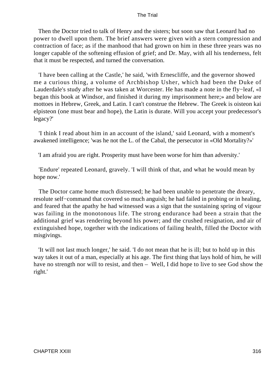Then the Doctor tried to talk of Henry and the sisters; but soon saw that Leonard had no power to dwell upon them. The brief answers were given with a stern compression and contraction of face; as if the manhood that had grown on him in these three years was no longer capable of the softening effusion of grief; and Dr. May, with all his tenderness, felt that it must be respected, and turned the conversation.

 'I have been calling at the Castle,' he said, 'with Ernescliffe, and the governor showed me a curious thing, a volume of Archbishop Usher, which had been the Duke of Lauderdale's study after he was taken at Worcester. He has made a note in the fly−leaf, «I began this book at Windsor, and finished it during my imprisonment here;» and below are mottoes in Hebrew, Greek, and Latin. I can't construe the Hebrew. The Greek is oisteon kai elpisteon (one must bear and hope), the Latin is durate. Will you accept your predecessor's legacy?'

 'I think I read about him in an account of the island,' said Leonard, with a moment's awakened intelligence; 'was he not the L. of the Cabal, the persecutor in «Old Mortality?»'

'I am afraid you are right. Prosperity must have been worse for him than adversity.'

 'Endure' repeated Leonard, gravely. 'I will think of that, and what he would mean by hope now.'

 The Doctor came home much distressed; he had been unable to penetrate the dreary, resolute self−command that covered so much anguish; he had failed in probing or in healing, and feared that the apathy he had witnessed was a sign that the sustaining spring of vigour was failing in the monotonous life. The strong endurance had been a strain that the additional grief was rendering beyond his power; and the crushed resignation, and air of extinguished hope, together with the indications of failing health, filled the Doctor with misgivings.

 'It will not last much longer,' he said. 'I do not mean that he is ill; but to hold up in this way takes it out of a man, especially at his age. The first thing that lays hold of him, he will have no strength nor will to resist, and then – Well, I did hope to live to see God show the right.'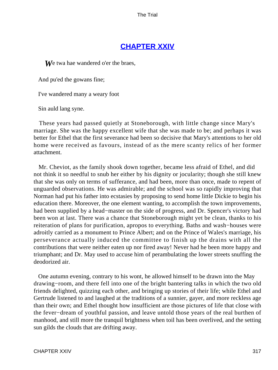# **[CHAPTER XXIV](#page-415-0)**

**W**e twa hae wandered o'er the braes,

And pu'ed the gowans fine;

I've wandered many a weary foot

Sin auld lang syne.

 These years had passed quietly at Stoneborough, with little change since Mary's marriage. She was the happy excellent wife that she was made to be; and perhaps it was better for Ethel that the first severance had been so decisive that Mary's attentions to her old home were received as favours, instead of as the mere scanty relics of her former attachment.

 Mr. Cheviot, as the family shook down together, became less afraid of Ethel, and did not think it so needful to snub her either by his dignity or jocularity; though she still knew that she was only on terms of sufferance, and had been, more than once, made to repent of unguarded observations. He was admirable; and the school was so rapidly improving that Norman had put his father into ecstasies by proposing to send home little Dickie to begin his education there. Moreover, the one element wanting, to accomplish the town improvements, had been supplied by a head−master on the side of progress, and Dr. Spencer's victory had been won at last. There was a chance that Stoneborough might yet be clean, thanks to his reiteration of plans for purification, apropos to everything. Baths and wash−houses were adroitly carried as a monument to Prince Albert; and on the Prince of Wales's marriage, his perseverance actually induced the committee to finish up the drains with all the contributions that were neither eaten up nor fired away! Never had he been more happy and triumphant; and Dr. May used to accuse him of perambulating the lower streets snuffing the deodorized air.

 One autumn evening, contrary to his wont, he allowed himself to be drawn into the May drawing−room, and there fell into one of the bright bantering talks in which the two old friends delighted, quizzing each other, and bringing up stories of their life; while Ethel and Gertrude listened to and laughed at the traditions of a sunnier, gayer, and more reckless age than their own; and Ethel thought how insufficient are those pictures of life that close with the fever−dream of youthful passion, and leave untold those years of the real burthen of manhood, and still more the tranquil brightness when toil has been overlived, and the setting sun gilds the clouds that are drifting away.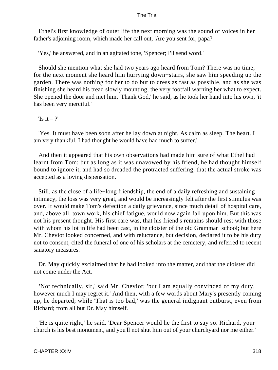Ethel's first knowledge of outer life the next morning was the sound of voices in her father's adjoining room, which made her call out, 'Are you sent for, papa?'

'Yes,' he answered, and in an agitated tone, 'Spencer; I'll send word.'

 Should she mention what she had two years ago heard from Tom? There was no time, for the next moment she heard him hurrying down−stairs, she saw him speeding up the garden. There was nothing for her to do but to dress as fast as possible, and as she was finishing she heard his tread slowly mounting, the very footfall warning her what to expect. She opened the door and met him. 'Thank God,' he said, as he took her hand into his own, 'it has been very merciful.'

'Is it  $-$  ?'

 'Yes. It must have been soon after he lay down at night. As calm as sleep. The heart. I am very thankful. I had thought he would have had much to suffer.'

 And then it appeared that his own observations had made him sure of what Ethel had learnt from Tom; but as long as it was unavowed by his friend, he had thought himself bound to ignore it, and had so dreaded the protracted suffering, that the actual stroke was accepted as a loving dispensation.

 Still, as the close of a life−long friendship, the end of a daily refreshing and sustaining intimacy, the loss was very great, and would be increasingly felt after the first stimulus was over. It would make Tom's defection a daily grievance, since much detail of hospital care, and, above all, town work, his chief fatigue, would now again fall upon him. But this was not his present thought. His first care was, that his friend's remains should rest with those with whom his lot in life had been cast, in the cloister of the old Grammar−school; but here Mr. Cheviot looked concerned, and with reluctance, but decision, declared it to be his duty not to consent, cited the funeral of one of his scholars at the cemetery, and referred to recent sanatory measures.

 Dr. May quickly exclaimed that he had looked into the matter, and that the cloister did not come under the Act.

 'Not technically, sir,' said Mr. Cheviot; 'but I am equally convinced of my duty, however much I may regret it.' And then, with a few words about Mary's presently coming up, he departed; while 'That is too bad,' was the general indignant outburst, even from Richard; from all but Dr. May himself.

 'He is quite right,' he said. 'Dear Spencer would he the first to say so. Richard, your church is his best monument, and you'll not shut him out of your churchyard nor me either.'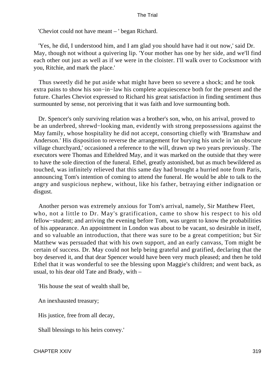'Cheviot could not have meant – ' began Richard.

 'Yes, he did, I understood him, and I am glad you should have had it out now,' said Dr. May, though not without a quivering lip. 'Your mother has one by her side, and we'll find each other out just as well as if we were in the cloister. I'll walk over to Cocksmoor with you, Ritchie, and mark the place.'

 Thus sweetly did he put aside what might have been so severe a shock; and he took extra pains to show his son−in−law his complete acquiescence both for the present and the future. Charles Cheviot expressed to Richard his great satisfaction in finding sentiment thus surmounted by sense, not perceiving that it was faith and love surmounting both.

 Dr. Spencer's only surviving relation was a brother's son, who, on his arrival, proved to be an underbred, shrewd−looking man, evidently with strong prepossessions against the May family, whose hospitality he did not accept, consorting chiefly with 'Bramshaw and Anderson.' His disposition to reverse the arrangement for burying his uncle in 'an obscure village churchyard,' occasioned a reference to the will, drawn up two years previously. The executors were Thomas and Etheldred May, and it was marked on the outside that they were to have the sole direction of the funeral. Ethel, greatly astonished, but as much bewildered as touched, was infinitely relieved that this same day had brought a hurried note from Paris, announcing Tom's intention of coming to attend the funeral. He would be able to talk to the angry and suspicious nephew, without, like his father, betraying either indignation or disgust.

 Another person was extremely anxious for Tom's arrival, namely, Sir Matthew Fleet, who, not a little to Dr. May's gratification, came to show his respect to his old fellow−student; and arriving the evening before Tom, was urgent to know the probabilities of his appearance. An appointment in London was about to be vacant, so desirable in itself, and so valuable an introduction, that there was sure to be a great competition; but Sir Matthew was persuaded that with his own support, and an early canvass, Tom might be certain of success. Dr. May could not help being grateful and gratified, declaring that the boy deserved it, and that dear Spencer would have been very much pleased; and then he told Ethel that it was wonderful to see the blessing upon Maggie's children; and went back, as usual, to his dear old Tate and Brady, with –

'His house the seat of wealth shall be,

An inexhausted treasury;

His justice, free from all decay,

Shall blessings to his heirs convey.'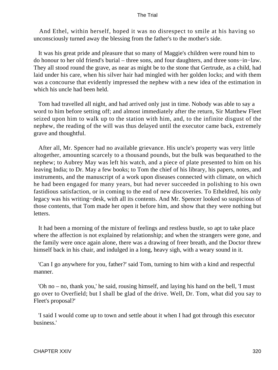And Ethel, within herself, hoped it was no disrespect to smile at his having so unconsciously turned away the blessing from the father's to the mother's side.

 It was his great pride and pleasure that so many of Maggie's children were round him to do honour to her old friend's burial – three sons, and four daughters, and three sons−in−law. They all stood round the grave, as near as might be to the stone that Gertrude, as a child, had laid under his care, when his silver hair had mingled with her golden locks; and with them was a concourse that evidently impressed the nephew with a new idea of the estimation in which his uncle had been held.

 Tom had travelled all night, and had arrived only just in time. Nobody was able to say a word to him before setting off; and almost immediately after the return, Sir Matthew Fleet seized upon him to walk up to the station with him, and, to the infinite disgust of the nephew, the reading of the will was thus delayed until the executor came back, extremely grave and thoughtful.

 After all, Mr. Spencer had no available grievance. His uncle's property was very little altogether, amounting scarcely to a thousand pounds, but the bulk was bequeathed to the nephew; to Aubrey May was left his watch, and a piece of plate presented to him on his leaving India; to Dr. May a few books; to Tom the chief of his library, his papers, notes, and instruments, and the manuscript of a work upon diseases connected with climate, on which he had been engaged for many years, but had never succeeded in polishing to his own fastidious satisfaction, or in coming to the end of new discoveries. To Etheldred, his only legacy was his writing−desk, with all its contents. And Mr. Spencer looked so suspicious of those contents, that Tom made her open it before him, and show that they were nothing but letters.

 It had been a morning of the mixture of feelings and restless bustle, so apt to take place where the affection is not explained by relationship; and when the strangers were gone, and the family were once again alone, there was a drawing of freer breath, and the Doctor threw himself back in his chair, and indulged in a long, heavy sigh, with a weary sound in it.

 'Can I go anywhere for you, father?' said Tom, turning to him with a kind and respectful manner.

 'Oh no – no, thank you,' he said, rousing himself, and laying his hand on the bell, 'I must go over to Overfield; but I shall be glad of the drive. Well, Dr. Tom, what did you say to Fleet's proposal?'

 'I said I would come up to town and settle about it when I had got through this executor business.'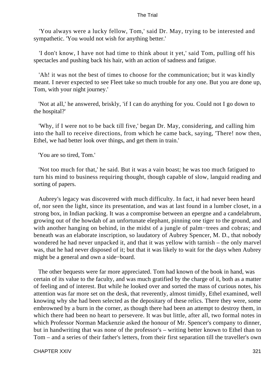'You always were a lucky fellow, Tom,' said Dr. May, trying to be interested and sympathetic. 'You would not wish for anything better.'

 'I don't know, I have not had time to think about it yet,' said Tom, pulling off his spectacles and pushing back his hair, with an action of sadness and fatigue.

 'Ah! it was not the best of times to choose for the communication; but it was kindly meant. I never expected to see Fleet take so much trouble for any one. But you are done up, Tom, with your night journey.'

 'Not at all,' he answered, briskly, 'if I can do anything for you. Could not I go down to the hospital?'

 'Why, if I were not to be back till five,' began Dr. May, considering, and calling him into the hall to receive directions, from which he came back, saying, 'There! now then, Ethel, we had better look over things, and get them in train.'

'You are so tired, Tom.'

 'Not too much for that,' he said. But it was a vain boast; he was too much fatigued to turn his mind to business requiring thought, though capable of slow, languid reading and sorting of papers.

 Aubrey's legacy was discovered with much difficulty. In fact, it had never been heard of, nor seen the light, since its presentation, and was at last found in a lumber closet, in a strong box, in Indian packing. It was a compromise between an epergne and a candelabrum, growing out of the howdah of an unfortunate elephant, pinning one tiger to the ground, and with another hanging on behind, in the midst of a jungle of palm−trees and cobras; and beneath was an elaborate inscription, so laudatory of Aubrey Spencer, M. D., that nobody wondered he had never unpacked it, and that it was yellow with tarnish – the only marvel was, that he had never disposed of it; but that it was likely to wait for the days when Aubrey might be a general and own a side−board.

 The other bequests were far more appreciated. Tom had known of the book in hand, was certain of its value to the faculty, and was much gratified by the charge of it, both as a matter of feeling and of interest. But while he looked over and sorted the mass of curious notes, his attention was far more set on the desk, that reverently, almost timidly, Ethel examined, well knowing why she had been selected as the depositary of these relics. There they were, some embrowned by a burn in the corner, as though there had been an attempt to destroy them, in which there had been no heart to persevere. It was but little, after all, two formal notes in which Professor Norman Mackenzie asked the honour of Mr. Spencer's company to dinner, but in handwriting that was none of the professor's – writing better known to Ethel than to Tom – and a series of their father's letters, from their first separation till the traveller's own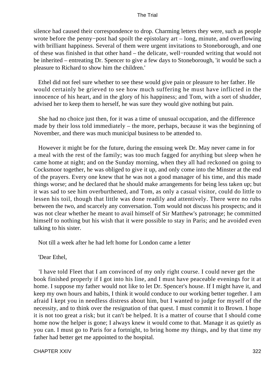silence had caused their correspondence to drop. Charming letters they were, such as people wrote before the penny−post had spoilt the epistolary art – long, minute, and overflowing with brilliant happiness. Several of them were urgent invitations to Stoneborough, and one of these was finished in that other hand – the delicate, well−rounded writing that would not be inherited – entreating Dr. Spencer to give a few days to Stoneborough, 'it would be such a pleasure to Richard to show him the children.'

 Ethel did not feel sure whether to see these would give pain or pleasure to her father. He would certainly be grieved to see how much suffering he must have inflicted in the innocence of his heart, and in the glory of his happiness; and Tom, with a sort of shudder, advised her to keep them to herself, he was sure they would give nothing but pain.

 She had no choice just then, for it was a time of unusual occupation, and the difference made by their loss told immediately – the more, perhaps, because it was the beginning of November, and there was much municipal business to be attended to.

 However it might be for the future, during the ensuing week Dr. May never came in for a meal with the rest of the family; was too much fagged for anything but sleep when he came home at night; and on the Sunday morning, when they all had reckoned on going to Cocksmoor together, he was obliged to give it up, and only come into the Minster at the end of the prayers. Every one knew that he was not a good manager of his time, and this made things worse; and he declared that he should make arrangements for being less taken up; but it was sad to see him overburthened, and Tom, as only a casual visitor, could do little to lessen his toil, though that little was done readily and attentively. There were no rubs between the two, and scarcely any conversation. Tom would not discuss his prospects; and it was not clear whether he meant to avail himself of Sir Matthew's patronage; he committed himself to nothing but his wish that it were possible to stay in Paris; and he avoided even talking to his sister.

Not till a week after he had left home for London came a letter

'Dear Ethel,

 'I have told Fleet that I am convinced of my only right course. I could never get the book finished properly if I got into his line, and I must have peaceable evenings for it at home. I suppose my father would not like to let Dr. Spencer's house. If I might have it, and keep my own hours and habits, I think it would conduce to our working better together. I am afraid I kept you in needless distress about him, but I wanted to judge for myself of the necessity, and to think over the resignation of that quest. I must commit it to Brown. I hope it is not too great a risk; but it can't be helped. It is a matter of course that I should come home now the helper is gone; I always knew it would come to that. Manage it as quietly as you can. I must go to Paris for a fortnight, to bring home my things, and by that time my father had better get me appointed to the hospital.

CHAPTER XXIV 322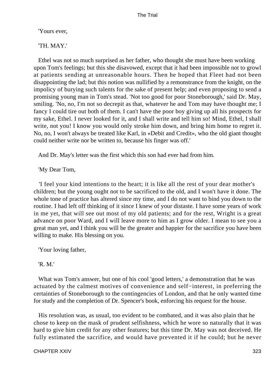'Yours ever,

'TH. MAY.'

 Ethel was not so much surprised as her father, who thought she must have been working upon Tom's feelings; but this she disavowed, except that it had been impossible not to growl at patients sending at unreasonable hours. Then he hoped that Fleet had not been disappointing the lad; but this notion was nullified by a remonstrance from the knight, on the impolicy of burying such talents for the sake of present help; and even proposing to send a promising young man in Tom's stead. 'Not too good for poor Stoneborough,' said Dr. May, smiling. 'No, no, I'm not so decrepit as that, whatever he and Tom may have thought me; I fancy I could tire out both of them. I can't have the poor boy giving up all his prospects for my sake, Ethel. I never looked for it, and I shall write and tell him so! Mind, Ethel, I shall write, not you! I know you would only stroke him down, and bring him home to regret it. No, no, I won't always be treated like Karl, in «Debit and Credit», who the old giant thought could neither write nor be written to, because his finger was off.'

And Dr. May's letter was the first which this son had ever had from him.

'My Dear Tom,

 'I feel your kind intentions to the heart; it is like all the rest of your dear mother's children; but the young ought not to be sacrificed to the old, and I won't have it done. The whole tone of practice has altered since my time, and I do not want to bind you down to the routine. I had left off thinking of it since I knew of your distaste. I have some years of work in me yet, that will see out most of my old patients; and for the rest, Wright is a great advance on poor Ward, and I will leave more to him as I grow older. I mean to see you a great man yet, and I think you will be the greater and happier for the sacrifice you have been willing to make. His blessing on you.

'Your loving father,

'R. M.'

 What was Tom's answer, but one of his cool 'good letters,' a demonstration that he was actuated by the calmest motives of convenience and self−interest, in preferring the certainties of Stoneborough to the contingencies of London, and that he only wanted time for study and the completion of Dr. Spencer's book, enforcing his request for the house.

 His resolution was, as usual, too evident to be combated, and it was also plain that he chose to keep on the mask of prudent selfishness, which he wore so naturally that it was hard to give him credit for any other features; but this time Dr. May was not deceived. He fully estimated the sacrifice, and would have prevented it if he could; but he never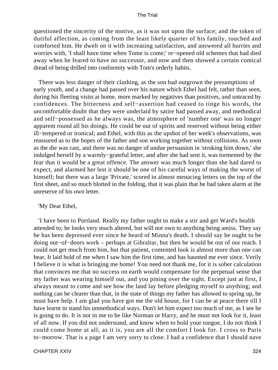questioned the sincerity of the motive, as it was not upon the surface; and the token of dutiful affection, as coming from the least likely quarter of his family, touched and comforted him. He dwelt on it with increasing satisfaction, and answered all hurries and worries with, 'I shall have time when Tome is come;' re−opened old schemes that had died away when he feared to have no successor, and now and then showed a certain comical dread of being drilled into conformity with Tom's orderly habits.

 There was less danger of their clashing, as the son had outgrown the presumptions of early youth, and a change had passed over his nature which Ethel had felt, rather than seen, during his fleeting visits at home, more marked by negatives than positives, and untraced by confidences. The bitterness and self−assertion had ceased to tinge his words, the uncomfortable doubt that they were underlaid by satire had passed away, and methodical and self−possessed as he always was, the atmosphere of 'number one' was no longer apparent round all his doings. He could be out of spirits and reserved without being either ill−tempered or ironical; and Ethel, with this as the upshot of her week's observations, was reassured as to the hopes of the father and son working together without collisions. As soon as the die was cast, and there was no danger of undue persuasion in 'stroking him down,' she indulged herself by a warmly−grateful letter, and after she had sent it, was tormented by the fear that it would be a great offence. The answer was much longer than she had dared to expect, and alarmed her lest it should be one of his careful ways of making the worst of himself; but there was a large 'Private,' scored in almost menacing letters on the top of the first sheet, and so much blotted in the folding, that it was plain that he had taken alarm at the unreserve of his own letter.

### 'My Dear Ethel,

 'I have been to Portland. Really my father ought to make a stir and get Ward's health attended to; he looks very much altered, but will not own to anything being amiss. They say he has been depressed ever since he heard of Minna's death. I should say he ought to be doing out−of−doors work – perhaps at Gibraltar, but then he would be out of our reach. I could not get much from him, but that patient, contented look is almost more than one can bear. It laid hold of me when I saw him the first time, and has haunted me ever since. Verily I believe it is what is bringing me home! You need not thank me, for it is sober calculation that convinces me that no success on earth would compensate for the perpetual sense that my father was wearing himself out, and you pining over the sight. Except just at first, I always meant to come and see how the land lay before pledging myself to anything; and nothing can be clearer than that, in the state of things my father has allowed to spring up, he must have help. I am glad you have got me the old house, for I can be at peace there till I have learnt to stand his unmethodical ways. Don't let him expect too much of me, as I see he is going to do. It is not in me to be like Norman or Harry, and he must not look for it, least of all now. If you did not understand, and know when to hold your tongue, I do not think I could come home at all; as it is, you are all the comfort I look for. I cross to Paris to−morrow. That is a page I am very sorry to close. I had a confidence that I should nave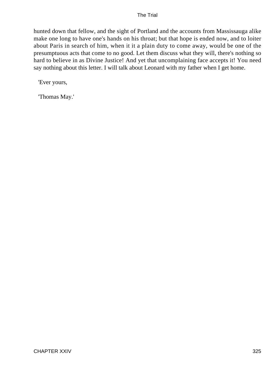hunted down that fellow, and the sight of Portland and the accounts from Massissauga alike make one long to have one's hands on his throat; but that hope is ended now, and to loiter about Paris in search of him, when it it a plain duty to come away, would be one of the presumptuous acts that come to no good. Let them discuss what they will, there's nothing so hard to believe in as Divine Justice! And yet that uncomplaining face accepts it! You need say nothing about this letter. I will talk about Leonard with my father when I get home.

'Ever yours,

'Thomas May.'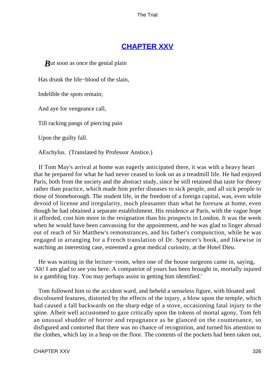# **[CHAPTER XXV](#page-415-0)**

*But* soon as once the genial plain

Has drunk the life−blood of the slain,

Indelible the spots remain;

And aye for vengeance call,

Till racking pangs of piercing pain

Upon the guilty fall.

AEschylus. (Translated by Professor Anstice.)

 If Tom May's arrival at home was eagerly anticipated there, it was with a heavy heart that he prepared for what he had never ceased to look on as a treadmill life. He had enjoyed Paris, both from the society and the abstract study, since he still retained that taste for theory rather than practice, which made him prefer diseases to sick people, and all sick people to those of Stoneborough. The student life, in the freedom of a foreign capital, was, even while devoid of license and irregularity, much pleasanter than what he foresaw at home, even though he had obtained a separate establishment. His residence at Paris, with the vague hope it afforded, cost him more in the resignation than his prospects in London. It was the week when he would have been canvassing for the appointment, and he was glad to linger abroad out of reach of Sir Matthew's remonstrances, and his father's compunction, while he was engaged in arranging for a French translation of Dr. Spencer's book, and likewise in watching an interesting case, esteemed a great medical curiosity, at the Hotel Dieu.

 He was waiting in the lecture−room, when one of the house surgeons came in, saying, 'Ah! I am glad to see you here. A compatriot of yours has been brought in, mortally injured in a gambling fray. You may perhaps assist in getting him identified.'

 Tom followed him to the accident ward, and beheld a senseless figure, with bloated and discoloured features, distorted by the effects of the injury, a blow upon the temple, which had caused a fall backwards on the sharp edge of a stove, occasioning fatal injury to the spine. Albeit well accustomed to gaze critically upon the tokens of mortal agony, Tom felt an unusual shudder of horror and repugnance as he glanced on the countenance, so disfigured and contorted that there was no chance of recognition, and turned his attention to the clothes, which lay in a heap on the floor. The contents of the pockets had been taken out,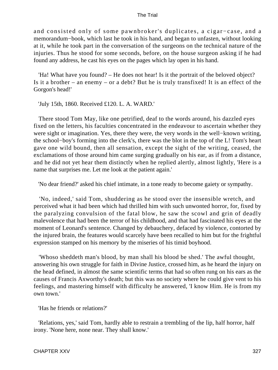and consisted only of some pawnbroker's duplicates, a cigar−case, and a memorandum−book, which last he took in his hand, and began to unfasten, without looking at it, while he took part in the conversation of the surgeons on the technical nature of the injuries. Thus he stood for some seconds, before, on the house surgeon asking if he had found any address, he cast his eyes on the pages which lay open in his hand.

 'Ha! What have you found? – He does not hear! Is it the portrait of the beloved object? Is it a brother – an enemy – or a debt? But he is truly transfixed! It is an effect of the Gorgon's head!'

'July 15th, 1860. Received £120. L. A. WARD.'

 There stood Tom May, like one petrified, deaf to the words around, his dazzled eyes fixed on the letters, his faculties concentrated in the endeavour to ascertain whether they were sight or imagination. Yes, there they were, the very words in the well−known writing, the school−boy's forming into the clerk's, there was the blot in the top of the L! Tom's heart gave one wild bound, then all sensation, except the sight of the writing, ceased, the exclamations of those around him came surging gradually on his ear, as if from a distance, and he did not yet hear them distinctly when he replied alertly, almost lightly, 'Here is a name that surprises me. Let me look at the patient again.'

'No dear friend?' asked his chief intimate, in a tone ready to become gaiety or sympathy.

 'No, indeed,' said Tom, shuddering as he stood over the insensible wretch, and perceived what it had been which had thrilled him with such unwonted horror, for, fixed by the paralyzing convulsion of the fatal blow, he saw the scowl and grin of deadly malevolence that had been the terror of his childhood, and that had fascinated his eyes at the moment of Leonard's sentence. Changed by debauchery, defaced by violence, contorted by the injured brain, the features would scarcely have been recalled to him but for the frightful expression stamped on his memory by the miseries of his timid boyhood.

 'Whoso sheddeth man's blood, by man shall his blood be shed.' The awful thought, answering his own struggle for faith in Divine Justice, crossed him, as he heard the injury on the head defined, in almost the same scientific terms that had so often rung on his ears as the causes of Francis Axworthy's death; but this was no society where he could give vent to his feelings, and mastering himself with difficulty he answered, 'I know Him. He is from my own town.'

'Has he friends or relations?'

 'Relations, yes,' said Tom, hardly able to restrain a trembling of the lip, half horror, half irony. 'None here, none near. They shall know.'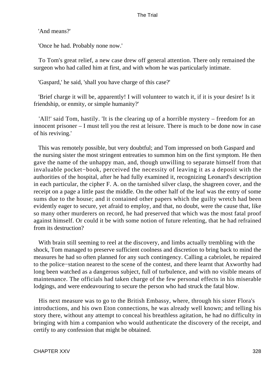'And means?'

'Once he had. Probably none now.'

 To Tom's great relief, a new case drew off general attention. There only remained the surgeon who had called him at first, and with whom he was particularly intimate.

'Gaspard,' he said, 'shall you have charge of this case?'

 'Brief charge it will be, apparently! I will volunteer to watch it, if it is your desire! Is it friendship, or enmity, or simple humanity?'

 'All!' said Tom, hastily. 'It is the clearing up of a horrible mystery – freedom for an innocent prisoner – I must tell you the rest at leisure. There is much to be done now in case of his reviving.'

 This was remotely possible, but very doubtful; and Tom impressed on both Gaspard and the nursing sister the most stringent entreaties to summon him on the first symptom. He then gave the name of the unhappy man, and, though unwilling to separate himself from that invaluable pocket−book, perceived the necessity of leaving it as a deposit with the authorities of the hospital, after he had fully examined it, recognizing Leonard's description in each particular, the cipher F. A. on the tarnished silver clasp, the shagreen cover, and the receipt on a page a little past the middle. On the other half of the leaf was the entry of some sums due to the house; and it contained other papers which the guilty wretch had been evidently eager to secure, yet afraid to employ, and that, no doubt, were the cause that, like so many other murderers on record, he had preserved that which was the most fatal proof against himself. Or could it be with some notion of future relenting, that he had refrained from its destruction?

 With brain still seeming to reel at the discovery, and limbs actually trembling with the shock, Tom managed to preserve sufficient coolness and discretion to bring back to mind the measures he had so often planned for any such contingency. Calling a cabriolet, he repaired to the police−station nearest to the scene of the contest, and there learnt that Axworthy had long been watched as a dangerous subject, full of turbulence, and with no visible means of maintenance. The officials had taken charge of the few personal effects in his miserable lodgings, and were endeavouring to secure the person who had struck the fatal blow.

 His next measure was to go to the British Embassy, where, through his sister Flora's introductions, and his own Eton connections, he was already well known; and telling his story there, without any attempt to conceal his breathless agitation, he had no difficulty in bringing with him a companion who would authenticate the discovery of the receipt, and certify to any confession that might be obtained.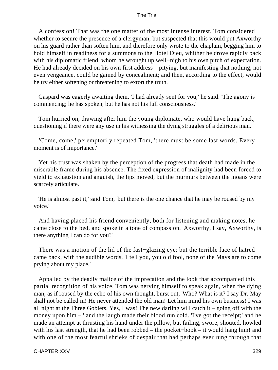A confession! That was the one matter of the most intense interest. Tom considered whether to secure the presence of a clergyman, but suspected that this would put Axworthy on his guard rather than soften him, and therefore only wrote to the chaplain, begging him to hold himself in readiness for a summons to the Hotel Dieu, whither he drove rapidly back with his diplomatic friend, whom he wrought up well−nigh to his own pitch of expectation. He had already decided on his own first address – pitying, but manifesting that nothing, not even vengeance, could be gained by concealment; and then, according to the effect, would he try either softening or threatening to extort the truth.

 Gaspard was eagerly awaiting them. 'I had already sent for you,' he said. 'The agony is commencing; he has spoken, but he has not his full consciousness.'

 Tom hurried on, drawing after him the young diplomate, who would have hung back, questioning if there were any use in his witnessing the dying struggles of a delirious man.

 'Come, come,' peremptorily repeated Tom, 'there must be some last words. Every moment is of importance.'

 Yet his trust was shaken by the perception of the progress that death had made in the miserable frame during his absence. The fixed expression of malignity had been forced to yield to exhaustion and anguish, the lips moved, but the murmurs between the moans were scarcely articulate.

 'He is almost past it,' said Tom, 'but there is the one chance that he may be roused by my voice.'

 And having placed his friend conveniently, both for listening and making notes, he came close to the bed, and spoke in a tone of compassion. 'Axworthy, I say, Axworthy, is there anything I can do for you?'

 There was a motion of the lid of the fast−glazing eye; but the terrible face of hatred came back, with the audible words, 'I tell you, you old fool, none of the Mays are to come prying about my place.'

 Appalled by the deadly malice of the imprecation and the look that accompanied this partial recognition of his voice, Tom was nerving himself to speak again, when the dying man, as if roused by the echo of his own thought, burst out, 'Who? What is it? I say Dr. May shall not be called in! He never attended the old man! Let him mind his own business! I was all night at the Three Goblets. Yes, I was! The new darling will catch it – going off with the money upon him – ' and the laugh made their blood run cold. Tve got the receipt;' and he made an attempt at thrusting his hand under the pillow, but failing, swore, shouted, howled with his last strength, that he had been robbed – the pocket−book – it would hang him! and with one of the most fearful shrieks of despair that had perhaps ever rung through that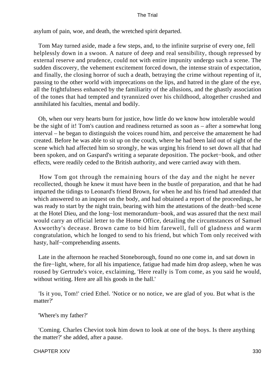asylum of pain, woe, and death, the wretched spirit departed.

 Tom May turned aside, made a few steps, and, to the infinite surprise of every one, fell helplessly down in a swoon. A nature of deep and real sensibility, though repressed by external reserve and prudence, could not with entire impunity undergo such a scene. The sudden discovery, the vehement excitement forced down, the intense strain of expectation, and finally, the closing horror of such a death, betraying the crime without repenting of it, passing to the other world with imprecations on the lips, and hatred in the glare of the eye, all the frightfulness enhanced by the familiarity of the allusions, and the ghastly association of the tones that had tempted and tyrannized over his childhood, altogether crushed and annihilated his faculties, mental and bodily.

 Oh, when our very hearts burn for justice, how little do we know how intolerable would be the sight of it! Tom's caution and readiness returned as soon as – after a somewhat long interval – he began to distinguish the voices round him, and perceive the amazement he had created. Before he was able to sit up on the couch, where he had been laid out of sight of the scene which had affected him so strongly, he was urging his friend to set down all that had been spoken, and on Gaspard's writing a separate deposition. The pocket−book, and other effects, were readily ceded to the British authority, and were carried away with them.

 How Tom got through the remaining hours of the day and the night he never recollected, though he knew it must have been in the bustle of preparation, and that he had imparted the tidings to Leonard's friend Brown, for when he and his friend had attended that which answered to an inquest on the body, and had obtained a report of the proceedings, he was ready to start by the night train, bearing with him the attestations of the death−bed scene at the Hotel Dieu, and the long−lost memorandum−book, and was assured that the next mail would carry an official letter to the Home Office, detailing the circumstances of Samuel Axworthy's decease. Brown came to bid him farewell, full of gladness and warm congratulation, which he longed to send to his friend, but which Tom only received with hasty, half−comprehending assents.

 Late in the afternoon he reached Stoneborough, found no one come in, and sat down in the fire−light, where, for all his impatience, fatigue had made him drop asleep, when he was roused by Gertrude's voice, exclaiming, 'Here really is Tom come, as you said he would, without writing. Here are all his goods in the hall.

 'Is it you, Tom!' cried Ethel. 'Notice or no notice, we are glad of you. But what is the matter?'

'Where's my father?'

 'Coming. Charles Cheviot took him down to look at one of the boys. Is there anything the matter?' she added, after a pause.

#### CHAPTER XXV 330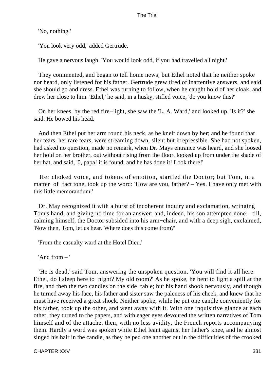'No, nothing.'

'You look very odd,' added Gertrude.

He gave a nervous laugh. 'You would look odd, if you had travelled all night.'

 They commented, and began to tell home news; but Ethel noted that he neither spoke nor heard, only listened for his father. Gertrude grew tired of inattentive answers, and said she should go and dress. Ethel was turning to follow, when he caught hold of her cloak, and drew her close to him. 'Ethel,' he said, in a husky, stifled voice, 'do you know this?'

 On her knees, by the red fire−light, she saw the 'L. A. Ward,' and looked up. 'Is it?' she said. He bowed his head.

 And then Ethel put her arm round his neck, as he knelt down by her; and he found that her tears, her rare tears, were streaming down, silent but irrepressible. She had not spoken, had asked no question, made no remark, when Dr. Mays entrance was heard, and she loosed her hold on her brother, out without rising from the floor, looked up from under the shade of her hat, and said, '0, papa! it is found, and he has done it! Look there!'

 Her choked voice, and tokens of emotion, startled the Doctor; but Tom, in a matter−of−fact tone, took up the word: 'How are you, father? – Yes. I have only met with this little memorandum.'

 Dr. May recognized it with a burst of incoherent inquiry and exclamation, wringing Tom's hand, and giving no time for an answer; and, indeed, his son attempted none – till, calming himself, the Doctor subsided into his arm−chair, and with a deep sigh, exclaimed, 'Now then, Tom, let us hear. Where does this come from?'

'From the casualty ward at the Hotel Dieu.'

'And from – '

 'He is dead,' said Tom, answering the unspoken question. 'You will find it all here. Ethel, do I sleep here to−night? My old room?' As he spoke, he bent to light a spill at the fire, and then the two candles on the side−table; but his hand shook nervously, and though he turned away his face, his father and sister saw the paleness of his cheek, and knew that he must have received a great shock. Neither spoke, while he put one candle conveniently for his father, took up the other, and went away with it. With one inquisitive glance at each other, they turned to the papers, and with eager eyes devoured the written narratives of Tom himself and of the attache, then, with no less avidity, the French reports accompanying them. Hardly a word was spoken while Ethel leant against her father's knee, and he almost singed his hair in the candle, as they helped one another out in the difficulties of the crooked

CHAPTER XXV 331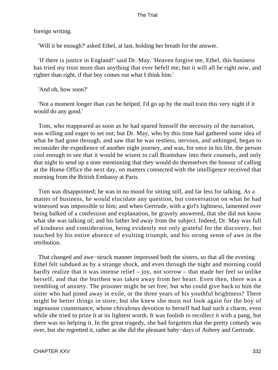foreign writing.

'Will it be enough?' asked Ethel, at last, holding her breath for the answer.

 'If there is justice in England!' said Dr. May. 'Heaven forgive me, Ethel, this business has tried my trust more than anything that ever befell me; but it will all be right now, and righter than right, if that boy comes out what I think him.'

'And oh, how soon?'

 'Not a moment longer than can be helped. I'd go up by the mail train this very night if it would do any good.'

 Tom, who reappeared as soon as he had spared himself the necessity of the narration, was willing and eager to set out; but Dr. May, who by this time had gathered some idea of what he had gone through, and saw that he was restless, nervous, and unhinged, began to reconsider the expedience of another night journey, and was, for once in his life, the person cool enough to see that it would be wisest to call Bramshaw into their counsels, and only that night to send up a note mentioning that they would do themselves the honour of calling at the Home Office the next day, on matters connected with the intelligence received that morning from the British Embassy at Paris.

 Tom was disappointed; he was in no mood for sitting still, and far less for talking. As a matter of business, he would elucidate any question, but conversation on what he had witnessed was impossible to him; and when Gertrude, with a girl's lightness, lamented over being balked of a confession and explanation, he gravely answered, that she did not know what she was talking of; and his father led away from the subject. Indeed, Dr. May was full of kindness and consideration, being evidently not only grateful for the discovery, but touched by his entire absence of exulting triumph, and his strong sense of awe in the retribution.

 That changed and awe−struck manner impressed both the sisters, so that all the evening Ethel felt subdued as by a strange shock, and even through the night and morning could hardly realize that it was intense relief  $-$  joy, not sorrow  $-$  that made her feel so unlike herself, and that the burthen was taken away from her heart. Even then, there was a trembling of anxiety. The prisoner might be set free; but who could give back to him the sister who had pined away in exile, or the three years of his youthful brightness? There might be better things in store; but she knew she must not look again for the boy of ingenuous countenance, whose chivalrous devotion to herself had had such a charm, even while she tried to prize it at its lightest worth. It was foolish to recollect it with a pang, but there was no helping it. In the great tragedy, she had forgotten that the pretty comedy was over, but she regretted it, rather as she did the pleasant baby−days of Aubrey and Gertrude.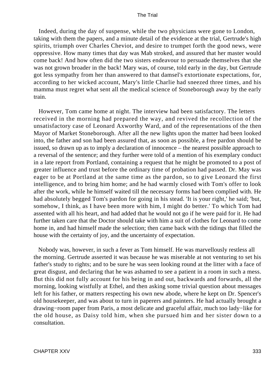Indeed, during the day of suspense, while the two physicians were gone to London, taking with them the papers, and a minute detail of the evidence at the trial, Gertrude's high spirits, triumph over Charles Cheviot, and desire to trumpet forth the good news, were oppressive. How many times that day was Mab stroked, and assured that her master would come back! And how often did the two sisters endeavour to persuade themselves that she was not grown broader in the back! Mary was, of course, told early in the day, but Gertrude got less sympathy from her than answered to that damsel's extortionate expectations, for, according to her wicked account, Mary's little Charlie had sneezed three times, and his mamma must regret what sent all the medical science of Stoneborough away by the early train.

 However, Tom came home at night. The interview had been satisfactory. The letters received in the morning had prepared the way, and revived the recollection of the unsatisfactory case of Leonard Axworthy Ward, and of the representations of the then Mayor of Market Stoneborough. After all the new lights upon the matter had been looked into, the father and son had been assured that, as soon as possible, a free pardon should be issued, so drawn up as to imply a declaration of innocence – the nearest possible approach to a reversal of the sentence; and they further were told of a mention of his exemplary conduct in a late report from Portland, containing a request that he might be promoted to a post of greater influence and trust before the ordinary time of probation had passed. Dr. May was eager to be at Portland at the same time as the pardon, so to give Leonard the first intelligence, and to bring him home; and he had warmly closed with Tom's offer to look after the work, while he himself waited till the necessary forms had been complied with. He had absolutely begged Tom's pardon for going in his stead. 'It is your right,' he said; 'but, somehow, I think, as I have been more with him, I might do better.' To which Tom had assented with all his heart, and had added that he would not go if he were paid for it. He had further taken care that the Doctor should take with him a suit of clothes for Leonard to come home in, and had himself made the selection; then came back with the tidings that filled the house with the certainty of joy, and the uncertainty of expectation.

 Nobody was, however, in such a fever as Tom himself. He was marvellously restless all the morning. Gertrude asserted it was because he was miserable at not venturing to set his father's study to rights; and to be sure he was seen looking round at the litter with a face of great disgust, and declaring that he was ashamed to see a patient in a room in such a mess. But this did not fully account for his being in and out, backwards and forwards, all the morning, looking wistfully at Ethel, and then asking some trivial question about messages left for his father, or matters respecting his own new abode, where he kept on Dr. Spencer's old housekeeper, and was about to turn in paperers and painters. He had actually brought a drawing−room paper from Paris, a most delicate and graceful affair, much too lady−like for the old house, as Daisy told him, when she pursued him and her sister down to a consultation.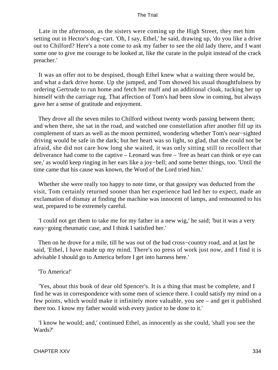Late in the afternoon, as the sisters were coming up the High Street, they met him setting out in Hector's dog−cart. 'Oh, I say, Ethel,' he said, drawing up, 'do you like a drive out to Chilford? Here's a note come to ask my father to see the old lady there, and I want some one to give me courage to be looked at, like the curate in the pulpit instead of the crack preacher.'

 It was an offer not to be despised, though Ethel knew what a waiting there would be, and what a dark drive home. Up she jumped, and Tom showed his usual thoughtfulness by ordering Gertrude to run home and fetch her muff and an additional cloak, tucking her up himself with the carriage rug. That affection of Tom's had been slow in coming, but always gave her a sense of gratitude and enjoyment.

 They drove all the seven miles to Chilford without twenty words passing between them; and when there, she sat in the road, and watched one constellation after another fill up its complement of stars as well as the moon permitted, wondering whether Tom's near−sighted driving would be safe in the dark; but her heart was so light, so glad, that she could not be afraid, she did not care how long she waited, it was only sitting still to recollect that deliverance had come to the captive – Leonard was free – 'free as heart can think or eye can see,' as would keep ringing in her ears like a joy−bell; and some better things, too. 'Until the time came that his cause was known, the Word of the Lord tried him.'

 Whether she were really too happy to note time, or that gossipry was deducted from the visit, Tom certainly returned sooner than her experience had led her to expect, made an exclamation of dismay at finding the machine was innocent of lamps, and remounted to his seat, prepared to be extremely careful.

 'I could not get them to take me for my father in a new wig,' he said; 'but it was a very easy−going rheumatic case, and I think I satisfied her.'

 Then on he drove for a mile, till he was out of the bad cross−country road, and at last he said, 'Ethel, I have made up my mind. There's no press of work just now, and I find it is advisable I should go to America before I get into harness here.'

### 'To America!'

 'Yes, about this book of dear old Spencer's. It is a thing that must be complete, and I find he was in correspondence with some men of science there. I could satisfy my mind on a few points, which would make it infinitely more valuable, you see – and get it published there too. I know my father would wish every justice to be done to it.'

 'I know he would; and,' continued Ethel, as innocently as she could, 'shall you see the Wards?'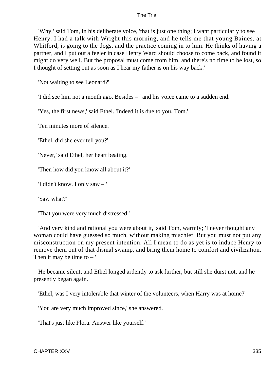'Why,' said Tom, in his deliberate voice, 'that is just one thing; I want particularly to see Henry. I had a talk with Wright this morning, and he tells me that young Baines, at Whitford, is going to the dogs, and the practice coming in to him. He thinks of having a partner, and I put out a feeler in case Henry Ward should choose to come back, and found it might do very well. But the proposal must come from him, and there's no time to be lost, so I thought of setting out as soon as I hear my father is on his way back.'

'Not waiting to see Leonard?'

'I did see him not a month ago. Besides – ' and his voice came to a sudden end.

'Yes, the first news,' said Ethel. 'Indeed it is due to you, Tom.'

Ten minutes more of silence.

'Ethel, did she ever tell you?'

'Never,' said Ethel, her heart beating.

'Then how did you know all about it?'

'I didn't know. I only saw – '

'Saw what?'

'That you were very much distressed.'

 'And very kind and rational you were about it,' said Tom, warmly; 'I never thought any woman could have guessed so much, without making mischief. But you must not put any misconstruction on my present intention. All I mean to do as yet is to induce Henry to remove them out of that dismal swamp, and bring them home to comfort and civilization. Then it may be time to  $-$ '

 He became silent; and Ethel longed ardently to ask further, but still she durst not, and he presently began again.

'Ethel, was I very intolerable that winter of the volunteers, when Harry was at home?'

'You are very much improved since,' she answered.

'That's just like Flora. Answer like yourself.'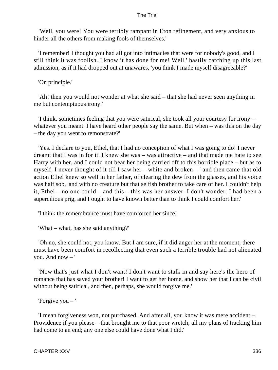'Well, you were! You were terribly rampant in Eton refinement, and very anxious to hinder all the others from making fools of themselves.'

 'I remember! I thought you had all got into intimacies that were for nobody's good, and I still think it was foolish. I know it has done for me! Well,' hastily catching up this last admission, as if it had dropped out at unawares, 'you think I made myself disagreeable?'

## 'On principle.'

 'Ah! then you would not wonder at what she said – that she had never seen anything in me but contemptuous irony.'

 'I think, sometimes feeling that you were satirical, she took all your courtesy for irony – whatever you meant. I have heard other people say the same. But when – was this on the day – the day you went to remonstrate?'

 'Yes. I declare to you, Ethel, that I had no conception of what I was going to do! I never dreamt that I was in for it. I knew she was – was attractive – and that made me hate to see Harry with her, and I could not bear her being carried off to this horrible place – but as to myself, I never thought of it till I saw her – white and broken – ' and then came that old action Ethel knew so well in her father, of clearing the dew from the glasses, and his voice was half sob, 'and with no creature but that selfish brother to take care of her. I couldn't help it, Ethel – no one could – and this – this was her answer. I don't wonder. I had been a supercilious prig, and I ought to have known better than to think I could comfort her.'

'I think the remembrance must have comforted her since.'

'What – what, has she said anything?'

 'Oh no, she could not, you know. But I am sure, if it did anger her at the moment, there must have been comfort in recollecting that even such a terrible trouble had not alienated you. And now – '

 'Now that's just what I don't want! I don't want to stalk in and say here's the hero of romance that has saved your brother! I want to get her home, and show her that I can be civil without being satirical, and then, perhaps, she would forgive me.'

'Forgive you – '

 'I mean forgiveness won, not purchased. And after all, you know it was mere accident – Providence if you please – that brought me to that poor wretch; all my plans of tracking him had come to an end; any one else could have done what I did.'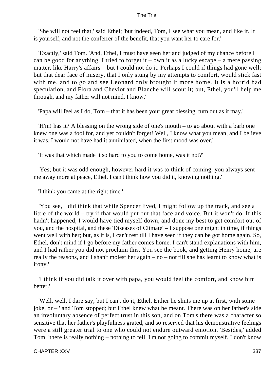'She will not feel that,' said Ethel; 'but indeed, Tom, I see what you mean, and like it. It is yourself, and not the conferrer of the benefit, that you want her to care for.'

 'Exactly,' said Tom. 'And, Ethel, I must have seen her and judged of my chance before I can be good for anything. I tried to forget it – own it as a lucky escape – a mere passing matter, like Harry's affairs – but I could not do it. Perhaps I could if things had gone well; but that dear face of misery, that I only stung by my attempts to comfort, would stick fast with me, and to go and see Leonard only brought it more home. It is a horrid bad speculation, and Flora and Cheviot and Blanche will scout it; but, Ethel, you'll help me through, and my father will not mind, I know.'

'Papa will feel as I do, Tom – that it has been your great blessing, turn out as it may.'

 'H'm! has it? A blessing on the wrong side of one's mouth – to go about with a barb one knew one was a fool for, and yet couldn't forget! Well, I know what you mean, and I believe it was. I would not have had it annihilated, when the first mood was over.'

'It was that which made it so hard to you to come home, was it not?'

 'Yes; but it was odd enough, however hard it was to think of coming, you always sent me away more at peace, Ethel. I can't think how you did it, knowing nothing.'

'I think you came at the right time.'

 'You see, I did think that while Spencer lived, I might follow up the track, and see a little of the world – try if that would put out that face and voice. But it won't do. If this hadn't happened, I would have tied myself down, and done my best to get comfort out of you, and the hospital, and these 'Diseases of Climate' – I suppose one might in time, if things went well with her; but, as it is, I can't rest till I have seen if they can be got home again. So, Ethel, don't mind if I go before my father comes home. I can't stand explanations with him, and I had rather you did not proclaim this. You see the book, and getting Henry home, are really the reasons, and I shan't molest her again – no – not till she has learnt to know what is irony.'

 'I think if you did talk it over with papa, you would feel the comfort, and know him better.'

 'Well, well, I dare say, but I can't do it, Ethel. Either he shuts me up at first, with some joke, or – ' and Tom stopped; but Ethel knew what he meant. There was on her father's side an involuntary absence of perfect trust in this son, and on Tom's there was a character so sensitive that her father's playfulness grated, and so reserved that his demonstrative feelings were a still greater trial to one who could not endure outward emotion. 'Besides,' added Tom, 'there is really nothing – nothing to tell. I'm not going to commit myself. I don't know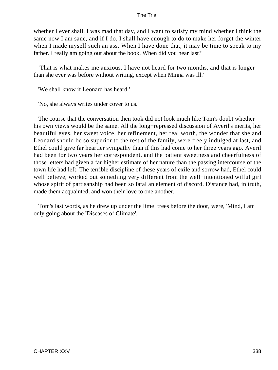whether I ever shall. I was mad that day, and I want to satisfy my mind whether I think the same now I am sane, and if I do, I shall have enough to do to make her forget the winter when I made myself such an ass. When I have done that, it may be time to speak to my father. I really am going out about the book. When did you hear last?'

 'That is what makes me anxious. I have not heard for two months, and that is longer than she ever was before without writing, except when Minna was ill.'

'We shall know if Leonard has heard.'

'No, she always writes under cover to us.'

 The course that the conversation then took did not look much like Tom's doubt whether his own views would be the same. All the long−repressed discussion of Averil's merits, her beautiful eyes, her sweet voice, her refinement, her real worth, the wonder that she and Leonard should be so superior to the rest of the family, were freely indulged at last, and Ethel could give far heartier sympathy than if this had come to her three years ago. Averil had been for two years her correspondent, and the patient sweetness and cheerfulness of those letters had given a far higher estimate of her nature than the passing intercourse of the town life had left. The terrible discipline of these years of exile and sorrow had, Ethel could well believe, worked out something very different from the well−intentioned wilful girl whose spirit of partisanship had been so fatal an element of discord. Distance had, in truth, made them acquainted, and won their love to one another.

 Tom's last words, as he drew up under the lime−trees before the door, were, 'Mind, I am only going about the 'Diseases of Climate'.'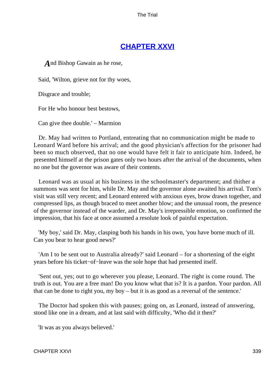# **[CHAPTER XXVI](#page-415-0)**

*A*nd Bishop Gawain as he rose,

Said, 'Wilton, grieve not for thy woes,

Disgrace and trouble;

For He who honour best bestows,

Can give thee double.' – Marmion

 Dr. May had written to Portland, entreating that no communication might be made to Leonard Ward before his arrival; and the good physician's affection for the prisoner had been so much observed, that no one would have felt it fair to anticipate him. Indeed, he presented himself at the prison gates only two hours after the arrival of the documents, when no one but the governor was aware of their contents.

 Leonard was as usual at his business in the schoolmaster's department; and thither a summons was sent for him, while Dr. May and the governor alone awaited his arrival. Tom's visit was still very recent; and Leonard entered with anxious eyes, brow drawn together, and compressed lips, as though braced to meet another blow; and the unusual room, the presence of the governor instead of the warder, and Dr. May's irrepressible emotion, so confirmed the impression, that his face at once assumed a resolute look of painful expectation.

 'My boy,' said Dr. May, clasping both his hands in his own, 'you have borne much of ill. Can you bear to hear good news?'

 'Am I to be sent out to Australia already?' said Leonard – for a shortening of the eight years before his ticket−of−leave was the sole hope that had presented itself.

 'Sent out, yes; out to go wherever you please, Leonard. The right is come round. The truth is out. You are a free man! Do you know what that is? It is a pardon. Your pardon. All that can be done to right you, my boy – but it is as good as a reversal of the sentence.'

 The Doctor had spoken this with pauses; going on, as Leonard, instead of answering, stood like one in a dream, and at last said with difficulty, 'Who did it then?'

'It was as you always believed.'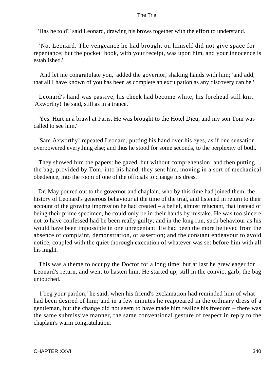'Has he told?' said Leonard, drawing his brows together with the effort to understand.

 'No, Leonard. The vengeance he had brought on himself did not give space for repentance; but the pocket−book, with your receipt, was upon him, and your innocence is established.'

 'And let me congratulate you,' added the governor, shaking hands with him; 'and add, that all I have known of you has been as complete an exculpation as any discovery can be.'

 Leonard's hand was passive, his cheek had become white, his forehead still knit. 'Axworthy!' he said, still as in a trance.

 'Yes. Hurt in a brawl at Paris. He was brought to the Hotel Dieu; and my son Tom was called to see him.'

 'Sam Axworthy! repeated Leonard, putting his hand over his eyes, as if one sensation overpowered everything else; and thus he stood for some seconds, to the perplexity of both.

 They showed him the papers: he gazed, but without comprehension; and then putting the bag, provided by Tom, into his hand, they sent him, moving in a sort of mechanical obedience, into the room of one of the officials to change his dress.

 Dr. May poured out to the governor and chaplain, who by this time had joined them, the history of Leonard's generous behaviour at the time of the trial, and listened in return to their account of the growing impression he had created – a belief, almost reluctant, that instead of being their prime specimen, he could only be in their hands by mistake. He was too sincere not to have confessed had he been really guilty; and in the long run, such behaviour as his would have been impossible in one unrepentant. He had been the more believed from the absence of complaint, demonstration, or assertion; and the constant endeavour to avoid notice, coupled with the quiet thorough execution of whatever was set before him with all his might.

 This was a theme to occupy the Doctor for a long time; but at last he grew eager for Leonard's return, and went to hasten him. He started up, still in the convict garb, the bag untouched.

 'I beg your pardon,' he said, when his friend's exclamation had reminded him of what had been desired of him; and in a few minutes he reappeared in the ordinary dress of a gentleman, but the change did not seem to have made him realize his freedom – there was the same submissive manner, the same conventional gesture of respect in reply to the chaplain's warm congratulation.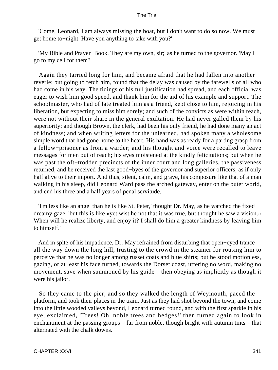'Come, Leonard, I am always missing the boat, but I don't want to do so now. We must get home to−night. Have you anything to take with you?'

 'My Bible and Prayer−Book. They are my own, sir;' as he turned to the governor. 'May I go to my cell for them?'

 Again they tarried long for him, and became afraid that he had fallen into another reverie; but going to fetch him, found that the delay was caused by the farewells of all who had come in his way. The tidings of his full justification had spread, and each official was eager to wish him good speed, and thank him for the aid of his example and support. The schoolmaster, who had of late treated him as a friend, kept close to him, rejoicing in his liberation, but expecting to miss him sorely; and such of the convicts as were within reach, were not without their share in the general exultation. He had never galled them by his superiority; and though Brown, the clerk, had been his only friend, he had done many an act of kindness; and when writing letters for the unlearned, had spoken many a wholesome simple word that had gone home to the heart. His hand was as ready for a parting grasp from a fellow−prisoner as from a warder; and his thought and voice were recalled to leave messages for men out of reach; his eyes moistened at the kindly felicitations; but when he was past the oft−trodden precincts of the inner court and long galleries, the passiveness returned, and he received the last good−byes of the governor and superior officers, as if only half alive to their import. And thus, silent, calm, and grave, his composure like that of a man walking in his sleep, did Leonard Ward pass the arched gateway, enter on the outer world, and end his three and a half years of penal servitude.

 'I'm less like an angel than he is like St. Peter,' thought Dr. May, as he watched the fixed dreamy gaze, 'but this is like «yet wist he not that it was true, but thought he saw a vision.» When will he realize liberty, and enjoy it? I shall do him a greater kindness by leaving him to himself.'

 And in spite of his impatience, Dr. May refrained from disturbing that open−eyed trance all the way down the long hill, trusting to the crowd in the steamer for rousing him to perceive that he was no longer among russet coats and blue shirts; but he stood motionless, gazing, or at least his face turned, towards the Dorset coast, uttering no word, making no movement, save when summoned by his guide – then obeying as implicitly as though it were his jailor.

 So they came to the pier; and so they walked the length of Weymouth, paced the platform, and took their places in the train. Just as they had shot beyond the town, and come into the little wooded valleys beyond, Leonard turned round, and with the first sparkle in his eye, exclaimed, 'Trees! Oh, noble trees and hedges!' then turned again to look in enchantment at the passing groups – far from noble, though bright with autumn tints – that alternated with the chalk downs.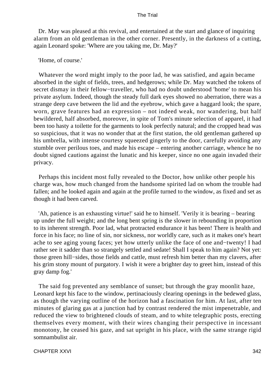Dr. May was pleased at this revival, and entertained at the start and glance of inquiring alarm from an old gentleman in the other corner. Presently, in the darkness of a cutting, again Leonard spoke: 'Where are you taking me, Dr. May?'

## 'Home, of course.'

 Whatever the word might imply to the poor lad, he was satisfied, and again became absorbed in the sight of fields, trees, and hedgerows; while Dr. May watched the tokens of secret dismay in their fellow−traveller, who had no doubt understood 'home' to mean his private asylum. Indeed, though the steady full dark eyes showed no aberration, there was a strange deep cave between the lid and the eyebrow, which gave a haggard look; the spare, worn, grave features had an expression – not indeed weak, nor wandering, but half bewildered, half absorbed, moreover, in spite of Tom's minute selection of apparel, it had been too hasty a toilette for the garments to look perfectly natural; and the cropped head was so suspicious, that it was no wonder that at the first station, the old gentleman gathered up his umbrella, with intense courtesy squeezed gingerly to the door, carefully avoiding any stumble over perilous toes, and made his escape – entering another carriage, whence he no doubt signed cautions against the lunatic and his keeper, since no one again invaded their privacy.

 Perhaps this incident most fully revealed to the Doctor, how unlike other people his charge was, how much changed from the handsome spirited lad on whom the trouble had fallen; and he looked again and again at the profile turned to the window, as fixed and set as though it had been carved.

 'Ah, patience is an exhausting virtue!' said he to himself. 'Verily it is bearing – bearing up under the full weight; and the long bent spring is the slower in rebounding in proportion to its inherent strength. Poor lad, what protracted endurance it has been! There is health and force in his face; no line of sin, nor sickness, nor worldly care, such as it makes one's heart ache to see aging young faces; yet how utterly unlike the face of one and−twenty! I had rather see it sadder than so strangely settled and sedate! Shall I speak to him again? Not yet: those green hill−sides, those fields and cattle, must refresh him better than my clavers, after his grim stony mount of purgatory. I wish it were a brighter day to greet him, instead of this gray damp fog.'

 The said fog prevented any semblance of sunset; but through the gray moonlit haze, Leonard kept his face to the window, pertinaciously clearing openings in the bedewed glass, as though the varying outline of the horizon had a fascination for him. At last, after ten minutes of glaring gas at a junction had by contrast rendered the mist impenetrable, and reduced the view to brightened clouds of steam, and to white telegraphic posts, erecting themselves every moment, with their wires changing their perspective in incessant monotony, he ceased his gaze, and sat upright in his place, with the same strange rigid somnambulist air.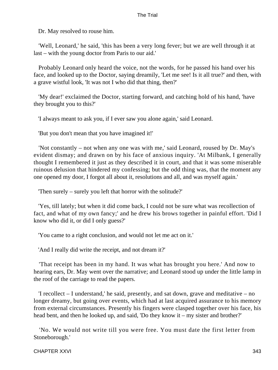Dr. May resolved to rouse him.

 'Well, Leonard,' he said, 'this has been a very long fever; but we are well through it at last – with the young doctor from Paris to our aid.'

 Probably Leonard only heard the voice, not the words, for he passed his hand over his face, and looked up to the Doctor, saying dreamily, 'Let me see! Is it all true?' and then, with a grave wistful look, 'It was not I who did that thing, then?'

 'My dear!' exclaimed the Doctor, starting forward, and catching hold of his hand, 'have they brought you to this?'

'I always meant to ask you, if I ever saw you alone again,' said Leonard.

'But you don't mean that you have imagined it!'

 'Not constantly – not when any one was with me,' said Leonard, roused by Dr. May's evident dismay; and drawn on by his face of anxious inquiry. 'At Milbank, I generally thought I remembered it just as they described it in court, and that it was some miserable ruinous delusion that hindered my confessing; but the odd thing was, that the moment any one opened my door, I forgot all about it, resolutions and all, and was myself again.'

'Then surely – surely you left that horror with the solitude?'

 'Yes, till lately; but when it did come back, I could not be sure what was recollection of fact, and what of my own fancy;' and he drew his brows together in painful effort. 'Did I know who did it, or did I only guess?'

'You came to a right conclusion, and would not let me act on it.'

'And I really did write the receipt, and not dream it?'

 'That receipt has been in my hand. It was what has brought you here.' And now to hearing ears, Dr. May went over the narrative; and Leonard stood up under the little lamp in the roof of the carriage to read the papers.

 'I recollect – I understand,' he said, presently, and sat down, grave and meditative – no longer dreamy, but going over events, which had at last acquired assurance to his memory from external circumstances. Presently his fingers were clasped together over his face, his head bent, and then he looked up, and said, 'Do they know it – my sister and brother?'

 'No. We would not write till you were free. You must date the first letter from Stoneborough.'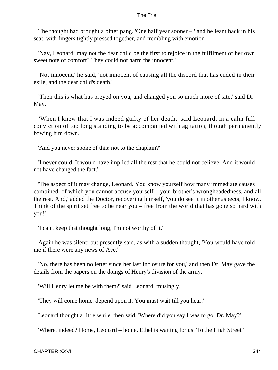The thought had brought a bitter pang. 'One half year sooner – ' and he leant back in his seat, with fingers tightly pressed together, and trembling with emotion.

 'Nay, Leonard; may not the dear child be the first to rejoice in the fulfilment of her own sweet note of comfort? They could not harm the innocent.'

 'Not innocent,' he said, 'not innocent of causing all the discord that has ended in their exile, and the dear child's death.'

 'Then this is what has preyed on you, and changed you so much more of late,' said Dr. May.

 'When I knew that I was indeed guilty of her death,' said Leonard, in a calm full conviction of too long standing to be accompanied with agitation, though permanently bowing him down.

'And you never spoke of this: not to the chaplain?'

 'I never could. It would have implied all the rest that he could not believe. And it would not have changed the fact.'

 'The aspect of it may change, Leonard. You know yourself how many immediate causes combined, of which you cannot accuse yourself – your brother's wrongheadedness, and all the rest. And,' added the Doctor, recovering himself, 'you do see it in other aspects, I know. Think of the spirit set free to be near you – free from the world that has gone so hard with you!'

'I can't keep that thought long; I'm not worthy of it.'

 Again he was silent; but presently said, as with a sudden thought, 'You would have told me if there were any news of Ave.'

 'No, there has been no letter since her last inclosure for you,' and then Dr. May gave the details from the papers on the doings of Henry's division of the army.

'Will Henry let me be with them?' said Leonard, musingly.

'They will come home, depend upon it. You must wait till you hear.'

Leonard thought a little while, then said, 'Where did you say I was to go, Dr. May?'

'Where, indeed? Home, Leonard – home. Ethel is waiting for us. To the High Street.'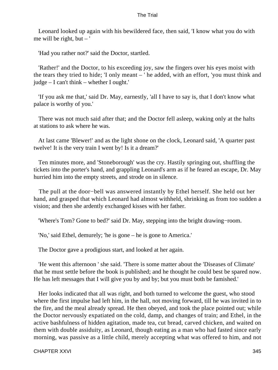Leonard looked up again with his bewildered face, then said, 'I know what you do with me will be right, but  $-$ '

'Had you rather not?' said the Doctor, startled.

 'Rather!' and the Doctor, to his exceeding joy, saw the fingers over his eyes moist with the tears they tried to hide; 'I only meant – ' he added, with an effort, 'you must think and judge – I can't think – whether I ought.'

 'If you ask me that,' said Dr. May, earnestly, 'all I have to say is, that I don't know what palace is worthy of you.'

 There was not much said after that; and the Doctor fell asleep, waking only at the halts at stations to ask where he was.

 At last came 'Blewer!' and as the light shone on the clock, Leonard said, 'A quarter past twelve! It is the very train I went by! Is it a dream?'

 Ten minutes more, and 'Stoneborough' was the cry. Hastily springing out, shuffling the tickets into the porter's hand, and grappling Leonard's arm as if he feared an escape, Dr. May hurried him into the empty streets, and strode on in silence.

 The pull at the door−bell was answered instantly by Ethel herself. She held out her hand, and grasped that which Leonard had almost withheld, shrinking as from too sudden a vision; and then she ardently exchanged kisses with her father.

'Where's Tom? Gone to bed?' said Dr. May, stepping into the bright drawing−room.

'No,' said Ethel, demurely; 'he is gone – he is gone to America.'

The Doctor gave a prodigious start, and looked at her again.

 'He went this afternoon ' she said. 'There is some matter about the 'Diseases of Climate' that he must settle before the book is published; and he thought he could best be spared now. He has left messages that I will give you by and by; but you must both be famished.'

 Her looks indicated that all was right, and both turned to welcome the guest, who stood where the first impulse had left him, in the hall, not moving forward, till he was invited in to the fire, and the meal already spread. He then obeyed, and took the place pointed out; while the Doctor nervously expatiated on the cold, damp, and changes of train; and Ethel, in the active bashfulness of hidden agitation, made tea, cut bread, carved chicken, and waited on them with double assiduity, as Leonard, though eating as a man who had fasted since early morning, was passive as a little child, merely accepting what was offered to him, and not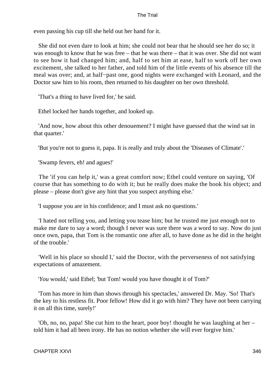even passing his cup till she held out her hand for it.

 She did not even dare to look at him; she could not bear that he should see her do so; it was enough to know that he was free – that he was there – that it was over. She did not want to see how it had changed him; and, half to set him at ease, half to work off her own excitement, she talked to her father, and told him of the little events of his absence till the meal was over; and, at half−past one, good nights were exchanged with Leonard, and the Doctor saw him to his room, then returned to his daughter on her own threshold.

'That's a thing to have lived for,' he said.

Ethel locked her hands together, and looked up.

 'And now, how about this other denouement? I might have guessed that the wind sat in that quarter.'

'But you're not to guess it, papa. It is really and truly about the 'Diseases of Climate'.'

'Swamp fevers, eh! and agues!'

 The 'if you can help it,' was a great comfort now; Ethel could venture on saying, 'Of course that has something to do with it; but he really does make the book his object; and please – please don't give any hint that you suspect anything else.'

'I suppose you are in his confidence; and I must ask no questions.'

 'I hated not telling you, and letting you tease him; but he trusted me just enough not to make me dare to say a word; though I never was sure there was a word to say. Now do just once own, papa, that Tom is the romantic one after all, to have done as he did in the height of the trouble.'

 'Well in his place so should I,' said the Doctor, with the perverseness of not satisfying expectations of amazement.

'*You* would,' said Ethel; 'but Tom! would you have thought it of Tom?'

 'Tom has more in him than shows through his spectacles,' answered Dr. May. 'So! That's the key to his restless fit. Poor fellow! How did it go with him? They have not been carrying it on all this time, surely!'

 'Oh, no, no, papa! She cut him to the heart, poor boy! thought he was laughing at her – told him it had all been irony. He has no notion whether she will ever forgive him.'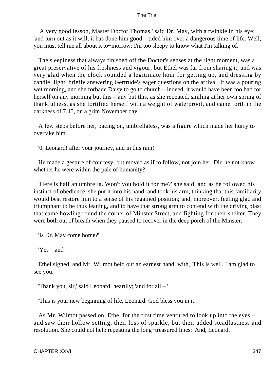'A very good lesson, Master Doctor Thomas,' said Dr. May, with a twinkle in his eye; 'and turn out as it will, it has done him good – tided him over a dangerous time of life. Well, you must tell me all about it to−morrow; I'm too sleepy to know what I'm talking of.'

 The sleepiness that always finished off the Doctor's senses at the right moment, was a great preservative of his freshness and vigour; but Ethel was far from sharing it, and was very glad when the clock sounded a legitimate hour for getting up, and dressing by candle−light, briefly answering Gertrude's eager questions on the arrival. It was a pouring wet morning, and she forbade Daisy to go to church – indeed, it would have been too bad for herself on any morning but this – any but this, as she repeated, smiling at her own spring of thankfulness, as she fortified herself with a weight of waterproof, and came forth in the darkness of 7.45, on a grim November day.

 A few steps before her, pacing on, umbrellaless, was a figure which made her hurry to overtake him.

'0, Leonard! after your journey, and in this rain!'

 He made a gesture of courtesy, but moved as if to follow, not join her. Did he not know whether he were within the pale of humanity?

 'Here is half an umbrella. Won't you hold it for me?' she said; and as he followed his instinct of obedience, she put it into his hand, and took his arm, thinking that this familiarity would best restore him to a sense of his regained position; and, moreover, feeling glad and triumphant to be thus leaning, and to have that strong arm to contend with the driving blast that came howling round the corner of Minster Street, and fighting for their shelter. They were both out of breath when they paused to recover in the deep porch of the Minster.

'Is Dr. May come home?'

 $Yes - and -'$ 

 Ethel signed, and Mr. Wilmot held out an earnest hand, with, 'This is well. I am glad to see you.'

'Thank you, sir,' said Leonard, heartily; 'and for all – '

'This is your new beginning of life, Leonard. God bless you in it.'

 As Mr. Wilmot passed on, Ethel for the first time ventured to look up into the eyes – and saw their hollow setting, their loss of sparkle, but their added steadfastness and resolution. She could not help repeating the long−treasured lines: 'And, Leonard,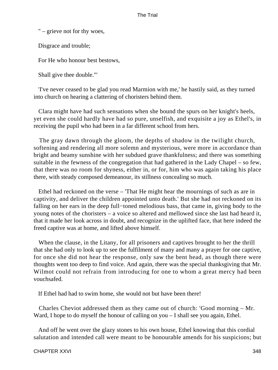" – grieve not for thy woes,

Disgrace and trouble;

For He who honour best bestows,

Shall give thee double."'

 'I've never ceased to be glad you read Marmion with me,' he hastily said, as they turned into church on hearing a clattering of choristers behind them.

 Clara might have had such sensations when she bound the spurs on her knight's heels, yet even she could hardly have had so pure, unselfish, and exquisite a joy as Ethel's, in receiving the pupil who had been in a far different school from hers.

 The gray dawn through the gloom, the depths of shadow in the twilight church, softening and rendering all more solemn and mysterious, were more in accordance than bright and beamy sunshine with her subdued grave thankfulness; and there was something suitable in the fewness of the congregation that had gathered in the Lady Chapel – so few, that there was no room for shyness, either in, or for, him who was again taking his place there, with steady composed demeanour, its stillness concealing so much.

 Ethel had reckoned on the verse – 'That He might hear the mournings of such as are in captivity, and deliver the children appointed unto death.' But she had not reckoned on its falling on her ears in the deep full−toned melodious bass, that came in, giving body to the young notes of the choristers – a voice so altered and mellowed since she last had heard it, that it made her look across in doubt, and recognize in the uplifted face, that here indeed the freed captive was at home, and lifted above himself.

 When the clause, in the Litany, for all prisoners and captives brought to her the thrill that she had only to look up to see the fulfilment of many and many a prayer for one captive, for once she did not hear the response, only saw the bent head, as though there were thoughts went too deep to find voice. And again, there was the special thanksgiving that Mr. Wilmot could not refrain from introducing for one to whom a great mercy had been vouchsafed.

If Ethel had had to swim home, she would not but have been there!

 Charles Cheviot addressed them as they came out of church: 'Good morning – Mr. Ward, I hope to do myself the honour of calling on you – I shall see you again, Ethel.

 And off he went over the glazy stones to his own house, Ethel knowing that this cordial salutation and intended call were meant to be honourable amends for his suspicions; but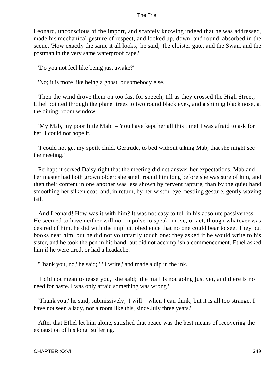Leonard, unconscious of the import, and scarcely knowing indeed that he was addressed, made his mechanical gesture of respect, and looked up, down, and round, absorbed in the scene. 'How exactly the same it all looks,' he said; 'the cloister gate, and the Swan, and the postman in the very same waterproof cape.'

'Do you not feel like being just awake?'

'No; it is more like being a ghost, or somebody else.'

 Then the wind drove them on too fast for speech, till as they crossed the High Street, Ethel pointed through the plane−trees to two round black eyes, and a shining black nose, at the dining−room window.

 'My Mab, my poor little Mab! – You have kept her all this time! I was afraid to ask for her. I could not hope it.'

 'I could not get my spoilt child, Gertrude, to bed without taking Mab, that she might see the meeting.'

 Perhaps it served Daisy right that the meeting did not answer her expectations. Mab and her master had both grown older; she smelt round him long before she was sure of him, and then their content in one another was less shown by fervent rapture, than by the quiet hand smoothing her silken coat; and, in return, by her wistful eye, nestling gesture, gently waving tail.

 And Leonard! How was it with him? It was not easy to tell in his absolute passiveness. He seemed to have neither will nor impulse to speak, move, or act, though whatever was desired of him, he did with the implicit obedience that no one could bear to see. They put books near him, but he did not voluntarily touch one: they asked if he would write to his sister, and he took the pen in his hand, but did not accomplish a commencement. Ethel asked him if he were tired, or had a headache.

'Thank you, no,' he said; 'I'll write,' and made a dip in the ink.

 'I did not mean to tease you,' she said; 'the mail is not going just yet, and there is no need for haste. I was only afraid something was wrong.'

 'Thank you,' he said, submissively; 'I will – when I can think; but it is all too strange. I have not seen a lady, nor a room like this, since July three years.'

 After that Ethel let him alone, satisfied that peace was the best means of recovering the exhaustion of his long−suffering.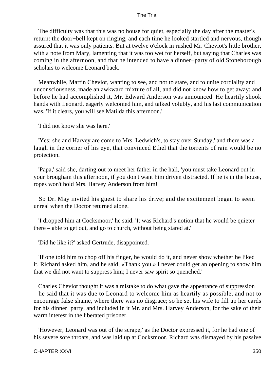The difficulty was that this was no house for quiet, especially the day after the master's return: the door−bell kept on ringing, and each time he looked startled and nervous, though assured that it was only patients. But at twelve o'clock in rushed Mr. Cheviot's little brother, with a note from Mary, lamenting that it was too wet for herself, but saying that Charles was coming in the afternoon, and that he intended to have a dinner−party of old Stoneborough scholars to welcome Leonard back.

 Meanwhile, Martin Cheviot, wanting to see, and not to stare, and to unite cordiality and unconsciousness, made an awkward mixture of all, and did not know how to get away; and before he had accomplished it, Mr. Edward Anderson was announced. He heartily shook hands with Leonard, eagerly welcomed him, and talked volubly, and his last communication was, 'If it clears, you will see Matilda this afternoon.'

'I did not know she was here.'

 'Yes; she and Harvey are come to Mrs. Ledwich's, to stay over Sunday;' and there was a laugh in the corner of his eye, that convinced Ethel that the torrents of rain would be no protection.

 'Papa,' said she, darting out to meet her father in the hall, 'you must take Leonard out in your brougham this afternoon, if you don't want him driven distracted. If he is in the house, ropes won't hold Mrs. Harvey Anderson from him!'

 So Dr. May invited his guest to share his drive; and the excitement began to seem unreal when the Doctor returned alone.

 'I dropped him at Cocksmoor,' he said. 'It was Richard's notion that he would be quieter there – able to get out, and go to church, without being stared at.'

'Did he like it?' asked Gertrude, disappointed.

 'If one told him to chop off his finger, he would do it, and never show whether he liked it. Richard asked him, and he said, «Thank you.» I never could get an opening to show him that we did not want to suppress him; I never saw spirit so quenched.'

 Charles Cheviot thought it was a mistake to do what gave the appearance of suppression – he said that it was due to Leonard to welcome him as heartily as possible, and not to encourage false shame, where there was no disgrace; so he set his wife to fill up her cards for his dinner−party, and included in it Mr. and Mrs. Harvey Anderson, for the sake of their warm interest in the liberated prisoner.

 'However, Leonard was out of the scrape,' as the Doctor expressed it, for he had one of his severe sore throats, and was laid up at Cocksmoor. Richard was dismayed by his passive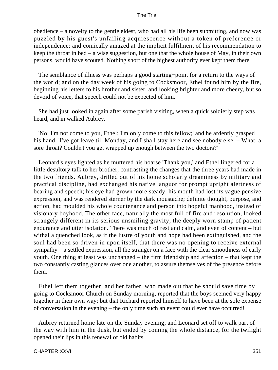obedience – a novelty to the gentle eldest, who had all his life been submitting, and now was puzzled by his guest's unfailing acquiescence without a token of preference or independence: and comically amazed at the implicit fulfilment of his recommendation to keep the throat in bed – a wise suggestion, but one that the whole house of May, in their own persons, would have scouted. Nothing short of the highest authority ever kept them there.

 The semblance of illness was perhaps a good starting−point for a return to the ways of the world; and on the day week of his going to Cocksmoor, Ethel found him by the fire, beginning his letters to his brother and sister, and looking brighter and more cheery, but so devoid of voice, that speech could not be expected of him.

 She had just looked in again after some parish visiting, when a quick soldierly step was heard, and in walked Aubrey.

 'No; I'm not come to you, Ethel; I'm only come to this fellow;' and he ardently grasped his hand. 'I've got leave till Monday, and I shall stay here and see nobody else. – What, a sore throat? Couldn't you get wrapped up enough between the two doctors?'

 Leonard's eyes lighted as he muttered his hoarse 'Thank you,' and Ethel lingered for a little desultory talk to her brother, contrasting the changes that the three years had made in the two friends. Aubrey, drilled out of his home scholarly dreaminess by military and practical discipline, had exchanged his native languor for prompt upright alertness of bearing and speech; his eye had grown more steady, his mouth had lost its vague pensive expression, and was rendered sterner by the dark moustache; definite thought, purpose, and action, had moulded his whole countenance and person into hopeful manhood, instead of visionary boyhood. The other face, naturally the most full of fire and resolution, looked strangely different in its serious unsmiling gravity, the deeply worn stamp of patient endurance and utter isolation. There was much of rest and calm, and even of content – but withal a quenched look, as if the lustre of youth and hope had been extinguished, and the soul had been so driven in upon itself, that there was no opening to receive external sympathy – a settled expression, all the stranger on a face with the clear smoothness of early youth. One thing at least was unchanged – the firm friendship and affection – that kept the two constantly casting glances over one another, to assure themselves of the presence before them.

 Ethel left them together; and her father, who made out that he should save time by going to Cocksmoor Church on Sunday morning, reported that the boys seemed very happy together in their own way; but that Richard reported himself to have been at the sole expense of conversation in the evening – the only time such an event could ever have occurred!

 Aubrey returned home late on the Sunday evening; and Leonard set off to walk part of the way with him in the dusk, but ended by coming the whole distance, for the twilight opened their lips in this renewal of old habits.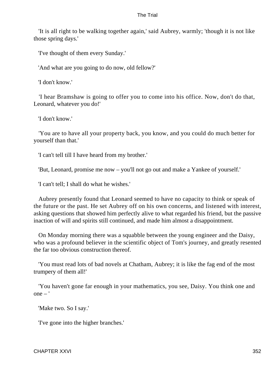'It is all right to be walking together again,' said Aubrey, warmly; 'though it is not like those spring days.'

'I've thought of them every Sunday.'

'And what are you going to do now, old fellow?'

'I don't know.'

 'I hear Bramshaw is going to offer you to come into his office. Now, don't do that, Leonard, whatever you do!'

'I don't know.'

 'You are to have all your property back, you know, and you could do much better for yourself than that.'

'I can't tell till I have heard from my brother.'

'But, Leonard, promise me now – you'll not go out and make a Yankee of yourself.'

'I can't tell; I shall do what he wishes.'

 Aubrey presently found that Leonard seemed to have no capacity to think or speak of the future or the past. He set Aubrey off on his own concerns, and listened with interest, asking questions that showed him perfectly alive to what regarded his friend, but the passive inaction of will and spirits still continued, and made him almost a disappointment.

 On Monday morning there was a squabble between the young engineer and the Daisy, who was a profound believer in the scientific object of Tom's journey, and greatly resented the far too obvious construction thereof.

 'You must read lots of bad novels at Chatham, Aubrey; it is like the fag end of the most trumpery of them all!'

 'You haven't gone far enough in your mathematics, you see, Daisy. You think one and  $one - '$ 

'Make two. So I say.'

'I've gone into the higher branches.'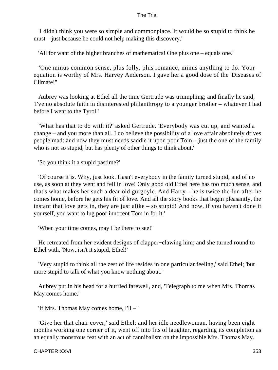'I didn't think you were so simple and commonplace. It would be so stupid to think he must – just because he could not help making this discovery.'

'All for want of the higher branches of mathematics! One plus one – equals one.'

 'One minus common sense, plus folly, plus romance, minus anything to do. Your equation is worthy of Mrs. Harvey Anderson. I gave her a good dose of the 'Diseases of Climate!''

 Aubrey was looking at Ethel all the time Gertrude was triumphing; and finally he said, 'I've no absolute faith in disinterested philanthropy to a younger brother – whatever I had before I went to the Tyrol.'

 'What has that to do with it?' asked Gertrude. 'Everybody was cut up, and wanted a change – and you more than all. I do believe the possibility of a love affair absolutely drives people mad: and now they must needs saddle it upon poor Tom – just the one of the family who is not so stupid, but has plenty of other things to think about.'

'So you think it a stupid pastime?'

 'Of course it is. Why, just look. Hasn't everybody in the family turned stupid, and of no use, as soon at they went and fell in love! Only good old Ethel here has too much sense, and that's what makes her such a dear old gurgoyle. And Harry – he is twice the fun after he comes home, before he gets his fit of love. And all the story books that begin pleasantly, the instant that love gets in, they are just alike – so stupid! And now, if you haven't done it yourself, you want to lug poor innocent Tom in for it.'

'When your time comes, may I be there to see!'

 He retreated from her evident designs of clapper−clawing him; and she turned round to Ethel with, 'Now, isn't it stupid, Ethel!'

 'Very stupid to think all the zest of life resides in one particular feeling,' said Ethel; 'but more stupid to talk of what you know nothing about.'

 Aubrey put in his head for a hurried farewell, and, 'Telegraph to me when Mrs. Thomas May comes home.'

'If Mrs. Thomas May comes home, I'll – '

 'Give her that chair cover,' said Ethel; and her idle needlewoman, having been eight months working one corner of it, went off into fits of laughter, regarding its completion as an equally monstrous feat with an act of cannibalism on the impossible Mrs. Thomas May.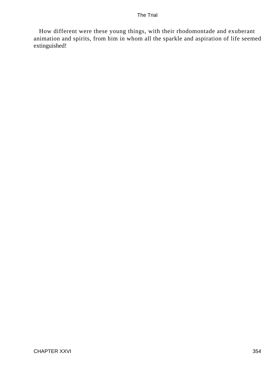How different were these young things, with their rhodomontade and exuberant animation and spirits, from him in whom all the sparkle and aspiration of life seemed extinguished!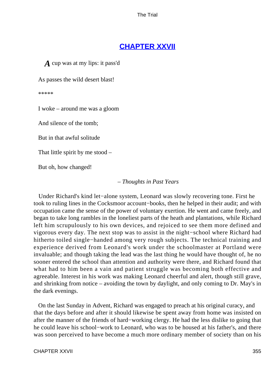## **[CHAPTER XXVII](#page-415-0)**

*A* cup was at my lips: it pass'd

As passes the wild desert blast!

\*\*\*\*\*

I woke – around me was a gloom

And silence of the tomb;

But in that awful solitude

That little spirit by me stood –

But oh, how changed!

#### *– Thoughts in Past Years*

 Under Richard's kind let−alone system, Leonard was slowly recovering tone. First he took to ruling lines in the Cocksmoor account−books, then he helped in their audit; and with occupation came the sense of the power of voluntary exertion. He went and came freely, and began to take long rambles in the loneliest parts of the heath and plantations, while Richard left him scrupulously to his own devices, and rejoiced to see them more defined and vigorous every day. The next stop was to assist in the night−school where Richard had hitherto toiled single−handed among very rough subjects. The technical training and experience derived from Leonard's work under the schoolmaster at Portland were invaluable; and though taking the lead was the last thing he would have thought of, he no sooner entered the school than attention and authority were there, and Richard found that what had to him been a vain and patient struggle was becoming both effective and agreeable. Interest in his work was making Leonard cheerful and alert, though still grave, and shrinking from notice – avoiding the town by daylight, and only coming to Dr. May's in the dark evenings.

 On the last Sunday in Advent, Richard was engaged to preach at his original curacy, and that the days before and after it should likewise be spent away from home was insisted on after the manner of the friends of hard−working clergy. He had the less dislike to going that he could leave his school−work to Leonard, who was to be housed at his father's, and there was soon perceived to have become a much more ordinary member of society than on his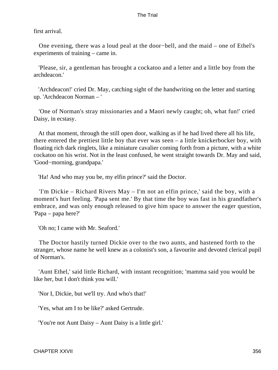first arrival.

 One evening, there was a loud peal at the door−bell, and the maid – one of Ethel's experiments of training – came in.

 'Please, sir, a gentleman has brought a cockatoo and a letter and a little boy from the archdeacon.'

 'Archdeacon!' cried Dr. May, catching sight of the handwriting on the letter and starting up. 'Archdeacon Norman – '

 'One of Norman's stray missionaries and a Maori newly caught; oh, what fun!' cried Daisy, in ecstasy.

 At that moment, through the still open door, walking as if he had lived there all his life, there entered the prettiest little boy that ever was seen – a little knickerbocker boy, with floating rich dark ringlets, like a miniature cavalier coming forth from a picture, with a white cockatoo on his wrist. Not in the least confused, he went straight towards Dr. May and said, 'Good−morning, grandpapa.'

'Ha! And who may you be, my elfin prince?' said the Doctor.

 'I'm Dickie – Richard Rivers May – I'm not an elfin prince,' said the boy, with a moment's hurt feeling. 'Papa sent me.' By that time the boy was fast in his grandfather's embrace, and was only enough released to give him space to answer the eager question, 'Papa – papa here?'

'Oh no; I came with Mr. Seaford.'

 The Doctor hastily turned Dickie over to the two aunts, and hastened forth to the stranger, whose name he well knew as a colonist's son, a favourite and devoted clerical pupil of Norman's.

 'Aunt Ethel,' said little Richard, with instant recognition; 'mamma said you would be like her, but I don't think you will.'

'Nor I, Dickie, but we'll try. And who's that!'

'Yes, what am I to be like?' asked Gertrude.

'You're not Aunt Daisy – Aunt Daisy is a little girl.'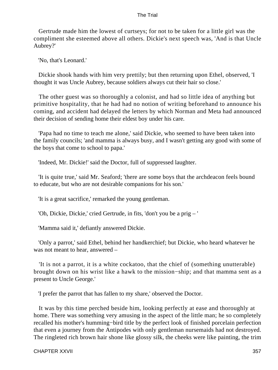Gertrude made him the lowest of curtseys; for not to be taken for a little girl was the compliment she esteemed above all others. Dickie's next speech was, 'And is that Uncle Aubrey?'

'No, that's Leonard.'

 Dickie shook hands with him very prettily; but then returning upon Ethel, observed, 'I thought it was Uncle Aubrey, because soldiers always cut their hair so close.'

 The other guest was so thoroughly a colonist, and had so little idea of anything but primitive hospitality, that he had had no notion of writing beforehand to announce his coming, and accident had delayed the letters by which Norman and Meta had announced their decision of sending home their eldest boy under his care.

 'Papa had no time to teach me alone,' said Dickie, who seemed to have been taken into the family councils; 'and mamma is always busy, and I wasn't getting any good with some of the boys that come to school to papa.'

'Indeed, Mr. Dickie!' said the Doctor, full of suppressed laughter.

 'It is quite true,' said Mr. Seaford; 'there are some boys that the archdeacon feels bound to educate, but who are not desirable companions for his son.'

'It is a great sacrifice,' remarked the young gentleman.

'Oh, Dickie, Dickie,' cried Gertrude, in fits, 'don't you be a prig – '

'Mamma said it,' defiantly answered Dickie.

 'Only a parrot,' said Ethel, behind her handkerchief; but Dickie, who heard whatever he was not meant to hear, answered –

 'It is not a parrot, it is a white cockatoo, that the chief of (something unutterable) brought down on his wrist like a hawk to the mission−ship; and that mamma sent as a present to Uncle George.'

'I prefer the parrot that has fallen to my share,' observed the Doctor.

 It was by this time perched beside him, looking perfectly at ease and thoroughly at home. There was something very amusing in the aspect of the little man; he so completely recalled his mother's humming−bird title by the perfect look of finished porcelain perfection that even a journey from the Antipodes with only gentleman nursemaids had not destroyed. The ringleted rich brown hair shone like glossy silk, the cheeks were like painting, the trim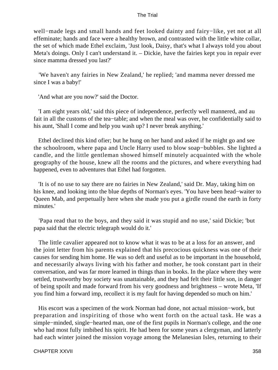well−made legs and small hands and feet looked dainty and fairy−like, yet not at all effeminate; hands and face were a healthy brown, and contrasted with the little white collar, the set of which made Ethel exclaim, 'Just look, Daisy, that's what I always told you about Meta's doings. Only I can't understand it. – Dickie, have the fairies kept you in repair ever since mamma dressed you last?'

 'We haven't any fairies in New Zealand,' he replied; 'and mamma never dressed me since I was a baby!'

'And what are you now?' said the Doctor.

 'I am eight years old,' said this piece of independence, perfectly well mannered, and au fait in all the customs of the tea−table; and when the meal was over, he confidentially said to his aunt, 'Shall I come and help you wash up? I never break anything.'

 Ethel declined this kind ofier; but he hung on her hand and asked if he might go and see the schoolroom, where papa and Uncle Harry used to blow soap−bubbles. She lighted a candle, and the little gentleman showed himself minutely acquainted with the whole geography of the house, knew all the rooms and the pictures, and where everything had happened, even to adventures that Ethel had forgotten.

 'It is of no use to say there are no fairies in New Zealand,' said Dr. May, taking him on his knee, and looking into the blue depths of Norman's eyes. 'You have been head−waiter to Queen Mab, and perpetually here when she made you put a girdle round the earth in forty minutes.'

 'Papa read that to the boys, and they said it was stupid and no use,' said Dickie; 'but papa said that the electric telegraph would do it.'

 The little cavalier appeared not to know what it was to be at a loss for an answer, and the joint letter from his parents explained that his precocious quickness was one of their causes for sending him home. He was so deft and useful as to be important in the household, and necessarily always living with his father and mother, he took constant part in their conversation, and was far more learned in things than in books. In the place where they were settled, trustworthy boy society was unattainable, and they had felt their little son, in danger of being spoilt and made forward from his very goodness and brightness – wrote Meta, 'If you find him a forward imp, recollect it is my fault for having depended so much on him.'

 His escort was a specimen of the work Norman had done, not actual mission−work, but preparation and inspiriting of those who went forth on the actual task. He was a simple−minded, single−hearted man, one of the first pupils in Norman's college, and the one who had most fully imbibed his spirit. He had been for some years a clergyman, and latterly had each winter joined the mission voyage among the Melanesian Isles, returning to their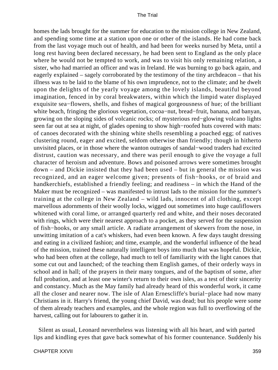homes the lads brought for the summer for education to the mission college in New Zealand, and spending some time at a station upon one or other of the islands. He had come back from the last voyage much out of health, and had been for weeks nursed by Meta, until a long rest having been declared necessary, he had been sent to England as the only place where he would not be tempted to work, and was to visit his only remaining relation, a sister, who had married an officer and was in Ireland. He was burning to go back again, and eagerly explained – sagely corroborated by the testimony of the tiny archdeacon – that his illness was to be laid to the blame of his own imprudence, not to the climate; and he dwelt upon the delights of the yearly voyage among the lovely islands, beautiful beyond imagination, fenced in by coral breakwaters, within which the limpid water displayed exquisite sea−flowers, shells, and fishes of magical gorgeousness of hue; of the brilliant white beach, fringing the glorious vegetation, cocoa−nut, bread−fruit, banana, and banyan, growing on the sloping sides of volcanic rocks; of mysterious red−glowing volcano lights seen far out at sea at night, of glades opening to show high−roofed huts covered with mats: of canoes decorated with the shining white shells resembling a poached egg; of natives clustering round, eager and excited, seldom otherwise than friendly; though in hitherto unvisited places, or in those where the wanton outrages of sandal−wood traders had excited distrust, caution was necessary, and there was peril enough to give the voyage a full character of heroism and adventure. Bows and poisoned arrows were sometimes brought down – and Dickie insisted that they had been used – but in general the mission was recognized, and an eager welcome given; presents of fish−hooks, or of braid and handkerchiefs, established a friendly feeling; and readiness – in which the Hand of the Maker must be recognized – was manifested to intrust lads to the mission for the summer's training at the college in New Zealand – wild lads, innocent of all clothing, except marvellous adornments of their woolly locks, wigged out sometimes into huge cauliflowers whitened with coral lime, or arranged quarterly red and white, and their noses decorated with rings, which were their nearest approach to a pocket, as they served for the suspension of fish−hooks, or any small article. A radiate arrangement of skewers from the nose, in unwitting imitation of a cat's whiskers, had even been known. A few days taught dressing and eating in a civilized fashion; and time, example, and the wonderful influence of the head of the mission, trained these naturally intelligent boys into much that was hopeful. Dickie, who had been often at the college, had much to tell of familiarity with the light canoes that some cut out and launched; of the teaching them English games, of their orderly ways in school and in hall; of the prayers in their many tongues, and of the baptism of some, after full probation, and at least one winter's return to their own isles, as a test of their sincerity and constancy. Much as the May family had already heard of this wonderful work, it came all the closer and nearer now. The isle of Alan Ernescliffe's burial−place had now many Christians in it. Harry's friend, the young chief David, was dead; but his people were some of them already teachers and examples, and the whole region was full to overflowing of the harvest, calling out for labourers to gather it in.

 Silent as usual, Leonard nevertheless was listening with all his heart, and with parted lips and kindling eyes that gave back somewhat of his former countenance. Suddenly his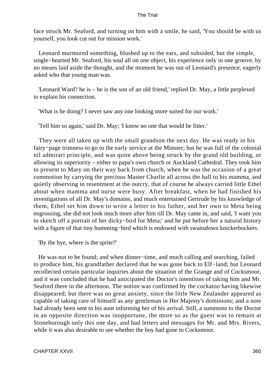face struck Mr. Seaford, and turning on him with a smile, he said, 'You should be with us yourself, you look cut out for mission work.'

 Leonard murmured something, blushed up to the ears, and subsided, but the simple, single−hearted Mr. Seaford, his soul all on one object, his experience only in one groove, by no means laid aside the thought, and the moment he was out of Leonard's presence, eagerly asked who that young man was.

 'Leonard Ward? he is – he is the son of an old friend,' replied Dr. May, a little perplexed to explain his connection.

'What is he doing? I never saw any one looking more suited for our work.'

'Tell him so again,' said Dr. May; 'I know no one that would be fitter.'

 They were all taken up with the small grandson the next day. He was ready in his fairy−page trimness to go to the early service at the Minster; but he was full of the colonial nil admirari principle, and was quite above being struck by the grand old building, or allowing its superiority – either to papa's own church or Auckland Cathedral. They took him to present to Mary on their way back from church, when he was the occasion of a great commotion by carrying the precious Master Charlie all across the hall to his mamma, and quietly observing in resentment at the outcry, that of course he always carried little Ethel about when mamma and nurse were busy. After breakfast, when he had finished his investigations of all Dr. May's domains, and much entertained Gertrude by his knowledge of them, Ethel set him down to write a letter to his father, and her own to Meta being engrossing, she did not look much more after him till Dr. May came in, and said, 'I want you to sketch off a portrait of her dicky−bird for Meta;' and he put before her a natural history with a figure of that tiny humming–bird which is endowed with swansdown knickerbockers.

'By the bye, where is the sprite?'

 He was not to be found; and when dinner−time, and much calling and searching, failed to produce him, his grandfather declared that he was gone back to Elf−land; but Leonard recollected certain particular inquiries about the situation of the Grange and of Cocksmoor, and it was concluded that he had anticipated the Doctor's intentions of taking him and Mr. Seaford there in the afternoon. The notion was confirmed by the cockatoo having likewise disappeared; but there was no great anxiety, since the little New Zealander appeared as capable of taking care of himself as any gentleman in Her Majesty's dominions; and a note had already been sent to his aunt informing her of his arrival. Still, a summons to the Doctor in an opposite direction was inopportune, the more so as the guest was to remain at Stoneborough only this one day, and had letters and messages for Mr. and Mrs. Rivers, while it was also desirable to see whether the boy had gone to Cocksmoor.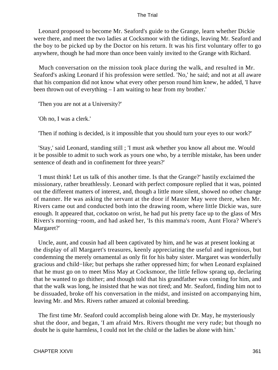Leonard proposed to become Mr. Seaford's guide to the Grange, learn whether Dickie were there, and meet the two ladies at Cocksmoor with the tidings, leaving Mr. Seaford and the boy to be picked up by the Doctor on his return. It was his first voluntary offer to go anywhere, though he had more than once been vainly invited to the Grange with Richard.

 Much conversation on the mission took place during the walk, and resulted in Mr. Seaford's asking Leonard if his profession were settled. 'No,' he said; and not at all aware that his companion did not know what every other person round him knew, he added, 'I have been thrown out of everything – I am waiting to hear from my brother.'

'Then you are not at a University?'

'Oh no, I was a clerk.'

'Then if nothing is decided, is it impossible that you should turn your eyes to our work?'

 'Stay,' said Leonard, standing still ; 'I must ask whether you know all about me. Would it be possible to admit to such work as yours one who, by a terrible mistake, has been under sentence of death and in confinement for three years?'

 'I must think! Let us talk of this another time. Is that the Grange?' hastily exclaimed the missionary, rather breathlessly. Leonard with perfect composure replied that it was, pointed out the different matters of interest, and, though a little more silent, showed no other change of manner. He was asking the servant at the door if Master May were there, when Mr. Rivers came out and conducted both into the drawing room, where little Dickie was, sure enough. It appeared that, cockatoo on wrist, he had put his pretty face up to the glass of Mrs Rivers's morning−room, and had asked her, 'Is this mamma's room, Aunt Flora? Where's Margaret?'

 Uncle, aunt, and cousin had all been captivated by him, and he was at present looking at the display of all Margaret's treasures, keenly appreciating the useful and ingenious, but condemning the merely ornamental as only fit for his baby sister. Margaret was wonderfully gracious and child−like; but perhaps she rather oppressed him; for when Leonard explained that he must go on to meet Miss May at Cocksmoor, the little fellow sprang up, declaring that he wanted to go thither; and though told that his grandfather was coming for him, and that the walk was long, he insisted that he was not tired; and Mr. Seaford, finding him not to be dissuaded, broke off his conversation in the midst, and insisted on accompanying him, leaving Mr. and Mrs. Rivers rather amazed at colonial breeding.

 The first time Mr. Seaford could accomplish being alone with Dr. May, he mysteriously shut the door, and began, 'I am afraid Mrs. Rivers thought me very rude; but though no doubt he is quite harmless, I could not let the child or the ladies be alone with him.'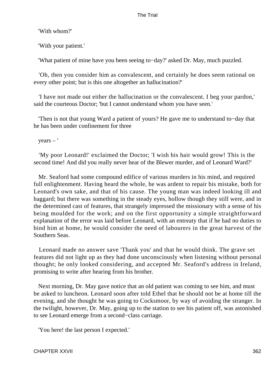'With whom?'

'With your patient.'

'What patient of mine have you been seeing to−day?' asked Dr. May, much puzzled.

 'Oh, then you consider him as convalescent, and certainly he does seem rational on every other point; but is this one altogether an hallucination?'

 'I have not made out either the hallucination or the convalescent. I beg your pardon,' said the courteous Doctor; 'but I cannot understand whom you have seen.'

 'Then is not that young Ward a patient of yours? He gave me to understand to−day that he has been under confinement for three

years – '

 'My poor Leonard!' exclaimed the Doctor; 'I wish his hair would grow! This is the second time! And did you really never hear of the Blewer murder, and of Leonard Ward?'

 Mr. Seaford had some compound edifice of various murders in his mind, and required full enlightenment. Having heard the whole, he was ardent to repair his mistake, both for Leonard's own sake, and that of his cause. The young man was indeed looking ill and haggard; but there was something in the steady eyes, hollow though they still were, and in the determined cast of features, that strangely impressed the missionary with a sense of his being moulded for the work; and on the first opportunity a simple straightforward explanation of the error was laid before Leonard, with an entreaty that if he had no duties to bind him at home, he would consider the need of labourers in the great harvest of the Southern Seas.

 Leonard made no answer save 'Thank you' and that he would think. The grave set features did not light up as they had done unconsciously when listening without personal thought; he only looked considering, and accepted Mr. Seaford's address in Ireland, promising to write after hearing from his brother.

 Next morning, Dr. May gave notice that an old patient was coming to see him, and must be asked to luncheon. Leonard soon after told Ethel that he should not be at home till the evening, and she thought he was going to Cocksmoor, by way of avoiding the stranger. In the twilight, however, Dr. May, going up to the station to see his patient off, was astonished to see Leonard emerge from a second−class carriage.

'You here! the last person I expected.'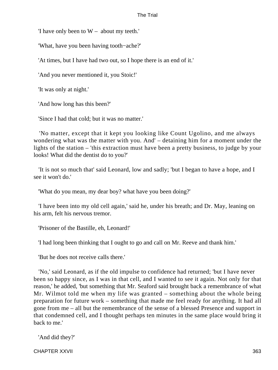'I have only been to W – about my teeth.'

'What, have you been having tooth−ache?'

'At times, but I have had two out, so I hope there is an end of it.'

'And you never mentioned it, you Stoic!'

'It was only at night.'

'And how long has this been?'

'Since I had that cold; but it was no matter.'

 'No matter, except that it kept you looking like Count Ugolino, and me always wondering what was the matter with you. And' – detaining him for a moment under the lights of the station – 'this extraction must have been a pretty business, to judge by your looks! What did the dentist do to you?'

 'It is not so much that' said Leonard, low and sadly; 'but I began to have a hope, and I see it won't do.'

'What do you mean, my dear boy? what have you been doing?'

 'I have been into my old cell again,' said he, under his breath; and Dr. May, leaning on his arm, felt his nervous tremor.

'Prisoner of the Bastille, eh, Leonard!'

'I had long been thinking that I ought to go and call on Mr. Reeve and thank him.'

'But he does not receive calls there.'

 'No,' said Leonard, as if the old impulse to confidence had returned; 'but I have never been so happy since, as I was in that cell, and I wanted to see it again. Not only for that reason,' he added, 'but something that Mr. Seaford said brought back a remembrance of what Mr. Wilmot told me when my life was granted – something about the whole being preparation for future work – something that made me feel ready for anything. It had all gone from me – all but the remembrance of the sense of a blessed Presence and support in that condemned cell, and I thought perhaps ten minutes in the same place would bring it back to me.'

'And did they?'

CHAPTER XXVII 363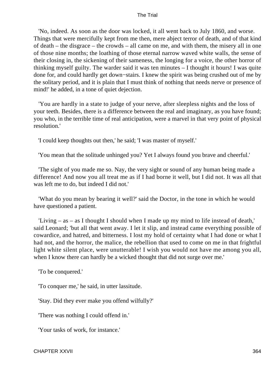'No, indeed. As soon as the door was locked, it all went back to July 1860, and worse. Things that were mercifully kept from me then, mere abject terror of death, and of that kind of death – the disgrace – the crowds – all came on me, and with them, the misery all in one of those nine months; the loathing of those eternal narrow waved white walls, the sense of their closing in, the sickening of their sameness, the longing for a voice, the other horror of thinking myself guilty. The warder said it was ten minutes – I thought it hours! I was quite done for, and could hardly get down−stairs. I knew the spirit was being crushed out of me by the solitary period, and it is plain that I must think of nothing that needs nerve or presence of mind!' he added, in a tone of quiet dejection.

 'You are hardly in a state to judge of your nerve, after sleepless nights and the loss of your teeth. Besides, there is a difference between the real and imaginary, as you have found; you who, in the terrible time of real anticipation, were a marvel in that very point of physical resolution.'

'I could keep thoughts out then,' he said; 'I was master of myself.'

'You mean that the solitude unhinged you? Yet I always found you brave and cheerful.'

 'The sight of you made me so. Nay, the very sight or sound of any human being made a difference! And now you all treat me as if I had borne it well, but I did not. It was all that was left me to do, but indeed I did not.'

 'What do you mean by bearing it well?' said the Doctor, in the tone in which he would have questioned a patient.

 'Living – as – as I thought I should when I made up my mind to life instead of death,' said Leonard; 'but all that went away. I let it slip, and instead came everything possible of cowardice, and hatred, and bitterness. I lost my hold of certainty what I had done or what I had not, and the horror, the malice, the rebellion that used to come on me in that frightful light white silent place, were unutterable! I wish you would not have me among you all, when I know there can hardly be a wicked thought that did not surge over me.'

'To be conquered.'

'To conquer me,' he said, in utter lassitude.

'Stay. Did they ever make you offend wilfully?'

'There was nothing I could offend in.'

'Your tasks of work, for instance.'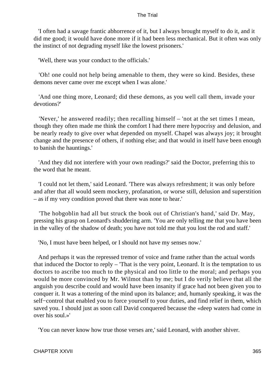'I often had a savage frantic abhorrence of it, but I always brought myself to do it, and it did me good; it would have done more if it had been less mechanical. But it often was only the instinct of not degrading myself like the lowest prisoners.'

'Well, there was your conduct to the officials.'

 'Oh! one could not help being amenable to them, they were so kind. Besides, these demons never came over me except when I was alone.'

 'And one thing more, Leonard; did these demons, as you well call them, invade your devotions?'

 'Never,' he answered readily; then recalling himself – 'not at the set times I mean, though they often made me think the comfort I had there mere hypocrisy and delusion, and be nearly ready to give over what depended on myself. Chapel was always joy; it brought change and the presence of others, if nothing else; and that would in itself have been enough to banish the hauntings.'

 'And they did not interfere with your own readings?' said the Doctor, preferring this to the word that he meant.

 'I could not let them,' said Leonard. 'There was always refreshment; it was only before and after that all would seem mockery, profanation, or worse still, delusion and superstition – as if my very condition proved that there was none to hear.'

 'The hobgoblin had all but struck the book out of Christian's hand,' said Dr. May, pressing his grasp on Leonard's shuddering arm. 'You are only telling me that you have been in the valley of the shadow of death; you have not told me that you lost the rod and staff.'

'No, I must have been helped, or I should not have my senses now.'

 And perhaps it was the repressed tremor of voice and frame rather than the actual words that induced the Doctor to reply – 'That is the very point, Leonard. It is the temptation to us doctors to ascribe too much to the physical and too little to the moral; and perhaps you would be more convinced by Mr. Wilmot than by me; but I do verily believe that all the anguish you describe could and would have been insanity if grace had not been given you to conquer it. It was a tottering of the mind upon its balance; and, humanly speaking, it was the self–control that enabled you to force yourself to your duties, and find relief in them, which saved you. I should just as soon call David conquered because the «deep waters had come in over his soul.»'

'You can never know how true those verses are,' said Leonard, with another shiver.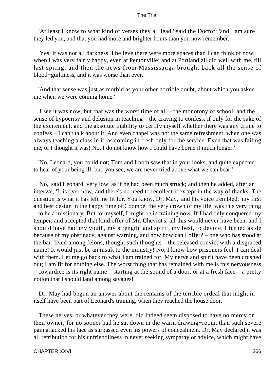'At least I know to what kind of verses they all lead,' said the Doctor; 'and I am sure they led you, and that you had more and brighter hours than you now remember.'

 'Yes, it was not all darkness. I believe there were more spaces than I can think of now, when I was very fairly happy, even at Pentonville; and at Portland all did well with me, till last spring, and then the news from Massissauga brought back all the sense of blood−guiltiness, and it was worse than ever.'

 'And that sense was just as morbid as your other horrible doubt, about which you asked me when we were coming home.'

 'I see it was now, but that was the worst time of all – the monotony of school, and the sense of hypocrisy and delusion in teaching – the craving to confess, if only for the sake of the excitement, and the absolute inability to certify myself whether there was any crime to confess – I can't talk about it. And even chapel was not the same refreshment, when one was always teaching a class in it, as coming in fresh only for the service. Even that was failing me, or I thought it was! No, I do not know how I could have borne it much longer.'

 'No, Leonard, you could not; Tom and I both saw that in your looks, and quite expected to hear of your being ill; but, you see, we are never tried above what we can bear!'

 'No,' said Leonard, very low, as if he had been much struck; and then he added, after an interval, 'It is over now, and there's no need to recollect it except in the way of thanks. The question is what it has left me fit for. You know, Dr. May,' and his voice trembled, 'my first and best design in the happy time of Coombe, the very crown of my life, was this very thing – to be a missionary. But for myself, I might be in training now. If I had only conquered my temper, and accepted that kind offer of Mr. Cheviot's, all this would never have been, and I should have had my youth, my strength, and spirit, my best, to devote. I turned aside because of my obstinacy, against warning, and now how can I offer? – one who has stood at the bar, lived among felons, thought such thoughts – the released convict with a disgraced name! It would just be an insult to the ministry! No, I know how prisoners feel. I can deal with them. Let me go back to what I am trained for. My nerve and spirit have been crushed out; I am fit for nothing else. The worst thing that has remained with me is this nervousness – cowardice is its right name – starting at the sound of a door, or at a fresh face – a pretty notion that I should land among savages!'

 Dr. May had begun an answer about the remains of the terrible ordeal that might in itself have been part of Leonard's training, when they reached the house door.

 These nerves, or whatever they were, did indeed seem disposed to have no mercy on their owner; for no sooner had he sat down in the warm drawing−room, than such severe pain attacked his face as surpassed even his powers of concealment. Dr. May declared it was all retribution for his unfriendliness in never seeking sympathy or advice, which might have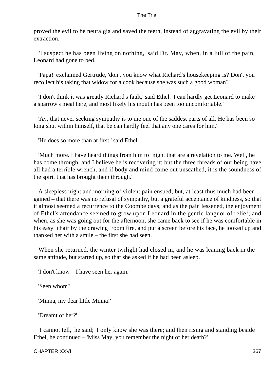proved the evil to be neuralgia and saved the teeth, instead of aggravating the evil by their extraction.

 'I suspect he has been living on nothing,' said Dr. May, when, in a lull of the pain, Leonard had gone to bed.

 'Papa!' exclaimed Gertrude, 'don't you know what Richard's housekeeping is? Don't you recollect his taking that widow for a cook because she was such a good woman?'

 'I don't think it was greatly Richard's fault,' said Ethel. 'I can hardly get Leonard to make a sparrow's meal here, and most likely his mouth has been too uncomfortable.'

 'Ay, that never seeking sympathy is to me one of the saddest parts of all. He has been so long shut within himself, that be can hardly feel that any one cares for him.'

'He does so more than at first,' said Ethel.

 'Much more. I have heard things from him to−night that are a revelation to me. Well, he has come through, and I believe he is recovering it; but the three threads of our being have all had a terrible wrench, and if body and mind come out unscathed, it is the soundness of the spirit that has brought them through.'

 A sleepless night and morning of violent pain ensued; but, at least thus much had been gained – that there was no refusal of sympathy, but a grateful acceptance of kindness, so that it almost seemed a recurrence to the Coombe days; and as the pain lessened, the enjoyment of Ethel's attendance seemed to grow upon Leonard in the gentle languor of relief; and when, as she was going out for the afternoon, she came back to see if he was comfortable in his easy−chair by the drawing−room fire, and put a screen before his face, he looked up and thanked her with a smile – the first she had seen.

 When she returned, the winter twilight had closed in, and he was leaning back in the same attitude, but started up, so that she asked if he had been asleep.

'I don't know – I have seen her again.'

'Seen whom?'

'Minna, my dear little Minna!'

'Dreamt of her?'

 'I cannot tell,' he said; 'I only know she was there; and then rising and standing beside Ethel, he continued – 'Miss May, you remember the night of her death?'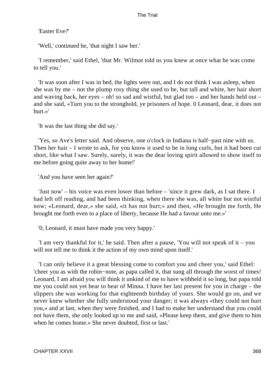'Easter Eve?'

'Well,' continued he, 'that night I saw her.'

 'I remember,' said Ethel, 'that Mr. Wilmot told us you knew at once what he was come to tell you.'

 'It was soon after I was in bed, the lights were out, and I do not think I was asleep, when she was by me – not the plump rosy thing she used to be, but tall and white, her hair short and waving back, her eyes – oh! so sad and wistful, but glad too – and her hands held out – and she said, «Turn you to the stronghold, ye prisoners of hope. 0 Leonard, dear, it does not hurt.»'

'It was the last thing she did say.'

 'Yes, so Ave's letter said. And observe, one o'clock in Indiana is half−past nine with us. Then her hair – I wrote to ask, for you know it used to be in long curls, but it had been cut short, like what I saw. Surely, surely, it was the dear loving spirit allowed to show itself to me before going quite away to her home!'

'And you have seen her again?'

 'Just now' – his voice was even lower than before – 'since it grew dark, as I sat there. I had left off reading, and had been thinking, when there she was, all white but not wistful now; «Leonard, dear,» she said, «it has not hurt;» and then, «He brought me forth, He brought me forth even to a place of liberty, because He had a favour unto me.»'

'0, Leonard, it must have made you very happy.'

 'I am very thankful for it,' he said. Then after a pause, 'You will not speak of it – you will not tell me to think it the action of my own mind upon itself.

 'I can only believe it a great blessing come to comfort you and cheer you,' said Ethel: 'cheer you as with the robin−note, as papa called it, that sung all through the worst of times! Leonard, I am afraid you will think it unkind of me to have withheld it so long, but papa told me you could not yet bear to hear of Minna. I have her last present for you in charge – the slippers she was working for that eighteenth birthday of yours. She would go on, and we never knew whether she fully understood your danger; it was always «they could not hurt you,» and at last, when they were finished, and I had to make her understand that you could not have them, she only looked up to me and said, «Please keep them, and give them to him when he comes home.» She never doubted, first or last.'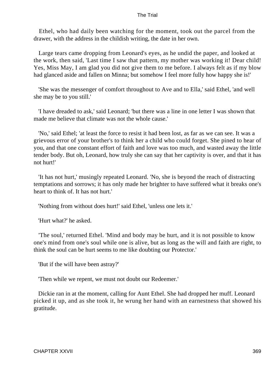Ethel, who had daily been watching for the moment, took out the parcel from the drawer, with the address in the childish writing, the date in her own.

 Large tears came dropping from Leonard's eyes, as he undid the paper, and looked at the work, then said, 'Last time I saw that pattern, my mother was working it! Dear child! Yes, Miss May, I am glad you did not give them to me before. I always felt as if my blow had glanced aside and fallen on Minna; but somehow I feel more fully how happy she is!'

 'She was the messenger of comfort throughout to Ave and to Ella,' said Ethel, 'and well she may be to you still.'

 'I have dreaded to ask,' said Leonard; 'but there was a line in one letter I was shown that made me believe that climate was not the whole cause.'

 'No,' said Ethel; 'at least the force to resist it had been lost, as far as we can see. It was a grievous error of your brother's to think her a child who could forget. She pined to hear of you, and that one constant effort of faith and love was too much, and wasted away the little tender body. But oh, Leonard, how truly she can say that her captivity is over, and that it has not hurt!'

 'It has not hurt,' musingly repeated Leonard. 'No, she is beyond the reach of distracting temptations and sorrows; it has only made her brighter to have suffered what it breaks one's heart to think of. It has not hurt.'

'Nothing from without does hurt!' said Ethel, 'unless one lets it.'

'Hurt what?' he asked.

 'The soul,' returned Ethel. 'Mind and body may be hurt, and it is not possible to know one's mind from one's soul while one is alive, but as long as the will and faith are right, to think the soul can be hurt seems to me like doubting our Protector.'

'But if the will have been astray?'

'Then while we repent, we must not doubt our Redeemer.'

 Dickie ran in at the moment, calling for Aunt Ethel. She had dropped her muff. Leonard picked it up, and as she took it, he wrung her hand with an earnestness that showed his gratitude.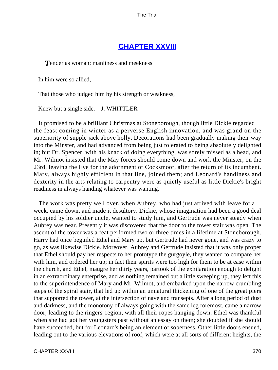# **[CHAPTER XXVIII](#page-415-0)**

**T**ender as woman; manliness and meekness

In him were so allied,

That those who judged him by his strength or weakness,

Knew but a single side. – J. WHITTLER

 It promised to be a brilliant Christmas at Stoneborough, though little Dickie regarded the feast coming in winter as a perverse English innovation, and was grand on the superiority of supple jack above holly. Decorations had been gradually making their way into the Minster, and had advanced from being just tolerated to being absolutely delighted in; but Dr. Spencer, with his knack of doing everything, was sorely missed as a head, and Mr. Wilmot insisted that the May forces should come down and work the Minster, on the 23rd, leaving the Eve for the adornment of Cocksmoor, after the return of its incumbent. Mary, always highly efficient in that line, joined them; and Leonard's handiness and dexterity in the arts relating to carpentry were as quietly useful as little Dickie's bright readiness in always handing whatever was wanting.

 The work was pretty well over, when Aubrey, who had just arrived with leave for a week, came down, and made it desultory. Dickie, whose imagination had been a good deal occupied by his soldier uncle, wanted to study him, and Gertrude was never steady when Aubrey was near. Presently it was discovered that the door to the tower stair was open. The ascent of the tower was a feat performed two or three times in a lifetime at Stoneborough. Harry had once beguiled Ethel and Mary up, but Gertrude had never gone, and was crazy to go, as was likewise Dickie. Moreover, Aubrey and Gertrude insisted that it was only proper that Ethel should pay her respects to her prototype the gurgoyle, they wanted to compare her with him, and ordered her up; in fact their spirits were too high for them to be at ease within the church, and Ethel, maugre her thirty years, partook of the exhilaration enough to delight in an extraordinary enterprise, and as nothing remained but a little sweeping up, they left this to the superintendence of Mary and Mr. Wilmot, and embarked upon the narrow crumbling steps of the spiral stair, that led up within an unnatural thickening of one of the great piers that supported the tower, at the intersection of nave and transepts. After a long period of dust and darkness, and the monotony of always going with the same leg foremost, came a narrow door, leading to the ringers' region, with all their ropes hanging down. Ethel was thankful when she had got her youngsters past without an essay on them; she doubted if she should have succeeded, but for Leonard's being an element of soberness. Other little doors ensued, leading out to the various elevations of roof, which were at all sorts of different heights, the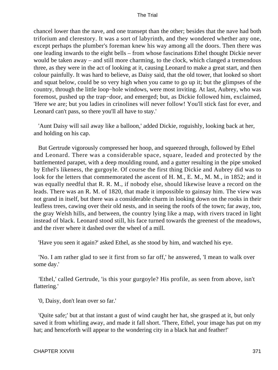chancel lower than the nave, and one transept than the other; besides that the nave had both triforium and clerestory. It was a sort of labyrinth, and they wondered whether any one, except perhaps the plumber's foreman knew his way among all the doors. Then there was one leading inwards to the eight bells – from whose fascinations Ethel thought Dickie never would be taken away – and still more charming, to the clock, which clanged a tremendous three, as they were in the act of looking at it, causing Leonard to make a great start, and then colour painfully. It was hard to believe, as Daisy said, that the old tower, that looked so short and squat below, could be so very high when you came to go up it; but the glimpses of the country, through the little loop−hole windows, were most inviting. At last, Aubrey, who was foremost, pushed up the trap−door, and emerged; but, as Dickie followed him, exclaimed, 'Here we are; but you ladies in crinolines will never follow! You'll stick fast for ever, and Leonard can't pass, so there you'll all have to stay.'

 'Aunt Daisy will sail away like a balloon,' added Dickie, roguishly, looking back at her, and holding on his cap.

 But Gertrude vigorously compressed her hoop, and squeezed through, followed by Ethel and Leonard. There was a considerable space, square, leaded and protected by the battlemented parapet, with a deep moulding round, and a gutter resulting in the pipe smoked by Ethel's likeness, the gurgoyle. Of course the first thing Dickie and Aubrey did was to look for the letters that commemorated the ascent of H. M., E. M., M. M., in 1852; and it was equally needful that R. R. M., if nobody else, should likewise leave a record on the leads. There was an R. M. of 1820, that made it impossible to gainsay him. The view was not grand in itself, but there was a considerable charm in looking down on the rooks in their leafless trees, cawing over their old nests, and in seeing the roofs of the town; far away, too, the gray Welsh hills, and between, the country lying like a map, with rivers traced in light instead of black. Leonard stood still, his face turned towards the greenest of the meadows, and the river where it dashed over the wheel of a mill.

'Have you seen it again?' asked Ethel, as she stood by him, and watched his eye.

 'No. I am rather glad to see it first from so far off,' he answered, 'I mean to walk over some day.'

 'Ethel,' called Gertrude, 'is this your gurgoyle? His profile, as seen from above, isn't flattering.'

'0, Daisy, don't lean over so far.'

 'Quite safe;' but at that instant a gust of wind caught her hat, she grasped at it, but only saved it from whirling away, and made it fall short. 'There, Ethel, your image has put on my hat; and henceforth will appear to the wondering city in a black hat and feather!'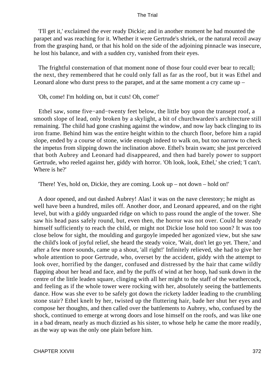'I'll get it,' exclaimed the ever ready Dickie; and in another moment he had mounted the parapet and was reaching for it. Whether it were Gertrude's shriek, or the natural recoil away from the grasping hand, or that his hold on the side of the adjoining pinnacle was insecure, he lost his balance, and with a sudden cry, vanished from their eyes.

 The frightful consternation of that moment none of those four could ever bear to recall; the next, they remembered that he could only fall as far as the roof, but it was Ethel and Leonard alone who durst press to the parapet, and at the same moment a cry came up –

'Oh, come! I'm holding on, but it cuts! Oh, come!'

 Ethel saw, some five−and−twenty feet below, the little boy upon the transept roof, a smooth slope of lead, only broken by a skylight, a bit of churchwarden's architecture still remaining. The child had gone crashing against the window, and now lay back clinging to its iron frame. Behind him was the entire height within to the church floor, before him a rapid slope, ended by a course of stone, wide enough indeed to walk on, but too narrow to check the impetus from slipping down the inclination above. Ethel's brain swam; she just perceived that both Aubrey and Leonard had disappeared, and then had barely power to support Gertrude, who reeled against her, giddy with horror. 'Oh look, look, Ethel,' she cried; 'I can't. Where is he?'

'There! Yes, hold on, Dickie, they are coming. Look up – not down – hold on!'

 A door opened, and out dashed Aubrey! Alas! it was on the nave clerestory; he might as well have been a hundred, miles off. Another door, and Leonard appeared, and on the right level, but with a giddy unguarded ridge on which to pass round the angle of the tower. She saw his head pass safely round, but, even then, the horror was not over. Could he steady himself sufficiently to reach the child, or might not Dickie lose hold too soon? It was too close below for sight, the moulding and gurgoyle impeded her agonized view, but she saw the child's look of joyful relief, she heard the steady voice, 'Wait, don't let go yet. There,' and after a few more sounds, came up a shout, 'all right!' Infinitely relieved, she had to give her whole attention to poor Gertrude, who, overset by the accident, giddy with the attempt to look over, horrified by the danger, confused and distressed by the hair that came wildly flapping about her head and face, and by the puffs of wind at her hoop, had sunk down in the centre of the little leaden square, clinging with all her might to the staff of the weathercock, and feeling as if the whole tower were rocking with her, absolutely seeing the battlements dance. How was she ever to be safely got down the rickety ladder leading to the crumbling stone stair? Ethel knelt by her, twisted up the fluttering hair, bade her shut her eyes and compose her thoughts, and then called over the battlements to Aubrey, who, confused by the shock, continued to emerge at wrong doors and lose himself on the roofs, and was like one in a bad dream, nearly as much dizzied as his sister, to whose help he came the more readily, as the way up was the only one plain before him.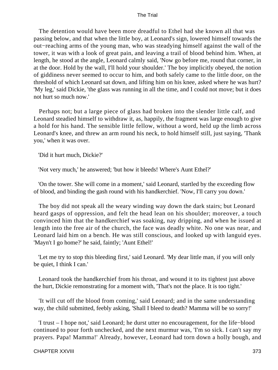The detention would have been more dreadful to Ethel had she known all that was passing below, and that when the little boy, at Leonard's sign, lowered himself towards the out−reaching arms of the young man, who was steadying himself against the wall of the tower, it was with a look of great pain, and leaving a trail of blood behind him. When, at length, he stood at the angle, Leonard calmly said, 'Now go before me, round that corner, in at the door. Hold by the wall, I'll hold your shoulder.' The boy implicitly obeyed, the notion of giddiness never seemed to occur to him, and both safely came to the little door, on the threshold of which Leonard sat down, and lifting him on his knee, asked where he was hurt? 'My leg,' said Dickie, 'the glass was running in all the time, and I could not move; but it does not hurt so much now.'

 Perhaps not; but a large piece of glass had broken into the slender little calf, and Leonard steadied himself to withdraw it, as, happily, the fragment was large enough to give a hold for his hand. The sensible little fellow, without a word, held up the limb across Leonard's knee, and threw an arm round his neck, to hold himself still, just saying, 'Thank you,' when it was over.

'Did it hurt much, Dickie?'

'Not very much,' he answered; 'but how it bleeds! Where's Aunt Ethel?'

 'On the tower. She will come in a moment,' said Leonard, startled by the exceeding flow of blood, and binding the gash round with his handkerchief. 'Now, I'll carry you down.'

 The boy did not speak all the weary winding way down the dark stairs; but Leonard heard gasps of oppression, and felt the head lean on his shoulder; moreover, a touch convinced him that the handkerchief was soaking, nay dripping, and when he issued at length into the free air of the church, the face was deadly white. No one was near, and Leonard laid him on a bench. He was still conscious, and looked up with languid eyes. 'Mayn't I go home?' he said, faintly; 'Aunt Ethel!'

 'Let me try to stop this bleeding first,' said Leonard. 'My dear little man, if you will only be quiet, I think I can.'

 Leonard took the handkerchief from his throat, and wound it to its tightest just above the hurt, Dickie remonstrating for a moment with, 'That's not the place. It is too tight.'

 'It will cut off the blood from coming,' said Leonard; and in the same understanding way, the child submitted, feebly asking, 'Shall I bleed to death? Mamma will be so sorry!'

 'I trust – I hope not,' said Leonard; he durst utter no encouragement, for the life−blood continued to pour forth unchecked, and the next murmur was, 'I'm so sick. I can't say my prayers. Papa! Mamma!' Already, however, Leonard had torn down a holly bough, and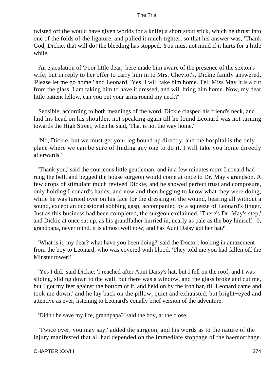twisted off (he would have given worlds for a knife) a short stout stick, which he thrust into one of the folds of the ligature, and pulled it much tighter, so that his answer was, 'Thank God, Dickie, that will do! the bleeding has stopped. You must not mind if it hurts for a little while.'

 An ejaculation of 'Poor little dear,' here made him aware of the presence of the sexton's wife; but in reply to her offer to carry him in to Mrs. Cheviot's, Dickie faintly answered, 'Please let me go home;' and Leonard, 'Yes, I will take him home. Tell Miss May it is a cut from the glass, I am taking him to have it dressed, and will bring him home. Now, my dear little patient fellow, can you put your arms round my neck?'

 Sensible, according to both meanings of the word, Dickie clasped his friend's neck, and laid his head on his shoulder, not speaking again till he found Leonard was not turning towards the High Street, when he said, 'That is not the way home.'

 'No, Dickie, but we must get your leg bound up directly, and the hospital is the only place where we can be sure of finding any one to do it. I will take you home directly afterwards.'

 'Thank you,' said the courteous little gentleman; and in a few minutes more Leonard had rung the bell, and begged the house surgeon would come at once to Dr. May's grandson. A few drops of stimulant much revived Dickie, and he showed perfect trust and composure, only holding Leonard's hands, and now and then begging to know what they were doing, while he was turned over on his face for the dressing of the wound, bearing all without a sound, except an occasional sobbing gasp, accompanied by a squeeze of Leonard's finger. Just as this business had been completed, the surgeon exclaimed, 'There's Dr. May's step,' and Dickie at once sat up, as his grandfather hurried in, nearly as pale as the boy himself. '0, grandpapa, never mind, it is almost well now; and has Aunt Daisy got her hat?'

 'What is it, my dear? what have you been doing?' said the Doctor, looking in amazement from the boy to Leonard, who was covered with blood. 'They told me you had fallen off the Minster tower!'

 'Yes I did,' said Dickie; 'I reached after Aunt Daisy's hat, but I fell on the roof, and I was sliding, sliding down to the wall, but there was a window, and the glass broke and cut me, but I got my feet against the bottom of it, and held on by the iron bar, till Leonard came and took me down;' and he lay back on the pillow, quiet and exhausted, but bright−eyed and attentive as ever, listening to Leonard's equally brief version of the adventure.

'Didn't he save my life, grandpapa?' said the boy, at the close.

 'Twice over, you may say,' added the surgeon, and his words as to the nature of the injury manifested that all had depended on the immediate stoppage of the haemorrhage.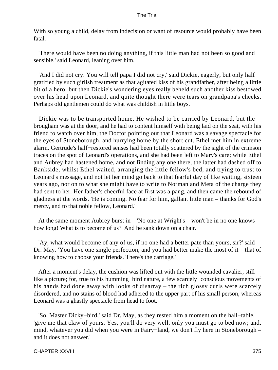With so young a child, delay from indecision or want of resource would probably have been fatal.

 'There would have been no doing anything, if this little man had not been so good and sensible,' said Leonard, leaning over him.

 'And I did not cry. You will tell papa I did not cry,' said Dickie, eagerly, but only half gratified by such girlish treatment as that agitated kiss of his grandfather, after being a little bit of a hero; but then Dickie's wondering eyes really beheld such another kiss bestowed over his head upon Leonard, and quite thought there were tears on grandpapa's cheeks. Perhaps old gentlemen could do what was childish in little boys.

 Dickie was to be transported home. He wished to be carried by Leonard, but the brougham was at the door, and he had to content himself with being laid on the seat, with his friend to watch over him, the Doctor pointing out that Leonard was a savage spectacle for the eyes of Stoneborough, and hurrying home by the short cut. Ethel met him in extreme alarm. Gertrude's half−restored senses had been totally scattered by the sight of the crimson traces on the spot of Leonard's operations, and she had been left to Mary's care; while Ethel and Aubrey had hastened home, and not finding any one there, the latter had dashed off to Bankside, whilst Ethel waited, arranging the little fellow's bed, and trying to trust to Leonard's message, and not let her mind go back to that fearful day of like waiting, sixteen years ago, nor on to what she might have to write to Norman and Meta of the charge they had sent to her. Her father's cheerful face at first was a pang, and then came the rebound of gladness at the words. 'He is coming. No fear for him, gallant little man – thanks for God's mercy, and to that noble fellow, Leonard.'

 At the same moment Aubrey burst in – 'No one at Wright's – won't be in no one knows how long! What is to become of us?' And he sank down on a chair.

 'Ay, what would become of any of us, if no one had a better pate than yours, sir?' said Dr. May. 'You have one single perfection, and you had better make the most of it – that of knowing how to choose your friends. There's the carriage.'

 After a moment's delay, the cushion was lifted out with the little wounded cavalier, still like a picture; for, true to his humming−bird nature, a few scarcely−conscious movements of his hands had done away with looks of disarray – the rich glossy curls were scarcely disordered, and no stains of blood had adhered to the upper part of his small person, whereas Leonard was a ghastly spectacle from head to foot.

 'So, Master Dicky−bird,' said Dr. May, as they rested him a moment on the hall−table, 'give me that claw of yours. Yes, you'll do very well, only you must go to bed now; and, mind, whatever you did when you were in Fairy−land, we don't fly here in Stoneborough – and it does not answer.'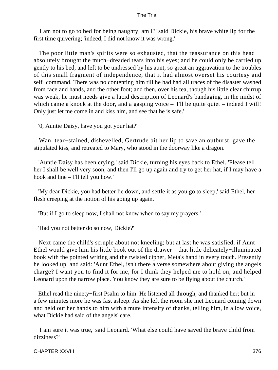'I am not to go to bed for being naughty, am I?' said Dickie, his brave white lip for the first time quivering; 'indeed, I did not know it was wrong.'

 The poor little man's spirits were so exhausted, that the reassurance on this head absolutely brought the much−dreaded tears into his eyes; and he could only be carried up gently to his bed, and left to be undressed by his aunt, so great an aggravation to the troubles of this small fragment of independence, that it had almost overset his courtesy and self−command. There was no contenting him till he had had all traces of the disaster washed from face and hands, and the other foot; and then, over his tea, though his little clear chirrup was weak, he must needs give a lucid description of Leonard's bandaging, in the midst of which came a knock at the door, and a gasping voice – 'I'll be quite quiet – indeed I will! Only just let me come in and kiss him, and see that he is safe.'

'0, Auntie Daisy, have you got your hat?'

 Wan, tear−stained, dishevelled, Gertrude bit her lip to save an outburst, gave the stipulated kiss, and retreated to Mary, who stood in the doorway like a dragon.

 'Auntie Daisy has been crying,' said Dickie, turning his eyes back to Ethel. 'Please tell her I shall be well very soon, and then I'll go up again and try to get her hat, if I may have a hook and line – I'll tell you how.'

 'My dear Dickie, you had better lie down, and settle it as you go to sleep,' said Ethel, her flesh creeping at the notion of his going up again.

'But if I go to sleep now, I shall not know when to say my prayers.'

'Had you not better do so now, Dickie?'

 Next came the child's scruple about not kneeling; but at last he was satisfied, if Aunt Ethel would give him his little book out of the drawer – that little delicately−illuminated book with the pointed writing and the twisted cipher, Meta's hand in every touch. Presently he looked up, and said: 'Aunt Ethel, isn't there a verse somewhere about giving the angels charge? I want you to find it for me, for I think they helped me to hold on, and helped Leonard upon the narrow place. You know they are sure to be flying about the church.'

 Ethel read the ninety−first Psalm to him. He listened all through, and thanked her; but in a few minutes more he was fast asleep. As she left the room she met Leonard coming down and held out her hands to him with a mute intensity of thanks, telling him, in a low voice, what Dickie had said of the angels' care.

 'I am sure it was true,' said Leonard. 'What else could have saved the brave child from dizziness?'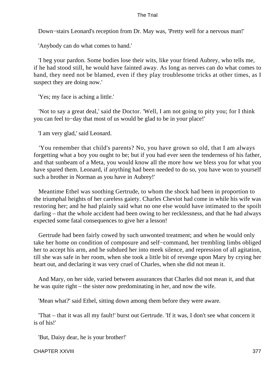Down−stairs Leonard's reception from Dr. May was, 'Pretty well for a nervous man!'

'Anybody can do what comes to hand.'

 'I beg your pardon. Some bodies lose their wits, like your friend Aubrey, who tells me, if he had stood still, he would have fainted away. As long as nerves can do what comes to hand, they need not be blamed, even if they play troublesome tricks at other times, as I suspect they are doing now.'

'Yes; my face is aching a little.'

 'Not to say a great deal,' said the Doctor. 'Well, I am not going to pity you; for I think you can feel to−day that most of us would be glad to be in your place!'

'I am very glad,' said Leonard.

 'You remember that child's parents? No, you have grown so old, that I am always forgetting what a boy you ought to be; but if you had ever seen the tenderness of his father, and that sunbeam of a Meta, you would know all the more how we bless you for what you have spared them. Leonard, if anything had been needed to do so, you have won to yourself such a brother in Norman as you have in Aubrey!'

 Meantime Ethel was soothing Gertrude, to whom the shock had been in proportion to the triumphal heights of her careless gaiety. Charles Cheviot had come in while his wife was restoring her; and he had plainly said what no one else would have intimated to the spoilt darling – that the whole accident had been owing to her recklessness, and that he had always expected some fatal consequences to give her a lesson!

 Gertrude had been fairly cowed by such unwonted treatment; and when he would only take her home on condition of composure and self−command, her trembling limbs obliged her to accept his arm, and he subdued her into meek silence, and repression of all agitation, till she was safe in her room, when she took a little bit of revenge upon Mary by crying her heart out, and declaring it was very cruel of Charles, when she did not mean it.

 And Mary, on her side, varied between assurances that Charles did not mean it, and that he was quite right – the sister now predominating in her, and now the wife.

'Mean what?' said Ethel, sitting down among them before they were aware.

 'That – that it was all my fault!' burst out Gertrude. 'If it was, I don't see what concern it is of his!'

'But, Daisy dear, he is your brother!'

CHAPTER XXVIII 377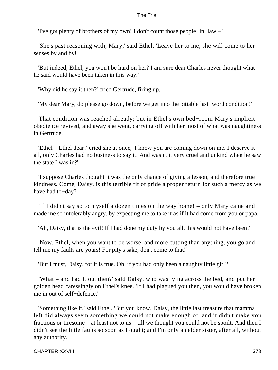'I've got plenty of brothers of my own! I don't count those people−in−law – '

 'She's past reasoning with, Mary,' said Ethel. 'Leave her to me; she will come to her senses by and by!'

 'But indeed, Ethel, you won't be hard on her? I am sure dear Charles never thought what he said would have been taken in this way.'

'Why did he say it then?' cried Gertrude, firing up.

'My dear Mary, do please go down, before we get into the pitiable last−word condition!'

 That condition was reached already; but in Ethel's own bed−room Mary's implicit obedience revived, and away she went, carrying off with her most of what was naughtiness in Gertrude.

 'Ethel – Ethel dear!' cried she at once, 'I know you are coming down on me. I deserve it all, only Charles had no business to say it. And wasn't it very cruel and unkind when he saw the state I was in?'

 'I suppose Charles thought it was the only chance of giving a lesson, and therefore true kindness. Come, Daisy, is this terrible fit of pride a proper return for such a mercy as we have had to−day?'

 'If I didn't say so to myself a dozen times on the way home! – only Mary came and made me so intolerably angry, by expecting me to take it as if it had come from you or papa.'

'Ah, Daisy, that is the evil! If I had done my duty by you all, this would not have been!'

 'Now, Ethel, when you want to be worse, and more cutting than anything, you go and tell me my faults are yours! For pity's sake, don't come to that!'

'But I must, Daisy, for it is true. Oh, if you had only been a naughty little girl!'

 'What – and had it out then?' said Daisy, who was lying across the bed, and put her golden head caressingly on Ethel's knee. 'If I had plagued you then, you would have broken me in out of self−defence.'

 'Something like it,' said Ethel. 'But you know, Daisy, the little last treasure that mamma left did always seem something we could not make enough of, and it didn't make you fractious or tiresome – at least not to us – till we thought you could not be spoilt. And then I didn't see the little faults so soon as I ought; and I'm only an elder sister, after all, without any authority.'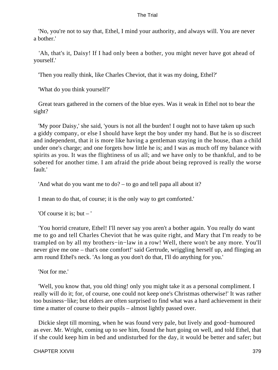'No, you're not to say that, Ethel, I mind your authority, and always will. You are never a bother.'

 'Ah, that's it, Daisy! If I had only been a bother, you might never have got ahead of yourself.'

'Then you really think, like Charles Cheviot, that it was my doing, Ethel?'

'What do you think yourself?'

 Great tears gathered in the corners of the blue eyes. Was it weak in Ethel not to bear the sight?

 'My poor Daisy,' she said, 'yours is not all the burden! I ought not to have taken up such a giddy company, or else I should have kept the boy under my hand. But he is so discreet and independent, that it is more like having a gentleman staying in the house, than a child under one's charge; and one forgets how little he is; and I was as much off my balance with spirits as you. It was the flightiness of us all; and we have only to be thankful, and to be sobered for another time. I am afraid the pride about being reproved is really the worse fault.'

```
 'And what do you want me to do? – to go and tell papa all about it?
```
I mean to do that, of course; it is the only way to get comforted.'

'Of course it is; but – '

 'You horrid creature, Ethel! I'll never say you aren't a bother again. You really do want me to go and tell Charles Cheviot that he was quite right, and Mary that I'm ready to be trampled on by all my brothers−in−law in a row! Well, there won't be any more. You'll never give me one – that's one comfort!' said Gertrude, wriggling herself up, and flinging an arm round Ethel's neck. 'As long as you don't do that, I'll do anything for you.'

'Not for me.'

 'Well, you know that, you old thing! only you might take it as a personal compliment. I really will do it; for, of course, one could not keep one's Christmas otherwise!' It was rather too business−like; but elders are often surprised to find what was a hard achievement in their time a matter of course to their pupils – almost lightly passed over.

 Dickie slept till morning, when he was found very pale, but lively and good−humoured as ever. Mr. Wright, coming up to see him, found the hurt going on well, and told Ethel, that if she could keep him in bed and undisturbed for the day, it would be better and safer; but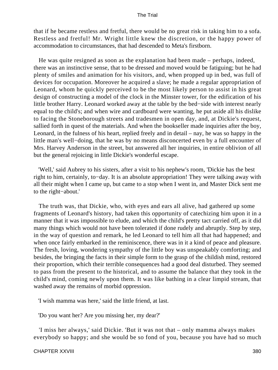that if he became restless and fretful, there would be no great risk in taking him to a sofa. Restless and fretful! Mr. Wright little knew the discretion, or the happy power of accommodation to circumstances, that had descended to Meta's firstborn.

 He was quite resigned as soon as the explanation had been made – perhaps, indeed, there was an instinctive sense, that to be dressed and moved would be fatiguing; but he had plenty of smiles and animation for his visitors, and, when propped up in bed, was full of devices for occupation. Moreover he acquired a slave; he made a regular appropriation of Leonard, whom he quickly perceived to be the most likely person to assist in his great design of constructing a model of the clock in the Minster tower, for the edification of his little brother Harry. Leonard worked away at the table by the bed−side with interest nearly equal to the child's; and when wire and cardboard were wanting, he put aside all his dislike to facing the Stoneborough streets and tradesmen in open day, and, at Dickie's request, sallied forth in quest of the materials. And when the bookseller made inquiries after the boy, Leonard, in the fulness of his heart, replied freely and in detail – nay, he was so happy in the little man's well−doing, that he was by no means disconcerted even by a full encounter of Mrs. Harvey Anderson in the street, but answered all her inquiries, in entire oblivion of all but the general rejoicing in little Dickie's wonderful escape.

 'Well,' said Aubrey to his sisters, after a visit to his nephew's room, 'Dickie has the best right to him, certainly, to−day. It is an absolute appropriation! They were talking away with all their might when I came up, but came to a stop when I went in, and Master Dick sent me to the right−about.'

 The truth was, that Dickie, who, with eyes and ears all alive, had gathered up some fragments of Leonard's history, had taken this opportunity of catechizing him upon it in a manner that it was impossible to elude, and which the child's pretty tact carried off, as it did many things which would not have been tolerated if done rudely and abruptly. Step by step, in the way of question and remark, he led Leonard to tell him all that had happened; and when once fairly embarked in the reminiscence, there was in it a kind of peace and pleasure. The fresh, loving, wondering sympathy of the little boy was unspeakably comforting; and besides, the bringing the facts in their simple form to the grasp of the childish mind, restored their proportion, which their terrible consequences had a good deal disturbed. They seemed to pass from the present to the historical, and to assume the balance that they took in the child's mind, coming newly upon them. It was like bathing in a clear limpid stream, that washed away the remains of morbid oppression.

'I wish mamma was here,' said the little friend, at last.

'Do you want her? Are you missing her, my dear?'

 'I miss her always,' said Dickie. 'But it was not that – only mamma always makes everybody so happy; and she would be so fond of you, because you have had so much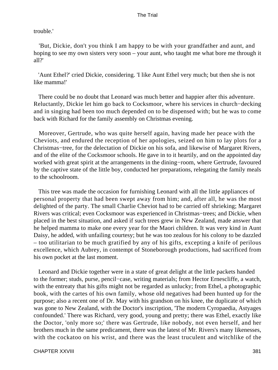## trouble.'

 'But, Dickie, don't you think I am happy to be with your grandfather and aunt, and hoping to see my own sisters very soon – your aunt, who taught me what bore me through it all?'

 'Aunt Ethel?' cried Dickie, considering. 'I like Aunt Ethel very much; but then she is not like mamma!'

 There could be no doubt that Leonard was much better and happier after this adventure. Reluctantly, Dickie let him go back to Cocksmoor, where his services in church−decking and in singing had been too much depended on to be dispensed with; but he was to come back with Richard for the family assembly on Christmas evening.

 Moreover, Gertrude, who was quite herself again, having made her peace with the Cheviots, and endured the reception of her apologies, seized on him to lay plots for a Christmas−tree, for the delectation of Dickie on his sofa, and likewise of Margaret Rivers, and of the elite of the Cocksmoor schools. He gave in to it heartily, and on the appointed day worked with great spirit at the arrangements in the dining−room, where Gertrude, favoured by the captive state of the little boy, conducted her preparations, relegating the family meals to the schoolroom.

 This tree was made the occasion for furnishing Leonard with all the little appliances of personal property that had been swept away from him; and, after all, he was the most delighted of the party. The small Charlie Cheviot had to be carried off shrieking; Margaret Rivers was critical; even Cocksmoor was experienced in Christmas−trees; and Dickie, when placed in the best situation, and asked if such trees grew in New Zealand, made answer that he helped mamma to make one every year for the Maori children. It was very kind in Aunt Daisy, he added, with unfailing courtesy; but he was too zealous for his colony to be dazzled – too utilitarian to be much gratified by any of his gifts, excepting a knife of perilous excellence, which Aubrey, in contempt of Stoneborough productions, had sacrificed from his own pocket at the last moment.

 Leonard and Dickie together were in a state of great delight at the little packets handed to the former; studs, purse, pencil−case, writing materials; from Hector Ernescliffe, a watch, with the entreaty that his gifts might not be regarded as unlucky; from Ethel, a photographic book, with the cartes of his own family, whose old negatives had been hunted up for the purpose; also a recent one of Dr. May with his grandson on his knee, the duplicate of which was gone to New Zealand, with the Doctor's inscription, 'The modern Cyropaedia, Astyages confounded.' There was Richard, very good, young and pretty; there was Ethel, exactly like the Doctor, 'only more so;' there was Gertrude, like nobody, not even herself, and her brothers much in the same predicament, there was the latest of Mr. Rivers's many likenesses, with the cockatoo on his wrist, and there was the least truculent and witchlike of the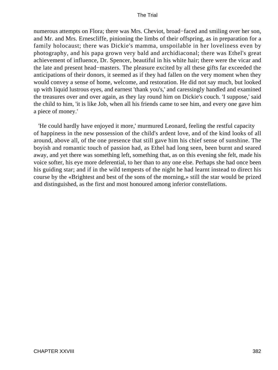numerous attempts on Flora; there was Mrs. Cheviot, broad−faced and smiling over her son, and Mr. and Mrs. Ernescliffe, pinioning the limbs of their offspring, as in preparation for a family holocaust; there was Dickie's mamma, unspoilable in her loveliness even by photography, and his papa grown very bald and archidiaconal; there was Ethel's great achievement of influence, Dr. Spencer, beautiful in his white hair; there were the vicar and the late and present head−masters. The pleasure excited by all these gifts far exceeded the anticipations of their donors, it seemed as if they had fallen on the very moment when they would convey a sense of home, welcome, and restoration. He did not say much, but looked up with liquid lustrous eyes, and earnest 'thank you's,' and caressingly handled and examined the treasures over and over again, as they lay round him on Dickie's couch. 'I suppose,' said the child to him, 'it is like Job, when all his friends came to see him, and every one gave him a piece of money.'

 'He could hardly have enjoyed it more,' murmured Leonard, feeling the restful capacity of happiness in the new possession of the child's ardent love, and of the kind looks of all around, above all, of the one presence that still gave him his chief sense of sunshine. The boyish and romantic touch of passion had, as Ethel had long seen, been burnt and seared away, and yet there was something left, something that, as on this evening she felt, made his voice softer, his eye more deferential, to her than to any one else. Perhaps she had once been his guiding star; and if in the wild tempests of the night he had learnt instead to direct his course by the «Brightest and best of the sons of the morning,» still the star would be prized and distinguished, as the first and most honoured among inferior constellations.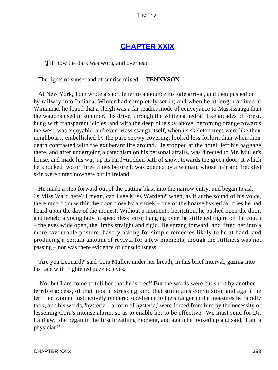# **[CHAPTER XXIX](#page-415-0)**

**T**ill now the dark was worn, and overhead

The lights of sunset and of sunrise mixed. – **TENNYSON**

 At New York, Tom wrote a short letter to announce his safe arrival, and then pushed on by railway into Indiana. Winter had completely set in; and when he at length arrived at Winiamac, he found that a sleigh was a far readier mode of conveyance to Massissauga than the wagons used in summer. His drive, through the white cathedral−like arcades of forest, hung with transparent icicles, and with the deep blue sky above, becoming orange towards the west, was enjoyable; and even Massissauga itself, when its skeleton trees were like their neighbours, embellished by the pure snowy covering, looked less forlorn than when their death contrasted with the exuberant life around. He stopped at the hotel, left his baggage there, and after undergoing a catechism on his personal affairs, was directed to Mr. Muller's house, and made his way up its hard−trodden path of snow, towards the green door, at which he knocked two or three times before it was opened by a woman, whose hair and freckled skin were tinted nowhere but in Ireland.

 He made a step forward out of the cutting blast into the narrow entry, and began to ask, 'Is Miss Ward here? I mean, can I see Miss Warden?' when, as if at the sound of his voice, there rang from within the door close by a shriek – one of the hoarse hysterical cries he had heard upon the day of the inquest. Without a moment's hesitation, he pushed open the door, and beheld a young lady in speechless terror hanging over the stiffened figure on the couch – the eyes wide open, the limbs straight and rigid. He sprang forward, and lifted her into a more favourable posture, hastily asking for simple remedies likely to be at hand, and producing a certain amount of revival for a few moments, though the stiffness was not passing – nor was there evidence of consciousness.

 'Are you Leonard?' said Cora Muller, under her breath, in this brief interval, gazing into his face with frightened puzzled eyes.

 'No; but I am come to tell her that he is free!' But the words were cut short by another terrible access, of that most distressing kind that stimulates convulsion; and again the terrified women instinctively rendered obedience to the stranger in the measures he rapidly took, and his words, 'hysteria – a form of hysteria,' were forced from him by the necessity of lessening Cora's intense alarm, so as to enable her to be effective. 'We must send for Dr. Laidlaw,' she began in the first breathing moment, and again he looked up and said, 'I am a physician!'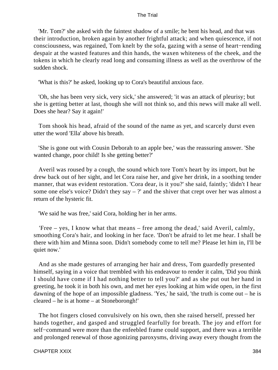'Mr. Tom?' she asked with the faintest shadow of a smile; he bent his head, and that was their introduction, broken again by another frightful attack; and when quiescence, if not consciousness, was regained, Tom knelt by the sofa, gazing with a sense of heart−rending despair at the wasted features and thin hands, the waxen whiteness of the cheek, and the tokens in which he clearly read long and consuming illness as well as the overthrow of the sudden shock.

'What is this?' he asked, looking up to Cora's beautiful anxious face.

 'Oh, she has been very sick, very sick,' she answered; 'it was an attack of pleurisy; but she is getting better at last, though she will not think so, and this news will make all well. Does she hear? Say it again!'

 Tom shook his head, afraid of the sound of the name as yet, and scarcely durst even utter the word 'Ella' above his breath.

 'She is gone out with Cousin Deborah to an apple bee,' was the reassuring answer. 'She wanted change, poor child! Is she getting better?'

 Averil was roused by a cough, the sound which tore Tom's heart by its import, but he drew back out of her sight, and let Cora raise her, and give her drink, in a soothing tender manner, that was evident restoration. 'Cora dear, is it you?' she said, faintly; 'didn't I hear some one else's voice? Didn't they say  $-$  ?' and the shiver that crept over her was almost a return of the hysteric fit.

'We said he was free,' said Cora, holding her in her arms.

 'Free – yes, I know what that means – free among the dead,' said Averil, calmly, smoothing Cora's hair, and looking in her face. 'Don't be afraid to let me hear. I shall be there with him and Minna soon. Didn't somebody come to tell me? Please let him in, I'll be quiet now.'

 And as she made gestures of arranging her hair and dress, Tom guardedly presented himself, saying in a voice that trembled with his endeavour to render it calm, 'Did you think I should have come if I had nothing better to tell you?' and as she put out her hand in greeting, he took it in both his own, and met her eyes looking at him wide open, in the first dawning of the hope of an impossible gladness. 'Yes,' he said, 'the truth is come out – he is cleared – he is at home – at Stoneborongh!'

 The hot fingers closed convulsively on his own, then she raised herself, pressed her hands together, and gasped and struggled fearfully for breath. The joy and effort for self−command were more than the enfeebled frame could support, and there was a terrible and prolonged renewal of those agonizing paroxysms, driving away every thought from the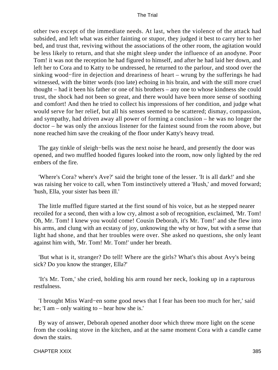other two except of the immediate needs. At last, when the violence of the attack had subsided, and left what was either fainting or stupor, they judged it best to carry her to her bed, and trust that, reviving without the associations of the other room, the agitation would be less likely to return, and that she might sleep under the influence of an anodyne. Poor Tom! it was not the reception he had figured to himself, and after he had laid her down, and left her to Cora and to Katty to be undressed, he returned to the parlour, and stood over the sinking wood−fire in dejection and dreariness of heart – wrung by the sufferings he had witnessed, with the bitter words (too late) echoing in his brain, and with the still more cruel thought – had it been his father or one of his brothers – any one to whose kindness she could trust, the shock had not been so great, and there would have been more sense of soothing and comfort! And then he tried to collect his impressions of her condition, and judge what would serve for her relief, but all his senses seemed to be scattered; dismay, compassion, and sympathy, had driven away all power of forming a conclusion – he was no longer the doctor – he was only the anxious listener for the faintest sound from the room above, but none reached him save the creaking of the floor under Katty's heavy tread.

 The gay tinkle of sleigh−bells was the next noise he heard, and presently the door was opened, and two muffled hooded figures looked into the room, now only lighted by the red embers of the fire.

 'Where's Cora? where's Ave?' said the bright tone of the lesser. 'It is all dark!' and she was raising her voice to call, when Tom instinctively uttered a 'Hush,' and moved forward; 'hush, Ella, your sister has been ill.'

 The little muffled figure started at the first sound of his voice, but as he stepped nearer recoiled for a second, then with a low cry, almost a sob of recognition, exclaimed, 'Mr. Tom! Oh, Mr. Tom! I knew you would come! Cousin Deborah, it's Mr. Tom!' and she flew into his arms, and clung with an ecstasy of joy, unknowing the why or how, but with a sense that light had shone, and that her troubles were over. She asked no questions, she only leant against him with, 'Mr. Tom! Mr. Tom!' under her breath.

 'But what is it, stranger? Do tell! Where are the girls? What's this about Avy's being sick? Do you know the stranger, Ella?'

 'It's Mr. Tom,' she cried, holding his arm round her neck, looking up in a rapturous restfulness.

 'I brought Miss Ward−en some good news that I fear has been too much for her,' said he; 'I am – only waiting to – hear how she is.'

 By way of answer, Deborah opened another door which threw more light on the scene from the cooking stove in the kitchen, and at the same moment Cora with a candle came down the stairs.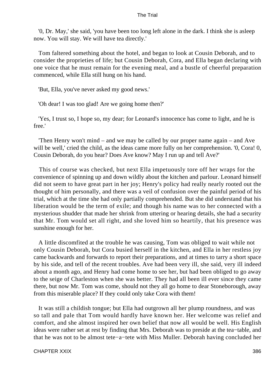'0, Dr. May,' she said, 'you have been too long left alone in the dark. I think she is asleep now. You will stay. We will have tea directly.'

 Tom faltered something about the hotel, and began to look at Cousin Deborah, and to consider the proprieties of life; but Cousin Deborah, Cora, and Ella began declaring with one voice that he must remain for the evening meal, and a bustle of cheerful preparation commenced, while Ella still hung on his hand.

'But, Ella, you've never asked my good news.'

'Oh dear! I was too glad! Are we going home then?'

 'Yes, I trust so, I hope so, my dear; for Leonard's innocence has come to light, and he is free.'

 'Then Henry won't mind – and we may be called by our proper name again – and Ave will be well,' cried the child, as the ideas came more fully on her comprehension. '0, Cora! 0, Cousin Deborah, do you hear? Does Ave know? May I run up and tell Ave?'

 This of course was checked, but next Ella impetuously tore off her wraps for the convenience of spinning up and down wildly about the kitchen and parlour. Leonard himself did not seem to have great part in her joy; Henry's policy had really nearly rooted out the thought of him personally, and there was a veil of confusion over the painful period of his trial, which at the time she had only partially comprehended. But she did understand that his liberation would be the term of exile; and though his name was to her connected with a mysterious shudder that made her shrink from uttering or hearing details, she had a security that Mr. Tom would set all right, and she loved him so heartily, that his presence was sunshine enough for her.

 A little discomfited at the trouble he was causing, Tom was obliged to wait while not only Cousin Deborah, but Cora busied herself in the kitchen, and Ella in her restless joy came backwards and forwards to report their preparations, and at times to tarry a short space by his side, and tell of the recent troubles. Ave had been very ill, she said, very ill indeed about a month ago, and Henry had come home to see her, but had been obliged to go away to the seige of Charleston when she was better. They had all been ill ever since they came there, but now Mr. Tom was come, should not they all go home to dear Stoneborough, away from this miserable place? If they could only take Cora with them!

 It was still a childish tongue; but Ella had outgrown all her plump roundness, and was so tall and pale that Tom would hardly have known her. Her welcome was relief and comfort, and she almost inspired her own belief that now all would be well. His English ideas were rather set at rest by finding that Mrs. Deborah was to preside at the tea−table, and that he was not to be almost tete−a−tete with Miss Muller. Deborah having concluded her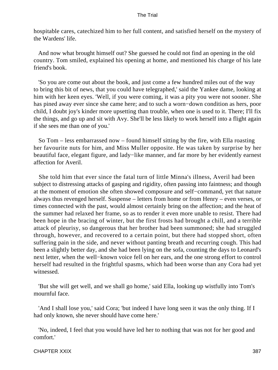hospitable cares, catechized him to her full content, and satisfied herself on the mystery of the Wardens' life.

 And now what brought himself out? She guessed he could not find an opening in the old country. Tom smiled, explained his opening at home, and mentioned his charge of his late friend's book.

 'So you are come out about the book, and just come a few hundred miles out of the way to bring this bit of news, that you could have telegraphed,' said the Yankee dame, looking at him with her keen eyes. 'Well, if you were coming, it was a pity you were not sooner. She has pined away ever since she came here; and to such a worn−down condition as hers, poor child, I doubt joy's kinder more upsetting than trouble, when one is used to it. There; I'll fix the things, and go up and sit with Avy. She'll be less likely to work herself into a flight again if she sees me than one of you.'

 So Tom – less embarrassed now – found himself sitting by the fire, with Ella roasting her favourite nuts for him, and Miss Muller opposite. He was taken by surprise by her beautiful face, elegant figure, and lady−like manner, and far more by her evidently earnest affection for Averil.

 She told him that ever since the fatal turn of little Minna's illness, Averil had been subject to distressing attacks of gasping and rigidity, often passing into faintness; and though at the moment of emotion she often showed composure and self−command, yet that nature always thus revenged herself. Suspense – letters from home or from Henry – even verses, or times connected with the past, would almost certainly bring on the affection; and the heat of the summer had relaxed her frame, so as to render it even more unable to resist. There had been hope in the bracing of winter, but the first frosts had brought a chill, and a terrible attack of pleurisy, so dangerous that her brother had been summoned; she had struggled through, however, and recovered to a certain point, but there had stopped short, often suffering pain in the side, and never without panting breath and recurring cough. This had been a slightly better day, and she had been lying on the sofa, counting the days to Leonard's next letter, when the well−known voice fell on her ears, and the one strong effort to control herself had resulted in the frightful spasms, which had been worse than any Cora had yet witnessed.

 'But she will get well, and we shall go home,' said Ella, looking up wistfully into Tom's mournful face.

 'And I shall lose you,' said Cora; 'but indeed I have long seen it was the only thing. If I had only known, she never should have come here.'

 'No, indeed, I feel that you would have led her to nothing that was not for her good and comfort.'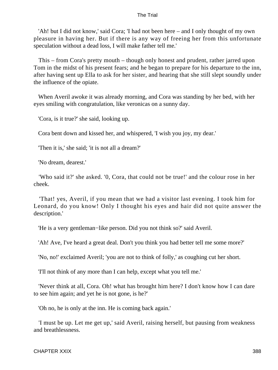'Ah! but I did not know,' said Cora; 'I had not been here – and I only thought of my own pleasure in having her. But if there is any way of freeing her from this unfortunate speculation without a dead loss, I will make father tell me.'

 This – from Cora's pretty mouth – though only honest and prudent, rather jarred upon Tom in the midst of his present fears; and he began to prepare for his departure to the inn, after having sent up Ella to ask for her sister, and hearing that she still slept soundly under the influence of the opiate.

 When Averil awoke it was already morning, and Cora was standing by her bed, with her eyes smiling with congratulation, like veronicas on a sunny day.

'Cora, is it true?' she said, looking up.

Cora bent down and kissed her, and whispered, 'I wish you joy, my dear.'

'Then it is,' she said; 'it is not all a dream?'

'No dream, dearest.'

 'Who said it?' she asked. '0, Cora, that could not be true!' and the colour rose in her cheek.

 'That! yes, Averil, if you mean that we had a visitor last evening. I took him for Leonard, do you know! Only I thought his eyes and hair did not quite answer the description.'

'He is a very gentleman−like person. Did you not think so?' said Averil.

'Ah! Ave, I've heard a great deal. Don't you think you had better tell me some more?'

'No, no!' exclaimed Averil; 'you are not to think of folly,' as coughing cut her short.

'I'll not think of any more than I can help, except what you tell me.'

 'Never think at all, Cora. Oh! what has brought him here? I don't know how I can dare to see him again; and yet he is not gone, is he?'

'Oh no, he is only at the inn. He is coming back again.'

 'I must be up. Let me get up,' said Averil, raising herself, but pausing from weakness and breathlessness.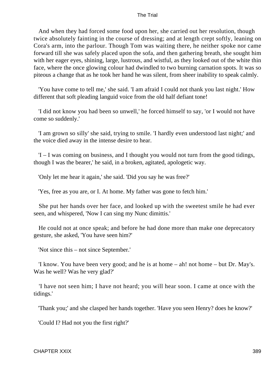And when they had forced some food upon her, she carried out her resolution, though twice absolutely fainting in the course of dressing; and at length crept softly, leaning on Cora's arm, into the parlour. Though Tom was waiting there, he neither spoke nor came forward till she was safely placed upon the sofa, and then gathering breath, she sought him with her eager eyes, shining, large, lustrous, and wistful, as they looked out of the white thin face, where the once glowing colour had dwindled to two burning carnation spots. It was so piteous a change that as he took her hand he was silent, from sheer inability to speak calmly.

 'You have come to tell me,' she said. 'I am afraid I could not thank you last night.' How different that soft pleading languid voice from the old half defiant tone!

 'I did not know you had been so unwell,' he forced himself to say, 'or I would not have come so suddenly.'

 'I am grown so silly' she said, trying to smile. 'I hardly even understood last night;' and the voice died away in the intense desire to hear.

 'I – I was coming on business, and I thought you would not turn from the good tidings, though I was the bearer,' he said, in a broken, agitated, apologetic way.

'Only let me hear it again,' she said. 'Did you say he was free?'

'Yes, free as you are, or I. At home. My father was gone to fetch him.'

 She put her hands over her face, and looked up with the sweetest smile he had ever seen, and whispered, 'Now I can sing my Nunc dimittis.'

 He could not at once speak; and before he had done more than make one deprecatory gesture, she asked, 'You have seen him?'

'Not since this – not since September.'

 'I know. You have been very good; and he is at home – ah! not home – but Dr. May's. Was he well? Was he very glad?'

 'I have not seen him; I have not heard; you will hear soon. I came at once with the tidings.'

'Thank you;' and she clasped her hands together. 'Have you seen Henry? does he know?'

'Could I? Had not you the first right?'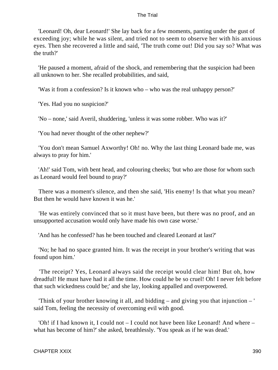'Leonard! Oh, dear Leonard!' She lay back for a few moments, panting under the gust of exceeding joy; while he was silent, and tried not to seem to observe her with his anxious eyes. Then she recovered a little and said, 'The truth come out! Did you say so? What was the truth?'

 'He paused a moment, afraid of the shock, and remembering that the suspicion had been all unknown to her. She recalled probabilities, and said,

'Was it from a confession? Is it known who – who was the real unhappy person?'

'Yes. Had you no suspicion?'

'No – none,' said Averil, shuddering, 'unless it was some robber. Who was it?'

'You had never thought of the other nephew?'

 'You don't mean Samuel Axworthy! Oh! no. Why the last thing Leonard bade me, was always to pray for him.'

 'Ah!' said Tom, with bent head, and colouring cheeks; 'but who are those for whom such as Leonard would feel bound to pray?'

 There was a moment's silence, and then she said, 'His enemy! Is that what you mean? But then he would have known it was he.'

 'He was entirely convinced that so it must have been, but there was no proof, and an unsupported accusation would only have made his own case worse.'

'And has he confessed? has he been touched and cleared Leonard at last?'

 'No; he had no space granted him. It was the receipt in your brother's writing that was found upon him.'

 'The receipt? Yes, Leonard always said the receipt would clear him! But oh, how dreadful! He must have had it all the time. How could he be so cruel! Oh! I never felt before that such wickedness could be;' and she lay, looking appalled and overpowered.

 'Think of your brother knowing it all, and bidding – and giving you that injunction – ' said Tom, feeling the necessity of overcoming evil with good.

 'Oh! if I had known it, I could not – I could not have been like Leonard! And where – what has become of him?' she asked, breathlessly. 'You speak as if he was dead.'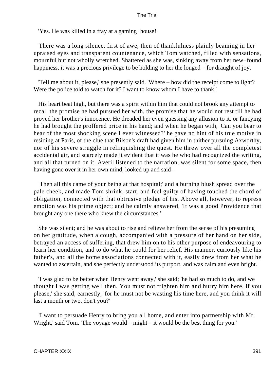'Yes. He was killed in a fray at a gaming−house!'

 There was a long silence, first of awe, then of thankfulness plainly beaming in her upraised eyes and transparent countenance, which Tom watched, filled with sensations, mournful but not wholly wretched. Shattered as she was, sinking away from her new−found happiness, it was a precious privilege to be holding to her the longed – for draught of joy.

 'Tell me about it, please,' she presently said. 'Where – how did the receipt come to light? Were the police told to watch for it? I want to know whom I have to thank.'

 His heart beat high, but there was a spirit within him that could not brook any attempt to recall the promise he had pursued her with, the promise that he would not rest till he had proved her brother's innocence. He dreaded her even guessing any allusion to it, or fancying he had brought the proffered price in his hand; and when he began with, 'Can you bear to hear of the most shocking scene I ever witnessed?' he gave no hint of his true motive in residing at Paris, of the clue that Bilson's draft had given him in thither pursuing Axworthy, nor of his severe struggle in relinquishing the quest. He threw over all the completest accidental air, and scarcely made it evident that it was he who had recognized the writing, and all that turned on it. Averil listened to the narration, was silent for some space, then having gone over it in her own mind, looked up and said –

 'Then all this came of your being at that hospital;' and a burning blush spread over the pale cheek, and made Tom shrink, start, and feel guilty of having touched the chord of obligation, connected with that obtrusive pledge of his. Above all, however, to repress emotion was his prime object; and he calmly answered, 'It was a good Providence that brought any one there who knew the circumstances.'

 She was silent; and he was about to rise and relieve her from the sense of his presuming on her gratitude, when a cough, accompanied with a pressure of her hand on her side, betrayed an access of suffering, that drew him on to his other purpose of endeavouring to learn her condition, and to do what he could for her relief. His manner, curiously like his father's, and all the home associations connected with it, easily drew from her what he wanted to ascertain, and she perfectly understood its purport, and was calm and even bright.

 'I was glad to be better when Henry went away,' she said; 'he had so much to do, and we thought I was getting well then. You must not frighten him and hurry him here, if you please,' she said, earnestly, 'for he must not be wasting his time here, and you think it will last a month or two, don't you?'

 'I want to persuade Henry to bring you all home, and enter into partnership with Mr. Wright,' said Tom. 'The voyage would – might – it would be the best thing for you.'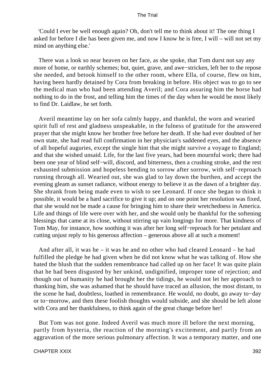'Could I ever be well enough again? Oh, don't tell me to think about it! The one thing I asked for before I die has been given me, and now I know he is free, I will – will not set my mind on anything else.'

 There was a look so near heaven on her face, as she spoke, that Tom durst not say any more of home, or earthly schemes; but, quiet, grave, and awe−stricken, left her to the repose she needed, and betook himself to the other room, where Ella, of course, flew on him, having been hardly detained by Cora from breaking in before. His object was to go to see the medical man who had been attending Averil; and Cora assuring him the horse had nothing to do in the frost, and telling him the times of the day when he would be most likely to find Dr. Laidlaw, he set forth.

 Averil meantime lay on her sofa calmly happy, and thankful, the worn and wearied spirit full of rest and gladness unspeakable, in the fulness of gratitude for the answered prayer that she might know her brother free before her death. If she had ever doubted of her own state, she had read full confirmation in her physician's saddened eyes, and the absence of all hopeful auguries, except the single hint that she might survive a voyage to England; and that she wished unsaid. Life, for the last five years, had been mournful work; there had been one year of blind self−will, discord, and bitterness, then a crushing stroke, and the rest exhausted submission and hopeless bending to sorrow after sorrow, with self−reproach running through all. Wearied out, she was glad to lay down the burthen, and accept the evening gleam as sunset radiance, without energy to believe it as the dawn of a brighter day. She shrank from being made even to wish to see Leonard. If once she began to think it possible, it would be a hard sacrifice to give it up; and on one point her resolution was fixed, that she would not be made a cause for bringing him to share their wretchedness in America. Life and things of life were over with her, and she would only be thankful for the softening blessings that came at its close, without stirring up vain longings for more. That kindness of Tom May, for instance, how soothing it was after her long self−reproach for her petulant and cutting unjust reply to his generous affection – generous above all at such a moment!

 And after all, it was he – it was he and no other who had cleared Leonard – he had fulfilled the pledge he had given when he did not know what he was talking of. How she hated the blush that the sudden remembrance had called up on her face! It was quite plain that he had been disgusted by her unkind, undignified, improper tone of rejection; and though out of humanity he had brought her the tidings, he would not let her approach to thanking him, she was ashamed that he should have traced an allusion, the most distant, to the scene he had, doubtless, loathed in remembrance. He would, no doubt, go away to−day or to−morrow, and then these foolish thoughts would subside, and she should be left alone with Cora and her thankfulness, to think again of the great change before her!

 But Tom was not gone. Indeed Averil was much more ill before the next morning, partly from hysteria, the reaction of the morning's excitement, and partly from an aggravation of the more serious pulmonary affection. It was a temporary matter, and one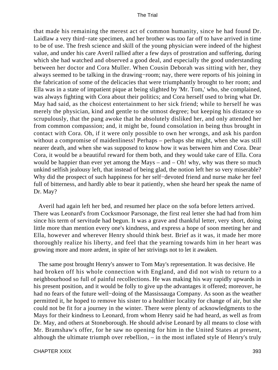that made his remaining the merest act of common humanity, since he had found Dr. Laidlaw a very third−rate specimen, and her brother was too far off to have arrived in time to be of use. The fresh science and skill of the young physician were indeed of the highest value, and under his care Averil rallied after a few days of prostration and suffering, during which she had watched and observed a good deal, and especially the good understanding between her doctor and Cora Muller. When Cousin Deborah was sitting with her, they always seemed to be talking in the drawing−room; nay, there were reports of his joining in the fabrication of some of the delicacies that were triumphantly brought to her room; and Ella was in a state of impatient pique at being slighted by 'Mr. Tom,' who, she complained, was always fighting with Cora about their politics; and Cora herself used to bring what Dr. May had said, as the choicest entertainment to her sick friend; while to herself he was merely the physician, kind and gentle to the utmost degree; but keeping his distance so scrupulously, that the pang awoke that he absolutely disliked her, and only attended her from common compassion; and, it might be, found consolation in being thus brought in contact with Cora. Oh, if it were only possible to own her wrongs, and ask his pardon without a compromise of maidenliness! Perhaps – perhaps she might, when she was still nearer death, and when she was supposed to know how it was between him and Cora. Dear Cora, it would be a beautiful reward for them both, and they would take care of Ella. Cora would be happier than ever yet among the Mays – and – Oh! why, why was there so much unkind selfish jealousy left, that instead of being glad, the notion left her so very miserable? Why did the prospect of such happiness for her self−devoted friend and nurse make her feel full of bitterness, and hardly able to bear it patiently, when she heard her speak the name of Dr. May?

 Averil had again left her bed, and resumed her place on the sofa before letters arrived. There was Leonard's from Cocksmoor Parsonage, the first real letter she had had from him since his term of servitude had begun. It was a grave and thankful letter, very short, doing little more than mention every one's kindness, and express a hope of soon meeting her and Ella, however and wherever Henry should think best. Brief as it was, it made her more thoroughly realize his liberty, and feel that the yearning towards him in her heart was growing more and more ardent, in spite of her strivings not to let it awaken.

 The same post brought Henry's answer to Tom May's representation. It was decisive. He had broken off his whole connection with England, and did not wish to return to a neighbourhood so full of painful recollections. He was making his way rapidly upwards in his present position, and it would be folly to give up the advantages it offered; moreover, he had no fears of the future well−doing of the Massissauga Company. As soon as the weather permitted it, he hoped to remove his sister to a healthier locality for change of air, but she could not be fit for a journey in the winter. There were plenty of acknowledgments to the Mays for their kindness to Leonard, from whom Henry said he had heard, as well as from Dr. May, and others at Stoneborough. He should advise Leonard by all means to close with Mr. Bramshaw's offer, for he saw no opening for him in the United States at present, although the ultimate triumph over rebellion, – in the most inflated style of Henry's truly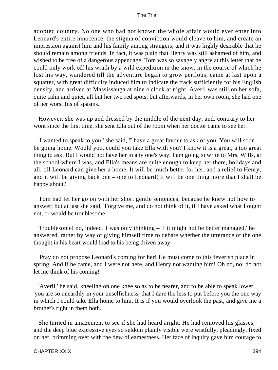adopted country. No one who had not known the whole affair would ever enter into Leonard's entire innocence, the stigma of conviction would cleave to him, and create an impression against him and his family among strangers, and it was highly desirable that he should remain among friends. In fact, it was plain that Henry was still ashamed of him, and wished to be free of a dangerous appendage. Tom was so savagely angry at this letter that he could only work off his wrath by a wild expedition in the snow, in the course of which he lost his way, wandered till the adventure began to grow perilous, came at last upon a squatter, with great difficulty induced him to indicate the track sufficiently for his English density, and arrived at Massissauga at nine o'clock at night. Averil was still on her sofa, quite calm and quiet, all but her two red spots; but afterwards, in her own room, she had one of her worst fits of spasms.

 However, she was up and dressed by the middle of the next day, and, contrary to her wont since the first time, she sent Ella out of the room when her doctor came to see her.

 'I wanted to speak to you,' she said, 'I have a great favour to ask of you. You will soon be going home. Would you, could you take Ella with you? I know it is a great, a too great thing to ask. But I would not have her in any one's way. I am going to write to Mrs. Wills, at the school where I was, and Ella's means are quite enough to keep her there, holidays and all, till Leonard can give her a home. It will be much better for her, and a relief to Henry; and it will be giving back one – one to Leonard! It will be one thing more that I shall be happy about.'

 Tom had let her go on with her short gentle sentences, because he knew not how to answer; but at last she said, 'Forgive me, and do not think of it, if I have asked what I ought not, or would be troublesome.'

 Troublesome! no, indeed! I was only thinking – if it might not be better managed,' he answered, rather by way of giving himself time to debate whether the utterance of the one thought in his heart would lead to his being driven away.

 'Pray do not propose Leonard's coming for her! He must come to this feverish place in spring. And if he came, and I were not here, and Henry not wanting him! Oh no, no; do not let me think of his coming!'

 'Averil,' he said, kneeling on one knee so as to be nearer, and to be able to speak lower, 'you are so unearthly in your unselfishness, that I dare the less to put before you the one way in which I could take Ella home to him. It is if you would overlook the past, and give me a brother's right in them both.'

 She turned in amazement to see if she had heard aright. He had removed his glasses, and the deep blue expressive eyes so seldom plainly visible were wistfully, pleadingly, fixed on her, brimming over with the dew of eamestness. Her face of inquiry gave him courage to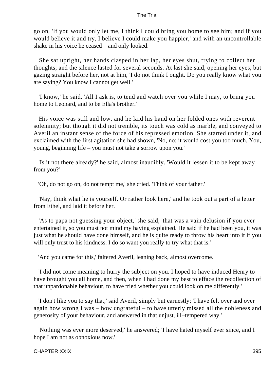go on, 'If you would only let me, I think I could bring you home to see him; and if you would believe it and try, I believe I could make you happier,' and with an uncontrollable shake in his voice he ceased – and only looked.

 She sat upright, her hands clasped in her lap, her eyes shut, trying to collect her thoughts; and the silence lasted for several seconds. At last she said, opening her eyes, but gazing straight before her, not at him, 'I do not think I ought. Do you really know what you are saying? You know I cannot get well.'

 'I know,' he said. 'All I ask is, to tend and watch over you while I may, to bring you home to Leonard, and to be Ella's brother.'

 His voice was still and low, and he laid his hand on her folded ones with reverent solemnity; but though it did not tremble, its touch was cold as marble, and conveyed to Averil an instant sense of the force of his repressed emotion. She started under it, and exclaimed with the first agitation she had shown, 'No, no; it would cost you too much. You, young, beginning life – you must not take a sorrow upon you.'

 'Is it not there already?' he said, almost inaudibly. 'Would it lessen it to be kept away from you?'

'Oh, do not go on, do not tempt me,' she cried. 'Think of your father.'

 'Nay, think what he is yourself. Or rather look here,' and he took out a part of a letter from Ethel, and laid it before her.

 'As to papa not guessing your object,' she said, 'that was a vain delusion if you ever entertained it, so you must not mind my having explained. He said if he had been you, it was just what he should have done himself, and he is quite ready to throw his heart into it if you will only trust to his kindness. I do so want you really to try what that is.'

'And you came for this,' faltered Averil, leaning back, almost overcome.

 'I did not come meaning to hurry the subject on you. I hoped to have induced Henry to have brought you all home, and then, when I had done my best to efface the recollection of that unpardonable behaviour, to have tried whether you could look on me differently.'

 'I don't like you to say that,' said Averil, simply but earnestly; 'I have felt over and over again how wrong I was – how ungrateful – to have utterly missed all the nobleness and generosity of your behaviour, and answered in that unjust, ill−tempered way.'

 'Nothing was ever more deserved,' he answered; 'I have hated myself ever since, and I hope I am not as obnoxious now.'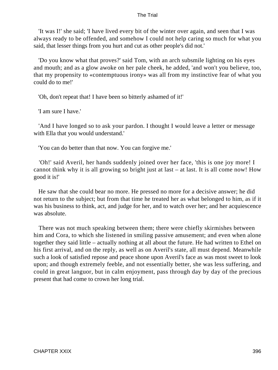'It was I!' she said; 'I have lived every bit of the winter over again, and seen that I was always ready to be offended, and somehow I could not help caring so much for what you said, that lesser things from you hurt and cut as other people's did not.'

 'Do you know what that proves?' said Tom, with an arch subsmile lighting on his eyes and mouth; and as a glow awoke on her pale cheek, he added, 'and won't you believe, too, that my propensity to «contemptuous irony» was all from my instinctive fear of what you could do to me!'

'Oh, don't repeat that! I have been so bitterly ashamed of it!'

'I am sure I have.'

 'And I have longed so to ask your pardon. I thought I would leave a letter or message with Ella that you would understand.'

'You can do better than that now. You can forgive me.'

 'Oh!' said Averil, her hands suddenly joined over her face, 'this is one joy more! I cannot think why it is all growing so bright just at last – at last. It is all come now! How good it is!'

 He saw that she could bear no more. He pressed no more for a decisive answer; he did not return to the subject; but from that time he treated her as what belonged to him, as if it was his business to think, act, and judge for her, and to watch over her; and her acquiescence was absolute.

 There was not much speaking between them; there were chiefly skirmishes between him and Cora, to which she listened in smiling passive amusement; and even when alone together they said little – actually nothing at all about the future. He had written to Ethel on his first arrival, and on the reply, as well as on Averil's state, all must depend. Meanwhile such a look of satisfied repose and peace shone upon Averil's face as was most sweet to look upon; and though extremely feeble, and not essentially better, she was less suffering, and could in great languor, but in calm enjoyment, pass through day by day of the precious present that had come to crown her long trial.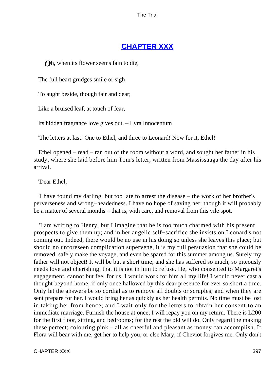## **[CHAPTER XXX](#page-415-0)**

<span id="page-397-0"></span>*Oh*, when its flower seems fain to die,

The full heart grudges smile or sigh

To aught beside, though fair and dear;

Like a bruised leaf, at touch of fear,

Its hidden fragrance love gives out. – Lyra Innocentum

'The letters at last! One to Ethel, and three to Leonard! Now for it, Ethel!'

 Ethel opened – read – ran out of the room without a word, and sought her father in his study, where she laid before him Tom's letter, written from Massissauga the day after his arrival.

'Dear Ethel,

 'I have found my darling, but too late to arrest the disease – the work of her brother's perverseness and wrong−headedness. I have no hope of saving her; though it will probably be a matter of several months – that is, with care, and removal from this vile spot.

 'I am writing to Henry, but I imagine that he is too much charmed with his present prospects to give them up; and in her angelic self−sacrifice she insists on Leonard's not coming out. Indeed, there would be no use in his doing so unless she leaves this place; but should no unforeseen complication supervene, it is my full persuasion that she could be removed, safely make the voyage, and even be spared for this summer among us. Surely my father will not object! It will be but a short time; and she has suffered so much, so piteously needs love and cherishing, that it is not in him to refuse. He, who consented to Margaret's engagement, cannot but feel for us. I would work for him all my life! I would never cast a thought beyond home, if only once hallowed by this dear presence for ever so short a time. Only let the answers be so cordial as to remove all doubts or scruples; and when they are sent prepare for her. I would bring her as quickly as her health permits. No time must be lost in taking her from hence; and I wait only for the letters to obtain her consent to an immediate marriage. Furnish the house at once; I will repay you on my return. There is L200 for the first floor, sitting, and bedrooms; for the rest the old will do. Only regard the making these perfect; colouring pink – all as cheerful and pleasant as money can accomplish. If Flora will bear with me, get her to help you; or else Mary, if Cheviot forgives me. Only don't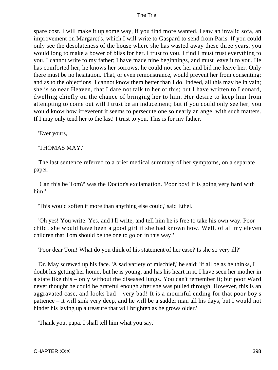spare cost. I will make it up some way, if you find more wanted. I saw an invalid sofa, an improvement on Margaret's, which I will write to Gaspard to send from Paris. If you could only see the desolateness of the house where she has wasted away these three years, you would long to make a bower of bliss for her. I trust to you. I find I must trust everything to you. I cannot write to my father; I have made nine beginnings, and must leave it to you. He has comforted her, he knows her sorrows; he could not see her and bid me leave her. Only there must be no hesitation. That, or even remonstrance, would prevent her from consenting; and as to the objections, I cannot know them better than I do. Indeed, all this may be in vain; she is so near Heaven, that I dare not talk to her of this; but I have written to Leonard, dwelling chiefly on the chance of bringing her to him. Her desire to keep him from attempting to come out will I trust be an inducement; but if you could only see her, you would know how irreverent it seems to persecute one so nearly an angel with such matters. If I may only tend her to the last! I trust to you. This is for my father.

'Ever yours,

## 'THOMAS MAY.'

 The last sentence referred to a brief medical summary of her symptoms, on a separate paper.

 'Can this be Tom?' was the Doctor's exclamation. 'Poor boy! it is going very hard with him!'

'This would soften it more than anything else could,' said Ethel.

 'Oh yes! You write. Yes, and I'll write, and tell him he is free to take his own way. Poor child! she would have been a good girl if she had known how. Well, of all my eleven children that Tom should be the one to go on in this way!'

'Poor dear Tom! What do you think of his statement of her case? Is she so very ill?'

 Dr. May screwed up his face. 'A sad variety of mischief,' he said; 'if all be as he thinks, I doubt his getting her home; but he is young, and has his heart in it. I have seen her mother in a state like this – only without the diseased lungs. You can't remember it; but poor Ward never thought he could be grateful enough after she was pulled through. However, this is an aggravated case, and looks bad – very bad! It is a mournful ending for that poor boy's patience – it will sink very deep, and he will be a sadder man all his days, but I would not hinder his laying up a treasure that will brighten as he grows older.'

'Thank you, papa. I shall tell him what you say.'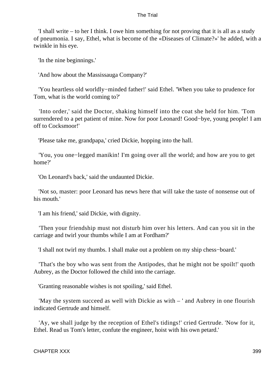'I shall write – to her I think. I owe him something for not proving that it is all as a study of pneumonia. I say, Ethel, what is become of the «Diseases of Climate?»' he added, with a twinkle in his eye.

'In the nine beginnings.'

'And how about the Massissauga Company?'

 'You heartless old worldly−minded father!' said Ethel. 'When you take to prudence for Tom, what is the world coming to?'

 'Into order,' said the Doctor, shaking himself into the coat she held for him. 'Tom surrendered to a pet patient of mine. Now for poor Leonard! Good−bye, young people! I am off to Cocksmoor!'

'Please take me, grandpapa,' cried Dickie, hopping into the hall.

 'You, you one−legged manikin! I'm going over all the world; and how are you to get home?'

'On Leonard's back,' said the undaunted Dickie.

 'Not so, master: poor Leonard has news here that will take the taste of nonsense out of his mouth.'

'I am his friend,' said Dickie, with dignity.

 'Then your friendship must not disturb him over his letters. And can you sit in the carriage and twirl your thumbs while I am at Fordham?'

'I shall not twirl my thumbs. I shall make out a problem on my ship chess−board.'

 'That's the boy who was sent from the Antipodes, that he might not be spoilt!' quoth Aubrey, as the Doctor followed the child into the carriage.

'Granting reasonable wishes is not spoiling,' said Ethel.

 'May the system succeed as well with Dickie as with – ' and Aubrey in one flourish indicated Gertrude and himself.

 'Ay, we shall judge by the reception of Ethel's tidings!' cried Gertrude. 'Now for it, Ethel. Read us Tom's letter, confute the engineer, hoist with his own petard.'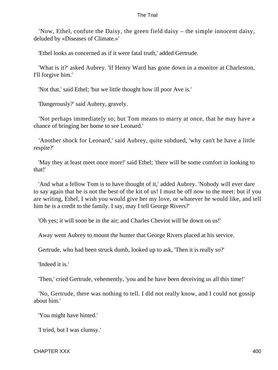'Now, Ethel, confute the Daisy, the green field daisy – the simple innocent daisy, deluded by «Diseases of Climate.»'

'Ethel looks as concerned as if it were fatal truth,' added Gertrude.

 'What is it?' asked Aubrey. 'If Henry Ward has gone down in a monitor at Charleston, I'll forgive him.'

'Not that,' said Ethel; 'but we little thought how ill poor Ave is.'

'Dangerously?' said Aubrey, gravely.

 'Not perhaps immediately so; but Tom means to marry at once, that he may have a chance of bringing her home to see Leonard.'

 'Another shock for Leonard,' said Aubrey, quite subdued, 'why can't he have a little respite?'

 'May they at least meet once more!' said Ethel; 'there will be some comfort in looking to that!'

 'And what a fellow Tom is to have thought of it,' added Aubrey. 'Nobody will ever dare to say again that he is not the best of the kit of us! I must be off now to the meet: but if you are writing, Ethel, I wish you would give her my love, or whatever he would like, and tell him he is a credit to the family. I say, may I tell George Rivers?'

'Oh yes; it will soon be in the air; and Charles Cheviot will be down on us!'

Away went Aubrey to mount the hunter that George Rivers placed at his service.

Gertrude, who had been struck dumb, looked up to ask, 'Then it is really so?'

'Indeed it is.'

'Then,' cried Gertrude, vehemently, 'you and he have been deceiving us all this time!'

 'No, Gertrude, there was nothing to tell. I did not really know, and I could not gossip about him.'

'You might have hinted.'

'I tried, but I was clumsy.'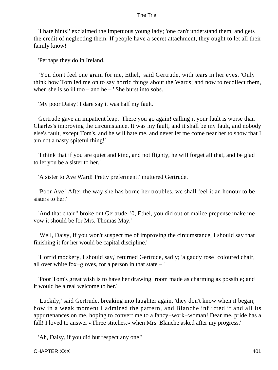'I hate hints!' exclaimed the impetuous young lady; 'one can't understand them, and gets the credit of neglecting them. If people have a secret attachment, they ought to let all their family know!'

'Perhaps they do in Ireland.'

 'You don't feel one grain for me, Ethel,' said Gertrude, with tears in her eyes. 'Only think how Tom led me on to say horrid things about the Wards; and now to recollect them, when she is so ill too – and he – ' She burst into sobs.

'My poor Daisy! I dare say it was half my fault.'

 Gertrude gave an impatient leap. 'There you go again! calling it your fault is worse than Charles's improving the circumstance. It was my fault, and it shall be my fault, and nobody else's fault, except Tom's, and he will hate me, and never let me come near her to show that I am not a nasty spiteful thing!'

 'I think that if you are quiet and kind, and not flighty, he will forget all that, and be glad to let you be a sister to her.'

'A sister to Ave Ward! Pretty preferment!' muttered Gertrude.

 'Poor Ave! After the way she has borne her troubles, we shall feel it an honour to be sisters to her.'

 'And that chair!' broke out Gertrude. '0, Ethel, you did out of malice prepense make me vow it should be for Mrs. Thomas May.'

 'Well, Daisy, if you won't suspect me of improving the circumstance, I should say that finishing it for her would be capital discipline.'

 'Horrid mockery, I should say,' returned Gertrude, sadly; 'a gaudy rose−coloured chair, all over white fox−gloves, for a person in that state – '

 'Poor Tom's great wish is to have her drawing−room made as charming as possible; and it would be a real welcome to her.'

 'Luckily,' said Gertrude, breaking into laughter again, 'they don't know when it began; how in a weak moment I admired the pattern, and Blanche inflicted it and all its appurtenances on me, hoping to convert me to a fancy−work−woman! Dear me, pride has a fall! I loved to answer «Three stitches,» when Mrs. Blanche asked after my progress.'

'Ah, Daisy, if you did but respect any one!'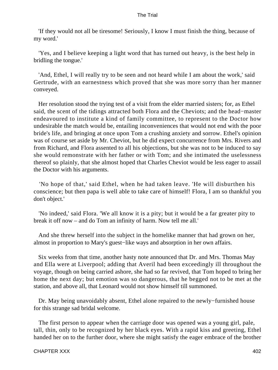'If they would not all be tiresome! Seriously, I know I must finish the thing, because of my word.'

 'Yes, and I believe keeping a light word that has turned out heavy, is the best help in bridling the tongue.'

 'And, Ethel, I will really try to be seen and not heard while I am about the work,' said Gertrude, with an earnestness which proved that she was more sorry than her manner conveyed.

 Her resolution stood the trying test of a visit from the elder married sisters; for, as Ethel said, the scent of the tidings attracted both Flora and the Cheviots; and the head−master endeavoured to institute a kind of family committee, to represent to the Doctor how undesirable the match would be, entailing inconveniences that would not end with the poor bride's life, and bringing at once upon Tom a crushing anxiety and sorrow. Ethel's opinion was of course set aside by Mr. Cheviot, but he did expect concurrence from Mrs. Rivers and from Richard, and Flora assented to all his objections, but she was not to be induced to say she would remonstrate with her father or with Tom; and she intimated the uselessness thereof so plainly, that she almost hoped that Charles Cheviot would be less eager to assail the Doctor with his arguments.

 'No hope of that,' said Ethel, when he had taken leave. 'He will disburthen his conscience; but then papa is well able to take care of himself! Flora, I am so thankful you don't object.'

 'No indeed,' said Flora. 'We all know it is a pity; but it would be a far greater pity to break it off now – and do Tom an infinity of harm. Now tell me all.'

 And she threw herself into the subject in the homelike manner that had grown on her, almost in proportion to Mary's guest−like ways and absorption in her own affairs.

 Six weeks from that time, another hasty note announced that Dr. and Mrs. Thomas May and Ella were at Liverpool; adding that Averil had been exceedingly ill throughout the voyage, though on being carried ashore, she had so far revived, that Tom hoped to bring her home the next day; but emotion was so dangerous, that he begged not to be met at the station, and above all, that Leonard would not show himself till summoned.

 Dr. May being unavoidably absent, Ethel alone repaired to the newly−furnished house for this strange sad bridal welcome.

 The first person to appear when the carriage door was opened was a young girl, pale, tall, thin, only to be recognized by her black eyes. With a rapid kiss and greeting, Ethel handed her on to the further door, where she might satisfy the eager embrace of the brother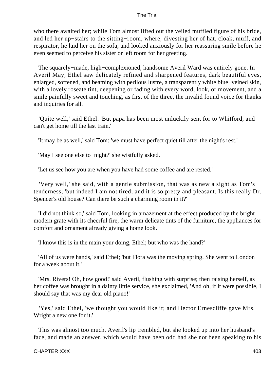who there awaited her; while Tom almost lifted out the veiled muffled figure of his bride, and led her up−stairs to the sitting−room, where, divesting her of hat, cloak, muff, and respirator, he laid her on the sofa, and looked anxiously for her reassuring smile before he even seemed to perceive his sister or left room for her greeting.

 The squarely−made, high−complexioned, handsome Averil Ward was entirely gone. In Averil May, Ethel saw delicately refined and sharpened features, dark beautiful eyes, enlarged, softened, and beaming with perilous lustre, a transparently white blue−veined skin, with a lovely roseate tint, deepening or fading with every word, look, or movement, and a smile painfully sweet and touching, as first of the three, the invalid found voice for thanks and inquiries for all.

 'Quite well,' said Ethel. 'But papa has been most unluckily sent for to Whitford, and can't get home till the last train.'

'It may be as well,' said Tom: 'we must have perfect quiet till after the night's rest.'

'May I see one else to−night?' she wistfully asked.

'Let us see how you are when you have had some coffee and are rested.'

 'Very well,' she said, with a gentle submission, that was as new a sight as Tom's tenderness; 'but indeed I am not tired; and it is so pretty and pleasant. Is this really Dr. Spencer's old house? Can there be such a charming room in it?'

 'I did not think so,' said Tom, looking in amazement at the effect produced by the bright modern grate with its cheerful fire, the warm delicate tints of the furniture, the appliances for comfort and ornament already giving a home look.

'I know this is in the main your doing, Ethel; but who was the hand?'

 'All of us were hands,' said Ethel; 'but Flora was the moving spring. She went to London for a week about it.'

 'Mrs. Rivers! Oh, how good!' said Averil, flushing with surprise; then raising herself, as her coffee was brought in a dainty little service, she exclaimed, 'And oh, if it were possible, I should say that was my dear old piano!'

 'Yes,' said Ethel, 'we thought you would like it; and Hector Ernescliffe gave Mrs. Wright a new one for it.'

 This was almost too much. Averil's lip trembled, but she looked up into her husband's face, and made an answer, which would have been odd had she not been speaking to his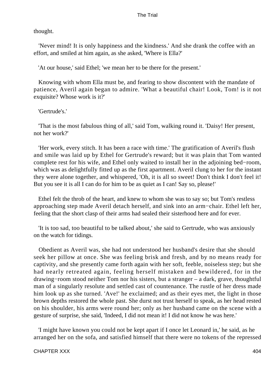thought.

 'Never mind! It is only happiness and the kindness.' And she drank the coffee with an effort, and smiled at him again, as she asked, 'Where is Ella?'

'At our house,' said Ethel; 'we mean her to be there for the present.'

 Knowing with whom Ella must be, and fearing to show discontent with the mandate of patience, Averil again began to admire. 'What a beautiful chair! Look, Tom! is it not exquisite? Whose work is it?'

'Gertrude's.'

 'That is the most fabulous thing of all,' said Tom, walking round it. 'Daisy! Her present, not her work?'

 'Her work, every stitch. It has been a race with time.' The gratification of Averil's flush and smile was laid up by Ethel for Gertrude's reward; but it was plain that Tom wanted complete rest for his wife, and Ethel only waited to install her in the adjoining bed−room, which was as delightfully fitted up as the first apartment. Averil clung to her for the instant they were alone together, and whispered, 'Oh, it is all so sweet! Don't think I don't feel it! But you see it is all I can do for him to be as quiet as I can! Say so, please!'

 Ethel felt the throb of the heart, and knew to whom she was to say so; but Tom's restless approaching step made Averil detach herself, and sink into an arm−chair. Ethel left her, feeling that the short clasp of their arms had sealed their sisterhood here and for ever.

 'It is too sad, too beautiful to be talked about,' she said to Gertrude, who was anxiously on the watch for tidings.

 Obedient as Averil was, she had not understood her husband's desire that she should seek her pillow at once. She was feeling brisk and fresh, and by no means ready for captivity, and she presently came forth again with her soft, feeble, noiseless step; but she had nearly retreated again, feeling herself mistaken and bewildered, for in the drawing−room stood neither Tom nor his sisters, but a stranger – a dark, grave, thoughtful man of a singularly resolute and settled cast of countenance. The rustle of her dress made him look up as she turned. 'Ave!' he exclaimed; and as their eyes met, the light in those brown depths restored the whole past. She durst not trust herself to speak, as her head rested on his shoulder, his arms were round her; only as her husband came on the scene with a gesture of surprise, she said, 'Indeed, I did not mean it! I did not know he was here.'

 'I might have known you could not be kept apart if I once let Leonard in,' he said, as he arranged her on the sofa, and satisfied himself that there were no tokens of the repressed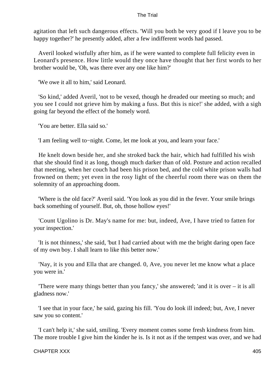agitation that left such dangerous effects. 'Will you both be very good if I leave you to be happy together?' he presently added, after a few indifferent words had passed.

 Averil looked wistfully after him, as if he were wanted to complete full felicity even in Leonard's presence. How little would they once have thought that her first words to her brother would be, 'Oh, was there ever any one like him?'

'We owe it all to him,' said Leonard.

 'So kind,' added Averil, 'not to be vexed, though he dreaded our meeting so much; and you see I could not grieve him by making a fuss. But this is nice!' she added, with a sigh going far beyond the effect of the homely word.

'You are better. Ella said so.'

'I am feeling well to−night. Come, let me look at you, and learn your face.'

 He knelt down beside her, and she stroked back the hair, which had fulfilled his wish that she should find it as long, though much darker than of old. Posture and action recalled that meeting, when her couch had been his prison bed, and the cold white prison walls had frowned on them; yet even in the rosy light of the cheerful room there was on them the solemnity of an approaching doom.

 'Where is the old face?' Averil said. 'You look as you did in the fever. Your smile brings back something of yourself. But, oh, those hollow eyes!'

 'Count Ugolino is Dr. May's name for me: but, indeed, Ave, I have tried to fatten for your inspection.'

 'It is not thinness,' she said, 'but I had carried about with me the bright daring open face of my own boy. I shall learn to like this better now.'

 'Nay, it is you and Ella that are changed. 0, Ave, you never let me know what a place you were in.'

 'There were many things better than you fancy,' she answered; 'and it is over – it is all gladness now.'

 'I see that in your face,' he said, gazing his fill. 'You do look ill indeed; but, Ave, I never saw you so content.'

 'I can't help it,' she said, smiling. 'Every moment comes some fresh kindness from him. The more trouble I give him the kinder he is. Is it not as if the tempest was over, and we had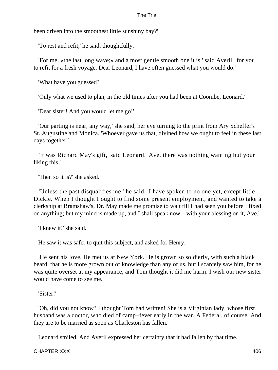been driven into the smoothest little sunshiny bay?'

'To rest and refit,' he said, thoughtfully.

 'For me, «the last long wave;» and a most gentle smooth one it is,' said Averil; 'for you to refit for a fresh voyage. Dear Leonard, I have often guessed what you would do.'

'What have you guessed?'

'Only what we used to plan, in the old times after you had been at Coombe, Leonard.'

'Dear sister! And you would let me go!'

 'Our parting is near, any way,' she said, her eye turning to the print from Ary Scheffer's St. Augustine and Monica. 'Whoever gave us that, divined how we ought to feel in these last days together.'

 'It was Richard May's gift,' said Leonard. 'Ave, there was nothing wanting but your liking this.'

'Then so it is?' she asked.

 'Unless the past disqualifies me,' he said. 'I have spoken to no one yet, except little Dickie. When I thought I ought to find some present employment, and wanted to take a clerkship at Bramshaw's, Dr. May made me promise to wait till I had seen you before I fixed on anything; but my mind is made up, and I shall speak now – with your blessing on it, Ave.'

'I knew it!' she said.

He saw it was safer to quit this subject, and asked for Henry.

 'He sent his love. He met us at New York. He is grown so soldierly, with such a black beard, that he is more grown out of knowledge than any of us, but I scarcely saw him, for he was quite overset at my appearance, and Tom thought it did me harm. I wish our new sister would have come to see me.

'Sister!'

 'Oh, did you not know? I thought Tom had written! She is a Virginian lady, whose first husband was a doctor, who died of camp−fever early in the war. A Federal, of course. And they are to be married as soon as Charleston has fallen.'

Leonard smiled. And Averil expressed her certainty that it had fallen by that time.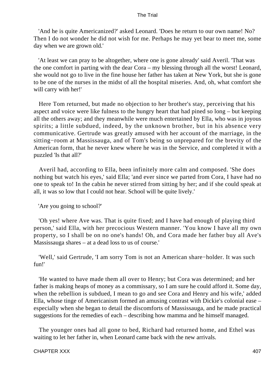'And he is quite Americanized?' asked Leonard. 'Does he return to our own name! No? Then I do not wonder he did not wish for me. Perhaps he may yet bear to meet me, some day when we are grown old.'

 'At least we can pray to be altogether, where one is gone already' said Averil. 'That was the one comfort in parting with the dear Cora – my blessing through all the worst! Leonard, she would not go to live in the fine house her father has taken at New York, but she is gone to be one of the nurses in the midst of all the hospital miseries. And, oh, what comfort she will carry with her!'

 Here Tom returned, but made no objection to her brother's stay, perceiving that his aspect and voice were like fulness to the hungry heart that had pined so long – but keeping all the others away; and they meanwhile were much entertained by Ella, who was in joyous spirits; a little subdued, indeed, by the unknown brother, but in his absence very communicative. Gertrude was greatly amused with her account of the marriage, in the sitting−room at Massissauga, and of Tom's being so unprepared for the brevity of the American form, that he never knew where he was in the Service, and completed it with a puzzled 'Is that all?'

 Averil had, according to Ella, been infinitely more calm and composed. 'She does nothing but watch his eyes,' said Ella; 'and ever since we parted from Cora, I have had no one to speak to! In the cabin he never stirred from sitting by her; and if she could speak at all, it was so low that I could not hear. School will be quite lively.'

'Are you going to school?'

 'Oh yes! where Ave was. That is quite fixed; and I have had enough of playing third person,' said Ella, with her precocious Western manner. 'You know I have all my own property, so I shall be on no one's hands! Oh, and Cora made her father buy all Ave's Massissauga shares – at a dead loss to us of course.'

 'Well,' said Gertrude, 'I am sorry Tom is not an American share−holder. It was such fun!'

 'He wanted to have made them all over to Henry; but Cora was determined; and her father is making heaps of money as a commissary, so I am sure he could afford it. Some day, when the rebellion is subdued, I mean to go and see Cora and Henry and his wife,' added Ella, whose tinge of Americanism formed an amusing contrast with Dickie's colonial ease – especially when she began to detail the discomforts of Massissauga, and he made practical suggestions for the remedies of each – describing how mamma and he himself managed.

 The younger ones had all gone to bed, Richard had returned home, and Ethel was waiting to let her father in, when Leonard came back with the new arrivals.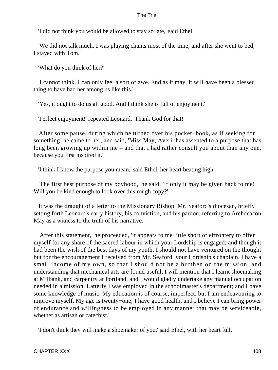'I did not think you would be allowed to stay so late,' said Ethel.

 'We did not talk much. I was playing chants most of the time; and after she went to bed, I stayed with Tom.'

'What do you think of her?'

 'I cannot think. I can only feel a sort of awe. End as it may, it will have been a blessed thing to have had her among us like this.'

'Yes, it ought to do us all good. And I think she is full of enjoyment.'

'Perfect enjoyment!' repeated Leonard. 'Thank God for that!'

 After some pause, during which he turned over his pocket−book, as if seeking for something, he came to her, and said, 'Miss May, Averil has assented to a purpose that has long been growing up within me – and that I had rather consult you about than any one, because you first inspired it.'

'I think I know the purpose you mean,' said Ethel, her heart beating high.

 'The first best purpose of my boyhood,' he said. 'If only it may be given back to me! Will you be kind enough to look over this rough copy?'

 It was the draught of a letter to the Missionary Bishop, Mr. Seaford's diocesan, briefly setting forth Leonard's early history, his conviction, and his pardon, referring to Archdeacon May as a witness to the truth of his narrative.

 'After this statement,' he proceeded, 'it appears to me little short of effrontery to offer myself for any share of the sacred labour in which your Lordship is engaged; and though it had been the wish of the best days of my youth, I should not have ventured on the thought but for the encouragement I received from Mr. Seaford, your Lordship's chaplain. I have a small income of my own, so that I should not be a burthen on the mission, and understanding that mechanical arts are found useful, I will mention that I learnt shoemaking at Milbank, and carpentry at Portland, and I would gladly undertake any manual occupation needed in a mission. Latterly I was employed in the schoolmaster's department; and I have some knowledge of music. My education is of course, imperfect, but I am endeavouring to improve myself. My age is twenty−one; I have good health, and I believe I can bring power of endurance and willingness to be employed in any manner that may be serviceable, whether as artisan or catechist.'

'I don't think they will make a shoemaker of you,' said Ethel, with her heart full.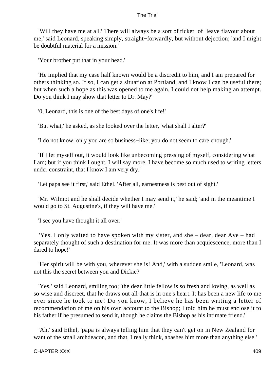'Will they have me at all? There will always be a sort of ticket−of−leave flavour about me,' said Leonard, speaking simply, straight−forwardly, but without dejection; 'and I might be doubtful material for a mission.'

'Your brother put that in your head.'

 'He implied that my case half known would be a discredit to him, and I am prepared for others thinking so. If so, I can get a situation at Portland, and I know I can be useful there; but when such a hope as this was opened to me again, I could not help making an attempt. Do you think I may show that letter to Dr. May?'

'0, Leonard, this is one of the best days of one's life!'

'But what,' he asked, as she looked over the letter, 'what shall I alter?'

'I do not know, only you are so business−like; you do not seem to care enough.'

 'If I let myself out, it would look like unbecoming pressing of myself, considering what I am; but if you think I ought, I will say more. I have become so much used to writing letters under constraint, that I know I am very dry.'

'Let papa see it first,' said Ethel. 'After all, earnestness is best out of sight.'

 'Mr. Wilmot and he shall decide whether I may send it,' he said; 'and in the meantime I would go to St. Augustine's, if they will have me.'

'I see you have thought it all over.'

 'Yes. I only waited to have spoken with my sister, and she – dear, dear Ave – had separately thought of such a destination for me. It was more than acquiescence, more than I dared to hope!'

 'Her spirit will be with you, wherever she is! And,' with a sudden smile, 'Leonard, was not this the secret between you and Dickie?'

 'Yes,' said Leonard, smiling too; 'the dear little fellow is so fresh and loving, as well as so wise and discreet, that he draws out all that is in one's heart. It has been a new life to me ever since he took to me! Do you know, I believe he has been writing a letter of recommendation of me on his own account to the Bishop; I told him he must enclose it to his father if he presumed to send it, though he claims the Bishop as his intimate friend.'

 'Ah,' said Ethel, 'papa is always telling him that they can't get on in New Zealand for want of the small archdeacon, and that, I really think, abashes him more than anything else.'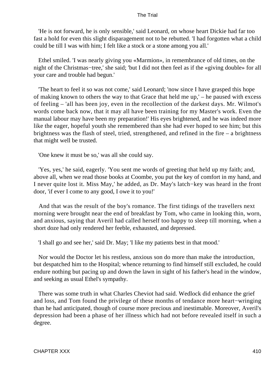'He is not forward, he is only sensible,' said Leonard, on whose heart Dickie had far too fast a hold for even this slight disparagement not to be rebutted. 'I had forgotten what a child could be till I was with him; I felt like a stock or a stone among you all.'

 Ethel smiled. 'I was nearly giving you «Marmion», in remembrance of old times, on the night of the Christmas−tree,' she said; 'but I did not then feel as if the «giving double» for all your care and trouble had begun.'

 'The heart to feel it so was not come,' said Leonard; 'now since I have grasped this hope of making known to others the way to that Grace that held me up,' – he paused with excess of feeling – 'all has been joy, even in the recollection of the darkest days. Mr. Wilmot's words come back now, that it may all have been training for my Master's work. Even the manual labour may have been my preparation!' His eyes brightened, and he was indeed more like the eager, hopeful youth she remembered than she had ever hoped to see him; but this brightness was the flash of steel, tried, strengthened, and refined in the fire – a brightness that might well be trusted.

'One knew it must be so,' was all she could say.

 'Yes, yes,' he said, eagerly. 'You sent me words of greeting that held up my faith; and, above all, when we read those books at Coombe, you put the key of comfort in my hand, and I never quite lost it. Miss May,' he added, as Dr. May's latch−key was heard in the front door, 'if ever I come to any good, I owe it to you!'

 And that was the result of the boy's romance. The first tidings of the travellers next morning were brought near the end of breakfast by Tom, who came in looking thin, worn, and anxious, saying that Averil had called herself too happy to sleep till morning, when a short doze had only rendered her feeble, exhausted, and depressed.

'I shall go and see her,' said Dr. May; 'I like my patients best in that mood.'

 Nor would the Doctor let his restless, anxious son do more than make the introduction, but despatched him to the Hospital; whence returning to find himself still excluded, he could endure nothing but pacing up and down the lawn in sight of his father's head in the window, and seeking as usual Ethel's sympathy.

 There was some truth in what Charles Cheviot had said. Wedlock did enhance the grief and loss, and Tom found the privilege of these months of tendance more heart−wringing than he had anticipated, though of course more precious and inestimable. Moreover, Averil's depression had been a phase of her illness which had not before revealed itself in such a degree.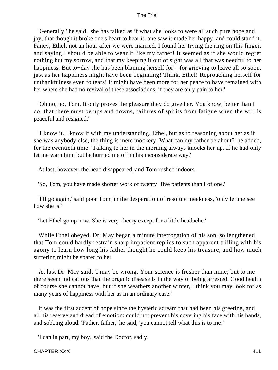'Generally,' he said, 'she has talked as if what she looks to were all such pure hope and joy, that though it broke one's heart to hear it, one saw it made her happy, and could stand it. Fancy, Ethel, not an hour after we were married, I found her trying the ring on this finger, and saying I should be able to wear it like my father! It seemed as if she would regret nothing but my sorrow, and that my keeping it out of sight was all that was needful to her happiness. But to−day she has been blaming herself for – for grieving to leave all so soon, just as her happiness might have been beginning! Think, Ethel! Reproaching herself for unthankfulness even to tears! It might have been more for her peace to have remained with her where she had no revival of these associations, if they are only pain to her.'

 'Oh no, no, Tom. It only proves the pleasure they do give her. You know, better than I do, that there must be ups and downs, failures of spirits from fatigue when the will is peaceful and resigned.'

 'I know it. I know it with my understanding, Ethel, but as to reasoning about her as if she was anybody else, the thing is mere mockery. What can my father be about?' he added, for the twentieth time. 'Talking to her in the morning always knocks her up. If he had only let me warn him; but he hurried me off in his inconsiderate way.'

At last, however, the head disappeared, and Tom rushed indoors.

'So, Tom, you have made shorter work of twenty−five patients than I of one.'

 'I'll go again,' said poor Tom, in the desperation of resolute meekness, 'only let me see how she is.'

'Let Ethel go up now. She is very cheery except for a little headache.'

 While Ethel obeyed, Dr. May began a minute interrogation of his son, so lengthened that Tom could hardly restrain sharp impatient replies to such apparent trifling with his agony to learn how long his father thought he could keep his treasure, and how much suffering might be spared to her.

 At last Dr. May said, 'I may be wrong. Your science is fresher than mine; but to me there seem indications that the organic disease is in the way of being arrested. Good health of course she cannot have; but if she weathers another winter, I think you may look for as many years of happiness with her as in an ordinary case.'

 It was the first accent of hope since the hysteric scream that had been his greeting, and all his reserve and dread of emotion: could not prevent his covering his face with his hands, and sobbing aloud. 'Father, father,' he said, 'you cannot tell what this is to me!'

'I can in part, my boy,' said the Doctor, sadly.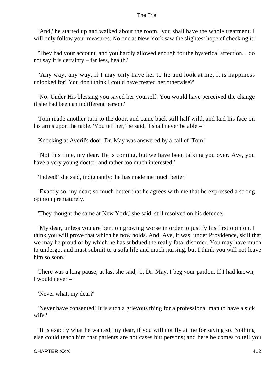'And,' he started up and walked about the room, 'you shall have the whole treatment. I will only follow your measures. No one at New York saw the slightest hope of checking it.'

 'They had your account, and you hardly allowed enough for the hysterical affection. I do not say it is certainty – far less, health.'

 'Any way, any way, if I may only have her to lie and look at me, it is happiness unlooked for! You don't think I could have treated her otherwise?'

 'No. Under His blessing you saved her yourself. You would have perceived the change if she had been an indifferent person.'

 Tom made another turn to the door, and came back still half wild, and laid his face on his arms upon the table. 'You tell her,' he said, 'I shall never be able – '

Knocking at Averil's door, Dr. May was answered by a call of 'Tom.'

 'Not this time, my dear. He is coming, but we have been talking you over. Ave, you have a very young doctor, and rather too much interested.'

'Indeed!' she said, indignantly; 'he has made me much better.'

 'Exactly so, my dear; so much better that he agrees with me that he expressed a strong opinion prematurely.'

'They thought the same at New York,' she said, still resolved on his defence.

 'My dear, unless you are bent on growing worse in order to justify his first opinion, I think you will prove that which he now holds. And, Ave, it was, under Providence, skill that we may be proud of by which he has subdued the really fatal disorder. You may have much to undergo, and must submit to a sofa life and much nursing, but I think you will not leave him so soon.'

 There was a long pause; at last she said, '0, Dr. May, I beg your pardon. If I had known, I would never – '

'Never what, my dear?'

 'Never have consented! It is such a grievous thing for a professional man to have a sick wife.'

 'It is exactly what he wanted, my dear, if you will not fly at me for saying so. Nothing else could teach him that patients are not cases but persons; and here he comes to tell you

#### CHAPTER XXX 412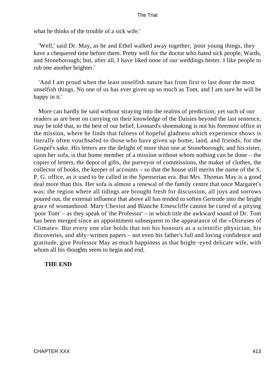what he thinks of the trouble of a sick wife.'

 'Well,' said Dr. May, as he and Ethel walked away together, 'poor young things, they have a chequered time before them. Pretty well for the doctor who hated sick people, Wards, and Stoneborough; but, after all, I have liked none of our weddings better. I like people to rub one another brighter.'

 'And I am proud when the least unselfish nature has from first to last done the most unselfish things. No one of us has ever given up so much as Tom, and I am sure he will be happy in it.'

 More can hardly be said without straying into the realms of prediction; yet such of our readers as are bent on carrying on their knowledge of the Daisies beyond the last sentence, may be told that, to the best of our belief, Leonard's shoemaking is not his foremost office in the mission, where he finds that fulness of hopeful gladness which experience shows is literally often vouchsafed to those who have given up home, land, and friends, for the Gospel's sake. His letters are the delight of more than one at Stoneborough; and his sister, upon her sofa, is that home member of a mission without whom nothing can be done – the copier of letters, the depot of gifts, the purveyor of commissions, the maker of clothes, the collector of books, the keeper of accounts – so that the house still merits the name of the S. P. G. office, as it used to be called in the Spenserian era. But Mrs. Thomas May is a good deal more than this. Her sofa is almost a renewal of the family centre that once Margaret's was; the region where all tidings are brought fresh for discussion, all joys and sorrows poured out, the external influence that above all has tended to soften Gertrude into the bright grace of womanhood. Mary Cheviot and Blanche Ernescliffe cannot be cured of a pitying 'poor Tom' – as they speak of 'the Professor' – in which title the awkward sound of Dr. Tom has been merged since an appointment subsequent to the appearance of the «Diseases of Climate». But every one else holds that not his honours as a scientific physician, his discoveries, and ably−written papers – not even his father's full and loving confidence and gratitude, give Professor May as much happiness as that bright−eyed delicate wife, with whom all his thoughts seem to begin and end.

## **THE END**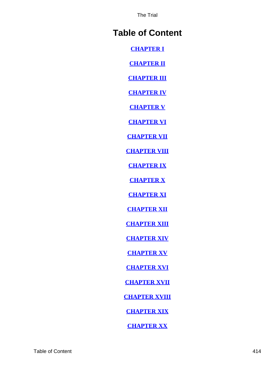# **Table of Content**

**[CHAPTER I](#page-3-0)**

**[CHAPTER II](#page-13-0)**

**[CHAPTER III](#page-31-0)**

**[CHAPTER IV](#page-42-0)**

**[CHAPTER V](#page-58-0)**

**[CHAPTER VI](#page-65-0)**

**[CHAPTER VII](#page-78-0)**

**[CHAPTER VIII](#page-87-0)**

**[CHAPTER IX](#page-107-0)**

**[CHAPTER X](#page-122-0)**

**[CHAPTER XI](#page-136-0)**

**[CHAPTER XII](#page-152-0)**

**[CHAPTER XIII](#page-172-0)**

**[CHAPTER XIV](#page-188-0)**

**[CHAPTER XV](#page-204-0)**

**[CHAPTER XVI](#page-224-0)**

**[CHAPTER XVII](#page-231-0)**

**[CHAPTER XVIII](#page-246-0)**

**[CHAPTER XIX](#page-262-0)**

**[CHAPTER XX](#page-272-0)**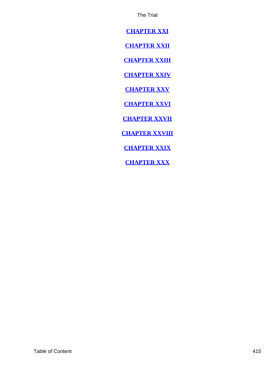<span id="page-415-0"></span>**[CHAPTER XXI](#page-290-0)**

**[CHAPTER XXII](#page-298-0)**

**[CHAPTER XXIII](#page-305-0)**

**[CHAPTER XXIV](#page-317-0)**

**[CHAPTER XXV](#page-326-0)**

**[CHAPTER XXVI](#page-339-0)**

**[CHAPTER XXVII](#page-355-0)**

**[CHAPTER XXVIII](#page-370-0)**

**[CHAPTER XXIX](#page-383-0)**

**[CHAPTER XXX](#page-397-0)**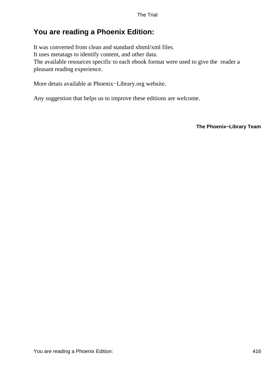## **You are reading a Phoenix Edition:**

It was converted from clean and standard xhtml/xml files. It uses metatags to identify content, and other data. The available resources specific to each ebook format were used to give the reader a pleasant reading experience.

More detais available at Phoenix−Library.org website.

Any suggestion that helps us to improve these editions are welcome.

**The Phoenix−Library Team**